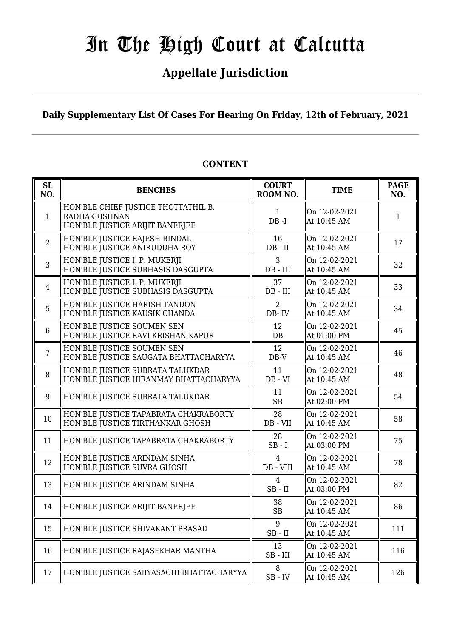## **Appellate Jurisdiction**

**Daily Supplementary List Of Cases For Hearing On Friday, 12th of February, 2021**

| SL<br>NO.      | <b>BENCHES</b>                                                                                 | <b>COURT</b><br>ROOM NO.      | <b>TIME</b>                  | <b>PAGE</b><br>NO. |
|----------------|------------------------------------------------------------------------------------------------|-------------------------------|------------------------------|--------------------|
| $\mathbf{1}$   | HON'BLE CHIEF JUSTICE THOTTATHIL B.<br><b>RADHAKRISHNAN</b><br>HON'BLE JUSTICE ARIJIT BANERJEE | $\mathbf{1}$<br>$DB - I$      | On 12-02-2021<br>At 10:45 AM | 1                  |
| $\overline{2}$ | HON'BLE JUSTICE RAJESH BINDAL<br>HON'BLE JUSTICE ANIRUDDHA ROY                                 | 16<br>$DB - II$               | On 12-02-2021<br>At 10:45 AM | 17                 |
| 3              | HON'BLE JUSTICE I. P. MUKERJI<br>HON'BLE JUSTICE SUBHASIS DASGUPTA                             | 3<br>$DB$ - $III$             | On 12-02-2021<br>At 10:45 AM | 32                 |
| $\overline{4}$ | HON'BLE JUSTICE I. P. MUKERJI<br>HON'BLE JUSTICE SUBHASIS DASGUPTA                             | 37<br>$DB$ - $III$            | On 12-02-2021<br>At 10:45 AM | 33                 |
| 5              | HON'BLE JUSTICE HARISH TANDON<br>HON'BLE JUSTICE KAUSIK CHANDA                                 | 2<br>DB-IV                    | On 12-02-2021<br>At 10:45 AM | 34                 |
| $6\phantom{1}$ | HON'BLE JUSTICE SOUMEN SEN<br>HON'BLE JUSTICE RAVI KRISHAN KAPUR                               | 12<br>$DB$                    | On 12-02-2021<br>At 01:00 PM | 45                 |
| $\overline{7}$ | HON'BLE JUSTICE SOUMEN SEN<br>HON'BLE JUSTICE SAUGATA BHATTACHARYYA                            | 12<br>$DB-V$                  | On 12-02-2021<br>At 10:45 AM | 46                 |
| 8              | HON'BLE JUSTICE SUBRATA TALUKDAR<br>HON'BLE JUSTICE HIRANMAY BHATTACHARYYA                     | 11<br>$DB - VI$               | On 12-02-2021<br>At 10:45 AM | 48                 |
| 9              | HON'BLE JUSTICE SUBRATA TALUKDAR                                                               | 11<br>SB                      | On 12-02-2021<br>At 02:00 PM | 54                 |
| 10             | HON'BLE JUSTICE TAPABRATA CHAKRABORTY<br>HON'BLE JUSTICE TIRTHANKAR GHOSH                      | 28<br>$DB - VII$              | On 12-02-2021<br>At 10:45 AM | 58                 |
| 11             | HON'BLE JUSTICE TAPABRATA CHAKRABORTY                                                          | 28<br>$SB - I$                | On 12-02-2021<br>At 03:00 PM | 75                 |
| 12             | HON'BLE JUSTICE ARINDAM SINHA<br>HON'BLE JUSTICE SUVRA GHOSH                                   | $\overline{4}$<br>$DB - VIII$ | On 12-02-2021<br>At 10:45 AM | 78                 |
| 13             | HON'BLE JUSTICE ARINDAM SINHA                                                                  | $\overline{4}$<br>$SB$ - $II$ | On 12-02-2021<br>At 03:00 PM | 82                 |
| 14             | HON'BLE JUSTICE ARIJIT BANERJEE                                                                | 38<br>SB                      | On 12-02-2021<br>At 10:45 AM | 86                 |
| 15             | HON'BLE JUSTICE SHIVAKANT PRASAD                                                               | 9<br>$SB$ - $II$              | On 12-02-2021<br>At 10:45 AM | 111                |
| 16             | HON'BLE JUSTICE RAJASEKHAR MANTHA                                                              | 13<br>$SB$ - $III$            | On 12-02-2021<br>At 10:45 AM | 116                |
| 17             | HON'BLE JUSTICE SABYASACHI BHATTACHARYYA                                                       | 8<br>$SB$ - $IV$              | On 12-02-2021<br>At 10:45 AM | 126                |

#### **CONTENT**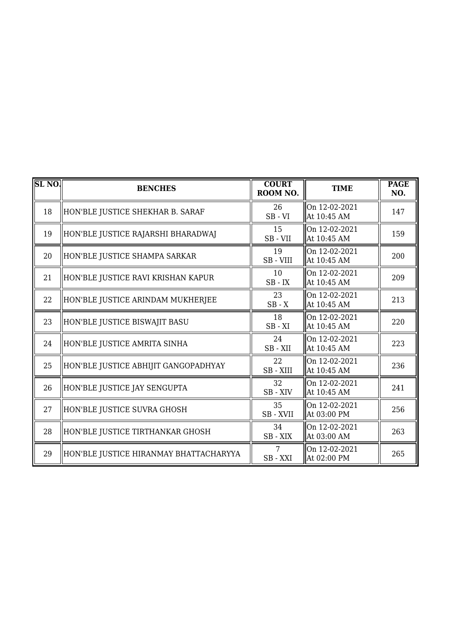| SL <sub>NO</sub> | <b>BENCHES</b>                         | <b>COURT</b><br>ROOM NO. | <b>TIME</b>                  | <b>PAGE</b><br>NO. |
|------------------|----------------------------------------|--------------------------|------------------------------|--------------------|
| 18               | HON'BLE JUSTICE SHEKHAR B. SARAF       | 26<br>$SB - VI$          | On 12-02-2021<br>At 10:45 AM | 147                |
| 19               | HON'BLE JUSTICE RAJARSHI BHARADWAJ     | 15<br>$SB - VII$         | On 12-02-2021<br>At 10:45 AM | 159                |
| 20               | HON'BLE JUSTICE SHAMPA SARKAR          | 19<br>SB - VIII          | On 12-02-2021<br>At 10:45 AM | 200                |
| 21               | HON'BLE JUSTICE RAVI KRISHAN KAPUR     | 10<br>$SB$ - $IX$        | On 12-02-2021<br>At 10:45 AM | 209                |
| 22               | HON'BLE JUSTICE ARINDAM MUKHERJEE      | 23<br>$SB - X$           | On 12-02-2021<br>At 10:45 AM | 213                |
| 23               | HON'BLE JUSTICE BISWAJIT BASU          | 18<br>$SB - XI$          | On 12-02-2021<br>At 10:45 AM | 220                |
| 24               | HON'BLE JUSTICE AMRITA SINHA           | 24<br>SB-XII             | On 12-02-2021<br>At 10:45 AM | 223                |
| 25               | HON'BLE JUSTICE ABHIJIT GANGOPADHYAY   | 22<br>SB - XIII          | On 12-02-2021<br>At 10:45 AM | 236                |
| 26               | HON'BLE JUSTICE JAY SENGUPTA           | 32<br>SB-XIV             | On 12-02-2021<br>At 10:45 AM | 241                |
| 27               | HON'BLE JUSTICE SUVRA GHOSH            | 35<br>SB-XVII            | On 12-02-2021<br>At 03:00 PM | 256                |
| 28               | HON'BLE JUSTICE TIRTHANKAR GHOSH       | 34<br>SB-XIX             | On 12-02-2021<br>At 03:00 AM | 263                |
| 29               | HON'BLE JUSTICE HIRANMAY BHATTACHARYYA | 7<br>SB - XXI            | On 12-02-2021<br>At 02:00 PM | 265                |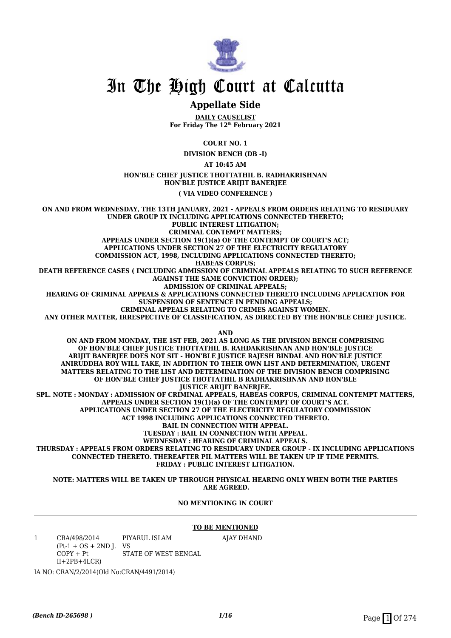

#### **Appellate Side**

**DAILY CAUSELIST For Friday The 12th February 2021**

**COURT NO. 1**

**DIVISION BENCH (DB -I)**

**AT 10:45 AM**

#### **HON'BLE CHIEF JUSTICE THOTTATHIL B. RADHAKRISHNAN HON'BLE JUSTICE ARIJIT BANERJEE**

**( VIA VIDEO CONFERENCE )**

**ON AND FROM WEDNESDAY, THE 13TH JANUARY, 2021 - APPEALS FROM ORDERS RELATING TO RESIDUARY UNDER GROUP IX INCLUDING APPLICATIONS CONNECTED THERETO; PUBLIC INTEREST LITIGATION; CRIMINAL CONTEMPT MATTERS; APPEALS UNDER SECTION 19(1)(a) OF THE CONTEMPT OF COURT'S ACT; APPLICATIONS UNDER SECTION 27 OF THE ELECTRICITY REGULATORY COMMISSION ACT, 1998, INCLUDING APPLICATIONS CONNECTED THERETO; HABEAS CORPUS; DEATH REFERENCE CASES ( INCLUDING ADMISSION OF CRIMINAL APPEALS RELATING TO SUCH REFERENCE AGAINST THE SAME CONVICTION ORDER); ADMISSION OF CRIMINAL APPEALS; HEARING OF CRIMINAL APPEALS & APPLICATIONS CONNECTED THERETO INCLUDING APPLICATION FOR SUSPENSION OF SENTENCE IN PENDING APPEALS; CRIMINAL APPEALS RELATING TO CRIMES AGAINST WOMEN. ANY OTHER MATTER, IRRESPECTIVE OF CLASSIFICATION, AS DIRECTED BY THE HON'BLE CHIEF JUSTICE. AND ON AND FROM MONDAY, THE 1ST FEB, 2021 AS LONG AS THE DIVISION BENCH COMPRISING OF HON'BLE CHIEF JUSTICE THOTTATHIL B. RAHDAKRISHNAN AND HON'BLE JUSTICE ARIJIT BANERJEE DOES NOT SIT - HON'BLE JUSTICE RAJESH BINDAL AND HON'BLE JUSTICE ANIRUDDHA ROY WILL TAKE, IN ADDITION TO THEIR OWN LIST AND DETERMINATION, URGENT MATTERS RELATING TO THE LIST AND DETERMINATION OF THE DIVISION BENCH COMPRISING OF HON'BLE CHIEF JUSTICE THOTTATHIL B RADHAKRISHNAN AND HON'BLE** *JUSTICE ARIJIT BANERIEE.* **SPL. NOTE : MONDAY : ADMISSION OF CRIMINAL APPEALS, HABEAS CORPUS, CRIMINAL CONTEMPT MATTERS, APPEALS UNDER SECTION 19(1)(a) OF THE CONTEMPT OF COURT'S ACT. APPLICATIONS UNDER SECTION 27 OF THE ELECTRICITY REGULATORY COMMISSION ACT 1998 INCLUDING APPLICATIONS CONNECTED THERETO. BAIL IN CONNECTION WITH APPEAL. TUESDAY : BAIL IN CONNECTION WITH APPEAL. WEDNESDAY : HEARING OF CRIMINAL APPEALS. THURSDAY : APPEALS FROM ORDERS RELATING TO RESIDUARY UNDER GROUP - IX INCLUDING APPLICATIONS CONNECTED THERETO. THEREAFTER PIL MATTERS WILL BE TAKEN UP IF TIME PERMITS.**

**FRIDAY : PUBLIC INTEREST LITIGATION.**

#### **NOTE: MATTERS WILL BE TAKEN UP THROUGH PHYSICAL HEARING ONLY WHEN BOTH THE PARTIES ARE AGREED.**

#### **NO MENTIONING IN COURT**

#### **TO BE MENTIONED**

AJAY DHAND

1 CRA/498/2014  $(Pt-1 + OS + 2ND J. VS$  $COPY + Pt$  $II+2PB+4LCR$ PIYARUL ISLAM STATE OF WEST BENGAL

IA NO: CRAN/2/2014(Old No:CRAN/4491/2014)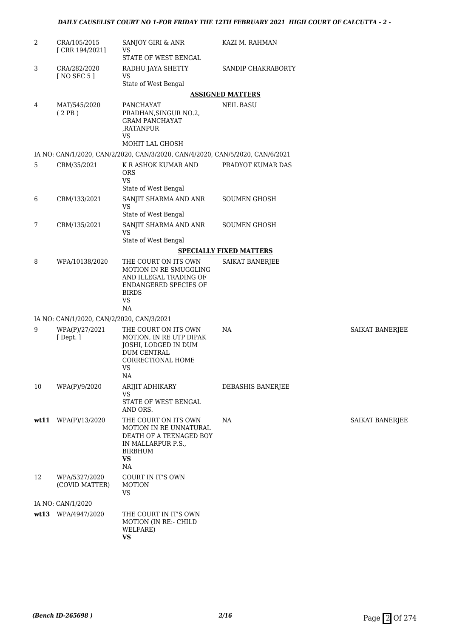| $\overline{2}$ | CRA/105/2015<br>[CRR 194/2021]            | SANJOY GIRI & ANR<br>VS<br>STATE OF WEST BENGAL                                                                                      | KAZI M. RAHMAN                 |                        |
|----------------|-------------------------------------------|--------------------------------------------------------------------------------------------------------------------------------------|--------------------------------|------------------------|
| 3              | CRA/282/2020<br>[ NO SEC 5 ]              | RADHU JAYA SHETTY<br><b>VS</b><br>State of West Bengal                                                                               | SANDIP CHAKRABORTY             |                        |
|                |                                           |                                                                                                                                      | <b>ASSIGNED MATTERS</b>        |                        |
| 4              | MAT/545/2020<br>(2PB)                     | PANCHAYAT<br>PRADHAN, SINGUR NO.2,<br><b>GRAM PANCHAYAT</b><br>,RATANPUR<br>VS<br>MOHIT LAL GHOSH                                    | <b>NEIL BASU</b>               |                        |
|                |                                           | IA NO: CAN/1/2020, CAN/2/2020, CAN/3/2020, CAN/4/2020, CAN/5/2020, CAN/6/2021                                                        |                                |                        |
| 5              | CRM/35/2021                               | K R ASHOK KUMAR AND<br><b>ORS</b><br><b>VS</b>                                                                                       | PRADYOT KUMAR DAS              |                        |
| 6              | CRM/133/2021                              | State of West Bengal<br>SANJIT SHARMA AND ANR<br>VS<br>State of West Bengal                                                          | <b>SOUMEN GHOSH</b>            |                        |
| 7              | CRM/135/2021                              | SANJIT SHARMA AND ANR<br><b>VS</b><br>State of West Bengal                                                                           | <b>SOUMEN GHOSH</b>            |                        |
|                |                                           |                                                                                                                                      | <b>SPECIALLY FIXED MATTERS</b> |                        |
| 8              | WPA/10138/2020                            | THE COURT ON ITS OWN<br>MOTION IN RE SMUGGLING<br>AND ILLEGAL TRADING OF<br>ENDANGERED SPECIES OF<br><b>BIRDS</b><br><b>VS</b><br>NA | SAIKAT BANERJEE                |                        |
|                | IA NO: CAN/1/2020, CAN/2/2020, CAN/3/2021 |                                                                                                                                      |                                |                        |
| 9              | WPA(P)/27/2021<br>[Dept.]                 | THE COURT ON ITS OWN<br>MOTION, IN RE UTP DIPAK<br>JOSHI, LODGED IN DUM<br>DUM CENTRAL<br>CORRECTIONAL HOME<br>VS<br>$\rm NA$        | NA                             | <b>SAIKAT BANERJEE</b> |
| 10             | WPA(P)/9/2020                             | ARIJIT ADHIKARY<br><b>VS</b><br>STATE OF WEST BENGAL<br>AND ORS.                                                                     | DEBASHIS BANERJEE              |                        |
|                | wt11 WPA(P)/13/2020                       | THE COURT ON ITS OWN<br>MOTION IN RE UNNATURAL<br>DEATH OF A TEENAGED BOY<br>IN MALLARPUR P.S.,<br><b>BIRBHUM</b><br><b>VS</b><br>NA | NA                             | <b>SAIKAT BANERJEE</b> |
| 12             | WPA/5327/2020<br>(COVID MATTER)           | COURT IN IT'S OWN<br><b>MOTION</b><br>VS                                                                                             |                                |                        |
|                | IA NO: CAN/1/2020                         |                                                                                                                                      |                                |                        |
| wt13           | WPA/4947/2020                             | THE COURT IN IT'S OWN<br>MOTION (IN RE:- CHILD<br>WELFARE)<br><b>VS</b>                                                              |                                |                        |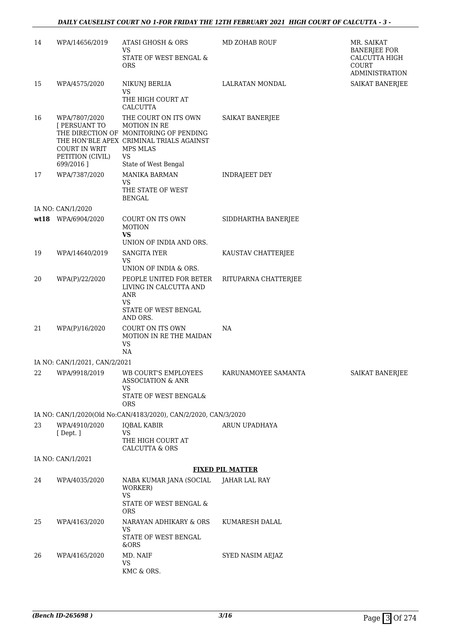| 14 | WPA/14656/2019                                                                   | <b>ATASI GHOSH &amp; ORS</b><br><b>VS</b><br>STATE OF WEST BENGAL &<br><b>ORS</b>                                                                                           | MD ZOHAB ROUF           | MR. SAIKAT<br><b>BANERJEE FOR</b><br>CALCUTTA HIGH<br>COURT<br><b>ADMINISTRATION</b> |
|----|----------------------------------------------------------------------------------|-----------------------------------------------------------------------------------------------------------------------------------------------------------------------------|-------------------------|--------------------------------------------------------------------------------------|
| 15 | WPA/4575/2020                                                                    | NIKUNJ BERLIA<br>VS<br>THE HIGH COURT AT<br>CALCUTTA                                                                                                                        | LALRATAN MONDAL         | <b>SAIKAT BANERJEE</b>                                                               |
| 16 | WPA/7807/2020<br>[ PERSUANT TO<br>COURT IN WRIT<br>PETITION (CIVIL)<br>699/2016] | THE COURT ON ITS OWN<br><b>MOTION IN RE</b><br>THE DIRECTION OF MONITORING OF PENDING<br>THE HON'BLE APEX CRIMINAL TRIALS AGAINST<br>MPS MLAS<br>VS<br>State of West Bengal | SAIKAT BANERJEE         |                                                                                      |
| 17 | WPA/7387/2020                                                                    | <b>MANIKA BARMAN</b><br><b>VS</b>                                                                                                                                           | <b>INDRAJEET DEY</b>    |                                                                                      |
|    |                                                                                  | THE STATE OF WEST<br><b>BENGAL</b>                                                                                                                                          |                         |                                                                                      |
|    | IA NO: CAN/1/2020                                                                |                                                                                                                                                                             |                         |                                                                                      |
|    | wt18 WPA/6904/2020                                                               | COURT ON ITS OWN<br><b>MOTION</b><br><b>VS</b><br>UNION OF INDIA AND ORS.                                                                                                   | SIDDHARTHA BANERJEE     |                                                                                      |
| 19 | WPA/14640/2019                                                                   | SANGITA IYER                                                                                                                                                                | KAUSTAV CHATTERJEE      |                                                                                      |
|    |                                                                                  | VS                                                                                                                                                                          |                         |                                                                                      |
|    |                                                                                  | UNION OF INDIA & ORS.                                                                                                                                                       |                         |                                                                                      |
| 20 | WPA(P)/22/2020                                                                   | PEOPLE UNITED FOR BETER<br>LIVING IN CALCUTTA AND<br>ANR<br><b>VS</b><br>STATE OF WEST BENGAL<br>AND ORS.                                                                   | RITUPARNA CHATTERJEE    |                                                                                      |
| 21 | WPA(P)/16/2020                                                                   | COURT ON ITS OWN<br>MOTION IN RE THE MAIDAN<br><b>VS</b><br>NA                                                                                                              | NA                      |                                                                                      |
|    | IA NO: CAN/1/2021, CAN/2/2021                                                    |                                                                                                                                                                             |                         |                                                                                      |
| 22 | WPA/9918/2019                                                                    | WB COURT'S EMPLOYEES<br><b>ASSOCIATION &amp; ANR</b><br>VS<br>STATE OF WEST BENGAL&                                                                                         | KARUNAMOYEE SAMANTA     | SAIKAT BANERJEE                                                                      |
|    |                                                                                  | <b>ORS</b>                                                                                                                                                                  |                         |                                                                                      |
|    |                                                                                  | IA NO: CAN/1/2020(Old No:CAN/4183/2020), CAN/2/2020, CAN/3/2020                                                                                                             |                         |                                                                                      |
| 23 | WPA/4910/2020                                                                    | <b>IQBAL KABIR</b>                                                                                                                                                          | ARUN UPADHAYA           |                                                                                      |
|    | [Dept.]                                                                          | <b>VS</b><br>THE HIGH COURT AT<br><b>CALCUTTA &amp; ORS</b>                                                                                                                 |                         |                                                                                      |
|    | IA NO: CAN/1/2021                                                                |                                                                                                                                                                             |                         |                                                                                      |
|    |                                                                                  |                                                                                                                                                                             | <b>FIXED PIL MATTER</b> |                                                                                      |
| 24 | WPA/4035/2020                                                                    | NABA KUMAR JANA (SOCIAL<br>WORKER)<br><b>VS</b><br>STATE OF WEST BENGAL &                                                                                                   | JAHAR LAL RAY           |                                                                                      |
|    |                                                                                  | <b>ORS</b>                                                                                                                                                                  |                         |                                                                                      |
| 25 | WPA/4163/2020                                                                    | NARAYAN ADHIKARY & ORS<br>VS<br>STATE OF WEST BENGAL                                                                                                                        | KUMARESH DALAL          |                                                                                      |
|    |                                                                                  | &ORS                                                                                                                                                                        |                         |                                                                                      |
| 26 | WPA/4165/2020                                                                    | MD. NAIF<br>VS<br>KMC & ORS.                                                                                                                                                | SYED NASIM AEJAZ        |                                                                                      |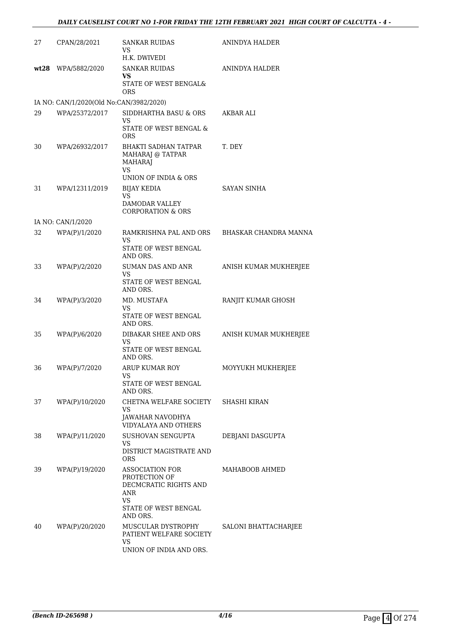| 27 | CPAN/28/2021                            | <b>SANKAR RUIDAS</b><br>VS<br>H.K. DWIVEDI                                                                               | ANINDYA HALDER        |
|----|-----------------------------------------|--------------------------------------------------------------------------------------------------------------------------|-----------------------|
|    | wt28 WPA/5882/2020                      | <b>SANKAR RUIDAS</b><br>VS.<br>STATE OF WEST BENGAL&<br><b>ORS</b>                                                       | ANINDYA HALDER        |
|    | IA NO: CAN/1/2020(Old No:CAN/3982/2020) |                                                                                                                          |                       |
| 29 | WPA/25372/2017                          | SIDDHARTHA BASU & ORS<br>VS<br>STATE OF WEST BENGAL &<br><b>ORS</b>                                                      | <b>AKBAR ALI</b>      |
| 30 | WPA/26932/2017                          | <b>BHAKTI SADHAN TATPAR</b><br>MAHARAJ @ TATPAR<br><b>MAHARAJ</b><br><b>VS</b><br>UNION OF INDIA & ORS                   | T. DEY                |
| 31 | WPA/12311/2019                          | <b>BIJAY KEDIA</b><br><b>VS</b><br>DAMODAR VALLEY<br><b>CORPORATION &amp; ORS</b>                                        | <b>SAYAN SINHA</b>    |
|    | IA NO: CAN/1/2020                       |                                                                                                                          |                       |
| 32 | WPA(P)/1/2020                           | RAMKRISHNA PAL AND ORS<br>VS<br>STATE OF WEST BENGAL                                                                     | BHASKAR CHANDRA MANNA |
|    |                                         | AND ORS.                                                                                                                 |                       |
| 33 | WPA(P)/2/2020                           | SUMAN DAS AND ANR<br><b>VS</b><br>STATE OF WEST BENGAL<br>AND ORS.                                                       | ANISH KUMAR MUKHERJEE |
| 34 | WPA(P)/3/2020                           | MD. MUSTAFA<br>VS<br>STATE OF WEST BENGAL<br>AND ORS.                                                                    | RANJIT KUMAR GHOSH    |
| 35 | WPA(P)/6/2020                           | DIBAKAR SHEE AND ORS<br>VS<br>STATE OF WEST BENGAL<br>AND ORS.                                                           | ANISH KUMAR MUKHERJEE |
| 36 | WPA(P)/7/2020                           | <b>ARUP KUMAR ROY</b><br>VS<br>STATE OF WEST BENGAL<br>AND ORS.                                                          | MOYYUKH MUKHERJEE     |
| 37 | WPA(P)/10/2020                          | CHETNA WELFARE SOCIETY<br>VS<br>JAWAHAR NAVODHYA<br><b>VIDYALAYA AND OTHERS</b>                                          | SHASHI KIRAN          |
| 38 | WPA(P)/11/2020                          | SUSHOVAN SENGUPTA<br>VS<br>DISTRICT MAGISTRATE AND<br><b>ORS</b>                                                         | DEBJANI DASGUPTA      |
| 39 | WPA(P)/19/2020                          | <b>ASSOCIATION FOR</b><br>PROTECTION OF<br>DECMCRATIC RIGHTS AND<br>ANR<br><b>VS</b><br>STATE OF WEST BENGAL<br>AND ORS. | MAHABOOB AHMED        |
| 40 | WPA(P)/20/2020                          | MUSCULAR DYSTROPHY<br>PATIENT WELFARE SOCIETY<br>VS<br>UNION OF INDIA AND ORS.                                           | SALONI BHATTACHARJEE  |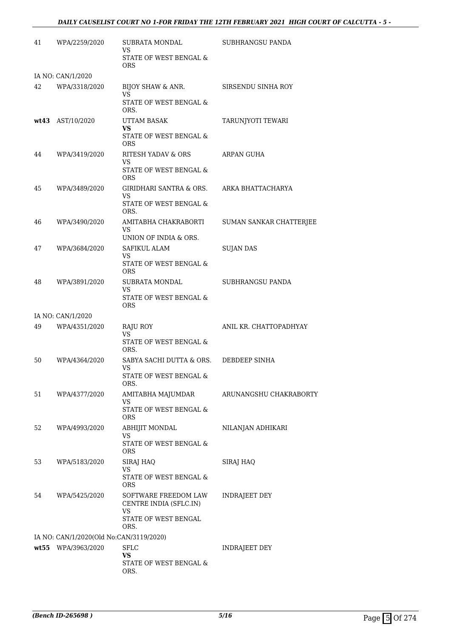#### *DAILY CAUSELIST COURT NO 1-FOR FRIDAY THE 12TH FEBRUARY 2021 HIGH COURT OF CALCUTTA - 5 -*

| 41 | WPA/2259/2020                           | SUBRATA MONDAL<br>VS<br>STATE OF WEST BENGAL &                                       | <b>SUBHRANGSU PANDA</b> |
|----|-----------------------------------------|--------------------------------------------------------------------------------------|-------------------------|
|    |                                         | <b>ORS</b>                                                                           |                         |
|    | IA NO: CAN/1/2020                       |                                                                                      |                         |
| 42 | WPA/3318/2020                           | BIJOY SHAW & ANR.<br><b>VS</b><br>STATE OF WEST BENGAL &<br>ORS.                     | SIRSENDU SINHA ROY      |
|    | wt43 AST/10/2020                        | UTTAM BASAK<br>VS<br>STATE OF WEST BENGAL &<br><b>ORS</b>                            | TARUNJYOTI TEWARI       |
| 44 | WPA/3419/2020                           | RITESH YADAV & ORS<br>VS<br>STATE OF WEST BENGAL &<br>ORS                            | ARPAN GUHA              |
| 45 | WPA/3489/2020                           | GIRIDHARI SANTRA & ORS.<br>VS<br>STATE OF WEST BENGAL &<br>ORS.                      | ARKA BHATTACHARYA       |
| 46 | WPA/3490/2020                           | AMITABHA CHAKRABORTI<br><b>VS</b><br>UNION OF INDIA & ORS.                           | SUMAN SANKAR CHATTERJEE |
| 47 | WPA/3684/2020                           | SAFIKUL ALAM<br>VS<br>STATE OF WEST BENGAL &<br><b>ORS</b>                           | <b>SUJAN DAS</b>        |
| 48 | WPA/3891/2020                           | SUBRATA MONDAL<br>VS<br>STATE OF WEST BENGAL &<br><b>ORS</b>                         | SUBHRANGSU PANDA        |
|    | IA NO: CAN/1/2020                       |                                                                                      |                         |
| 49 | WPA/4351/2020                           | RAJU ROY<br>VS<br>STATE OF WEST BENGAL &<br>ORS.                                     | ANIL KR. CHATTOPADHYAY  |
| 50 | WPA/4364/2020                           | SABYA SACHI DUTTA & ORS.<br>VS<br>STATE OF WEST BENGAL &<br>ORS.                     | DEBDEEP SINHA           |
| 51 | WPA/4377/2020                           | AMITABHA MAJUMDAR<br>VS<br>STATE OF WEST BENGAL &<br><b>ORS</b>                      | ARUNANGSHU CHAKRABORTY  |
| 52 | WPA/4993/2020                           | <b>ABHIJIT MONDAL</b><br>VS<br><b>STATE OF WEST BENGAL &amp;</b><br><b>ORS</b>       | NILANJAN ADHIKARI       |
| 53 | WPA/5183/2020                           | SIRAJ HAQ<br>VS<br>STATE OF WEST BENGAL &<br><b>ORS</b>                              | SIRAJ HAQ               |
| 54 | WPA/5425/2020                           | SOFTWARE FREEDOM LAW<br>CENTRE INDIA (SFLC.IN)<br>VS<br>STATE OF WEST BENGAL<br>ORS. | INDRAJEET DEY           |
|    | IA NO: CAN/1/2020(Old No:CAN/3119/2020) |                                                                                      |                         |
|    | wt55 WPA/3963/2020                      | <b>SFLC</b><br>VS<br>STATE OF WEST BENGAL &<br>ORS.                                  | <b>INDRAJEET DEY</b>    |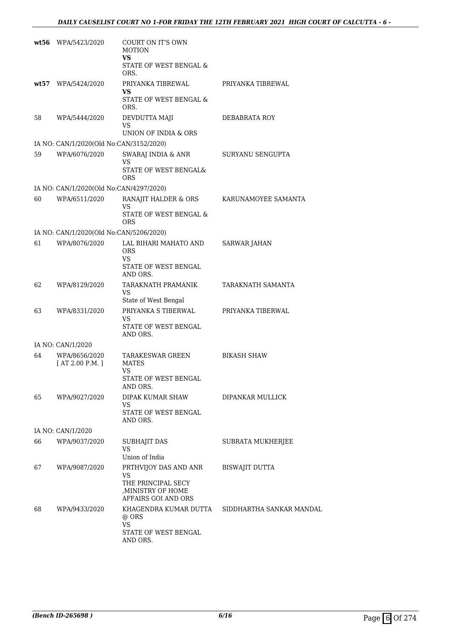| wt56  | WPA/5423/2020                           | COURT ON IT'S OWN<br><b>MOTION</b>                                                            |                          |
|-------|-----------------------------------------|-----------------------------------------------------------------------------------------------|--------------------------|
|       |                                         | VS<br><b>STATE OF WEST BENGAL &amp;</b><br>ORS.                                               |                          |
| wt:57 | WPA/5424/2020                           | PRIYANKA TIBREWAL                                                                             | PRIYANKA TIBREWAL        |
|       |                                         | VS<br>STATE OF WEST BENGAL &<br>ORS.                                                          |                          |
| 58    | WPA/5444/2020                           | DEVDUTTA MAJI<br>VS<br>UNION OF INDIA & ORS                                                   | DEBABRATA ROY            |
|       | IA NO: CAN/1/2020(Old No:CAN/3152/2020) |                                                                                               |                          |
| 59    | WPA/6076/2020                           | SWARAJ INDIA & ANR                                                                            | SURYANU SENGUPTA         |
|       |                                         | VS<br>STATE OF WEST BENGAL&<br>ORS                                                            |                          |
|       | IA NO: CAN/1/2020(Old No:CAN/4297/2020) |                                                                                               |                          |
| 60    | WPA/6511/2020                           | RANAJIT HALDER & ORS<br>VS.                                                                   | KARUNAMOYEE SAMANTA      |
|       |                                         | STATE OF WEST BENGAL &<br><b>ORS</b>                                                          |                          |
|       | IA NO: CAN/1/2020(Old No:CAN/5206/2020) |                                                                                               |                          |
| 61    | WPA/8076/2020                           | LAL BIHARI MAHATO AND<br><b>ORS</b><br>VS.                                                    | <b>SARWAR JAHAN</b>      |
|       |                                         | STATE OF WEST BENGAL<br>AND ORS.                                                              |                          |
| 62    | WPA/8129/2020                           | TARAKNATH PRAMANIK<br><b>VS</b><br>State of West Bengal                                       | TARAKNATH SAMANTA        |
| 63    | WPA/8331/2020                           | PRIYANKA S TIBERWAL<br>VS<br>STATE OF WEST BENGAL<br>AND ORS.                                 | PRIYANKA TIBERWAL        |
|       | IA NO: CAN/1/2020                       |                                                                                               |                          |
| 64    | WPA/8656/2020<br>[AT 2.00 P.M.]         | <b>TARAKESWAR GREEN</b><br><b>MATES</b><br><b>VS</b><br>STATE OF WEST BENGAL                  | <b>BIKASH SHAW</b>       |
| 65    | WPA/9027/2020                           | AND ORS.<br><b>DIPAK KUMAR SHAW</b>                                                           | DIPANKAR MULLICK         |
|       |                                         | VS<br>STATE OF WEST BENGAL                                                                    |                          |
|       |                                         | AND ORS.                                                                                      |                          |
| 66    | IA NO: CAN/1/2020<br>WPA/9037/2020      |                                                                                               |                          |
|       |                                         | SUBHAJIT DAS<br>VS<br>Union of India                                                          | SUBRATA MUKHERJEE        |
| 67    | WPA/9087/2020                           | PRTHVIJOY DAS AND ANR<br>VS<br>THE PRINCIPAL SECY<br>,MINISTRY OF HOME<br>AFFAIRS GOI AND ORS | <b>BISWAJIT DUTTA</b>    |
| 68    | WPA/9433/2020                           | KHAGENDRA KUMAR DUTTA<br>@ ORS<br><b>VS</b><br>STATE OF WEST BENGAL<br>AND ORS.               | SIDDHARTHA SANKAR MANDAL |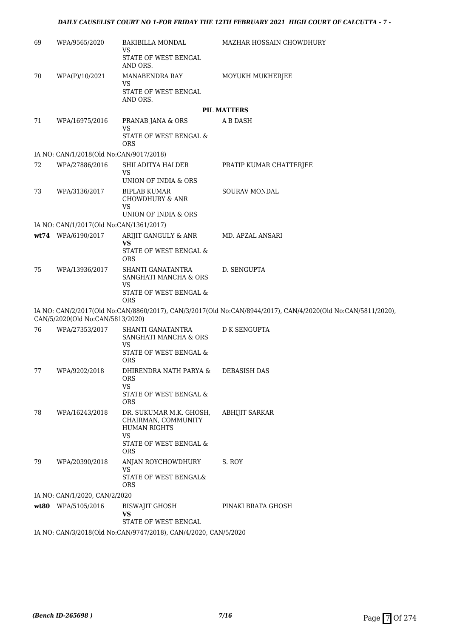| 69   | WPA/9565/2020                           | BAKIBILLA MONDAL<br>VS<br>STATE OF WEST BENGAL<br>AND ORS.                                                                 | MAZHAR HOSSAIN CHOWDHURY                                                                                     |
|------|-----------------------------------------|----------------------------------------------------------------------------------------------------------------------------|--------------------------------------------------------------------------------------------------------------|
| 70   | WPA(P)/10/2021                          | MANABENDRA RAY<br><b>VS</b><br>STATE OF WEST BENGAL<br>AND ORS.                                                            | MOYUKH MUKHERJEE                                                                                             |
|      |                                         |                                                                                                                            | <b>PIL MATTERS</b>                                                                                           |
| 71   | WPA/16975/2016                          | PRANAB JANA & ORS<br>VS                                                                                                    | A B DASH                                                                                                     |
|      |                                         | STATE OF WEST BENGAL &<br><b>ORS</b>                                                                                       |                                                                                                              |
|      | IA NO: CAN/1/2018(Old No:CAN/9017/2018) |                                                                                                                            |                                                                                                              |
| 72   | WPA/27886/2016                          | SHILADITYA HALDER<br><b>VS</b><br>UNION OF INDIA & ORS                                                                     | PRATIP KUMAR CHATTERJEE                                                                                      |
| 73   | WPA/3136/2017                           | <b>BIPLAB KUMAR</b><br><b>CHOWDHURY &amp; ANR</b><br><b>VS</b><br>UNION OF INDIA & ORS                                     | <b>SOURAV MONDAL</b>                                                                                         |
|      | IA NO: CAN/1/2017(Old No:CAN/1361/2017) |                                                                                                                            |                                                                                                              |
|      | wt74 WPA/6190/2017                      | ARIJIT GANGULY & ANR                                                                                                       | MD. APZAL ANSARI                                                                                             |
|      |                                         | <b>VS</b><br>STATE OF WEST BENGAL &<br><b>ORS</b>                                                                          |                                                                                                              |
| 75   | WPA/13936/2017                          | SHANTI GANATANTRA<br>SANGHATI MANCHA & ORS<br><b>VS</b><br>STATE OF WEST BENGAL &<br><b>ORS</b>                            | D. SENGUPTA                                                                                                  |
|      | CAN/5/2020(Old No:CAN/5813/2020)        |                                                                                                                            | IA NO: CAN/2/2017(Old No:CAN/8860/2017), CAN/3/2017(Old No:CAN/8944/2017), CAN/4/2020(Old No:CAN/5811/2020), |
| 76   | WPA/27353/2017                          | SHANTI GANATANTRA<br>SANGHATI MANCHA & ORS<br>VS<br>STATE OF WEST BENGAL &<br><b>ORS</b>                                   | <b>D K SENGUPTA</b>                                                                                          |
| 77   | WPA/9202/2018                           | DHIRENDRA NATH PARYA &<br><b>ORS</b><br>VS<br>STATE OF WEST BENGAL &                                                       | <b>DEBASISH DAS</b>                                                                                          |
| 78   | WPA/16243/2018                          | <b>ORS</b><br>DR. SUKUMAR M.K. GHOSH,<br>CHAIRMAN, COMMUNITY<br><b>HUMAN RIGHTS</b><br><b>VS</b><br>STATE OF WEST BENGAL & | <b>ABHIJIT SARKAR</b>                                                                                        |
| 79   | WPA/20390/2018                          | <b>ORS</b><br>ANJAN ROYCHOWDHURY<br>VS<br>STATE OF WEST BENGAL&<br><b>ORS</b>                                              | S. ROY                                                                                                       |
|      | IA NO: CAN/1/2020, CAN/2/2020           |                                                                                                                            |                                                                                                              |
| wt80 | WPA/5105/2016                           | BISWAJIT GHOSH<br>VS<br>STATE OF WEST BENGAL                                                                               | PINAKI BRATA GHOSH                                                                                           |
|      |                                         | IA NO: CAN/3/2018(Old No:CAN/9747/2018), CAN/4/2020, CAN/5/2020                                                            |                                                                                                              |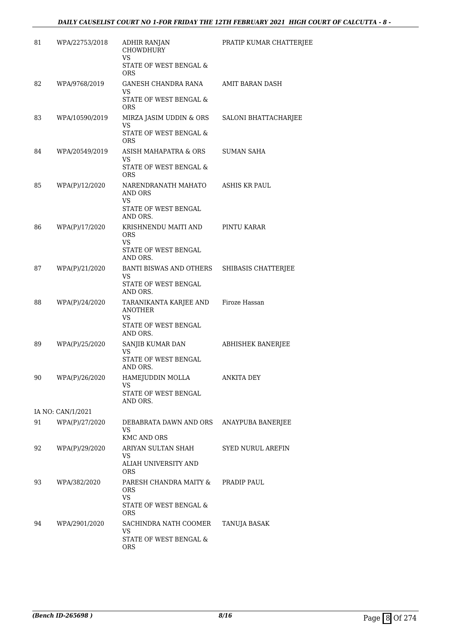| 81 | WPA/22753/2018    | <b>ADHIR RANJAN</b><br><b>CHOWDHURY</b><br><b>VS</b>         | PRATIP KUMAR CHATTERJEE  |
|----|-------------------|--------------------------------------------------------------|--------------------------|
|    |                   | STATE OF WEST BENGAL &<br><b>ORS</b>                         |                          |
| 82 | WPA/9768/2019     | <b>GANESH CHANDRA RANA</b>                                   | AMIT BARAN DASH          |
|    |                   | VS<br>STATE OF WEST BENGAL &<br><b>ORS</b>                   |                          |
| 83 | WPA/10590/2019    | MIRZA JASIM UDDIN & ORS<br>VS                                | SALONI BHATTACHARJEE     |
|    |                   | STATE OF WEST BENGAL &<br><b>ORS</b>                         |                          |
| 84 | WPA/20549/2019    | ASISH MAHAPATRA & ORS<br>VS                                  | <b>SUMAN SAHA</b>        |
|    |                   | STATE OF WEST BENGAL &<br><b>ORS</b>                         |                          |
| 85 | WPA(P)/12/2020    | NARENDRANATH MAHATO<br><b>AND ORS</b><br>VS                  | ASHIS KR PAUL            |
|    |                   | STATE OF WEST BENGAL<br>AND ORS.                             |                          |
| 86 | WPA(P)/17/2020    | KRISHNENDU MAITI AND<br><b>ORS</b><br>VS                     | PINTU KARAR              |
|    |                   | STATE OF WEST BENGAL<br>AND ORS.                             |                          |
| 87 | WPA(P)/21/2020    | BANTI BISWAS AND OTHERS<br><b>VS</b>                         | SHIBASIS CHATTERJEE      |
|    |                   | STATE OF WEST BENGAL<br>AND ORS.                             |                          |
| 88 | WPA(P)/24/2020    | TARANIKANTA KARJEE AND Firoze Hassan<br><b>ANOTHER</b><br>VS |                          |
|    |                   | STATE OF WEST BENGAL<br>AND ORS.                             |                          |
| 89 | WPA(P)/25/2020    | SANJIB KUMAR DAN<br>VS                                       | <b>ABHISHEK BANERJEE</b> |
|    |                   | STATE OF WEST BENGAL<br>AND ORS.                             |                          |
| 90 | WPA(P)/26/2020    | HAMEJUDDIN MOLLA<br>VS                                       | <b>ANKITA DEY</b>        |
|    |                   | STATE OF WEST BENGAL<br>AND ORS.                             |                          |
|    | IA NO: CAN/1/2021 |                                                              |                          |
| 91 | WPA(P)/27/2020    | DEBABRATA DAWN AND ORS<br>VS.<br><b>KMC AND ORS</b>          | ANAYPUBA BANERJEE        |
| 92 | WPA(P)/29/2020    | ARIYAN SULTAN SHAH                                           | <b>SYED NURUL AREFIN</b> |
|    |                   | VS<br>ALIAH UNIVERSITY AND<br>ORS.                           |                          |
| 93 | WPA/382/2020      | PARESH CHANDRA MAITY &<br>ORS.                               | PRADIP PAUL              |
|    |                   | <b>VS</b><br>STATE OF WEST BENGAL &<br>ORS.                  |                          |
| 94 | WPA/2901/2020     | SACHINDRA NATH COOMER<br>VS                                  | TANUJA BASAK             |
|    |                   | STATE OF WEST BENGAL &<br>ORS                                |                          |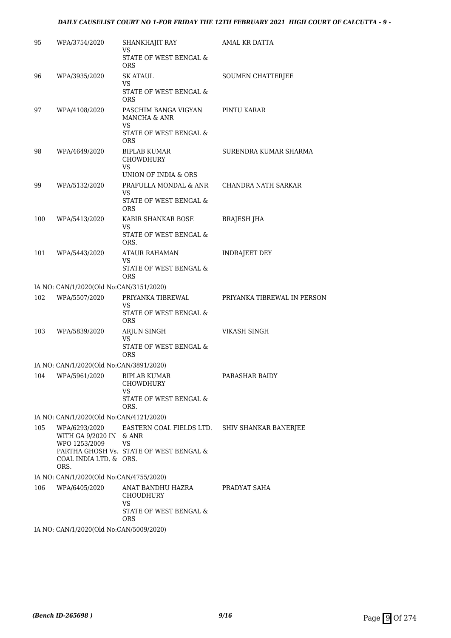#### *DAILY CAUSELIST COURT NO 1-FOR FRIDAY THE 12TH FEBRUARY 2021 HIGH COURT OF CALCUTTA - 9 -*

| 95  | WPA/3754/2020                                   | SHANKHAJIT RAY<br>VS                                                  | AMAL KR DATTA               |
|-----|-------------------------------------------------|-----------------------------------------------------------------------|-----------------------------|
|     |                                                 | STATE OF WEST BENGAL &<br><b>ORS</b>                                  |                             |
| 96  | WPA/3935/2020                                   | <b>SK ATAUL</b>                                                       | SOUMEN CHATTERJEE           |
|     |                                                 | <b>VS</b><br>STATE OF WEST BENGAL &<br><b>ORS</b>                     |                             |
| 97  | WPA/4108/2020                                   | PASCHIM BANGA VIGYAN<br>MANCHA & ANR<br>VS                            | PINTU KARAR                 |
|     |                                                 | STATE OF WEST BENGAL &<br><b>ORS</b>                                  |                             |
| 98  | WPA/4649/2020                                   | <b>BIPLAB KUMAR</b><br>CHOWDHURY<br>VS                                | SURENDRA KUMAR SHARMA       |
|     |                                                 | UNION OF INDIA & ORS                                                  |                             |
| 99  | WPA/5132/2020                                   | PRAFULLA MONDAL & ANR<br>VS<br>STATE OF WEST BENGAL &                 | CHANDRA NATH SARKAR         |
|     |                                                 | <b>ORS</b>                                                            |                             |
| 100 | WPA/5413/2020                                   | KABIR SHANKAR BOSE<br>VS                                              | <b>BRAJESH JHA</b>          |
|     |                                                 | STATE OF WEST BENGAL &<br>ORS.                                        |                             |
| 101 | WPA/5443/2020                                   | ATAUR RAHAMAN                                                         | <b>INDRAJEET DEY</b>        |
|     |                                                 | VS<br>STATE OF WEST BENGAL &<br><b>ORS</b>                            |                             |
|     | IA NO: CAN/1/2020(Old No:CAN/3151/2020)         |                                                                       |                             |
| 102 | WPA/5507/2020                                   | PRIYANKA TIBREWAL<br>VS                                               | PRIYANKA TIBREWAL IN PERSON |
|     |                                                 | STATE OF WEST BENGAL &<br><b>ORS</b>                                  |                             |
| 103 | WPA/5839/2020                                   | ARJUN SINGH<br>VS                                                     | VIKASH SINGH                |
|     |                                                 | STATE OF WEST BENGAL &<br><b>ORS</b>                                  |                             |
|     | IA NO: CAN/1/2020(Old No:CAN/3891/2020)         |                                                                       |                             |
| 104 | WPA/5961/2020                                   | <b>BIPLAB KUMAR</b><br><b>CHOWDHURY</b><br>VS.                        | PARASHAR BAIDY              |
|     |                                                 | STATE OF WEST BENGAL &<br>ORS.                                        |                             |
|     | IA NO: CAN/1/2020(Old No:CAN/4121/2020)         |                                                                       |                             |
| 105 | WPA/6293/2020<br>WITH GA 9/2020 IN & ANR        | EASTERN COAL FIELDS LTD. SHIV SHANKAR BANERJEE                        |                             |
|     | WPO 1253/2009<br>COAL INDIA LTD. & ORS.<br>ORS. | <b>VS</b><br>PARTHA GHOSH Vs. STATE OF WEST BENGAL &                  |                             |
|     | IA NO: CAN/1/2020(Old No:CAN/4755/2020)         |                                                                       |                             |
|     | 106 WPA/6405/2020                               | ANAT BANDHU HAZRA<br><b>CHOUDHURY</b><br>VS<br>STATE OF WEST BENGAL & | PRADYAT SAHA                |
|     |                                                 | ORS.                                                                  |                             |

IA NO: CAN/1/2020(Old No:CAN/5009/2020)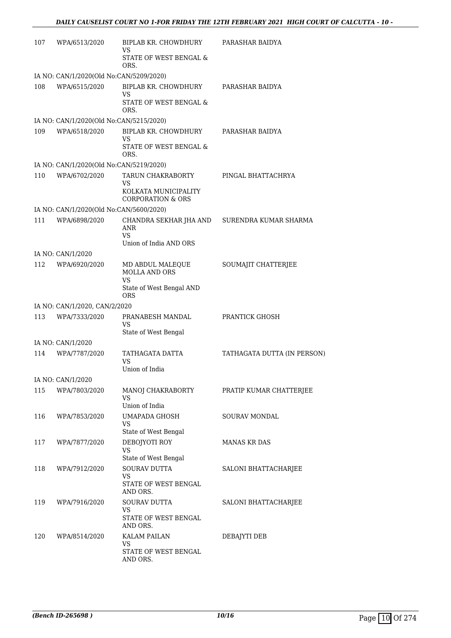| 107 | WPA/6513/2020                           | BIPLAB KR. CHOWDHURY<br>VS                           | PARASHAR BAIDYA             |
|-----|-----------------------------------------|------------------------------------------------------|-----------------------------|
|     |                                         | STATE OF WEST BENGAL &<br>ORS.                       |                             |
|     | IA NO: CAN/1/2020(Old No:CAN/5209/2020) |                                                      |                             |
| 108 | WPA/6515/2020                           | BIPLAB KR. CHOWDHURY<br>VS                           | PARASHAR BAIDYA             |
|     |                                         | STATE OF WEST BENGAL &<br>ORS.                       |                             |
|     | IA NO: CAN/1/2020(Old No:CAN/5215/2020) |                                                      |                             |
| 109 | WPA/6518/2020                           | BIPLAB KR. CHOWDHURY<br><b>VS</b>                    | PARASHAR BAIDYA             |
|     |                                         | STATE OF WEST BENGAL &<br>ORS.                       |                             |
|     | IA NO: CAN/1/2020(Old No:CAN/5219/2020) |                                                      |                             |
| 110 | WPA/6702/2020                           | TARUN CHAKRABORTY<br>VS                              | PINGAL BHATTACHRYA          |
|     |                                         | KOLKATA MUNICIPALITY<br><b>CORPORATION &amp; ORS</b> |                             |
|     | IA NO: CAN/1/2020(Old No:CAN/5600/2020) |                                                      |                             |
| 111 | WPA/6898/2020                           | CHANDRA SEKHAR JHA AND<br>ANR                        | SURENDRA KUMAR SHARMA       |
|     |                                         | VS.<br>Union of India AND ORS                        |                             |
|     | IA NO: CAN/1/2020                       |                                                      |                             |
| 112 | WPA/6920/2020                           | MD ABDUL MALEQUE<br>MOLLA AND ORS                    | SOUMAJIT CHATTERJEE         |
|     |                                         | VS<br>State of West Bengal AND<br>ORS                |                             |
|     | IA NO: CAN/1/2020, CAN/2/2020           |                                                      |                             |
| 113 | WPA/7333/2020                           | PRANABESH MANDAL                                     | PRANTICK GHOSH              |
|     |                                         | VS                                                   |                             |
|     |                                         | State of West Bengal                                 |                             |
|     | IA NO: CAN/1/2020                       |                                                      |                             |
| 114 | WPA/7787/2020                           | TATHAGATA DATTA<br>VS                                | TATHAGATA DUTTA (IN PERSON) |
|     |                                         | Union of India                                       |                             |
|     | IA NO: CAN/1/2020                       |                                                      |                             |
| 115 | WPA/7803/2020                           | MANOJ CHAKRABORTY<br>VS                              | PRATIP KUMAR CHATTERJEE     |
|     |                                         | Union of India                                       |                             |
| 116 | WPA/7853/2020                           | UMAPADA GHOSH<br>VS                                  | <b>SOURAV MONDAL</b>        |
| 117 | WPA/7877/2020                           | State of West Bengal<br>DEBOJYOTI ROY                | <b>MANAS KR DAS</b>         |
|     |                                         | VS                                                   |                             |
| 118 | WPA/7912/2020                           | State of West Bengal<br><b>SOURAV DUTTA</b>          | SALONI BHATTACHARJEE        |
|     |                                         | VS<br>STATE OF WEST BENGAL<br>AND ORS.               |                             |
| 119 | WPA/7916/2020                           | SOURAV DUTTA                                         | SALONI BHATTACHARJEE        |
|     |                                         | VS<br>STATE OF WEST BENGAL<br>AND ORS.               |                             |
| 120 | WPA/8514/2020                           | <b>KALAM PAILAN</b><br>VS                            | DEBAJYTI DEB                |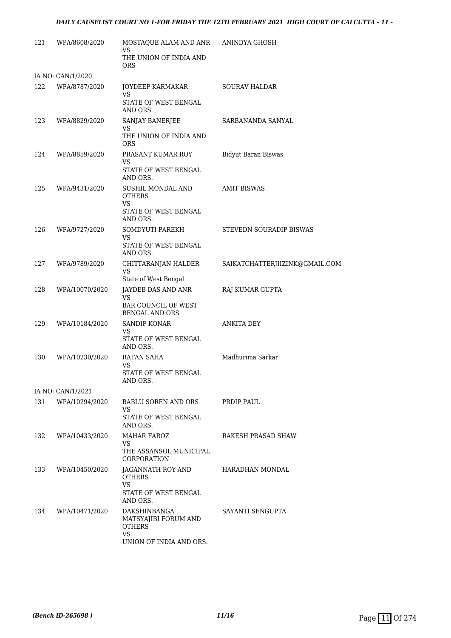#### *DAILY CAUSELIST COURT NO 1-FOR FRIDAY THE 12TH FEBRUARY 2021 HIGH COURT OF CALCUTTA - 11 -*

| 121 | WPA/8608/2020     | MOSTAQUE ALAM AND ANR ANINDYA GHOSH<br>VS                |                                |
|-----|-------------------|----------------------------------------------------------|--------------------------------|
|     |                   | THE UNION OF INDIA AND<br><b>ORS</b>                     |                                |
|     | IA NO: CAN/1/2020 |                                                          |                                |
| 122 | WPA/8787/2020     | JOYDEEP KARMAKAR<br>VS                                   | <b>SOURAV HALDAR</b>           |
|     |                   | STATE OF WEST BENGAL<br>AND ORS.                         |                                |
| 123 | WPA/8829/2020     | SANJAY BANERJEE<br>VS                                    | SARBANANDA SANYAL              |
|     |                   | THE UNION OF INDIA AND<br><b>ORS</b>                     |                                |
| 124 | WPA/8859/2020     | PRASANT KUMAR ROY<br>VS                                  | <b>Bidyut Baran Biswas</b>     |
|     |                   | STATE OF WEST BENGAL<br>AND ORS.                         |                                |
| 125 | WPA/9431/2020     | SUSHIL MONDAL AND<br><b>OTHERS</b><br>VS                 | <b>AMIT BISWAS</b>             |
|     |                   | STATE OF WEST BENGAL<br>AND ORS.                         |                                |
| 126 | WPA/9727/2020     | SOMDYUTI PAREKH<br>VS.                                   | STEVEDN SOURADIP BISWAS        |
|     |                   | STATE OF WEST BENGAL<br>AND ORS.                         |                                |
| 127 | WPA/9789/2020     | CHITTARANJAN HALDER<br><b>VS</b><br>State of West Bengal | SAIKATCHATTERJIIZINK@GMAIL.COM |
| 128 | WPA/10070/2020    | JAYDEB DAS AND ANR<br>VS                                 | RAJ KUMAR GUPTA                |
|     |                   | <b>BAR COUNCIL OF WEST</b><br><b>BENGAL AND ORS</b>      |                                |
| 129 | WPA/10184/2020    | SANDIP KONAR<br>VS                                       | <b>ANKITA DEY</b>              |
|     |                   | STATE OF WEST BENGAL<br>AND ORS.                         |                                |
| 130 | WPA/10230/2020    | RATAN SAHA<br>VS                                         | Madhurima Sarkar               |
|     |                   | STATE OF WEST BENGAL<br>AND ORS.                         |                                |
|     | IA NO: CAN/1/2021 |                                                          |                                |
| 131 | WPA/10294/2020    | BABLU SOREN AND ORS<br>VS                                | PRDIP PAUL                     |
|     |                   | STATE OF WEST BENGAL<br>AND ORS.                         |                                |
| 132 | WPA/10433/2020    | <b>MAHAR FAROZ</b><br>VS                                 | RAKESH PRASAD SHAW             |
|     |                   | THE ASSANSOL MUNICIPAL<br><b>CORPORATION</b>             |                                |
| 133 | WPA/10450/2020    | JAGANNATH ROY AND<br><b>OTHERS</b>                       | HARADHAN MONDAL                |
|     |                   | <b>VS</b><br>STATE OF WEST BENGAL<br>AND ORS.            |                                |
| 134 | WPA/10471/2020    | DAKSHINBANGA<br>MATSYAJIBI FORUM AND<br><b>OTHERS</b>    | SAYANTI SENGUPTA               |
|     |                   | <b>VS</b><br>UNION OF INDIA AND ORS.                     |                                |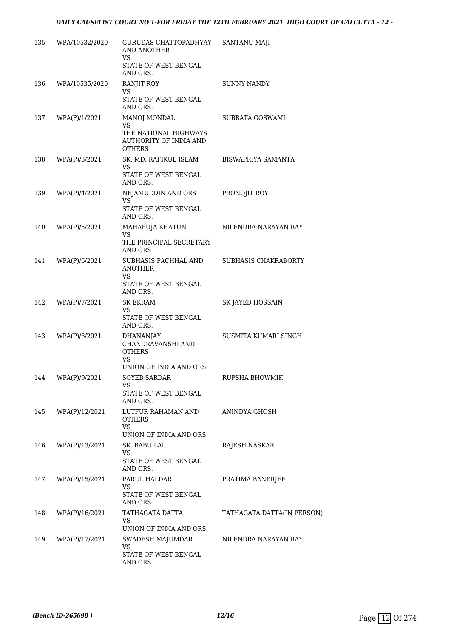| 135 | WPA/10532/2020    | GURUDAS CHATTOPADHYAY<br>AND ANOTHER<br>VS                             | SANTANU MAJI               |
|-----|-------------------|------------------------------------------------------------------------|----------------------------|
|     |                   | STATE OF WEST BENGAL<br>AND ORS.                                       |                            |
| 136 | WPA/10535/2020    | RANJIT ROY                                                             | <b>SUNNY NANDY</b>         |
|     |                   | VS<br>STATE OF WEST BENGAL<br>AND ORS.                                 |                            |
| 137 | WPA(P)/1/2021     | MANOJ MONDAL                                                           | SUBRATA GOSWAMI            |
|     |                   | VS<br>THE NATIONAL HIGHWAYS<br>AUTHORITY OF INDIA AND<br><b>OTHERS</b> |                            |
| 138 | WPA(P)/3/2021     | SK. MD. RAFIKUL ISLAM                                                  | BISWAPRIYA SAMANTA         |
|     |                   | <b>VS</b><br>STATE OF WEST BENGAL<br>AND ORS.                          |                            |
| 139 | WPA(P)/4/2021     | NEJAMUDDIN AND ORS<br>VS                                               | PRONOJIT ROY               |
|     |                   | STATE OF WEST BENGAL<br>AND ORS.                                       |                            |
| 140 | WPA(P)/5/2021     | MAHAFUJA KHATUN<br>VS.                                                 | NILENDRA NARAYAN RAY       |
|     |                   | THE PRINCIPAL SECRETARY<br>AND ORS                                     |                            |
| 141 | WPA(P)/6/2021     | SUBHASIS PACHHAL AND<br><b>ANOTHER</b><br>VS.                          | SUBHASIS CHAKRABORTY       |
|     |                   | STATE OF WEST BENGAL<br>AND ORS.                                       |                            |
| 142 | WPA(P)/7/2021     | SK EKRAM<br>VS                                                         | SK JAYED HOSSAIN           |
|     |                   | STATE OF WEST BENGAL<br>AND ORS.                                       |                            |
| 143 | WPA(P)/8/2021     | DHANANJAY<br>CHANDRAVANSHI AND<br><b>OTHERS</b><br>VS.                 | SUSMITA KUMARI SINGH       |
|     |                   | UNION OF INDIA AND ORS.                                                |                            |
|     | 144 WPA(P)/9/2021 | SOYEB SARDAR<br>VS.                                                    | RUPSHA BHOWMIK             |
|     |                   | STATE OF WEST BENGAL<br>AND ORS.                                       |                            |
| 145 | WPA(P)/12/2021    | LUTFUR RAHAMAN AND<br><b>OTHERS</b><br><b>VS</b>                       | ANINDYA GHOSH              |
|     |                   | UNION OF INDIA AND ORS.                                                |                            |
| 146 | WPA(P)/13/2021    | SK. BABU LAL<br><b>VS</b>                                              | RAJESH NASKAR              |
|     |                   | STATE OF WEST BENGAL<br>AND ORS.                                       |                            |
| 147 | WPA(P)/15/2021    | PARUL HALDAR                                                           | PRATIMA BANERJEE           |
|     |                   | VS<br>STATE OF WEST BENGAL<br>AND ORS.                                 |                            |
| 148 | WPA(P)/16/2021    | TATHAGATA DATTA<br>VS.                                                 | TATHAGATA DATTA(IN PERSON) |
|     |                   | UNION OF INDIA AND ORS.                                                |                            |
| 149 | WPA(P)/17/2021    | SWADESH MAJUMDAR<br><b>VS</b>                                          | NILENDRA NARAYAN RAY       |
|     |                   | STATE OF WEST BENGAL<br>AND ORS.                                       |                            |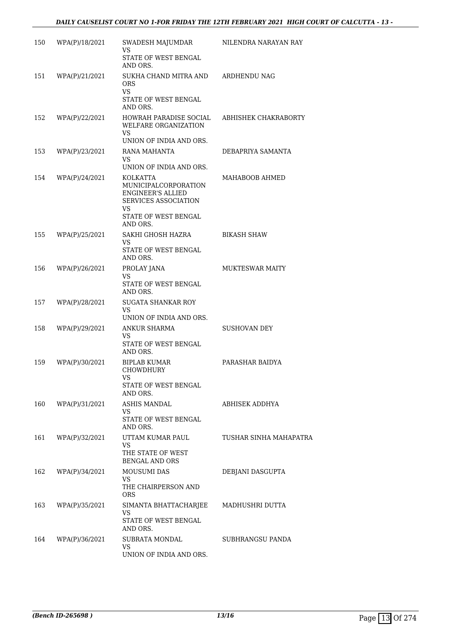| 150 | WPA(P)/18/2021 | SWADESH MAJUMDAR<br>VS<br>STATE OF WEST BENGAL                                                                     | NILENDRA NARAYAN RAY   |
|-----|----------------|--------------------------------------------------------------------------------------------------------------------|------------------------|
| 151 | WPA(P)/21/2021 | AND ORS.<br>SUKHA CHAND MITRA AND                                                                                  | ARDHENDU NAG           |
|     |                | ORS.<br><b>VS</b><br>STATE OF WEST BENGAL<br>AND ORS.                                                              |                        |
| 152 | WPA(P)/22/2021 | HOWRAH PARADISE SOCIAL<br><b>WELFARE ORGANIZATION</b><br>VS.                                                       | ABHISHEK CHAKRABORTY   |
|     |                | UNION OF INDIA AND ORS.                                                                                            |                        |
| 153 | WPA(P)/23/2021 | RANA MAHANTA<br>VS<br>UNION OF INDIA AND ORS.                                                                      | DEBAPRIYA SAMANTA      |
| 154 | WPA(P)/24/2021 | KOLKATTA<br>MUNICIPALCORPORATION<br><b>ENGINEER'S ALLIED</b><br>SERVICES ASSOCIATION<br>VS<br>STATE OF WEST BENGAL | MAHABOOB AHMED         |
|     |                | AND ORS.                                                                                                           |                        |
| 155 | WPA(P)/25/2021 | SAKHI GHOSH HAZRA<br>VS.                                                                                           | <b>BIKASH SHAW</b>     |
|     |                | STATE OF WEST BENGAL<br>AND ORS.                                                                                   |                        |
| 156 | WPA(P)/26/2021 | PROLAY JANA<br>VS<br>STATE OF WEST BENGAL<br>AND ORS.                                                              | <b>MUKTESWAR MAITY</b> |
| 157 | WPA(P)/28/2021 | <b>SUGATA SHANKAR ROY</b><br><b>VS</b><br>UNION OF INDIA AND ORS.                                                  |                        |
| 158 | WPA(P)/29/2021 | ANKUR SHARMA<br>VS<br>STATE OF WEST BENGAL<br>AND ORS.                                                             | <b>SUSHOVAN DEY</b>    |
| 159 | WPA(P)/30/2021 | <b>BIPLAB KUMAR</b><br>CHOWDHURY<br>VS<br>STATE OF WEST BENGAL<br>AND ORS.                                         | PARASHAR BAIDYA        |
| 160 | WPA(P)/31/2021 | ASHIS MANDAL<br>VS<br>STATE OF WEST BENGAL<br>AND ORS.                                                             | <b>ABHISEK ADDHYA</b>  |
| 161 | WPA(P)/32/2021 | UTTAM KUMAR PAUL<br>VS<br>THE STATE OF WEST<br><b>BENGAL AND ORS</b>                                               | TUSHAR SINHA MAHAPATRA |
| 162 | WPA(P)/34/2021 | <b>MOUSUMI DAS</b><br>VS<br>THE CHAIRPERSON AND<br><b>ORS</b>                                                      | DEBJANI DASGUPTA       |
| 163 | WPA(P)/35/2021 | SIMANTA BHATTACHARJEE<br>VS<br>STATE OF WEST BENGAL<br>AND ORS.                                                    | MADHUSHRI DUTTA        |
| 164 | WPA(P)/36/2021 | SUBRATA MONDAL<br>VS.<br>UNION OF INDIA AND ORS.                                                                   | SUBHRANGSU PANDA       |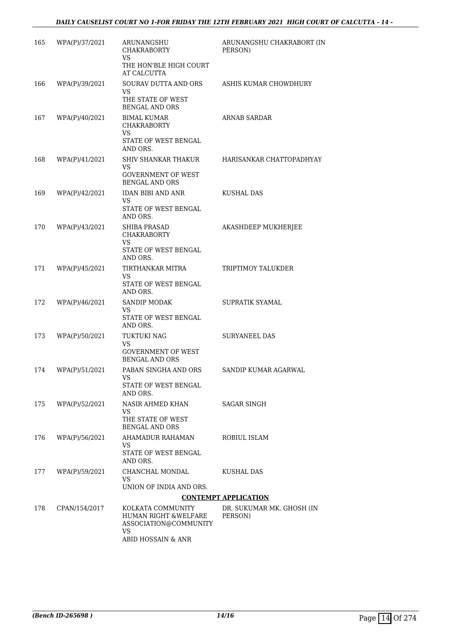| 165 | WPA(P)/37/2021 | ARUNANGSHU<br><b>CHAKRABORTY</b><br><b>VS</b>                                                   | ARUNANGSHU CHAKRABORT (IN<br>PERSON) |
|-----|----------------|-------------------------------------------------------------------------------------------------|--------------------------------------|
|     |                | THE HON'BLE HIGH COURT<br>AT CALCUTTA                                                           |                                      |
| 166 | WPA(P)/39/2021 | SOURAV DUTTA AND ORS<br>VS<br>THE STATE OF WEST                                                 | ASHIS KUMAR CHOWDHURY                |
| 167 | WPA(P)/40/2021 | <b>BENGAL AND ORS</b><br><b>BIMAL KUMAR</b><br><b>CHAKRABORTY</b><br><b>VS</b>                  | <b>ARNAB SARDAR</b>                  |
|     |                | STATE OF WEST BENGAL<br>AND ORS.                                                                |                                      |
| 168 | WPA(P)/41/2021 | SHIV SHANKAR THAKUR<br><b>VS</b><br><b>GOVERNMENT OF WEST</b><br><b>BENGAL AND ORS</b>          | HARISANKAR CHATTOPADHYAY             |
| 169 | WPA(P)/42/2021 | <b>IDAN BIBI AND ANR</b><br>VS<br>STATE OF WEST BENGAL<br>AND ORS.                              | <b>KUSHAL DAS</b>                    |
| 170 | WPA(P)/43/2021 | <b>SHIBA PRASAD</b><br><b>CHAKRABORTY</b><br>VS<br>STATE OF WEST BENGAL<br>AND ORS.             | AKASHDEEP MUKHERJEE                  |
| 171 | WPA(P)/45/2021 | TIRTHANKAR MITRA<br><b>VS</b><br>STATE OF WEST BENGAL<br>AND ORS.                               | TRIPTIMOY TALUKDER                   |
| 172 | WPA(P)/46/2021 | <b>SANDIP MODAK</b><br>VS                                                                       | SUPRATIK SYAMAL                      |
|     |                | STATE OF WEST BENGAL<br>AND ORS.                                                                |                                      |
| 173 | WPA(P)/50/2021 | <b>TUKTUKI NAG</b><br>VS<br><b>GOVERNMENT OF WEST</b><br><b>BENGAL AND ORS</b>                  | <b>SURYANEEL DAS</b>                 |
| 174 | WPA(P)/51/2021 | PABAN SINGHA AND ORS<br>STATE OF WEST BENGAL<br>AND ORS.                                        | SANDIP KUMAR AGARWAL                 |
| 175 | WPA(P)/52/2021 | NASIR AHMED KHAN<br>VS<br>THE STATE OF WEST<br><b>BENGAL AND ORS</b>                            | SAGAR SINGH                          |
| 176 | WPA(P)/56/2021 | AHAMADUR RAHAMAN<br>VS<br>STATE OF WEST BENGAL<br>AND ORS.                                      | ROBIUL ISLAM                         |
| 177 | WPA(P)/59/2021 | CHANCHAL MONDAL<br>VS                                                                           | KUSHAL DAS                           |
|     |                | UNION OF INDIA AND ORS.                                                                         |                                      |
|     |                |                                                                                                 | <b>CONTEMPT APPLICATION</b>          |
| 178 | CPAN/154/2017  | KOLKATA COMMUNITY<br>HUMAN RIGHT & WELFARE<br>ASSOCIATION@COMMUNITY<br>VS<br>ABID HOSSAIN & ANR | DR. SUKUMAR MK. GHOSH (IN<br>PERSON) |
|     |                |                                                                                                 |                                      |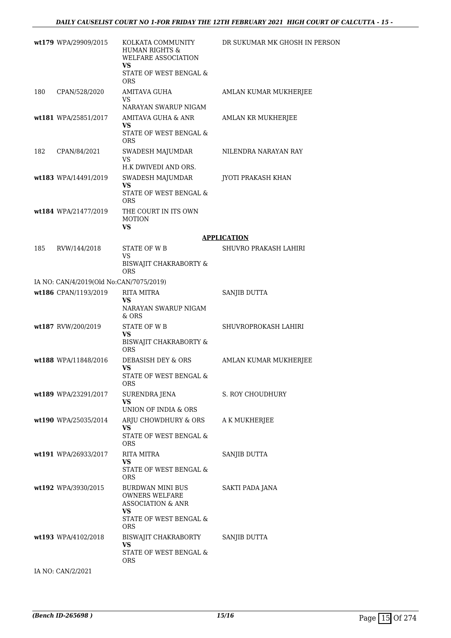|     | wt179 WPA/29909/2015                    | KOLKATA COMMUNITY<br><b>HUMAN RIGHTS &amp;</b><br>WELFARE ASSOCIATION<br><b>VS</b><br>STATE OF WEST BENGAL &<br><b>ORS</b> | DR SUKUMAR MK GHOSH IN PERSON |
|-----|-----------------------------------------|----------------------------------------------------------------------------------------------------------------------------|-------------------------------|
| 180 | CPAN/528/2020                           | AMITAVA GUHA<br>VS<br>NARAYAN SWARUP NIGAM                                                                                 | AMLAN KUMAR MUKHERJEE         |
|     | wt181 WPA/25851/2017                    | AMITAVA GUHA & ANR<br>VS<br>STATE OF WEST BENGAL &<br><b>ORS</b>                                                           | AMLAN KR MUKHERJEE            |
| 182 | CPAN/84/2021                            | SWADESH MAJUMDAR<br>VS<br>H.K DWIVEDI AND ORS.                                                                             | NILENDRA NARAYAN RAY          |
|     | wt183 WPA/14491/2019                    | SWADESH MAJUMDAR<br>VS<br>STATE OF WEST BENGAL &<br><b>ORS</b>                                                             | JYOTI PRAKASH KHAN            |
|     | wt184 WPA/21477/2019                    | THE COURT IN ITS OWN<br><b>MOTION</b><br><b>VS</b>                                                                         |                               |
|     |                                         |                                                                                                                            | <b>APPLICATION</b>            |
| 185 | RVW/144/2018                            | STATE OF WB                                                                                                                | SHUVRO PRAKASH LAHIRI         |
|     |                                         | VS<br>BISWAJIT CHAKRABORTY &<br><b>ORS</b>                                                                                 |                               |
|     | IA NO: CAN/4/2019(Old No:CAN/7075/2019) |                                                                                                                            |                               |
|     | wt186 CPAN/1193/2019                    | <b>RITA MITRA</b><br>VS<br>NARAYAN SWARUP NIGAM<br>& ORS                                                                   | SANJIB DUTTA                  |
|     | wt187 RVW/200/2019                      | <b>STATE OF WB</b><br>VS<br>BISWAJIT CHAKRABORTY &<br>ORS                                                                  | SHUVROPROKASH LAHIRI          |
|     | wt188 WPA/11848/2016                    | DEBASISH DEY & ORS<br>VS<br>STATE OF WEST BENGAL $\&$<br><b>ORS</b>                                                        | AMLAN KUMAR MUKHERJEE         |
|     | wt189 WPA/23291/2017                    | SURENDRA JENA<br>VS<br>UNION OF INDIA & ORS                                                                                | S. ROY CHOUDHURY              |
|     | wt190 WPA/25035/2014                    | ARJU CHOWDHURY & ORS<br>VS<br>STATE OF WEST BENGAL &<br><b>ORS</b>                                                         | A K MUKHERJEE                 |
|     | wt191 WPA/26933/2017                    | RITA MITRA<br>VS.<br>STATE OF WEST BENGAL &<br><b>ORS</b>                                                                  | SANJIB DUTTA                  |
|     | wt192 WPA/3930/2015                     | BURDWAN MINI BUS<br><b>OWNERS WELFARE</b><br><b>ASSOCIATION &amp; ANR</b><br>VS<br>STATE OF WEST BENGAL &<br>ORS           | SAKTI PADA JANA               |
|     | wt193 WPA/4102/2018                     | BISWAJIT CHAKRABORTY<br>VS<br>STATE OF WEST BENGAL &<br>ORS.                                                               | SANJIB DUTTA                  |
|     | IA NO: CAN/2/2021                       |                                                                                                                            |                               |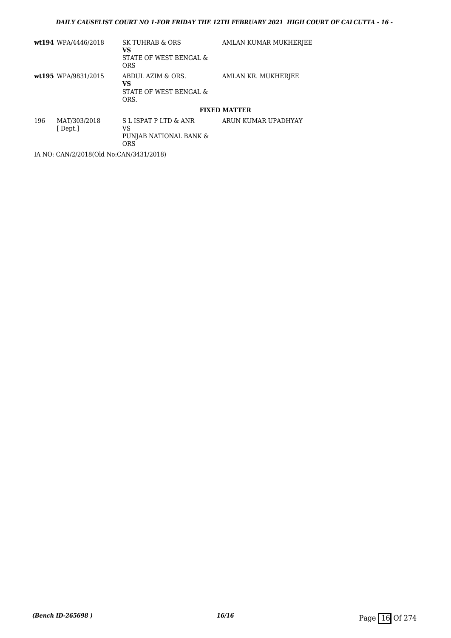|     | wt194 WPA/4446/2018     | SK TUHRAB & ORS<br>VS<br>STATE OF WEST BENGAL &<br><b>ORS</b> | AMLAN KUMAR MUKHERJEE |
|-----|-------------------------|---------------------------------------------------------------|-----------------------|
|     | wt195 WPA/9831/2015     | ABDUL AZIM & ORS.<br>VS<br>STATE OF WEST BENGAL &<br>ORS.     | AMLAN KR. MUKHERJEE   |
|     |                         |                                                               | <b>FIXED MATTER</b>   |
| 196 | MAT/303/2018<br>[Dept.] | S L ISPAT P LTD & ANR<br>VS<br>PUNJAB NATIONAL BANK &         | ARUN KUMAR UPADHYAY   |

IA NO: CAN/2/2018(Old No:CAN/3431/2018)

ORS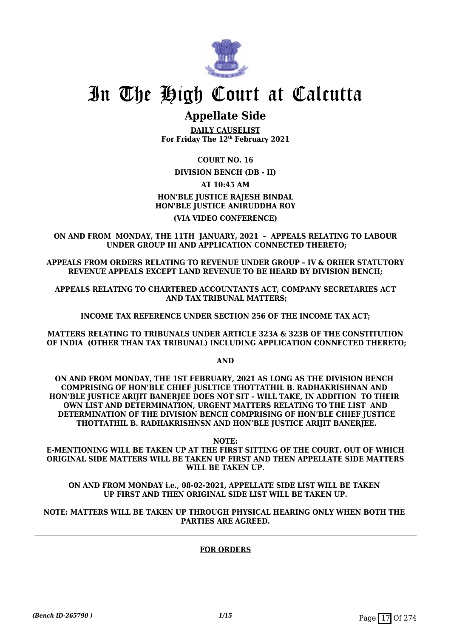

### **Appellate Side**

**DAILY CAUSELIST For Friday The 12th February 2021**

#### **COURT NO. 16**

**DIVISION BENCH (DB - II)**

#### **AT 10:45 AM**

### **HON'BLE JUSTICE RAJESH BINDAL HON'BLE JUSTICE ANIRUDDHA ROY**

#### **(VIA VIDEO CONFERENCE)**

**ON AND FROM MONDAY, THE 11TH JANUARY, 2021 – APPEALS RELATING TO LABOUR UNDER GROUP III AND APPLICATION CONNECTED THERETO;**

**APPEALS FROM ORDERS RELATING TO REVENUE UNDER GROUP – IV & ORHER STATUTORY REVENUE APPEALS EXCEPT LAND REVENUE TO BE HEARD BY DIVISION BENCH;**

**APPEALS RELATING TO CHARTERED ACCOUNTANTS ACT, COMPANY SECRETARIES ACT AND TAX TRIBUNAL MATTERS;**

**INCOME TAX REFERENCE UNDER SECTION 256 OF THE INCOME TAX ACT;**

**MATTERS RELATING TO TRIBUNALS UNDER ARTICLE 323A & 323B OF THE CONSTITUTION OF INDIA (OTHER THAN TAX TRIBUNAL) INCLUDING APPLICATION CONNECTED THERETO;**

**AND**

**ON AND FROM MONDAY, THE 1ST FEBRUARY, 2021 AS LONG AS THE DIVISION BENCH COMPRISING OF HON'BLE CHIEF JUSLTICE THOTTATHIL B. RADHAKRISHNAN AND HON'BLE JUSTICE ARIJIT BANERJEE DOES NOT SIT – WILL TAKE, IN ADDITION TO THEIR OWN LIST AND DETERMINATION, URGENT MATTERS RELATING TO THE LIST AND DETERMINATION OF THE DIVISION BENCH COMPRISING OF HON'BLE CHIEF JUSTICE THOTTATHIL B. RADHAKRISHNSN AND HON'BLE JUSTICE ARIJIT BANERJEE.**

**NOTE:**

**E-MENTIONING WILL BE TAKEN UP AT THE FIRST SITTING OF THE COURT. OUT OF WHICH ORIGINAL SIDE MATTERS WILL BE TAKEN UP FIRST AND THEN APPELLATE SIDE MATTERS WILL BE TAKEN UP.**

#### **ON AND FROM MONDAY i.e., 08-02-2021, APPELLATE SIDE LIST WILL BE TAKEN UP FIRST AND THEN ORIGINAL SIDE LIST WILL BE TAKEN UP.**

#### **NOTE: MATTERS WILL BE TAKEN UP THROUGH PHYSICAL HEARING ONLY WHEN BOTH THE PARTIES ARE AGREED.**

#### **FOR ORDERS**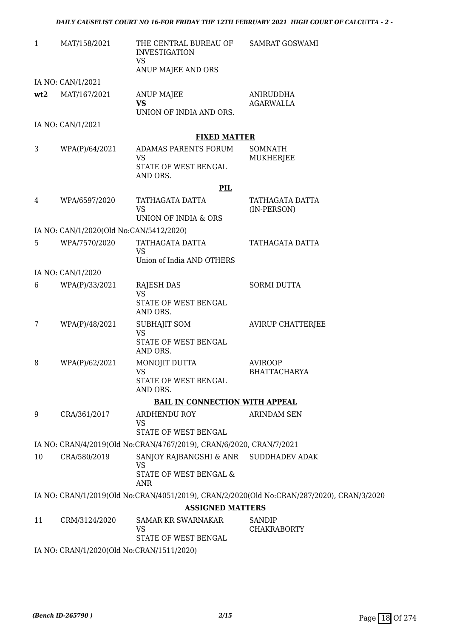| $\mathbf{1}$ | MAT/158/2021                              | THE CENTRAL BUREAU OF<br><b>INVESTIGATION</b><br><b>VS</b>            | <b>SAMRAT GOSWAMI</b>                                                                     |
|--------------|-------------------------------------------|-----------------------------------------------------------------------|-------------------------------------------------------------------------------------------|
|              |                                           | ANUP MAJEE AND ORS                                                    |                                                                                           |
|              | IA NO: CAN/1/2021                         |                                                                       |                                                                                           |
| wt2          | MAT/167/2021                              | <b>ANUP MAJEE</b><br><b>VS</b><br>UNION OF INDIA AND ORS.             | ANIRUDDHA<br><b>AGARWALLA</b>                                                             |
|              | IA NO: CAN/1/2021                         |                                                                       |                                                                                           |
|              |                                           | <b>FIXED MATTER</b>                                                   |                                                                                           |
| 3            | WPA(P)/64/2021                            | ADAMAS PARENTS FORUM<br><b>VS</b><br>STATE OF WEST BENGAL<br>AND ORS. | <b>SOMNATH</b><br>MUKHERJEE                                                               |
|              |                                           | PIL                                                                   |                                                                                           |
| 4            | WPA/6597/2020                             | TATHAGATA DATTA                                                       | TATHAGATA DATTA                                                                           |
|              |                                           | <b>VS</b><br>UNION OF INDIA & ORS                                     | (IN-PERSON)                                                                               |
|              | IA NO: CAN/1/2020(Old No:CAN/5412/2020)   |                                                                       |                                                                                           |
| 5            | WPA/7570/2020                             | TATHAGATA DATTA<br>VS                                                 | TATHAGATA DATTA                                                                           |
|              |                                           | Union of India AND OTHERS                                             |                                                                                           |
|              | IA NO: CAN/1/2020                         |                                                                       |                                                                                           |
| 6            | WPA(P)/33/2021                            | <b>RAJESH DAS</b><br><b>VS</b>                                        | <b>SORMI DUTTA</b>                                                                        |
|              |                                           | STATE OF WEST BENGAL<br>AND ORS.                                      |                                                                                           |
| 7            | WPA(P)/48/2021                            | <b>SUBHAJIT SOM</b><br><b>VS</b>                                      | <b>AVIRUP CHATTERJEE</b>                                                                  |
|              |                                           | STATE OF WEST BENGAL<br>AND ORS.                                      |                                                                                           |
| 8            | WPA(P)/62/2021                            | MONOJIT DUTTA                                                         | <b>AVIROOP</b>                                                                            |
|              |                                           | <b>VS</b><br>STATE OF WEST BENGAL<br>AND ORS.                         | <b>BHATTACHARYA</b>                                                                       |
|              |                                           | <b>BAIL IN CONNECTION WITH APPEAL</b>                                 |                                                                                           |
| 9            | CRA/361/2017                              | ARDHENDU ROY                                                          | <b>ARINDAM SEN</b>                                                                        |
|              |                                           | <b>VS</b><br>STATE OF WEST BENGAL                                     |                                                                                           |
|              |                                           | IA NO: CRAN/4/2019(Old No:CRAN/4767/2019), CRAN/6/2020, CRAN/7/2021   |                                                                                           |
| 10           | CRA/580/2019                              | SANJOY RAJBANGSHI & ANR SUDDHADEV ADAK                                |                                                                                           |
|              |                                           | VS<br>STATE OF WEST BENGAL &<br><b>ANR</b>                            |                                                                                           |
|              |                                           |                                                                       | IA NO: CRAN/1/2019(Old No:CRAN/4051/2019), CRAN/2/2020(Old No:CRAN/287/2020), CRAN/3/2020 |
|              |                                           | <b>ASSIGNED MATTERS</b>                                               |                                                                                           |
| 11           | CRM/3124/2020                             | <b>SAMAR KR SWARNAKAR</b><br>VS                                       | SANDIP<br><b>CHAKRABORTY</b>                                                              |
|              |                                           | STATE OF WEST BENGAL                                                  |                                                                                           |
|              | IA NO: CRAN/1/2020(Old No:CRAN/1511/2020) |                                                                       |                                                                                           |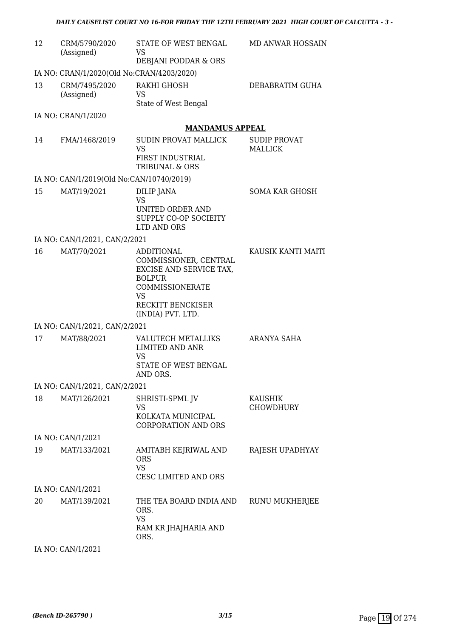| 12 | CRM/5790/2020<br>(Assigned)               | STATE OF WEST BENGAL<br>VS<br>DEBJANI PODDAR & ORS                                                                                                               | <b>MD ANWAR HOSSAIN</b>               |  |  |
|----|-------------------------------------------|------------------------------------------------------------------------------------------------------------------------------------------------------------------|---------------------------------------|--|--|
|    | IA NO: CRAN/1/2020(Old No:CRAN/4203/2020) |                                                                                                                                                                  |                                       |  |  |
| 13 | CRM/7495/2020<br>(Assigned)               | RAKHI GHOSH<br>VS<br>State of West Bengal                                                                                                                        | DEBABRATIM GUHA                       |  |  |
|    | IA NO: CRAN/1/2020                        |                                                                                                                                                                  |                                       |  |  |
|    |                                           | <b>MANDAMUS APPEAL</b>                                                                                                                                           |                                       |  |  |
| 14 | FMA/1468/2019                             | <b>SUDIN PROVAT MALLICK</b><br><b>VS</b><br>FIRST INDUSTRIAL<br>TRIBUNAL & ORS                                                                                   | <b>SUDIP PROVAT</b><br><b>MALLICK</b> |  |  |
|    | IA NO: CAN/1/2019(Old No:CAN/10740/2019)  |                                                                                                                                                                  |                                       |  |  |
| 15 | MAT/19/2021                               | DILIP JANA<br><b>VS</b><br>UNITED ORDER AND<br>SUPPLY CO-OP SOCIEITY<br>LTD AND ORS                                                                              | <b>SOMA KAR GHOSH</b>                 |  |  |
|    | IA NO: CAN/1/2021, CAN/2/2021             |                                                                                                                                                                  |                                       |  |  |
| 16 | MAT/70/2021                               | <b>ADDITIONAL</b><br>COMMISSIONER, CENTRAL<br>EXCISE AND SERVICE TAX,<br><b>BOLPUR</b><br>COMMISSIONERATE<br><b>VS</b><br>RECKITT BENCKISER<br>(INDIA) PVT. LTD. | KAUSIK KANTI MAITI                    |  |  |
|    | IA NO: CAN/1/2021, CAN/2/2021             |                                                                                                                                                                  |                                       |  |  |
| 17 | MAT/88/2021                               | <b>VALUTECH METALLIKS</b><br><b>LIMITED AND ANR</b><br><b>VS</b><br>STATE OF WEST BENGAL<br>AND ORS.                                                             | ARANYA SAHA                           |  |  |
|    | IA NO: CAN/1/2021, CAN/2/2021             |                                                                                                                                                                  |                                       |  |  |
| 18 | MAT/126/2021                              | SHRISTI-SPML JV<br><b>VS</b><br>KOLKATA MUNICIPAL<br><b>CORPORATION AND ORS</b>                                                                                  | <b>KAUSHIK</b><br>CHOWDHURY           |  |  |
|    | IA NO: CAN/1/2021                         |                                                                                                                                                                  |                                       |  |  |
| 19 | MAT/133/2021                              | AMITABH KEJRIWAL AND<br><b>ORS</b><br><b>VS</b><br>CESC LIMITED AND ORS                                                                                          | RAJESH UPADHYAY                       |  |  |
|    | IA NO: CAN/1/2021                         |                                                                                                                                                                  |                                       |  |  |
| 20 | MAT/139/2021                              | THE TEA BOARD INDIA AND<br>ORS.<br><b>VS</b><br>RAM KR JHAJHARIA AND<br>ORS.                                                                                     | RUNU MUKHERJEE                        |  |  |
|    | IA NO: CAN/1/2021                         |                                                                                                                                                                  |                                       |  |  |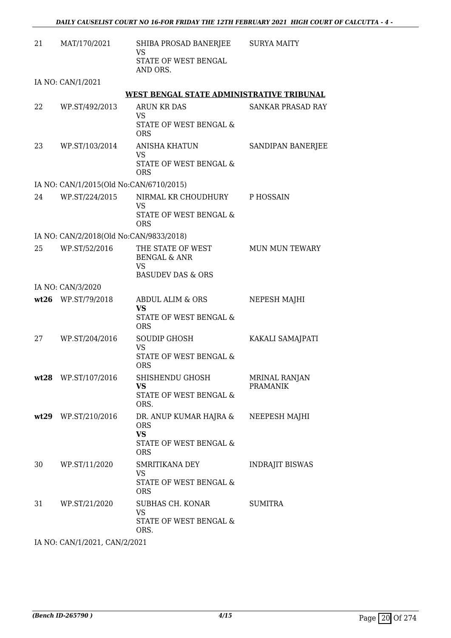| 21 | MAT/170/2021                            | SHIBA PROSAD BANERJEE SURYA MAITY<br>VS<br>STATE OF WEST BENGAL<br>AND ORS.               |                                  |
|----|-----------------------------------------|-------------------------------------------------------------------------------------------|----------------------------------|
|    | IA NO: CAN/1/2021                       |                                                                                           |                                  |
|    |                                         | WEST BENGAL STATE ADMINISTRATIVE TRIBUNAL                                                 |                                  |
| 22 | WP.ST/492/2013                          | ARUN KR DAS<br><b>VS</b><br>STATE OF WEST BENGAL &<br><b>ORS</b>                          | <b>SANKAR PRASAD RAY</b>         |
| 23 | WP.ST/103/2014                          | <b>ANISHA KHATUN</b><br>VS<br>STATE OF WEST BENGAL &<br><b>ORS</b>                        | SANDIPAN BANERJEE                |
|    | IA NO: CAN/1/2015(Old No:CAN/6710/2015) |                                                                                           |                                  |
| 24 | WP.ST/224/2015                          | NIRMAL KR CHOUDHURY P HOSSAIN<br>VS<br>STATE OF WEST BENGAL &<br><b>ORS</b>               |                                  |
|    | IA NO: CAN/2/2018(Old No:CAN/9833/2018) |                                                                                           |                                  |
| 25 | WP.ST/52/2016                           | THE STATE OF WEST<br><b>BENGAL &amp; ANR</b><br>VS                                        | <b>MUN MUN TEWARY</b>            |
|    |                                         | <b>BASUDEV DAS &amp; ORS</b>                                                              |                                  |
|    | IA NO: CAN/3/2020                       |                                                                                           |                                  |
|    | wt26 WP.ST/79/2018                      | ABDUL ALIM & ORS<br><b>VS</b><br>STATE OF WEST BENGAL &                                   | NEPESH MAJHI                     |
| 27 | WP.ST/204/2016                          | <b>ORS</b><br>SOUDIP GHOSH<br><b>VS</b><br>STATE OF WEST BENGAL &<br><b>ORS</b>           | KAKALI SAMAJPATI                 |
|    | wt28 WP.ST/107/2016                     | SHISHENDU GHOSH<br>VS<br>STATE OF WEST BENGAL &<br>ORS.                                   | MRINAL RANJAN<br><b>PRAMANIK</b> |
|    | wt29 WP.ST/210/2016                     | DR. ANUP KUMAR HAJRA &<br><b>ORS</b><br><b>VS</b><br>STATE OF WEST BENGAL &<br><b>ORS</b> | NEEPESH MAJHI                    |
| 30 | WP.ST/11/2020                           | SMRITIKANA DEY<br><b>VS</b><br>STATE OF WEST BENGAL &<br><b>ORS</b>                       | <b>INDRAJIT BISWAS</b>           |
| 31 | WP.ST/21/2020                           | SUBHAS CH. KONAR<br><b>VS</b><br>STATE OF WEST BENGAL &<br>ORS.                           | <b>SUMITRA</b>                   |

IA NO: CAN/1/2021, CAN/2/2021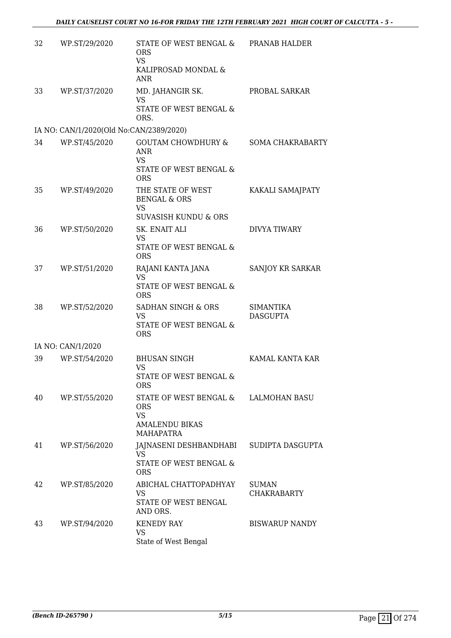| 32 | WP.ST/29/2020                           | STATE OF WEST BENGAL &<br><b>ORS</b><br><b>VS</b><br>KALIPROSAD MONDAL &<br><b>ANR</b>                 | PRANAB HALDER                       |
|----|-----------------------------------------|--------------------------------------------------------------------------------------------------------|-------------------------------------|
| 33 | WP.ST/37/2020                           | MD. JAHANGIR SK.<br><b>VS</b><br>STATE OF WEST BENGAL &                                                | PROBAL SARKAR                       |
|    | IA NO: CAN/1/2020(Old No:CAN/2389/2020) | ORS.                                                                                                   |                                     |
| 34 | WP.ST/45/2020                           | GOUTAM CHOWDHURY & SOMA CHAKRABARTY<br><b>ANR</b><br><b>VS</b><br>STATE OF WEST BENGAL &<br><b>ORS</b> |                                     |
| 35 | WP.ST/49/2020                           | THE STATE OF WEST<br><b>BENGAL &amp; ORS</b><br><b>VS</b><br><b>SUVASISH KUNDU &amp; ORS</b>           | KAKALI SAMAJPATY                    |
| 36 | WP.ST/50/2020                           | SK. ENAIT ALI<br>VS<br><b>STATE OF WEST BENGAL &amp;</b><br><b>ORS</b>                                 | <b>DIVYA TIWARY</b>                 |
| 37 | WP.ST/51/2020                           | RAJANI KANTA JANA<br><b>VS</b><br>STATE OF WEST BENGAL &<br><b>ORS</b>                                 | SANJOY KR SARKAR                    |
| 38 | WP.ST/52/2020                           | SADHAN SINGH & ORS<br><b>VS</b><br>STATE OF WEST BENGAL &<br><b>ORS</b>                                | <b>SIMANTIKA</b><br><b>DASGUPTA</b> |
|    | IA NO: CAN/1/2020                       |                                                                                                        |                                     |
| 39 | WP.ST/54/2020                           | <b>BHUSAN SINGH</b><br><b>VS</b><br>STATE OF WEST BENGAL &<br>ORS                                      | KAMAL KANTA KAR                     |
| 40 | WP.ST/55/2020                           | STATE OF WEST BENGAL &<br><b>ORS</b><br><b>VS</b><br><b>AMALENDU BIKAS</b><br><b>MAHAPATRA</b>         | <b>LALMOHAN BASU</b>                |
| 41 | WP.ST/56/2020                           | JAJNASENI DESHBANDHABI<br><b>VS</b><br>STATE OF WEST BENGAL &<br><b>ORS</b>                            | SUDIPTA DASGUPTA                    |
| 42 | WP.ST/85/2020                           | ABICHAL CHATTOPADHYAY<br><b>VS</b><br>STATE OF WEST BENGAL<br>AND ORS.                                 | <b>SUMAN</b><br><b>CHAKRABARTY</b>  |
| 43 | WP.ST/94/2020                           | <b>KENEDY RAY</b><br>VS<br>State of West Bengal                                                        | <b>BISWARUP NANDY</b>               |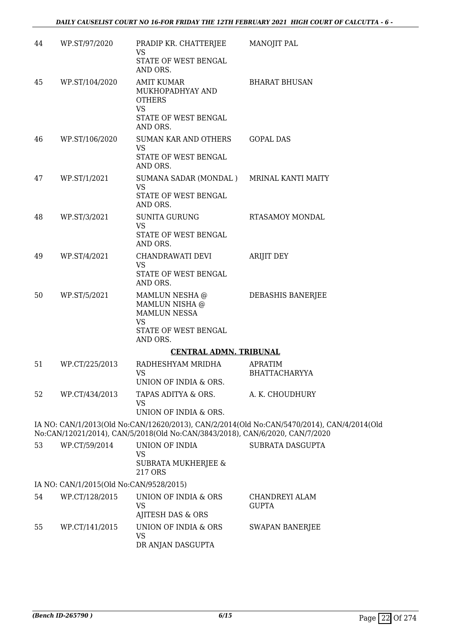| 44 | WP.ST/97/2020                           | PRADIP KR. CHATTERJEE<br>VS                                                                       | <b>MANOJIT PAL</b>                                                                         |
|----|-----------------------------------------|---------------------------------------------------------------------------------------------------|--------------------------------------------------------------------------------------------|
|    |                                         | STATE OF WEST BENGAL<br>AND ORS.                                                                  |                                                                                            |
| 45 | WP.ST/104/2020                          | <b>AMIT KUMAR</b><br>MUKHOPADHYAY AND<br><b>OTHERS</b><br>VS                                      | <b>BHARAT BHUSAN</b>                                                                       |
|    |                                         | STATE OF WEST BENGAL<br>AND ORS.                                                                  |                                                                                            |
| 46 | WP.ST/106/2020                          | SUMAN KAR AND OTHERS<br><b>VS</b><br>STATE OF WEST BENGAL<br>AND ORS.                             | <b>GOPAL DAS</b>                                                                           |
| 47 | WP.ST/1/2021                            | SUMANA SADAR (MONDAL) MRINAL KANTI MAITY<br><b>VS</b><br>STATE OF WEST BENGAL<br>AND ORS.         |                                                                                            |
| 48 | WP.ST/3/2021                            | <b>SUNITA GURUNG</b><br><b>VS</b>                                                                 | <b>RTASAMOY MONDAL</b>                                                                     |
|    |                                         | STATE OF WEST BENGAL<br>AND ORS.                                                                  |                                                                                            |
| 49 | WP.ST/4/2021                            | CHANDRAWATI DEVI<br><b>VS</b><br>STATE OF WEST BENGAL<br>AND ORS.                                 | <b>ARIJIT DEY</b>                                                                          |
| 50 | WP.ST/5/2021                            | MAMLUN NESHA @<br>MAMLUN NISHA @<br>MAMLUN NESSA<br><b>VS</b><br>STATE OF WEST BENGAL<br>AND ORS. | DEBASHIS BANERJEE                                                                          |
|    |                                         | <b>CENTRAL ADMN. TRIBUNAL</b>                                                                     |                                                                                            |
| 51 | WP.CT/225/2013                          | RADHESHYAM MRIDHA<br>VS.<br>UNION OF INDIA & ORS.                                                 | <b>APRATIM</b><br>BHATTACHARYYA                                                            |
| 52 | WP.CT/434/2013                          | TAPAS ADITYA & ORS.<br><b>VS</b><br>UNION OF INDIA & ORS.                                         | A. K. CHOUDHURY                                                                            |
|    |                                         | No:CAN/12021/2014), CAN/5/2018(Old No:CAN/3843/2018), CAN/6/2020, CAN/7/2020                      | IA NO: CAN/1/2013(Old No:CAN/12620/2013), CAN/2/2014(Old No:CAN/5470/2014), CAN/4/2014(Old |
| 53 | WP.CT/59/2014                           | UNION OF INDIA                                                                                    | SUBRATA DASGUPTA                                                                           |
|    |                                         | VS<br><b>SUBRATA MUKHERJEE &amp;</b><br>217 ORS                                                   |                                                                                            |
|    | IA NO: CAN/1/2015(Old No:CAN/9528/2015) |                                                                                                   |                                                                                            |
| 54 | WP.CT/128/2015                          | UNION OF INDIA & ORS<br><b>VS</b><br>AJITESH DAS & ORS                                            | CHANDREYI ALAM<br><b>GUPTA</b>                                                             |
| 55 | WP.CT/141/2015                          | UNION OF INDIA & ORS<br>VS<br>DR ANJAN DASGUPTA                                                   | <b>SWAPAN BANERJEE</b>                                                                     |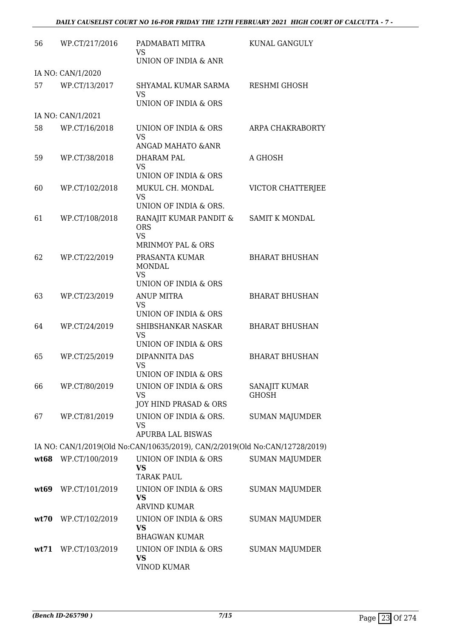| 56   | WP.CT/217/2016      | PADMABATI MITRA<br>VS.                                                      | KUNAL GANGULY                        |
|------|---------------------|-----------------------------------------------------------------------------|--------------------------------------|
|      |                     | UNION OF INDIA & ANR                                                        |                                      |
|      | IA NO: CAN/1/2020   |                                                                             |                                      |
| 57   | WP.CT/13/2017       | SHYAMAL KUMAR SARMA<br><b>VS</b>                                            | <b>RESHMI GHOSH</b>                  |
|      |                     | UNION OF INDIA & ORS                                                        |                                      |
|      | IA NO: CAN/1/2021   |                                                                             |                                      |
| 58   | WP.CT/16/2018       | UNION OF INDIA & ORS<br><b>VS</b><br><b>ANGAD MAHATO &amp; ANR</b>          | ARPA CHAKRABORTY                     |
| 59   | WP.CT/38/2018       | DHARAM PAL                                                                  | A GHOSH                              |
|      |                     | <b>VS</b><br><b>UNION OF INDIA &amp; ORS</b>                                |                                      |
| 60   | WP.CT/102/2018      | MUKUL CH. MONDAL<br>VS.                                                     | VICTOR CHATTERJEE                    |
|      |                     | UNION OF INDIA & ORS.                                                       |                                      |
| 61   | WP.CT/108/2018      | RANAJIT KUMAR PANDIT &<br><b>ORS</b><br><b>VS</b>                           | <b>SAMIT K MONDAL</b>                |
|      |                     | <b>MRINMOY PAL &amp; ORS</b>                                                |                                      |
| 62   | WP.CT/22/2019       | PRASANTA KUMAR<br><b>MONDAL</b><br><b>VS</b>                                | <b>BHARAT BHUSHAN</b>                |
|      |                     | UNION OF INDIA & ORS                                                        |                                      |
| 63   | WP.CT/23/2019       | <b>ANUP MITRA</b>                                                           | <b>BHARAT BHUSHAN</b>                |
|      |                     | <b>VS</b><br>UNION OF INDIA & ORS                                           |                                      |
| 64   | WP.CT/24/2019       | SHIBSHANKAR NASKAR<br><b>VS</b>                                             | <b>BHARAT BHUSHAN</b>                |
|      |                     | UNION OF INDIA & ORS                                                        |                                      |
| 65   | WP.CT/25/2019       | DIPANNITA DAS<br><b>VS</b>                                                  | <b>BHARAT BHUSHAN</b>                |
|      |                     | UNION OF INDIA & ORS                                                        |                                      |
| 66   | WP.CT/80/2019       | UNION OF INDIA & ORS<br>VS<br>JOY HIND PRASAD & ORS                         | <b>SANAJIT KUMAR</b><br><b>GHOSH</b> |
| 67   | WP.CT/81/2019       | UNION OF INDIA & ORS.                                                       | <b>SUMAN MAJUMDER</b>                |
|      |                     | <b>VS</b><br><b>APURBA LAL BISWAS</b>                                       |                                      |
|      |                     | IA NO: CAN/1/2019(Old No:CAN/10635/2019), CAN/2/2019(Old No:CAN/12728/2019) |                                      |
| wt68 | WP.CT/100/2019      | UNION OF INDIA & ORS                                                        | <b>SUMAN MAJUMDER</b>                |
|      |                     | VS<br><b>TARAK PAUL</b>                                                     |                                      |
|      | wt69 WP.CT/101/2019 | UNION OF INDIA & ORS<br><b>VS</b><br><b>ARVIND KUMAR</b>                    | <b>SUMAN MAJUMDER</b>                |
|      | wt70 WP.CT/102/2019 | UNION OF INDIA & ORS<br>VS                                                  | <b>SUMAN MAJUMDER</b>                |
|      |                     | <b>BHAGWAN KUMAR</b>                                                        |                                      |
| wt71 | WP.CT/103/2019      | UNION OF INDIA & ORS<br><b>VS</b><br><b>VINOD KUMAR</b>                     | <b>SUMAN MAJUMDER</b>                |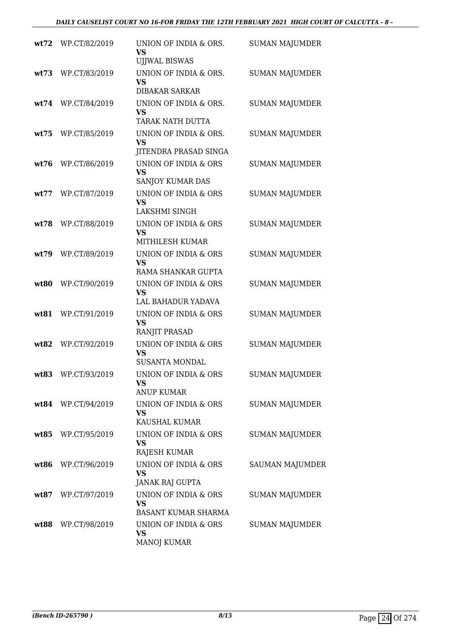| wt72  | WP.CT/82/2019      | UNION OF INDIA & ORS.<br><b>VS</b><br><b>UJJWAL BISWAS</b>      | <b>SUMAN MAJUMDER</b>  |
|-------|--------------------|-----------------------------------------------------------------|------------------------|
| wt73  | WP.CT/83/2019      | UNION OF INDIA & ORS.<br><b>VS</b><br><b>DIBAKAR SARKAR</b>     | <b>SUMAN MAJUMDER</b>  |
|       | wt74 WP.CT/84/2019 | UNION OF INDIA & ORS.<br>VS<br><b>TARAK NATH DUTTA</b>          | <b>SUMAN MAJUMDER</b>  |
|       | wt75 WP.CT/85/2019 | UNION OF INDIA & ORS.<br><b>VS</b><br>JITENDRA PRASAD SINGA     | <b>SUMAN MAJUMDER</b>  |
| wt76  | WP.CT/86/2019      | UNION OF INDIA & ORS<br><b>VS</b><br>SANJOY KUMAR DAS           | <b>SUMAN MAJUMDER</b>  |
| wt77  | WP.CT/87/2019      | UNION OF INDIA & ORS<br><b>VS</b><br>LAKSHMI SINGH              | <b>SUMAN MAJUMDER</b>  |
| wt:78 | WP.CT/88/2019      | UNION OF INDIA & ORS<br><b>VS</b><br>MITHILESH KUMAR            | <b>SUMAN MAJUMDER</b>  |
| wt79  | WP.CT/89/2019      | UNION OF INDIA & ORS<br><b>VS</b><br>RAMA SHANKAR GUPTA         | <b>SUMAN MAJUMDER</b>  |
| wt80  | WP.CT/90/2019      | UNION OF INDIA & ORS<br><b>VS</b><br>LAL BAHADUR YADAVA         | <b>SUMAN MAJUMDER</b>  |
| wt81  | WP.CT/91/2019      | UNION OF INDIA & ORS<br><b>VS</b><br>RANJIT PRASAD              | <b>SUMAN MAJUMDER</b>  |
| wt82  | WP.CT/92/2019      | UNION OF INDIA & ORS<br><b>VS</b><br><b>SUSANTA MONDAL</b>      | <b>SUMAN MAJUMDER</b>  |
|       | wt83 WP.CT/93/2019 | UNION OF INDIA & ORS<br>VS<br><b>ANUP KUMAR</b>                 | <b>SUMAN MAJUMDER</b>  |
|       | wt84 WP.CT/94/2019 | UNION OF INDIA & ORS<br><b>VS</b><br>KAUSHAL KUMAR              | <b>SUMAN MAJUMDER</b>  |
|       | wt85 WP.CT/95/2019 | UNION OF INDIA & ORS<br><b>VS</b><br>RAJESH KUMAR               | SUMAN MAJUMDER         |
|       | wt86 WP.CT/96/2019 | UNION OF INDIA & ORS<br><b>VS</b><br>JANAK RAJ GUPTA            | <b>SAUMAN MAJUMDER</b> |
|       | wt87 WP.CT/97/2019 | UNION OF INDIA & ORS<br><b>VS</b><br><b>BASANT KUMAR SHARMA</b> | <b>SUMAN MAJUMDER</b>  |
|       | wt88 WP.CT/98/2019 | UNION OF INDIA & ORS<br><b>VS</b><br>MANOJ KUMAR                | <b>SUMAN MAJUMDER</b>  |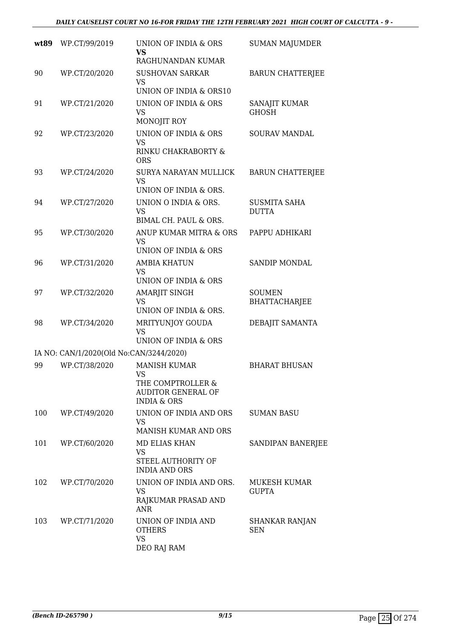#### *DAILY CAUSELIST COURT NO 16-FOR FRIDAY THE 12TH FEBRUARY 2021 HIGH COURT OF CALCUTTA - 9 -*

| wt89 | WP.CT/99/2019                           | UNION OF INDIA & ORS<br>VS<br>RAGHUNANDAN KUMAR                                                                   | <b>SUMAN MAJUMDER</b>                 |
|------|-----------------------------------------|-------------------------------------------------------------------------------------------------------------------|---------------------------------------|
| 90   | WP.CT/20/2020                           | <b>SUSHOVAN SARKAR</b><br><b>VS</b><br>UNION OF INDIA & ORS10                                                     | <b>BARUN CHATTERJEE</b>               |
| 91   | WP.CT/21/2020                           | UNION OF INDIA & ORS<br><b>VS</b><br>MONOJIT ROY                                                                  | SANAJIT KUMAR<br><b>GHOSH</b>         |
| 92   | WP.CT/23/2020                           | UNION OF INDIA & ORS<br><b>VS</b><br>RINKU CHAKRABORTY &<br><b>ORS</b>                                            | <b>SOURAV MANDAL</b>                  |
| 93   | WP.CT/24/2020                           | SURYA NARAYAN MULLICK<br><b>VS</b><br>UNION OF INDIA & ORS.                                                       | <b>BARUN CHATTERJEE</b>               |
| 94   | WP.CT/27/2020                           | UNION O INDIA & ORS.<br><b>VS</b><br>BIMAL CH. PAUL & ORS.                                                        | <b>SUSMITA SAHA</b><br><b>DUTTA</b>   |
| 95   | WP.CT/30/2020                           | ANUP KUMAR MITRA & ORS<br><b>VS</b><br>UNION OF INDIA & ORS                                                       | PAPPU ADHIKARI                        |
| 96   | WP.CT/31/2020                           | <b>AMBIA KHATUN</b><br><b>VS</b><br>UNION OF INDIA & ORS                                                          | <b>SANDIP MONDAL</b>                  |
| 97   | WP.CT/32/2020                           | <b>AMARJIT SINGH</b><br>VS<br>UNION OF INDIA & ORS.                                                               | <b>SOUMEN</b><br><b>BHATTACHARJEE</b> |
| 98   | WP.CT/34/2020                           | MRITYUNJOY GOUDA<br><b>VS</b><br>UNION OF INDIA & ORS                                                             | DEBAJIT SAMANTA                       |
|      | IA NO: CAN/1/2020(Old No:CAN/3244/2020) |                                                                                                                   |                                       |
| 99   | WP.CT/38/2020                           | <b>MANISH KUMAR</b><br>VS <b>Same</b><br>THE COMPTROLLER &<br><b>AUDITOR GENERAL OF</b><br><b>INDIA &amp; ORS</b> | <b>BHARAT BHUSAN</b>                  |
| 100  | WP.CT/49/2020                           | UNION OF INDIA AND ORS<br><b>VS</b><br>MANISH KUMAR AND ORS                                                       | <b>SUMAN BASU</b>                     |
| 101  | WP.CT/60/2020                           | MD ELIAS KHAN<br>VS<br>STEEL AUTHORITY OF<br><b>INDIA AND ORS</b>                                                 | SANDIPAN BANERJEE                     |
| 102  | WP.CT/70/2020                           | UNION OF INDIA AND ORS.<br><b>VS</b><br>RAJKUMAR PRASAD AND<br><b>ANR</b>                                         | MUKESH KUMAR<br><b>GUPTA</b>          |
| 103  | WP.CT/71/2020                           | UNION OF INDIA AND<br><b>OTHERS</b><br><b>VS</b><br>DEO RAJ RAM                                                   | SHANKAR RANJAN<br><b>SEN</b>          |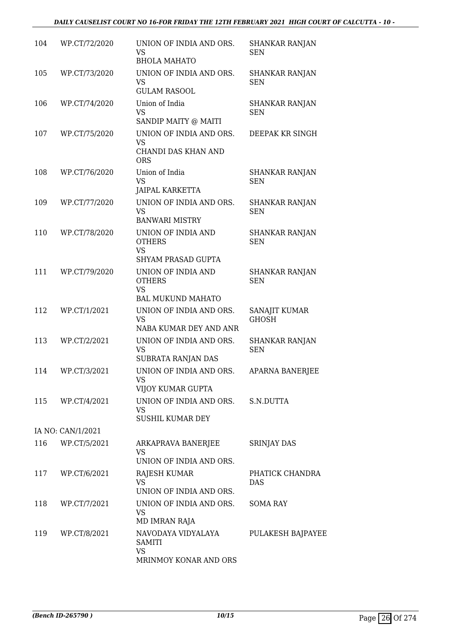#### *DAILY CAUSELIST COURT NO 16-FOR FRIDAY THE 12TH FEBRUARY 2021 HIGH COURT OF CALCUTTA - 10 -*

| 104 | WP.CT/72/2020     | UNION OF INDIA AND ORS.<br>VS<br><b>BHOLA MAHATO</b>                         | <b>SHANKAR RANJAN</b><br><b>SEN</b> |
|-----|-------------------|------------------------------------------------------------------------------|-------------------------------------|
| 105 | WP.CT/73/2020     | UNION OF INDIA AND ORS.<br>VS<br><b>GULAM RASOOL</b>                         | <b>SHANKAR RANJAN</b><br><b>SEN</b> |
| 106 | WP.CT/74/2020     | Union of India<br><b>VS</b><br>SANDIP MAITY @ MAITI                          | <b>SHANKAR RANJAN</b><br><b>SEN</b> |
| 107 | WP.CT/75/2020     | UNION OF INDIA AND ORS.<br><b>VS</b><br>CHANDI DAS KHAN AND<br><b>ORS</b>    | DEEPAK KR SINGH                     |
| 108 | WP.CT/76/2020     | Union of India<br><b>VS</b><br><b>JAIPAL KARKETTA</b>                        | <b>SHANKAR RANJAN</b><br><b>SEN</b> |
| 109 | WP.CT/77/2020     | UNION OF INDIA AND ORS.<br><b>VS</b><br><b>BANWARI MISTRY</b>                | <b>SHANKAR RANJAN</b><br><b>SEN</b> |
| 110 | WP.CT/78/2020     | UNION OF INDIA AND<br><b>OTHERS</b><br><b>VS</b><br>SHYAM PRASAD GUPTA       | <b>SHANKAR RANJAN</b><br><b>SEN</b> |
| 111 | WP.CT/79/2020     | UNION OF INDIA AND<br><b>OTHERS</b><br><b>VS</b><br><b>BAL MUKUND MAHATO</b> | <b>SHANKAR RANJAN</b><br><b>SEN</b> |
| 112 | WP.CT/1/2021      | UNION OF INDIA AND ORS.<br><b>VS</b><br>NABA KUMAR DEY AND ANR               | SANAJIT KUMAR<br><b>GHOSH</b>       |
| 113 | WP.CT/2/2021      | UNION OF INDIA AND ORS.<br>VS<br>SUBRATA RANJAN DAS                          | <b>SHANKAR RANJAN</b><br><b>SEN</b> |
| 114 | WP.CT/3/2021      | UNION OF INDIA AND ORS.<br>VS<br>VIJOY KUMAR GUPTA                           | <b>APARNA BANERJEE</b>              |
| 115 | WP.CT/4/2021      | UNION OF INDIA AND ORS.<br>VS<br><b>SUSHIL KUMAR DEY</b>                     | S.N.DUTTA                           |
|     | IA NO: CAN/1/2021 |                                                                              |                                     |
| 116 | WP.CT/5/2021      | ARKAPRAVA BANERJEE<br><b>VS</b><br>UNION OF INDIA AND ORS.                   | <b>SRINJAY DAS</b>                  |
| 117 | WP.CT/6/2021      | RAJESH KUMAR<br><b>VS</b><br>UNION OF INDIA AND ORS.                         | PHATICK CHANDRA<br><b>DAS</b>       |
| 118 | WP.CT/7/2021      | UNION OF INDIA AND ORS.<br>VS<br>MD IMRAN RAJA                               | <b>SOMA RAY</b>                     |
| 119 | WP.CT/8/2021      | NAVODAYA VIDYALAYA<br><b>SAMITI</b><br><b>VS</b><br>MRINMOY KONAR AND ORS    | PULAKESH BAJPAYEE                   |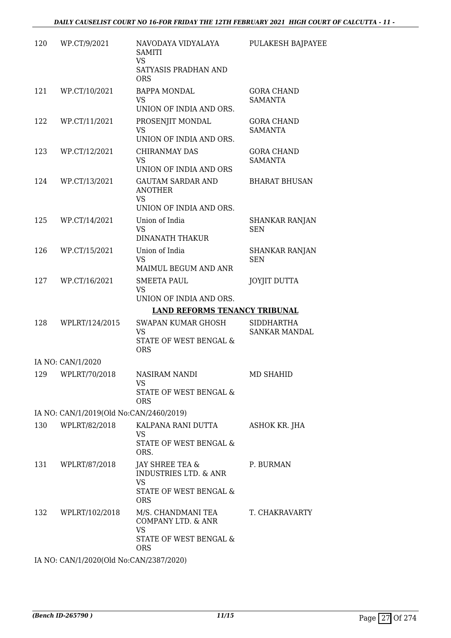| 120 | WP.CT/9/2021                            | NAVODAYA VIDYALAYA<br><b>SAMITI</b><br><b>VS</b><br>SATYASIS PRADHAN AND                                 | PULAKESH BAJPAYEE                   |
|-----|-----------------------------------------|----------------------------------------------------------------------------------------------------------|-------------------------------------|
| 121 | WP.CT/10/2021                           | <b>ORS</b><br><b>BAPPA MONDAL</b><br>VS                                                                  | <b>GORA CHAND</b><br><b>SAMANTA</b> |
| 122 | WP.CT/11/2021                           | UNION OF INDIA AND ORS.<br>PROSENJIT MONDAL                                                              | <b>GORA CHAND</b>                   |
|     |                                         | <b>VS</b><br>UNION OF INDIA AND ORS.                                                                     | <b>SAMANTA</b>                      |
| 123 | WP.CT/12/2021                           | <b>CHIRANMAY DAS</b><br>VS<br>UNION OF INDIA AND ORS                                                     | <b>GORA CHAND</b><br><b>SAMANTA</b> |
| 124 | WP.CT/13/2021                           | <b>GAUTAM SARDAR AND</b><br><b>ANOTHER</b><br><b>VS</b>                                                  | <b>BHARAT BHUSAN</b>                |
| 125 | WP.CT/14/2021                           | UNION OF INDIA AND ORS.<br>Union of India                                                                | <b>SHANKAR RANJAN</b>               |
|     |                                         | <b>VS</b><br><b>DINANATH THAKUR</b>                                                                      | <b>SEN</b>                          |
| 126 | WP.CT/15/2021                           | Union of India<br><b>VS</b><br>MAIMUL BEGUM AND ANR                                                      | <b>SHANKAR RANJAN</b><br><b>SEN</b> |
| 127 | WP.CT/16/2021                           | <b>SMEETA PAUL</b><br><b>VS</b><br>UNION OF INDIA AND ORS.                                               | <b>JOYJIT DUTTA</b>                 |
|     |                                         | <b>LAND REFORMS TENANCY TRIBUNAL</b>                                                                     |                                     |
| 128 | WPLRT/124/2015                          | <b>SWAPAN KUMAR GHOSH</b><br>VS<br>STATE OF WEST BENGAL &<br><b>ORS</b>                                  | <b>SIDDHARTHA</b><br>SANKAR MANDAL  |
|     | IA NO: CAN/1/2020                       |                                                                                                          |                                     |
|     | 129 WPLRT/70/2018                       | NASIRAM NANDI<br><b>VS</b>                                                                               | MD SHAHID                           |
|     |                                         | STATE OF WEST BENGAL &<br><b>ORS</b>                                                                     |                                     |
|     | IA NO: CAN/1/2019(Old No:CAN/2460/2019) |                                                                                                          |                                     |
| 130 | WPLRT/82/2018                           | KALPANA RANI DUTTA<br><b>VS</b><br>STATE OF WEST BENGAL &<br>ORS.                                        | ASHOK KR. JHA                       |
| 131 | WPLRT/87/2018                           | JAY SHREE TEA &<br><b>INDUSTRIES LTD. &amp; ANR</b><br><b>VS</b><br>STATE OF WEST BENGAL &<br><b>ORS</b> | P. BURMAN                           |
| 132 | WPLRT/102/2018                          | M/S. CHANDMANI TEA<br>COMPANY LTD. & ANR<br><b>VS</b><br>STATE OF WEST BENGAL &<br><b>ORS</b>            | T. CHAKRAVARTY                      |
|     |                                         |                                                                                                          |                                     |

IA NO: CAN/1/2020(Old No:CAN/2387/2020)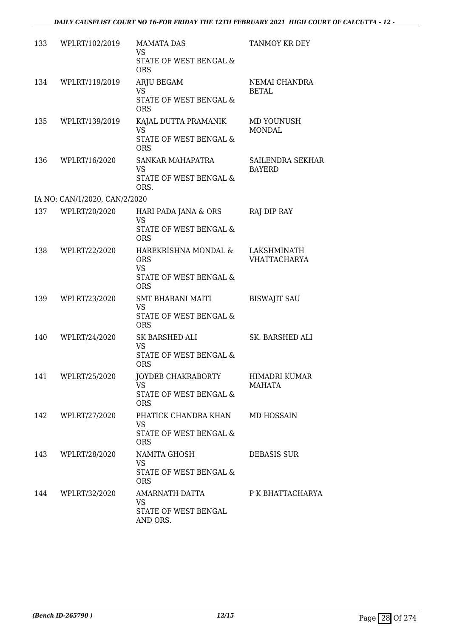| 133 | WPLRT/102/2019                | <b>MAMATA DAS</b><br><b>VS</b>                    | TANMOY KR DEY                      |
|-----|-------------------------------|---------------------------------------------------|------------------------------------|
|     |                               | STATE OF WEST BENGAL &<br><b>ORS</b>              |                                    |
| 134 | WPLRT/119/2019                | ARJU BEGAM                                        | NEMAI CHANDRA                      |
|     |                               | <b>VS</b><br>STATE OF WEST BENGAL &<br><b>ORS</b> | <b>BETAL</b>                       |
| 135 | WPLRT/139/2019                | KAJAL DUTTA PRAMANIK<br><b>VS</b>                 | MD YOUNUSH<br><b>MONDAL</b>        |
|     |                               | STATE OF WEST BENGAL &<br><b>ORS</b>              |                                    |
| 136 | WPLRT/16/2020                 | SANKAR MAHAPATRA<br><b>VS</b>                     | SAILENDRA SEKHAR<br><b>BAYERD</b>  |
|     |                               | STATE OF WEST BENGAL &<br>ORS.                    |                                    |
|     | IA NO: CAN/1/2020, CAN/2/2020 |                                                   |                                    |
| 137 | WPLRT/20/2020                 | HARI PADA JANA & ORS<br><b>VS</b>                 | RAJ DIP RAY                        |
|     |                               | STATE OF WEST BENGAL &<br><b>ORS</b>              |                                    |
| 138 | WPLRT/22/2020                 | HAREKRISHNA MONDAL &<br><b>ORS</b><br><b>VS</b>   | LAKSHMINATH<br><b>VHATTACHARYA</b> |
|     |                               | STATE OF WEST BENGAL &<br><b>ORS</b>              |                                    |
| 139 | WPLRT/23/2020                 | SMT BHABANI MAITI<br><b>VS</b>                    | <b>BISWAJIT SAU</b>                |
|     |                               | STATE OF WEST BENGAL &<br><b>ORS</b>              |                                    |
| 140 | WPLRT/24/2020                 | SK BARSHED ALI<br><b>VS</b>                       | SK. BARSHED ALI                    |
|     |                               | STATE OF WEST BENGAL &<br><b>ORS</b>              |                                    |
|     | 141 WPLRT/25/2020             | JOYDEB CHAKRABORTY<br>VS.                         | HIMADRI KUMAR<br><b>MAHATA</b>     |
|     |                               | STATE OF WEST BENGAL &<br><b>ORS</b>              |                                    |
| 142 | WPLRT/27/2020                 | PHATICK CHANDRA KHAN<br><b>VS</b>                 | MD HOSSAIN                         |
|     |                               | STATE OF WEST BENGAL &<br><b>ORS</b>              |                                    |
| 143 | WPLRT/28/2020                 | NAMITA GHOSH<br><b>VS</b>                         | <b>DEBASIS SUR</b>                 |
|     |                               | STATE OF WEST BENGAL &<br><b>ORS</b>              |                                    |
| 144 | WPLRT/32/2020                 | AMARNATH DATTA<br>VS                              | P K BHATTACHARYA                   |
|     |                               | STATE OF WEST BENGAL<br>AND ORS.                  |                                    |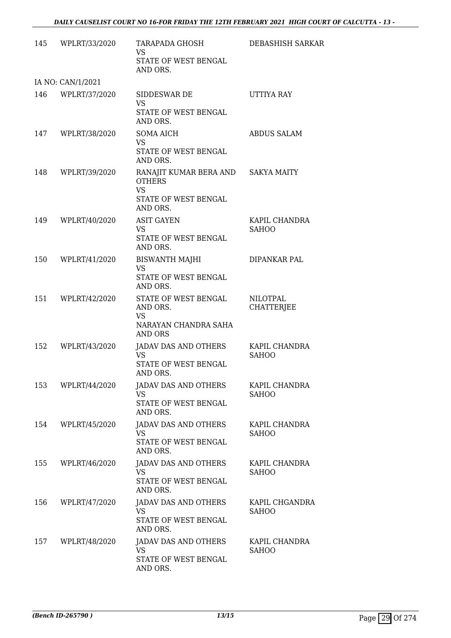| 145 | WPLRT/33/2020     | <b>TARAPADA GHOSH</b><br><b>VS</b><br>STATE OF WEST BENGAL<br>AND ORS.                               | DEBASHISH SARKAR                     |
|-----|-------------------|------------------------------------------------------------------------------------------------------|--------------------------------------|
|     | IA NO: CAN/1/2021 |                                                                                                      |                                      |
| 146 | WPLRT/37/2020     | SIDDESWAR DE<br><b>VS</b><br>STATE OF WEST BENGAL<br>AND ORS.                                        | UTTIYA RAY                           |
|     | 147 WPLRT/38/2020 | <b>SOMA AICH</b><br>VS.<br>STATE OF WEST BENGAL<br>AND ORS.                                          | <b>ABDUS SALAM</b>                   |
| 148 | WPLRT/39/2020     | RANAJIT KUMAR BERA AND SAKYA MAITY<br><b>OTHERS</b><br><b>VS</b><br>STATE OF WEST BENGAL<br>AND ORS. |                                      |
| 149 | WPLRT/40/2020     | <b>ASIT GAYEN</b><br><b>VS</b><br>STATE OF WEST BENGAL<br>AND ORS.                                   | KAPIL CHANDRA<br><b>SAHOO</b>        |
| 150 | WPLRT/41/2020     | <b>BISWANTH MAJHI</b><br><b>VS</b><br>STATE OF WEST BENGAL<br>AND ORS.                               | DIPANKAR PAL                         |
| 151 | WPLRT/42/2020     | STATE OF WEST BENGAL<br>AND ORS.<br>VS<br>NARAYAN CHANDRA SAHA<br><b>AND ORS</b>                     | <b>NILOTPAL</b><br><b>CHATTERJEE</b> |
| 152 | WPLRT/43/2020     | JADAV DAS AND OTHERS<br><b>VS</b><br>STATE OF WEST BENGAL<br>AND ORS.                                | KAPIL CHANDRA<br><b>SAHOO</b>        |
| 153 | WPLRT/44/2020     | JADAV DAS AND OTHERS<br><b>VS</b><br>STATE OF WEST BENGAL<br>AND ORS.                                | KAPIL CHANDRA<br><b>SAHOO</b>        |
| 154 | WPLRT/45/2020     | JADAV DAS AND OTHERS<br>VS<br>STATE OF WEST BENGAL<br>AND ORS.                                       | KAPIL CHANDRA<br><b>SAHOO</b>        |
| 155 | WPLRT/46/2020     | <b>JADAV DAS AND OTHERS</b><br><b>VS</b><br>STATE OF WEST BENGAL<br>AND ORS.                         | KAPIL CHANDRA<br><b>SAHOO</b>        |
| 156 | WPLRT/47/2020     | JADAV DAS AND OTHERS<br><b>VS</b><br>STATE OF WEST BENGAL<br>AND ORS.                                | KAPIL CHGANDRA<br><b>SAHOO</b>       |
| 157 | WPLRT/48/2020     | JADAV DAS AND OTHERS<br>VS.<br>STATE OF WEST BENGAL<br>AND ORS.                                      | KAPIL CHANDRA<br><b>SAHOO</b>        |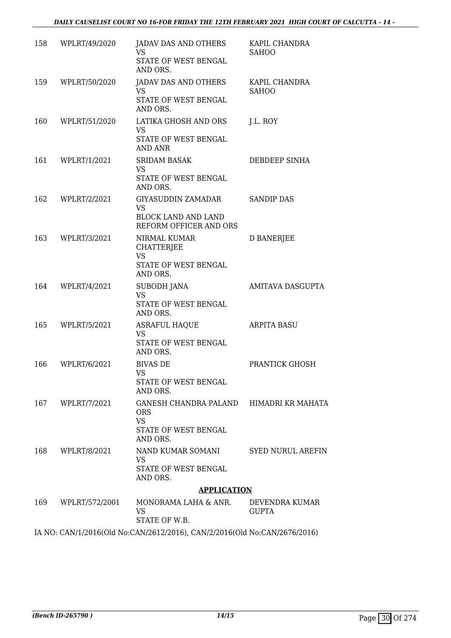#### *DAILY CAUSELIST COURT NO 16-FOR FRIDAY THE 12TH FEBRUARY 2021 HIGH COURT OF CALCUTTA - 14 -*

| 158 | WPLRT/49/2020    | JADAV DAS AND OTHERS<br>VS                                                | KAPIL CHANDRA<br><b>SAHOO</b>  |
|-----|------------------|---------------------------------------------------------------------------|--------------------------------|
|     |                  | STATE OF WEST BENGAL<br>AND ORS.                                          |                                |
| 159 | WPLRT/50/2020    | JADAV DAS AND OTHERS<br><b>VS</b>                                         | KAPIL CHANDRA<br><b>SAHOO</b>  |
|     |                  | STATE OF WEST BENGAL<br>AND ORS.                                          |                                |
| 160 | WPLRT/51/2020    | LATIKA GHOSH AND ORS<br>VS<br>STATE OF WEST BENGAL<br><b>AND ANR</b>      | J.L. ROY                       |
|     | 161 WPLRT/1/2021 | <b>SRIDAM BASAK</b>                                                       | DEBDEEP SINHA                  |
|     |                  | VS<br>STATE OF WEST BENGAL<br>AND ORS.                                    |                                |
| 162 | WPLRT/2/2021     | GIYASUDDIN ZAMADAR<br><b>VS</b>                                           | <b>SANDIP DAS</b>              |
|     |                  | <b>BLOCK LAND AND LAND</b><br>REFORM OFFICER AND ORS                      |                                |
| 163 | WPLRT/3/2021     | NIRMAL KUMAR<br><b>CHATTERJEE</b><br><b>VS</b><br>STATE OF WEST BENGAL    | <b>D BANERJEE</b>              |
|     |                  | AND ORS.                                                                  |                                |
| 164 | WPLRT/4/2021     | <b>SUBODH JANA</b><br><b>VS</b>                                           | AMITAVA DASGUPTA               |
|     |                  | STATE OF WEST BENGAL<br>AND ORS.                                          |                                |
| 165 | WPLRT/5/2021     | <b>ASRAFUL HAQUE</b><br><b>VS</b><br>STATE OF WEST BENGAL<br>AND ORS.     | <b>ARPITA BASU</b>             |
| 166 | WPLRT/6/2021     | <b>BIVAS DE</b><br>VS <b>S</b><br>STATE OF WEST BENGAL<br>AND ORS.        | PRANTICK GHOSH                 |
| 167 | WPLRT/7/2021     | GANESH CHANDRA PALAND HIMADRI KR MAHATA<br><b>ORS</b><br><b>VS</b>        |                                |
|     |                  | STATE OF WEST BENGAL<br>AND ORS.                                          |                                |
| 168 | WPLRT/8/2021     | NAND KUMAR SOMANI<br>VS                                                   | <b>SYED NURUL AREFIN</b>       |
|     |                  | STATE OF WEST BENGAL<br>AND ORS.                                          |                                |
|     |                  | <b>APPLICATION</b>                                                        |                                |
| 169 | WPLRT/572/2001   | MONORAMA LAHA & ANR.<br>VS<br>STATE OF W.B.                               | DEVENDRA KUMAR<br><b>GUPTA</b> |
|     |                  | IA NO: CAN/1/2016(Old No:CAN/2612/2016), CAN/2/2016(Old No:CAN/2676/2016) |                                |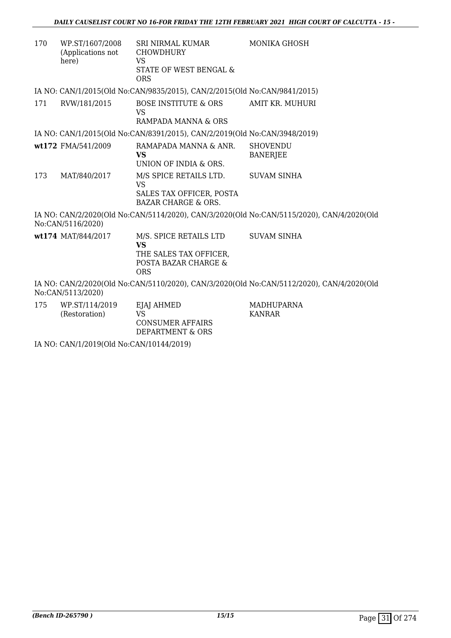| 170 | WP.ST/1607/2008<br>(Applications not<br>here)                                                                  | SRI NIRMAL KUMAR<br><b>CHOWDHURY</b><br>VS<br>STATE OF WEST BENGAL &<br><b>ORS</b>                  | <b>MONIKA GHOSH</b>                                                                       |  |
|-----|----------------------------------------------------------------------------------------------------------------|-----------------------------------------------------------------------------------------------------|-------------------------------------------------------------------------------------------|--|
|     |                                                                                                                | IA NO: CAN/1/2015(Old No:CAN/9835/2015), CAN/2/2015(Old No:CAN/9841/2015)                           |                                                                                           |  |
| 171 | RVW/181/2015                                                                                                   | BOSE INSTITUTE & ORS<br><b>VS</b>                                                                   | AMIT KR. MUHURI                                                                           |  |
|     |                                                                                                                | RAMPADA MANNA & ORS                                                                                 |                                                                                           |  |
|     |                                                                                                                | IA NO: CAN/1/2015(Old No:CAN/8391/2015), CAN/2/2019(Old No:CAN/3948/2019)                           |                                                                                           |  |
|     | wt172 FMA/541/2009                                                                                             | RAMAPADA MANNA & ANR.<br><b>VS</b>                                                                  | <b>SHOVENDU</b><br><b>BANERJEE</b>                                                        |  |
|     |                                                                                                                | UNION OF INDIA & ORS.                                                                               |                                                                                           |  |
| 173 | MAT/840/2017                                                                                                   | M/S SPICE RETAILS LTD.<br>VS                                                                        | <b>SUVAM SINHA</b>                                                                        |  |
|     |                                                                                                                | SALES TAX OFFICER, POSTA<br><b>BAZAR CHARGE &amp; ORS.</b>                                          |                                                                                           |  |
|     | No:CAN/5116/2020)                                                                                              |                                                                                                     | IA NO: CAN/2/2020(Old No:CAN/5114/2020), CAN/3/2020(Old No:CAN/5115/2020), CAN/4/2020(Old |  |
|     | wt174 MAT/844/2017                                                                                             | M/S. SPICE RETAILS LTD<br><b>VS</b><br>THE SALES TAX OFFICER.<br>POSTA BAZAR CHARGE &<br><b>ORS</b> | <b>SUVAM SINHA</b>                                                                        |  |
|     | IA NO: CAN/2/2020(Old No:CAN/5110/2020), CAN/3/2020(Old No:CAN/5112/2020), CAN/4/2020(Old<br>No:CAN/5113/2020) |                                                                                                     |                                                                                           |  |
| 175 | WP.ST/114/2019<br>(Restoration)                                                                                | EJAJ AHMED<br><b>VS</b><br><b>CONSUMER AFFAIRS</b>                                                  | MADHUPARNA<br><b>KANRAR</b>                                                               |  |

IA NO: CAN/1/2019(Old No:CAN/10144/2019)

DEPARTMENT & ORS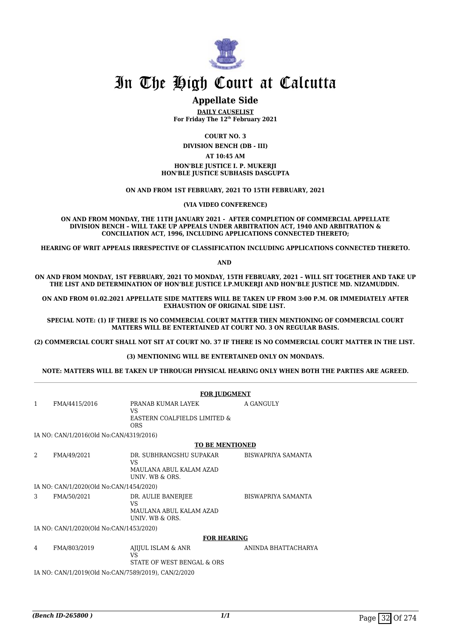

#### **Appellate Side**

**DAILY CAUSELIST For Friday The 12th February 2021**

**COURT NO. 3**

**DIVISION BENCH (DB - III)**

#### **AT 10:45 AM**

**HON'BLE JUSTICE I. P. MUKERJI HON'BLE JUSTICE SUBHASIS DASGUPTA**

**ON AND FROM 1ST FEBRUARY, 2021 TO 15TH FEBRUARY, 2021**

**(VIA VIDEO CONFERENCE)**

**ON AND FROM MONDAY, THE 11TH JANUARY 2021 - AFTER COMPLETION OF COMMERCIAL APPELLATE DIVISION BENCH – WILL TAKE UP APPEALS UNDER ARBITRATION ACT, 1940 AND ARBITRATION & CONCILIATION ACT, 1996, INCLUDING APPLICATIONS CONNECTED THERETO;**

**HEARING OF WRIT APPEALS IRRESPECTIVE OF CLASSIFICATION INCLUDING APPLICATIONS CONNECTED THERETO.**

**AND** 

**ON AND FROM MONDAY, 1ST FEBRUARY, 2021 TO MONDAY, 15TH FEBRUARY, 2021 – WILL SIT TOGETHER AND TAKE UP THE LIST AND DETERMINATION OF HON'BLE JUSTICE I.P.MUKERJI AND HON'BLE JUSTICE MD. NIZAMUDDIN.** 

**ON AND FROM 01.02.2021 APPELLATE SIDE MATTERS WILL BE TAKEN UP FROM 3:00 P.M. OR IMMEDIATELY AFTER EXHAUSTION OF ORIGINAL SIDE LIST.** 

**SPECIAL NOTE: (1) IF THERE IS NO COMMERCIAL COURT MATTER THEN MENTIONING OF COMMERCIAL COURT MATTERS WILL BE ENTERTAINED AT COURT NO. 3 ON REGULAR BASIS.**

**(2) COMMERCIAL COURT SHALL NOT SIT AT COURT NO. 37 IF THERE IS NO COMMERCIAL COURT MATTER IN THE LIST.** 

**(3) MENTIONING WILL BE ENTERTAINED ONLY ON MONDAYS.**

**NOTE: MATTERS WILL BE TAKEN UP THROUGH PHYSICAL HEARING ONLY WHEN BOTH THE PARTIES ARE AGREED.**

|              | <b>FOR JUDGMENT</b>                                 |                                                                               |                           |  |  |
|--------------|-----------------------------------------------------|-------------------------------------------------------------------------------|---------------------------|--|--|
| $\mathbf{1}$ | FMA/4415/2016                                       | PRANAB KUMAR LAYEK<br><b>VS</b><br>EASTERN COALFIELDS LIMITED &<br><b>ORS</b> | A GANGULY                 |  |  |
|              | IA NO: CAN/1/2016(Old No:CAN/4319/2016)             |                                                                               |                           |  |  |
|              |                                                     | <b>TO BE MENTIONED</b>                                                        |                           |  |  |
| 2            | FMA/49/2021                                         | DR. SUBHRANGSHU SUPAKAR<br>VS.<br>MAULANA ABUL KALAM AZAD<br>UNIV. WB & ORS.  | BISWAPRIYA SAMANTA        |  |  |
|              | IA NO: CAN/1/2020(Old No:CAN/1454/2020)             |                                                                               |                           |  |  |
| 3            | FMA/50/2021                                         | DR. AULIE BANERJEE<br><b>VS</b><br>MAULANA ABUL KALAM AZAD<br>UNIV. WB & ORS. | <b>BISWAPRIYA SAMANTA</b> |  |  |
|              | IA NO: CAN/1/2020(Old No:CAN/1453/2020)             |                                                                               |                           |  |  |
|              | <b>FOR HEARING</b>                                  |                                                                               |                           |  |  |
| 4            | FMA/803/2019                                        | AJIJUL ISLAM & ANR<br><b>VS</b><br>STATE OF WEST BENGAL & ORS                 | ANINDA BHATTACHARYA       |  |  |
|              | IA NO: CAN/1/2019(Old No:CAN/7589/2019), CAN/2/2020 |                                                                               |                           |  |  |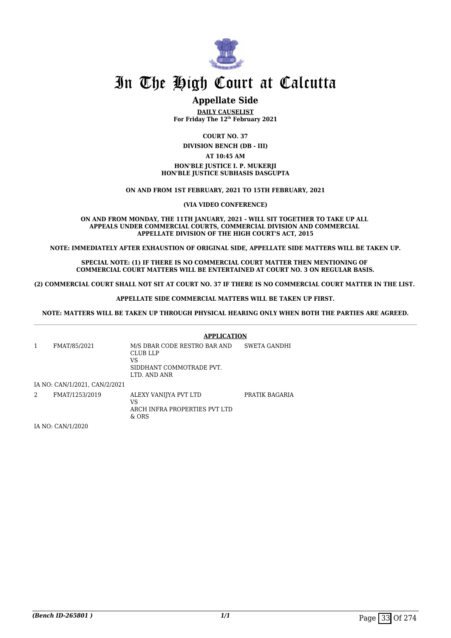

#### **Appellate Side**

**DAILY CAUSELIST For Friday The 12th February 2021**

**COURT NO. 37**

**DIVISION BENCH (DB - III)**

#### **AT 10:45 AM**

#### **HON'BLE JUSTICE I. P. MUKERJI HON'BLE JUSTICE SUBHASIS DASGUPTA**

#### **ON AND FROM 1ST FEBRUARY, 2021 TO 15TH FEBRUARY, 2021**

**(VIA VIDEO CONFERENCE)**

#### **ON AND FROM MONDAY, THE 11TH JANUARY, 2021 - WILL SIT TOGETHER TO TAKE UP ALL APPEALS UNDER COMMERCIAL COURTS, COMMERCIAL DIVISION AND COMMERCIAL APPELLATE DIVISION OF THE HIGH COURT'S ACT, 2015**

**NOTE: IMMEDIATELY AFTER EXHAUSTION OF ORIGINAL SIDE, APPELLATE SIDE MATTERS WILL BE TAKEN UP.**

**SPECIAL NOTE: (1) IF THERE IS NO COMMERCIAL COURT MATTER THEN MENTIONING OF COMMERCIAL COURT MATTERS WILL BE ENTERTAINED AT COURT NO. 3 ON REGULAR BASIS.**

**(2) COMMERCIAL COURT SHALL NOT SIT AT COURT NO. 37 IF THERE IS NO COMMERCIAL COURT MATTER IN THE LIST.** 

**APPELLATE SIDE COMMERCIAL MATTERS WILL BE TAKEN UP FIRST.**

**NOTE: MATTERS WILL BE TAKEN UP THROUGH PHYSICAL HEARING ONLY WHEN BOTH THE PARTIES ARE AGREED.**

|   |                               | <b>APPLICATION</b>                                                                                |                |
|---|-------------------------------|---------------------------------------------------------------------------------------------------|----------------|
|   | FMAT/85/2021                  | M/S DBAR CODE RESTRO BAR AND<br><b>CLUB LLP</b><br>VS<br>SIDDHANT COMMOTRADE PVT.<br>LTD. AND ANR | SWETA GANDHI   |
|   | IA NO: CAN/1/2021, CAN/2/2021 |                                                                                                   |                |
| 2 | FMAT/1253/2019                | ALEXY VANIJYA PVT LTD<br>VS<br>ARCH INFRA PROPERTIES PVT LTD<br>$&$ ORS                           | PRATIK BAGARIA |

IA NO: CAN/1/2020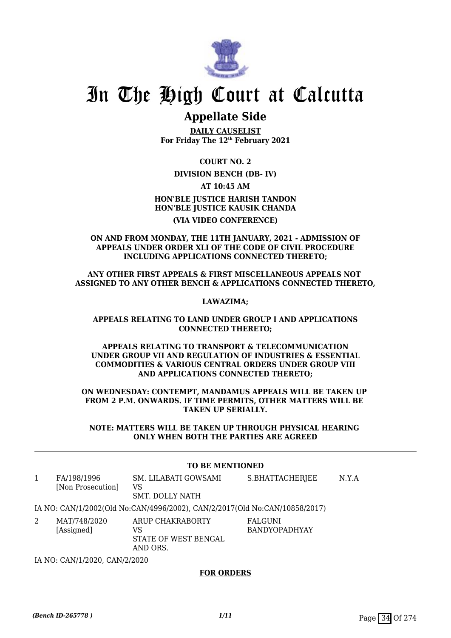

### **Appellate Side**

**DAILY CAUSELIST For Friday The 12th February 2021**

**COURT NO. 2**

#### **DIVISION BENCH (DB- IV)**

**AT 10:45 AM**

**HON'BLE JUSTICE HARISH TANDON HON'BLE JUSTICE KAUSIK CHANDA (VIA VIDEO CONFERENCE)**

#### **ON AND FROM MONDAY, THE 11TH JANUARY, 2021 - ADMISSION OF APPEALS UNDER ORDER XLI OF THE CODE OF CIVIL PROCEDURE INCLUDING APPLICATIONS CONNECTED THERETO;**

**ANY OTHER FIRST APPEALS & FIRST MISCELLANEOUS APPEALS NOT ASSIGNED TO ANY OTHER BENCH & APPLICATIONS CONNECTED THERETO,**

**LAWAZIMA;**

#### **APPEALS RELATING TO LAND UNDER GROUP I AND APPLICATIONS CONNECTED THERETO;**

**APPEALS RELATING TO TRANSPORT & TELECOMMUNICATION UNDER GROUP VII AND REGULATION OF INDUSTRIES & ESSENTIAL COMMODITIES & VARIOUS CENTRAL ORDERS UNDER GROUP VIII AND APPLICATIONS CONNECTED THERETO;**

**ON WEDNESDAY: CONTEMPT, MANDAMUS APPEALS WILL BE TAKEN UP FROM 2 P.M. ONWARDS. IF TIME PERMITS, OTHER MATTERS WILL BE TAKEN UP SERIALLY.**

**NOTE: MATTERS WILL BE TAKEN UP THROUGH PHYSICAL HEARING ONLY WHEN BOTH THE PARTIES ARE AGREED**

#### **TO BE MENTIONED**

| 1 | FA/198/1996<br>[Non Prosecution] | SM. LILABATI GOWSAMI<br>VS<br>SMT. DOLLY NATH                              | S.BHATTACHERJEE                 | N.Y.A |  |
|---|----------------------------------|----------------------------------------------------------------------------|---------------------------------|-------|--|
|   |                                  | IA NO: CAN/1/2002(Old No:CAN/4996/2002), CAN/2/2017(Old No:CAN/10858/2017) |                                 |       |  |
| 2 | MAT/748/2020<br>[Assigned]       | ARUP CHAKRABORTY<br>VS<br>STATE OF WEST BENGAL<br>AND ORS.                 | FALGUNI<br><b>BANDYOPADHYAY</b> |       |  |
|   | IA NO: CAN/1/2020, CAN/2/2020    |                                                                            |                                 |       |  |

#### **FOR ORDERS**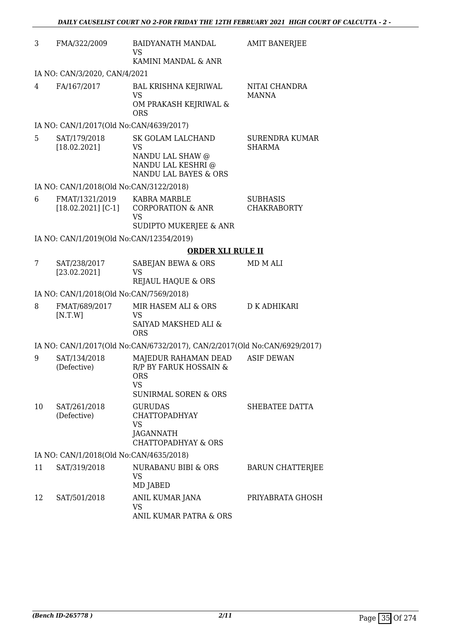| 3  | FMA/322/2009                             | <b>BAIDYANATH MANDAL</b><br><b>VS</b>                                                                 | <b>AMIT BANERJEE</b>                   |
|----|------------------------------------------|-------------------------------------------------------------------------------------------------------|----------------------------------------|
|    | IA NO: CAN/3/2020, CAN/4/2021            | KAMINI MANDAL & ANR                                                                                   |                                        |
| 4  | FA/167/2017                              | <b>BAL KRISHNA KEJRIWAL</b>                                                                           | NITAI CHANDRA                          |
|    |                                          | <b>VS</b><br>OM PRAKASH KEJRIWAL &<br><b>ORS</b>                                                      | <b>MANNA</b>                           |
|    | IA NO: CAN/1/2017(Old No:CAN/4639/2017)  |                                                                                                       |                                        |
| 5  | SAT/179/2018<br>[18.02.2021]             | SK GOLAM LALCHAND<br>VS<br>NANDU LAL SHAW @<br>NANDU LAL KESHRI @<br>NANDU LAL BAYES & ORS            | <b>SURENDRA KUMAR</b><br><b>SHARMA</b> |
|    | IA NO: CAN/1/2018(Old No:CAN/3122/2018)  |                                                                                                       |                                        |
| 6  | FMAT/1321/2019<br>$[18.02.2021] [C-1]$   | <b>KABRA MARBLE</b><br><b>CORPORATION &amp; ANR</b><br>VS<br>SUDIPTO MUKERJEE & ANR                   | <b>SUBHASIS</b><br><b>CHAKRABORTY</b>  |
|    | IA NO: CAN/1/2019(Old No:CAN/12354/2019) |                                                                                                       |                                        |
|    |                                          | <b>ORDER XLI RULE II</b>                                                                              |                                        |
| 7  | SAT/238/2017                             | SABEJAN BEWA & ORS                                                                                    | MD M ALI                               |
|    | [23.02.2021]                             | VS<br>REJAUL HAQUE & ORS                                                                              |                                        |
|    | IA NO: CAN/1/2018(Old No:CAN/7569/2018)  |                                                                                                       |                                        |
| 8  | FMAT/689/2017                            | MIR HASEM ALI & ORS                                                                                   | <b>D K ADHIKARI</b>                    |
|    | [N.T.W]                                  | <b>VS</b><br><b>SAIYAD MAKSHED ALI &amp;</b><br><b>ORS</b>                                            |                                        |
|    |                                          | IA NO: CAN/1/2017(Old No:CAN/6732/2017), CAN/2/2017(Old No:CAN/6929/2017)                             |                                        |
| 9  | SAT/134/2018<br>(Defective)              | MAJEDUR RAHAMAN DEAD<br>R/P BY FARUK HOSSAIN &<br><b>ORS</b><br>VS<br><b>SUNIRMAL SOREN &amp; ORS</b> | <b>ASIF DEWAN</b>                      |
| 10 | SAT/261/2018<br>(Defective)              | <b>GURUDAS</b><br><b>CHATTOPADHYAY</b><br><b>VS</b><br>JAGANNATH<br><b>CHATTOPADHYAY &amp; ORS</b>    | SHEBATEE DATTA                         |
|    | IA NO: CAN/1/2018(Old No:CAN/4635/2018)  |                                                                                                       |                                        |
| 11 | SAT/319/2018                             | NURABANU BIBI & ORS<br><b>VS</b><br>MD JABED                                                          | <b>BARUN CHATTERJEE</b>                |
| 12 | SAT/501/2018                             | ANIL KUMAR JANA<br><b>VS</b><br>ANIL KUMAR PATRA & ORS                                                | PRIYABRATA GHOSH                       |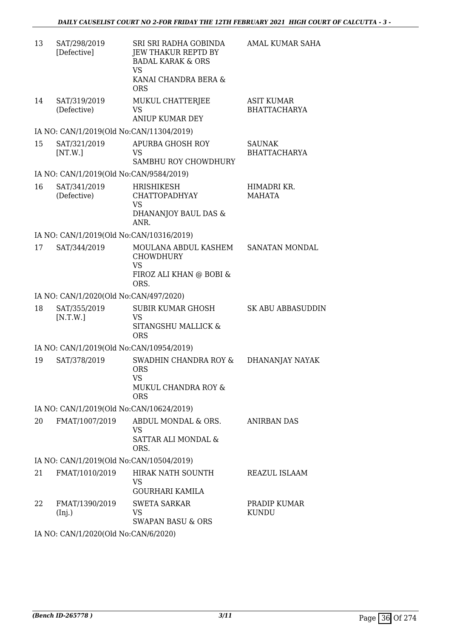| 13 | SAT/298/2019<br>[Defective]              | SRI SRI RADHA GOBINDA<br><b>JEW THAKUR REPTD BY</b><br><b>BADAL KARAK &amp; ORS</b><br><b>VS</b><br>KANAI CHANDRA BERA &<br><b>ORS</b> | AMAL KUMAR SAHA                          |
|----|------------------------------------------|----------------------------------------------------------------------------------------------------------------------------------------|------------------------------------------|
| 14 | SAT/319/2019<br>(Defective)              | MUKUL CHATTERJEE<br>VS<br><b>ANIUP KUMAR DEY</b>                                                                                       | <b>ASIT KUMAR</b><br><b>BHATTACHARYA</b> |
|    | IA NO: CAN/1/2019(Old No:CAN/11304/2019) |                                                                                                                                        |                                          |
| 15 | SAT/321/2019<br>[NT.W.]                  | APURBA GHOSH ROY<br>VS.<br>SAMBHU ROY CHOWDHURY                                                                                        | <b>SAUNAK</b><br><b>BHATTACHARYA</b>     |
|    | IA NO: CAN/1/2019(Old No:CAN/9584/2019)  |                                                                                                                                        |                                          |
| 16 | SAT/341/2019<br>(Defective)              | HRISHIKESH<br><b>CHATTOPADHYAY</b><br><b>VS</b><br>DHANANJOY BAUL DAS &<br>ANR.                                                        | HIMADRI KR.<br><b>MAHATA</b>             |
|    | IA NO: CAN/1/2019(Old No:CAN/10316/2019) |                                                                                                                                        |                                          |
| 17 | SAT/344/2019                             | MOULANA ABDUL KASHEM<br><b>CHOWDHURY</b><br><b>VS</b><br>FIROZ ALI KHAN @ BOBI &<br>ORS.                                               | <b>SANATAN MONDAL</b>                    |
|    | IA NO: CAN/1/2020(Old No:CAN/497/2020)   |                                                                                                                                        |                                          |
| 18 | SAT/355/2019<br>[N.T.W.]                 | <b>SUBIR KUMAR GHOSH</b><br><b>VS</b><br>SITANGSHU MALLICK &<br><b>ORS</b>                                                             | <b>SK ABU ABBASUDDIN</b>                 |
|    | IA NO: CAN/1/2019(Old No:CAN/10954/2019) |                                                                                                                                        |                                          |
| 19 | SAT/378/2019                             | SWADHIN CHANDRA ROY &<br><b>ORS</b><br>VS<br>MUKUL CHANDRA ROY &<br><b>ORS</b>                                                         | DHANANJAY NAYAK                          |
|    | IA NO: CAN/1/2019(Old No:CAN/10624/2019) |                                                                                                                                        |                                          |
| 20 | FMAT/1007/2019                           | ABDUL MONDAL & ORS.<br><b>VS</b><br>SATTAR ALI MONDAL &<br>ORS.                                                                        | <b>ANIRBAN DAS</b>                       |
|    | IA NO: CAN/1/2019(Old No:CAN/10504/2019) |                                                                                                                                        |                                          |
| 21 | FMAT/1010/2019                           | <b>HIRAK NATH SOUNTH</b><br>VS<br>GOURHARI KAMILA                                                                                      | REAZUL ISLAAM                            |
| 22 | FMAT/1390/2019<br>(Inj.)                 | <b>SWETA SARKAR</b><br>VS<br><b>SWAPAN BASU &amp; ORS</b>                                                                              | PRADIP KUMAR<br><b>KUNDU</b>             |
|    |                                          |                                                                                                                                        |                                          |

IA NO: CAN/1/2020(Old No:CAN/6/2020)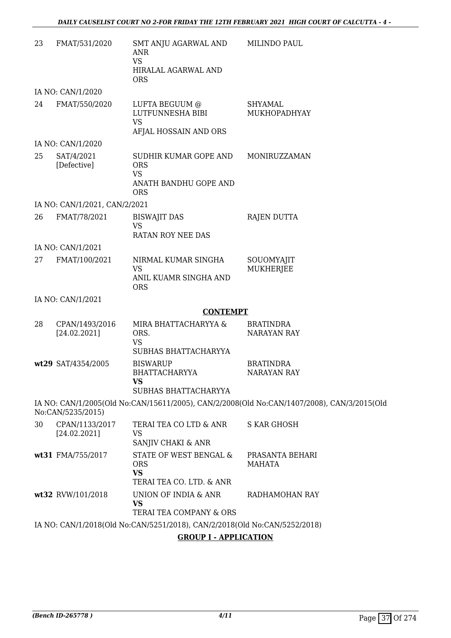| 23 | FMAT/531/2020                  | SMT ANJU AGARWAL AND<br><b>ANR</b><br><b>VS</b><br>HIRALAL AGARWAL AND<br><b>ORS</b>    | MILINDO PAUL                                                                               |
|----|--------------------------------|-----------------------------------------------------------------------------------------|--------------------------------------------------------------------------------------------|
|    | IA NO: CAN/1/2020              |                                                                                         |                                                                                            |
| 24 | FMAT/550/2020                  | LUFTA BEGUUM @<br>LUTFUNNESHA BIBI<br><b>VS</b><br>AFJAL HOSSAIN AND ORS                | <b>SHYAMAL</b><br>MUKHOPADHYAY                                                             |
|    | IA NO: CAN/1/2020              |                                                                                         |                                                                                            |
| 25 | SAT/4/2021<br>[Defective]      | SUDHIR KUMAR GOPE AND<br><b>ORS</b><br><b>VS</b><br>ANATH BANDHU GOPE AND<br><b>ORS</b> | MONIRUZZAMAN                                                                               |
|    | IA NO: CAN/1/2021, CAN/2/2021  |                                                                                         |                                                                                            |
| 26 | FMAT/78/2021                   | <b>BISWAJIT DAS</b><br><b>VS</b><br><b>RATAN ROY NEE DAS</b>                            | <b>RAJEN DUTTA</b>                                                                         |
|    | IA NO: CAN/1/2021              |                                                                                         |                                                                                            |
| 27 | FMAT/100/2021                  | NIRMAL KUMAR SINGHA<br><b>VS</b><br>ANIL KUAMR SINGHA AND<br><b>ORS</b>                 | SOUOMYAJIT<br><b>MUKHERJEE</b>                                                             |
|    | IA NO: CAN/1/2021              |                                                                                         |                                                                                            |
|    |                                | <b>CONTEMPT</b>                                                                         |                                                                                            |
| 28 | CPAN/1493/2016<br>[24.02.2021] | MIRA BHATTACHARYYA &<br>ORS.<br><b>VS</b><br>SUBHAS BHATTACHARYYA                       | <b>BRATINDRA</b><br><b>NARAYAN RAY</b>                                                     |
|    | wt29 SAT/4354/2005             | <b>BISWARUP</b><br><b>BHATTACHARYYA</b><br><b>VS</b><br>SUBHAS BHATTACHARYYA            | <b>BRATINDRA</b><br>NARAYAN RAY                                                            |
|    | No:CAN/5235/2015)              |                                                                                         | IA NO: CAN/1/2005(Old No:CAN/15611/2005), CAN/2/2008(Old No:CAN/1407/2008), CAN/3/2015(Old |
| 30 | CPAN/1133/2017<br>[24.02.2021] | TERAI TEA CO LTD & ANR<br>VS<br>SANJIV CHAKI & ANR                                      | <b>S KAR GHOSH</b>                                                                         |
|    | wt31 FMA/755/2017              | STATE OF WEST BENGAL &<br><b>ORS</b><br><b>VS</b><br>TERAI TEA CO. LTD. & ANR           | PRASANTA BEHARI<br>MAHATA                                                                  |
|    | wt32 RVW/101/2018              | UNION OF INDIA & ANR<br><b>VS</b><br>TERAI TEA COMPANY & ORS                            | RADHAMOHAN RAY                                                                             |
|    |                                | IA NO: CAN/1/2018(Old No:CAN/5251/2018), CAN/2/2018(Old No:CAN/5252/2018)               |                                                                                            |

**GROUP I - APPLICATION**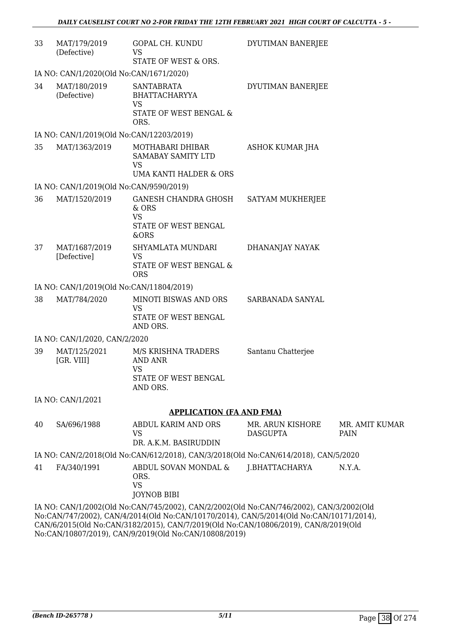| 33 | MAT/179/2019<br>(Defective)              | GOPAL CH. KUNDU<br><b>VS</b>                                                                                                                                                       | DYUTIMAN BANERJEE                   |                        |
|----|------------------------------------------|------------------------------------------------------------------------------------------------------------------------------------------------------------------------------------|-------------------------------------|------------------------|
|    |                                          | STATE OF WEST & ORS.                                                                                                                                                               |                                     |                        |
|    | IA NO: CAN/1/2020(Old No:CAN/1671/2020)  |                                                                                                                                                                                    |                                     |                        |
| 34 | MAT/180/2019<br>(Defective)              | <b>SANTABRATA</b><br><b>BHATTACHARYYA</b><br><b>VS</b><br>STATE OF WEST BENGAL &                                                                                                   | DYUTIMAN BANERJEE                   |                        |
|    |                                          | ORS.                                                                                                                                                                               |                                     |                        |
|    | IA NO: CAN/1/2019(Old No:CAN/12203/2019) |                                                                                                                                                                                    |                                     |                        |
| 35 | MAT/1363/2019                            | MOTHABARI DHIBAR<br>SAMABAY SAMITY LTD<br><b>VS</b>                                                                                                                                | ASHOK KUMAR JHA                     |                        |
|    |                                          | UMA KANTI HALDER & ORS                                                                                                                                                             |                                     |                        |
|    | IA NO: CAN/1/2019(Old No:CAN/9590/2019)  |                                                                                                                                                                                    |                                     |                        |
| 36 | MAT/1520/2019                            | GANESH CHANDRA GHOSH<br>& ORS<br><b>VS</b><br>STATE OF WEST BENGAL<br>&ORS                                                                                                         | SATYAM MUKHERJEE                    |                        |
| 37 | MAT/1687/2019<br>[Defective]             | SHYAMLATA MUNDARI<br><b>VS</b><br>STATE OF WEST BENGAL &<br><b>ORS</b>                                                                                                             | DHANANJAY NAYAK                     |                        |
|    | IA NO: CAN/1/2019(Old No:CAN/11804/2019) |                                                                                                                                                                                    |                                     |                        |
| 38 | MAT/784/2020                             | MINOTI BISWAS AND ORS<br><b>VS</b><br>STATE OF WEST BENGAL<br>AND ORS.                                                                                                             | SARBANADA SANYAL                    |                        |
|    | IA NO: CAN/1/2020, CAN/2/2020            |                                                                                                                                                                                    |                                     |                        |
| 39 | MAT/125/2021<br>[GR. VIII]               | M/S KRISHNA TRADERS<br><b>AND ANR</b><br><b>VS</b><br>STATE OF WEST BENGAL<br>AND ORS.                                                                                             | Santanu Chatterjee                  |                        |
|    | IA NO: CAN/1/2021                        |                                                                                                                                                                                    |                                     |                        |
|    |                                          | <b>APPLICATION (FA AND FMA)</b>                                                                                                                                                    |                                     |                        |
| 40 | SA/696/1988                              | ABDUL KARIM AND ORS<br><b>VS</b><br>DR. A.K.M. BASIRUDDIN                                                                                                                          | MR. ARUN KISHORE<br><b>DASGUPTA</b> | MR. AMIT KUMAR<br>PAIN |
|    |                                          | IA NO: CAN/2/2018(Old No:CAN/612/2018), CAN/3/2018(Old No:CAN/614/2018), CAN/5/2020                                                                                                |                                     |                        |
| 41 | FA/340/1991                              | ABDUL SOVAN MONDAL &<br>ORS.<br><b>VS</b><br><b>JOYNOB BIBI</b>                                                                                                                    | J.BHATTACHARYA                      | N.Y.A.                 |
|    |                                          | IA NO: CAN/1/2002(Old No:CAN/745/2002), CAN/2/2002(Old No:CAN/746/2002), CAN/3/2002(Old<br>No:CAN/747/2002), CAN/4/2014(Old No:CAN/10170/2014), CAN/5/2014(Old No:CAN/10171/2014), |                                     |                        |

No:CAN/747/2002), CAN/4/2014(Old No:CAN/10170/2014), CAN/5/2014(Old No:CAN/10171/2014), CAN/6/2015(Old No:CAN/3182/2015), CAN/7/2019(Old No:CAN/10806/2019), CAN/8/2019(Old No:CAN/10807/2019), CAN/9/2019(Old No:CAN/10808/2019)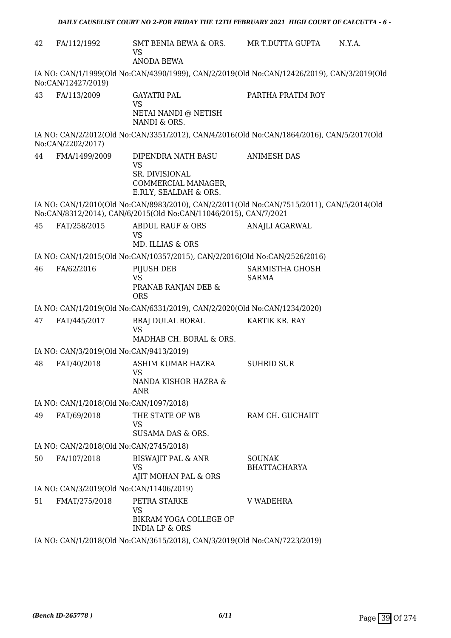| 42 | FA/112/1992                              | SMT BENIA BEWA & ORS.<br><b>VS</b><br><b>ANODA BEWA</b>                                           | MR T.DUTTA GUPTA<br>N.Y.A.                                                                 |  |  |  |
|----|------------------------------------------|---------------------------------------------------------------------------------------------------|--------------------------------------------------------------------------------------------|--|--|--|
|    | No:CAN/12427/2019)                       |                                                                                                   | IA NO: CAN/1/1999(Old No:CAN/4390/1999), CAN/2/2019(Old No:CAN/12426/2019), CAN/3/2019(Old |  |  |  |
| 43 | FA/113/2009                              | <b>GAYATRI PAL</b><br><b>VS</b><br>NETAI NANDI @ NETISH<br>NANDI & ORS.                           | PARTHA PRATIM ROY                                                                          |  |  |  |
|    | No:CAN/2202/2017)                        |                                                                                                   | IA NO: CAN/2/2012(Old No:CAN/3351/2012), CAN/4/2016(Old No:CAN/1864/2016), CAN/5/2017(Old  |  |  |  |
| 44 | FMA/1499/2009                            | DIPENDRA NATH BASU<br><b>VS</b><br>SR. DIVISIONAL<br>COMMERCIAL MANAGER,<br>E.RLY, SEALDAH & ORS. | <b>ANIMESH DAS</b>                                                                         |  |  |  |
|    |                                          | No:CAN/8312/2014), CAN/6/2015(Old No:CAN/11046/2015), CAN/7/2021                                  | IA NO: CAN/1/2010(Old No:CAN/8983/2010), CAN/2/2011(Old No:CAN/7515/2011), CAN/5/2014(Old  |  |  |  |
| 45 | FAT/258/2015                             | ABDUL RAUF & ORS<br><b>VS</b><br>MD. ILLIAS & ORS                                                 | ANAJLI AGARWAL                                                                             |  |  |  |
|    |                                          | IA NO: CAN/1/2015(Old No:CAN/10357/2015), CAN/2/2016(Old No:CAN/2526/2016)                        |                                                                                            |  |  |  |
| 46 | FA/62/2016                               | PIJUSH DEB<br><b>VS</b><br>PRANAB RANJAN DEB &<br><b>ORS</b>                                      | SARMISTHA GHOSH<br><b>SARMA</b>                                                            |  |  |  |
|    |                                          | IA NO: CAN/1/2019(Old No:CAN/6331/2019), CAN/2/2020(Old No:CAN/1234/2020)                         |                                                                                            |  |  |  |
| 47 | FAT/445/2017                             | BRAJ DULAL BORAL<br><b>VS</b><br>MADHAB CH. BORAL & ORS.                                          | KARTIK KR. RAY                                                                             |  |  |  |
|    | IA NO: CAN/3/2019(Old No:CAN/9413/2019)  |                                                                                                   |                                                                                            |  |  |  |
| 48 | FAT/40/2018                              | ASHIM KUMAR HAZRA<br>VS<br>NANDA KISHOR HAZRA &<br>ANR                                            | <b>SUHRID SUR</b>                                                                          |  |  |  |
|    | IA NO: CAN/1/2018(Old No:CAN/1097/2018)  |                                                                                                   |                                                                                            |  |  |  |
| 49 | FAT/69/2018                              | THE STATE OF WB<br><b>VS</b><br>SUSAMA DAS & ORS.                                                 | RAM CH. GUCHAIIT                                                                           |  |  |  |
|    | IA NO: CAN/2/2018(Old No:CAN/2745/2018)  |                                                                                                   |                                                                                            |  |  |  |
| 50 | FA/107/2018                              | <b>BISWAJIT PAL &amp; ANR</b><br><b>VS</b><br>AJIT MOHAN PAL & ORS                                | <b>SOUNAK</b><br><b>BHATTACHARYA</b>                                                       |  |  |  |
|    | IA NO: CAN/3/2019(Old No:CAN/11406/2019) |                                                                                                   |                                                                                            |  |  |  |
| 51 | FMAT/275/2018                            | PETRA STARKE<br><b>VS</b><br>BIKRAM YOGA COLLEGE OF<br><b>INDIA LP &amp; ORS</b>                  | <b>V WADEHRA</b>                                                                           |  |  |  |

IA NO: CAN/1/2018(Old No:CAN/3615/2018), CAN/3/2019(Old No:CAN/7223/2019)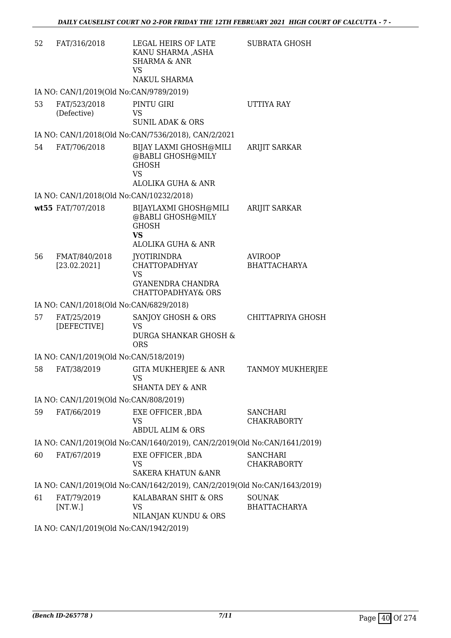| 52 | FAT/316/2018                             | LEGAL HEIRS OF LATE<br>KANU SHARMA ,ASHA<br><b>SHARMA &amp; ANR</b><br><b>VS</b><br>NAKUL SHARMA                     | <b>SUBRATA GHOSH</b>                  |
|----|------------------------------------------|----------------------------------------------------------------------------------------------------------------------|---------------------------------------|
|    | IA NO: CAN/1/2019(Old No:CAN/9789/2019)  |                                                                                                                      |                                       |
| 53 | FAT/523/2018<br>(Defective)              | PINTU GIRI<br><b>VS</b><br><b>SUNIL ADAK &amp; ORS</b>                                                               | UTTIYA RAY                            |
|    |                                          | IA NO: CAN/1/2018(Old No:CAN/7536/2018), CAN/2/2021                                                                  |                                       |
| 54 | FAT/706/2018                             | BIJAY LAXMI GHOSH@MILI<br>@BABLI GHOSH@MILY<br><b>GHOSH</b><br><b>VS</b><br>ALOLIKA GUHA & ANR                       | <b>ARIJIT SARKAR</b>                  |
|    | IA NO: CAN/1/2018(Old No:CAN/10232/2018) |                                                                                                                      |                                       |
|    | wt55 FAT/707/2018                        | BIJAYLAXMI GHOSH@MILI<br>@BABLI GHOSH@MILY<br><b>GHOSH</b><br><b>VS</b><br><b>ALOLIKA GUHA &amp; ANR</b>             | <b>ARIJIT SARKAR</b>                  |
| 56 | FMAT/840/2018<br>[23.02.2021]            | <b>JYOTIRINDRA</b><br><b>CHATTOPADHYAY</b><br><b>VS</b><br><b>GYANENDRA CHANDRA</b><br><b>CHATTOPADHYAY&amp; ORS</b> | <b>AVIROOP</b><br><b>BHATTACHARYA</b> |
|    | IA NO: CAN/1/2018(Old No:CAN/6829/2018)  |                                                                                                                      |                                       |
| 57 | FAT/25/2019<br>[DEFECTIVE]               | SANJOY GHOSH & ORS<br><b>VS</b><br><b>DURGA SHANKAR GHOSH &amp;</b><br><b>ORS</b>                                    | CHITTAPRIYA GHOSH                     |
|    | IA NO: CAN/1/2019(Old No:CAN/518/2019)   |                                                                                                                      |                                       |
| 58 | FAT/38/2019                              | <b>GITA MUKHERJEE &amp; ANR</b><br>VS<br>SHANTA DEY & ANR                                                            | <b>TANMOY MUKHERJEE</b>               |
|    | IA NO: CAN/1/2019(Old No:CAN/808/2019)   |                                                                                                                      |                                       |
| 59 | FAT/66/2019                              | EXE OFFICER , BDA<br>VS<br><b>ABDUL ALIM &amp; ORS</b>                                                               | <b>SANCHARI</b><br><b>CHAKRABORTY</b> |
|    |                                          | IA NO: CAN/1/2019(Old No:CAN/1640/2019), CAN/2/2019(Old No:CAN/1641/2019)                                            |                                       |
| 60 | FAT/67/2019                              | EXE OFFICER, BDA<br>VS<br><b>SAKERA KHATUN &amp; ANR</b>                                                             | <b>SANCHARI</b><br><b>CHAKRABORTY</b> |
|    |                                          | IA NO: CAN/1/2019(Old No:CAN/1642/2019), CAN/2/2019(Old No:CAN/1643/2019)                                            |                                       |
| 61 | FAT/79/2019<br>[NT.W.]                   | KALABARAN SHIT & ORS<br>VS<br>NILANJAN KUNDU & ORS                                                                   | <b>SOUNAK</b><br><b>BHATTACHARYA</b>  |
|    |                                          |                                                                                                                      |                                       |

IA NO: CAN/1/2019(Old No:CAN/1942/2019)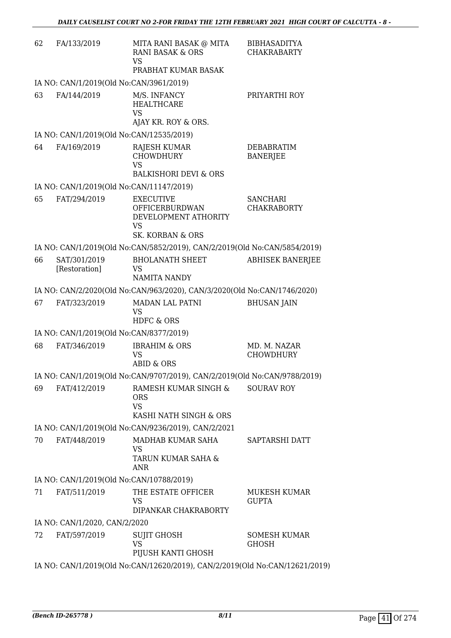| 62 | FA/133/2019                              | MITA RANI BASAK @ MITA<br><b>RANI BASAK &amp; ORS</b><br><b>VS</b>                                            | <b>BIBHASADITYA</b><br><b>CHAKRABARTY</b> |
|----|------------------------------------------|---------------------------------------------------------------------------------------------------------------|-------------------------------------------|
|    | IA NO: CAN/1/2019(Old No:CAN/3961/2019)  | PRABHAT KUMAR BASAK                                                                                           |                                           |
| 63 | FA/144/2019                              | M/S. INFANCY<br><b>HEALTHCARE</b><br><b>VS</b>                                                                | PRIYARTHI ROY                             |
|    |                                          | AJAY KR. ROY & ORS.                                                                                           |                                           |
|    | IA NO: CAN/1/2019(Old No:CAN/12535/2019) |                                                                                                               |                                           |
| 64 | FA/169/2019                              | <b>RAJESH KUMAR</b><br><b>CHOWDHURY</b><br><b>VS</b><br><b>BALKISHORI DEVI &amp; ORS</b>                      | <b>DEBABRATIM</b><br><b>BANERJEE</b>      |
|    | IA NO: CAN/1/2019(Old No:CAN/11147/2019) |                                                                                                               |                                           |
| 65 | FAT/294/2019                             | <b>EXECUTIVE</b><br><b>OFFICERBURDWAN</b><br>DEVELOPMENT ATHORITY<br><b>VS</b><br><b>SK. KORBAN &amp; ORS</b> | <b>SANCHARI</b><br><b>CHAKRABORTY</b>     |
|    |                                          | IA NO: CAN/1/2019(Old No:CAN/5852/2019), CAN/2/2019(Old No:CAN/5854/2019)                                     |                                           |
| 66 | SAT/301/2019<br>[Restoration]            | <b>BHOLANATH SHEET</b><br><b>VS</b><br><b>NAMITA NANDY</b>                                                    | <b>ABHISEK BANERJEE</b>                   |
|    |                                          | IA NO: CAN/2/2020(Old No:CAN/963/2020), CAN/3/2020(Old No:CAN/1746/2020)                                      |                                           |
| 67 | FAT/323/2019                             | <b>MADAN LAL PATNI</b><br><b>VS</b><br><b>HDFC &amp; ORS</b>                                                  | <b>BHUSAN JAIN</b>                        |
|    | IA NO: CAN/1/2019(Old No:CAN/8377/2019)  |                                                                                                               |                                           |
| 68 | FAT/346/2019                             | <b>IBRAHIM &amp; ORS</b><br><b>VS</b><br><b>ABID &amp; ORS</b>                                                | MD. M. NAZAR<br><b>CHOWDHURY</b>          |
|    |                                          | IA NO: CAN/1/2019(Old No:CAN/9707/2019), CAN/2/2019(Old No:CAN/9788/2019)                                     |                                           |
| 69 | FAT/412/2019                             | RAMESH KUMAR SINGH &<br><b>ORS</b><br><b>VS</b><br>KASHI NATH SINGH & ORS                                     | <b>SOURAV ROY</b>                         |
|    |                                          | IA NO: CAN/1/2019(Old No:CAN/9236/2019), CAN/2/2021                                                           |                                           |
| 70 | FAT/448/2019                             | MADHAB KUMAR SAHA<br><b>VS</b><br>TARUN KUMAR SAHA &<br>ANR                                                   | SAPTARSHI DATT                            |
|    | IA NO: CAN/1/2019(Old No:CAN/10788/2019) |                                                                                                               |                                           |
| 71 | FAT/511/2019                             | THE ESTATE OFFICER<br><b>VS</b><br>DIPANKAR CHAKRABORTY                                                       | MUKESH KUMAR<br><b>GUPTA</b>              |
|    | IA NO: CAN/1/2020, CAN/2/2020            |                                                                                                               |                                           |
| 72 | FAT/597/2019                             | <b>SUJIT GHOSH</b><br><b>VS</b><br>PIJUSH KANTI GHOSH                                                         | <b>SOMESH KUMAR</b><br><b>GHOSH</b>       |
|    |                                          | IA NO: CAN/1/2019(Old No:CAN/12620/2019), CAN/2/2019(Old No:CAN/12621/2019)                                   |                                           |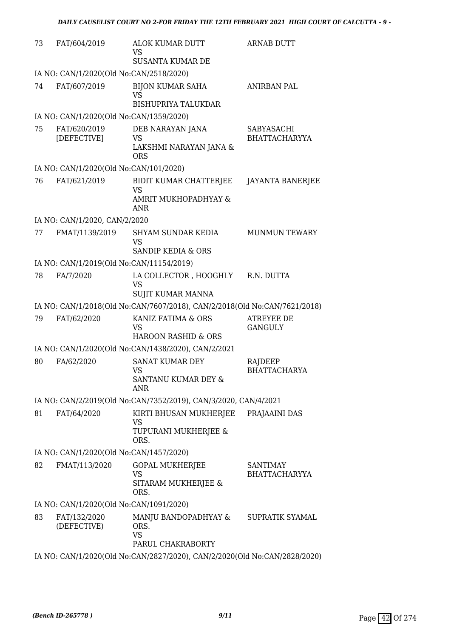| 73 | FAT/604/2019                                                              | <b>ALOK KUMAR DUTT</b><br>VS<br><b>SUSANTA KUMAR DE</b>                   | <b>ARNAB DUTT</b>                         |  |  |
|----|---------------------------------------------------------------------------|---------------------------------------------------------------------------|-------------------------------------------|--|--|
|    | IA NO: CAN/1/2020(Old No:CAN/2518/2020)                                   |                                                                           |                                           |  |  |
| 74 | FAT/607/2019                                                              | <b>BIJON KUMAR SAHA</b><br>VS<br><b>BISHUPRIYA TALUKDAR</b>               | <b>ANIRBAN PAL</b>                        |  |  |
|    | IA NO: CAN/1/2020(Old No:CAN/1359/2020)                                   |                                                                           |                                           |  |  |
| 75 | FAT/620/2019<br>[DEFECTIVE]                                               | DEB NARAYAN JANA<br><b>VS</b><br>LAKSHMI NARAYAN JANA &<br><b>ORS</b>     | <b>SABYASACHI</b><br><b>BHATTACHARYYA</b> |  |  |
|    | IA NO: CAN/1/2020(Old No:CAN/101/2020)                                    |                                                                           |                                           |  |  |
| 76 | FAT/621/2019                                                              | BIDIT KUMAR CHATTERJEE<br>VS<br>AMRIT MUKHOPADHYAY &<br>ANR               | <b>JAYANTA BANERJEE</b>                   |  |  |
|    | IA NO: CAN/1/2020, CAN/2/2020                                             |                                                                           |                                           |  |  |
| 77 | FMAT/1139/2019                                                            | SHYAM SUNDAR KEDIA<br><b>VS</b><br><b>SANDIP KEDIA &amp; ORS</b>          | <b>MUNMUN TEWARY</b>                      |  |  |
|    | IA NO: CAN/1/2019(Old No:CAN/11154/2019)                                  |                                                                           |                                           |  |  |
| 78 | FA/7/2020                                                                 | LA COLLECTOR , HOOGHLY<br><b>VS</b><br>SUJIT KUMAR MANNA                  | R.N. DUTTA                                |  |  |
|    |                                                                           | IA NO: CAN/1/2018(Old No:CAN/7607/2018), CAN/2/2018(Old No:CAN/7621/2018) |                                           |  |  |
| 79 | FAT/62/2020                                                               | KANIZ FATIMA & ORS<br><b>VS</b><br><b>HAROON RASHID &amp; ORS</b>         | <b>ATREYEE DE</b><br><b>GANGULY</b>       |  |  |
|    |                                                                           | IA NO: CAN/1/2020(Old No:CAN/1438/2020), CAN/2/2021                       |                                           |  |  |
| 80 | FA/62/2020                                                                | <b>SANAT KUMAR DEY</b><br>VS<br>SANTANU KUMAR DEY &<br>ANR                | RAJDEEP<br><b>BHATTACHARYA</b>            |  |  |
|    |                                                                           | IA NO: CAN/2/2019(Old No:CAN/7352/2019), CAN/3/2020, CAN/4/2021           |                                           |  |  |
| 81 | FAT/64/2020                                                               | KIRTI BHUSAN MUKHERJEE<br>VS<br>TUPURANI MUKHERJEE &<br>ORS.              | PRAJAAINI DAS                             |  |  |
|    | IA NO: CAN/1/2020(Old No:CAN/1457/2020)                                   |                                                                           |                                           |  |  |
| 82 | FMAT/113/2020                                                             | <b>GOPAL MUKHERJEE</b><br><b>VS</b><br>SITARAM MUKHERJEE &<br>ORS.        | <b>SANTIMAY</b><br><b>BHATTACHARYYA</b>   |  |  |
|    | IA NO: CAN/1/2020(Old No:CAN/1091/2020)                                   |                                                                           |                                           |  |  |
| 83 | FAT/132/2020<br>(DEFECTIVE)                                               | MANJU BANDOPADHYAY &<br>ORS.<br><b>VS</b><br>PARUL CHAKRABORTY            | SUPRATIK SYAMAL                           |  |  |
|    | IA NO: CAN/1/2020(Old No:CAN/2827/2020), CAN/2/2020(Old No:CAN/2828/2020) |                                                                           |                                           |  |  |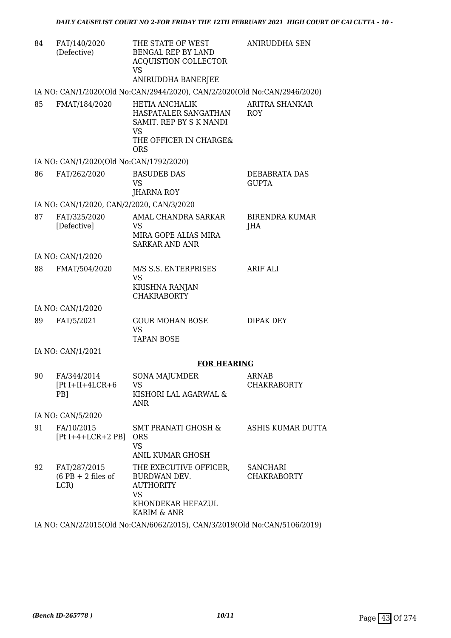| 84 | FAT/140/2020<br>(Defective)                          | THE STATE OF WEST<br><b>BENGAL REP BY LAND</b><br><b>ACQUISTION COLLECTOR</b><br>VS<br>ANIRUDDHA BANERJEE                     | <b>ANIRUDDHA SEN</b>                  |
|----|------------------------------------------------------|-------------------------------------------------------------------------------------------------------------------------------|---------------------------------------|
|    |                                                      | IA NO: CAN/1/2020(Old No:CAN/2944/2020), CAN/2/2020(Old No:CAN/2946/2020)                                                     |                                       |
| 85 | FMAT/184/2020                                        | <b>HETIA ANCHALIK</b><br>HASPATALER SANGATHAN<br>SAMIT. REP BY S K NANDI<br><b>VS</b><br>THE OFFICER IN CHARGE&<br><b>ORS</b> | <b>ARITRA SHANKAR</b><br><b>ROY</b>   |
|    | IA NO: CAN/1/2020(Old No:CAN/1792/2020)              |                                                                                                                               |                                       |
| 86 | FAT/262/2020                                         | <b>BASUDEB DAS</b><br><b>VS</b><br>JHARNA ROY                                                                                 | DEBABRATA DAS<br><b>GUPTA</b>         |
|    | IA NO: CAN/1/2020, CAN/2/2020, CAN/3/2020            |                                                                                                                               |                                       |
| 87 | FAT/325/2020<br>[Defective]                          | AMAL CHANDRA SARKAR<br>VS<br>MIRA GOPE ALIAS MIRA<br><b>SARKAR AND ANR</b>                                                    | <b>BIRENDRA KUMAR</b><br>JHA          |
|    | IA NO: CAN/1/2020                                    |                                                                                                                               |                                       |
| 88 | FMAT/504/2020                                        | M/S S.S. ENTERPRISES<br><b>VS</b><br>KRISHNA RANJAN<br><b>CHAKRABORTY</b>                                                     | <b>ARIF ALI</b>                       |
|    | IA NO: CAN/1/2020                                    |                                                                                                                               |                                       |
| 89 | FAT/5/2021                                           | <b>GOUR MOHAN BOSE</b><br><b>VS</b><br><b>TAPAN BOSE</b>                                                                      | DIPAK DEY                             |
|    | IA NO: CAN/1/2021                                    |                                                                                                                               |                                       |
|    |                                                      | <b>FOR HEARING</b>                                                                                                            |                                       |
| 90 | FA/344/2014<br>$[Pt I+II+4LCR+6]$<br>PB <sub>1</sub> | SONA MAJUMDER<br>VS<br>KISHORI LAL AGARWAL &<br>ANR                                                                           | <b>ARNAB</b><br><b>CHAKRABORTY</b>    |
|    | IA NO: CAN/5/2020                                    |                                                                                                                               |                                       |
| 91 | FA/10/2015<br>$[Pt I+4+LCR+2 PB]$ ORS                | SMT PRANATI GHOSH &<br><b>VS</b><br><b>ANIL KUMAR GHOSH</b>                                                                   | ASHIS KUMAR DUTTA                     |
| 92 | FAT/287/2015<br>$(6$ PB + 2 files of<br>LCR)         | THE EXECUTIVE OFFICER,<br>BURDWAN DEV.<br><b>AUTHORITY</b><br>VS<br>KHONDEKAR HEFAZUL<br>KARIM & ANR                          | <b>SANCHARI</b><br><b>CHAKRABORTY</b> |

IA NO: CAN/2/2015(Old No:CAN/6062/2015), CAN/3/2019(Old No:CAN/5106/2019)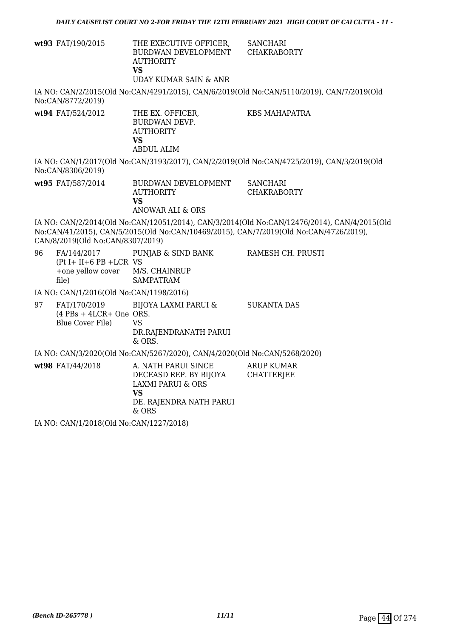| <b>wt93</b> FAT/190/2015 | THE EXECUTIVE OFFICER.<br>BURDWAN DEVELOPMENT<br><b>AUTHORITY</b><br>VS | SANCHARI<br>CHAKRABORTY |
|--------------------------|-------------------------------------------------------------------------|-------------------------|
|                          | UDAY KUMAR SAIN & ANR                                                   |                         |

IA NO: CAN/2/2015(Old No:CAN/4291/2015), CAN/6/2019(Old No:CAN/5110/2019), CAN/7/2019(Old No:CAN/8772/2019)

**wt94** FAT/524/2012 THE EX. OFFICER, BURDWAN DEVP. AUTHORITY **VS** ABDUL ALIM KBS MAHAPATRA

IA NO: CAN/1/2017(Old No:CAN/3193/2017), CAN/2/2019(Old No:CAN/4725/2019), CAN/3/2019(Old No:CAN/8306/2019)

**wt95** FAT/587/2014 BURDWAN DEVELOPMENT AUTHORITY **VS** ANOWAR ALI & ORS **SANCHARI** CHAKRABORTY

IA NO: CAN/2/2014(Old No:CAN/12051/2014), CAN/3/2014(Old No:CAN/12476/2014), CAN/4/2015(Old No:CAN/41/2015), CAN/5/2015(Old No:CAN/10469/2015), CAN/7/2019(Old No:CAN/4726/2019), CAN/8/2019(Old No:CAN/8307/2019)

RAMESH CH. PRUSTI

96 FA/144/2017  $(Pt I + II + 6 PB + LCR VS)$ +one yellow cover file) PUNJAB & SIND BANK M/S. CHAINRUP SAMPATRAM

IA NO: CAN/1/2016(Old No:CAN/1198/2016)

97 FAT/170/2019 (4 PBs + 4LCR+ One ORS. Blue Cover File) BIJOYA LAXMI PARUI & VS DR.RAJENDRANATH PARUI & ORS. SUKANTA DAS

IA NO: CAN/3/2020(Old No:CAN/5267/2020), CAN/4/2020(Old No:CAN/5268/2020)

wt98 FAT/44/2018 A. NATH PARUI SINCE DECEASD REP. BY BIJOYA LAXMI PARUI & ORS **VS** DE. RAJENDRA NATH PARUI & ORS ARUP KUMAR **CHATTERJEE** 

IA NO: CAN/1/2018(Old No:CAN/1227/2018)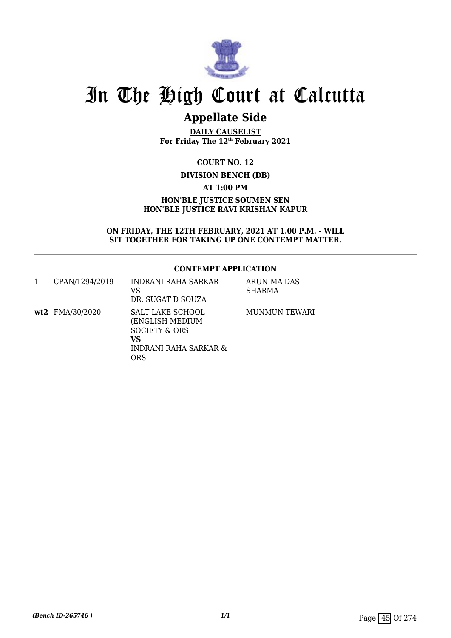

# **Appellate Side**

**DAILY CAUSELIST For Friday The 12th February 2021**

**COURT NO. 12 DIVISION BENCH (DB) AT 1:00 PM HON'BLE JUSTICE SOUMEN SEN HON'BLE JUSTICE RAVI KRISHAN KAPUR**

**ON FRIDAY, THE 12TH FEBRUARY, 2021 AT 1.00 P.M. - WILL SIT TOGETHER FOR TAKING UP ONE CONTEMPT MATTER.**

### **CONTEMPT APPLICATION**

| CPAN/1294/2019  | INDRANI RAHA SARKAR<br>VS<br>DR. SUGAT D SOUZA                                             | ARUNIMA DAS<br>SHARMA |
|-----------------|--------------------------------------------------------------------------------------------|-----------------------|
| wt2 FMA/30/2020 | SALT LAKE SCHOOL<br>(ENGLISH MEDIUM<br>SOCIETY & ORS<br>VS<br>INDRANI RAHA SARKAR &<br>ORS | MUNMUN TEWARI         |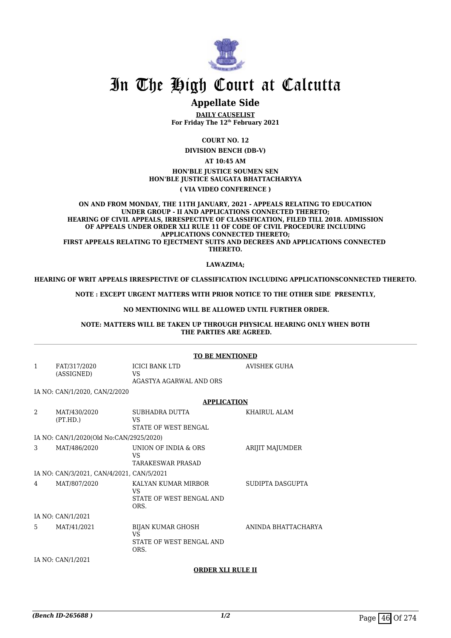

# **Appellate Side**

**DAILY CAUSELIST For Friday The 12th February 2021**

> **COURT NO. 12 DIVISION BENCH (DB-V)**

> > **AT 10:45 AM**

**HON'BLE JUSTICE SOUMEN SEN HON'BLE JUSTICE SAUGATA BHATTACHARYYA ( VIA VIDEO CONFERENCE )**

**ON AND FROM MONDAY, THE 11TH JANUARY, 2021 - APPEALS RELATING TO EDUCATION UNDER GROUP - II AND APPLICATIONS CONNECTED THERETO; HEARING OF CIVIL APPEALS, IRRESPECTIVE OF CLASSIFICATION, FILED TILL 2018. ADMISSION OF APPEALS UNDER ORDER XLI RULE 11 OF CODE OF CIVIL PROCEDURE INCLUDING APPLICATIONS CONNECTED THERETO; FIRST APPEALS RELATING TO EJECTMENT SUITS AND DECREES AND APPLICATIONS CONNECTED THERETO.**

#### **LAWAZIMA;**

**HEARING OF WRIT APPEALS IRRESPECTIVE OF CLASSIFICATION INCLUDING APPLICATIONSCONNECTED THERETO.**

**NOTE : EXCEPT URGENT MATTERS WITH PRIOR NOTICE TO THE OTHER SIDE PRESENTLY,**

#### **NO MENTIONING WILL BE ALLOWED UNTIL FURTHER ORDER.**

**NOTE: MATTERS WILL BE TAKEN UP THROUGH PHYSICAL HEARING ONLY WHEN BOTH THE PARTIES ARE AGREED.**

|                |                                           | <b>TO BE MENTIONED</b>                                             |                     |  |
|----------------|-------------------------------------------|--------------------------------------------------------------------|---------------------|--|
| $\mathbf{1}$   | FAT/317/2020                              | <b>ICICI BANK LTD</b>                                              | <b>AVISHEK GUHA</b> |  |
|                | (ASSIGNED)                                | VS.<br>AGASTYA AGARWAL AND ORS                                     |                     |  |
|                | IA NO: CAN/1/2020, CAN/2/2020             |                                                                    |                     |  |
|                |                                           | <b>APPLICATION</b>                                                 |                     |  |
| 2              | MAT/430/2020<br>(PT.HD.)                  | SUBHADRA DUTTA<br>VS.<br>STATE OF WEST BENGAL                      | KHAIRUL ALAM        |  |
|                | IA NO: CAN/1/2020(Old No:CAN/2925/2020)   |                                                                    |                     |  |
| 3              | MAT/486/2020                              | UNION OF INDIA & ORS<br><b>VS</b><br><b>TARAKESWAR PRASAD</b>      | ARIJIT MAJUMDER     |  |
|                | IA NO: CAN/3/2021, CAN/4/2021, CAN/5/2021 |                                                                    |                     |  |
| $\overline{4}$ | MAT/807/2020                              | KALYAN KUMAR MIRBOR<br>VS<br>STATE OF WEST BENGAL AND<br>ORS.      | SUDIPTA DASGUPTA    |  |
|                | IA NO: CAN/1/2021                         |                                                                    |                     |  |
| 5              | MAT/41/2021                               | BIJAN KUMAR GHOSH<br><b>VS</b><br>STATE OF WEST BENGAL AND<br>ORS. | ANINDA BHATTACHARYA |  |
|                | IA NO: CAN/1/2021                         |                                                                    |                     |  |

#### **ORDER XLI RULE II**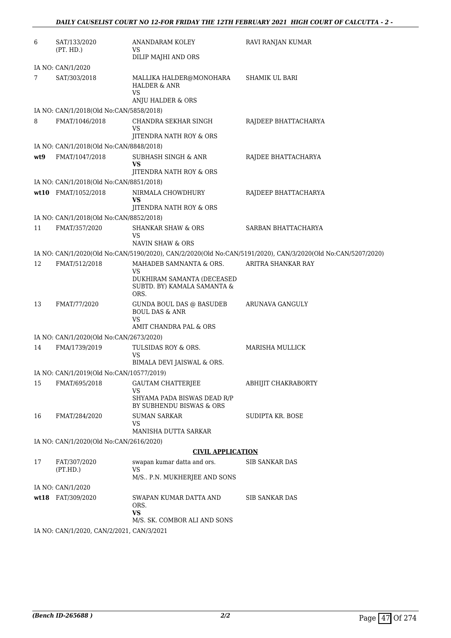| 6   | SAT/133/2020<br>(PT. HD.)                 | ANANDARAM KOLEY<br>VS.                                                                       | RAVI RANJAN KUMAR                                                                                           |
|-----|-------------------------------------------|----------------------------------------------------------------------------------------------|-------------------------------------------------------------------------------------------------------------|
|     |                                           | DILIP MAJHI AND ORS                                                                          |                                                                                                             |
|     | IA NO: CAN/1/2020                         |                                                                                              |                                                                                                             |
| 7   | SAT/303/2018                              | MALLIKA HALDER@MONOHARA<br><b>HALDER &amp; ANR</b><br><b>VS</b><br>ANJU HALDER & ORS         | SHAMIK UL BARI                                                                                              |
|     | IA NO: CAN/1/2018(Old No:CAN/5858/2018)   |                                                                                              |                                                                                                             |
| 8   | FMAT/1046/2018                            | CHANDRA SEKHAR SINGH                                                                         | RAJDEEP BHATTACHARYA                                                                                        |
|     |                                           | VS<br>JITENDRA NATH ROY & ORS                                                                |                                                                                                             |
|     | IA NO: CAN/1/2018(Old No:CAN/8848/2018)   |                                                                                              |                                                                                                             |
| wt9 | FMAT/1047/2018                            | SUBHASH SINGH & ANR<br>VS<br>JITENDRA NATH ROY & ORS                                         | RAJDEE BHATTACHARYA                                                                                         |
|     | IA NO: CAN/1/2018(Old No:CAN/8851/2018)   |                                                                                              |                                                                                                             |
|     | wt10 FMAT/1052/2018                       | NIRMALA CHOWDHURY<br><b>VS</b>                                                               | RAJDEEP BHATTACHARYA                                                                                        |
|     |                                           | JITENDRA NATH ROY & ORS                                                                      |                                                                                                             |
|     | IA NO: CAN/1/2018(Old No:CAN/8852/2018)   |                                                                                              |                                                                                                             |
| 11  | FMAT/357/2020                             | <b>SHANKAR SHAW &amp; ORS</b><br>VS.<br>NAVIN SHAW & ORS                                     | SARBAN BHATTACHARYA                                                                                         |
|     |                                           |                                                                                              | IA NO: CAN/1/2020(Old No:CAN/5190/2020), CAN/2/2020(Old No:CAN/5191/2020), CAN/3/2020(Old No:CAN/5207/2020) |
| 12  | FMAT/512/2018                             | MAHADEB SAMNANTA & ORS.                                                                      | ARITRA SHANKAR RAY                                                                                          |
|     |                                           | <b>VS</b><br>DUKHIRAM SAMANTA (DECEASED<br>SUBTD. BY) KAMALA SAMANTA &<br>ORS.               |                                                                                                             |
| 13  | FMAT/77/2020                              | GUNDA BOUL DAS @ BASUDEB<br><b>BOUL DAS &amp; ANR</b><br><b>VS</b><br>AMIT CHANDRA PAL & ORS | ARUNAVA GANGULY                                                                                             |
|     | IA NO: CAN/1/2020(Old No:CAN/2673/2020)   |                                                                                              |                                                                                                             |
| 14  | FMA/1739/2019                             | TULSIDAS ROY & ORS.<br><b>VS</b>                                                             | <b>MARISHA MULLICK</b>                                                                                      |
|     |                                           | BIMALA DEVI JAISWAL & ORS.                                                                   |                                                                                                             |
|     | IA NO: CAN/1/2019(Old No:CAN/10577/2019)  |                                                                                              |                                                                                                             |
| 15  | FMAT/695/2018                             | <b>GAUTAM CHATTERJEE</b><br>VS                                                               | ABHIJIT CHAKRABORTY                                                                                         |
|     |                                           | SHYAMA PADA BISWAS DEAD R/P<br>BY SUBHENDU BISWAS & ORS                                      |                                                                                                             |
| 16  | FMAT/284/2020                             | <b>SUMAN SARKAR</b><br>VS<br>MANISHA DUTTA SARKAR                                            | SUDIPTA KR. BOSE                                                                                            |
|     | IA NO: CAN/1/2020(Old No:CAN/2616/2020)   |                                                                                              |                                                                                                             |
|     |                                           | <b>CIVIL APPLICATION</b>                                                                     |                                                                                                             |
| 17  | FAT/307/2020                              | swapan kumar datta and ors.                                                                  | <b>SIB SANKAR DAS</b>                                                                                       |
|     | (PT.HD.)                                  | <b>VS</b><br>M/S., P.N. MUKHERJEE AND SONS                                                   |                                                                                                             |
|     | IA NO: CAN/1/2020                         |                                                                                              |                                                                                                             |
|     | wt18 FAT/309/2020                         | SWAPAN KUMAR DATTA AND<br>ORS.<br>VS                                                         | <b>SIB SANKAR DAS</b>                                                                                       |
|     |                                           | M/S. SK. COMBOR ALI AND SONS                                                                 |                                                                                                             |
|     | IA NO: CAN/1/2020, CAN/2/2021, CAN/3/2021 |                                                                                              |                                                                                                             |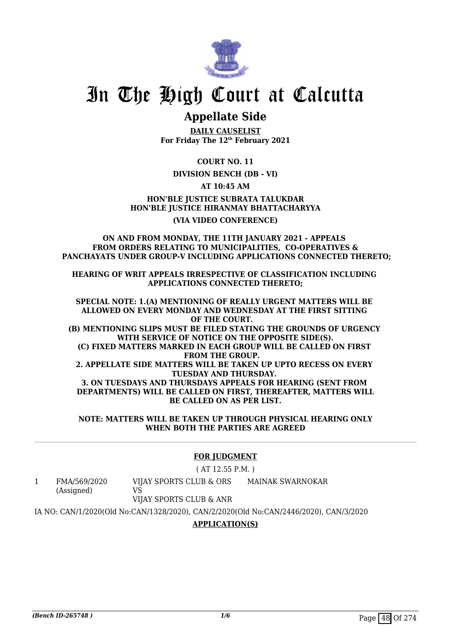

# **Appellate Side**

**DAILY CAUSELIST For Friday The 12th February 2021**

**COURT NO. 11**

## **DIVISION BENCH (DB - VI)**

**AT 10:45 AM**

**HON'BLE JUSTICE SUBRATA TALUKDAR HON'BLE JUSTICE HIRANMAY BHATTACHARYYA (VIA VIDEO CONFERENCE)**

### **ON AND FROM MONDAY, THE 11TH JANUARY 2021 - APPEALS FROM ORDERS RELATING TO MUNICIPALITIES, CO-OPERATIVES & PANCHAYATS UNDER GROUP-V INCLUDING APPLICATIONS CONNECTED THERETO;**

**HEARING OF WRIT APPEALS IRRESPECTIVE OF CLASSIFICATION INCLUDING APPLICATIONS CONNECTED THERETO;**

**SPECIAL NOTE: 1.(A) MENTIONING OF REALLY URGENT MATTERS WILL BE ALLOWED ON EVERY MONDAY AND WEDNESDAY AT THE FIRST SITTING OF THE COURT. (B) MENTIONING SLIPS MUST BE FILED STATING THE GROUNDS OF URGENCY WITH SERVICE OF NOTICE ON THE OPPOSITE SIDE(S). (C) FIXED MATTERS MARKED IN EACH GROUP WILL BE CALLED ON FIRST FROM THE GROUP. 2. APPELLATE SIDE MATTERS WILL BE TAKEN UP UPTO RECESS ON EVERY TUESDAY AND THURSDAY. 3. ON TUESDAYS AND THURSDAYS APPEALS FOR HEARING (SENT FROM DEPARTMENTS) WILL BE CALLED ON FIRST, THEREAFTER, MATTERS WILL BE CALLED ON AS PER LIST.**

**NOTE: MATTERS WILL BE TAKEN UP THROUGH PHYSICAL HEARING ONLY WHEN BOTH THE PARTIES ARE AGREED**

## **FOR JUDGMENT**

( AT 12.55 P.M. )

1 FMA/569/2020 (Assigned) VIJAY SPORTS CLUB & ORS VS MAINAK SWARNOKAR

VIJAY SPORTS CLUB & ANR

IA NO: CAN/1/2020(Old No:CAN/1328/2020), CAN/2/2020(Old No:CAN/2446/2020), CAN/3/2020

## **APPLICATION(S)**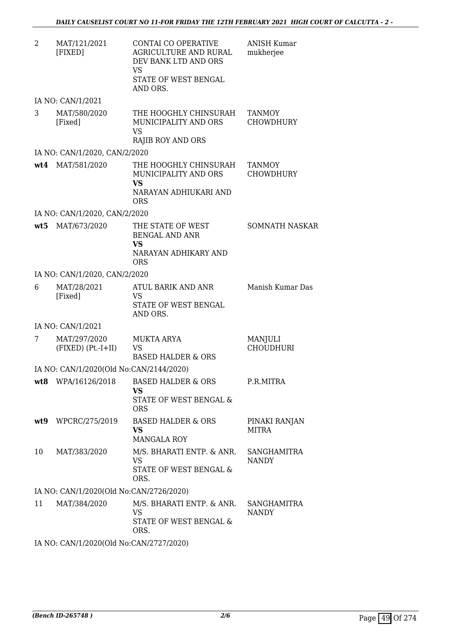| 2   | MAT/121/2021<br>[FIXED]                 | CONTAI CO OPERATIVE<br><b>AGRICULTURE AND RURAL</b><br>DEV BANK LTD AND ORS<br>VS<br>STATE OF WEST BENGAL<br>AND ORS. | <b>ANISH Kumar</b><br>mukherjee   |
|-----|-----------------------------------------|-----------------------------------------------------------------------------------------------------------------------|-----------------------------------|
|     | IA NO: CAN/1/2021                       |                                                                                                                       |                                   |
| 3   | MAT/580/2020<br>[Fixed]                 | THE HOOGHLY CHINSURAH<br>MUNICIPALITY AND ORS<br><b>VS</b><br><b>RAJIB ROY AND ORS</b>                                | <b>TANMOY</b><br><b>CHOWDHURY</b> |
|     | IA NO: CAN/1/2020, CAN/2/2020           |                                                                                                                       |                                   |
| wt4 | MAT/581/2020                            | THE HOOGHLY CHINSURAH<br>MUNICIPALITY AND ORS<br><b>VS</b><br>NARAYAN ADHIUKARI AND<br><b>ORS</b>                     | <b>TANMOY</b><br><b>CHOWDHURY</b> |
|     | IA NO: CAN/1/2020, CAN/2/2020           |                                                                                                                       |                                   |
|     | wt5 MAT/673/2020                        | THE STATE OF WEST<br><b>BENGAL AND ANR</b><br>VS<br>NARAYAN ADHIKARY AND<br><b>ORS</b>                                | <b>SOMNATH NASKAR</b>             |
|     | IA NO: CAN/1/2020, CAN/2/2020           |                                                                                                                       |                                   |
| 6   | MAT/28/2021<br>[Fixed]                  | ATUL BARIK AND ANR<br>VS<br>STATE OF WEST BENGAL<br>AND ORS.                                                          | Manish Kumar Das                  |
|     | IA NO: CAN/1/2021                       |                                                                                                                       |                                   |
| 7   | MAT/297/2020<br>$(FIXED) (Pt.-I+II)$    | <b>MUKTA ARYA</b><br><b>VS</b><br><b>BASED HALDER &amp; ORS</b>                                                       | MANJULI<br><b>CHOUDHURI</b>       |
|     | IA NO: CAN/1/2020(Old No:CAN/2144/2020) |                                                                                                                       |                                   |
| wt8 | WPA/16126/2018                          | <b>BASED HALDER &amp; ORS</b><br><b>VS</b><br>STATE OF WEST BENGAL &<br><b>ORS</b>                                    | P.R.MITRA                         |
| wt9 | WPCRC/275/2019                          | <b>BASED HALDER &amp; ORS</b><br><b>VS</b><br><b>MANGALA ROY</b>                                                      | PINAKI RANJAN<br><b>MITRA</b>     |
| 10  | MAT/383/2020                            | M/S. BHARATI ENTP. & ANR.<br><b>VS</b><br>STATE OF WEST BENGAL &<br>ORS.                                              | SANGHAMITRA<br><b>NANDY</b>       |
|     | IA NO: CAN/1/2020(Old No:CAN/2726/2020) |                                                                                                                       |                                   |
| 11  | MAT/384/2020                            | M/S. BHARATI ENTP. & ANR.<br><b>VS</b><br>STATE OF WEST BENGAL &<br>ORS.                                              | SANGHAMITRA<br><b>NANDY</b>       |

IA NO: CAN/1/2020(Old No:CAN/2727/2020)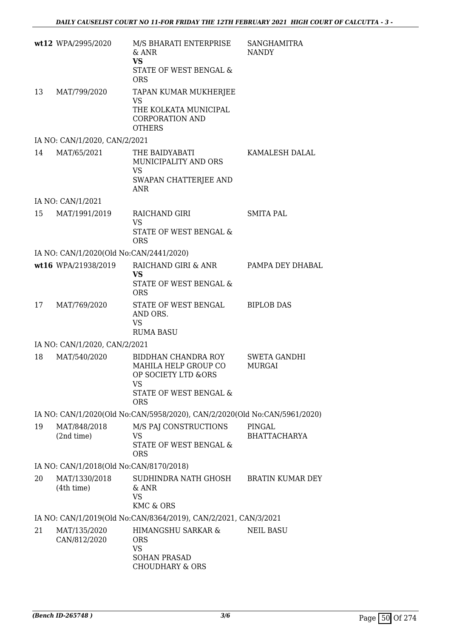|                                         | wt12 WPA/2995/2020                      | M/S BHARATI ENTERPRISE<br>& ANR<br><b>VS</b><br>STATE OF WEST BENGAL &<br><b>ORS</b>                             | <b>SANGHAMITRA</b><br><b>NANDY</b> |  |
|-----------------------------------------|-----------------------------------------|------------------------------------------------------------------------------------------------------------------|------------------------------------|--|
| 13                                      | MAT/799/2020                            | TAPAN KUMAR MUKHERJEE<br>VS<br>THE KOLKATA MUNICIPAL<br><b>CORPORATION AND</b><br><b>OTHERS</b>                  |                                    |  |
|                                         | IA NO: CAN/1/2020, CAN/2/2021           |                                                                                                                  |                                    |  |
| 14                                      | MAT/65/2021                             | THE BAIDYABATI<br>MUNICIPALITY AND ORS<br><b>VS</b><br>SWAPAN CHATTERJEE AND<br><b>ANR</b>                       | KAMALESH DALAL                     |  |
|                                         | IA NO: CAN/1/2021                       |                                                                                                                  |                                    |  |
| 15                                      | MAT/1991/2019                           | RAICHAND GIRI<br><b>VS</b><br>STATE OF WEST BENGAL &<br><b>ORS</b>                                               | <b>SMITA PAL</b>                   |  |
|                                         | IA NO: CAN/1/2020(Old No:CAN/2441/2020) |                                                                                                                  |                                    |  |
|                                         | wt16 WPA/21938/2019                     | RAICHAND GIRI & ANR<br><b>VS</b><br>STATE OF WEST BENGAL &<br><b>ORS</b>                                         | PAMPA DEY DHABAL                   |  |
| 17                                      | MAT/769/2020                            | STATE OF WEST BENGAL<br>AND ORS.<br><b>VS</b><br><b>RUMA BASU</b>                                                | <b>BIPLOB DAS</b>                  |  |
|                                         | IA NO: CAN/1/2020, CAN/2/2021           |                                                                                                                  |                                    |  |
| 18                                      | MAT/540/2020                            | BIDDHAN CHANDRA ROY<br>MAHILA HELP GROUP CO<br>OP SOCIETY LTD &ORS<br>VS<br>STATE OF WEST BENGAL &<br><b>ORS</b> | <b>SWETA GANDHI</b><br>MURGAI      |  |
|                                         |                                         | IA NO: CAN/1/2020(Old No:CAN/5958/2020), CAN/2/2020(Old No:CAN/5961/2020)                                        |                                    |  |
| 19                                      | MAT/848/2018<br>(2nd time)              | M/S PAJ CONSTRUCTIONS<br><b>VS</b><br>STATE OF WEST BENGAL &<br><b>ORS</b>                                       | PINGAL<br><b>BHATTACHARYA</b>      |  |
| IA NO: CAN/1/2018(Old No:CAN/8170/2018) |                                         |                                                                                                                  |                                    |  |
| 20                                      | MAT/1330/2018<br>(4th time)             | SUDHINDRA NATH GHOSH<br>& ANR<br><b>VS</b><br><b>KMC &amp; ORS</b>                                               | <b>BRATIN KUMAR DEY</b>            |  |
|                                         |                                         | IA NO: CAN/1/2019(Old No:CAN/8364/2019), CAN/2/2021, CAN/3/2021                                                  |                                    |  |
| 21                                      | MAT/135/2020<br>CAN/812/2020            | HIMANGSHU SARKAR &<br><b>ORS</b><br><b>VS</b><br><b>SOHAN PRASAD</b><br><b>CHOUDHARY &amp; ORS</b>               | <b>NEIL BASU</b>                   |  |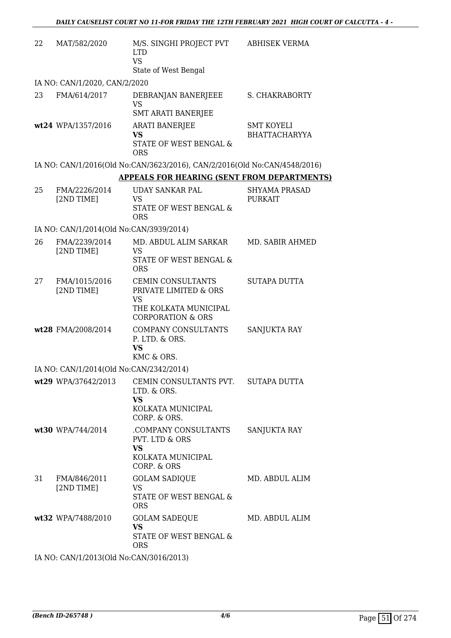| 22 | MAT/582/2020                              | M/S. SINGHI PROJECT PVT<br><b>LTD</b><br><b>VS</b><br>State of West Bengal                                              | <b>ABHISEK VERMA</b>                      |
|----|-------------------------------------------|-------------------------------------------------------------------------------------------------------------------------|-------------------------------------------|
|    | IA NO: CAN/1/2020, CAN/2/2020             |                                                                                                                         |                                           |
| 23 | FMA/614/2017                              | DEBRANJAN BANERJEEE<br><b>VS</b><br><b>SMT ARATI BANERJEE</b>                                                           | <b>S. CHAKRABORTY</b>                     |
|    | wt24 WPA/1357/2016                        | <b>ARATI BANERJEE</b><br><b>VS</b><br><b>STATE OF WEST BENGAL &amp;</b><br><b>ORS</b>                                   | <b>SMT KOYELI</b><br><b>BHATTACHARYYA</b> |
|    |                                           | IA NO: CAN/1/2016(Old No:CAN/3623/2016), CAN/2/2016(Old No:CAN/4548/2016)                                               |                                           |
|    |                                           | <b>APPEALS FOR HEARING (SENT FROM DEPARTMENTS)</b>                                                                      |                                           |
| 25 | FMA/2226/2014<br>[2ND TIME]               | <b>UDAY SANKAR PAL</b><br><b>VS</b><br><b>STATE OF WEST BENGAL &amp;</b><br><b>ORS</b>                                  | <b>SHYAMA PRASAD</b><br><b>PURKAIT</b>    |
|    | IA NO: CAN/1/2014(Old No:CAN/3939/2014)   |                                                                                                                         |                                           |
| 26 | FMA/2239/2014<br>[2ND TIME]               | MD. ABDUL ALIM SARKAR<br>VS<br>STATE OF WEST BENGAL &<br><b>ORS</b>                                                     | MD. SABIR AHMED                           |
| 27 | FMA/1015/2016<br>[2ND TIME]               | <b>CEMIN CONSULTANTS</b><br>PRIVATE LIMITED & ORS<br><b>VS</b><br>THE KOLKATA MUNICIPAL<br><b>CORPORATION &amp; ORS</b> | SUTAPA DUTTA                              |
|    | wt28 FMA/2008/2014                        | COMPANY CONSULTANTS<br>P. LTD. & ORS.<br><b>VS</b><br>KMC & ORS.                                                        | SANJUKTA RAY                              |
|    | IA NO: CAN/1/2014(Old No:CAN/2342/2014)   |                                                                                                                         |                                           |
|    | wt29 WPA/37642/2013                       | CEMIN CONSULTANTS PVT.<br>LTD. & ORS.<br>VS<br>KOLKATA MUNICIPAL<br>CORP. & ORS.                                        | <b>SUTAPA DUTTA</b>                       |
|    | wt30 WPA/744/2014                         | COMPANY CONSULTANTS.<br>PVT. LTD & ORS<br><b>VS</b><br>KOLKATA MUNICIPAL<br>CORP. & ORS                                 | <b>SANJUKTA RAY</b>                       |
| 31 | FMA/846/2011<br>[2ND TIME]                | <b>GOLAM SADIQUE</b><br>VS<br>STATE OF WEST BENGAL &<br><b>ORS</b>                                                      | MD. ABDUL ALIM                            |
|    | wt32 WPA/7488/2010                        | <b>GOLAM SADEQUE</b><br><b>VS</b><br>STATE OF WEST BENGAL &<br><b>ORS</b>                                               | MD. ABDUL ALIM                            |
|    | IA NO. CANI/1/2013(OId No.CANI/2016/2013) |                                                                                                                         |                                           |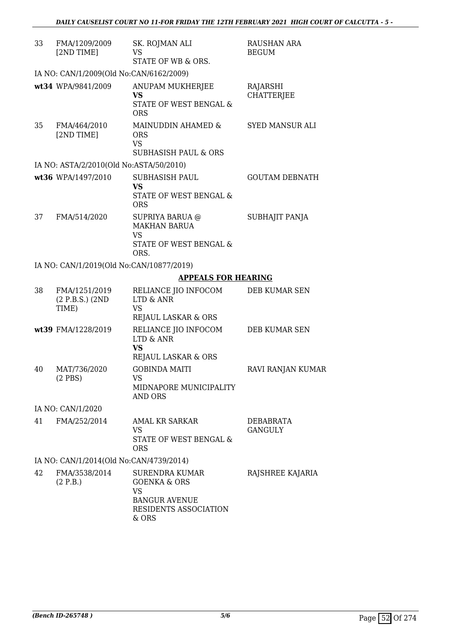| 33 | FMA/1209/2009<br>[2ND TIME]                | SK. ROJMAN ALI<br><b>VS</b><br>STATE OF WB & ORS.                                                                | RAUSHAN ARA<br><b>BEGUM</b>   |
|----|--------------------------------------------|------------------------------------------------------------------------------------------------------------------|-------------------------------|
|    | IA NO: CAN/1/2009(Old No:CAN/6162/2009)    |                                                                                                                  |                               |
|    | wt34 WPA/9841/2009                         | ANUPAM MUKHERJEE<br>VS<br>STATE OF WEST BENGAL &<br><b>ORS</b>                                                   | RAJARSHI<br><b>CHATTERJEE</b> |
| 35 | FMA/464/2010<br>[2ND TIME]                 | MAINUDDIN AHAMED &<br><b>ORS</b><br><b>VS</b>                                                                    | SYED MANSUR ALI               |
|    |                                            | <b>SUBHASISH PAUL &amp; ORS</b>                                                                                  |                               |
|    | IA NO: ASTA/2/2010(Old No:ASTA/50/2010)    |                                                                                                                  |                               |
|    | wt36 WPA/1497/2010                         | <b>SUBHASISH PAUL</b><br><b>VS</b><br>STATE OF WEST BENGAL &<br><b>ORS</b>                                       | <b>GOUTAM DEBNATH</b>         |
| 37 | FMA/514/2020                               | SUPRIYA BARUA @<br><b>MAKHAN BARUA</b><br>VS<br>STATE OF WEST BENGAL &<br>ORS.                                   | SUBHAJIT PANJA                |
|    | IA NO: CAN/1/2019(Old No:CAN/10877/2019)   |                                                                                                                  |                               |
|    |                                            | <b>APPEALS FOR HEARING</b>                                                                                       |                               |
| 38 | FMA/1251/2019<br>(2 P.B.S.) (2ND)<br>TIME) | RELIANCE JIO INFOCOM<br>LTD & ANR<br><b>VS</b><br>REJAUL LASKAR & ORS                                            | DEB KUMAR SEN                 |
|    | wt39 FMA/1228/2019                         | RELIANCE JIO INFOCOM<br>LTD & ANR<br><b>VS</b><br>REJAUL LASKAR & ORS                                            | DEB KUMAR SEN                 |
| 40 | MAT/736/2020<br>$(2$ PBS)                  | <b>GOBINDA MAITI</b><br>VS<br>MIDNAPORE MUNICIPALITY<br>AND ORS                                                  | RAVI RANJAN KUMAR             |
|    | IA NO: CAN/1/2020                          |                                                                                                                  |                               |
| 41 | FMA/252/2014                               | <b>AMAL KR SARKAR</b>                                                                                            | DEBABRATA                     |
|    |                                            | VS<br>STATE OF WEST BENGAL &<br><b>ORS</b>                                                                       | <b>GANGULY</b>                |
|    | IA NO: CAN/1/2014(Old No:CAN/4739/2014)    |                                                                                                                  |                               |
| 42 | FMA/3538/2014<br>(2 P.B.)                  | SURENDRA KUMAR<br><b>GOENKA &amp; ORS</b><br><b>VS</b><br><b>BANGUR AVENUE</b><br>RESIDENTS ASSOCIATION<br>& ORS | RAJSHREE KAJARIA              |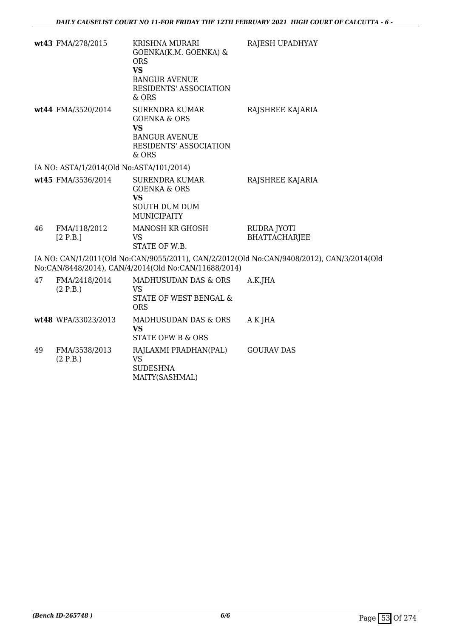|    | wt43 FMA/278/2015                        | <b>KRISHNA MURARI</b><br>GOENKA(K.M. GOENKA) &<br><b>ORS</b><br><b>VS</b><br><b>BANGUR AVENUE</b><br>RESIDENTS' ASSOCIATION<br>& ORS | RAJESH UPADHYAY                                                                           |
|----|------------------------------------------|--------------------------------------------------------------------------------------------------------------------------------------|-------------------------------------------------------------------------------------------|
|    | wt44 FMA/3520/2014                       | <b>SURENDRA KUMAR</b><br><b>GOENKA &amp; ORS</b><br><b>VS</b><br><b>BANGUR AVENUE</b><br>RESIDENTS' ASSOCIATION<br>& ORS             | RAJSHREE KAJARIA                                                                          |
|    | IA NO: ASTA/1/2014(Old No:ASTA/101/2014) |                                                                                                                                      |                                                                                           |
|    | wt45 FMA/3536/2014                       | <b>SURENDRA KUMAR</b><br><b>GOENKA &amp; ORS</b><br><b>VS</b><br><b>SOUTH DUM DUM</b><br><b>MUNICIPAITY</b>                          | RAJSHREE KAJARIA                                                                          |
| 46 | FMA/118/2012<br>[2 P.B.]                 | MANOSH KR GHOSH<br><b>VS</b><br>STATE OF W.B.                                                                                        | RUDRA JYOTI<br><b>BHATTACHARJEE</b>                                                       |
|    |                                          | No:CAN/8448/2014), CAN/4/2014(Old No:CAN/11688/2014)                                                                                 | IA NO: CAN/1/2011(Old No:CAN/9055/2011), CAN/2/2012(Old No:CAN/9408/2012), CAN/3/2014(Old |
| 47 | FMA/2418/2014<br>(2 P.B.)                | MADHUSUDAN DAS & ORS<br><b>VS</b><br>STATE OF WEST BENGAL &<br><b>ORS</b>                                                            | A.K.JHA                                                                                   |
|    | wt48 WPA/33023/2013                      | MADHUSUDAN DAS & ORS<br><b>VS</b><br><b>STATE OFW B &amp; ORS</b>                                                                    | A K JHA                                                                                   |
| 49 | FMA/3538/2013<br>(2 P.B.)                | RAJLAXMI PRADHAN(PAL)<br><b>VS</b><br><b>SUDESHNA</b><br>MAITY(SASHMAL)                                                              | <b>GOURAV DAS</b>                                                                         |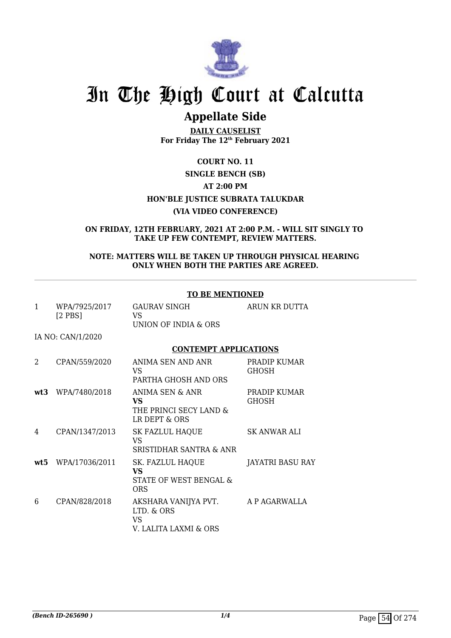

# **Appellate Side**

**DAILY CAUSELIST For Friday The 12th February 2021**

# **COURT NO. 11 SINGLE BENCH (SB) AT 2:00 PM HON'BLE JUSTICE SUBRATA TALUKDAR (VIA VIDEO CONFERENCE)**

**ON FRIDAY, 12TH FEBRUARY, 2021 AT 2:00 P.M. - WILL SIT SINGLY TO TAKE UP FEW CONTEMPT, REVIEW MATTERS.**

## **NOTE: MATTERS WILL BE TAKEN UP THROUGH PHYSICAL HEARING ONLY WHEN BOTH THE PARTIES ARE AGREED.**

|              |                               | <b>TO BE MENTIONED</b>                                             |                              |
|--------------|-------------------------------|--------------------------------------------------------------------|------------------------------|
| $\mathbf{1}$ | WPA/7925/2017<br>$[2$ PBS $]$ | <b>GAURAV SINGH</b><br>VS.<br>UNION OF INDIA & ORS                 | ARUN KR DUTTA                |
|              | IA NO: CAN/1/2020             |                                                                    |                              |
|              |                               | <b>CONTEMPT APPLICATIONS</b>                                       |                              |
| 2            | CPAN/559/2020                 | ANIMA SEN AND ANR<br>VS.<br>PARTHA GHOSH AND ORS                   | PRADIP KUMAR<br><b>GHOSH</b> |
| wt3          | WPA/7480/2018                 | ANIMA SEN & ANR<br>VS.<br>THE PRINCI SECY LAND &<br>LR DEPT & ORS  | PRADIP KUMAR<br><b>GHOSH</b> |
| 4            | CPAN/1347/2013                | SK FAZLUL HAQUE<br>VS<br><b>SRISTIDHAR SANTRA &amp; ANR</b>        | SK ANWAR ALI                 |
| wt5          | WPA/17036/2011                | SK. FAZLUL HAQUE<br>VS<br>STATE OF WEST BENGAL &<br><b>ORS</b>     | JAYATRI BASU RAY             |
| 6            | CPAN/828/2018                 | AKSHARA VANIJYA PVT.<br>LTD. & ORS<br>VS.<br>V. LALITA LAXMI & ORS | A P AGARWALLA                |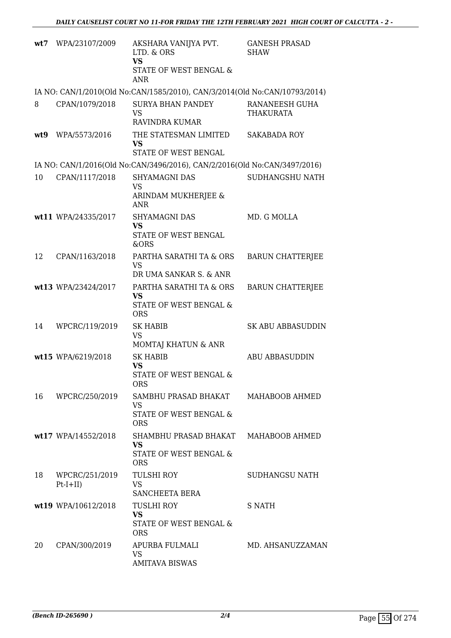| wt7 | WPA/23107/2009               | AKSHARA VANIJYA PVT.<br>LTD. & ORS<br><b>VS</b><br>STATE OF WEST BENGAL &<br><b>ANR</b> | <b>GANESH PRASAD</b><br><b>SHAW</b> |
|-----|------------------------------|-----------------------------------------------------------------------------------------|-------------------------------------|
|     |                              | IA NO: CAN/1/2010(Old No:CAN/1585/2010), CAN/3/2014(Old No:CAN/10793/2014)              |                                     |
| 8   | CPAN/1079/2018               | <b>SURYA BHAN PANDEY</b><br><b>VS</b><br><b>RAVINDRA KUMAR</b>                          | RANANEESH GUHA<br><b>THAKURATA</b>  |
| wt9 | WPA/5573/2016                | THE STATESMAN LIMITED<br><b>VS</b><br>STATE OF WEST BENGAL                              | <b>SAKABADA ROY</b>                 |
|     |                              | IA NO: CAN/1/2016(Old No:CAN/3496/2016), CAN/2/2016(Old No:CAN/3497/2016)               |                                     |
| 10  | CPAN/1117/2018               | SHYAMAGNI DAS<br><b>VS</b><br>ARINDAM MUKHERJEE &<br><b>ANR</b>                         | SUDHANGSHU NATH                     |
|     | wt11 WPA/24335/2017          | SHYAMAGNI DAS<br><b>VS</b><br>STATE OF WEST BENGAL<br><b>&amp;ORS</b>                   | MD. G MOLLA                         |
| 12  | CPAN/1163/2018               | PARTHA SARATHI TA & ORS<br><b>VS</b><br>DR UMA SANKAR S. & ANR                          | <b>BARUN CHATTERJEE</b>             |
|     | wt13 WPA/23424/2017          | PARTHA SARATHI TA & ORS<br><b>VS</b><br>STATE OF WEST BENGAL &<br><b>ORS</b>            | <b>BARUN CHATTERJEE</b>             |
| 14  | WPCRC/119/2019               | <b>SK HABIB</b><br><b>VS</b><br>MOMTAJ KHATUN & ANR                                     | <b>SK ABU ABBASUDDIN</b>            |
|     | wt15 WPA/6219/2018           | <b>SK HABIB</b><br><b>VS</b><br>STATE OF WEST BENGAL &<br><b>ORS</b>                    | <b>ABU ABBASUDDIN</b>               |
| 16  | WPCRC/250/2019               | SAMBHU PRASAD BHAKAT<br><b>VS</b><br><b>STATE OF WEST BENGAL &amp;</b><br><b>ORS</b>    | MAHABOOB AHMED                      |
|     | wt17 WPA/14552/2018          | SHAMBHU PRASAD BHAKAT<br><b>VS</b><br><b>STATE OF WEST BENGAL &amp;</b><br><b>ORS</b>   | MAHABOOB AHMED                      |
| 18  | WPCRC/251/2019<br>$Pt-I+II)$ | <b>TULSHI ROY</b><br><b>VS</b><br>SANCHEETA BERA                                        | SUDHANGSU NATH                      |
|     | wt19 WPA/10612/2018          | <b>TUSLHI ROY</b><br><b>VS</b><br>STATE OF WEST BENGAL &<br><b>ORS</b>                  | <b>S NATH</b>                       |
| 20  | CPAN/300/2019                | APURBA FULMALI<br><b>VS</b><br><b>AMITAVA BISWAS</b>                                    | MD. AHSANUZZAMAN                    |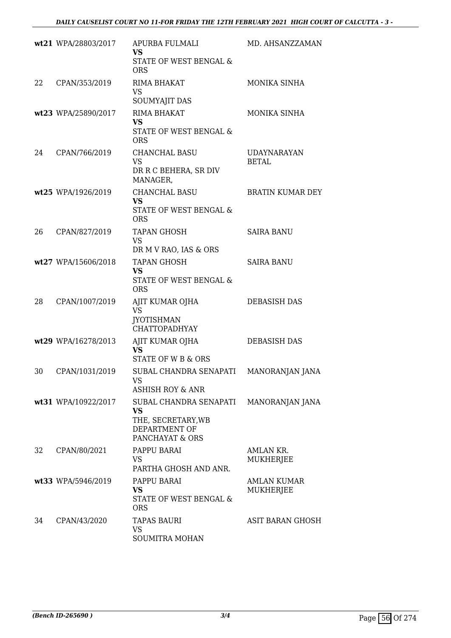|    | wt21 WPA/28803/2017 | APURBA FULMALI<br><b>VS</b><br>STATE OF WEST BENGAL &<br><b>ORS</b>                    | MD. AHSANZZAMAN                    |
|----|---------------------|----------------------------------------------------------------------------------------|------------------------------------|
| 22 | CPAN/353/2019       | RIMA BHAKAT<br>VS<br>SOUMYAJIT DAS                                                     | MONIKA SINHA                       |
|    | wt23 WPA/25890/2017 | RIMA BHAKAT<br><b>VS</b><br>STATE OF WEST BENGAL &<br><b>ORS</b>                       | MONIKA SINHA                       |
| 24 | CPAN/766/2019       | <b>CHANCHAL BASU</b><br>VS.<br>DR R C BEHERA, SR DIV<br>MANAGER,                       | <b>UDAYNARAYAN</b><br><b>BETAL</b> |
|    | wt25 WPA/1926/2019  | <b>CHANCHAL BASU</b><br><b>VS</b><br>STATE OF WEST BENGAL &<br><b>ORS</b>              | <b>BRATIN KUMAR DEY</b>            |
| 26 | CPAN/827/2019       | <b>TAPAN GHOSH</b><br>VS<br>DR M V RAO, IAS & ORS                                      | <b>SAIRA BANU</b>                  |
|    | wt27 WPA/15606/2018 | <b>TAPAN GHOSH</b><br><b>VS</b><br>STATE OF WEST BENGAL &<br><b>ORS</b>                | <b>SAIRA BANU</b>                  |
| 28 | CPAN/1007/2019      | AJIT KUMAR OJHA<br><b>VS</b><br><b>JYOTISHMAN</b><br><b>CHATTOPADHYAY</b>              | <b>DEBASISH DAS</b>                |
|    | wt29 WPA/16278/2013 | AJIT KUMAR OJHA<br><b>VS</b><br>STATE OF W B & ORS                                     | DEBASISH DAS                       |
| 30 | CPAN/1031/2019      | SUBAL CHANDRA SENAPATI<br>VS<br>ASHISH ROY & ANR                                       | MANORANJAN JANA                    |
|    | wt31 WPA/10922/2017 | SUBAL CHANDRA SENAPATI<br>VS<br>THE, SECRETARY, WB<br>DEPARTMENT OF<br>PANCHAYAT & ORS | MANORANJAN JANA                    |
| 32 | CPAN/80/2021        | PAPPU BARAI<br><b>VS</b><br>PARTHA GHOSH AND ANR.                                      | <b>AMLAN KR.</b><br>MUKHERJEE      |
|    | wt33 WPA/5946/2019  | PAPPU BARAI<br><b>VS</b><br>STATE OF WEST BENGAL &<br><b>ORS</b>                       | AMLAN KUMAR<br>MUKHERJEE           |
| 34 | CPAN/43/2020        | <b>TAPAS BAURI</b><br>VS<br>SOUMITRA MOHAN                                             | ASIT BARAN GHOSH                   |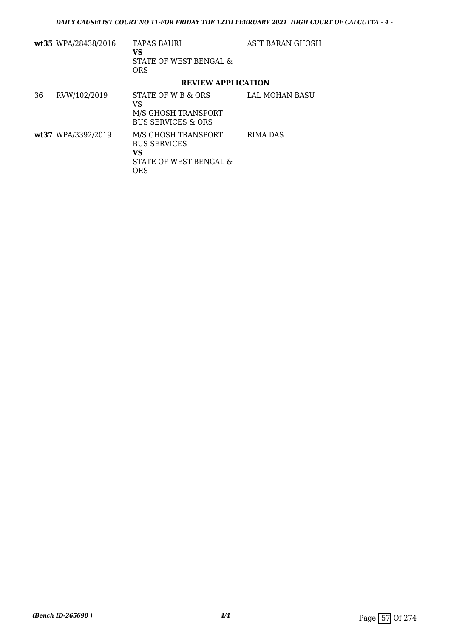|    | wt35 WPA/28438/2016 | <b>TAPAS BAURI</b><br>VS<br>STATE OF WEST BENGAL &<br><b>ORS</b>                  | ASIT BARAN GHOSH |
|----|---------------------|-----------------------------------------------------------------------------------|------------------|
|    |                     | <b>REVIEW APPLICATION</b>                                                         |                  |
| 36 | RVW/102/2019        | STATE OF W B & ORS<br>VS<br>M/S GHOSH TRANSPORT<br><b>BUS SERVICES &amp; ORS</b>  | LAL MOHAN BASU   |
|    | wt37 WPA/3392/2019  | M/S GHOSH TRANSPORT<br><b>BUS SERVICES</b><br>VS<br>STATE OF WEST BENGAL &<br>ORS | <b>RIMA DAS</b>  |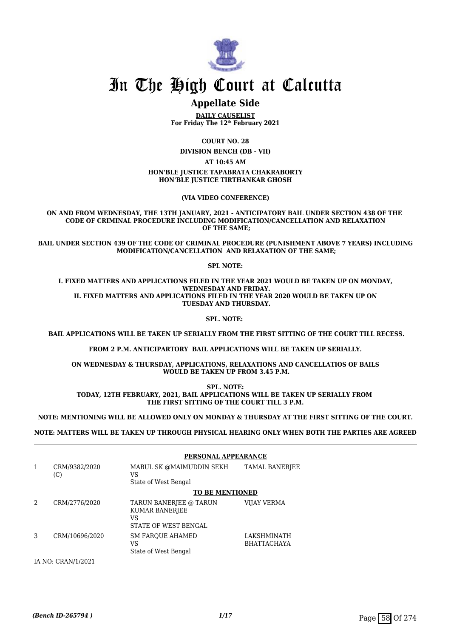

# **Appellate Side**

**DAILY CAUSELIST For Friday The 12th February 2021**

**COURT NO. 28**

**DIVISION BENCH (DB - VII)**

**AT 10:45 AM**

**HON'BLE JUSTICE TAPABRATA CHAKRABORTY HON'BLE JUSTICE TIRTHANKAR GHOSH**

**(VIA VIDEO CONFERENCE)**

**ON AND FROM WEDNESDAY, THE 13TH JANUARY, 2021 - ANTICIPATORY BAIL UNDER SECTION 438 OF THE CODE OF CRIMINAL PROCEDURE INCLUDING MODIFICATION/CANCELLATION AND RELAXATION OF THE SAME;**

**BAIL UNDER SECTION 439 OF THE CODE OF CRIMINAL PROCEDURE (PUNISHMENT ABOVE 7 YEARS) INCLUDING MODIFICATION/CANCELLATION AND RELAXATION OF THE SAME;**

**SPL NOTE:**

**I. FIXED MATTERS AND APPLICATIONS FILED IN THE YEAR 2021 WOULD BE TAKEN UP ON MONDAY, WEDNESDAY AND FRIDAY. II. FIXED MATTERS AND APPLICATIONS FILED IN THE YEAR 2020 WOULD BE TAKEN UP ON TUESDAY AND THURSDAY.**

**SPL. NOTE:** 

 **BAIL APPLICATIONS WILL BE TAKEN UP SERIALLY FROM THE FIRST SITTING OF THE COURT TILL RECESS.**

**FROM 2 P.M. ANTICIPARTORY BAIL APPLICATIONS WILL BE TAKEN UP SERIALLY.**

**ON WEDNESDAY & THURSDAY, APPLICATIONS, RELAXATIONS AND CANCELLATIOS OF BAILS WOULD BE TAKEN UP FROM 3.45 P.M.**

**SPL. NOTE: TODAY, 12TH FEBRUARY, 2021, BAIL APPLICATIONS WILL BE TAKEN UP SERIALLY FROM THE FIRST SITTING OF THE COURT TILL 3 P.M.**

**NOTE: MENTIONING WILL BE ALLOWED ONLY ON MONDAY & THURSDAY AT THE FIRST SITTING OF THE COURT.**

**NOTE: MATTERS WILL BE TAKEN UP THROUGH PHYSICAL HEARING ONLY WHEN BOTH THE PARTIES ARE AGREED**

|                |                           |                                                                        | PERSONAL APPEARANCE               |  |
|----------------|---------------------------|------------------------------------------------------------------------|-----------------------------------|--|
| 1              | CRM/9382/2020<br>(C)      | MABUL SK @MAIMUDDIN SEKH<br>VS<br>State of West Bengal                 | <b>TAMAL BANERJEE</b>             |  |
|                |                           | <b>TO BE MENTIONED</b>                                                 |                                   |  |
| $\mathfrak{D}$ | CRM/2776/2020             | TARUN BANERJEE @ TARUN<br>KUMAR BANERJEE<br>VS<br>STATE OF WEST BENGAL | VIJAY VERMA                       |  |
| 3              | CRM/10696/2020            | <b>SM FAROUE AHAMED</b><br>VS<br>State of West Bengal                  | LAKSHMINATH<br><b>BHATTACHAYA</b> |  |
|                | <b>IA NO: CRAN/1/2021</b> |                                                                        |                                   |  |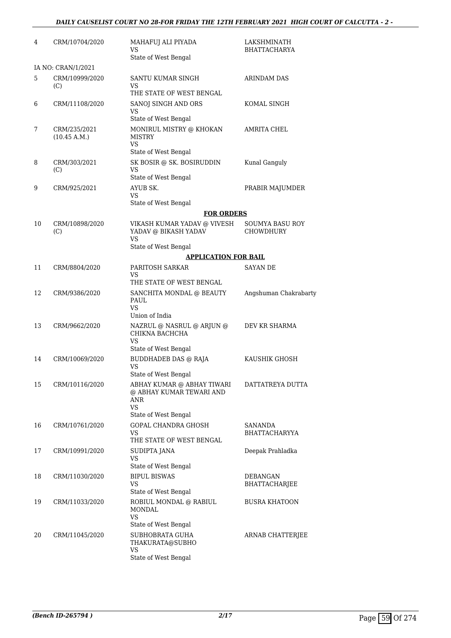| 4  | CRM/10704/2020               | MAHAFUJ ALI PIYADA<br>VS<br>State of West Bengal                                                | LAKSHMINATH<br><b>BHATTACHARYA</b>         |
|----|------------------------------|-------------------------------------------------------------------------------------------------|--------------------------------------------|
|    | IA NO: CRAN/1/2021           |                                                                                                 |                                            |
| 5  | CRM/10999/2020<br>(C)        | SANTU KUMAR SINGH<br>VS<br>THE STATE OF WEST BENGAL                                             | ARINDAM DAS                                |
| 6  | CRM/11108/2020               | SANOJ SINGH AND ORS<br>VS                                                                       | KOMAL SINGH                                |
| 7  | CRM/235/2021<br>(10.45 A.M.) | State of West Bengal<br>MONIRUL MISTRY @ KHOKAN<br><b>MISTRY</b><br>VS                          | AMRITA CHEL                                |
| 8  | CRM/303/2021<br>(C)          | State of West Bengal<br>SK BOSIR @ SK. BOSIRUDDIN<br>VS<br>State of West Bengal                 | Kunal Ganguly                              |
| 9  | CRM/925/2021                 | AYUB SK.<br>VS<br>State of West Bengal                                                          | PRABIR MAJUMDER                            |
|    |                              | <b>FOR ORDERS</b>                                                                               |                                            |
| 10 | CRM/10898/2020<br>(C)        | VIKASH KUMAR YADAV @ VIVESH<br>YADAV @ BIKASH YADAV<br><b>VS</b>                                | <b>SOUMYA BASU ROY</b><br><b>CHOWDHURY</b> |
|    |                              | State of West Bengal                                                                            |                                            |
|    |                              | <b>APPLICATION FOR BAIL</b>                                                                     |                                            |
| 11 | CRM/8804/2020                | PARITOSH SARKAR<br>VS<br>THE STATE OF WEST BENGAL                                               | <b>SAYAN DE</b>                            |
| 12 | CRM/9386/2020                | SANCHITA MONDAL @ BEAUTY<br>PAUL<br><b>VS</b>                                                   | Angshuman Chakrabarty                      |
|    |                              | Union of India                                                                                  |                                            |
| 13 | CRM/9662/2020                | NAZRUL @ NASRUL @ ARJUN @<br>CHIKNA BACHCHA<br><b>VS</b>                                        | DEV KR SHARMA                              |
|    |                              | State of West Bengal                                                                            |                                            |
| 14 | CRM/10069/2020               | <b>BUDDHADEB DAS @ RAJA</b><br><b>VS</b><br>State of West Bengal                                | KAUSHIK GHOSH                              |
| 15 | CRM/10116/2020               | ABHAY KUMAR @ ABHAY TIWARI<br>@ ABHAY KUMAR TEWARI AND<br><b>ANR</b><br><b>VS</b>               | DATTATREYA DUTTA                           |
|    |                              | State of West Bengal                                                                            |                                            |
| 16 | CRM/10761/2020               | <b>GOPAL CHANDRA GHOSH</b><br>VS<br>THE STATE OF WEST BENGAL                                    | <b>SANANDA</b><br><b>BHATTACHARYYA</b>     |
| 17 | CRM/10991/2020               | SUDIPTA JANA<br>VS<br>State of West Bengal                                                      | Deepak Prahladka                           |
| 18 | CRM/11030/2020               | <b>BIPUL BISWAS</b><br>VS<br>State of West Bengal                                               | DEBANGAN<br>BHATTACHARJEE                  |
| 19 | CRM/11033/2020               | ROBIUL MONDAL @ RABIUL<br><b>MONDAL</b><br>VS                                                   | <b>BUSRA KHATOON</b>                       |
| 20 | CRM/11045/2020               | State of West Bengal<br>SUBHOBRATA GUHA<br>THAKURATA@SUBHO<br><b>VS</b><br>State of West Bengal | ARNAB CHATTERJEE                           |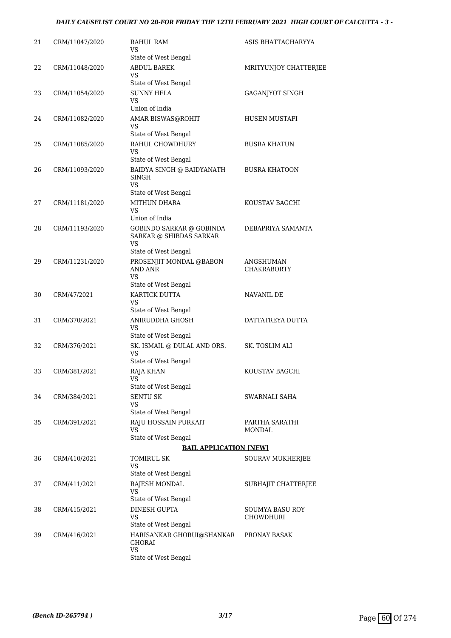### *DAILY CAUSELIST COURT NO 28-FOR FRIDAY THE 12TH FEBRUARY 2021 HIGH COURT OF CALCUTTA - 3 -*

| 21 | CRM/11047/2020 | RAHUL RAM<br>VS<br>State of West Bengal                                                  | ASIS BHATTACHARYYA           |
|----|----------------|------------------------------------------------------------------------------------------|------------------------------|
| 22 | CRM/11048/2020 | ABDUL BAREK<br>VS.                                                                       | MRITYUNJOY CHATTERJEE        |
|    |                | State of West Bengal                                                                     |                              |
| 23 | CRM/11054/2020 | SUNNY HELA<br>VS<br>Union of India                                                       | <b>GAGANJYOT SINGH</b>       |
| 24 | CRM/11082/2020 | AMAR BISWAS@ROHIT<br>VS                                                                  | <b>HUSEN MUSTAFI</b>         |
| 25 | CRM/11085/2020 | State of West Bengal<br>RAHUL CHOWDHURY<br>VS                                            | <b>BUSRA KHATUN</b>          |
| 26 | CRM/11093/2020 | State of West Bengal<br><b>BAIDYA SINGH @ BAIDYANATH</b><br>SINGH<br><b>VS</b>           | <b>BUSRA KHATOON</b>         |
| 27 | CRM/11181/2020 | State of West Bengal<br><b>MITHUN DHARA</b><br>VS<br>Union of India                      | KOUSTAV BAGCHI               |
| 28 | CRM/11193/2020 | <b>GOBINDO SARKAR @ GOBINDA</b><br>SARKAR @ SHIBDAS SARKAR<br>VS                         | DEBAPRIYA SAMANTA            |
| 29 | CRM/11231/2020 | State of West Bengal<br>PROSENJIT MONDAL @BABON<br>AND ANR<br><b>VS</b>                  | ANGSHUMAN<br>CHAKRABORTY     |
| 30 | CRM/47/2021    | State of West Bengal<br>KARTICK DUTTA<br>VS                                              | NAVANIL DE                   |
| 31 | CRM/370/2021   | State of West Bengal<br>ANIRUDDHA GHOSH<br>VS                                            | DATTATREYA DUTTA             |
| 32 | CRM/376/2021   | State of West Bengal<br>SK. ISMAIL @ DULAL AND ORS.<br><b>VS</b><br>State of West Bengal | SK. TOSLIM ALI               |
| 33 | CRM/381/2021   | RAJA KHAN<br><b>VS</b><br>State of West Bengal                                           | KOUSTAV BAGCHI               |
| 34 | CRM/384/2021   | SENTU SK<br>VS<br>State of West Bengal                                                   | SWARNALI SAHA                |
| 35 | CRM/391/2021   | RAJU HOSSAIN PURKAIT<br>VS<br>State of West Bengal                                       | PARTHA SARATHI<br>MONDAL     |
|    |                | <b>BAIL APPLICATION [NEW]</b>                                                            |                              |
| 36 | CRM/410/2021   | TOMIRUL SK<br>VS<br>State of West Bengal                                                 | SOURAV MUKHERJEE             |
| 37 | CRM/411/2021   | RAJESH MONDAL<br>VS<br>State of West Bengal                                              | SUBHAJIT CHATTERJEE          |
| 38 | CRM/415/2021   | DINESH GUPTA<br>VS<br>State of West Bengal                                               | SOUMYA BASU ROY<br>CHOWDHURI |
| 39 | CRM/416/2021   | HARISANKAR GHORUI@SHANKAR<br>GHORAI<br>VS<br>State of West Bengal                        | PRONAY BASAK                 |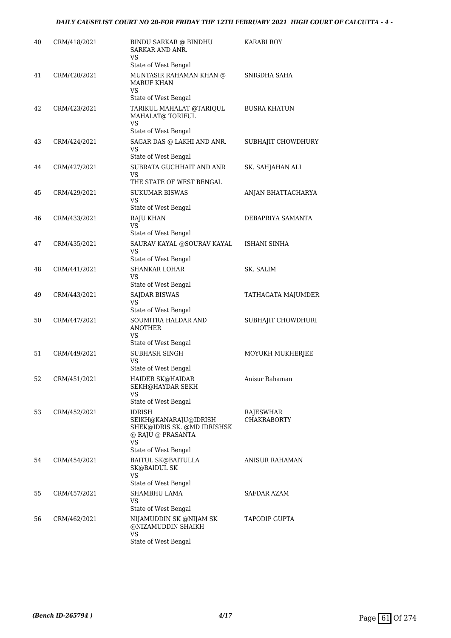| 40 | CRM/418/2021 | <b>BINDU SARKAR @ BINDHU</b><br>SARKAR AND ANR.<br>VS                                                             | <b>KARABI ROY</b>                      |
|----|--------------|-------------------------------------------------------------------------------------------------------------------|----------------------------------------|
|    |              | State of West Bengal                                                                                              |                                        |
| 41 | CRM/420/2021 | MUNTASIR RAHAMAN KHAN @<br><b>MARUF KHAN</b><br>VS<br>State of West Bengal                                        | SNIGDHA SAHA                           |
| 42 | CRM/423/2021 | TARIKUL MAHALAT @TARIQUL<br>MAHALAT@ TORIFUL<br>VS<br>State of West Bengal                                        | <b>BUSRA KHATUN</b>                    |
| 43 | CRM/424/2021 | SAGAR DAS @ LAKHI AND ANR.<br>VS                                                                                  | SUBHAJIT CHOWDHURY                     |
| 44 | CRM/427/2021 | State of West Bengal<br>SUBRATA GUCHHAIT AND ANR<br>VS<br>THE STATE OF WEST BENGAL                                | SK. SAHJAHAN ALI                       |
| 45 | CRM/429/2021 | <b>SUKUMAR BISWAS</b><br>VS<br>State of West Bengal                                                               | ANJAN BHATTACHARYA                     |
| 46 | CRM/433/2021 | <b>RAJU KHAN</b><br>VS                                                                                            | DEBAPRIYA SAMANTA                      |
| 47 | CRM/435/2021 | State of West Bengal<br>SAURAV KAYAL @SOURAV KAYAL<br>VS<br>State of West Bengal                                  | ISHANI SINHA                           |
| 48 | CRM/441/2021 | <b>SHANKAR LOHAR</b><br>VS<br>State of West Bengal                                                                | SK. SALIM                              |
| 49 | CRM/443/2021 | <b>SAJDAR BISWAS</b><br>VS<br>State of West Bengal                                                                | TATHAGATA MAJUMDER                     |
| 50 | CRM/447/2021 | SOUMITRA HALDAR AND<br><b>ANOTHER</b><br>VS<br>State of West Bengal                                               | SUBHAJIT CHOWDHURI                     |
| 51 | CRM/449/2021 | SUBHASH SINGH<br>VS<br>State of West Bengal                                                                       | MOYUKH MUKHERJEE                       |
| 52 | CRM/451/2021 | HAIDER SK@HAIDAR<br>SEKH@HAYDAR SEKH<br>VS<br>State of West Bengal                                                | Anisur Rahaman                         |
| 53 | CRM/452/2021 | IDRISH<br>SEIKH@KANARAJU@IDRISH<br>SHEK@IDRIS SK. @MD IDRISHSK<br>@ RAJU @ PRASANTA<br>VS<br>State of West Bengal | <b>RAJESWHAR</b><br><b>CHAKRABORTY</b> |
| 54 | CRM/454/2021 | BAITUL SK@BAITULLA<br><b>SK@BAIDUL SK</b><br>VS<br>State of West Bengal                                           | ANISUR RAHAMAN                         |
| 55 | CRM/457/2021 | SHAMBHU LAMA<br>VS                                                                                                | SAFDAR AZAM                            |
| 56 | CRM/462/2021 | State of West Bengal<br>NIJAMUDDIN SK @NIJAM SK<br>@NIZAMUDDIN SHAIKH<br>VS<br>State of West Bengal               | TAPODIP GUPTA                          |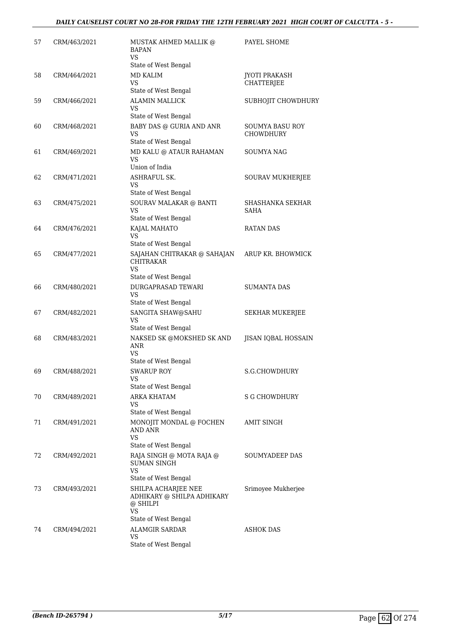| 57 | CRM/463/2021 | MUSTAK AHMED MALLIK @<br><b>BAPAN</b><br>VS                                                 | PAYEL SHOME                                |
|----|--------------|---------------------------------------------------------------------------------------------|--------------------------------------------|
| 58 | CRM/464/2021 | State of West Bengal<br><b>MD KALIM</b><br>VS                                               | <b>JYOTI PRAKASH</b><br><b>CHATTERJEE</b>  |
| 59 | CRM/466/2021 | State of West Bengal<br><b>ALAMIN MALLICK</b><br>VS                                         | SUBHOJIT CHOWDHURY                         |
| 60 | CRM/468/2021 | State of West Bengal<br><b>BABY DAS @ GURIA AND ANR</b><br>VS                               | <b>SOUMYA BASU ROY</b><br><b>CHOWDHURY</b> |
| 61 | CRM/469/2021 | State of West Bengal<br>MD KALU @ ATAUR RAHAMAN<br>VS<br>Union of India                     | SOUMYA NAG                                 |
| 62 | CRM/471/2021 | ASHRAFUL SK.<br>VS<br>State of West Bengal                                                  | SOURAV MUKHERJEE                           |
| 63 | CRM/475/2021 | SOURAV MALAKAR @ BANTI<br>VS<br>State of West Bengal                                        | <b>SHASHANKA SEKHAR</b><br><b>SAHA</b>     |
| 64 | CRM/476/2021 | KAJAL MAHATO<br>VS<br>State of West Bengal                                                  | <b>RATAN DAS</b>                           |
| 65 | CRM/477/2021 | SAJAHAN CHITRAKAR @ SAHAJAN<br>CHITRAKAR<br>VS                                              | ARUP KR. BHOWMICK                          |
| 66 | CRM/480/2021 | State of West Bengal<br><b>DURGAPRASAD TEWARI</b><br>VS.<br>State of West Bengal            | <b>SUMANTA DAS</b>                         |
| 67 | CRM/482/2021 | SANGITA SHAW@SAHU<br>VS<br>State of West Bengal                                             | SEKHAR MUKERJEE                            |
| 68 | CRM/483/2021 | NAKSED SK @MOKSHED SK AND<br>ANR<br>VS                                                      | JISAN IQBAL HOSSAIN                        |
| 69 | CRM/488/2021 | State of West Bengal<br><b>SWARUP ROY</b><br>VS<br>State of West Bengal                     | S.G.CHOWDHURY                              |
| 70 | CRM/489/2021 | ARKA KHATAM<br>VS<br>State of West Bengal                                                   | <b>S G CHOWDHURY</b>                       |
| 71 | CRM/491/2021 | MONOJIT MONDAL @ FOCHEN<br>AND ANR<br>VS.<br>State of West Bengal                           | AMIT SINGH                                 |
| 72 | CRM/492/2021 | RAJA SINGH @ MOTA RAJA @<br>SUMAN SINGH<br>VS<br>State of West Bengal                       | SOUMYADEEP DAS                             |
| 73 | CRM/493/2021 | SHILPA ACHARJEE NEE<br>ADHIKARY @ SHILPA ADHIKARY<br>@ SHILPI<br>VS<br>State of West Bengal | Srimoyee Mukherjee                         |
| 74 | CRM/494/2021 | <b>ALAMGIR SARDAR</b><br>VS<br>State of West Bengal                                         | ASHOK DAS                                  |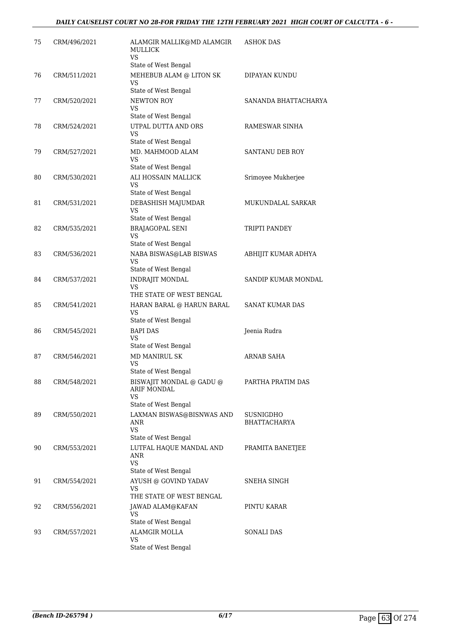| 75 | CRM/496/2021 | ALAMGIR MALLIK@MD ALAMGIR<br><b>MULLICK</b><br>VS.<br>State of West Bengal       | ASHOK DAS                        |
|----|--------------|----------------------------------------------------------------------------------|----------------------------------|
| 76 | CRM/511/2021 | MEHEBUB ALAM @ LITON SK<br><b>VS</b><br>State of West Bengal                     | DIPAYAN KUNDU                    |
| 77 | CRM/520/2021 | NEWTON ROY<br>VS                                                                 | SANANDA BHATTACHARYA             |
| 78 | CRM/524/2021 | State of West Bengal<br>UTPAL DUTTA AND ORS<br><b>VS</b><br>State of West Bengal | RAMESWAR SINHA                   |
| 79 | CRM/527/2021 | MD. MAHMOOD ALAM<br>VS.<br>State of West Bengal                                  | SANTANU DEB ROY                  |
| 80 | CRM/530/2021 | ALI HOSSAIN MALLICK<br>VS.<br>State of West Bengal                               | Srimoyee Mukherjee               |
| 81 | CRM/531/2021 | DEBASHISH MAJUMDAR<br><b>VS</b><br>State of West Bengal                          | MUKUNDALAL SARKAR                |
| 82 | CRM/535/2021 | <b>BRAJAGOPAL SENI</b><br>VS.<br>State of West Bengal                            | TRIPTI PANDEY                    |
| 83 | CRM/536/2021 | NABA BISWAS@LAB BISWAS<br>VS<br>State of West Bengal                             | ABHIJIT KUMAR ADHYA              |
| 84 | CRM/537/2021 | <b>INDRAJIT MONDAL</b><br>VS.<br>THE STATE OF WEST BENGAL                        | SANDIP KUMAR MONDAL              |
| 85 | CRM/541/2021 | HARAN BARAL @ HARUN BARAL<br>VS<br>State of West Bengal                          | SANAT KUMAR DAS                  |
| 86 | CRM/545/2021 | <b>BAPI DAS</b><br>VS<br>State of West Bengal                                    | Jeenia Rudra                     |
| 87 | CRM/546/2021 | <b>MD MANIRUL SK</b><br>VS<br>State of West Bengal                               | ARNAB SAHA                       |
| 88 | CRM/548/2021 | BISWAJIT MONDAL @ GADU @<br>ARIF MONDAL<br><b>VS</b><br>State of West Bengal     | PARTHA PRATIM DAS                |
| 89 | CRM/550/2021 | LAXMAN BISWAS@BISNWAS AND<br>ANR<br><b>VS</b><br>State of West Bengal            | SUSNIGDHO<br><b>BHATTACHARYA</b> |
| 90 | CRM/553/2021 | LUTFAL HAQUE MANDAL AND<br>ANR<br><b>VS</b><br>State of West Bengal              | PRAMITA BANETJEE                 |
| 91 | CRM/554/2021 | AYUSH @ GOVIND YADAV<br>VS<br>THE STATE OF WEST BENGAL                           | SNEHA SINGH                      |
| 92 | CRM/556/2021 | JAWAD ALAM@KAFAN<br>VS<br>State of West Bengal                                   | PINTU KARAR                      |
| 93 | CRM/557/2021 | <b>ALAMGIR MOLLA</b><br><b>VS</b><br>State of West Bengal                        | <b>SONALI DAS</b>                |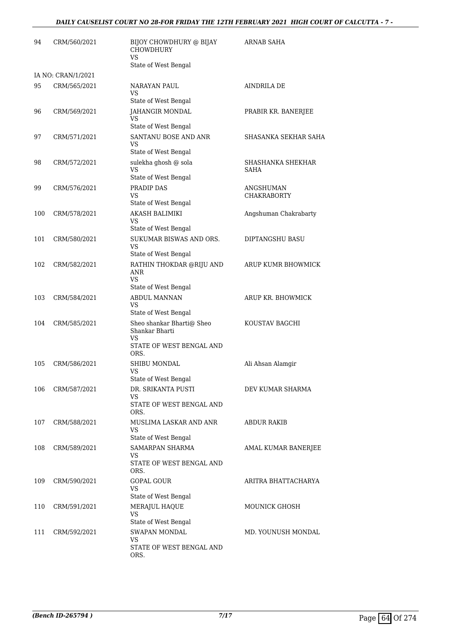| 94  | CRM/560/2021       | BIJOY CHOWDHURY @ BIJAY<br><b>CHOWDHURY</b><br><b>VS</b><br>State of West Bengal             | <b>ARNAB SAHA</b>               |
|-----|--------------------|----------------------------------------------------------------------------------------------|---------------------------------|
|     | IA NO: CRAN/1/2021 |                                                                                              |                                 |
| 95  | CRM/565/2021       | NARAYAN PAUL<br>VS.<br>State of West Bengal                                                  | AINDRILA DE                     |
| 96  | CRM/569/2021       | JAHANGIR MONDAL<br><b>VS</b><br>State of West Bengal                                         | PRABIR KR. BANERJEE             |
| 97  | CRM/571/2021       | SANTANU BOSE AND ANR<br>VS<br>State of West Bengal                                           | SHASANKA SEKHAR SAHA            |
| 98  | CRM/572/2021       | sulekha ghosh @ sola<br>VS<br>State of West Bengal                                           | SHASHANKA SHEKHAR<br>SAHA       |
| 99  | CRM/576/2021       | PRADIP DAS<br>VS<br>State of West Bengal                                                     | ANGSHUMAN<br><b>CHAKRABORTY</b> |
| 100 | CRM/578/2021       | <b>AKASH BALIMIKI</b><br>VS.<br>State of West Bengal                                         | Angshuman Chakrabarty           |
| 101 | CRM/580/2021       | SUKUMAR BISWAS AND ORS.<br><b>VS</b><br>State of West Bengal                                 | DIPTANGSHU BASU                 |
| 102 | CRM/582/2021       | RATHIN THOKDAR @RIJU AND<br><b>ANR</b><br>VS.<br>State of West Bengal                        | ARUP KUMR BHOWMICK              |
| 103 | CRM/584/2021       | ABDUL MANNAN<br><b>VS</b><br>State of West Bengal                                            | ARUP KR. BHOWMICK               |
| 104 | CRM/585/2021       | Sheo shankar Bharti@ Sheo<br>Shankar Bharti<br><b>VS</b><br>STATE OF WEST BENGAL AND<br>ORS. | KOUSTAV BAGCHI                  |
| 105 | CRM/586/2021       | SHIBU MONDAL<br>VS<br>State of West Bengal                                                   | Ali Ahsan Alamgir               |
| 106 | CRM/587/2021       | DR. SRIKANTA PUSTI<br>VS<br>STATE OF WEST BENGAL AND<br>ORS.                                 | DEV KUMAR SHARMA                |
| 107 | CRM/588/2021       | MUSLIMA LASKAR AND ANR<br>VS<br>State of West Bengal                                         | <b>ABDUR RAKIB</b>              |
| 108 | CRM/589/2021       | <b>SAMARPAN SHARMA</b><br>VS.<br>STATE OF WEST BENGAL AND<br>ORS.                            | AMAL KUMAR BANERJEE             |
| 109 | CRM/590/2021       | <b>GOPAL GOUR</b><br><b>VS</b><br>State of West Bengal                                       | ARITRA BHATTACHARYA             |
| 110 | CRM/591/2021       | MERAJUL HAQUE<br>VS<br>State of West Bengal                                                  | <b>MOUNICK GHOSH</b>            |
| 111 | CRM/592/2021       | <b>SWAPAN MONDAL</b><br>VS<br>STATE OF WEST BENGAL AND<br>ORS.                               | MD. YOUNUSH MONDAL              |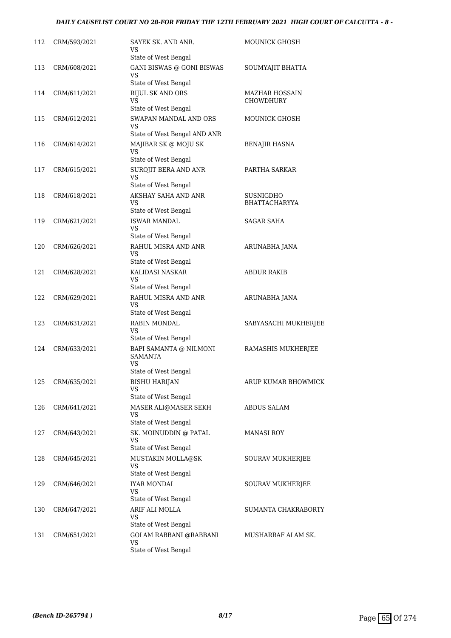### *DAILY CAUSELIST COURT NO 28-FOR FRIDAY THE 12TH FEBRUARY 2021 HIGH COURT OF CALCUTTA - 8 -*

| 112 | CRM/593/2021 | SAYEK SK. AND ANR.<br>VS                                 | MOUNICK GHOSH                             |
|-----|--------------|----------------------------------------------------------|-------------------------------------------|
| 113 | CRM/608/2021 | State of West Bengal<br><b>GANI BISWAS @ GONI BISWAS</b> | SOUMYAJIT BHATTA                          |
|     |              | VS                                                       |                                           |
|     |              | State of West Bengal                                     |                                           |
| 114 | CRM/611/2021 | <b>RIJUL SK AND ORS</b><br>VS                            | <b>MAZHAR HOSSAIN</b><br><b>CHOWDHURY</b> |
|     |              | State of West Bengal                                     |                                           |
| 115 | CRM/612/2021 | SWAPAN MANDAL AND ORS                                    | <b>MOUNICK GHOSH</b>                      |
|     |              | VS                                                       |                                           |
|     |              | State of West Bengal AND ANR                             |                                           |
| 116 | CRM/614/2021 | MAJIBAR SK @ MOJU SK<br><b>VS</b>                        | <b>BENAJIR HASNA</b>                      |
|     |              | State of West Bengal                                     |                                           |
| 117 | CRM/615/2021 | SUROJIT BERA AND ANR                                     | PARTHA SARKAR                             |
|     |              | VS.                                                      |                                           |
|     |              | State of West Bengal                                     |                                           |
| 118 | CRM/618/2021 | AKSHAY SAHA AND ANR<br>VS.                               | SUSNIGDHO<br><b>BHATTACHARYYA</b>         |
|     |              | State of West Bengal                                     |                                           |
| 119 | CRM/621/2021 | <b>ISWAR MANDAL</b>                                      | <b>SAGAR SAHA</b>                         |
|     |              | <b>VS</b>                                                |                                           |
|     |              | State of West Bengal<br>RAHUL MISRA AND ANR              |                                           |
| 120 | CRM/626/2021 | VS                                                       | ARUNABHA JANA                             |
|     |              | State of West Bengal                                     |                                           |
| 121 | CRM/628/2021 | KALIDASI NASKAR                                          | <b>ABDUR RAKIB</b>                        |
|     |              | VS<br>State of West Bengal                               |                                           |
| 122 | CRM/629/2021 | RAHUL MISRA AND ANR                                      |                                           |
|     |              | <b>VS</b>                                                | ARUNABHA JANA                             |
|     |              | State of West Bengal                                     |                                           |
| 123 | CRM/631/2021 | RABIN MONDAL                                             | SABYASACHI MUKHERJEE                      |
|     |              | VS<br>State of West Bengal                               |                                           |
| 124 | CRM/633/2021 | BAPI SAMANTA @ NILMONI                                   | RAMASHIS MUKHERJEE                        |
|     |              | <b>SAMANTA</b>                                           |                                           |
|     |              | VS                                                       |                                           |
|     |              | State of West Bengal                                     |                                           |
| 125 | CRM/635/2021 | <b>BISHU HARIJAN</b><br><b>VS</b>                        | ARUP KUMAR BHOWMICK                       |
|     |              | State of West Bengal                                     |                                           |
| 126 | CRM/641/2021 | MASER ALI@MASER SEKH                                     | ABDUS SALAM                               |
|     |              | VS<br>State of West Bengal                               |                                           |
| 127 | CRM/643/2021 | SK. MOINUDDIN @ PATAL                                    | MANASI ROY                                |
|     |              | <b>VS</b>                                                |                                           |
|     |              | State of West Bengal                                     |                                           |
| 128 | CRM/645/2021 | MUSTAKIN MOLLA@SK                                        | SOURAV MUKHERJEE                          |
|     |              | VS<br>State of West Bengal                               |                                           |
| 129 | CRM/646/2021 | <b>IYAR MONDAL</b>                                       | SOURAV MUKHERJEE                          |
|     |              | <b>VS</b>                                                |                                           |
|     |              | State of West Bengal                                     |                                           |
| 130 | CRM/647/2021 | ARIF ALI MOLLA                                           | SUMANTA CHAKRABORTY                       |
|     |              | <b>VS</b><br>State of West Bengal                        |                                           |
| 131 | CRM/651/2021 | <b>GOLAM RABBANI @RABBANI</b>                            | MUSHARRAF ALAM SK.                        |
|     |              | <b>VS</b>                                                |                                           |
|     |              | State of West Bengal                                     |                                           |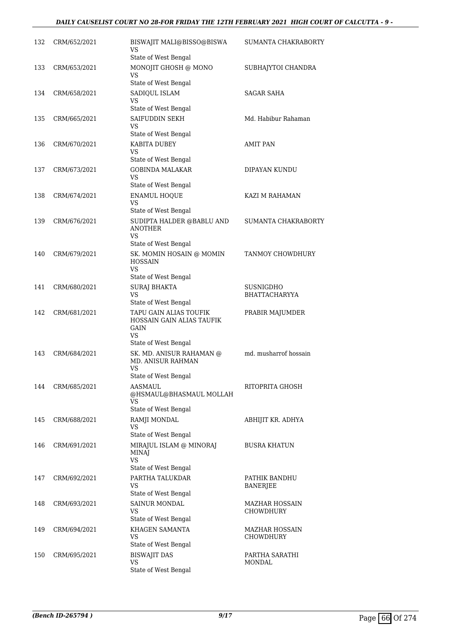| 132 | CRM/652/2021 | BISWAJIT MALI@BISSO@BISWA<br>VS<br>State of West Bengal                                                    | SUMANTA CHAKRABORTY               |
|-----|--------------|------------------------------------------------------------------------------------------------------------|-----------------------------------|
| 133 | CRM/653/2021 | MONOJIT GHOSH @ MONO<br>VS<br>State of West Bengal                                                         | SUBHAJYTOI CHANDRA                |
| 134 | CRM/658/2021 | SADIQUL ISLAM<br>VS<br>State of West Bengal                                                                | SAGAR SAHA                        |
| 135 | CRM/665/2021 | SAIFUDDIN SEKH<br>VS<br>State of West Bengal                                                               | Md. Habibur Rahaman               |
| 136 | CRM/670/2021 | KABITA DUBEY<br>VS<br>State of West Bengal                                                                 | AMIT PAN                          |
| 137 | CRM/673/2021 | <b>GOBINDA MALAKAR</b><br><b>VS</b><br>State of West Bengal                                                | DIPAYAN KUNDU                     |
| 138 | CRM/674/2021 | <b>ENAMUL HOQUE</b><br><b>VS</b><br>State of West Bengal                                                   | KAZI M RAHAMAN                    |
| 139 | CRM/676/2021 | SUDIPTA HALDER @BABLU AND<br><b>ANOTHER</b><br>VS                                                          | SUMANTA CHAKRABORTY               |
| 140 | CRM/679/2021 | State of West Bengal<br>SK. MOMIN HOSAIN @ MOMIN<br><b>HOSSAIN</b><br><b>VS</b>                            | TANMOY CHOWDHURY                  |
| 141 | CRM/680/2021 | State of West Bengal<br><b>SURAJ BHAKTA</b><br>VS<br>State of West Bengal                                  | SUSNIGDHO<br><b>BHATTACHARYYA</b> |
| 142 | CRM/681/2021 | TAPU GAIN ALIAS TOUFIK<br>HOSSAIN GAIN ALIAS TAUFIK<br><b>GAIN</b><br><b>VS</b>                            | PRABIR MAJUMDER                   |
| 143 | CRM/684/2021 | State of West Bengal<br>SK. MD. ANISUR RAHAMAN @<br><b>MD. ANISUR RAHMAN</b><br>VS<br>State of West Bengal | md. musharrof hossain             |
| 144 | CRM/685/2021 | AASMAUL<br>@HSMAUL@BHASMAUL MOLLAH<br>VS<br>State of West Bengal                                           | RITOPRITA GHOSH                   |
| 145 | CRM/688/2021 | RAMJI MONDAL<br><b>VS</b><br>State of West Bengal                                                          | ABHIJIT KR. ADHYA                 |
| 146 | CRM/691/2021 | MIRAJUL ISLAM @ MINORAJ<br><b>MINAJ</b><br><b>VS</b><br>State of West Bengal                               | <b>BUSRA KHATUN</b>               |
| 147 | CRM/692/2021 | PARTHA TALUKDAR<br>VS<br>State of West Bengal                                                              | PATHIK BANDHU<br><b>BANERJEE</b>  |
| 148 | CRM/693/2021 | SAINUR MONDAL<br>VS<br>State of West Bengal                                                                | MAZHAR HOSSAIN<br>CHOWDHURY       |
| 149 | CRM/694/2021 | KHAGEN SAMANTA<br>VS<br>State of West Bengal                                                               | MAZHAR HOSSAIN<br>CHOWDHURY       |
| 150 | CRM/695/2021 | <b>BISWAJIT DAS</b><br><b>VS</b><br>State of West Bengal                                                   | PARTHA SARATHI<br>MONDAL          |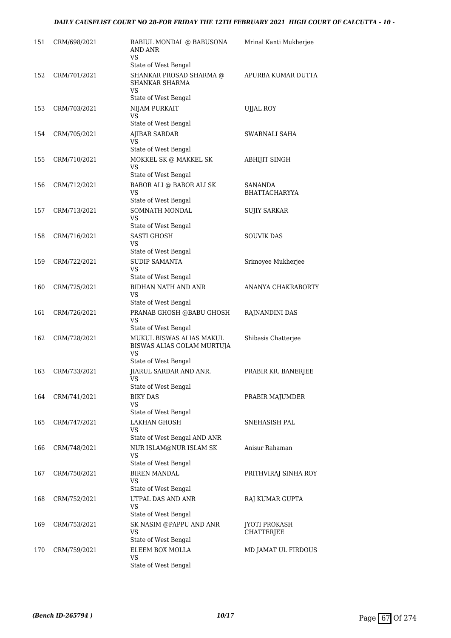| 151 | CRM/698/2021 | RABIUL MONDAL @ BABUSONA<br><b>AND ANR</b><br>VS                                     | Mrinal Kanti Mukherjee             |
|-----|--------------|--------------------------------------------------------------------------------------|------------------------------------|
| 152 | CRM/701/2021 | State of West Bengal<br>SHANKAR PROSAD SHARMA @<br>SHANKAR SHARMA<br>VS              | APURBA KUMAR DUTTA                 |
|     |              | State of West Bengal                                                                 |                                    |
| 153 | CRM/703/2021 | NIJAM PURKAIT<br>VS<br>State of West Bengal                                          | <b>UJJAL ROY</b>                   |
| 154 | CRM/705/2021 | <b>AJIBAR SARDAR</b><br>VS                                                           | SWARNALI SAHA                      |
| 155 | CRM/710/2021 | State of West Bengal<br>MOKKEL SK @ MAKKEL SK<br><b>VS</b>                           | ABHIJIT SINGH                      |
| 156 | CRM/712/2021 | State of West Bengal<br>BABOR ALI @ BABOR ALI SK<br><b>VS</b>                        | SANANDA<br><b>BHATTACHARYYA</b>    |
| 157 | CRM/713/2021 | State of West Bengal<br>SOMNATH MONDAL<br>VS                                         | SUJIY SARKAR                       |
| 158 | CRM/716/2021 | State of West Bengal<br><b>SASTI GHOSH</b><br>VS                                     | <b>SOUVIK DAS</b>                  |
| 159 | CRM/722/2021 | State of West Bengal<br>SUDIP SAMANTA<br><b>VS</b>                                   | Srimoyee Mukherjee                 |
| 160 | CRM/725/2021 | State of West Bengal<br><b>BIDHAN NATH AND ANR</b><br>VS                             | ANANYA CHAKRABORTY                 |
| 161 | CRM/726/2021 | State of West Bengal<br>PRANAB GHOSH @BABU GHOSH<br><b>VS</b>                        | RAJNANDINI DAS                     |
| 162 | CRM/728/2021 | State of West Bengal<br>MUKUL BISWAS ALIAS MAKUL<br>BISWAS ALIAS GOLAM MURTUJA<br>VS | Shibasis Chatterjee                |
| 163 | CRM/733/2021 | State of West Bengal<br>JIARUL SARDAR AND ANR.<br>vs                                 | PRABIR KR. BANERJEE                |
| 164 | CRM/741/2021 | State of West Bengal<br><b>BIKY DAS</b><br>VS                                        | PRABIR MAJUMDER                    |
| 165 | CRM/747/2021 | State of West Bengal<br><b>LAKHAN GHOSH</b><br>VS<br>State of West Bengal AND ANR    | SNEHASISH PAL                      |
| 166 | CRM/748/2021 | NUR ISLAM@NUR ISLAM SK<br>VS<br>State of West Bengal                                 | Anisur Rahaman                     |
| 167 | CRM/750/2021 | <b>BIREN MANDAL</b><br><b>VS</b><br>State of West Bengal                             | PRITHVIRAJ SINHA ROY               |
| 168 | CRM/752/2021 | UTPAL DAS AND ANR<br><b>VS</b><br>State of West Bengal                               | RAJ KUMAR GUPTA                    |
| 169 | CRM/753/2021 | SK NASIM @PAPPU AND ANR<br>VS<br>State of West Bengal                                | <b>JYOTI PROKASH</b><br>CHATTERJEE |
| 170 | CRM/759/2021 | ELEEM BOX MOLLA<br>VS<br>State of West Bengal                                        | MD JAMAT UL FIRDOUS                |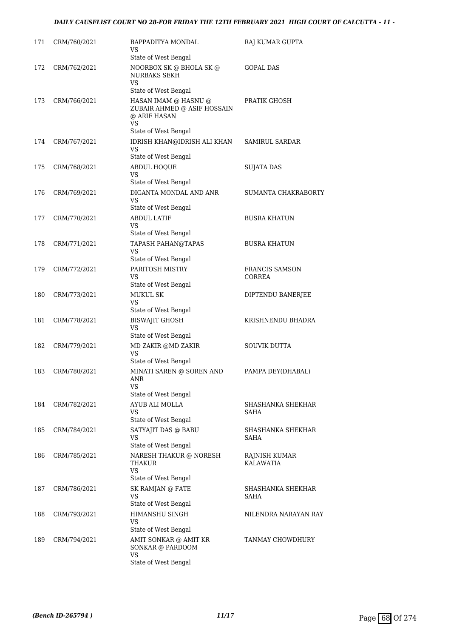| 171 | CRM/760/2021 | BAPPADITYA MONDAL<br>VS<br>State of West Bengal                                          | RAJ KUMAR GUPTA                        |
|-----|--------------|------------------------------------------------------------------------------------------|----------------------------------------|
| 172 | CRM/762/2021 | NOORBOX SK @ BHOLA SK @<br><b>NURBAKS SEKH</b><br><b>VS</b><br>State of West Bengal      | <b>GOPAL DAS</b>                       |
| 173 | CRM/766/2021 | HASAN IMAM @ HASNU @<br>ZUBAIR AHMED @ ASIF HOSSAIN<br>@ ARIF HASAN<br>VS                | PRATIK GHOSH                           |
| 174 | CRM/767/2021 | State of West Bengal<br>IDRISH KHAN@IDRISH ALI KHAN<br><b>VS</b><br>State of West Bengal | <b>SAMIRUL SARDAR</b>                  |
| 175 | CRM/768/2021 | <b>ABDUL HOQUE</b><br><b>VS</b><br>State of West Bengal                                  | <b>SUJATA DAS</b>                      |
| 176 | CRM/769/2021 | DIGANTA MONDAL AND ANR<br>VS<br>State of West Bengal                                     | SUMANTA CHAKRABORTY                    |
| 177 | CRM/770/2021 | <b>ABDUL LATIF</b><br>VS<br>State of West Bengal                                         | <b>BUSRA KHATUN</b>                    |
| 178 | CRM/771/2021 | <b>TAPASH PAHAN@TAPAS</b><br>VS<br>State of West Bengal                                  | <b>BUSRA KHATUN</b>                    |
| 179 | CRM/772/2021 | PARITOSH MISTRY<br>VS<br>State of West Bengal                                            | <b>FRANCIS SAMSON</b><br><b>CORREA</b> |
| 180 | CRM/773/2021 | MUKUL SK<br>VS<br>State of West Bengal                                                   | DIPTENDU BANERJEE                      |
| 181 | CRM/778/2021 | <b>BISWAJIT GHOSH</b><br>VS<br>State of West Bengal                                      | KRISHNENDU BHADRA                      |
| 182 | CRM/779/2021 | MD ZAKIR @MD ZAKIR<br><b>VS</b><br>State of West Bengal                                  | <b>SOUVIK DUTTA</b>                    |
| 183 | CRM/780/2021 | MINATI SAREN @ SOREN AND<br>ANR<br>VS                                                    | PAMPA DEY(DHABAL)                      |
| 184 | CRM/782/2021 | State of West Bengal<br>AYUB ALI MOLLA<br>VS<br>State of West Bengal                     | SHASHANKA SHEKHAR<br>SAHA              |
| 185 | CRM/784/2021 | SATYAJIT DAS @ BABU<br>VS<br>State of West Bengal                                        | SHASHANKA SHEKHAR<br>SAHA              |
| 186 | CRM/785/2021 | NARESH THAKUR @ NORESH<br>THAKUR<br>VS<br>State of West Bengal                           | RAJNISH KUMAR<br>KALAWATIA             |
| 187 | CRM/786/2021 | SK RAMJAN @ FATE<br>VS<br>State of West Bengal                                           | SHASHANKA SHEKHAR<br>SAHA              |
| 188 | CRM/793/2021 | HIMANSHU SINGH<br>VS<br>State of West Bengal                                             | NILENDRA NARAYAN RAY                   |
| 189 | CRM/794/2021 | AMIT SONKAR @ AMIT KR<br>SONKAR @ PARDOOM<br>VS<br>State of West Bengal                  | TANMAY CHOWDHURY                       |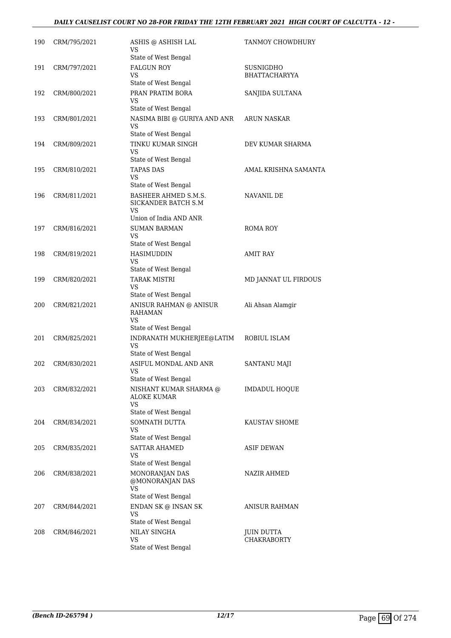### *DAILY CAUSELIST COURT NO 28-FOR FRIDAY THE 12TH FEBRUARY 2021 HIGH COURT OF CALCUTTA - 12 -*

| 190 | CRM/795/2021 | ASHIS @ ASHISH LAL<br>VS                                       | TANMOY CHOWDHURY     |
|-----|--------------|----------------------------------------------------------------|----------------------|
| 191 | CRM/797/2021 | State of West Bengal<br><b>FALGUN ROY</b>                      | SUSNIGDHO            |
|     |              | VS                                                             | <b>BHATTACHARYYA</b> |
| 192 | CRM/800/2021 | State of West Bengal<br>PRAN PRATIM BORA                       | SANJIDA SULTANA      |
|     |              | VS                                                             |                      |
| 193 | CRM/801/2021 | State of West Bengal<br>NASIMA BIBI @ GURIYA AND ANR<br>VS     | <b>ARUN NASKAR</b>   |
|     |              | State of West Bengal                                           |                      |
| 194 | CRM/809/2021 | TINKU KUMAR SINGH<br>VS                                        | DEV KUMAR SHARMA     |
|     |              | State of West Bengal                                           |                      |
| 195 | CRM/810/2021 | <b>TAPAS DAS</b><br><b>VS</b><br>State of West Bengal          | AMAL KRISHNA SAMANTA |
| 196 | CRM/811/2021 | BASHEER AHMED S.M.S.<br>SICKANDER BATCH S.M<br>VS              | NAVANIL DE           |
| 197 | CRM/816/2021 | Union of India AND ANR<br><b>SUMAN BARMAN</b>                  | ROMA ROY             |
|     |              | VS<br>State of West Bengal                                     |                      |
| 198 | CRM/819/2021 | HASIMUDDIN                                                     | <b>AMIT RAY</b>      |
|     |              | VS<br>State of West Bengal                                     |                      |
| 199 | CRM/820/2021 | <b>TARAK MISTRI</b><br>VS<br>State of West Bengal              | MD JANNAT UL FIRDOUS |
| 200 | CRM/821/2021 | ANISUR RAHMAN @ ANISUR<br><b>RAHAMAN</b><br><b>VS</b>          | Ali Ahsan Alamgir    |
|     |              | State of West Bengal                                           |                      |
| 201 | CRM/825/2021 | INDRANATH MUKHERJEE@LATIM<br><b>VS</b><br>State of West Bengal | ROBIUL ISLAM         |
| 202 | CRM/830/2021 | ASIFUL MONDAL AND ANR                                          | <b>SANTANU MAJI</b>  |
|     |              | VS<br>State of West Bengal                                     |                      |
| 203 | CRM/832/2021 | NISHANT KUMAR SHARMA @<br><b>ALOKE KUMAR</b><br>VS             | IMDADUL HOQUE        |
| 204 | CRM/834/2021 | State of West Bengal<br>SOMNATH DUTTA                          | KAUSTAV SHOME        |
|     |              | VS                                                             |                      |
| 205 | CRM/835/2021 | State of West Bengal<br><b>SATTAR AHAMED</b>                   | ASIF DEWAN           |
|     |              | <b>VS</b><br>State of West Bengal                              |                      |
| 206 | CRM/838/2021 | MONORANJAN DAS<br>@MONORANJAN DAS<br><b>VS</b>                 | NAZIR AHMED          |
|     |              | State of West Bengal                                           |                      |
| 207 | CRM/844/2021 | ENDAN SK @ INSAN SK<br>VS<br>State of West Bengal              | ANISUR RAHMAN        |
| 208 | CRM/846/2021 | NILAY SINGHA                                                   | JUIN DUTTA           |
|     |              | VS                                                             | <b>CHAKRABORTY</b>   |
|     |              | State of West Bengal                                           |                      |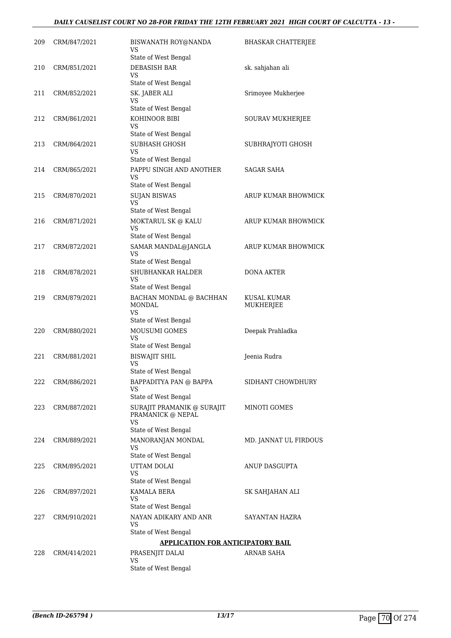| 209 | CRM/847/2021 | BISWANATH ROY@NANDA<br>VS<br>State of West Bengal                                    | <b>BHASKAR CHATTERJEE</b> |
|-----|--------------|--------------------------------------------------------------------------------------|---------------------------|
| 210 | CRM/851/2021 | DEBASISH BAR<br>VS<br>State of West Bengal                                           | sk. sahjahan ali          |
| 211 | CRM/852/2021 | SK. JABER ALI<br>VS<br>State of West Bengal                                          | Srimoyee Mukherjee        |
| 212 | CRM/861/2021 | KOHINOOR BIBI<br>VS<br>State of West Bengal                                          | SOURAV MUKHERJEE          |
| 213 | CRM/864/2021 | SUBHASH GHOSH<br>VS<br>State of West Bengal                                          | SUBHRAJYOTI GHOSH         |
| 214 | CRM/865/2021 | PAPPU SINGH AND ANOTHER<br><b>VS</b><br>State of West Bengal                         | <b>SAGAR SAHA</b>         |
| 215 | CRM/870/2021 | <b>SUJAN BISWAS</b><br>VS.<br>State of West Bengal                                   | ARUP KUMAR BHOWMICK       |
| 216 | CRM/871/2021 | MOKTARUL SK @ KALU<br><b>VS</b><br>State of West Bengal                              | ARUP KUMAR BHOWMICK       |
| 217 | CRM/872/2021 | SAMAR MANDAL@JANGLA<br>VS<br>State of West Bengal                                    | ARUP KUMAR BHOWMICK       |
| 218 | CRM/878/2021 | SHUBHANKAR HALDER<br>VS<br>State of West Bengal                                      | <b>DONA AKTER</b>         |
| 219 | CRM/879/2021 | BACHAN MONDAL @ BACHHAN<br>MONDAL<br>VS.                                             | KUSAL KUMAR<br>MUKHERJEE  |
| 220 | CRM/880/2021 | State of West Bengal<br>MOUSUMI GOMES<br><b>VS</b><br>State of West Bengal           | Deepak Prahladka          |
| 221 | CRM/881/2021 | <b>BISWAJIT SHIL</b><br><b>VS</b><br>State of West Bengal                            | Jeenia Rudra              |
| 222 | CRM/886/2021 | BAPPADITYA PAN @ BAPPA<br>VS<br>State of West Bengal                                 | SIDHANT CHOWDHURY         |
| 223 | CRM/887/2021 | SURAJIT PRAMANIK @ SURAJIT<br>PRAMANICK @ NEPAL<br><b>VS</b><br>State of West Bengal | MINOTI GOMES              |
| 224 | CRM/889/2021 | MANORANJAN MONDAL<br>VS<br>State of West Bengal                                      | MD. JANNAT UL FIRDOUS     |
| 225 | CRM/895/2021 | UTTAM DOLAI<br><b>VS</b><br>State of West Bengal                                     | ANUP DASGUPTA             |
| 226 | CRM/897/2021 | KAMALA BERA<br><b>VS</b><br>State of West Bengal                                     | SK SAHJAHAN ALI           |
| 227 | CRM/910/2021 | NAYAN ADIKARY AND ANR<br><b>VS</b><br>State of West Bengal                           | SAYANTAN HAZRA            |
|     |              | <b>APPLICATION FOR ANTICIPATORY BAIL</b>                                             |                           |
| 228 | CRM/414/2021 | PRASENJIT DALAI                                                                      | ARNAB SAHA                |
|     |              | VS.<br>State of West Bengal                                                          |                           |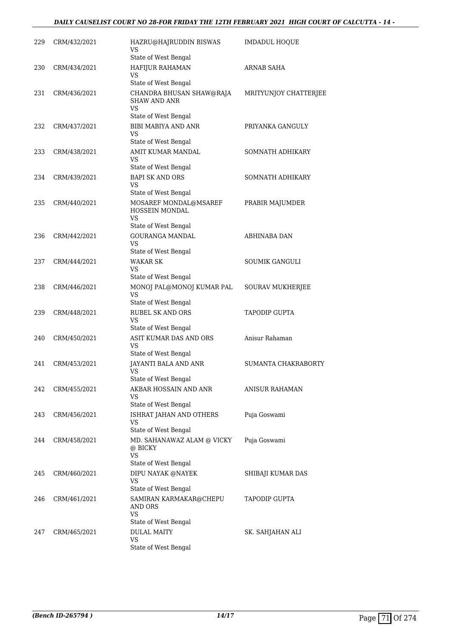### *DAILY CAUSELIST COURT NO 28-FOR FRIDAY THE 12TH FEBRUARY 2021 HIGH COURT OF CALCUTTA - 14 -*

| 229 | CRM/432/2021 | HAZRU@HAJRUDDIN BISWAS<br>VS<br>State of West Bengal                             | <b>IMDADUL HOQUE</b>  |
|-----|--------------|----------------------------------------------------------------------------------|-----------------------|
| 230 | CRM/434/2021 | HAFIJUR RAHAMAN<br>VS                                                            | ARNAB SAHA            |
| 231 | CRM/436/2021 | State of West Bengal<br>CHANDRA BHUSAN SHAW@RAJA<br><b>SHAW AND ANR</b><br>VS    | MRITYUNJOY CHATTERJEE |
| 232 | CRM/437/2021 | State of West Bengal<br>BIBI MABIYA AND ANR<br>VS                                | PRIYANKA GANGULY      |
| 233 | CRM/438/2021 | State of West Bengal<br>AMIT KUMAR MANDAL<br>VS<br>State of West Bengal          | SOMNATH ADHIKARY      |
| 234 | CRM/439/2021 | <b>BAPI SK AND ORS</b><br>VS<br>State of West Bengal                             | SOMNATH ADHIKARY      |
| 235 | CRM/440/2021 | MOSAREF MONDAL@MSAREF<br>HOSSEIN MONDAL<br><b>VS</b>                             | PRABIR MAJUMDER       |
| 236 | CRM/442/2021 | State of West Bengal<br>GOURANGA MANDAL<br><b>VS</b><br>State of West Bengal     | ABHINABA DAN          |
| 237 | CRM/444/2021 | WAKAR SK<br>VS                                                                   | SOUMIK GANGULI        |
| 238 | CRM/446/2021 | State of West Bengal<br>MONOJ PAL@MONOJ KUMAR PAL<br>VS.<br>State of West Bengal | SOURAV MUKHERJEE      |
| 239 | CRM/448/2021 | <b>RUBEL SK AND ORS</b><br>VS<br>State of West Bengal                            | <b>TAPODIP GUPTA</b>  |
| 240 | CRM/450/2021 | ASIT KUMAR DAS AND ORS<br>VS<br>State of West Bengal                             | Anisur Rahaman        |
| 241 | CRM/453/2021 | JAYANTI BALA AND ANR<br>VS<br>State of West Bengal                               | SUMANTA CHAKRABORTY   |
| 242 | CRM/455/2021 | AKBAR HOSSAIN AND ANR<br>VS.<br>State of West Bengal                             | <b>ANISUR RAHAMAN</b> |
| 243 | CRM/456/2021 | ISHRAT JAHAN AND OTHERS<br>VS<br>State of West Bengal                            | Puja Goswami          |
| 244 | CRM/458/2021 | MD. SAHANAWAZ ALAM @ VICKY<br>@ BICKY<br><b>VS</b><br>State of West Bengal       | Puja Goswami          |
| 245 | CRM/460/2021 | DIPU NAYAK @NAYEK<br>VS<br>State of West Bengal                                  | SHIBAJI KUMAR DAS     |
| 246 | CRM/461/2021 | SAMIRAN KARMAKAR@CHEPU<br>AND ORS<br><b>VS</b><br>State of West Bengal           | TAPODIP GUPTA         |
| 247 | CRM/465/2021 | <b>DULAL MAITY</b><br>VS<br>State of West Bengal                                 | SK. SAHJAHAN ALI      |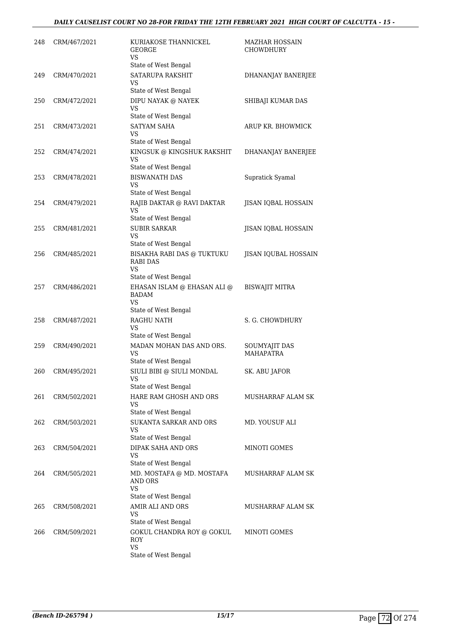| 248 | CRM/467/2021 | KURIAKOSE THANNICKEL<br>GEORGE<br>VS                                                               | <b>MAZHAR HOSSAIN</b><br>CHOWDHURY |
|-----|--------------|----------------------------------------------------------------------------------------------------|------------------------------------|
| 249 | CRM/470/2021 | State of West Bengal<br><b>SATARUPA RAKSHIT</b><br>VS<br>State of West Bengal                      | DHANANJAY BANERJEE                 |
| 250 | CRM/472/2021 | DIPU NAYAK @ NAYEK<br>VS                                                                           | SHIBAJI KUMAR DAS                  |
| 251 | CRM/473/2021 | State of West Bengal<br><b>SATYAM SAHA</b><br>VS<br>State of West Bengal                           | ARUP KR. BHOWMICK                  |
| 252 | CRM/474/2021 | KINGSUK @ KINGSHUK RAKSHIT<br>VS<br>State of West Bengal                                           | DHANANJAY BANERJEE                 |
| 253 | CRM/478/2021 | <b>BISWANATH DAS</b><br>VS<br>State of West Bengal                                                 | Supratick Syamal                   |
| 254 | CRM/479/2021 | RAJIB DAKTAR @ RAVI DAKTAR<br><b>VS</b><br>State of West Bengal                                    | JISAN IQBAL HOSSAIN                |
| 255 | CRM/481/2021 | <b>SUBIR SARKAR</b><br>VS                                                                          | JISAN IQBAL HOSSAIN                |
| 256 | CRM/485/2021 | State of West Bengal<br>BISAKHA RABI DAS @ TUKTUKU<br><b>RABI DAS</b><br>VS                        | JISAN IQUBAL HOSSAIN               |
| 257 | CRM/486/2021 | State of West Bengal<br>EHASAN ISLAM @ EHASAN ALI @<br><b>BADAM</b><br>VS.<br>State of West Bengal | <b>BISWAJIT MITRA</b>              |
| 258 | CRM/487/2021 | RAGHU NATH<br>VS                                                                                   | S. G. CHOWDHURY                    |
| 259 | CRM/490/2021 | State of West Bengal<br>MADAN MOHAN DAS AND ORS.<br>VS<br>State of West Bengal                     | SOUMYAJIT DAS<br><b>MAHAPATRA</b>  |
| 260 | CRM/495/2021 | SIULI BIBI @ SIULI MONDAL<br>VS<br>State of West Bengal                                            | SK. ABU JAFOR                      |
| 261 | CRM/502/2021 | HARE RAM GHOSH AND ORS<br>VS                                                                       | MUSHARRAF ALAM SK                  |
| 262 | CRM/503/2021 | State of West Bengal<br><b>SUKANTA SARKAR AND ORS</b><br>VS                                        | MD. YOUSUF ALI                     |
| 263 | CRM/504/2021 | State of West Bengal<br>DIPAK SAHA AND ORS<br>VS<br>State of West Bengal                           | MINOTI GOMES                       |
| 264 | CRM/505/2021 | MD. MOSTAFA @ MD. MOSTAFA<br>AND ORS<br>VS<br>State of West Bengal                                 | MUSHARRAF ALAM SK                  |
| 265 | CRM/508/2021 | AMIR ALI AND ORS<br>VS                                                                             | <b>MUSHARRAF ALAM SK</b>           |
| 266 | CRM/509/2021 | State of West Bengal<br>GOKUL CHANDRA ROY @ GOKUL<br>ROY<br>VS<br>State of West Bengal             | MINOTI GOMES                       |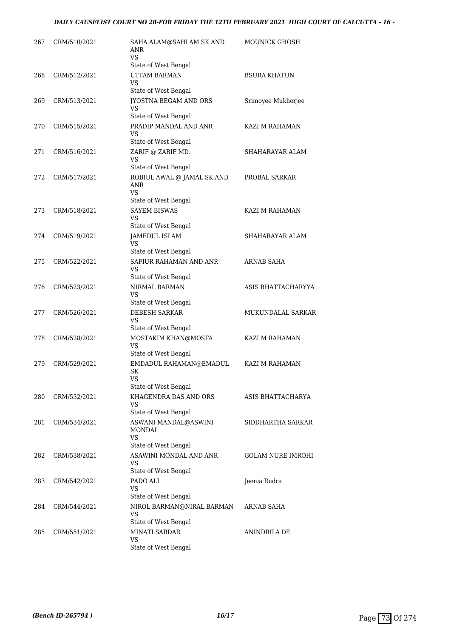| 267 | CRM/510/2021 | SAHA ALAM@SAHLAM SK AND<br>ANR<br>VS                       | <b>MOUNICK GHOSH</b>     |
|-----|--------------|------------------------------------------------------------|--------------------------|
|     |              | State of West Bengal                                       |                          |
| 268 | CRM/512/2021 | <b>UTTAM BARMAN</b><br>VS                                  | <b>BSURA KHATUN</b>      |
|     |              | State of West Bengal                                       |                          |
| 269 | CRM/513/2021 | <b>JYOSTNA BEGAM AND ORS</b><br>VS<br>State of West Bengal | Srimoyee Mukherjee       |
| 270 | CRM/515/2021 | PRADIP MANDAL AND ANR                                      | KAZI M RAHAMAN           |
|     |              | VS<br>State of West Bengal                                 |                          |
| 271 | CRM/516/2021 | ZARIF @ ZARIF MD.<br>VS                                    | SHAHARAYAR ALAM          |
|     |              | State of West Bengal                                       |                          |
| 272 | CRM/517/2021 | ROBIUL AWAL @ JAMAL SK.AND<br>ANR<br><b>VS</b>             | PROBAL SARKAR            |
|     |              | State of West Bengal                                       |                          |
| 273 | CRM/518/2021 | <b>SAYEM BISWAS</b><br>VS                                  | KAZI M RAHAMAN           |
|     |              | State of West Bengal                                       |                          |
| 274 | CRM/519/2021 | <b>JAMEDUL ISLAM</b><br>VS                                 | SHAHARAYAR ALAM          |
|     |              | State of West Bengal<br>SAFIUR RAHAMAN AND ANR             |                          |
| 275 | CRM/522/2021 | VS.<br>State of West Bengal                                | ARNAB SAHA               |
| 276 | CRM/523/2021 | NIRMAL BARMAN                                              | ASIS BHATTACHARYYA       |
|     |              | VS<br>State of West Bengal                                 |                          |
| 277 | CRM/526/2021 | <b>DEBESH SARKAR</b><br><b>VS</b><br>State of West Bengal  | MUKUNDALAL SARKAR        |
| 278 | CRM/528/2021 | MOSTAKIM KHAN@MOSTA                                        | KAZI M RAHAMAN           |
|     |              | VS<br>State of West Bengal                                 |                          |
| 279 | CRM/529/2021 | EMDADUL RAHAMAN@EMADUL<br>SK                               | KAZI M RAHAMAN           |
|     |              | VS                                                         |                          |
|     |              | State of West Bengal<br>KHAGENDRA DAS AND ORS              | ASIS BHATTACHARYA        |
| 280 | CRM/532/2021 | VS<br>State of West Bengal                                 |                          |
| 281 | CRM/534/2021 | ASWANI MANDAL@ASWINI<br>MONDAL<br><b>VS</b>                | SIDDHARTHA SARKAR        |
|     |              | State of West Bengal                                       |                          |
| 282 | CRM/538/2021 | ASAWINI MONDAL AND ANR<br>VS                               | <b>GOLAM NURE IMROHI</b> |
|     |              | State of West Bengal                                       |                          |
| 283 | CRM/542/2021 | PADO ALI<br><b>VS</b><br>State of West Bengal              | Jeenia Rudra             |
| 284 | CRM/544/2021 | NIROL BARMAN@NIRAL BARMAN<br>VS                            | ARNAB SAHA               |
|     |              | State of West Bengal                                       |                          |
| 285 | CRM/551/2021 | <b>MINATI SARDAR</b><br>VS<br>State of West Bengal         | ANINDRILA DE             |
|     |              |                                                            |                          |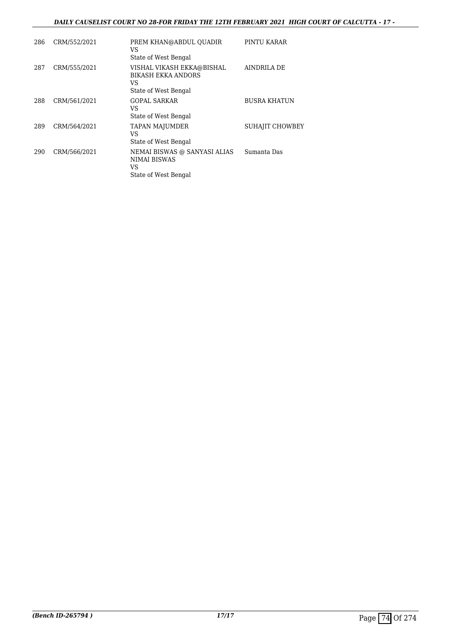### *DAILY CAUSELIST COURT NO 28-FOR FRIDAY THE 12TH FEBRUARY 2021 HIGH COURT OF CALCUTTA - 17 -*

| 286 | CRM/552/2021 | PREM KHAN@ABDUL OUADIR<br>VS<br>State of West Bengal                                 | PINTU KARAR            |
|-----|--------------|--------------------------------------------------------------------------------------|------------------------|
| 287 | CRM/555/2021 | VISHAL VIKASH EKKA@BISHAL<br><b>BIKASH EKKA ANDORS</b><br>VS<br>State of West Bengal | AINDRILA DE            |
| 288 | CRM/561/2021 | <b>GOPAL SARKAR</b><br>VS<br>State of West Bengal                                    | <b>BUSRA KHATUN</b>    |
| 289 | CRM/564/2021 | <b>TAPAN MAJUMDER</b><br>VS<br>State of West Bengal                                  | <b>SUHAJIT CHOWBEY</b> |
| 290 | CRM/566/2021 | NEMAI BISWAS @ SANYASI ALIAS<br>NIMAI BISWAS<br>VS<br>State of West Bengal           | Sumanta Das            |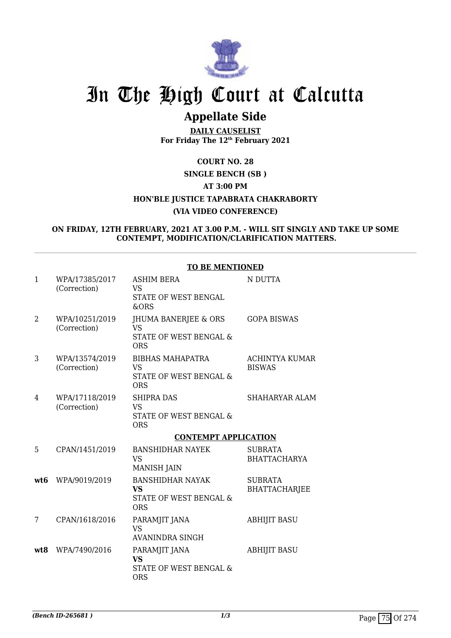

## **Appellate Side**

**DAILY CAUSELIST For Friday The 12th February 2021**

### **COURT NO. 28 SINGLE BENCH (SB ) AT 3:00 PM HON'BLE JUSTICE TAPABRATA CHAKRABORTY (VIA VIDEO CONFERENCE)**

### **ON FRIDAY, 12TH FEBRUARY, 2021 AT 3.00 P.M. - WILL SIT SINGLY AND TAKE UP SOME CONTEMPT, MODIFICATION/CLARIFICATION MATTERS.**

| $\mathbf{1}$ | WPA/17385/2017<br>(Correction) | <b>ASHIM BERA</b><br>VS<br>STATE OF WEST BENGAL<br>&ORS                      | N DUTTA                                |
|--------------|--------------------------------|------------------------------------------------------------------------------|----------------------------------------|
| 2            | WPA/10251/2019<br>(Correction) | JHUMA BANERJEE & ORS<br>VS.<br>STATE OF WEST BENGAL &<br><b>ORS</b>          | <b>GOPA BISWAS</b>                     |
| 3            | WPA/13574/2019<br>(Correction) | <b>BIBHAS MAHAPATRA</b><br><b>VS</b><br>STATE OF WEST BENGAL &<br><b>ORS</b> | ACHINTYA KUMAR<br><b>BISWAS</b>        |
| 4            | WPA/17118/2019<br>(Correction) | <b>SHIPRA DAS</b><br><b>VS</b><br>STATE OF WEST BENGAL &<br><b>ORS</b>       | SHAHARYAR ALAM                         |
|              |                                | <b>CONTEMPT APPLICATION</b>                                                  |                                        |
| 5            | CPAN/1451/2019                 | <b>BANSHIDHAR NAYEK</b><br><b>VS</b>                                         | <b>SUBRATA</b><br><b>BHATTACHARYA</b>  |
|              |                                | <b>MANISH JAIN</b>                                                           |                                        |
| wt6          | WPA/9019/2019                  | <b>BANSHIDHAR NAYAK</b><br><b>VS</b><br>STATE OF WEST BENGAL &<br><b>ORS</b> | <b>SUBRATA</b><br><b>BHATTACHARJEE</b> |
| 7            | CPAN/1618/2016                 | PARAMJIT JANA<br><b>VS</b><br>AVANINDRA SINGH                                | <b>ABHIJIT BASU</b>                    |

### **TO BE MENTIONED**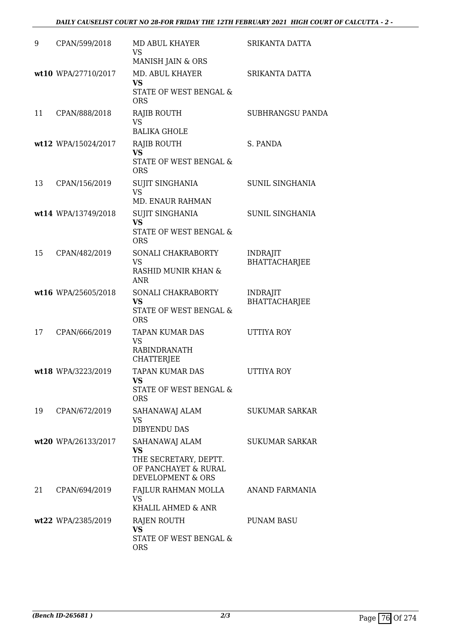| 9  | CPAN/599/2018        | MD ABUL KHAYER<br>VS<br>MANISH JAIN & ORS                                                         | SRIKANTA DATTA                          |
|----|----------------------|---------------------------------------------------------------------------------------------------|-----------------------------------------|
|    | wt10 WPA/27710/2017  | MD. ABUL KHAYER<br><b>VS</b><br>STATE OF WEST BENGAL &<br><b>ORS</b>                              | SRIKANTA DATTA                          |
| 11 | CPAN/888/2018        | <b>RAJIB ROUTH</b><br><b>VS</b><br><b>BALIKA GHOLE</b>                                            | SUBHRANGSU PANDA                        |
|    | wt12 WPA/15024/2017  | RAJIB ROUTH<br><b>VS</b><br>STATE OF WEST BENGAL &<br><b>ORS</b>                                  | S. PANDA                                |
| 13 | CPAN/156/2019        | SUJIT SINGHANIA<br><b>VS</b><br>MD. ENAUR RAHMAN                                                  | SUNIL SINGHANIA                         |
|    | wt14 WPA/13749/2018  | <b>SUJIT SINGHANIA</b><br><b>VS</b><br>STATE OF WEST BENGAL &<br><b>ORS</b>                       | <b>SUNIL SINGHANIA</b>                  |
| 15 | CPAN/482/2019        | SONALI CHAKRABORTY<br><b>VS</b><br>RASHID MUNIR KHAN &<br><b>ANR</b>                              | <b>INDRAJIT</b><br><b>BHATTACHARJEE</b> |
|    | wt16 WPA/25605/2018  | SONALI CHAKRABORTY<br><b>VS</b><br>STATE OF WEST BENGAL &<br><b>ORS</b>                           | <b>INDRAJIT</b><br><b>BHATTACHARJEE</b> |
| 17 | CPAN/666/2019        | TAPAN KUMAR DAS<br>VS<br>RABINDRANATH<br><b>CHATTERJEE</b>                                        | <b>UTTIYA ROY</b>                       |
|    | wt18 WPA/3223/2019   | TAPAN KUMAR DAS<br>VS<br>STATE OF WEST BENGAL &<br><b>ORS</b>                                     | UTTIYA ROY                              |
| 19 | CPAN/672/2019        | SAHANAWAJ ALAM<br>VS<br><b>DIBYENDU DAS</b>                                                       | <b>SUKUMAR SARKAR</b>                   |
|    | wt20 WPA/26133/2017  | SAHANAWAJ ALAM<br><b>VS</b><br>THE SECRETARY, DEPTT.<br>OF PANCHAYET & RURAL<br>DEVELOPMENT & ORS | <b>SUKUMAR SARKAR</b>                   |
| 21 | CPAN/694/2019        | FAJLUR RAHMAN MOLLA<br><b>VS</b><br>KHALIL AHMED & ANR                                            | ANAND FARMANIA                          |
|    | $wt22$ WPA/2385/2019 | RAJEN ROUTH<br>VS<br>STATE OF WEST BENGAL &<br><b>ORS</b>                                         | <b>PUNAM BASU</b>                       |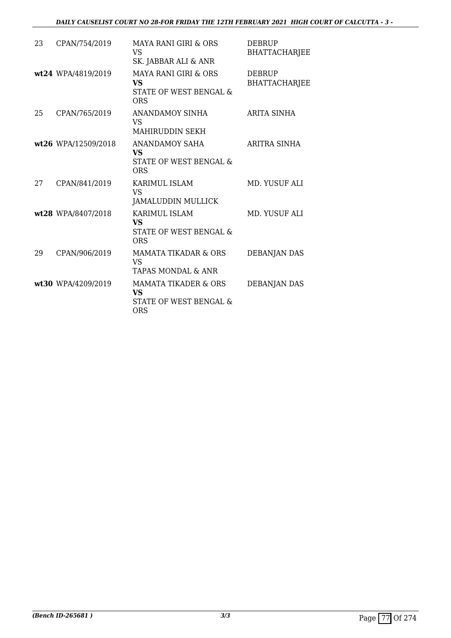| 23 | CPAN/754/2019       | <b>MAYA RANI GIRI &amp; ORS</b><br><b>VS</b><br>SK. JABBAR ALI & ANR                 | <b>DEBRUP</b><br><b>BHATTACHARJEE</b> |
|----|---------------------|--------------------------------------------------------------------------------------|---------------------------------------|
|    | wt24 WPA/4819/2019  | <b>MAYA RANI GIRI &amp; ORS</b><br><b>VS</b><br>STATE OF WEST BENGAL &<br><b>ORS</b> | <b>DEBRUP</b><br><b>BHATTACHARJEE</b> |
| 25 | CPAN/765/2019       | ANANDAMOY SINHA<br><b>VS</b><br><b>MAHIRUDDIN SEKH</b>                               | <b>ARITA SINHA</b>                    |
|    | wt26 WPA/12509/2018 | ANANDAMOY SAHA<br><b>VS</b><br>STATE OF WEST BENGAL &<br><b>ORS</b>                  | ARITRA SINHA                          |
| 27 | CPAN/841/2019       | <b>KARIMUL ISLAM</b><br>VS.<br>JAMALUDDIN MULLICK                                    | MD. YUSUF ALI                         |
|    | wt28 WPA/8407/2018  | <b>KARIMUL ISLAM</b><br><b>VS</b><br>STATE OF WEST BENGAL &<br><b>ORS</b>            | MD. YUSUF ALI                         |
| 29 | CPAN/906/2019       | <b>MAMATA TIKADAR &amp; ORS</b><br><b>VS</b><br>TAPAS MONDAL & ANR                   | <b>DEBANJAN DAS</b>                   |
|    | wt30 WPA/4209/2019  | <b>MAMATA TIKADER &amp; ORS</b><br>VS.<br>STATE OF WEST BENGAL &<br><b>ORS</b>       | DEBANJAN DAS                          |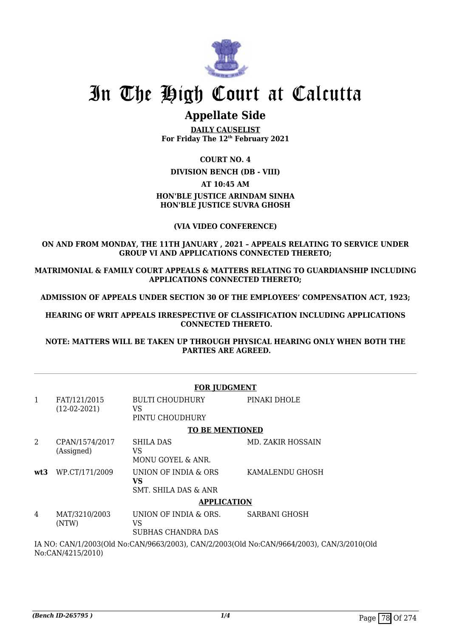

## **Appellate Side**

**DAILY CAUSELIST For Friday The 12th February 2021**

### **COURT NO. 4**

**DIVISION BENCH (DB - VIII)**

### **AT 10:45 AM**

### **HON'BLE JUSTICE ARINDAM SINHA HON'BLE JUSTICE SUVRA GHOSH**

### **(VIA VIDEO CONFERENCE)**

### **ON AND FROM MONDAY, THE 11TH JANUARY , 2021 – APPEALS RELATING TO SERVICE UNDER GROUP VI AND APPLICATIONS CONNECTED THERETO;**

**MATRIMONIAL & FAMILY COURT APPEALS & MATTERS RELATING TO GUARDIANSHIP INCLUDING APPLICATIONS CONNECTED THERETO;**

**ADMISSION OF APPEALS UNDER SECTION 30 OF THE EMPLOYEES' COMPENSATION ACT, 1923;**

**HEARING OF WRIT APPEALS IRRESPECTIVE OF CLASSIFICATION INCLUDING APPLICATIONS CONNECTED THERETO.**

**NOTE: MATTERS WILL BE TAKEN UP THROUGH PHYSICAL HEARING ONLY WHEN BOTH THE PARTIES ARE AGREED.**

|                                                                                                                |                                | <b>FOR JUDGMENT</b>                                           |                          |  |  |
|----------------------------------------------------------------------------------------------------------------|--------------------------------|---------------------------------------------------------------|--------------------------|--|--|
| 1                                                                                                              | FAT/121/2015<br>$(12-02-2021)$ | <b>BULTI CHOUDHURY</b><br>VS<br>PINTU CHOUDHURY               | PINAKI DHOLE             |  |  |
|                                                                                                                |                                | <b>TO BE MENTIONED</b>                                        |                          |  |  |
| 2                                                                                                              | CPAN/1574/2017<br>(Assigned)   | <b>SHILA DAS</b><br>VS<br>MONU GOYEL & ANR.                   | <b>MD. ZAKIR HOSSAIN</b> |  |  |
| wt3                                                                                                            | WP.CT/171/2009                 | UNION OF INDIA & ORS<br>VS<br><b>SMT. SHILA DAS &amp; ANR</b> | KAMALENDU GHOSH          |  |  |
|                                                                                                                |                                | <b>APPLICATION</b>                                            |                          |  |  |
| 4                                                                                                              | MAT/3210/2003<br>(NTW)         | UNION OF INDIA & ORS.<br>VS<br>SUBHAS CHANDRA DAS             | <b>SARBANI GHOSH</b>     |  |  |
| IA NO: CAN/1/2003(Old No:CAN/9663/2003), CAN/2/2003(Old No:CAN/9664/2003), CAN/3/2010(Old<br>No:CAN/4215/2010) |                                |                                                               |                          |  |  |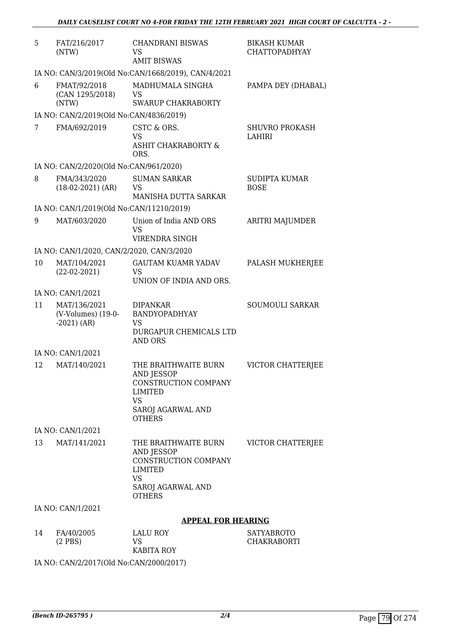| 5  | FAT/216/2017<br>(NTW)                                     | <b>CHANDRANI BISWAS</b><br>VS<br><b>AMIT BISWAS</b>                                                                             | <b>BIKASH KUMAR</b><br><b>CHATTOPADHYAY</b> |  |  |  |
|----|-----------------------------------------------------------|---------------------------------------------------------------------------------------------------------------------------------|---------------------------------------------|--|--|--|
|    | IA NO: CAN/3/2019(Old No:CAN/1668/2019), CAN/4/2021       |                                                                                                                                 |                                             |  |  |  |
| 6  | FMAT/92/2018<br>(CAN 1295/2018)<br>(NTW)                  | MADHUMALA SINGHA<br>VS<br><b>SWARUP CHAKRABORTY</b>                                                                             | PAMPA DEY (DHABAL)                          |  |  |  |
|    | IA NO: CAN/2/2019(Old No:CAN/4836/2019)                   |                                                                                                                                 |                                             |  |  |  |
| 7  | FMA/692/2019                                              | CSTC & ORS.<br>VS<br><b>ASHIT CHAKRABORTY &amp;</b><br>ORS.                                                                     | <b>SHUVRO PROKASH</b><br>LAHIRI             |  |  |  |
|    | IA NO: CAN/2/2020(Old No:CAN/961/2020)                    |                                                                                                                                 |                                             |  |  |  |
| 8  | FMA/343/2020<br>$(18-02-2021)$ (AR)                       | <b>SUMAN SARKAR</b><br><b>VS</b><br>MANISHA DUTTA SARKAR                                                                        | <b>SUDIPTA KUMAR</b><br><b>BOSE</b>         |  |  |  |
|    | IA NO: CAN/1/2019(Old No:CAN/11210/2019)                  |                                                                                                                                 |                                             |  |  |  |
| 9  | MAT/603/2020                                              | Union of India AND ORS<br>VS                                                                                                    | ARITRI MAJUMDER                             |  |  |  |
|    |                                                           | VIRENDRA SINGH                                                                                                                  |                                             |  |  |  |
| 10 | IA NO: CAN/1/2020, CAN/2/2020, CAN/3/2020<br>MAT/104/2021 | <b>GAUTAM KUAMR YADAV</b>                                                                                                       | PALASH MUKHERJEE                            |  |  |  |
|    | $(22-02-2021)$                                            | VS<br>UNION OF INDIA AND ORS.                                                                                                   |                                             |  |  |  |
|    | IA NO: CAN/1/2021                                         |                                                                                                                                 |                                             |  |  |  |
| 11 | MAT/136/2021<br>(V-Volumes) (19-0-<br>$-2021)$ (AR)       | <b>DIPANKAR</b><br>BANDYOPADHYAY<br><b>VS</b><br>DURGAPUR CHEMICALS LTD<br><b>AND ORS</b>                                       | SOUMOULI SARKAR                             |  |  |  |
|    | IA NO: CAN/1/2021                                         |                                                                                                                                 |                                             |  |  |  |
| 12 | MAT/140/2021                                              | THE BRAITHWAITE BURN<br>AND JESSOP<br>CONSTRUCTION COMPANY<br>LIMITED<br><b>VS</b><br>SAROJ AGARWAL AND<br><b>OTHERS</b>        | VICTOR CHATTERJEE                           |  |  |  |
|    | IA NO: CAN/1/2021                                         |                                                                                                                                 |                                             |  |  |  |
| 13 | MAT/141/2021                                              | THE BRAITHWAITE BURN<br>AND JESSOP<br>CONSTRUCTION COMPANY<br><b>LIMITED</b><br><b>VS</b><br>SAROJ AGARWAL AND<br><b>OTHERS</b> | VICTOR CHATTERJEE                           |  |  |  |
|    | IA NO: CAN/1/2021                                         |                                                                                                                                 |                                             |  |  |  |
|    |                                                           | <b>APPEAL FOR HEARING</b>                                                                                                       |                                             |  |  |  |
| 14 | FA/40/2005<br>$(2$ PBS $)$                                | <b>LALU ROY</b><br><b>VS</b><br><b>KABITA ROY</b>                                                                               | <b>SATYABROTO</b><br>CHAKRABORTI            |  |  |  |

IA NO: CAN/2/2017(Old No:CAN/2000/2017)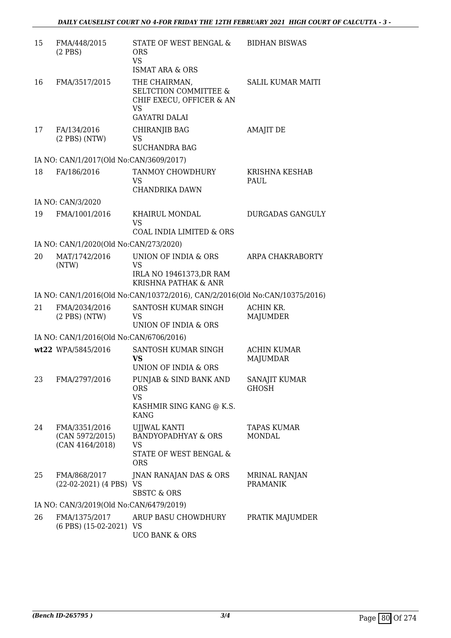| 15 | FMA/448/2015<br>$(2$ PBS)                           | STATE OF WEST BENGAL &<br><b>ORS</b><br><b>VS</b><br><b>ISMAT ARA &amp; ORS</b>                             | <b>BIDHAN BISWAS</b>                  |
|----|-----------------------------------------------------|-------------------------------------------------------------------------------------------------------------|---------------------------------------|
| 16 | FMA/3517/2015                                       | THE CHAIRMAN,<br><b>SELTCTION COMMITTEE &amp;</b><br>CHIF EXECU, OFFICER & AN<br>VS<br><b>GAYATRI DALAI</b> | <b>SALIL KUMAR MAITI</b>              |
| 17 | FA/134/2016<br>$(2$ PBS $)$ (NTW)                   | CHIRANJIB BAG<br>VS<br><b>SUCHANDRA BAG</b>                                                                 | <b>AMAJIT DE</b>                      |
|    | IA NO: CAN/1/2017(Old No:CAN/3609/2017)             |                                                                                                             |                                       |
| 18 | FA/186/2016                                         | TANMOY CHOWDHURY<br>VS                                                                                      | KRISHNA KESHAB<br>PAUL                |
|    |                                                     | CHANDRIKA DAWN                                                                                              |                                       |
| 19 | IA NO: CAN/3/2020<br>FMA/1001/2016                  | KHAIRUL MONDAL<br><b>VS</b>                                                                                 | <b>DURGADAS GANGULY</b>               |
|    |                                                     | <b>COAL INDIA LIMITED &amp; ORS</b>                                                                         |                                       |
|    | IA NO: CAN/1/2020(Old No:CAN/273/2020)              |                                                                                                             | ARPA CHAKRABORTY                      |
| 20 | MAT/1742/2016<br>(NTW)                              | UNION OF INDIA & ORS<br><b>VS</b><br>IRLA NO 19461373, DR RAM<br>KRISHNA PATHAK & ANR                       |                                       |
|    |                                                     | IA NO: CAN/1/2016(Old No:CAN/10372/2016), CAN/2/2016(Old No:CAN/10375/2016)                                 |                                       |
| 21 | FMA/2034/2016<br>$(2$ PBS $)$ (NTW)                 | SANTOSH KUMAR SINGH<br>VS<br>UNION OF INDIA & ORS                                                           | ACHIN KR.<br>MAJUMDER                 |
|    | IA NO: CAN/1/2016(Old No:CAN/6706/2016)             |                                                                                                             |                                       |
|    | wt22 WPA/5845/2016                                  | SANTOSH KUMAR SINGH<br>VS<br>UNION OF INDIA & ORS                                                           | <b>ACHIN KUMAR</b><br><b>MAJUMDAR</b> |
| 23 | FMA/2797/2016                                       | PUNJAB & SIND BANK AND<br><b>ORS</b><br><b>VS</b><br>KASHMIR SING KANG @ K.S.<br><b>KANG</b>                | <b>SANAJIT KUMAR</b><br><b>GHOSH</b>  |
| 24 | FMA/3351/2016<br>(CAN 5972/2015)<br>(CAN 4164/2018) | <b>UJJWAL KANTI</b><br><b>BANDYOPADHYAY &amp; ORS</b><br>VS<br>STATE OF WEST BENGAL &<br><b>ORS</b>         | TAPAS KUMAR<br>MONDAL                 |
| 25 | FMA/868/2017<br>(22-02-2021) (4 PBS) VS             | JNAN RANAJAN DAS & ORS<br><b>SBSTC &amp; ORS</b>                                                            | MRINAL RANJAN<br><b>PRAMANIK</b>      |
|    | IA NO: CAN/3/2019(Old No:CAN/6479/2019)             |                                                                                                             |                                       |
| 26 | FMA/1375/2017<br>(6 PBS) (15-02-2021) VS            | ARUP BASU CHOWDHURY<br><b>UCO BANK &amp; ORS</b>                                                            | PRATIK MAJUMDER                       |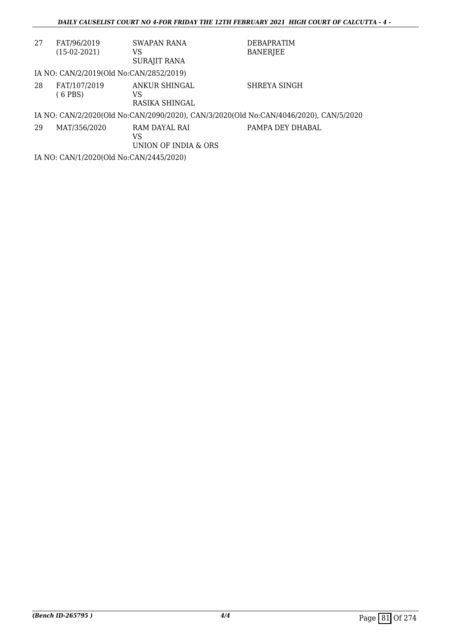| 27 | FAT/96/2019<br>$(15-02-2021)$                                                         | SWAPAN RANA<br>VS<br>SURAJIT RANA           | <b>DEBAPRATIM</b><br><b>BANERJEE</b> |  |  |  |
|----|---------------------------------------------------------------------------------------|---------------------------------------------|--------------------------------------|--|--|--|
|    | IA NO: CAN/2/2019(Old No:CAN/2852/2019)                                               |                                             |                                      |  |  |  |
| 28 | FAT/107/2019<br>(6 PBS)                                                               | ANKUR SHINGAL<br>VS<br>RASIKA SHINGAL       | SHREYA SINGH                         |  |  |  |
|    | IA NO: CAN/2/2020(Old No:CAN/2090/2020), CAN/3/2020(Old No:CAN/4046/2020), CAN/5/2020 |                                             |                                      |  |  |  |
| 29 | MAT/356/2020                                                                          | RAM DAYAL RAI<br>VS<br>UNION OF INDIA & ORS | PAMPA DEY DHABAL                     |  |  |  |

IA NO: CAN/1/2020(Old No:CAN/2445/2020)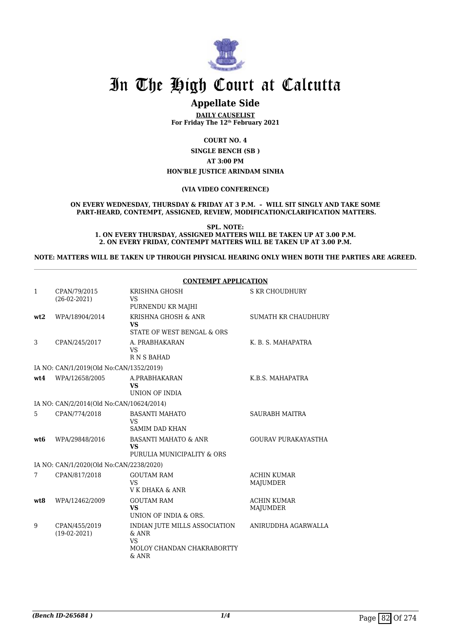

## **Appellate Side**

**DAILY CAUSELIST For Friday The 12th February 2021**

**COURT NO. 4**

**SINGLE BENCH (SB ) AT 3:00 PM HON'BLE JUSTICE ARINDAM SINHA**

#### **(VIA VIDEO CONFERENCE)**

#### **ON EVERY WEDNESDAY, THURSDAY & FRIDAY AT 3 P.M. – WILL SIT SINGLY AND TAKE SOME PART-HEARD, CONTEMPT, ASSIGNED, REVIEW, MODIFICATION/CLARIFICATION MATTERS.**

**SPL. NOTE: 1. ON EVERY THURSDAY, ASSIGNED MATTERS WILL BE TAKEN UP AT 3.00 P.M. 2. ON EVERY FRIDAY, CONTEMPT MATTERS WILL BE TAKEN UP AT 3.00 P.M.**

#### **NOTE: MATTERS WILL BE TAKEN UP THROUGH PHYSICAL HEARING ONLY WHEN BOTH THE PARTIES ARE AGREED.**

|              |                                          | <b>CONTEMPT APPLICATION</b>                                                                    |                                |
|--------------|------------------------------------------|------------------------------------------------------------------------------------------------|--------------------------------|
| $\mathbf{1}$ | CPAN/79/2015<br>$(26-02-2021)$           | <b>KRISHNA GHOSH</b><br><b>VS</b><br>PURNENDU KR MAJHI                                         | <b>S KR CHOUDHURY</b>          |
| wt2          | WPA/18904/2014                           | KRISHNA GHOSH & ANR<br><b>VS</b><br>STATE OF WEST BENGAL & ORS                                 | SUMATH KR CHAUDHURY            |
| 3            | CPAN/245/2017                            | A. PRABHAKARAN<br><b>VS</b><br>R N S BAHAD                                                     | K. B. S. MAHAPATRA             |
|              | IA NO: CAN/1/2019(Old No:CAN/1352/2019)  |                                                                                                |                                |
| wt4          | WPA/12658/2005                           | A.PRABHAKARAN<br><b>VS</b><br>UNION OF INDIA                                                   | K.B.S. MAHAPATRA               |
|              | IA NO: CAN/2/2014(Old No:CAN/10624/2014) |                                                                                                |                                |
| 5            | CPAN/774/2018                            | <b>BASANTI MAHATO</b><br>VS<br><b>SAMIM DAD KHAN</b>                                           | <b>SAURABH MAITRA</b>          |
| wt6          | WPA/29848/2016                           | <b>BASANTI MAHATO &amp; ANR</b><br><b>VS</b><br>PURULIA MUNICIPALITY & ORS                     | <b>GOURAV PURAKAYASTHA</b>     |
|              | IA NO: CAN/1/2020(Old No:CAN/2238/2020)  |                                                                                                |                                |
| 7            | CPAN/817/2018                            | <b>GOUTAM RAM</b><br>VS<br>V K DHAKA & ANR                                                     | <b>ACHIN KUMAR</b><br>MAJUMDER |
| wt8          | WPA/12462/2009                           | <b>GOUTAM RAM</b><br><b>VS</b><br>UNION OF INDIA & ORS.                                        | <b>ACHIN KUMAR</b><br>MAJUMDER |
| 9            | CPAN/455/2019<br>$(19-02-2021)$          | INDIAN JUTE MILLS ASSOCIATION<br>$&$ ANR<br><b>VS</b><br>MOLOY CHANDAN CHAKRABORTTY<br>$&$ ANR | ANIRUDDHA AGARWALLA            |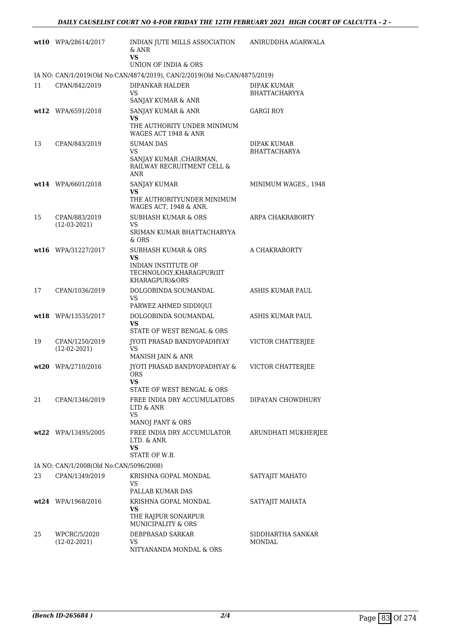|    | $wt10$ WPA/28614/2017                   | INDIAN JUTE MILLS ASSOCIATION<br>& ANR<br><b>VS</b>                                             | ANIRUDDHA AGARWALA                  |
|----|-----------------------------------------|-------------------------------------------------------------------------------------------------|-------------------------------------|
|    |                                         | UNION OF INDIA & ORS                                                                            |                                     |
|    |                                         | IA NO: CAN/1/2019(Old No:CAN/4874/2019), CAN/2/2019(Old No:CAN/4875/2019)                       |                                     |
| 11 | CPAN/842/2019                           | DIPANKAR HALDER<br>VS<br>SANJAY KUMAR & ANR                                                     | DIPAK KUMAR<br><b>BHATTACHARYYA</b> |
|    | wt12 WPA/6591/2018                      | SANJAY KUMAR & ANR<br>VS<br>THE AUTHORITY UNDER MINIMUM<br>WAGES ACT 1948 & ANR                 | <b>GARGI ROY</b>                    |
| 13 | CPAN/843/2019                           | <b>SUMAN DAS</b><br>VS<br>SANJAY KUMAR , CHAIRMAN,<br>RAILWAY RECRUITMENT CELL &<br>ANR         | DIPAK KUMAR<br><b>BHATTACHARYA</b>  |
|    | wt14 WPA/6601/2018                      | SANJAY KUMAR<br>VS<br>THE AUTHORITYUNDER MINIMUM<br>WAGES ACT, 1948 & ANR.                      | MINIMUM WAGES., 1948                |
| 15 | CPAN/883/2019<br>$(12-03-2021)$         | <b>SUBHASH KUMAR &amp; ORS</b><br>VS<br>SRIMAN KUMAR BHATTACHARYYA<br>$&$ ORS                   | ARPA CHAKRABORTY                    |
|    | wt16 WPA/31227/2017                     | SUBHASH KUMAR & ORS<br>VS<br>INDIAN INSTITUTE OF<br>TECHNOLOGY, KHARAGPUR(IIT<br>KHARAGPUR)&ORS | A CHAKRABORTY                       |
| 17 | CPAN/1036/2019                          | DOLGOBINDA SOUMANDAL<br>VS<br>PARWEZ AHMED SIDDIQUI                                             | ASHIS KUMAR PAUL                    |
|    | wt18 WPA/13535/2017                     | DOLGOBINDA SOUMANDAL<br>VS<br>STATE OF WEST BENGAL & ORS                                        | ASHIS KUMAR PAUL                    |
| 19 | CPAN/1250/2019<br>$(12-02-2021)$        | JYOTI PRASAD BANDYOPADHYAY<br>VS<br>MANISH JAIN & ANR                                           | VICTOR CHATTERJEE                   |
|    | wt20 WPA/2710/2016                      | <b>IYOTI PRASAD BANDYOPADHYAY &amp;</b><br><b>ORS</b><br>VS<br>STATE OF WEST BENGAL & ORS       | VICTOR CHATTERJEE                   |
| 21 | CPAN/1346/2019                          | FREE INDIA DRY ACCUMULATORS<br>LTD & ANR<br>VS<br>MANOJ PANT & ORS                              | DIPAYAN CHOWDHURY                   |
|    | wt22 WPA/13495/2005                     | FREE INDIA DRY ACCUMULATOR<br>LTD. & ANR.<br>VS<br>STATE OF W.B.                                | ARUNDHATI MUKHERJEE                 |
|    | IA NO: CAN/1/2008(Old No:CAN/5096/2008) |                                                                                                 |                                     |
| 23 | CPAN/1349/2019                          | KRISHNA GOPAL MONDAL<br>VS<br>PALLAB KUMAR DAS                                                  | SATYAJIT MAHATO                     |
|    | wt24 WPA/1968/2016                      | KRISHNA GOPAL MONDAL<br>VS<br>THE RAJPUR SONARPUR<br><b>MUNICIPALITY &amp; ORS</b>              | SATYAJIT MAHATA                     |
| 25 | WPCRC/5/2020<br>$(12-02-2021)$          | DEBPRASAD SARKAR<br>VS<br>NITYANANDA MONDAL & ORS                                               | SIDDHARTHA SANKAR<br>MONDAL         |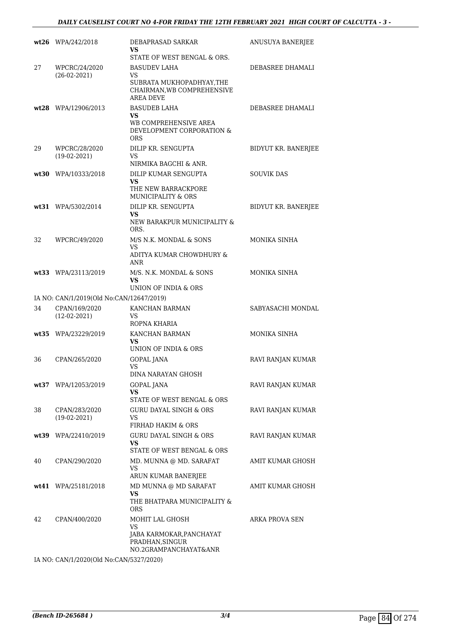### *DAILY CAUSELIST COURT NO 4-FOR FRIDAY THE 12TH FEBRUARY 2021 HIGH COURT OF CALCUTTA - 3 -*

|    | $wt26$ WPA/242/2018                      | DEBAPRASAD SARKAR<br>VS<br>STATE OF WEST BENGAL & ORS.                                                   | ANUSUYA BANERJEE    |
|----|------------------------------------------|----------------------------------------------------------------------------------------------------------|---------------------|
| 27 | WPCRC/24/2020<br>$(26-02-2021)$          | <b>BASUDEV LAHA</b><br>VS<br>SUBRATA MUKHOPADHYAY, THE<br>CHAIRMAN, WB COMPREHENSIVE<br><b>AREA DEVE</b> | DEBASREE DHAMALI    |
|    | $wt28$ WPA/12906/2013                    | <b>BASUDEB LAHA</b><br>VS.<br>WB COMPREHENSIVE AREA<br>DEVELOPMENT CORPORATION &<br><b>ORS</b>           | DEBASREE DHAMALI    |
| 29 | WPCRC/28/2020<br>$(19-02-2021)$          | DILIP KR. SENGUPTA<br><b>VS</b><br>NIRMIKA BAGCHI & ANR.                                                 | BIDYUT KR. BANERJEE |
|    | wt30 WPA/10333/2018                      | DILIP KUMAR SENGUPTA<br>VS<br>THE NEW BARRACKPORE<br>MUNICIPALITY & ORS                                  | <b>SOUVIK DAS</b>   |
|    | wt31 WPA/5302/2014                       | DILIP KR. SENGUPTA<br>VS<br>NEW BARAKPUR MUNICIPALITY &<br>ORS.                                          | BIDYUT KR. BANERJEE |
| 32 | WPCRC/49/2020                            | M/S N.K. MONDAL & SONS<br><b>VS</b><br>ADITYA KUMAR CHOWDHURY &<br>ANR                                   | MONIKA SINHA        |
|    | wt33 WPA/23113/2019                      | M/S. N.K. MONDAL & SONS<br>VS<br>UNION OF INDIA & ORS                                                    | MONIKA SINHA        |
|    | IA NO: CAN/1/2019(Old No:CAN/12647/2019) |                                                                                                          |                     |
| 34 | CPAN/169/2020<br>$(12-02-2021)$          | KANCHAN BARMAN<br>VS<br>ROPNA KHARIA                                                                     | SABYASACHI MONDAL   |
|    | wt35 WPA/23229/2019                      | KANCHAN BARMAN<br>VS<br>UNION OF INDIA & ORS                                                             | MONIKA SINHA        |
| 36 | CPAN/265/2020                            | <b>GOPAL JANA</b><br>VS<br>DINA NARAYAN GHOSH                                                            | RAVI RANJAN KUMAR   |
|    | wt37 WPA/12053/2019                      | <b>GOPAL JANA</b><br>VS<br>STATE OF WEST BENGAL & ORS                                                    | RAVI RANJAN KUMAR   |
| 38 | CPAN/283/2020<br>$(19-02-2021)$          | <b>GURU DAYAL SINGH &amp; ORS</b><br>VS<br>FIRHAD HAKIM & ORS                                            | RAVI RANJAN KUMAR   |
|    | wt39 WPA/22410/2019                      | <b>GURU DAYAL SINGH &amp; ORS</b><br><b>VS</b><br>STATE OF WEST BENGAL & ORS                             | RAVI RANJAN KUMAR   |
| 40 | CPAN/290/2020                            | MD. MUNNA @ MD. SARAFAT<br>VS<br>ARUN KUMAR BANERJEE                                                     | AMIT KUMAR GHOSH    |
|    | wt41 WPA/25181/2018                      | MD MUNNA @ MD SARAFAT<br>VS<br>THE BHATPARA MUNICIPALITY &<br>ORS                                        | AMIT KUMAR GHOSH    |
| 42 | CPAN/400/2020                            | MOHIT LAL GHOSH<br>VS<br>JABA KARMOKAR, PANCHAYAT<br>PRADHAN, SINGUR<br>NO.2GRAMPANCHAYAT&ANR            | ARKA PROVA SEN      |

IA NO: CAN/1/2020(Old No:CAN/5327/2020)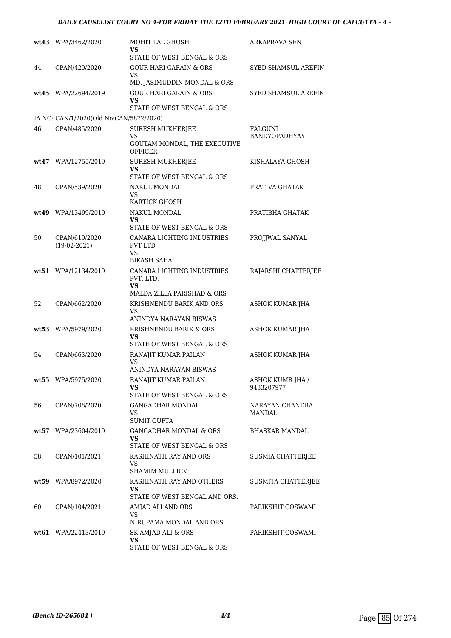### *DAILY CAUSELIST COURT NO 4-FOR FRIDAY THE 12TH FEBRUARY 2021 HIGH COURT OF CALCUTTA - 4 -*

|    | wt43 WPA/3462/2020                      | MOHIT LAL GHOSH<br>VS<br>STATE OF WEST BENGAL & ORS                                                         | ARKAPRAVA SEN                          |
|----|-----------------------------------------|-------------------------------------------------------------------------------------------------------------|----------------------------------------|
| 44 | CPAN/420/2020                           | <b>GOUR HARI GARAIN &amp; ORS</b><br><b>VS</b>                                                              | SYED SHAMSUL AREFIN                    |
|    | wt45 WPA/22694/2019                     | MD. JASIMUDDIN MONDAL & ORS<br><b>GOUR HARI GARAIN &amp; ORS</b><br><b>VS</b><br>STATE OF WEST BENGAL & ORS | <b>SYED SHAMSUL AREFIN</b>             |
|    | IA NO: CAN/1/2020(Old No:CAN/5872/2020) |                                                                                                             |                                        |
| 46 | CPAN/485/2020                           | <b>SURESH MUKHERJEE</b><br>VS<br>GOUTAM MONDAL, THE EXECUTIVE<br>OFFICER                                    | <b>FALGUNI</b><br><b>BANDYOPADHYAY</b> |
|    | wt47 WPA/12755/2019                     | <b>SURESH MUKHERJEE</b><br>VS<br>STATE OF WEST BENGAL & ORS                                                 | KISHALAYA GHOSH                        |
| 48 | CPAN/539/2020                           | NAKUL MONDAL<br><b>VS</b><br>KARTICK GHOSH                                                                  | PRATIVA GHATAK                         |
|    | wt49 WPA/13499/2019                     | NAKUL MONDAL<br>VS<br>STATE OF WEST BENGAL & ORS                                                            | PRATIBHA GHATAK                        |
| 50 | CPAN/619/2020<br>$(19-02-2021)$         | CANARA LIGHTING INDUSTRIES<br><b>PVT LTD</b><br><b>VS</b><br><b>BIKASH SAHA</b>                             | PROJJWAL SANYAL                        |
|    | wt51 WPA/12134/2019                     | CANARA LIGHTING INDUSTRIES<br>PVT. LTD.<br>VS<br>MALDA ZILLA PARISHAD & ORS                                 | RAJARSHI CHATTERJEE                    |
| 52 | CPAN/662/2020                           | KRISHNENDU BARIK AND ORS<br>VS<br>ANINDYA NARAYAN BISWAS                                                    | ASHOK KUMAR JHA                        |
|    | wt53 WPA/5979/2020                      | KRISHNENDU BARIK & ORS<br>VS<br>STATE OF WEST BENGAL & ORS                                                  | ASHOK KUMAR JHA                        |
| 54 | CPAN/663/2020                           | RANAJIT KUMAR PAILAN<br>VS<br>ANINDYA NARAYAN BISWAS                                                        | ASHOK KUMAR JHA                        |
|    | wt55 WPA/5975/2020                      | RANAJIT KUMAR PAILAN<br>VS<br>STATE OF WEST BENGAL & ORS                                                    | <b>ASHOK KUMR JHA /</b><br>9433207977  |
| 56 | CPAN/708/2020                           | GANGADHAR MONDAL<br>VS<br><b>SUMIT GUPTA</b>                                                                | NARAYAN CHANDRA<br>MANDAL              |
|    | wt57 WPA/23604/2019                     | <b>GANGADHAR MONDAL &amp; ORS</b><br>VS<br>STATE OF WEST BENGAL & ORS                                       | <b>BHASKAR MANDAL</b>                  |
| 58 | CPAN/101/2021                           | KASHINATH RAY AND ORS<br><b>VS</b><br><b>SHAMIM MULLICK</b>                                                 | SUSMIA CHATTERJEE                      |
|    | wt59 WPA/8972/2020                      | KASHINATH RAY AND OTHERS<br>VS<br>STATE OF WEST BENGAL AND ORS.                                             | SUSMITA CHATTERJEE                     |
| 60 | CPAN/104/2021                           | AMJAD ALI AND ORS<br>VS<br>NIRUPAMA MONDAL AND ORS                                                          | PARIKSHIT GOSWAMI                      |
|    | wt61 WPA/22413/2019                     | SK AMJAD ALI & ORS<br><b>VS</b><br>STATE OF WEST BENGAL & ORS                                               | PARIKSHIT GOSWAMI                      |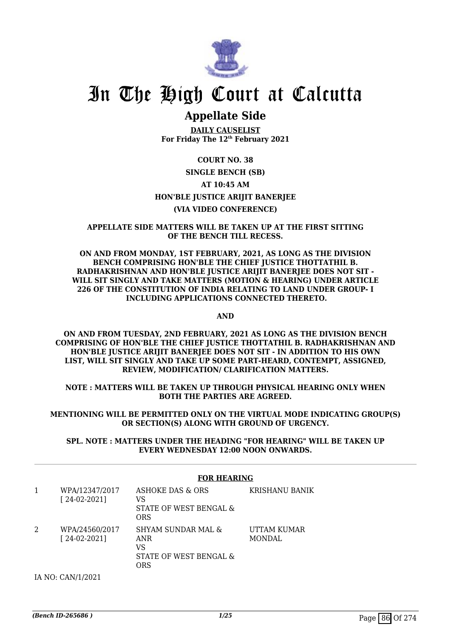

## **Appellate Side**

**DAILY CAUSELIST For Friday The 12th February 2021**

### **COURT NO. 38**

### **SINGLE BENCH (SB) AT 10:45 AM HON'BLE JUSTICE ARIJIT BANERJEE (VIA VIDEO CONFERENCE)**

### **APPELLATE SIDE MATTERS WILL BE TAKEN UP AT THE FIRST SITTING OF THE BENCH TILL RECESS.**

### **ON AND FROM MONDAY, 1ST FEBRUARY, 2021, AS LONG AS THE DIVISION BENCH COMPRISING HON'BLE THE CHIEF JUSTICE THOTTATHIL B. RADHAKRISHNAN AND HON'BLE JUSTICE ARIJIT BANERJEE DOES NOT SIT - WILL SIT SINGLY AND TAKE MATTERS (MOTION & HEARING) UNDER ARTICLE 226 OF THE CONSTITUTION OF INDIA RELATING TO LAND UNDER GROUP- I INCLUDING APPLICATIONS CONNECTED THERETO.**

**AND**

**ON AND FROM TUESDAY, 2ND FEBRUARY, 2021 AS LONG AS THE DIVISION BENCH COMPRISING OF HON'BLE THE CHIEF JUSTICE THOTTATHIL B. RADHAKRISHNAN AND HON'BLE JUSTICE ARIJIT BANERJEE DOES NOT SIT - IN ADDITION TO HIS OWN LIST, WILL SIT SINGLY AND TAKE UP SOME PART-HEARD, CONTEMPT, ASSIGNED, REVIEW, MODIFICATION/ CLARIFICATION MATTERS.**

**NOTE : MATTERS WILL BE TAKEN UP THROUGH PHYSICAL HEARING ONLY WHEN BOTH THE PARTIES ARE AGREED.**

**MENTIONING WILL BE PERMITTED ONLY ON THE VIRTUAL MODE INDICATING GROUP(S) OR SECTION(S) ALONG WITH GROUND OF URGENCY.**

**SPL. NOTE : MATTERS UNDER THE HEADING "FOR HEARING" WILL BE TAKEN UP EVERY WEDNESDAY 12:00 NOON ONWARDS.**

### **FOR HEARING**

| WPA/12347/2017<br>$[24-02-2021]$ | ASHOKE DAS & ORS<br>VS<br>STATE OF WEST BENGAL &<br>ORS          | KRISHANU BANIK               |
|----------------------------------|------------------------------------------------------------------|------------------------------|
| WPA/24560/2017<br>$[24-02-2021]$ | SHYAM SUNDAR MAL &<br>ANR<br>VS<br>STATE OF WEST BENGAL &<br>ORS | UTTAM KUMAR<br><b>MONDAL</b> |

IA NO: CAN/1/2021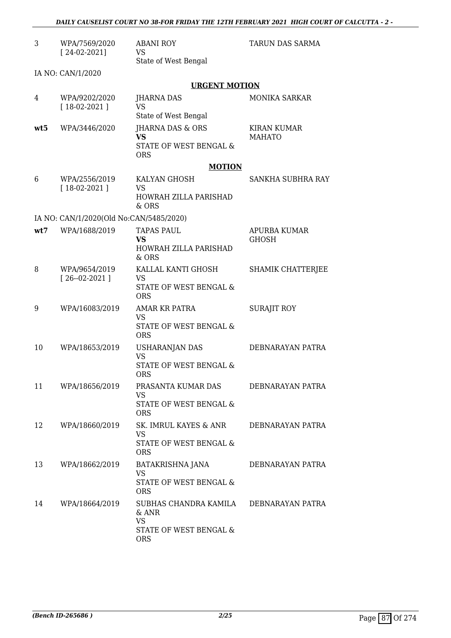| 3   | WPA/7569/2020<br>$[24-02-2021]$         | <b>ABANI ROY</b><br>VS<br>State of West Bengal                                                       | TARUN DAS SARMA                     |
|-----|-----------------------------------------|------------------------------------------------------------------------------------------------------|-------------------------------------|
|     | IA NO: CAN/1/2020                       |                                                                                                      |                                     |
|     |                                         | <b>URGENT MOTION</b>                                                                                 |                                     |
| 4   | WPA/9202/2020<br>$[18-02-2021]$         | JHARNA DAS<br><b>VS</b><br>State of West Bengal                                                      | <b>MONIKA SARKAR</b>                |
| wt5 | WPA/3446/2020                           | <b>JHARNA DAS &amp; ORS</b><br><b>VS</b><br>STATE OF WEST BENGAL &<br><b>ORS</b>                     | <b>KIRAN KUMAR</b><br><b>MAHATO</b> |
|     |                                         | <b>MOTION</b>                                                                                        |                                     |
| 6   | WPA/2556/2019<br>$[18-02-2021]$         | KALYAN GHOSH<br>VS<br>HOWRAH ZILLA PARISHAD<br>& ORS                                                 | SANKHA SUBHRA RAY                   |
|     | IA NO: CAN/1/2020(Old No:CAN/5485/2020) |                                                                                                      |                                     |
| wt7 | WPA/1688/2019                           | <b>TAPAS PAUL</b><br><b>VS</b><br>HOWRAH ZILLA PARISHAD<br>& ORS                                     | APURBA KUMAR<br><b>GHOSH</b>        |
| 8   | WPA/9654/2019<br>$[26 - 02 - 2021]$     | KALLAL KANTI GHOSH<br>VS<br>STATE OF WEST BENGAL &<br><b>ORS</b>                                     | SHAMIK CHATTERJEE                   |
| 9   | WPA/16083/2019                          | AMAR KR PATRA<br><b>VS</b><br>STATE OF WEST BENGAL &<br><b>ORS</b>                                   | <b>SURAJIT ROY</b>                  |
| 10  | WPA/18653/2019                          | <b>USHARANJAN DAS</b><br><b>VS</b><br>STATE OF WEST BENGAL &<br><b>ORS</b>                           | DEBNARAYAN PATRA                    |
| 11  | WPA/18656/2019                          | PRASANTA KUMAR DAS<br>VS<br>STATE OF WEST BENGAL &<br><b>ORS</b>                                     | DEBNARAYAN PATRA                    |
| 12  | WPA/18660/2019                          | SK. IMRUL KAYES & ANR<br><b>VS</b><br>STATE OF WEST BENGAL &<br><b>ORS</b>                           | DEBNARAYAN PATRA                    |
| 13  | WPA/18662/2019                          | BATAKRISHNA JANA<br>VS<br>STATE OF WEST BENGAL &<br><b>ORS</b>                                       | DEBNARAYAN PATRA                    |
| 14  | WPA/18664/2019                          | SUBHAS CHANDRA KAMILA DEBNARAYAN PATRA<br>& ANR<br><b>VS</b><br>STATE OF WEST BENGAL &<br><b>ORS</b> |                                     |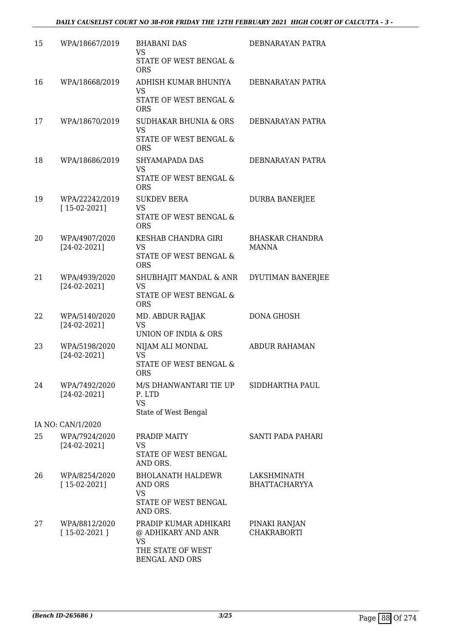| 15 | WPA/18667/2019                   | <b>BHABANI DAS</b><br>VS<br>STATE OF WEST BENGAL &<br><b>ORS</b>                                       | DEBNARAYAN PATRA                       |
|----|----------------------------------|--------------------------------------------------------------------------------------------------------|----------------------------------------|
| 16 | WPA/18668/2019                   | ADHISH KUMAR BHUNIYA<br><b>VS</b><br>STATE OF WEST BENGAL &<br><b>ORS</b>                              | DEBNARAYAN PATRA                       |
| 17 | WPA/18670/2019                   | <b>SUDHAKAR BHUNIA &amp; ORS</b><br><b>VS</b><br>STATE OF WEST BENGAL &<br><b>ORS</b>                  | DEBNARAYAN PATRA                       |
| 18 | WPA/18686/2019                   | SHYAMAPADA DAS<br><b>VS</b><br>STATE OF WEST BENGAL &<br><b>ORS</b>                                    | DEBNARAYAN PATRA                       |
| 19 | WPA/22242/2019<br>$[15-02-2021]$ | <b>SUKDEV BERA</b><br><b>VS</b><br>STATE OF WEST BENGAL &<br><b>ORS</b>                                | <b>DURBA BANERJEE</b>                  |
| 20 | WPA/4907/2020<br>$[24-02-2021]$  | KESHAB CHANDRA GIRI<br><b>VS</b><br>STATE OF WEST BENGAL &<br><b>ORS</b>                               | <b>BHASKAR CHANDRA</b><br><b>MANNA</b> |
| 21 | WPA/4939/2020<br>$[24-02-2021]$  | SHUBHAJIT MANDAL & ANR<br>VS<br>STATE OF WEST BENGAL &<br><b>ORS</b>                                   | DYUTIMAN BANERJEE                      |
| 22 | WPA/5140/2020<br>$[24-02-2021]$  | MD. ABDUR RAJJAK<br>VS.<br>UNION OF INDIA & ORS                                                        | DONA GHOSH                             |
| 23 | WPA/5198/2020<br>$[24-02-2021]$  | NIJAM ALI MONDAL<br><b>VS</b><br>STATE OF WEST BENGAL &<br>ORS                                         | <b>ABDUR RAHAMAN</b>                   |
| 24 | WPA/7492/2020<br>$[24-02-2021]$  | M/S DHANWANTARI TIE UP<br>P. LTD<br><b>VS</b><br>State of West Bengal                                  | SIDDHARTHA PAUL                        |
|    | IA NO: CAN/1/2020                |                                                                                                        |                                        |
| 25 | WPA/7924/2020<br>$[24-02-2021]$  | PRADIP MAITY<br>VS.<br>STATE OF WEST BENGAL<br>AND ORS.                                                | SANTI PADA PAHARI                      |
| 26 | WPA/8254/2020<br>$[15-02-2021]$  | <b>BHOLANATH HALDEWR</b><br>AND ORS<br><b>VS</b><br>STATE OF WEST BENGAL<br>AND ORS.                   | LAKSHMINATH<br><b>BHATTACHARYYA</b>    |
| 27 | WPA/8812/2020<br>$[15-02-2021]$  | PRADIP KUMAR ADHIKARI<br>@ ADHIKARY AND ANR<br><b>VS</b><br>THE STATE OF WEST<br><b>BENGAL AND ORS</b> | PINAKI RANJAN<br><b>CHAKRABORTI</b>    |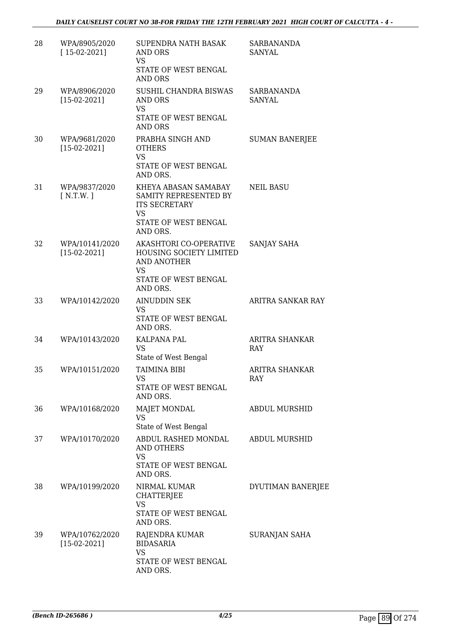| 28 | WPA/8905/2020<br>$[15-02-2021]$  | SUPENDRA NATH BASAK<br>AND ORS<br><b>VS</b><br>STATE OF WEST BENGAL<br>AND ORS                                         | <b>SARBANANDA</b><br><b>SANYAL</b> |
|----|----------------------------------|------------------------------------------------------------------------------------------------------------------------|------------------------------------|
| 29 | WPA/8906/2020<br>$[15-02-2021]$  | SUSHIL CHANDRA BISWAS<br>AND ORS<br><b>VS</b><br>STATE OF WEST BENGAL<br><b>AND ORS</b>                                | <b>SARBANANDA</b><br>SANYAL        |
| 30 | WPA/9681/2020<br>$[15-02-2021]$  | PRABHA SINGH AND<br><b>OTHERS</b><br><b>VS</b><br>STATE OF WEST BENGAL<br>AND ORS.                                     | <b>SUMAN BANERJEE</b>              |
| 31 | WPA/9837/2020<br>[N.T.W.]        | KHEYA ABASAN SAMABAY<br>SAMITY REPRESENTED BY<br><b>ITS SECRETARY</b><br><b>VS</b><br>STATE OF WEST BENGAL<br>AND ORS. | <b>NEIL BASU</b>                   |
| 32 | WPA/10141/2020<br>$[15-02-2021]$ | AKASHTORI CO-OPERATIVE<br>HOUSING SOCIETY LIMITED<br>AND ANOTHER<br>VS<br>STATE OF WEST BENGAL<br>AND ORS.             | SANJAY SAHA                        |
| 33 | WPA/10142/2020                   | <b>AINUDDIN SEK</b><br>VS<br>STATE OF WEST BENGAL<br>AND ORS.                                                          | ARITRA SANKAR RAY                  |
| 34 | WPA/10143/2020                   | KALPANA PAL<br><b>VS</b><br>State of West Bengal                                                                       | <b>ARITRA SHANKAR</b><br>RAY       |
| 35 | WPA/10151/2020                   | <b>TAIMINA BIBI</b><br><b>VS</b><br>STATE OF WEST BENGAL<br>AND ORS.                                                   | ARITRA SHANKAR<br>RAY              |
| 36 | WPA/10168/2020                   | <b>MAJET MONDAL</b><br>VS<br>State of West Bengal                                                                      | <b>ABDUL MURSHID</b>               |
| 37 | WPA/10170/2020                   | ABDUL RASHED MONDAL<br>AND OTHERS<br><b>VS</b><br>STATE OF WEST BENGAL<br>AND ORS.                                     | ABDUL MURSHID                      |
| 38 | WPA/10199/2020                   | NIRMAL KUMAR<br><b>CHATTERJEE</b><br>VS<br>STATE OF WEST BENGAL<br>AND ORS.                                            | DYUTIMAN BANERJEE                  |
| 39 | WPA/10762/2020<br>$[15-02-2021]$ | RAJENDRA KUMAR<br><b>BIDASARIA</b><br><b>VS</b><br>STATE OF WEST BENGAL<br>AND ORS.                                    | SURANJAN SAHA                      |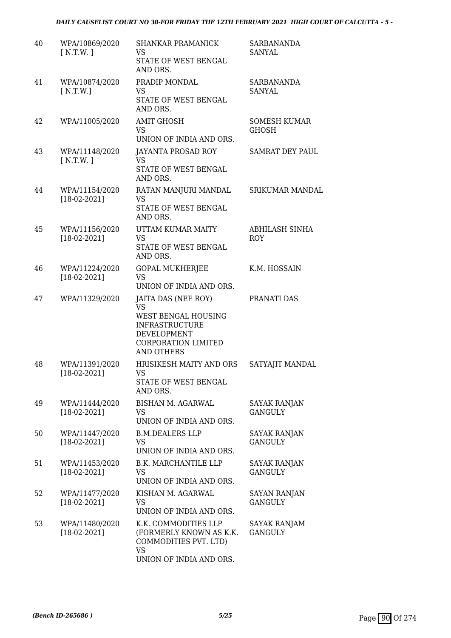| 40 | WPA/10869/2020<br>[N.T.W.]       | <b>SHANKAR PRAMANICK</b><br>VS<br>STATE OF WEST BENGAL<br>AND ORS.                                                                                 | <b>SARBANANDA</b><br>SANYAL           |
|----|----------------------------------|----------------------------------------------------------------------------------------------------------------------------------------------------|---------------------------------------|
| 41 | WPA/10874/2020<br>N.T.W.         | PRADIP MONDAL<br>VS<br>STATE OF WEST BENGAL<br>AND ORS.                                                                                            | SARBANANDA<br>SANYAL                  |
| 42 | WPA/11005/2020                   | <b>AMIT GHOSH</b><br><b>VS</b><br>UNION OF INDIA AND ORS.                                                                                          | <b>SOMESH KUMAR</b><br><b>GHOSH</b>   |
| 43 | WPA/11148/2020<br>[N.T.W.]       | JAYANTA PROSAD ROY<br><b>VS</b><br>STATE OF WEST BENGAL<br>AND ORS.                                                                                | <b>SAMRAT DEY PAUL</b>                |
| 44 | WPA/11154/2020<br>$[18-02-2021]$ | RATAN MANJURI MANDAL<br>VS<br>STATE OF WEST BENGAL<br>AND ORS.                                                                                     | SRIKUMAR MANDAL                       |
| 45 | WPA/11156/2020<br>$[18-02-2021]$ | UTTAM KUMAR MAITY<br><b>VS</b><br>STATE OF WEST BENGAL<br>AND ORS.                                                                                 | <b>ABHILASH SINHA</b><br><b>ROY</b>   |
| 46 | WPA/11224/2020<br>$[18-02-2021]$ | <b>GOPAL MUKHERJEE</b><br>VS<br>UNION OF INDIA AND ORS.                                                                                            | K.M. HOSSAIN                          |
| 47 | WPA/11329/2020                   | JAITA DAS (NEE ROY)<br><b>VS</b><br>WEST BENGAL HOUSING<br><b>INFRASTRUCTURE</b><br>DEVELOPMENT<br><b>CORPORATION LIMITED</b><br><b>AND OTHERS</b> | PRANATI DAS                           |
| 48 | WPA/11391/2020<br>$[18-02-2021]$ | HRISIKESH MAITY AND ORS<br>VS<br>STATE OF WEST BENGAL<br>AND ORS.                                                                                  | SATYAJIT MANDAL                       |
| 49 | WPA/11444/2020<br>$[18-02-2021]$ | BISHAN M. AGARWAL<br>VS<br>UNION OF INDIA AND ORS.                                                                                                 | <b>SAYAK RANJAN</b><br><b>GANGULY</b> |
| 50 | WPA/11447/2020<br>$[18-02-2021]$ | <b>B.M.DEALERS LLP</b><br>VS.<br>UNION OF INDIA AND ORS.                                                                                           | <b>SAYAK RANJAN</b><br><b>GANGULY</b> |
| 51 | WPA/11453/2020<br>$[18-02-2021]$ | <b>B.K. MARCHANTILE LLP</b><br>VS<br>UNION OF INDIA AND ORS.                                                                                       | <b>SAYAK RANJAN</b><br><b>GANGULY</b> |
| 52 | WPA/11477/2020<br>$[18-02-2021]$ | KISHAN M. AGARWAL<br>VS<br>UNION OF INDIA AND ORS.                                                                                                 | SAYAN RANJAN<br><b>GANGULY</b>        |
| 53 | WPA/11480/2020<br>$[18-02-2021]$ | K.K. COMMODITIES LLP<br>(FORMERLY KNOWN AS K.K.<br>COMMODITIES PVT. LTD)<br><b>VS</b><br>UNION OF INDIA AND ORS.                                   | <b>SAYAK RANJAM</b><br><b>GANGULY</b> |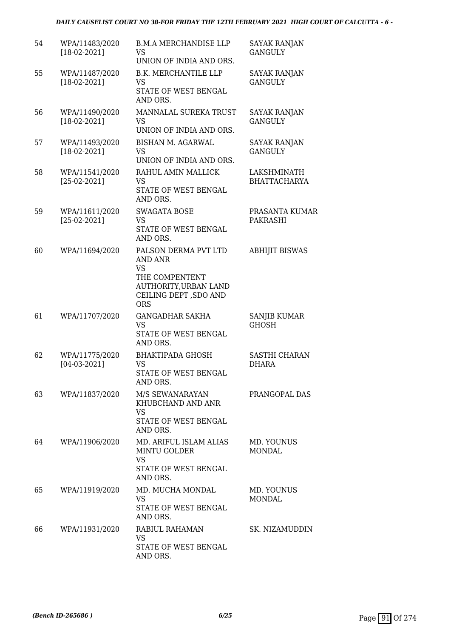| 54 | WPA/11483/2020<br>$[18-02-2021]$ | <b>B.M.A MERCHANDISE LLP</b><br>VS<br>UNION OF INDIA AND ORS.                                                                  | <b>SAYAK RANJAN</b><br><b>GANGULY</b> |
|----|----------------------------------|--------------------------------------------------------------------------------------------------------------------------------|---------------------------------------|
| 55 | WPA/11487/2020<br>$[18-02-2021]$ | <b>B.K. MERCHANTILE LLP</b><br>VS<br>STATE OF WEST BENGAL<br>AND ORS.                                                          | <b>SAYAK RANJAN</b><br><b>GANGULY</b> |
| 56 | WPA/11490/2020<br>$[18-02-2021]$ | MANNALAL SUREKA TRUST<br><b>VS</b><br>UNION OF INDIA AND ORS.                                                                  | <b>SAYAK RANJAN</b><br><b>GANGULY</b> |
| 57 | WPA/11493/2020<br>$[18-02-2021]$ | <b>BISHAN M. AGARWAL</b><br><b>VS</b><br>UNION OF INDIA AND ORS.                                                               | <b>SAYAK RANJAN</b><br><b>GANGULY</b> |
| 58 | WPA/11541/2020<br>$[25-02-2021]$ | RAHUL AMIN MALLICK<br><b>VS</b><br>STATE OF WEST BENGAL<br>AND ORS.                                                            | LAKSHMINATH<br><b>BHATTACHARYA</b>    |
| 59 | WPA/11611/2020<br>$[25-02-2021]$ | <b>SWAGATA BOSE</b><br><b>VS</b><br>STATE OF WEST BENGAL<br>AND ORS.                                                           | PRASANTA KUMAR<br><b>PAKRASHI</b>     |
| 60 | WPA/11694/2020                   | PALSON DERMA PVT LTD<br>AND ANR<br><b>VS</b><br>THE COMPENTENT<br>AUTHORITY, URBAN LAND<br>CEILING DEPT, SDO AND<br><b>ORS</b> | <b>ABHIJIT BISWAS</b>                 |
| 61 | WPA/11707/2020                   | <b>GANGADHAR SAKHA</b><br><b>VS</b><br>STATE OF WEST BENGAL<br>AND ORS.                                                        | SANJIB KUMAR<br><b>GHOSH</b>          |
| 62 | WPA/11775/2020<br>$[04-03-2021]$ | <b>BHAKTIPADA GHOSH</b><br><b>VS</b><br>STATE OF WEST BENGAL<br>AND ORS.                                                       | <b>SASTHI CHARAN</b><br><b>DHARA</b>  |
| 63 | WPA/11837/2020                   | M/S SEWANARAYAN<br>KHUBCHAND AND ANR<br><b>VS</b><br>STATE OF WEST BENGAL<br>AND ORS.                                          | PRANGOPAL DAS                         |
| 64 | WPA/11906/2020                   | MD. ARIFUL ISLAM ALIAS<br><b>MINTU GOLDER</b><br><b>VS</b><br>STATE OF WEST BENGAL<br>AND ORS.                                 | MD. YOUNUS<br><b>MONDAL</b>           |
| 65 | WPA/11919/2020                   | MD. MUCHA MONDAL<br><b>VS</b><br>STATE OF WEST BENGAL<br>AND ORS.                                                              | MD. YOUNUS<br><b>MONDAL</b>           |
| 66 | WPA/11931/2020                   | RABIUL RAHAMAN<br><b>VS</b><br>STATE OF WEST BENGAL<br>AND ORS.                                                                | SK. NIZAMUDDIN                        |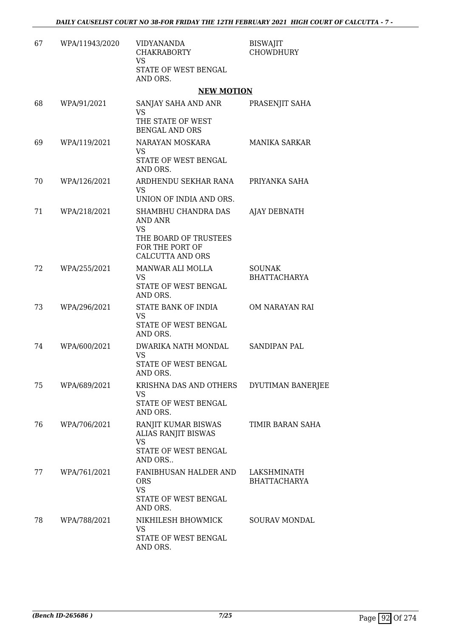| 67 | WPA/11943/2020 | VIDYANANDA<br><b>CHAKRABORTY</b><br><b>VS</b><br>STATE OF WEST BENGAL<br>AND ORS.                                  | <b>BISWAJIT</b><br><b>CHOWDHURY</b>  |
|----|----------------|--------------------------------------------------------------------------------------------------------------------|--------------------------------------|
|    |                | <b>NEW MOTION</b>                                                                                                  |                                      |
| 68 | WPA/91/2021    | SANJAY SAHA AND ANR<br><b>VS</b><br>THE STATE OF WEST                                                              | PRASENJIT SAHA                       |
| 69 | WPA/119/2021   | <b>BENGAL AND ORS</b><br>NARAYAN MOSKARA<br><b>VS</b><br>STATE OF WEST BENGAL<br>AND ORS.                          | <b>MANIKA SARKAR</b>                 |
| 70 | WPA/126/2021   | ARDHENDU SEKHAR RANA<br>VS<br>UNION OF INDIA AND ORS.                                                              | PRIYANKA SAHA                        |
| 71 | WPA/218/2021   | SHAMBHU CHANDRA DAS<br><b>AND ANR</b><br><b>VS</b><br>THE BOARD OF TRUSTEES<br>FOR THE PORT OF<br>CALCUTTA AND ORS | AJAY DEBNATH                         |
| 72 | WPA/255/2021   | MANWAR ALI MOLLA<br><b>VS</b><br>STATE OF WEST BENGAL<br>AND ORS.                                                  | <b>SOUNAK</b><br><b>BHATTACHARYA</b> |
| 73 | WPA/296/2021   | STATE BANK OF INDIA<br>VS<br>STATE OF WEST BENGAL<br>AND ORS.                                                      | OM NARAYAN RAI                       |
| 74 | WPA/600/2021   | DWARIKA NATH MONDAL<br>VS<br>STATE OF WEST BENGAL<br>AND ORS.                                                      | <b>SANDIPAN PAL</b>                  |
| 75 | WPA/689/2021   | KRISHNA DAS AND OTHERS<br>VS.<br>STATE OF WEST BENGAL<br>AND ORS.                                                  | DYUTIMAN BANERJEE                    |
| 76 | WPA/706/2021   | RANJIT KUMAR BISWAS<br><b>ALIAS RANJIT BISWAS</b><br><b>VS</b><br>STATE OF WEST BENGAL                             | TIMIR BARAN SAHA                     |
| 77 | WPA/761/2021   | AND ORS<br>FANIBHUSAN HALDER AND<br><b>ORS</b><br><b>VS</b><br>STATE OF WEST BENGAL<br>AND ORS.                    | LAKSHMINATH<br><b>BHATTACHARYA</b>   |
| 78 | WPA/788/2021   | NIKHILESH BHOWMICK<br>VS<br>STATE OF WEST BENGAL<br>AND ORS.                                                       | <b>SOURAV MONDAL</b>                 |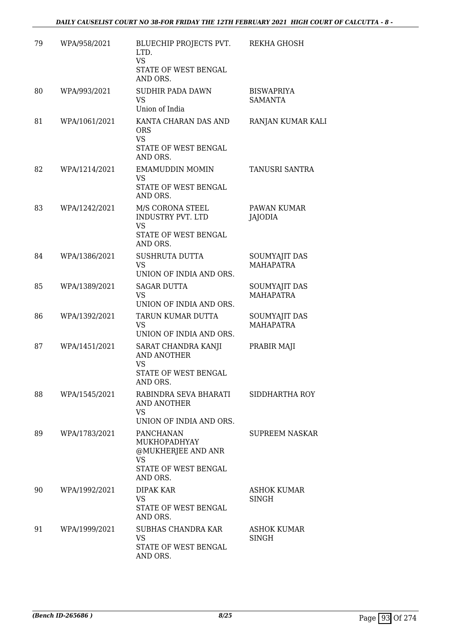| 79 | WPA/958/2021  | BLUECHIP PROJECTS PVT.<br>LTD.<br><b>VS</b><br>STATE OF WEST BENGAL<br>AND ORS.                   | REKHA GHOSH                       |
|----|---------------|---------------------------------------------------------------------------------------------------|-----------------------------------|
| 80 | WPA/993/2021  | SUDHIR PADA DAWN<br>VS<br>Union of India                                                          | <b>BISWAPRIYA</b><br>SAMANTA      |
| 81 | WPA/1061/2021 | KANTA CHARAN DAS AND<br><b>ORS</b><br><b>VS</b><br>STATE OF WEST BENGAL<br>AND ORS.               | RANJAN KUMAR KALI                 |
| 82 | WPA/1214/2021 | <b>EMAMUDDIN MOMIN</b><br>VS.<br>STATE OF WEST BENGAL<br>AND ORS.                                 | TANUSRI SANTRA                    |
| 83 | WPA/1242/2021 | M/S CORONA STEEL<br>INDUSTRY PVT. LTD<br><b>VS</b><br>STATE OF WEST BENGAL<br>AND ORS.            | PAWAN KUMAR<br>JAJODIA            |
| 84 | WPA/1386/2021 | <b>SUSHRUTA DUTTA</b><br><b>VS</b><br>UNION OF INDIA AND ORS.                                     | SOUMYAJIT DAS<br><b>MAHAPATRA</b> |
| 85 | WPA/1389/2021 | <b>SAGAR DUTTA</b><br>VS<br>UNION OF INDIA AND ORS.                                               | SOUMYAJIT DAS<br><b>MAHAPATRA</b> |
| 86 | WPA/1392/2021 | TARUN KUMAR DUTTA<br><b>VS</b><br>UNION OF INDIA AND ORS.                                         | SOUMYAJIT DAS<br><b>MAHAPATRA</b> |
| 87 | WPA/1451/2021 | SARAT CHANDRA KANJI<br>AND ANOTHER<br>VS<br>STATE OF WEST BENGAL<br>AND ORS.                      | PRABIR MAJI                       |
| 88 | WPA/1545/2021 | RABINDRA SEVA BHARATI<br>AND ANOTHER<br>VS.<br>UNION OF INDIA AND ORS.                            | SIDDHARTHA ROY                    |
| 89 | WPA/1783/2021 | <b>PANCHANAN</b><br>MUKHOPADHYAY<br>@MUKHERJEE AND ANR<br>VS.<br>STATE OF WEST BENGAL<br>AND ORS. | <b>SUPREEM NASKAR</b>             |
| 90 | WPA/1992/2021 | DIPAK KAR<br><b>VS</b><br>STATE OF WEST BENGAL<br>AND ORS.                                        | <b>ASHOK KUMAR</b><br>SINGH       |
| 91 | WPA/1999/2021 | SUBHAS CHANDRA KAR<br><b>VS</b><br>STATE OF WEST BENGAL<br>AND ORS.                               | ASHOK KUMAR<br>SINGH              |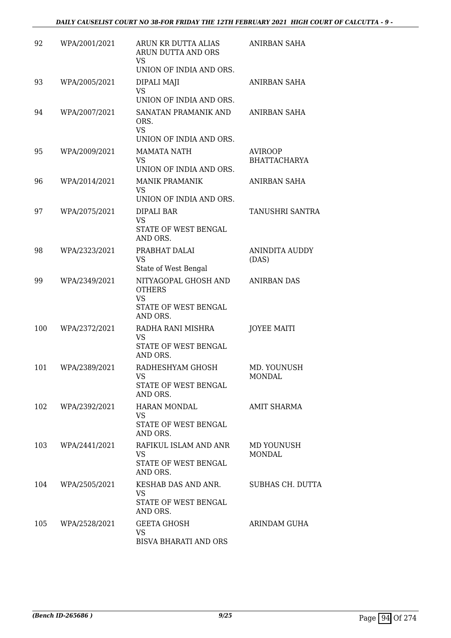| 92  | WPA/2001/2021 | ARUN KR DUTTA ALIAS<br>ARUN DUTTA AND ORS<br>VS<br>UNION OF INDIA AND ORS.             | ANIRBAN SAHA                          |
|-----|---------------|----------------------------------------------------------------------------------------|---------------------------------------|
| 93  | WPA/2005/2021 | DIPALI MAJI<br><b>VS</b><br>UNION OF INDIA AND ORS.                                    | ANIRBAN SAHA                          |
| 94  | WPA/2007/2021 | SANATAN PRAMANIK AND<br>ORS.<br><b>VS</b><br>UNION OF INDIA AND ORS.                   | <b>ANIRBAN SAHA</b>                   |
| 95  | WPA/2009/2021 | <b>MAMATA NATH</b><br><b>VS</b><br>UNION OF INDIA AND ORS.                             | <b>AVIROOP</b><br><b>BHATTACHARYA</b> |
| 96  | WPA/2014/2021 | <b>MANIK PRAMANIK</b><br><b>VS</b><br>UNION OF INDIA AND ORS.                          | ANIRBAN SAHA                          |
| 97  | WPA/2075/2021 | DIPALI BAR<br><b>VS</b><br>STATE OF WEST BENGAL<br>AND ORS.                            | TANUSHRI SANTRA                       |
| 98  | WPA/2323/2021 | PRABHAT DALAI<br><b>VS</b><br>State of West Bengal                                     | <b>ANINDITA AUDDY</b><br>(DAS)        |
| 99  | WPA/2349/2021 | NITYAGOPAL GHOSH AND<br><b>OTHERS</b><br><b>VS</b><br>STATE OF WEST BENGAL<br>AND ORS. | <b>ANIRBAN DAS</b>                    |
| 100 | WPA/2372/2021 | RADHA RANI MISHRA<br><b>VS</b><br>STATE OF WEST BENGAL<br>AND ORS.                     | <b>JOYEE MAITI</b>                    |
| 101 | WPA/2389/2021 | RADHESHYAM GHOSH<br>VS<br>STATE OF WEST BENGAL<br>AND ORS.                             | MD. YOUNUSH<br>MONDAL                 |
| 102 | WPA/2392/2021 | HARAN MONDAL<br><b>VS</b><br>STATE OF WEST BENGAL<br>AND ORS.                          | <b>AMIT SHARMA</b>                    |
| 103 | WPA/2441/2021 | RAFIKUL ISLAM AND ANR<br>VS<br>STATE OF WEST BENGAL<br>AND ORS.                        | MD YOUNUSH<br><b>MONDAL</b>           |
| 104 | WPA/2505/2021 | KESHAB DAS AND ANR.<br><b>VS</b><br>STATE OF WEST BENGAL<br>AND ORS.                   | SUBHAS CH. DUTTA                      |
| 105 | WPA/2528/2021 | <b>GEETA GHOSH</b><br><b>VS</b><br><b>BISVA BHARATI AND ORS</b>                        | ARINDAM GUHA                          |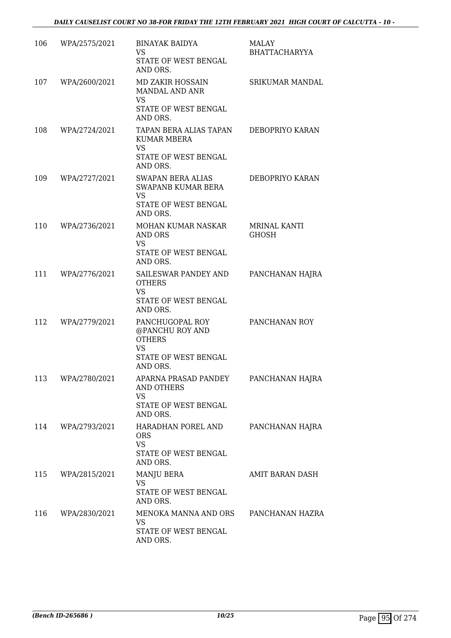| 106 | WPA/2575/2021 | <b>BINAYAK BAIDYA</b><br>VS<br>STATE OF WEST BENGAL<br>AND ORS.                                      | <b>MALAY</b><br><b>BHATTACHARYYA</b> |
|-----|---------------|------------------------------------------------------------------------------------------------------|--------------------------------------|
| 107 | WPA/2600/2021 | MD ZAKIR HOSSAIN<br>MANDAL AND ANR<br>VS<br>STATE OF WEST BENGAL<br>AND ORS.                         | <b>SRIKUMAR MANDAL</b>               |
| 108 | WPA/2724/2021 | TAPAN BERA ALIAS TAPAN<br><b>KUMAR MBERA</b><br><b>VS</b><br>STATE OF WEST BENGAL<br>AND ORS.        | DEBOPRIYO KARAN                      |
| 109 | WPA/2727/2021 | SWAPAN BERA ALIAS<br><b>SWAPANB KUMAR BERA</b><br><b>VS</b><br>STATE OF WEST BENGAL<br>AND ORS.      | DEBOPRIYO KARAN                      |
| 110 | WPA/2736/2021 | <b>MOHAN KUMAR NASKAR</b><br>AND ORS<br><b>VS</b><br>STATE OF WEST BENGAL<br>AND ORS.                | <b>MRINAL KANTI</b><br><b>GHOSH</b>  |
| 111 | WPA/2776/2021 | SAILESWAR PANDEY AND<br><b>OTHERS</b><br><b>VS</b><br>STATE OF WEST BENGAL<br>AND ORS.               | PANCHANAN HAJRA                      |
| 112 | WPA/2779/2021 | PANCHUGOPAL ROY<br>@PANCHU ROY AND<br><b>OTHERS</b><br><b>VS</b><br>STATE OF WEST BENGAL<br>AND ORS. | PANCHANAN ROY                        |
| 113 | WPA/2780/2021 | APARNA PRASAD PANDEY<br>AND OTHERS<br><b>VS</b><br>STATE OF WEST BENGAL<br>AND ORS.                  | PANCHANAN HAJRA                      |
| 114 | WPA/2793/2021 | HARADHAN POREL AND<br><b>ORS</b><br><b>VS</b><br>STATE OF WEST BENGAL<br>AND ORS.                    | PANCHANAN HAJRA                      |
| 115 | WPA/2815/2021 | MANJU BERA<br><b>VS</b><br>STATE OF WEST BENGAL<br>AND ORS.                                          | AMIT BARAN DASH                      |
| 116 | WPA/2830/2021 | MENOKA MANNA AND ORS<br>VS<br>STATE OF WEST BENGAL<br>AND ORS.                                       | PANCHANAN HAZRA                      |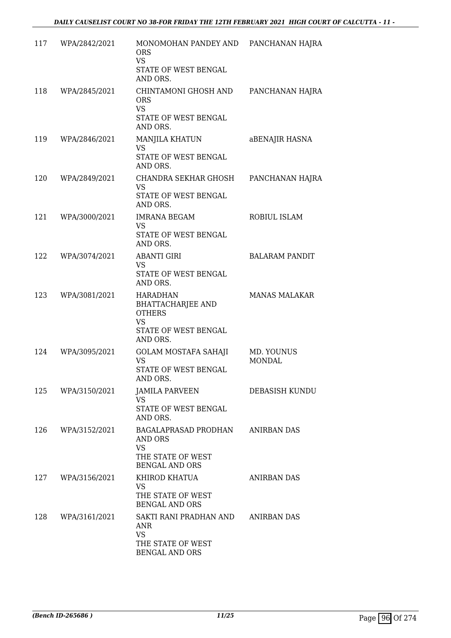| 117 | WPA/2842/2021 | MONOMOHAN PANDEY AND PANCHANAN HAJRA<br><b>ORS</b><br><b>VS</b>                                   |                       |
|-----|---------------|---------------------------------------------------------------------------------------------------|-----------------------|
|     |               | STATE OF WEST BENGAL<br>AND ORS.                                                                  |                       |
| 118 | WPA/2845/2021 | CHINTAMONI GHOSH AND<br><b>ORS</b><br><b>VS</b>                                                   | PANCHANAN HAJRA       |
|     |               | STATE OF WEST BENGAL<br>AND ORS.                                                                  |                       |
| 119 | WPA/2846/2021 | <b>MANJILA KHATUN</b><br><b>VS</b><br>STATE OF WEST BENGAL<br>AND ORS.                            | aBENAJIR HASNA        |
| 120 | WPA/2849/2021 | CHANDRA SEKHAR GHOSH<br><b>VS</b>                                                                 | PANCHANAN HAJRA       |
|     |               | STATE OF WEST BENGAL<br>AND ORS.                                                                  |                       |
| 121 | WPA/3000/2021 | <b>IMRANA BEGAM</b><br>VS                                                                         | ROBIUL ISLAM          |
|     |               | STATE OF WEST BENGAL<br>AND ORS.                                                                  |                       |
| 122 | WPA/3074/2021 | <b>ABANTI GIRI</b><br><b>VS</b>                                                                   | <b>BALARAM PANDIT</b> |
|     |               | STATE OF WEST BENGAL<br>AND ORS.                                                                  |                       |
| 123 | WPA/3081/2021 | <b>HARADHAN</b><br><b>BHATTACHARJEE AND</b><br><b>OTHERS</b><br><b>VS</b><br>STATE OF WEST BENGAL | <b>MANAS MALAKAR</b>  |
| 124 | WPA/3095/2021 | AND ORS.<br><b>GOLAM MOSTAFA SAHAJI</b>                                                           | MD. YOUNUS            |
|     |               | <b>VS</b><br>STATE OF WEST BENGAL<br>AND ORS.                                                     | <b>MONDAL</b>         |
| 125 | WPA/3150/2021 | <b>JAMILA PARVEEN</b><br><b>VS</b>                                                                | DEBASISH KUNDU        |
|     |               | STATE OF WEST BENGAL<br>AND ORS.                                                                  |                       |
| 126 | WPA/3152/2021 | BAGALAPRASAD PRODHAN<br>AND ORS<br><b>VS</b>                                                      | <b>ANIRBAN DAS</b>    |
|     |               | THE STATE OF WEST<br><b>BENGAL AND ORS</b>                                                        |                       |
| 127 | WPA/3156/2021 | KHIROD KHATUA<br>VS                                                                               | <b>ANIRBAN DAS</b>    |
|     |               | THE STATE OF WEST<br><b>BENGAL AND ORS</b>                                                        |                       |
| 128 | WPA/3161/2021 | SAKTI RANI PRADHAN AND<br>ANR<br><b>VS</b>                                                        | <b>ANIRBAN DAS</b>    |
|     |               | THE STATE OF WEST<br><b>BENGAL AND ORS</b>                                                        |                       |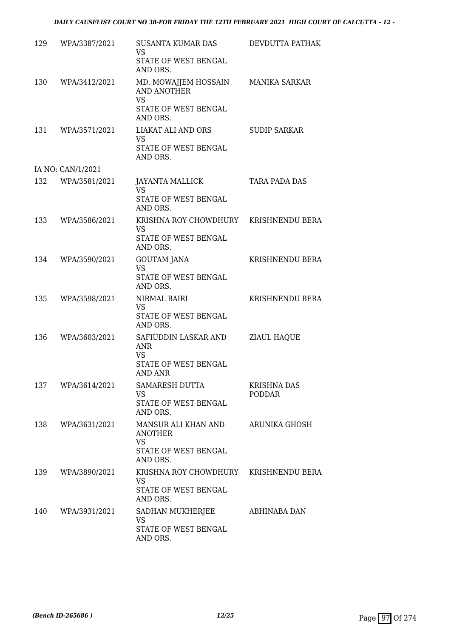| 129 | WPA/3387/2021     | <b>SUSANTA KUMAR DAS</b><br><b>VS</b>              | DEVDUTTA PATHAK                     |
|-----|-------------------|----------------------------------------------------|-------------------------------------|
|     |                   | STATE OF WEST BENGAL<br>AND ORS.                   |                                     |
| 130 | WPA/3412/2021     | MD. MOWAJJEM HOSSAIN<br>AND ANOTHER                | MANIKA SARKAR                       |
|     |                   | <b>VS</b><br>STATE OF WEST BENGAL<br>AND ORS.      |                                     |
| 131 | WPA/3571/2021     | LIAKAT ALI AND ORS<br>VS                           | <b>SUDIP SARKAR</b>                 |
|     |                   | STATE OF WEST BENGAL<br>AND ORS.                   |                                     |
|     | IA NO: CAN/1/2021 |                                                    |                                     |
| 132 | WPA/3581/2021     | <b>JAYANTA MALLICK</b><br><b>VS</b>                | TARA PADA DAS                       |
|     |                   | STATE OF WEST BENGAL<br>AND ORS.                   |                                     |
| 133 | WPA/3586/2021     | KRISHNA ROY CHOWDHURY KRISHNENDU BERA<br><b>VS</b> |                                     |
|     |                   | STATE OF WEST BENGAL<br>AND ORS.                   |                                     |
| 134 | WPA/3590/2021     | <b>GOUTAM JANA</b><br><b>VS</b>                    | KRISHNENDU BERA                     |
|     |                   | STATE OF WEST BENGAL<br>AND ORS.                   |                                     |
| 135 | WPA/3598/2021     | NIRMAL BAIRI<br>VS                                 | KRISHNENDU BERA                     |
|     |                   | STATE OF WEST BENGAL<br>AND ORS.                   |                                     |
| 136 | WPA/3603/2021     | SAFIUDDIN LASKAR AND<br><b>ANR</b>                 | ZIAUL HAQUE                         |
|     |                   | VS<br>STATE OF WEST BENGAL<br>AND ANR              |                                     |
| 137 | WPA/3614/2021     | SAMARESH DUTTA<br>VS                               | <b>KRISHNA DAS</b><br><b>PODDAR</b> |
|     |                   | STATE OF WEST BENGAL<br>AND ORS.                   |                                     |
| 138 | WPA/3631/2021     | MANSUR ALI KHAN AND<br><b>ANOTHER</b>              | ARUNIKA GHOSH                       |
|     |                   | <b>VS</b><br>STATE OF WEST BENGAL<br>AND ORS.      |                                     |
| 139 | WPA/3890/2021     | KRISHNA ROY CHOWDHURY<br>VS                        | KRISHNENDU BERA                     |
|     |                   | STATE OF WEST BENGAL<br>AND ORS.                   |                                     |
| 140 | WPA/3931/2021     | SADHAN MUKHERJEE<br><b>VS</b>                      | ABHINABA DAN                        |
|     |                   | STATE OF WEST BENGAL<br>AND ORS.                   |                                     |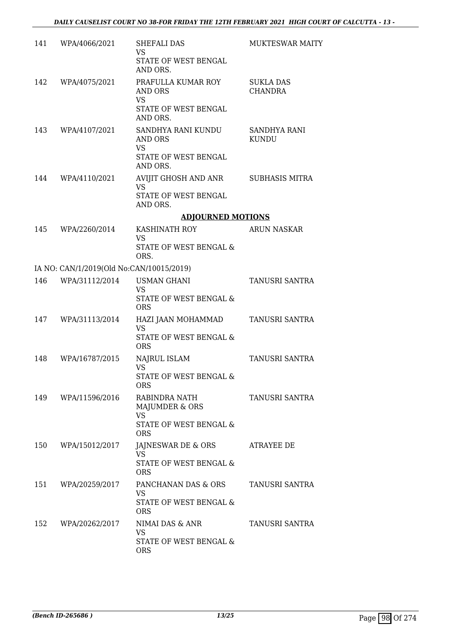| 141 | WPA/4066/2021                            | SHEFALI DAS<br><b>VS</b><br>STATE OF WEST BENGAL<br>AND ORS.       | <b>MUKTESWAR MAITY</b>             |
|-----|------------------------------------------|--------------------------------------------------------------------|------------------------------------|
| 142 | WPA/4075/2021                            | PRAFULLA KUMAR ROY<br>AND ORS<br><b>VS</b>                         | <b>SUKLA DAS</b><br><b>CHANDRA</b> |
|     |                                          | STATE OF WEST BENGAL<br>AND ORS.                                   |                                    |
| 143 | WPA/4107/2021                            | SANDHYA RANI KUNDU<br>AND ORS<br><b>VS</b><br>STATE OF WEST BENGAL | SANDHYA RANI<br><b>KUNDU</b>       |
|     |                                          | AND ORS.                                                           |                                    |
| 144 | WPA/4110/2021                            | AVIJIT GHOSH AND ANR<br><b>VS</b>                                  | <b>SUBHASIS MITRA</b>              |
|     |                                          | STATE OF WEST BENGAL<br>AND ORS.                                   |                                    |
|     |                                          | <b>ADJOURNED MOTIONS</b>                                           |                                    |
| 145 | WPA/2260/2014                            | KASHINATH ROY<br><b>VS</b>                                         | <b>ARUN NASKAR</b>                 |
|     |                                          | STATE OF WEST BENGAL &<br>ORS.                                     |                                    |
|     | IA NO: CAN/1/2019(Old No:CAN/10015/2019) |                                                                    |                                    |
| 146 | WPA/31112/2014                           | <b>USMAN GHANI</b><br><b>VS</b>                                    | TANUSRI SANTRA                     |
|     |                                          | STATE OF WEST BENGAL &<br><b>ORS</b>                               |                                    |
| 147 | WPA/31113/2014                           | HAZI JAAN MOHAMMAD<br><b>VS</b>                                    | TANUSRI SANTRA                     |
|     |                                          | STATE OF WEST BENGAL &<br><b>ORS</b>                               |                                    |
| 148 | WPA/16787/2015                           | <b>NAJRUL ISLAM</b><br>VS                                          | <b>TANUSRI SANTRA</b>              |
|     |                                          | STATE OF WEST BENGAL &<br><b>ORS</b>                               |                                    |
| 149 | WPA/11596/2016                           | RABINDRA NATH<br>MAJUMDER & ORS                                    | <b>TANUSRI SANTRA</b>              |
|     |                                          | <b>VS</b><br>STATE OF WEST BENGAL &<br><b>ORS</b>                  |                                    |
| 150 | WPA/15012/2017                           | JAJNESWAR DE & ORS<br><b>VS</b>                                    | ATRAYEE DE                         |
|     |                                          | STATE OF WEST BENGAL &<br><b>ORS</b>                               |                                    |
| 151 | WPA/20259/2017                           | PANCHANAN DAS & ORS                                                | TANUSRI SANTRA                     |
|     |                                          | <b>VS</b><br>STATE OF WEST BENGAL &<br><b>ORS</b>                  |                                    |
| 152 | WPA/20262/2017                           | NIMAI DAS & ANR<br>VS                                              | TANUSRI SANTRA                     |
|     |                                          | STATE OF WEST BENGAL &<br><b>ORS</b>                               |                                    |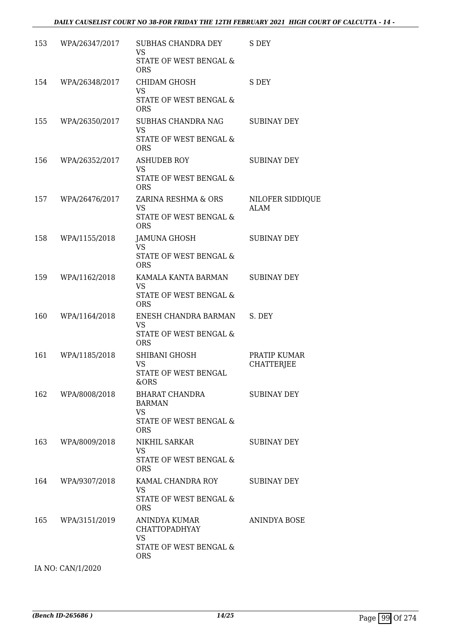| 153 | WPA/26347/2017 | SUBHAS CHANDRA DEY<br>VS.<br>STATE OF WEST BENGAL &<br><b>ORS</b>                          | S DEY                             |
|-----|----------------|--------------------------------------------------------------------------------------------|-----------------------------------|
| 154 | WPA/26348/2017 | CHIDAM GHOSH<br>VS<br>STATE OF WEST BENGAL &<br><b>ORS</b>                                 | S DEY                             |
| 155 | WPA/26350/2017 | <b>SUBHAS CHANDRA NAG</b><br><b>VS</b><br>STATE OF WEST BENGAL &<br><b>ORS</b>             | <b>SUBINAY DEY</b>                |
| 156 | WPA/26352/2017 | ASHUDEB ROY<br><b>VS</b><br>STATE OF WEST BENGAL &<br><b>ORS</b>                           | <b>SUBINAY DEY</b>                |
| 157 | WPA/26476/2017 | ZARINA RESHMA & ORS<br>VS<br><b>STATE OF WEST BENGAL &amp;</b><br><b>ORS</b>               | NILOFER SIDDIQUE<br>ALAM          |
| 158 | WPA/1155/2018  | JAMUNA GHOSH<br><b>VS</b><br>STATE OF WEST BENGAL &<br><b>ORS</b>                          | <b>SUBINAY DEY</b>                |
| 159 | WPA/1162/2018  | KAMALA KANTA BARMAN<br><b>VS</b><br>STATE OF WEST BENGAL &<br><b>ORS</b>                   | <b>SUBINAY DEY</b>                |
| 160 | WPA/1164/2018  | ENESH CHANDRA BARMAN<br><b>VS</b><br>STATE OF WEST BENGAL &<br><b>ORS</b>                  | S. DEY                            |
| 161 | WPA/1185/2018  | SHIBANI GHOSH<br><b>VS</b><br>STATE OF WEST BENGAL<br>&ORS                                 | PRATIP KUMAR<br><b>CHATTERJEE</b> |
| 162 | WPA/8008/2018  | BHARAT CHANDRA<br>BARMAN<br><b>VS</b><br>STATE OF WEST BENGAL &<br><b>ORS</b>              | SUBINAY DEY                       |
| 163 | WPA/8009/2018  | NIKHIL SARKAR<br>VS<br>STATE OF WEST BENGAL &<br><b>ORS</b>                                | <b>SUBINAY DEY</b>                |
| 164 | WPA/9307/2018  | KAMAL CHANDRA ROY<br><b>VS</b><br>STATE OF WEST BENGAL &<br><b>ORS</b>                     | SUBINAY DEY                       |
| 165 | WPA/3151/2019  | ANINDYA KUMAR<br><b>CHATTOPADHYAY</b><br><b>VS</b><br>STATE OF WEST BENGAL &<br><b>ORS</b> | ANINDYA BOSE                      |

IA NO: CAN/1/2020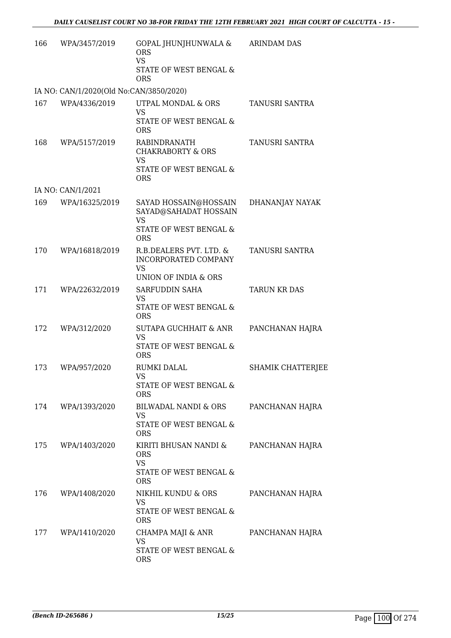| 166 | WPA/3457/2019                           | GOPAL JHUNJHUNWALA &<br><b>ORS</b><br><b>VS</b><br>STATE OF WEST BENGAL &<br><b>ORS</b>             | <b>ARINDAM DAS</b>       |
|-----|-----------------------------------------|-----------------------------------------------------------------------------------------------------|--------------------------|
|     | IA NO: CAN/1/2020(Old No:CAN/3850/2020) |                                                                                                     |                          |
| 167 | WPA/4336/2019                           | UTPAL MONDAL & ORS<br><b>VS</b><br>STATE OF WEST BENGAL &<br><b>ORS</b>                             | TANUSRI SANTRA           |
| 168 | WPA/5157/2019                           | RABINDRANATH<br><b>CHAKRABORTY &amp; ORS</b><br><b>VS</b><br>STATE OF WEST BENGAL &<br><b>ORS</b>   | TANUSRI SANTRA           |
|     | IA NO: CAN/1/2021                       |                                                                                                     |                          |
| 169 | WPA/16325/2019                          | SAYAD HOSSAIN@HOSSAIN<br>SAYAD@SAHADAT HOSSAIN<br><b>VS</b><br>STATE OF WEST BENGAL &<br><b>ORS</b> | DHANANJAY NAYAK          |
| 170 | WPA/16818/2019                          | R.B.DEALERS PVT. LTD. &<br>INCORPORATED COMPANY<br><b>VS</b><br>UNION OF INDIA & ORS                | TANUSRI SANTRA           |
| 171 | WPA/22632/2019                          | SARFUDDIN SAHA<br><b>VS</b><br>STATE OF WEST BENGAL &<br><b>ORS</b>                                 | <b>TARUN KR DAS</b>      |
| 172 | WPA/312/2020                            | SUTAPA GUCHHAIT & ANR<br><b>VS</b><br>STATE OF WEST BENGAL &<br><b>ORS</b>                          | PANCHANAN HAJRA          |
| 173 | WPA/957/2020                            | <b>RUMKI DALAL</b><br><b>VS</b><br>STATE OF WEST BENGAL &<br><b>ORS</b>                             | <b>SHAMIK CHATTERJEE</b> |
| 174 | WPA/1393/2020                           | BILWADAL NANDI & ORS<br>VS<br>STATE OF WEST BENGAL &<br><b>ORS</b>                                  | PANCHANAN HAJRA          |
| 175 | WPA/1403/2020                           | KIRITI BHUSAN NANDI &<br><b>ORS</b><br><b>VS</b><br>STATE OF WEST BENGAL &<br><b>ORS</b>            | PANCHANAN HAJRA          |
| 176 | WPA/1408/2020                           | NIKHIL KUNDU & ORS<br><b>VS</b><br>STATE OF WEST BENGAL &<br><b>ORS</b>                             | PANCHANAN HAJRA          |
| 177 | WPA/1410/2020                           | CHAMPA MAJI & ANR<br>VS<br>STATE OF WEST BENGAL &<br><b>ORS</b>                                     | PANCHANAN HAJRA          |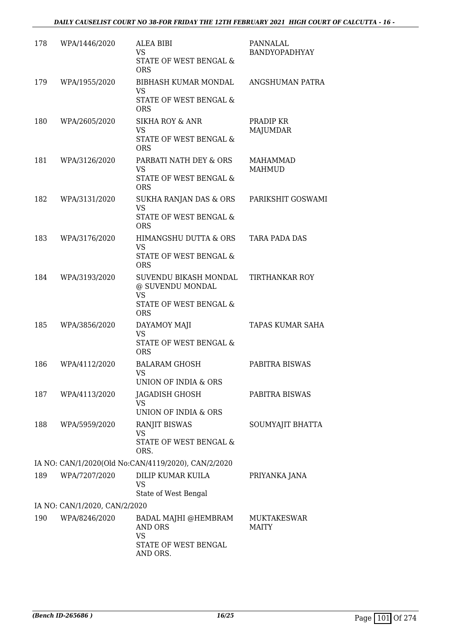| 178 | WPA/1446/2020                 | ALEA BIBI<br><b>VS</b><br>STATE OF WEST BENGAL &<br><b>ORS</b>                   | PANNALAL<br><b>BANDYOPADHYAY</b>   |
|-----|-------------------------------|----------------------------------------------------------------------------------|------------------------------------|
| 179 | WPA/1955/2020                 | BIBHASH KUMAR MONDAL<br><b>VS</b><br>STATE OF WEST BENGAL &<br><b>ORS</b>        | ANGSHUMAN PATRA                    |
| 180 | WPA/2605/2020                 | <b>SIKHA ROY &amp; ANR</b><br><b>VS</b><br>STATE OF WEST BENGAL &<br><b>ORS</b>  | PRADIP KR<br>MAJUMDAR              |
| 181 | WPA/3126/2020                 | PARBATI NATH DEY & ORS<br>VS<br>STATE OF WEST BENGAL &<br><b>ORS</b>             | MAHAMMAD<br><b>MAHMUD</b>          |
| 182 | WPA/3131/2020                 | SUKHA RANJAN DAS & ORS<br><b>VS</b><br>STATE OF WEST BENGAL &<br><b>ORS</b>      | PARIKSHIT GOSWAMI                  |
| 183 | WPA/3176/2020                 | HIMANGSHU DUTTA & ORS<br><b>VS</b><br>STATE OF WEST BENGAL &<br><b>ORS</b>       | <b>TARA PADA DAS</b>               |
| 184 | WPA/3193/2020                 | SUVENDU BIKASH MONDAL<br>@ SUVENDU MONDAL<br><b>VS</b><br>STATE OF WEST BENGAL & | <b>TIRTHANKAR ROY</b>              |
| 185 | WPA/3856/2020                 | <b>ORS</b><br>DAYAMOY MAJI<br><b>VS</b><br>STATE OF WEST BENGAL &<br><b>ORS</b>  | TAPAS KUMAR SAHA                   |
| 186 | WPA/4112/2020                 | <b>BALARAM GHOSH</b><br>VS.<br>UNION OF INDIA & ORS                              | PABITRA BISWAS                     |
| 187 | WPA/4113/2020                 | JAGADISH GHOSH<br>VS<br>UNION OF INDIA & ORS                                     | PABITRA BISWAS                     |
| 188 | WPA/5959/2020                 | <b>RANJIT BISWAS</b><br><b>VS</b><br>STATE OF WEST BENGAL &<br>ORS.              | SOUMYAJIT BHATTA                   |
|     |                               | IA NO: CAN/1/2020(Old No:CAN/4119/2020), CAN/2/2020                              |                                    |
| 189 | WPA/7207/2020                 | DILIP KUMAR KUILA<br>VS<br>State of West Bengal                                  | PRIYANKA JANA                      |
|     | IA NO: CAN/1/2020, CAN/2/2020 |                                                                                  |                                    |
| 190 | WPA/8246/2020                 | BADAL MAJHI @HEMBRAM<br>AND ORS<br><b>VS</b><br>STATE OF WEST BENGAL             | <b>MUKTAKESWAR</b><br><b>MAITY</b> |
|     |                               | AND ORS.                                                                         |                                    |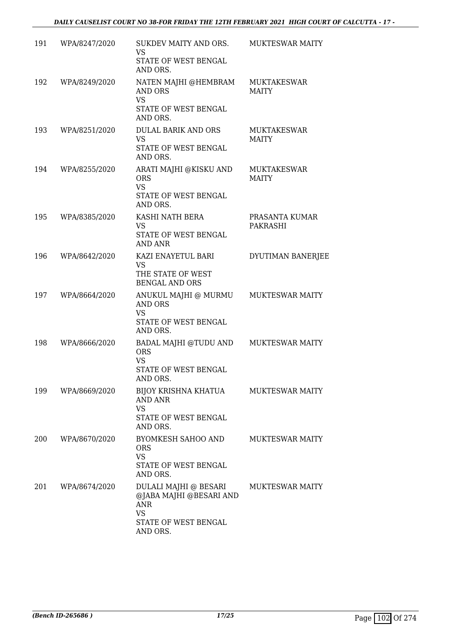| 191 | WPA/8247/2020 | SUKDEV MAITY AND ORS.<br>VS.<br>STATE OF WEST BENGAL<br>AND ORS.                                         | MUKTESWAR MAITY                    |
|-----|---------------|----------------------------------------------------------------------------------------------------------|------------------------------------|
| 192 | WPA/8249/2020 | NATEN MAJHI @HEMBRAM<br>AND ORS<br><b>VS</b><br>STATE OF WEST BENGAL<br>AND ORS.                         | <b>MUKTAKESWAR</b><br><b>MAITY</b> |
| 193 | WPA/8251/2020 | DULAL BARIK AND ORS<br>VS.<br>STATE OF WEST BENGAL<br>AND ORS.                                           | <b>MUKTAKESWAR</b><br><b>MAITY</b> |
| 194 | WPA/8255/2020 | ARATI MAJHI @KISKU AND<br><b>ORS</b><br><b>VS</b><br>STATE OF WEST BENGAL<br>AND ORS.                    | <b>MUKTAKESWAR</b><br><b>MAITY</b> |
| 195 | WPA/8385/2020 | KASHI NATH BERA<br><b>VS</b><br>STATE OF WEST BENGAL<br>AND ANR                                          | PRASANTA KUMAR<br>PAKRASHI         |
| 196 | WPA/8642/2020 | KAZI ENAYETUL BARI<br><b>VS</b><br>THE STATE OF WEST<br><b>BENGAL AND ORS</b>                            | DYUTIMAN BANERJEE                  |
| 197 | WPA/8664/2020 | ANUKUL MAJHI @ MURMU<br><b>AND ORS</b><br><b>VS</b><br>STATE OF WEST BENGAL<br>AND ORS.                  | <b>MUKTESWAR MAITY</b>             |
| 198 | WPA/8666/2020 | BADAL MAJHI @TUDU AND<br><b>ORS</b><br><b>VS</b><br><b>STATE OF WEST BENGAL</b><br>AND ORS.              | <b>MUKTESWAR MAITY</b>             |
| 199 | WPA/8669/2020 | BIJOY KRISHNA KHATUA<br><b>AND ANR</b><br>VS<br>STATE OF WEST BENGAL<br>AND ORS.                         | <b>MUKTESWAR MAITY</b>             |
| 200 | WPA/8670/2020 | BYOMKESH SAHOO AND<br>ORS<br><b>VS</b><br>STATE OF WEST BENGAL<br>AND ORS.                               | <b>MUKTESWAR MAITY</b>             |
| 201 | WPA/8674/2020 | DULALI MAJHI @ BESARI<br>@JABA MAJHI @BESARI AND<br>ANR<br><b>VS</b><br>STATE OF WEST BENGAL<br>AND ORS. | <b>MUKTESWAR MAITY</b>             |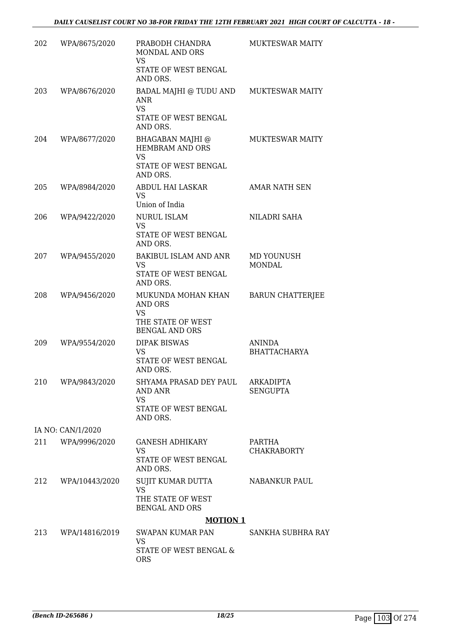| 202 | WPA/8675/2020     | PRABODH CHANDRA<br>MONDAL AND ORS<br><b>VS</b><br>STATE OF WEST BENGAL<br>AND ORS.              | <b>MUKTESWAR MAITY</b>              |
|-----|-------------------|-------------------------------------------------------------------------------------------------|-------------------------------------|
| 203 | WPA/8676/2020     | BADAL MAJHI @ TUDU AND<br>ANR<br><b>VS</b><br>STATE OF WEST BENGAL<br>AND ORS.                  | <b>MUKTESWAR MAITY</b>              |
| 204 | WPA/8677/2020     | BHAGABAN MAJHI @<br><b>HEMBRAM AND ORS</b><br>VS<br>STATE OF WEST BENGAL<br>AND ORS.            | <b>MUKTESWAR MAITY</b>              |
| 205 | WPA/8984/2020     | ABDUL HAI LASKAR<br><b>VS</b><br>Union of India                                                 | AMAR NATH SEN                       |
| 206 | WPA/9422/2020     | <b>NURUL ISLAM</b><br><b>VS</b><br>STATE OF WEST BENGAL<br>AND ORS.                             | NILADRI SAHA                        |
| 207 | WPA/9455/2020     | <b>BAKIBUL ISLAM AND ANR</b><br>VS<br>STATE OF WEST BENGAL<br>AND ORS.                          | MD YOUNUSH<br><b>MONDAL</b>         |
| 208 | WPA/9456/2020     | MUKUNDA MOHAN KHAN<br><b>AND ORS</b><br><b>VS</b><br>THE STATE OF WEST<br><b>BENGAL AND ORS</b> | <b>BARUN CHATTERJEE</b>             |
| 209 | WPA/9554/2020     | <b>DIPAK BISWAS</b><br><b>VS</b><br>STATE OF WEST BENGAL<br>AND ORS.                            | ANINDA<br><b>BHATTACHARYA</b>       |
| 210 | WPA/9843/2020     | SHYAMA PRASAD DEY PAUL<br><b>AND ANR</b><br>VS<br>STATE OF WEST BENGAL<br>AND ORS.              | <b>ARKADIPTA</b><br><b>SENGUPTA</b> |
|     | IA NO: CAN/1/2020 |                                                                                                 |                                     |
| 211 | WPA/9996/2020     | GANESH ADHIKARY<br>VS<br>STATE OF WEST BENGAL<br>AND ORS.                                       | PARTHA<br><b>CHAKRABORTY</b>        |
| 212 | WPA/10443/2020    | SUJIT KUMAR DUTTA<br><b>VS</b><br>THE STATE OF WEST<br><b>BENGAL AND ORS</b>                    | NABANKUR PAUL                       |
|     |                   | <b>MOTION 1</b>                                                                                 |                                     |
| 213 | WPA/14816/2019    | SWAPAN KUMAR PAN<br>VS<br>STATE OF WEST BENGAL &<br><b>ORS</b>                                  | SANKHA SUBHRA RAY                   |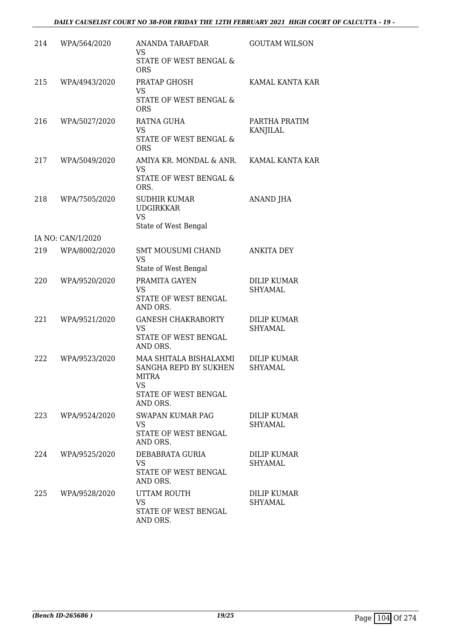| 214 | WPA/564/2020      | <b>ANANDA TARAFDAR</b><br><b>VS</b><br>STATE OF WEST BENGAL &                                                    | <b>GOUTAM WILSON</b>                 |
|-----|-------------------|------------------------------------------------------------------------------------------------------------------|--------------------------------------|
| 215 | WPA/4943/2020     | <b>ORS</b><br>PRATAP GHOSH                                                                                       | KAMAL KANTA KAR                      |
|     |                   | <b>VS</b><br>STATE OF WEST BENGAL &<br><b>ORS</b>                                                                |                                      |
| 216 | WPA/5027/2020     | RATNA GUHA<br><b>VS</b><br>STATE OF WEST BENGAL &<br><b>ORS</b>                                                  | PARTHA PRATIM<br>KANJILAL            |
| 217 | WPA/5049/2020     | AMIYA KR. MONDAL & ANR.<br><b>VS</b><br>STATE OF WEST BENGAL &<br>ORS.                                           | KAMAL KANTA KAR                      |
| 218 | WPA/7505/2020     | <b>SUDHIR KUMAR</b><br><b>UDGIRKKAR</b><br><b>VS</b><br>State of West Bengal                                     | <b>ANAND JHA</b>                     |
|     | IA NO: CAN/1/2020 |                                                                                                                  |                                      |
| 219 | WPA/8002/2020     | <b>SMT MOUSUMI CHAND</b><br><b>VS</b><br>State of West Bengal                                                    | <b>ANKITA DEY</b>                    |
| 220 | WPA/9520/2020     | PRAMITA GAYEN<br><b>VS</b><br>STATE OF WEST BENGAL<br>AND ORS.                                                   | DILIP KUMAR<br>SHYAMAL               |
| 221 | WPA/9521/2020     | <b>GANESH CHAKRABORTY</b><br><b>VS</b><br>STATE OF WEST BENGAL<br>AND ORS.                                       | <b>DILIP KUMAR</b><br><b>SHYAMAL</b> |
| 222 | WPA/9523/2020     | MAA SHITALA BISHALAXMI<br>SANGHA REPD BY SUKHEN<br><b>MITRA</b><br><b>VS</b><br>STATE OF WEST BENGAL<br>AND ORS. | <b>DILIP KUMAR</b><br><b>SHYAMAL</b> |
| 223 | WPA/9524/2020     | SWAPAN KUMAR PAG<br><b>VS</b><br>STATE OF WEST BENGAL<br>AND ORS.                                                | DILIP KUMAR<br>SHYAMAL               |
| 224 | WPA/9525/2020     | DEBABRATA GURIA<br><b>VS</b><br>STATE OF WEST BENGAL<br>AND ORS.                                                 | DILIP KUMAR<br><b>SHYAMAL</b>        |
| 225 | WPA/9528/2020     | UTTAM ROUTH<br><b>VS</b><br>STATE OF WEST BENGAL<br>AND ORS.                                                     | DILIP KUMAR<br>SHYAMAL               |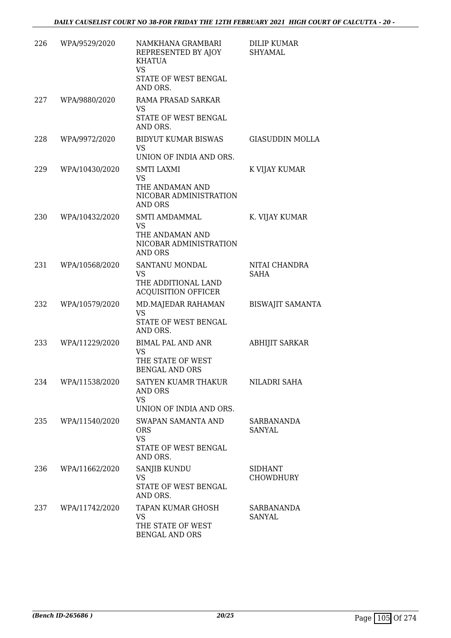| 226 | WPA/9529/2020  | NAMKHANA GRAMBARI<br>REPRESENTED BY AJOY<br>KHATUA<br><b>VS</b><br>STATE OF WEST BENGAL<br>AND ORS. | <b>DILIP KUMAR</b><br><b>SHYAMAL</b> |
|-----|----------------|-----------------------------------------------------------------------------------------------------|--------------------------------------|
| 227 | WPA/9880/2020  | RAMA PRASAD SARKAR<br>VS<br>STATE OF WEST BENGAL                                                    |                                      |
|     |                | AND ORS.                                                                                            |                                      |
| 228 | WPA/9972/2020  | <b>BIDYUT KUMAR BISWAS</b><br><b>VS</b><br>UNION OF INDIA AND ORS.                                  | <b>GIASUDDIN MOLLA</b>               |
| 229 | WPA/10430/2020 | SMTI LAXMI<br>VS<br>THE ANDAMAN AND<br>NICOBAR ADMINISTRATION<br><b>AND ORS</b>                     | K VIJAY KUMAR                        |
| 230 | WPA/10432/2020 | <b>SMTI AMDAMMAL</b><br><b>VS</b><br>THE ANDAMAN AND<br>NICOBAR ADMINISTRATION<br>AND ORS           | K. VIJAY KUMAR                       |
| 231 | WPA/10568/2020 | SANTANU MONDAL<br><b>VS</b><br>THE ADDITIONAL LAND<br><b>ACQUISITION OFFICER</b>                    | NITAI CHANDRA<br>SAHA                |
| 232 | WPA/10579/2020 | MD.MAJEDAR RAHAMAN<br><b>VS</b><br>STATE OF WEST BENGAL<br>AND ORS.                                 | <b>BISWAJIT SAMANTA</b>              |
| 233 | WPA/11229/2020 | <b>BIMAL PAL AND ANR</b><br>VS<br>THE STATE OF WEST<br><b>BENGAL AND ORS</b>                        | <b>ABHIJIT SARKAR</b>                |
| 234 | WPA/11538/2020 | SATYEN KUAMR THAKUR<br>AND ORS<br><b>VS</b><br>UNION OF INDIA AND ORS.                              | NILADRI SAHA                         |
| 235 | WPA/11540/2020 | SWAPAN SAMANTA AND<br><b>ORS</b><br><b>VS</b><br>STATE OF WEST BENGAL<br>AND ORS.                   | SARBANANDA<br>SANYAL                 |
| 236 | WPA/11662/2020 | <b>SANJIB KUNDU</b><br><b>VS</b><br>STATE OF WEST BENGAL<br>AND ORS.                                | <b>SIDHANT</b><br><b>CHOWDHURY</b>   |
| 237 | WPA/11742/2020 | TAPAN KUMAR GHOSH<br><b>VS</b><br>THE STATE OF WEST<br>BENGAL AND ORS                               | <b>SARBANANDA</b><br>SANYAL          |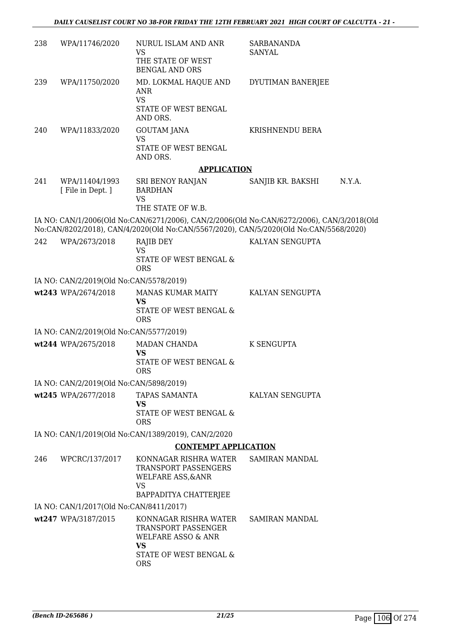| 238 | WPA/11746/2020                          | NURUL ISLAM AND ANR<br>VS<br>THE STATE OF WEST<br><b>BENGAL AND ORS</b>                                       | <b>SARBANANDA</b><br>SANYAL                                                                                                                                                        |
|-----|-----------------------------------------|---------------------------------------------------------------------------------------------------------------|------------------------------------------------------------------------------------------------------------------------------------------------------------------------------------|
| 239 | WPA/11750/2020                          | MD. LOKMAL HAQUE AND<br>ANR<br><b>VS</b>                                                                      | DYUTIMAN BANERJEE                                                                                                                                                                  |
|     |                                         | STATE OF WEST BENGAL<br>AND ORS.                                                                              |                                                                                                                                                                                    |
| 240 | WPA/11833/2020                          | GOUTAM JANA<br><b>VS</b>                                                                                      | KRISHNENDU BERA                                                                                                                                                                    |
|     |                                         | STATE OF WEST BENGAL<br>AND ORS.                                                                              |                                                                                                                                                                                    |
|     |                                         | <b>APPLICATION</b>                                                                                            |                                                                                                                                                                                    |
| 241 | WPA/11404/1993<br>[ File in Dept. ]     | SRI BENOY RANJAN<br><b>BARDHAN</b><br>VS                                                                      | SANJIB KR. BAKSHI<br>N.Y.A.                                                                                                                                                        |
|     |                                         | THE STATE OF W.B.                                                                                             |                                                                                                                                                                                    |
|     |                                         |                                                                                                               | IA NO: CAN/1/2006(Old No:CAN/6271/2006), CAN/2/2006(Old No:CAN/6272/2006), CAN/3/2018(Old<br>No:CAN/8202/2018), CAN/4/2020(Old No:CAN/5567/2020), CAN/5/2020(Old No:CAN/5568/2020) |
| 242 | WPA/2673/2018                           | RAJIB DEY<br>VS                                                                                               | KALYAN SENGUPTA                                                                                                                                                                    |
|     |                                         | STATE OF WEST BENGAL &<br><b>ORS</b>                                                                          |                                                                                                                                                                                    |
|     | IA NO: CAN/2/2019(Old No:CAN/5578/2019) |                                                                                                               |                                                                                                                                                                                    |
|     | wt243 WPA/2674/2018                     | <b>MANAS KUMAR MAITY</b><br><b>VS</b>                                                                         | KALYAN SENGUPTA                                                                                                                                                                    |
|     |                                         | STATE OF WEST BENGAL &<br><b>ORS</b>                                                                          |                                                                                                                                                                                    |
|     | IA NO: CAN/2/2019(Old No:CAN/5577/2019) |                                                                                                               |                                                                                                                                                                                    |
|     | wt244 WPA/2675/2018                     | MADAN CHANDA<br><b>VS</b><br>STATE OF WEST BENGAL &                                                           | K SENGUPTA                                                                                                                                                                         |
|     |                                         | <b>ORS</b>                                                                                                    |                                                                                                                                                                                    |
|     | IA NO: CAN/2/2019(Old No:CAN/5898/2019) |                                                                                                               |                                                                                                                                                                                    |
|     | wt245 WPA/2677/2018                     | TAPAS SAMANTA<br><b>VS</b><br>STATE OF WEST BENGAL &                                                          | KALYAN SENGUPTA                                                                                                                                                                    |
|     |                                         | <b>ORS</b>                                                                                                    |                                                                                                                                                                                    |
|     |                                         | IA NO: CAN/1/2019(Old No:CAN/1389/2019), CAN/2/2020<br><b>CONTEMPT APPLICATION</b>                            |                                                                                                                                                                                    |
|     |                                         |                                                                                                               | SAMIRAN MANDAL                                                                                                                                                                     |
| 246 | WPCRC/137/2017                          | KONNAGAR RISHRA WATER<br>TRANSPORT PASSENGERS<br><b>WELFARE ASS, &amp; ANR</b><br>VS<br>BAPPADITYA CHATTERJEE |                                                                                                                                                                                    |
|     | IA NO: CAN/1/2017(Old No:CAN/8411/2017) |                                                                                                               |                                                                                                                                                                                    |
|     | wt247 WPA/3187/2015                     | KONNAGAR RISHRA WATER<br>TRANSPORT PASSENGER<br><b>WELFARE ASSO &amp; ANR</b><br><b>VS</b>                    | <b>SAMIRAN MANDAL</b>                                                                                                                                                              |
|     |                                         | STATE OF WEST BENGAL &<br><b>ORS</b>                                                                          |                                                                                                                                                                                    |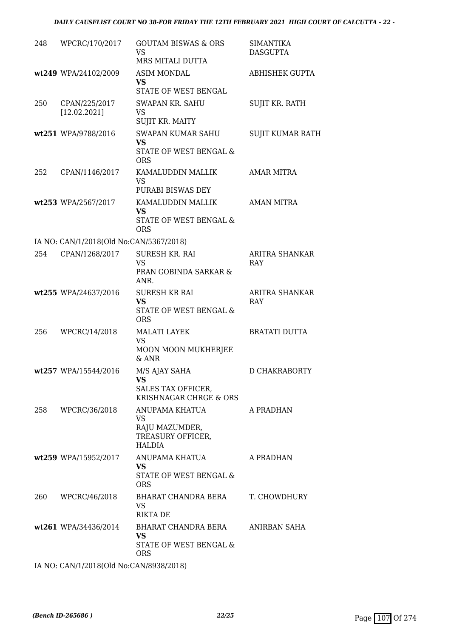### *DAILY CAUSELIST COURT NO 38-FOR FRIDAY THE 12TH FEBRUARY 2021 HIGH COURT OF CALCUTTA - 22 -*

| 248 | WPCRC/170/2017                          | <b>GOUTAM BISWAS &amp; ORS</b><br>VS<br>MRS MITALI DUTTA                              | <b>SIMANTIKA</b><br><b>DASGUPTA</b> |
|-----|-----------------------------------------|---------------------------------------------------------------------------------------|-------------------------------------|
|     | wt249 WPA/24102/2009                    | <b>ASIM MONDAL</b><br><b>VS</b><br>STATE OF WEST BENGAL                               | ABHISHEK GUPTA                      |
| 250 | CPAN/225/2017<br>[12.02.2021]           | <b>SWAPAN KR. SAHU</b><br><b>VS</b><br>SUJIT KR. MAITY                                | SUJIT KR. RATH                      |
|     | wt251 WPA/9788/2016                     | <b>SWAPAN KUMAR SAHU</b><br><b>VS</b><br>STATE OF WEST BENGAL &<br><b>ORS</b>         | <b>SUJIT KUMAR RATH</b>             |
| 252 | CPAN/1146/2017                          | KAMALUDDIN MALLIK<br><b>VS</b><br>PURABI BISWAS DEY                                   | AMAR MITRA                          |
|     | wt253 WPA/2567/2017                     | KAMALUDDIN MALLIK<br><b>VS</b><br>STATE OF WEST BENGAL &<br><b>ORS</b>                | <b>AMAN MITRA</b>                   |
|     | IA NO: CAN/1/2018(Old No:CAN/5367/2018) |                                                                                       |                                     |
| 254 | CPAN/1268/2017                          | <b>SURESH KR. RAI</b><br><b>VS</b><br>PRAN GOBINDA SARKAR &<br>ANR.                   | <b>ARITRA SHANKAR</b><br><b>RAY</b> |
|     | wt255 WPA/24637/2016                    | <b>SURESH KR RAI</b><br><b>VS</b><br>STATE OF WEST BENGAL &<br><b>ORS</b>             | <b>ARITRA SHANKAR</b><br><b>RAY</b> |
| 256 | WPCRC/14/2018                           | <b>MALATI LAYEK</b><br>VS<br>MOON MOON MUKHERJEE<br>$&$ ANR                           | <b>BRATATI DUTTA</b>                |
|     | wt257 WPA/15544/2016                    | M/S AJAY SAHA<br>VS<br>SALES TAX OFFICER,<br>KRISHNAGAR CHRGE & ORS                   | D CHAKRABORTY                       |
| 258 | WPCRC/36/2018                           | ANUPAMA KHATUA<br>VS.<br>RAJU MAZUMDER,<br>TREASURY OFFICER,<br>HALDIA                | A PRADHAN                           |
|     | wt259 WPA/15952/2017                    | ANUPAMA KHATUA<br>VS.<br>STATE OF WEST BENGAL &<br>ORS                                | A PRADHAN                           |
| 260 | WPCRC/46/2018                           | BHARAT CHANDRA BERA<br>VS<br><b>RIKTA DE</b>                                          | T. CHOWDHURY                        |
|     | wt261 WPA/34436/2014                    | BHARAT CHANDRA BERA ANIRBAN SAHA<br><b>VS</b><br>STATE OF WEST BENGAL &<br><b>ORS</b> |                                     |
|     |                                         |                                                                                       |                                     |

IA NO: CAN/1/2018(Old No:CAN/8938/2018)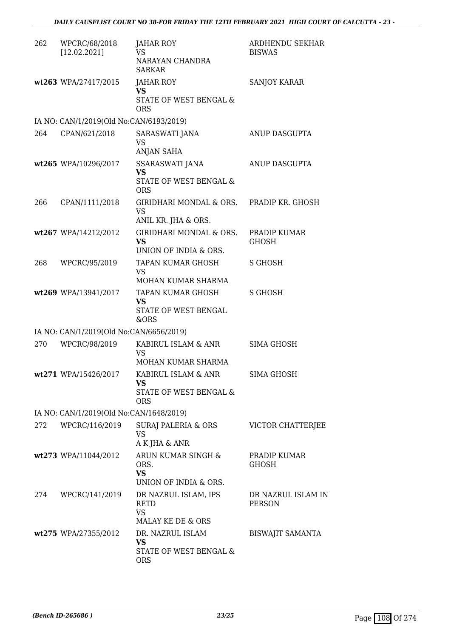| 262 | WPCRC/68/2018<br>[12.02.2021]           | JAHAR ROY<br><b>VS</b><br>NARAYAN CHANDRA<br><b>SARKAR</b>                   | ARDHENDU SEKHAR<br><b>BISWAS</b>    |
|-----|-----------------------------------------|------------------------------------------------------------------------------|-------------------------------------|
|     | wt263 WPA/27417/2015                    | <b>JAHAR ROY</b><br><b>VS</b><br>STATE OF WEST BENGAL &<br><b>ORS</b>        | <b>SANJOY KARAR</b>                 |
|     | IA NO: CAN/1/2019(Old No:CAN/6193/2019) |                                                                              |                                     |
| 264 | CPAN/621/2018                           | SARASWATI JANA<br><b>VS</b><br>ANJAN SAHA                                    | ANUP DASGUPTA                       |
|     | wt265 WPA/10296/2017                    | SSARASWATI JANA<br>VS<br>STATE OF WEST BENGAL &<br><b>ORS</b>                | ANUP DASGUPTA                       |
| 266 | CPAN/1111/2018                          | GIRIDHARI MONDAL & ORS. PRADIP KR. GHOSH<br><b>VS</b><br>ANIL KR. JHA & ORS. |                                     |
|     | wt267 WPA/14212/2012                    | GIRIDHARI MONDAL & ORS.<br>VS<br>UNION OF INDIA & ORS.                       | PRADIP KUMAR<br><b>GHOSH</b>        |
| 268 | WPCRC/95/2019                           | TAPAN KUMAR GHOSH<br>VS<br>MOHAN KUMAR SHARMA                                | S GHOSH                             |
|     | wt269 WPA/13941/2017                    | TAPAN KUMAR GHOSH<br><b>VS</b><br>STATE OF WEST BENGAL<br>&ORS               | <b>S GHOSH</b>                      |
|     | IA NO: CAN/1/2019(Old No:CAN/6656/2019) |                                                                              |                                     |
| 270 | WPCRC/98/2019                           | KABIRUL ISLAM & ANR<br>VS<br>MOHAN KUMAR SHARMA                              | SIMA GHOSH                          |
|     | wt271 WPA/15426/2017                    | KABIRUL ISLAM & ANR<br>VS<br>STATE OF WEST BENGAL &                          | SIMA GHOSH                          |
|     |                                         | <b>ORS</b>                                                                   |                                     |
|     | IA NO: CAN/1/2019(Old No:CAN/1648/2019) |                                                                              |                                     |
| 272 | WPCRC/116/2019                          | SURAJ PALERIA & ORS<br><b>VS</b><br>A K JHA & ANR                            | VICTOR CHATTERJEE                   |
|     | wt273 WPA/11044/2012                    | ARUN KUMAR SINGH &<br>ORS.<br><b>VS</b><br>UNION OF INDIA & ORS.             | PRADIP KUMAR<br><b>GHOSH</b>        |
|     | 274 WPCRC/141/2019                      | DR NAZRUL ISLAM, IPS<br><b>RETD</b><br><b>VS</b><br>MALAY KE DE & ORS        | DR NAZRUL ISLAM IN<br><b>PERSON</b> |
|     | wt275 WPA/27355/2012                    | DR. NAZRUL ISLAM<br><b>VS</b><br>STATE OF WEST BENGAL &<br><b>ORS</b>        | <b>BISWAJIT SAMANTA</b>             |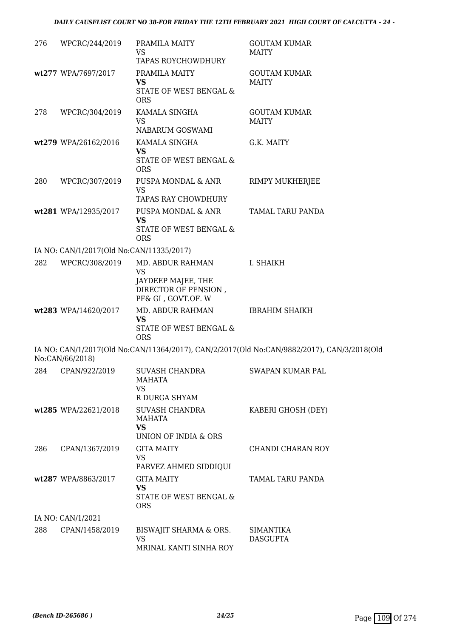| 276 | WPCRC/244/2019                           | PRAMILA MAITY<br>VS<br>TAPAS ROYCHOWDHURY                                                         | <b>GOUTAM KUMAR</b><br><b>MAITY</b>                                                        |
|-----|------------------------------------------|---------------------------------------------------------------------------------------------------|--------------------------------------------------------------------------------------------|
|     | wt277 WPA/7697/2017                      | PRAMILA MAITY<br><b>VS</b><br>STATE OF WEST BENGAL &<br><b>ORS</b>                                | <b>GOUTAM KUMAR</b><br><b>MAITY</b>                                                        |
| 278 | WPCRC/304/2019                           | KAMALA SINGHA<br><b>VS</b><br>NABARUM GOSWAMI                                                     | <b>GOUTAM KUMAR</b><br><b>MAITY</b>                                                        |
|     | wt279 WPA/26162/2016                     | KAMALA SINGHA<br><b>VS</b><br>STATE OF WEST BENGAL &<br><b>ORS</b>                                | G.K. MAITY                                                                                 |
| 280 | WPCRC/307/2019                           | PUSPA MONDAL & ANR<br><b>VS</b><br>TAPAS RAY CHOWDHURY                                            | RIMPY MUKHERJEE                                                                            |
|     | wt281 WPA/12935/2017                     | PUSPA MONDAL & ANR<br><b>VS</b><br>STATE OF WEST BENGAL &<br><b>ORS</b>                           | TAMAL TARU PANDA                                                                           |
|     | IA NO: CAN/1/2017(Old No:CAN/11335/2017) |                                                                                                   |                                                                                            |
| 282 | WPCRC/308/2019                           | MD. ABDUR RAHMAN<br><b>VS</b><br>JAYDEEP MAJEE, THE<br>DIRECTOR OF PENSION,<br>PF& GI, GOVT.OF. W | I. SHAIKH                                                                                  |
|     | wt283 WPA/14620/2017                     | MD. ABDUR RAHMAN<br><b>VS</b><br>STATE OF WEST BENGAL &<br><b>ORS</b>                             | <b>IBRAHIM SHAIKH</b>                                                                      |
|     | No:CAN/66/2018)                          |                                                                                                   | IA NO: CAN/1/2017(Old No:CAN/11364/2017), CAN/2/2017(Old No:CAN/9882/2017), CAN/3/2018(Old |
| 284 | CPAN/922/2019                            | <b>SUVASH CHANDRA</b><br>MAHATA<br><b>VS</b><br>R DURGA SHYAM                                     | SWAPAN KUMAR PAL                                                                           |
|     | wt285 WPA/22621/2018                     | <b>SUVASH CHANDRA</b><br>MAHATA<br><b>VS</b><br>UNION OF INDIA & ORS                              | KABERI GHOSH (DEY)                                                                         |
| 286 | CPAN/1367/2019                           | <b>GITA MAITY</b><br><b>VS</b><br>PARVEZ AHMED SIDDIQUI                                           | CHANDI CHARAN ROY                                                                          |
|     | wt287 WPA/8863/2017                      | <b>GITA MAITY</b><br><b>VS</b><br>STATE OF WEST BENGAL &<br><b>ORS</b>                            | TAMAL TARU PANDA                                                                           |
|     | IA NO: CAN/1/2021                        |                                                                                                   |                                                                                            |
| 288 | CPAN/1458/2019                           | BISWAJIT SHARMA & ORS.<br><b>VS</b><br>MRINAL KANTI SINHA ROY                                     | <b>SIMANTIKA</b><br><b>DASGUPTA</b>                                                        |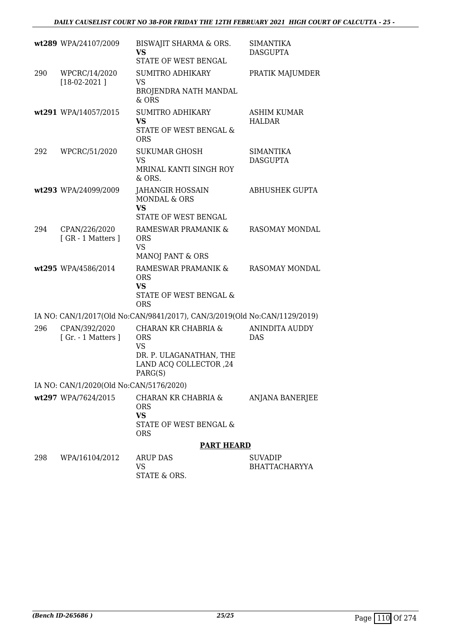|     | wt289 WPA/24107/2009                    | BISWAJIT SHARMA & ORS.<br><b>VS</b>                                                                                       | <b>SIMANTIKA</b><br><b>DASGUPTA</b>    |
|-----|-----------------------------------------|---------------------------------------------------------------------------------------------------------------------------|----------------------------------------|
|     |                                         | STATE OF WEST BENGAL                                                                                                      |                                        |
| 290 | WPCRC/14/2020<br>$[18-02-2021]$         | <b>SUMITRO ADHIKARY</b><br><b>VS</b><br>BROJENDRA NATH MANDAL<br>$&$ ORS                                                  | PRATIK MAJUMDER                        |
|     | wt291 WPA/14057/2015                    | <b>SUMITRO ADHIKARY</b><br><b>VS</b><br>STATE OF WEST BENGAL &<br><b>ORS</b>                                              | ASHIM KUMAR<br><b>HALDAR</b>           |
| 292 | WPCRC/51/2020                           | <b>SUKUMAR GHOSH</b><br>VS<br>MRINAL KANTI SINGH ROY<br>& ORS.                                                            | <b>SIMANTIKA</b><br><b>DASGUPTA</b>    |
|     | wt293 WPA/24099/2009                    | <b>JAHANGIR HOSSAIN</b><br><b>MONDAL &amp; ORS</b><br><b>VS</b><br>STATE OF WEST BENGAL                                   | <b>ABHUSHEK GUPTA</b>                  |
| 294 | CPAN/226/2020<br>[GR - 1 Matters ]      | RAMESWAR PRAMANIK &<br><b>ORS</b><br><b>VS</b><br>MANOJ PANT & ORS                                                        | RASOMAY MONDAL                         |
|     | wt295 WPA/4586/2014                     | RAMESWAR PRAMANIK &<br><b>ORS</b><br><b>VS</b><br>STATE OF WEST BENGAL &<br><b>ORS</b>                                    | RASOMAY MONDAL                         |
|     |                                         | IA NO: CAN/1/2017(Old No:CAN/9841/2017), CAN/3/2019(Old No:CAN/1129/2019)                                                 |                                        |
| 296 | CPAN/392/2020<br>[Gr. - 1 Matters]      | <b>CHARAN KR CHABRIA &amp;</b><br><b>ORS</b><br><b>VS</b><br>DR. P. ULAGANATHAN, THE<br>LAND ACQ COLLECTOR, 24<br>PARG(S) | <b>ANINDITA AUDDY</b><br><b>DAS</b>    |
|     | IA NO: CAN/1/2020(Old No:CAN/5176/2020) |                                                                                                                           |                                        |
|     | wt297 WPA/7624/2015                     | CHARAN KR CHABRIA &<br><b>ORS</b><br><b>VS</b><br>STATE OF WEST BENGAL &<br><b>ORS</b>                                    | ANJANA BANERJEE                        |
|     |                                         | <b>PART HEARD</b>                                                                                                         |                                        |
| 298 | WPA/16104/2012                          | ARUP DAS<br>VS<br>STATE & ORS.                                                                                            | <b>SUVADIP</b><br><b>BHATTACHARYYA</b> |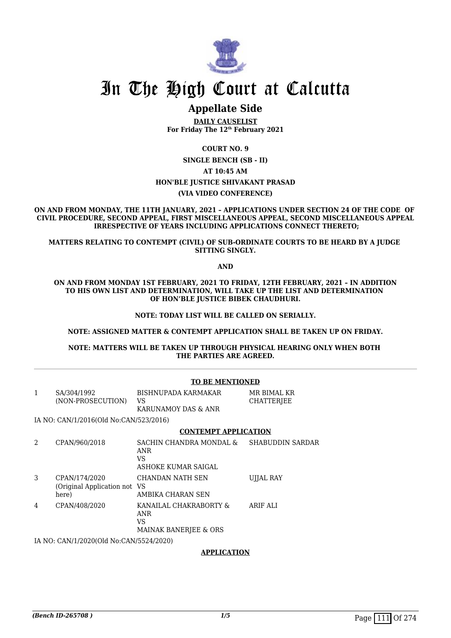

## In The High Court at Calcutta

### **Appellate Side**

**DAILY CAUSELIST For Friday The 12th February 2021**

**COURT NO. 9**

**SINGLE BENCH (SB - II)**

### **AT 10:45 AM**

### **HON'BLE JUSTICE SHIVAKANT PRASAD**

### **(VIA VIDEO CONFERENCE)**

**ON AND FROM MONDAY, THE 11TH JANUARY, 2021 – APPLICATIONS UNDER SECTION 24 OF THE CODE OF CIVIL PROCEDURE, SECOND APPEAL, FIRST MISCELLANEOUS APPEAL, SECOND MISCELLANEOUS APPEAL IRRESPECTIVE OF YEARS INCLUDING APPLICATIONS CONNECT THERETO;**

**MATTERS RELATING TO CONTEMPT (CIVIL) OF SUB-ORDINATE COURTS TO BE HEARD BY A JUDGE SITTING SINGLY.**

**AND**

**ON AND FROM MONDAY 1ST FEBRUARY, 2021 TO FRIDAY, 12TH FEBRUARY, 2021 – IN ADDITION TO HIS OWN LIST AND DETERMINATION, WILL TAKE UP THE LIST AND DETERMINATION OF HON'BLE JUSTICE BIBEK CHAUDHURI.**

### **NOTE: TODAY LIST WILL BE CALLED ON SERIALLY.**

### **NOTE: ASSIGNED MATTER & CONTEMPT APPLICATION SHALL BE TAKEN UP ON FRIDAY.**

**NOTE: MATTERS WILL BE TAKEN UP THROUGH PHYSICAL HEARING ONLY WHEN BOTH THE PARTIES ARE AGREED.**

#### **TO BE MENTIONED**

| SA/304/1992<br>(NON-PROSECUTION) | BISHNUPADA KARMAKAR<br>VS.<br>KARUNAMOY DAS & ANR | MR BIMAL KR<br>CHATTERJEE |
|----------------------------------|---------------------------------------------------|---------------------------|
|----------------------------------|---------------------------------------------------|---------------------------|

IA NO: CAN/1/2016(Old No:CAN/523/2016)

### **CONTEMPT APPLICATION**

|   | CPAN/960/2018                                           | SACHIN CHANDRA MONDAL &<br>ANR<br>VS<br>ASHOKE KUMAR SAIGAL             | <b>SHABUDDIN SARDAR</b> |
|---|---------------------------------------------------------|-------------------------------------------------------------------------|-------------------------|
| 3 | CPAN/174/2020<br>(Original Application not VS)<br>here) | CHANDAN NATH SEN<br>AMBIKA CHARAN SEN                                   | UJJAL RAY               |
| 4 | CPAN/408/2020                                           | KANAILAL CHAKRABORTY &<br>ANR<br>VS<br><b>MAINAK BANERIEE &amp; ORS</b> | ARIF ALI                |

IA NO: CAN/1/2020(Old No:CAN/5524/2020)

### **APPLICATION**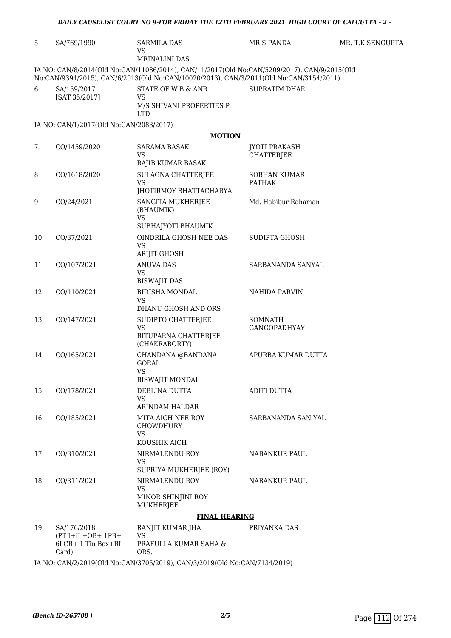| <b>VS</b><br><b>MRINALINI DAS</b><br>IA NO: CAN/8/2014(Old No:CAN/11086/2014), CAN/11/2017(Old No:CAN/5209/2017), CAN/9/2015(Old<br>No:CAN/9394/2015), CAN/6/2013(Old No:CAN/10020/2013), CAN/3/2011(Old No:CAN/3154/2011)<br>STATE OF W B & ANR<br>SA/159/2017<br><b>SUPRATIM DHAR</b><br>[SAT 35/2017]<br><b>VS</b><br>M/S SHIVANI PROPERTIES P<br><b>LTD</b><br>IA NO: CAN/1/2017(Old No:CAN/2083/2017)<br><b>MOTION</b><br>CO/1459/2020<br><b>JYOTI PRAKASH</b><br><b>SARAMA BASAK</b><br><b>VS</b><br><b>CHATTERJEE</b><br>RAJIB KUMAR BASAK<br>CO/1618/2020<br>SULAGNA CHATTERJEE<br><b>SOBHAN KUMAR</b><br><b>VS</b><br><b>PATHAK</b><br>JHOTIRMOY BHATTACHARYA<br>CO/24/2021<br>SANGITA MUKHERJEE<br>Md. Habibur Rahaman<br>(BHAUMIK)<br><b>VS</b><br>SUBHAJYOTI BHAUMIK<br>OINDRILA GHOSH NEE DAS<br>CO/37/2021<br>SUDIPTA GHOSH<br><b>VS</b><br><b>ARIJIT GHOSH</b><br>CO/107/2021<br><b>ANUVA DAS</b><br>SARBANANDA SANYAL<br><b>VS</b><br><b>BISWAJIT DAS</b><br>CO/110/2021<br><b>BIDISHA MONDAL</b><br>NAHIDA PARVIN<br>VS<br>DHANU GHOSH AND ORS<br>CO/147/2021<br>SUDIPTO CHATTERJEE<br><b>SOMNATH</b><br><b>VS</b><br><b>GANGOPADHYAY</b><br>RITUPARNA CHATTERJEE<br>(CHAKRABORTY)<br>CO/165/2021<br>CHANDANA @BANDANA<br>APURBA KUMAR DUTTA<br><b>GORAI</b><br>VS<br><b>BISWAJIT MONDAL</b><br>CO/178/2021<br>DEBLINA DUTTA<br><b>ADITI DUTTA</b><br><b>VS</b><br>ARINDAM HALDAR<br>CO/185/2021<br>MITA AICH NEE ROY<br><b>SARBANANDA SAN YAL</b><br><b>CHOWDHURY</b><br><b>VS</b><br>KOUSHIK AICH<br>CO/310/2021<br>NIRMALENDU ROY<br>NABANKUR PAUL<br><b>VS</b><br>SUPRIYA MUKHERJEE (ROY)<br>CO/311/2021<br>NIRMALENDU ROY<br>NABANKUR PAUL<br><b>VS</b><br>MINOR SHINJINI ROY<br>MUKHERJEE<br><b>FINAL HEARING</b> | 5  | SA/769/1990 | <b>SARMILA DAS</b> | MR.S.PANDA | MR. T.K.SENGUPTA |
|------------------------------------------------------------------------------------------------------------------------------------------------------------------------------------------------------------------------------------------------------------------------------------------------------------------------------------------------------------------------------------------------------------------------------------------------------------------------------------------------------------------------------------------------------------------------------------------------------------------------------------------------------------------------------------------------------------------------------------------------------------------------------------------------------------------------------------------------------------------------------------------------------------------------------------------------------------------------------------------------------------------------------------------------------------------------------------------------------------------------------------------------------------------------------------------------------------------------------------------------------------------------------------------------------------------------------------------------------------------------------------------------------------------------------------------------------------------------------------------------------------------------------------------------------------------------------------------------------------------------------------------------------------------------------------------------------------------------------------------|----|-------------|--------------------|------------|------------------|
|                                                                                                                                                                                                                                                                                                                                                                                                                                                                                                                                                                                                                                                                                                                                                                                                                                                                                                                                                                                                                                                                                                                                                                                                                                                                                                                                                                                                                                                                                                                                                                                                                                                                                                                                          |    |             |                    |            |                  |
|                                                                                                                                                                                                                                                                                                                                                                                                                                                                                                                                                                                                                                                                                                                                                                                                                                                                                                                                                                                                                                                                                                                                                                                                                                                                                                                                                                                                                                                                                                                                                                                                                                                                                                                                          |    |             |                    |            |                  |
|                                                                                                                                                                                                                                                                                                                                                                                                                                                                                                                                                                                                                                                                                                                                                                                                                                                                                                                                                                                                                                                                                                                                                                                                                                                                                                                                                                                                                                                                                                                                                                                                                                                                                                                                          |    |             |                    |            |                  |
|                                                                                                                                                                                                                                                                                                                                                                                                                                                                                                                                                                                                                                                                                                                                                                                                                                                                                                                                                                                                                                                                                                                                                                                                                                                                                                                                                                                                                                                                                                                                                                                                                                                                                                                                          | 6  |             |                    |            |                  |
|                                                                                                                                                                                                                                                                                                                                                                                                                                                                                                                                                                                                                                                                                                                                                                                                                                                                                                                                                                                                                                                                                                                                                                                                                                                                                                                                                                                                                                                                                                                                                                                                                                                                                                                                          |    |             |                    |            |                  |
|                                                                                                                                                                                                                                                                                                                                                                                                                                                                                                                                                                                                                                                                                                                                                                                                                                                                                                                                                                                                                                                                                                                                                                                                                                                                                                                                                                                                                                                                                                                                                                                                                                                                                                                                          |    |             |                    |            |                  |
|                                                                                                                                                                                                                                                                                                                                                                                                                                                                                                                                                                                                                                                                                                                                                                                                                                                                                                                                                                                                                                                                                                                                                                                                                                                                                                                                                                                                                                                                                                                                                                                                                                                                                                                                          |    |             |                    |            |                  |
|                                                                                                                                                                                                                                                                                                                                                                                                                                                                                                                                                                                                                                                                                                                                                                                                                                                                                                                                                                                                                                                                                                                                                                                                                                                                                                                                                                                                                                                                                                                                                                                                                                                                                                                                          | 7  |             |                    |            |                  |
|                                                                                                                                                                                                                                                                                                                                                                                                                                                                                                                                                                                                                                                                                                                                                                                                                                                                                                                                                                                                                                                                                                                                                                                                                                                                                                                                                                                                                                                                                                                                                                                                                                                                                                                                          | 8  |             |                    |            |                  |
|                                                                                                                                                                                                                                                                                                                                                                                                                                                                                                                                                                                                                                                                                                                                                                                                                                                                                                                                                                                                                                                                                                                                                                                                                                                                                                                                                                                                                                                                                                                                                                                                                                                                                                                                          | 9  |             |                    |            |                  |
|                                                                                                                                                                                                                                                                                                                                                                                                                                                                                                                                                                                                                                                                                                                                                                                                                                                                                                                                                                                                                                                                                                                                                                                                                                                                                                                                                                                                                                                                                                                                                                                                                                                                                                                                          | 10 |             |                    |            |                  |
|                                                                                                                                                                                                                                                                                                                                                                                                                                                                                                                                                                                                                                                                                                                                                                                                                                                                                                                                                                                                                                                                                                                                                                                                                                                                                                                                                                                                                                                                                                                                                                                                                                                                                                                                          | 11 |             |                    |            |                  |
|                                                                                                                                                                                                                                                                                                                                                                                                                                                                                                                                                                                                                                                                                                                                                                                                                                                                                                                                                                                                                                                                                                                                                                                                                                                                                                                                                                                                                                                                                                                                                                                                                                                                                                                                          | 12 |             |                    |            |                  |
|                                                                                                                                                                                                                                                                                                                                                                                                                                                                                                                                                                                                                                                                                                                                                                                                                                                                                                                                                                                                                                                                                                                                                                                                                                                                                                                                                                                                                                                                                                                                                                                                                                                                                                                                          | 13 |             |                    |            |                  |
|                                                                                                                                                                                                                                                                                                                                                                                                                                                                                                                                                                                                                                                                                                                                                                                                                                                                                                                                                                                                                                                                                                                                                                                                                                                                                                                                                                                                                                                                                                                                                                                                                                                                                                                                          | 14 |             |                    |            |                  |
|                                                                                                                                                                                                                                                                                                                                                                                                                                                                                                                                                                                                                                                                                                                                                                                                                                                                                                                                                                                                                                                                                                                                                                                                                                                                                                                                                                                                                                                                                                                                                                                                                                                                                                                                          | 15 |             |                    |            |                  |
|                                                                                                                                                                                                                                                                                                                                                                                                                                                                                                                                                                                                                                                                                                                                                                                                                                                                                                                                                                                                                                                                                                                                                                                                                                                                                                                                                                                                                                                                                                                                                                                                                                                                                                                                          | 16 |             |                    |            |                  |
|                                                                                                                                                                                                                                                                                                                                                                                                                                                                                                                                                                                                                                                                                                                                                                                                                                                                                                                                                                                                                                                                                                                                                                                                                                                                                                                                                                                                                                                                                                                                                                                                                                                                                                                                          | 17 |             |                    |            |                  |
|                                                                                                                                                                                                                                                                                                                                                                                                                                                                                                                                                                                                                                                                                                                                                                                                                                                                                                                                                                                                                                                                                                                                                                                                                                                                                                                                                                                                                                                                                                                                                                                                                                                                                                                                          | 18 |             |                    |            |                  |
|                                                                                                                                                                                                                                                                                                                                                                                                                                                                                                                                                                                                                                                                                                                                                                                                                                                                                                                                                                                                                                                                                                                                                                                                                                                                                                                                                                                                                                                                                                                                                                                                                                                                                                                                          |    |             |                    |            |                  |
| SA/176/2018<br>RANJIT KUMAR JHA<br>PRIYANKA DAS<br>$(PT I+II+OB+ 1PB+$<br><b>VS</b><br>6LCR+ 1 Tin Box+RI<br>PRAFULLA KUMAR SAHA &<br>Card)<br>ORS.                                                                                                                                                                                                                                                                                                                                                                                                                                                                                                                                                                                                                                                                                                                                                                                                                                                                                                                                                                                                                                                                                                                                                                                                                                                                                                                                                                                                                                                                                                                                                                                      | 19 |             |                    |            |                  |
| IA NO: CAN/2/2019(Old No:CAN/3705/2019), CAN/3/2019(Old No:CAN/7134/2019)                                                                                                                                                                                                                                                                                                                                                                                                                                                                                                                                                                                                                                                                                                                                                                                                                                                                                                                                                                                                                                                                                                                                                                                                                                                                                                                                                                                                                                                                                                                                                                                                                                                                |    |             |                    |            |                  |

*DAILY CAUSELIST COURT NO 9-FOR FRIDAY THE 12TH FEBRUARY 2021 HIGH COURT OF CALCUTTA - 2 -*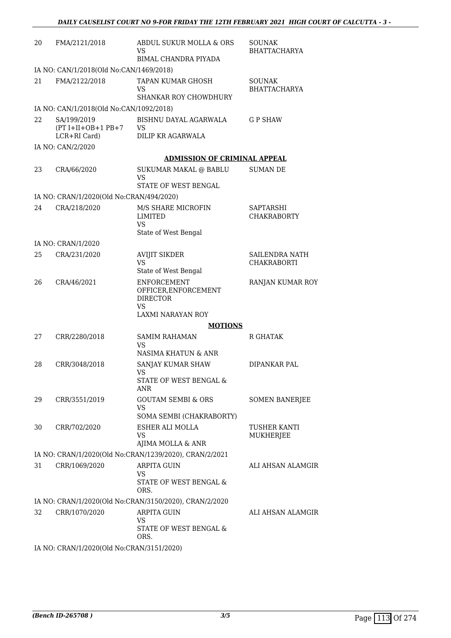| 20 | FMA/2121/2018                                       | ABDUL SUKUR MOLLA & ORS<br>VS<br>BIMAL CHANDRA PIYADA                                           | <b>SOUNAK</b><br><b>BHATTACHARYA</b> |
|----|-----------------------------------------------------|-------------------------------------------------------------------------------------------------|--------------------------------------|
|    | IA NO: CAN/1/2018(Old No:CAN/1469/2018)             |                                                                                                 |                                      |
| 21 | FMA/2122/2018                                       | TAPAN KUMAR GHOSH<br>VS                                                                         | <b>SOUNAK</b><br><b>BHATTACHARYA</b> |
|    |                                                     | <b>SHANKAR ROY CHOWDHURY</b>                                                                    |                                      |
|    | IA NO: CAN/1/2018(Old No:CAN/1092/2018)             |                                                                                                 |                                      |
| 22 | SA/199/2019<br>$(PT I+II+OB+1 PB+7$<br>LCR+RI Card) | BISHNU DAYAL AGARWALA<br><b>VS</b><br>DILIP KR AGARWALA                                         | <b>GP SHAW</b>                       |
|    | IA NO: CAN/2/2020                                   |                                                                                                 |                                      |
|    |                                                     | <b>ADMISSION OF CRIMINAL APPEAL</b>                                                             |                                      |
| 23 | CRA/66/2020                                         | SUKUMAR MAKAL @ BABLU<br>VS<br>STATE OF WEST BENGAL                                             | <b>SUMAN DE</b>                      |
|    | IA NO: CRAN/1/2020(Old No:CRAN/494/2020)            |                                                                                                 |                                      |
| 24 | CRA/218/2020                                        | M/S SHARE MICROFIN<br><b>LIMITED</b><br><b>VS</b><br>State of West Bengal                       | SAPTARSHI<br><b>CHAKRABORTY</b>      |
|    | IA NO: CRAN/1/2020                                  |                                                                                                 |                                      |
| 25 | CRA/231/2020                                        | <b>AVIJIT SIKDER</b><br>VS<br>State of West Bengal                                              | SAILENDRA NATH<br><b>CHAKRABORTI</b> |
| 26 | CRA/46/2021                                         | <b>ENFORCEMENT</b><br>OFFICER, ENFORCEMENT<br><b>DIRECTOR</b><br><b>VS</b><br>LAXMI NARAYAN ROY | RANJAN KUMAR ROY                     |
|    |                                                     | <b>MOTIONS</b>                                                                                  |                                      |
| 27 | CRR/2280/2018                                       | <b>SAMIM RAHAMAN</b><br>VS                                                                      | <b>R GHATAK</b>                      |
|    |                                                     | NASIMA KHATUN & ANR                                                                             |                                      |
| 28 | CRR/3048/2018                                       | SANJAY KUMAR SHAW<br>VS<br>STATE OF WEST BENGAL &<br><b>ANR</b>                                 | DIPANKAR PAL                         |
| 29 | CRR/3551/2019                                       | <b>GOUTAM SEMBI &amp; ORS</b><br><b>VS</b><br>SOMA SEMBI (CHAKRABORTY)                          | <b>SOMEN BANERJEE</b>                |
| 30 | CRR/702/2020                                        | ESHER ALI MOLLA<br>VS<br>AJIMA MOLLA & ANR                                                      | TUSHER KANTI<br>MUKHERJEE            |
|    |                                                     | IA NO: CRAN/1/2020(Old No:CRAN/1239/2020), CRAN/2/2021                                          |                                      |
| 31 | CRR/1069/2020                                       | <b>ARPITA GUIN</b><br>VS<br>STATE OF WEST BENGAL &<br>ORS.                                      | ALI AHSAN ALAMGIR                    |
|    |                                                     | IA NO: CRAN/1/2020(Old No:CRAN/3150/2020), CRAN/2/2020                                          |                                      |
| 32 | CRR/1070/2020                                       | <b>ARPITA GUIN</b><br><b>VS</b><br>STATE OF WEST BENGAL &                                       | ALI AHSAN ALAMGIR                    |
|    | IA NO: CRAN/1/2020(Old No:CRAN/3151/2020)           | ORS.                                                                                            |                                      |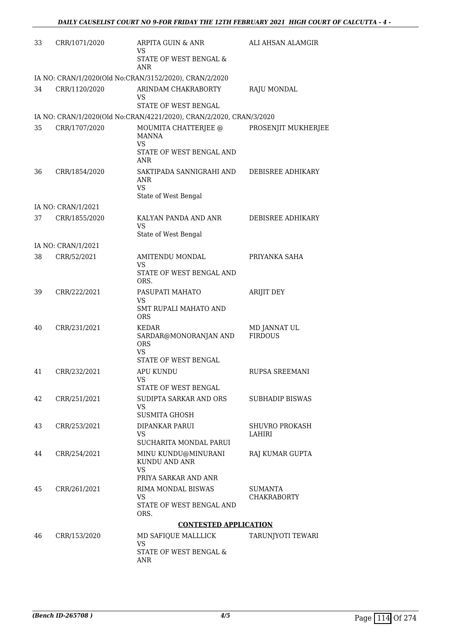| 33 | CRR/1071/2020      | ARPITA GUIN & ANR<br>VS                                                           | ALI AHSAN ALAMGIR              |
|----|--------------------|-----------------------------------------------------------------------------------|--------------------------------|
|    |                    | STATE OF WEST BENGAL &<br><b>ANR</b>                                              |                                |
|    |                    | IA NO: CRAN/1/2020(Old No:CRAN/3152/2020), CRAN/2/2020                            |                                |
| 34 | CRR/1120/2020      | ARINDAM CHAKRABORTY<br>VS<br><b>STATE OF WEST BENGAL</b>                          | <b>RAJU MONDAL</b>             |
|    |                    |                                                                                   |                                |
| 35 |                    | IA NO: CRAN/1/2020(Old No:CRAN/4221/2020), CRAN/2/2020, CRAN/3/2020               |                                |
|    | CRR/1707/2020      | MOUMITA CHATTERJEE @<br><b>MANNA</b><br><b>VS</b>                                 | PROSENJIT MUKHERJEE            |
|    |                    | STATE OF WEST BENGAL AND<br>ANR                                                   |                                |
| 36 | CRR/1854/2020      | SAKTIPADA SANNIGRAHI AND<br>ANR<br>VS.                                            | DEBISREE ADHIKARY              |
|    |                    | State of West Bengal                                                              |                                |
|    | IA NO: CRAN/1/2021 | KALYAN PANDA AND ANR                                                              |                                |
| 37 | CRR/1855/2020      | VS<br>State of West Bengal                                                        | DEBISREE ADHIKARY              |
|    | IA NO: CRAN/1/2021 |                                                                                   |                                |
| 38 | CRR/52/2021        | AMITENDU MONDAL<br>VS                                                             | PRIYANKA SAHA                  |
|    |                    | STATE OF WEST BENGAL AND<br>ORS.                                                  |                                |
| 39 | CRR/222/2021       | PASUPATI MAHATO<br>VS                                                             | <b>ARIJIT DEY</b>              |
|    |                    | SMT RUPALI MAHATO AND<br><b>ORS</b>                                               |                                |
| 40 | CRR/231/2021       | KEDAR<br>SARDAR@MONORANJAN AND<br><b>ORS</b><br><b>VS</b><br>STATE OF WEST BENGAL | MD JANNAT UL<br><b>FIRDOUS</b> |
| 41 | CRR/232/2021       | <b>APU KUNDU</b>                                                                  | RUPSA SREEMANI                 |
|    |                    | <b>VS</b><br>STATE OF WEST BENGAL                                                 |                                |
| 42 | CRR/251/2021       | SUDIPTA SARKAR AND ORS<br>VS<br><b>SUSMITA GHOSH</b>                              | <b>SUBHADIP BISWAS</b>         |
| 43 | CRR/253/2021       | DIPANKAR PARUI                                                                    | <b>SHUVRO PROKASH</b>          |
|    |                    | VS<br>SUCHARITA MONDAL PARUI                                                      | LAHIRI                         |
| 44 | CRR/254/2021       | MINU KUNDU@MINURANI<br>KUNDU AND ANR<br>VS<br>PRIYA SARKAR AND ANR                | RAJ KUMAR GUPTA                |
| 45 | CRR/261/2021       | RIMA MONDAL BISWAS                                                                | <b>SUMANTA</b>                 |
|    |                    | VS<br>STATE OF WEST BENGAL AND<br>ORS.                                            | <b>CHAKRABORTY</b>             |
|    |                    | <b>CONTESTED APPLICATION</b>                                                      |                                |
| 46 | CRR/153/2020       | MD SAFIQUE MALLLICK                                                               | TARUNJYOTI TEWARI              |
|    |                    | <b>VS</b><br>STATE OF WEST BENGAL &<br>ANR                                        |                                |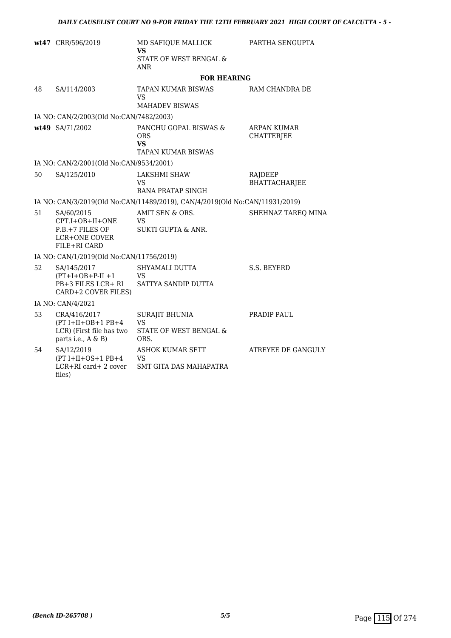|    | wt47 CRR/596/2019                                                                        | MD SAFIQUE MALLICK<br>VS<br>STATE OF WEST BENGAL &<br><b>ANR</b>            | PARTHA SENGUPTA                         |
|----|------------------------------------------------------------------------------------------|-----------------------------------------------------------------------------|-----------------------------------------|
|    |                                                                                          | <b>FOR HEARING</b>                                                          |                                         |
| 48 | SA/114/2003                                                                              | TAPAN KUMAR BISWAS<br>VS.<br>MAHADEV BISWAS                                 | RAM CHANDRA DE                          |
|    | IA NO: CAN/2/2003(Old No:CAN/7482/2003)                                                  |                                                                             |                                         |
|    | wt49 SA/71/2002                                                                          | PANCHU GOPAL BISWAS &<br>ORS<br><b>VS</b><br><b>TAPAN KUMAR BISWAS</b>      | <b>ARPAN KUMAR</b><br><b>CHATTERJEE</b> |
|    | IA NO: CAN/2/2001(Old No:CAN/9534/2001)                                                  |                                                                             |                                         |
| 50 | SA/125/2010                                                                              | <b>LAKSHMI SHAW</b><br>VS<br>RANA PRATAP SINGH                              | RAJDEEP<br>BHATTACHARJEE                |
|    |                                                                                          | IA NO: CAN/3/2019(Old No:CAN/11489/2019), CAN/4/2019(Old No:CAN/11931/2019) |                                         |
| 51 | SA/60/2015<br>CPT.I+OB+II+ONE<br>P.B.+7 FILES OF<br><b>LCR+ONE COVER</b><br>FILE+RI CARD | AMIT SEN & ORS.<br>VS.<br><b>SUKTI GUPTA &amp; ANR.</b>                     | SHEHNAZ TAREQ MINA                      |
|    | IA NO: CAN/1/2019(Old No:CAN/11756/2019)                                                 |                                                                             |                                         |
| 52 | SA/145/2017<br>$(PT+I+OB+P-II+1$<br>PB+3 FILES LCR+ RI<br>CARD+2 COVER FILES)            | SHYAMALI DUTTA<br><b>VS</b><br>SATTYA SANDIP DUTTA                          | S.S. BEYERD                             |
|    | IA NO: CAN/4/2021                                                                        |                                                                             |                                         |
| 53 | CRA/416/2017<br>$(PT I+II+OB+1 PB+4$<br>LCR) (First file has two<br>parts i.e., A & B)   | <b>SURAJIT BHUNIA</b><br><b>VS</b><br>STATE OF WEST BENGAL &<br>ORS.        | PRADIP PAUL                             |
| 54 | SA/12/2019<br>$(PT I+II+OS+1 PB+4$<br>LCR+RI card+ 2 cover<br>files)                     | ASHOK KUMAR SETT<br><b>VS</b><br><b>SMT GITA DAS MAHAPATRA</b>              | ATREYEE DE GANGULY                      |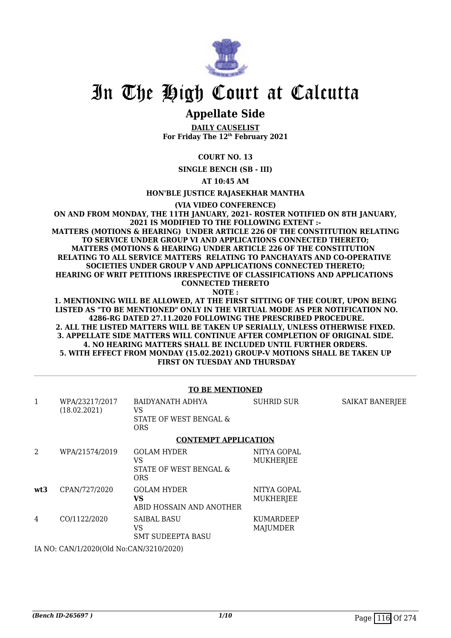

## In The High Court at Calcutta

### **Appellate Side**

**DAILY CAUSELIST For Friday The 12th February 2021**

**COURT NO. 13**

**SINGLE BENCH (SB - III)**

**AT 10:45 AM**

**HON'BLE JUSTICE RAJASEKHAR MANTHA**

**(VIA VIDEO CONFERENCE)**

**ON AND FROM MONDAY, THE 11TH JANUARY, 2021- ROSTER NOTIFIED ON 8TH JANUARY, 2021 IS MODIFIED TO THE FOLLOWING EXTENT :- MATTERS (MOTIONS & HEARING) UNDER ARTICLE 226 OF THE CONSTITUTION RELATING**

 **TO SERVICE UNDER GROUP VI AND APPLICATIONS CONNECTED THERETO; MATTERS (MOTIONS & HEARING) UNDER ARTICLE 226 OF THE CONSTITUTION RELATING TO ALL SERVICE MATTERS RELATING TO PANCHAYATS AND CO-OPERATIVE SOCIETIES UNDER GROUP V AND APPLICATIONS CONNECTED THERETO; HEARING OF WRIT PETITIONS IRRESPECTIVE OF CLASSIFICATIONS AND APPLICATIONS CONNECTED THERETO NOTE :**

**1. MENTIONING WILL BE ALLOWED, AT THE FIRST SITTING OF THE COURT, UPON BEING LISTED AS "TO BE MENTIONED" ONLY IN THE VIRTUAL MODE AS PER NOTIFICATION NO. 4286-RG DATED 27.11.2020 FOLLOWING THE PRESCRIBED PROCEDURE. 2. ALL THE LISTED MATTERS WILL BE TAKEN UP SERIALLY, UNLESS OTHERWISE FIXED. 3. APPELLATE SIDE MATTERS WILL CONTINUE AFTER COMPLETION OF ORIGINAL SIDE. 4. NO HEARING MATTERS SHALL BE INCLUDED UNTIL FURTHER ORDERS. 5. WITH EFFECT FROM MONDAY (15.02.2021) GROUP-V MOTIONS SHALL BE TAKEN UP FIRST ON TUESDAY AND THURSDAY**

### **TO BE MENTIONED**

| 1   | WPA/23217/2017<br>(18.02.2021) | BAIDYANATH ADHYA<br>VS<br>STATE OF WEST BENGAL &<br><b>ORS</b>   | <b>SUHRID SUR</b>               | SAIKAT BANERJEE |
|-----|--------------------------------|------------------------------------------------------------------|---------------------------------|-----------------|
|     |                                | <b>CONTEMPT APPLICATION</b>                                      |                                 |                 |
| 2   | WPA/21574/2019                 | <b>GOLAM HYDER</b><br>VS<br>STATE OF WEST BENGAL &<br><b>ORS</b> | NITYA GOPAL<br><b>MUKHERJEE</b> |                 |
| wt3 | CPAN/727/2020                  | <b>GOLAM HYDER</b><br>VS<br>ABID HOSSAIN AND ANOTHER             | NITYA GOPAL<br><b>MUKHERJEE</b> |                 |
| 4   | CO/1122/2020                   | <b>SAIBAL BASU</b><br>VS.<br><b>SMT SUDEEPTA BASU</b>            | KUMARDEEP<br><b>MAJUMDER</b>    |                 |
|     |                                |                                                                  |                                 |                 |

IA NO: CAN/1/2020(Old No:CAN/3210/2020)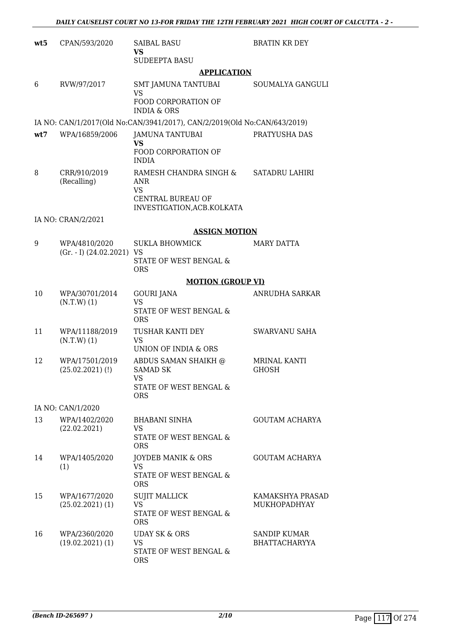| wt5 | CPAN/593/2020                                  | <b>SAIBAL BASU</b><br><b>VS</b><br><b>SUDEEPTA BASU</b>                       | <b>BRATIN KR DEY</b>                        |
|-----|------------------------------------------------|-------------------------------------------------------------------------------|---------------------------------------------|
|     |                                                | <b>APPLICATION</b>                                                            |                                             |
| 6   | RVW/97/2017                                    | <b>SMT JAMUNA TANTUBAI</b><br><b>VS</b><br>FOOD CORPORATION OF                | SOUMALYA GANGULI                            |
|     |                                                | <b>INDIA &amp; ORS</b>                                                        |                                             |
|     |                                                | IA NO: CAN/1/2017(Old No:CAN/3941/2017), CAN/2/2019(Old No:CAN/643/2019)      |                                             |
| wt7 | WPA/16859/2006                                 | <b>JAMUNA TANTUBAI</b><br><b>VS</b><br>FOOD CORPORATION OF<br><b>INDIA</b>    | PRATYUSHA DAS                               |
| 8   | CRR/910/2019<br>(Recalling)                    | RAMESH CHANDRA SINGH &<br>ANR<br><b>VS</b>                                    | <b>SATADRU LAHIRI</b>                       |
|     |                                                | <b>CENTRAL BUREAU OF</b><br>INVESTIGATION, ACB. KOLKATA                       |                                             |
|     | IA NO: CRAN/2/2021                             |                                                                               |                                             |
|     |                                                | <b>ASSIGN MOTION</b>                                                          |                                             |
| 9   | WPA/4810/2020<br>$(Gr. - I)$ $(24.02.2021)$ VS | <b>SUKLA BHOWMICK</b>                                                         | <b>MARY DATTA</b>                           |
|     |                                                | STATE OF WEST BENGAL &<br><b>ORS</b>                                          |                                             |
|     |                                                | <b>MOTION (GROUP VI)</b>                                                      |                                             |
| 10  | WPA/30701/2014<br>$(N.T.W)$ (1)                | <b>GOURI JANA</b><br><b>VS</b><br>STATE OF WEST BENGAL &<br><b>ORS</b>        | ANRUDHA SARKAR                              |
| 11  | WPA/11188/2019<br>$(N.T.W)$ (1)                | TUSHAR KANTI DEY<br><b>VS</b><br><b>UNION OF INDIA &amp; ORS</b>              | <b>SWARVANU SAHA</b>                        |
| 12  | WPA/17501/2019                                 | ABDUS SAMAN SHAIKH @                                                          | <b>MRINAL KANTI</b>                         |
|     | $(25.02.2021)$ (!)                             | <b>SAMAD SK</b><br>VS FOR STRUMP.                                             | <b>GHOSH</b>                                |
|     |                                                | STATE OF WEST BENGAL &<br><b>ORS</b>                                          |                                             |
|     | IA NO: CAN/1/2020                              |                                                                               |                                             |
| 13  | WPA/1402/2020<br>(22.02.2021)                  | <b>BHABANI SINHA</b><br>VS.<br>STATE OF WEST BENGAL &                         | <b>GOUTAM ACHARYA</b>                       |
|     |                                                | <b>ORS</b>                                                                    |                                             |
| 14  | WPA/1405/2020<br>(1)                           | JOYDEB MANIK & ORS<br><b>VS</b><br>STATE OF WEST BENGAL &                     | <b>GOUTAM ACHARYA</b>                       |
| 15  | WPA/1677/2020                                  | <b>ORS</b>                                                                    | KAMAKSHYA PRASAD                            |
|     | $(25.02.2021)$ (1)                             | <b>SUJIT MALLICK</b><br>VS<br>STATE OF WEST BENGAL &<br><b>ORS</b>            | <b>MUKHOPADHYAY</b>                         |
| 16  | WPA/2360/2020<br>$(19.02.2021)$ $(1)$          | <b>UDAY SK &amp; ORS</b><br><b>VS</b><br>STATE OF WEST BENGAL &<br><b>ORS</b> | <b>SANDIP KUMAR</b><br><b>BHATTACHARYYA</b> |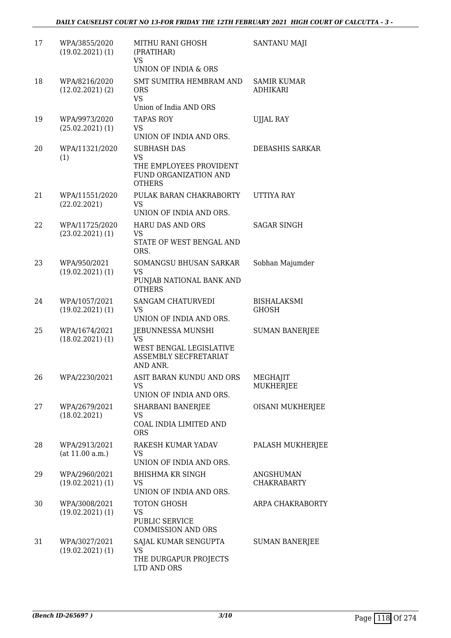| 17 | WPA/3855/2020<br>$(19.02.2021)$ $(1)$ | MITHU RANI GHOSH<br>(PRATIHAR)<br><b>VS</b>                       | <b>SANTANU MAJI</b>     |
|----|---------------------------------------|-------------------------------------------------------------------|-------------------------|
| 18 | WPA/8216/2020                         | UNION OF INDIA & ORS<br>SMT SUMITRA HEMBRAM AND                   | <b>SAMIR KUMAR</b>      |
|    | $(12.02.2021)$ $(2)$                  | <b>ORS</b><br><b>VS</b><br>Union of India AND ORS                 | <b>ADHIKARI</b>         |
| 19 | WPA/9973/2020                         | <b>TAPAS ROY</b>                                                  | <b>UJJAL RAY</b>        |
|    | $(25.02.2021)$ (1)                    | <b>VS</b><br>UNION OF INDIA AND ORS.                              |                         |
| 20 | WPA/11321/2020<br>(1)                 | <b>SUBHASH DAS</b><br><b>VS</b>                                   | <b>DEBASHIS SARKAR</b>  |
|    |                                       | THE EMPLOYEES PROVIDENT<br>FUND ORGANIZATION AND<br><b>OTHERS</b> |                         |
| 21 | WPA/11551/2020<br>(22.02.2021)        | PULAK BARAN CHAKRABORTY<br><b>VS</b>                              | UTTIYA RAY              |
|    |                                       | UNION OF INDIA AND ORS.                                           |                         |
| 22 | WPA/11725/2020<br>$(23.02.2021)$ (1)  | <b>HARU DAS AND ORS</b><br><b>VS</b>                              | <b>SAGAR SINGH</b>      |
|    |                                       | STATE OF WEST BENGAL AND<br>ORS.                                  |                         |
| 23 | WPA/950/2021                          | SOMANGSU BHUSAN SARKAR                                            | Sobhan Majumder         |
|    | $(19.02.2021)$ $(1)$                  | <b>VS</b><br>PUNJAB NATIONAL BANK AND<br><b>OTHERS</b>            |                         |
| 24 | WPA/1057/2021                         | <b>SANGAM CHATURVEDI</b>                                          | <b>BISHALAKSMI</b>      |
|    | $(19.02.2021)$ $(1)$                  | <b>VS</b><br>UNION OF INDIA AND ORS.                              | <b>GHOSH</b>            |
| 25 | WPA/1674/2021                         | JEBUNNESSA MUNSHI                                                 | <b>SUMAN BANERJEE</b>   |
|    | $(18.02.2021)$ $(1)$                  | <b>VS</b><br>WEST BENGAL LEGISLATIVE                              |                         |
|    |                                       | ASSEMBLY SECFRETARIAT<br>AND ANR.                                 |                         |
| 26 | WPA/2230/2021                         | ASIT BARAN KUNDU AND ORS                                          | MEGHAJIT                |
|    |                                       | VS.<br>UNION OF INDIA AND ORS.                                    | <b>MUKHERJEE</b>        |
| 27 | WPA/2679/2021                         | SHARBANI BANERJEE                                                 | <b>OISANI MUKHERJEE</b> |
|    | (18.02.2021)                          | <b>VS</b><br>COAL INDIA LIMITED AND<br><b>ORS</b>                 |                         |
| 28 | WPA/2913/2021                         | RAKESH KUMAR YADAV                                                | PALASH MUKHERJEE        |
|    | (at 11.00 a.m.)                       | VS<br>UNION OF INDIA AND ORS.                                     |                         |
| 29 | WPA/2960/2021                         | <b>BHISHMA KR SINGH</b>                                           | ANGSHUMAN               |
|    | $(19.02.2021)$ $(1)$                  | <b>VS</b><br>UNION OF INDIA AND ORS.                              | <b>CHAKRABARTY</b>      |
| 30 | WPA/3008/2021                         | TOTON GHOSH                                                       | ARPA CHAKRABORTY        |
|    | $(19.02.2021)$ $(1)$                  | <b>VS</b><br><b>PUBLIC SERVICE</b>                                |                         |
|    |                                       | <b>COMMISSION AND ORS</b>                                         |                         |
| 31 | WPA/3027/2021                         | SAJAL KUMAR SENGUPTA                                              | <b>SUMAN BANERJEE</b>   |
|    | $(19.02.2021)$ $(1)$                  | VS<br>THE DURGAPUR PROJECTS                                       |                         |
|    |                                       | LTD AND ORS                                                       |                         |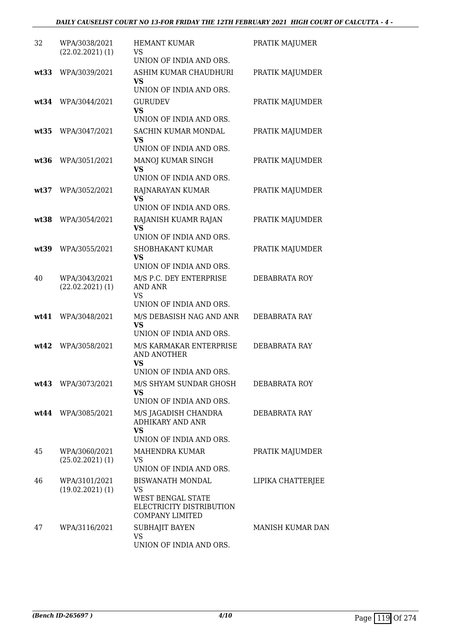| 32   | WPA/3038/2021<br>$(22.02.2021)$ (1)   | <b>HEMANT KUMAR</b><br>VS<br>UNION OF INDIA AND ORS.                                                     | PRATIK MAJUMER    |
|------|---------------------------------------|----------------------------------------------------------------------------------------------------------|-------------------|
| wt33 | WPA/3039/2021                         | ASHIM KUMAR CHAUDHURI<br><b>VS</b><br>UNION OF INDIA AND ORS.                                            | PRATIK MAJUMDER   |
| wt34 | WPA/3044/2021                         | <b>GURUDEV</b><br><b>VS</b><br>UNION OF INDIA AND ORS.                                                   | PRATIK MAJUMDER   |
| wt35 | WPA/3047/2021                         | SACHIN KUMAR MONDAL<br><b>VS</b><br>UNION OF INDIA AND ORS.                                              | PRATIK MAJUMDER   |
| wt36 | WPA/3051/2021                         | MANOJ KUMAR SINGH<br><b>VS</b><br>UNION OF INDIA AND ORS.                                                | PRATIK MAJUMDER   |
| wt37 | WPA/3052/2021                         | RAJNARAYAN KUMAR<br><b>VS</b><br>UNION OF INDIA AND ORS.                                                 | PRATIK MAJUMDER   |
| wt38 | WPA/3054/2021                         | RAJANISH KUAMR RAJAN<br><b>VS</b><br>UNION OF INDIA AND ORS.                                             | PRATIK MAJUMDER   |
| wt39 | WPA/3055/2021                         | <b>SHOBHAKANT KUMAR</b><br><b>VS</b><br>UNION OF INDIA AND ORS.                                          | PRATIK MAJUMDER   |
| 40   | WPA/3043/2021<br>$(22.02.2021)$ (1)   | M/S P.C. DEY ENTERPRISE<br>AND ANR<br><b>VS</b><br>UNION OF INDIA AND ORS.                               | DEBABRATA ROY     |
| wt41 | WPA/3048/2021                         | M/S DEBASISH NAG AND ANR<br><b>VS</b><br>UNION OF INDIA AND ORS.                                         | DEBABRATA RAY     |
| wt42 | WPA/3058/2021                         | M/S KARMAKAR ENTERPRISE<br><b>AND ANOTHER</b><br><b>VS</b><br>UNION OF INDIA AND ORS.                    | DEBABRATA RAY     |
|      | wt43 WPA/3073/2021                    | M/S SHYAM SUNDAR GHOSH<br>VS.<br>UNION OF INDIA AND ORS.                                                 | DEBABRATA ROY     |
|      | wt44 WPA/3085/2021                    | M/S JAGADISH CHANDRA<br><b>ADHIKARY AND ANR</b><br><b>VS</b><br>UNION OF INDIA AND ORS.                  | DEBABRATA RAY     |
| 45   | WPA/3060/2021<br>$(25.02.2021)$ (1)   | MAHENDRA KUMAR<br>VS<br>UNION OF INDIA AND ORS.                                                          | PRATIK MAJUMDER   |
| 46   | WPA/3101/2021<br>$(19.02.2021)$ $(1)$ | <b>BISWANATH MONDAL</b><br>VS<br>WEST BENGAL STATE<br>ELECTRICITY DISTRIBUTION<br><b>COMPANY LIMITED</b> | LIPIKA CHATTERJEE |
| 47   | WPA/3116/2021                         | SUBHAJIT BAYEN<br>VS<br>UNION OF INDIA AND ORS.                                                          | MANISH KUMAR DAN  |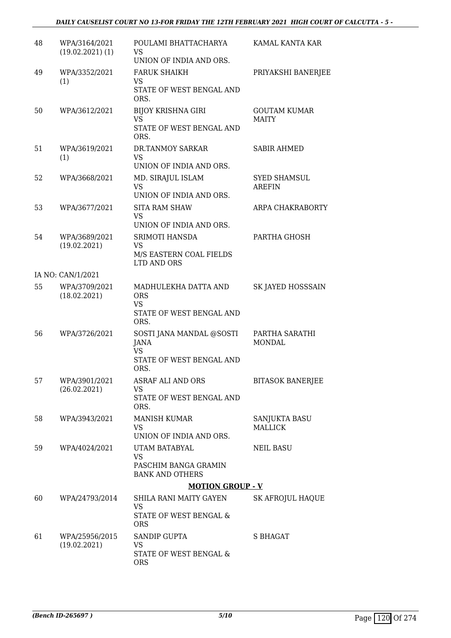| 48 | WPA/3164/2021<br>$(19.02.2021)$ $(1)$ | POULAMI BHATTACHARYA<br>VS<br>UNION OF INDIA AND ORS.                               | KAMAL KANTA KAR                      |
|----|---------------------------------------|-------------------------------------------------------------------------------------|--------------------------------------|
| 49 | WPA/3352/2021<br>(1)                  | <b>FARUK SHAIKH</b><br><b>VS</b><br>STATE OF WEST BENGAL AND<br>ORS.                | PRIYAKSHI BANERJEE                   |
| 50 | WPA/3612/2021                         | <b>BIJOY KRISHNA GIRI</b><br><b>VS</b><br>STATE OF WEST BENGAL AND<br>ORS.          | <b>GOUTAM KUMAR</b><br><b>MAITY</b>  |
| 51 | WPA/3619/2021<br>(1)                  | DR.TANMOY SARKAR<br><b>VS</b><br>UNION OF INDIA AND ORS.                            | <b>SABIR AHMED</b>                   |
| 52 | WPA/3668/2021                         | MD. SIRAJUL ISLAM<br><b>VS</b><br>UNION OF INDIA AND ORS.                           | <b>SYED SHAMSUL</b><br><b>AREFIN</b> |
| 53 | WPA/3677/2021                         | <b>SITA RAM SHAW</b><br><b>VS</b><br>UNION OF INDIA AND ORS.                        | ARPA CHAKRABORTY                     |
| 54 | WPA/3689/2021<br>(19.02.2021)         | SRIMOTI HANSDA<br><b>VS</b><br>M/S EASTERN COAL FIELDS<br>LTD AND ORS               | PARTHA GHOSH                         |
|    | IA NO: CAN/1/2021                     |                                                                                     |                                      |
| 55 | WPA/3709/2021<br>(18.02.2021)         | MADHULEKHA DATTA AND<br><b>ORS</b><br><b>VS</b><br>STATE OF WEST BENGAL AND<br>ORS. | SK JAYED HOSSSAIN                    |
| 56 | WPA/3726/2021                         | SOSTI JANA MANDAL @SOSTI<br>JANA<br><b>VS</b><br>STATE OF WEST BENGAL AND<br>ORS.   | PARTHA SARATHI<br><b>MONDAL</b>      |
| 57 | WPA/3901/2021<br>(26.02.2021)         | <b>ASRAF ALI AND ORS</b><br><b>VS</b><br>STATE OF WEST BENGAL AND<br>ORS.           | <b>BITASOK BANERJEE</b>              |
| 58 | WPA/3943/2021                         | <b>MANISH KUMAR</b><br><b>VS</b><br>UNION OF INDIA AND ORS.                         | SANJUKTA BASU<br><b>MALLICK</b>      |
| 59 | WPA/4024/2021                         | UTAM BATABYAL<br><b>VS</b><br>PASCHIM BANGA GRAMIN<br><b>BANK AND OTHERS</b>        | NEIL BASU                            |
|    |                                       | <b>MOTION GROUP - V</b>                                                             |                                      |
| 60 | WPA/24793/2014                        | SHILA RANI MAITY GAYEN<br><b>VS</b><br>STATE OF WEST BENGAL &<br><b>ORS</b>         | <b>SK AFROJUL HAQUE</b>              |
| 61 | WPA/25956/2015<br>(19.02.2021)        | <b>SANDIP GUPTA</b><br><b>VS</b><br>STATE OF WEST BENGAL &<br><b>ORS</b>            | S BHAGAT                             |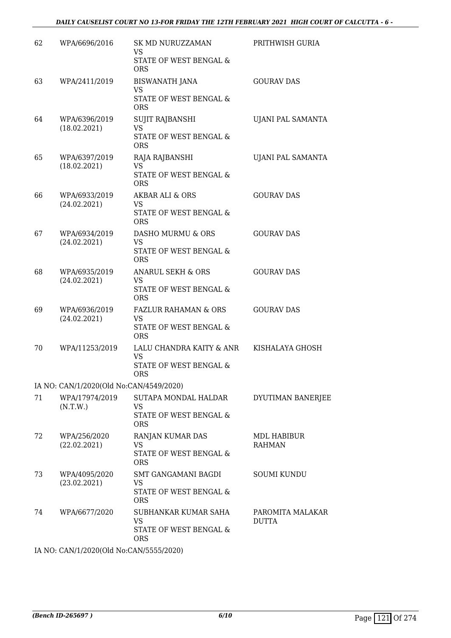| 62 | WPA/6696/2016                           | SK MD NURUZZAMAN<br>VS.<br>STATE OF WEST BENGAL &                                    | PRITHWISH GURIA                  |
|----|-----------------------------------------|--------------------------------------------------------------------------------------|----------------------------------|
|    |                                         | <b>ORS</b>                                                                           |                                  |
| 63 | WPA/2411/2019                           | <b>BISWANATH JANA</b><br>VS<br>STATE OF WEST BENGAL &<br><b>ORS</b>                  | <b>GOURAV DAS</b>                |
| 64 | WPA/6396/2019<br>(18.02.2021)           | SUJIT RAJBANSHI<br>VS<br>STATE OF WEST BENGAL &<br><b>ORS</b>                        | UJANI PAL SAMANTA                |
| 65 | WPA/6397/2019<br>(18.02.2021)           | RAJA RAJBANSHI<br><b>VS</b><br>STATE OF WEST BENGAL &<br><b>ORS</b>                  | UJANI PAL SAMANTA                |
| 66 | WPA/6933/2019<br>(24.02.2021)           | AKBAR ALI & ORS<br>VS.<br>STATE OF WEST BENGAL &<br><b>ORS</b>                       | <b>GOURAV DAS</b>                |
| 67 | WPA/6934/2019<br>(24.02.2021)           | DASHO MURMU & ORS<br>VS<br>STATE OF WEST BENGAL &<br><b>ORS</b>                      | <b>GOURAV DAS</b>                |
| 68 | WPA/6935/2019<br>(24.02.2021)           | <b>ANARUL SEKH &amp; ORS</b><br>VS<br>STATE OF WEST BENGAL &<br><b>ORS</b>           | <b>GOURAV DAS</b>                |
| 69 | WPA/6936/2019<br>(24.02.2021)           | <b>FAZLUR RAHAMAN &amp; ORS</b><br><b>VS</b><br>STATE OF WEST BENGAL &<br><b>ORS</b> | <b>GOURAV DAS</b>                |
| 70 | WPA/11253/2019                          | LALU CHANDRA KAITY & ANR<br><b>VS</b><br>STATE OF WEST BENGAL &<br><b>ORS</b>        | KISHALAYA GHOSH                  |
|    | IA NO: CAN/1/2020(Old No:CAN/4549/2020) |                                                                                      |                                  |
| 71 | WPA/17974/2019<br>(N.T.W.)              | <b>SUTAPA MONDAL HALDAR</b><br><b>VS</b><br>STATE OF WEST BENGAL &<br><b>ORS</b>     | DYUTIMAN BANERJEE                |
| 72 | WPA/256/2020<br>(22.02.2021)            | RANJAN KUMAR DAS<br>VS<br>STATE OF WEST BENGAL &<br><b>ORS</b>                       | MDL HABIBUR<br><b>RAHMAN</b>     |
| 73 | WPA/4095/2020<br>(23.02.2021)           | SMT GANGAMANI BAGDI<br>VS.<br>STATE OF WEST BENGAL &<br><b>ORS</b>                   | <b>SOUMI KUNDU</b>               |
| 74 | WPA/6677/2020                           | SUBHANKAR KUMAR SAHA<br>VS<br>STATE OF WEST BENGAL &<br><b>ORS</b>                   | PAROMITA MALAKAR<br><b>DUTTA</b> |

IA NO: CAN/1/2020(Old No:CAN/5555/2020)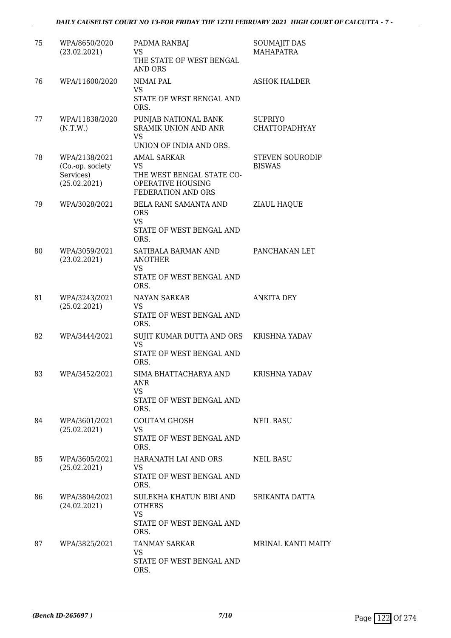### *DAILY CAUSELIST COURT NO 13-FOR FRIDAY THE 12TH FEBRUARY 2021 HIGH COURT OF CALCUTTA - 7 -*

| 75 | WPA/8650/2020<br>(23.02.2021)                                  | PADMA RANBAJ<br><b>VS</b><br>THE STATE OF WEST BENGAL<br><b>AND ORS</b>                                 | <b>SOUMAJIT DAS</b><br><b>MAHAPATRA</b> |
|----|----------------------------------------------------------------|---------------------------------------------------------------------------------------------------------|-----------------------------------------|
| 76 | WPA/11600/2020                                                 | <b>NIMAI PAL</b><br>VS<br>STATE OF WEST BENGAL AND                                                      | <b>ASHOK HALDER</b>                     |
| 77 | WPA/11838/2020<br>(N.T.W.)                                     | ORS.<br>PUNJAB NATIONAL BANK<br><b>SRAMIK UNION AND ANR</b><br>VS<br>UNION OF INDIA AND ORS.            | <b>SUPRIYO</b><br><b>CHATTOPADHYAY</b>  |
| 78 | WPA/2138/2021<br>(Co.-op. society<br>Services)<br>(25.02.2021) | <b>AMAL SARKAR</b><br><b>VS</b><br>THE WEST BENGAL STATE CO-<br>OPERATIVE HOUSING<br>FEDERATION AND ORS | <b>STEVEN SOURODIP</b><br><b>BISWAS</b> |
| 79 | WPA/3028/2021                                                  | BELA RANI SAMANTA AND<br><b>ORS</b><br><b>VS</b><br>STATE OF WEST BENGAL AND<br>ORS.                    | ZIAUL HAQUE                             |
| 80 | WPA/3059/2021<br>(23.02.2021)                                  | SATIBALA BARMAN AND<br><b>ANOTHER</b><br>VS<br>STATE OF WEST BENGAL AND<br>ORS.                         | PANCHANAN LET                           |
| 81 | WPA/3243/2021<br>(25.02.2021)                                  | <b>NAYAN SARKAR</b><br><b>VS</b><br>STATE OF WEST BENGAL AND<br>ORS.                                    | <b>ANKITA DEY</b>                       |
| 82 | WPA/3444/2021                                                  | SUJIT KUMAR DUTTA AND ORS<br><b>VS</b><br>STATE OF WEST BENGAL AND<br>ORS.                              | <b>KRISHNA YADAV</b>                    |
| 83 | WPA/3452/2021                                                  | SIMA BHATTACHARYA AND<br>ANR<br><b>VS</b><br>STATE OF WEST BENGAL AND<br>ORS.                           | <b>KRISHNA YADAV</b>                    |
| 84 | WPA/3601/2021<br>(25.02.2021)                                  | <b>GOUTAM GHOSH</b><br>VS.<br>STATE OF WEST BENGAL AND<br>ORS.                                          | <b>NEIL BASU</b>                        |
| 85 | WPA/3605/2021<br>(25.02.2021)                                  | HARANATH LAI AND ORS<br>VS.<br>STATE OF WEST BENGAL AND<br>ORS.                                         | <b>NEIL BASU</b>                        |
| 86 | WPA/3804/2021<br>(24.02.2021)                                  | SULEKHA KHATUN BIBI AND<br><b>OTHERS</b><br><b>VS</b><br>STATE OF WEST BENGAL AND<br>ORS.               | SRIKANTA DATTA                          |
| 87 | WPA/3825/2021                                                  | TANMAY SARKAR<br>VS.<br>STATE OF WEST BENGAL AND<br>ORS.                                                | <b>MRINAL KANTI MAITY</b>               |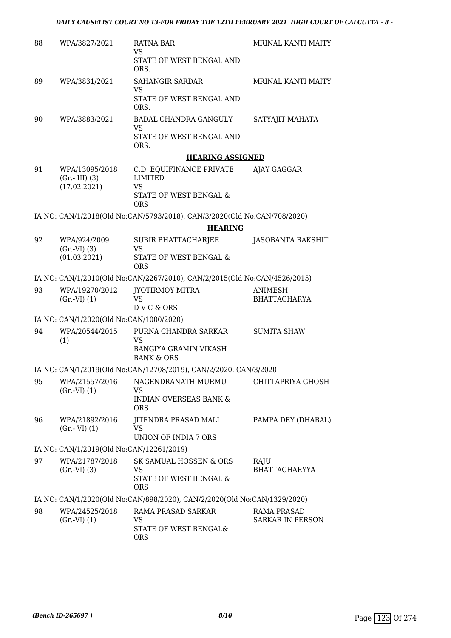| 88 | WPA/3827/2021                                     | RATNA BAR<br><b>VS</b><br>STATE OF WEST BENGAL AND<br>ORS.                                      | <b>MRINAL KANTI MAITY</b>                     |
|----|---------------------------------------------------|-------------------------------------------------------------------------------------------------|-----------------------------------------------|
| 89 | WPA/3831/2021                                     | <b>SAHANGIR SARDAR</b><br><b>VS</b><br>STATE OF WEST BENGAL AND<br>ORS.                         | <b>MRINAL KANTI MAITY</b>                     |
| 90 | WPA/3883/2021                                     | <b>BADAL CHANDRA GANGULY</b><br><b>VS</b><br>STATE OF WEST BENGAL AND<br>ORS.                   | SATYAJIT MAHATA                               |
|    |                                                   | <b>HEARING ASSIGNED</b>                                                                         |                                               |
| 91 | WPA/13095/2018<br>$(Gr.-III)$ (3)<br>(17.02.2021) | C.D. EQUIFINANCE PRIVATE<br><b>LIMITED</b><br><b>VS</b><br>STATE OF WEST BENGAL &<br><b>ORS</b> | AJAY GAGGAR                                   |
|    |                                                   | IA NO: CAN/1/2018(Old No:CAN/5793/2018), CAN/3/2020(Old No:CAN/708/2020)                        |                                               |
|    |                                                   | <b>HEARING</b>                                                                                  |                                               |
| 92 | WPA/924/2009<br>$(Gr.-VI)$ $(3)$<br>(01.03.2021)  | SUBIR BHATTACHARJEE<br><b>VS</b><br>STATE OF WEST BENGAL &<br><b>ORS</b>                        | JASOBANTA RAKSHIT                             |
|    |                                                   | IA NO: CAN/1/2010(Old No:CAN/2267/2010), CAN/2/2015(Old No:CAN/4526/2015)                       |                                               |
| 93 | WPA/19270/2012<br>$(Gr.-VI) (1)$                  | <b>JYOTIRMOY MITRA</b><br><b>VS</b><br>D V C & ORS                                              | <b>ANIMESH</b><br><b>BHATTACHARYA</b>         |
|    | IA NO: CAN/1/2020(Old No:CAN/1000/2020)           |                                                                                                 |                                               |
| 94 | WPA/20544/2015<br>(1)                             | PURNA CHANDRA SARKAR<br>VS<br><b>BANGIYA GRAMIN VIKASH</b><br><b>BANK &amp; ORS</b>             | <b>SUMITA SHAW</b>                            |
|    |                                                   | IA NO: CAN/1/2019(Old No:CAN/12708/2019), CAN/2/2020, CAN/3/2020                                |                                               |
| 95 | WPA/21557/2016<br>$(Gr.-VI) (1)$                  | NAGENDRANATH MURMU<br>VS<br><b>INDIAN OVERSEAS BANK &amp;</b><br><b>ORS</b>                     | CHITTAPRIYA GHOSH                             |
| 96 | WPA/21892/2016<br>$(Gr.-VI)$ $(1)$                | JITENDRA PRASAD MALI<br><b>VS</b><br><b>UNION OF INDIA 7 ORS</b>                                | PAMPA DEY (DHABAL)                            |
|    | IA NO: CAN/1/2019(Old No:CAN/12261/2019)          |                                                                                                 |                                               |
| 97 | WPA/21787/2018<br>$(Gr.-VI)$ $(3)$                | SK SAMUAL HOSSEN & ORS<br><b>VS</b><br>STATE OF WEST BENGAL &<br><b>ORS</b>                     | RAJU<br><b>BHATTACHARYYA</b>                  |
|    |                                                   | IA NO: CAN/1/2020(Old No:CAN/898/2020), CAN/2/2020(Old No:CAN/1329/2020)                        |                                               |
| 98 | WPA/24525/2018<br>$(Gr.-VI) (1)$                  | RAMA PRASAD SARKAR<br><b>VS</b><br>STATE OF WEST BENGAL&<br><b>ORS</b>                          | <b>RAMA PRASAD</b><br><b>SARKAR IN PERSON</b> |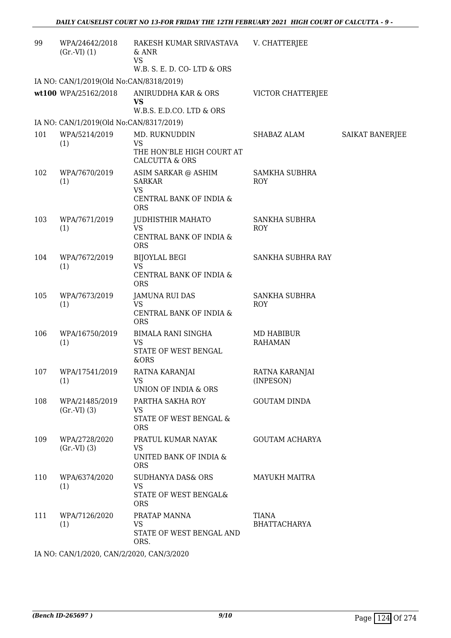| 99  | WPA/24642/2018<br>$(Gr.-VI) (1)$        | RAKESH KUMAR SRIVASTAVA<br>$&$ ANR<br><b>VS</b><br>W.B. S. E. D. CO-LTD & ORS              | V. CHATTERJEE                      |                 |
|-----|-----------------------------------------|--------------------------------------------------------------------------------------------|------------------------------------|-----------------|
|     | IA NO: CAN/1/2019(Old No:CAN/8318/2019) |                                                                                            |                                    |                 |
|     | wt100 WPA/25162/2018                    | ANIRUDDHA KAR & ORS<br><b>VS</b><br>W.B.S. E.D.CO. LTD & ORS                               | VICTOR CHATTERJEE                  |                 |
|     | IA NO: CAN/1/2019(Old No:CAN/8317/2019) |                                                                                            |                                    |                 |
| 101 | WPA/5214/2019                           | MD. RUKNUDDIN                                                                              | SHABAZ ALAM                        | SAIKAT BANERJEE |
|     | (1)                                     | <b>VS</b><br>THE HON'BLE HIGH COURT AT<br><b>CALCUTTA &amp; ORS</b>                        |                                    |                 |
| 102 | WPA/7670/2019<br>(1)                    | ASIM SARKAR @ ASHIM<br><b>SARKAR</b><br><b>VS</b><br>CENTRAL BANK OF INDIA &<br><b>ORS</b> | SAMKHA SUBHRA<br><b>ROY</b>        |                 |
| 103 | WPA/7671/2019<br>(1)                    | <b>JUDHISTHIR MAHATO</b><br><b>VS</b><br>CENTRAL BANK OF INDIA &<br><b>ORS</b>             | <b>SANKHA SUBHRA</b><br>ROY        |                 |
| 104 | WPA/7672/2019<br>(1)                    | <b>BIJOYLAL BEGI</b><br><b>VS</b><br>CENTRAL BANK OF INDIA &<br><b>ORS</b>                 | SANKHA SUBHRA RAY                  |                 |
| 105 | WPA/7673/2019<br>(1)                    | <b>JAMUNA RUI DAS</b><br><b>VS</b><br>CENTRAL BANK OF INDIA &<br><b>ORS</b>                | <b>SANKHA SUBHRA</b><br><b>ROY</b> |                 |
| 106 | WPA/16750/2019<br>(1)                   | BIMALA RANI SINGHA<br>VS<br>STATE OF WEST BENGAL<br>&ORS                                   | MD HABIBUR<br><b>RAHAMAN</b>       |                 |
| 107 | WPA/17541/2019<br>(1)                   | RATNA KARANJAI<br><b>VS</b><br>UNION OF INDIA & ORS                                        | RATNA KARANJAI<br>(INPESON)        |                 |
| 108 | WPA/21485/2019<br>$(Gr.-VI)$ $(3)$      | PARTHA SAKHA ROY<br><b>VS</b><br>STATE OF WEST BENGAL &<br><b>ORS</b>                      | <b>GOUTAM DINDA</b>                |                 |
| 109 | WPA/2728/2020<br>$(Gr.-VI)$ $(3)$       | PRATUL KUMAR NAYAK<br>VS.<br>UNITED BANK OF INDIA &<br><b>ORS</b>                          | <b>GOUTAM ACHARYA</b>              |                 |
| 110 | WPA/6374/2020<br>(1)                    | SUDHANYA DAS& ORS<br><b>VS</b><br>STATE OF WEST BENGAL&<br><b>ORS</b>                      | MAYUKH MAITRA                      |                 |
| 111 | WPA/7126/2020<br>(1)                    | PRATAP MANNA<br>VS<br>STATE OF WEST BENGAL AND<br>ORS.                                     | TIANA<br><b>BHATTACHARYA</b>       |                 |

IA NO: CAN/1/2020, CAN/2/2020, CAN/3/2020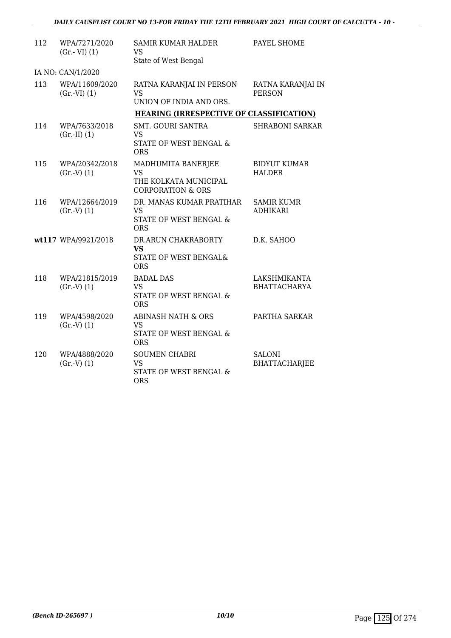| 112 | WPA/7271/2020<br>$(Gr.-VI) (1)$  | SAMIR KUMAR HALDER<br>VS<br>State of West Bengal                                         | PAYEL SHOME                           |
|-----|----------------------------------|------------------------------------------------------------------------------------------|---------------------------------------|
|     | IA NO: CAN/1/2020                |                                                                                          |                                       |
| 113 | WPA/11609/2020<br>$(Gr.-VI) (1)$ | RATNA KARANJAI IN PERSON<br><b>VS</b><br>UNION OF INDIA AND ORS.                         | RATNA KARANJAI IN<br><b>PERSON</b>    |
|     |                                  | <b>HEARING (IRRESPECTIVE OF CLASSIFICATION)</b>                                          |                                       |
| 114 | WPA/7633/2018<br>$(Gr.-II) (1)$  | <b>SMT. GOURI SANTRA</b><br>VS.<br>STATE OF WEST BENGAL &<br><b>ORS</b>                  | <b>SHRABONI SARKAR</b>                |
| 115 | WPA/20342/2018<br>(Gr.V) (1)     | MADHUMITA BANERJEE<br><b>VS</b><br>THE KOLKATA MUNICIPAL<br><b>CORPORATION &amp; ORS</b> | <b>BIDYUT KUMAR</b><br><b>HALDER</b>  |
| 116 | WPA/12664/2019<br>(Gr.V) (1)     | DR. MANAS KUMAR PRATIHAR<br>VS.<br>STATE OF WEST BENGAL &<br><b>ORS</b>                  | <b>SAMIR KUMR</b><br><b>ADHIKARI</b>  |
|     | wt117 WPA/9921/2018              | DR.ARUN CHAKRABORTY<br><b>VS</b><br><b>STATE OF WEST BENGAL&amp;</b><br><b>ORS</b>       | D.K. SAHOO                            |
| 118 | WPA/21815/2019<br>(Gr.V) (1)     | <b>BADAL DAS</b><br><b>VS</b><br>STATE OF WEST BENGAL &<br><b>ORS</b>                    | LAKSHMIKANTA<br><b>BHATTACHARYA</b>   |
| 119 | WPA/4598/2020<br>(Gr.V) (1)      | <b>ABINASH NATH &amp; ORS</b><br><b>VS</b><br>STATE OF WEST BENGAL &<br><b>ORS</b>       | PARTHA SARKAR                         |
| 120 | WPA/4888/2020<br>(Gr.V) (1)      | <b>SOUMEN CHABRI</b><br><b>VS</b><br><b>STATE OF WEST BENGAL &amp;</b><br><b>ORS</b>     | <b>SALONI</b><br><b>BHATTACHARJEE</b> |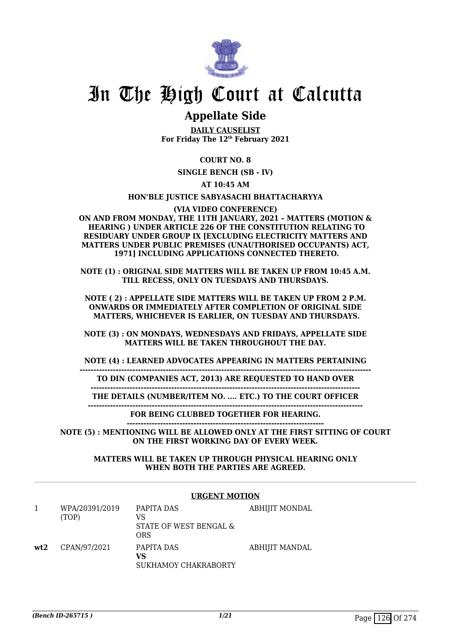

# In The High Court at Calcutta

## **Appellate Side**

**DAILY CAUSELIST For Friday The 12th February 2021**

### **COURT NO. 8**

**SINGLE BENCH (SB - IV)**

**AT 10:45 AM**

### **HON'BLE JUSTICE SABYASACHI BHATTACHARYYA**

**(VIA VIDEO CONFERENCE)**

**ON AND FROM MONDAY, THE 11TH JANUARY, 2021 – MATTERS (MOTION & HEARING ) UNDER ARTICLE 226 OF THE CONSTITUTION RELATING TO RESIDUARY UNDER GROUP IX [EXCLUDING ELECTRICITY MATTERS AND MATTERS UNDER PUBLIC PREMISES (UNAUTHORISED OCCUPANTS) ACT, 1971] INCLUDING APPLICATIONS CONNECTED THERETO.**

**NOTE (1) : ORIGINAL SIDE MATTERS WILL BE TAKEN UP FROM 10:45 A.M. TILL RECESS, ONLY ON TUESDAYS AND THURSDAYS.**

**NOTE ( 2) : APPELLATE SIDE MATTERS WILL BE TAKEN UP FROM 2 P.M. ONWARDS OR IMMEDIATELY AFTER COMPLETION OF ORIGINAL SIDE MATTERS, WHICHEVER IS EARLIER, ON TUESDAY AND THURSDAYS.**

**NOTE (3) : ON MONDAYS, WEDNESDAYS AND FRIDAYS, APPELLATE SIDE MATTERS WILL BE TAKEN THROUGHOUT THE DAY.**

**NOTE (4) : LEARNED ADVOCATES APPEARING IN MATTERS PERTAINING**

**---------------------------------------------------------------------------------------------------------**

**TO DIN (COMPANIES ACT, 2013) ARE REQUESTED TO HAND OVER**

**------------------------------------------------------------------------------------------------- THE DETAILS (NUMBER/ITEM NO. .... ETC.) TO THE COURT OFFICER**

**---------------------------------------------------------------------------------------------------**

**FOR BEING CLUBBED TOGETHER FOR HEARING. -----------------------------------------------------------------------**

**NOTE (5) : MENTIONING WILL BE ALLOWED ONLY AT THE FIRST SITTING OF COURT ON THE FIRST WORKING DAY OF EVERY WEEK.**

> **MATTERS WILL BE TAKEN UP THROUGH PHYSICAL HEARING ONLY WHEN BOTH THE PARTIES ARE AGREED.**

#### **URGENT MOTION** 1 WPA/20391/2019 (TOP) PAPITA DAS VS STATE OF WEST BENGAL & ORS ABHIJIT MONDAL **wt2** CPAN/97/2021 PAPITA DAS **VS** SUKHAMOY CHAKRABORTY ABHIJIT MANDAL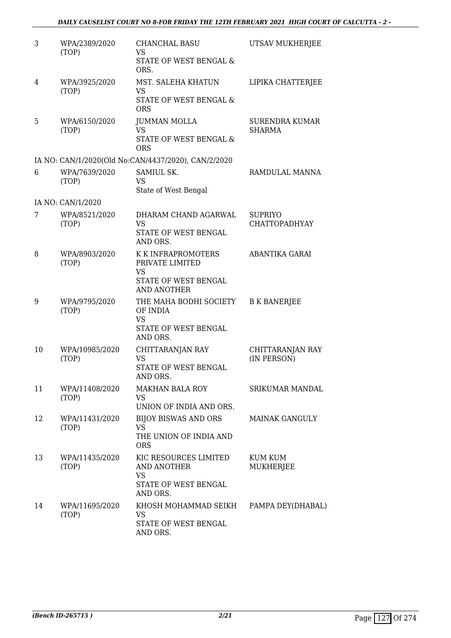| 3  | WPA/2389/2020<br>(TOP)  | CHANCHAL BASU<br>VS<br>STATE OF WEST BENGAL &<br>ORS.                                        | UTSAV MUKHERJEE                        |
|----|-------------------------|----------------------------------------------------------------------------------------------|----------------------------------------|
| 4  | WPA/3925/2020<br>(TOP)  | MST. SALEHA KHATUN<br>VS<br>STATE OF WEST BENGAL &<br><b>ORS</b>                             | LIPIKA CHATTERJEE                      |
| 5  | WPA/6150/2020<br>(TOP)  | JUMMAN MOLLA<br><b>VS</b><br>STATE OF WEST BENGAL &<br><b>ORS</b>                            | <b>SURENDRA KUMAR</b><br><b>SHARMA</b> |
|    |                         | IA NO: CAN/1/2020(Old No:CAN/4437/2020), CAN/2/2020                                          |                                        |
| 6  | WPA/7639/2020<br>(TOP)  | SAMIUL SK.<br><b>VS</b><br>State of West Bengal                                              | RAMDULAL MANNA                         |
|    | IA NO: CAN/1/2020       |                                                                                              |                                        |
| 7  | WPA/8521/2020<br>(TOP)  | DHARAM CHAND AGARWAL<br><b>VS</b><br>STATE OF WEST BENGAL<br>AND ORS.                        | <b>SUPRIYO</b><br><b>CHATTOPADHYAY</b> |
| 8  | WPA/8903/2020<br>(TOP)  | K K INFRAPROMOTERS<br>PRIVATE LIMITED<br>VS<br>STATE OF WEST BENGAL<br>AND ANOTHER           | ABANTIKA GARAI                         |
| 9  | WPA/9795/2020<br>(TOP)  | THE MAHA BODHI SOCIETY<br>OF INDIA<br><b>VS</b><br>STATE OF WEST BENGAL<br>AND ORS.          | <b>B K BANERJEE</b>                    |
| 10 | WPA/10985/2020<br>(TOP) | CHITTARANJAN RAY<br>VS<br>STATE OF WEST BENGAL<br>AND ORS.                                   | CHITTARANJAN RAY<br>(IN PERSON)        |
| 11 | WPA/11408/2020<br>(TOP) | <b>MAKHAN BALA ROY</b><br><b>VS</b><br>UNION OF INDIA AND ORS.                               | <b>SRIKUMAR MANDAL</b>                 |
| 12 | WPA/11431/2020<br>(TOP) | <b>BIJOY BISWAS AND ORS</b><br><b>VS</b><br>THE UNION OF INDIA AND<br><b>ORS</b>             | <b>MAINAK GANGULY</b>                  |
| 13 | WPA/11435/2020<br>(TOP) | KIC RESOURCES LIMITED<br><b>AND ANOTHER</b><br><b>VS</b><br>STATE OF WEST BENGAL<br>AND ORS. | <b>KUM KUM</b><br>MUKHERJEE            |
| 14 | WPA/11695/2020<br>(TOP) | KHOSH MOHAMMAD SEIKH<br>VS.<br>STATE OF WEST BENGAL<br>AND ORS.                              | PAMPA DEY(DHABAL)                      |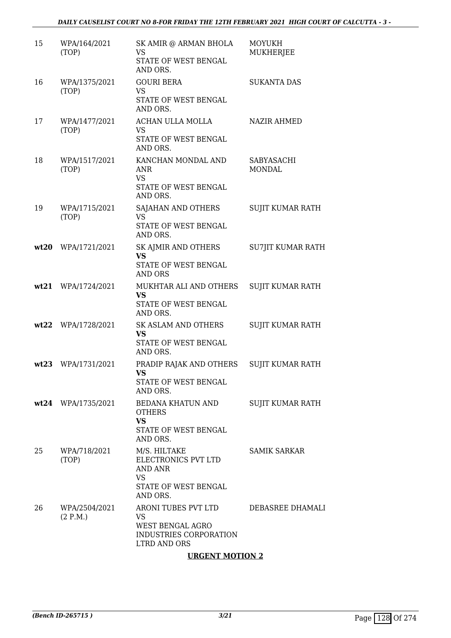### *DAILY CAUSELIST COURT NO 8-FOR FRIDAY THE 12TH FEBRUARY 2021 HIGH COURT OF CALCUTTA - 3 -*

| 15   | WPA/164/2021<br>(TOP)     | SK AMIR @ ARMAN BHOLA<br><b>VS</b><br>STATE OF WEST BENGAL<br>AND ORS.                         | <b>MOYUKH</b><br><b>MUKHERJEE</b> |
|------|---------------------------|------------------------------------------------------------------------------------------------|-----------------------------------|
| 16   | WPA/1375/2021<br>(TOP)    | <b>GOURI BERA</b><br>VS<br>STATE OF WEST BENGAL<br>AND ORS.                                    | <b>SUKANTA DAS</b>                |
| 17   | WPA/1477/2021<br>(TOP)    | ACHAN ULLA MOLLA<br><b>VS</b><br>STATE OF WEST BENGAL<br>AND ORS.                              | <b>NAZIR AHMED</b>                |
| 18   | WPA/1517/2021<br>(TOP)    | KANCHAN MONDAL AND<br>ANR<br><b>VS</b><br>STATE OF WEST BENGAL<br>AND ORS.                     | SABYASACHI<br><b>MONDAL</b>       |
| 19   | WPA/1715/2021<br>(TOP)    | SAJAHAN AND OTHERS<br><b>VS</b><br>STATE OF WEST BENGAL<br>AND ORS.                            | <b>SUJIT KUMAR RATH</b>           |
| wt20 | WPA/1721/2021             | SK AJMIR AND OTHERS<br><b>VS</b><br>STATE OF WEST BENGAL<br><b>AND ORS</b>                     | <b>SU7JIT KUMAR RATH</b>          |
| wt21 | WPA/1724/2021             | MUKHTAR ALI AND OTHERS<br><b>VS</b><br>STATE OF WEST BENGAL<br>AND ORS.                        | SUJIT KUMAR RATH                  |
|      | wt22 WPA/1728/2021        | SK ASLAM AND OTHERS<br><b>VS</b><br>STATE OF WEST BENGAL<br>AND ORS.                           | SUJIT KUMAR RATH                  |
|      | wt23 WPA/1731/2021        | PRADIP RAJAK AND OTHERS<br><b>VS</b><br>STATE OF WEST BENGAL<br>AND ORS.                       | <b>SUJIT KUMAR RATH</b>           |
|      | wt24 WPA/1735/2021        | BEDANA KHATUN AND<br><b>OTHERS</b><br><b>VS</b><br>STATE OF WEST BENGAL<br>AND ORS.            | SUJIT KUMAR RATH                  |
| 25   | WPA/718/2021<br>(TOP)     | M/S. HILTAKE<br>ELECTRONICS PVT LTD<br>AND ANR<br>VS<br>STATE OF WEST BENGAL<br>AND ORS.       | <b>SAMIK SARKAR</b>               |
| 26   | WPA/2504/2021<br>(2 P.M.) | ARONI TUBES PVT LTD<br>VS<br>WEST BENGAL AGRO<br>INDUSTRIES CORPORATION<br><b>LTRD AND ORS</b> | DEBASREE DHAMALI                  |
|      |                           | <b>URGENT MOTION 2</b>                                                                         |                                   |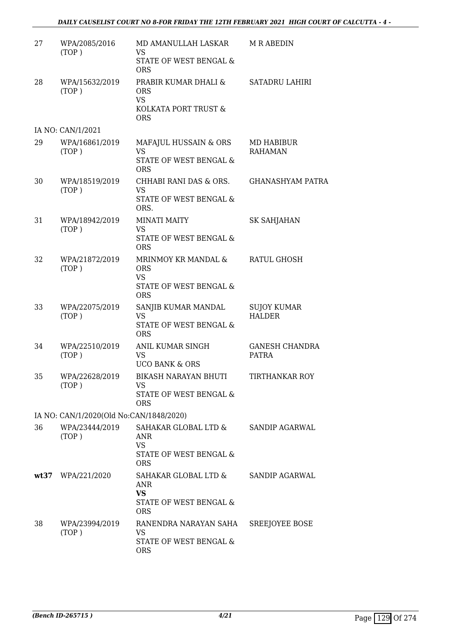| 27 | WPA/2085/2016<br>(TOP)                  | MD AMANULLAH LASKAR<br>VS<br>STATE OF WEST BENGAL &<br><b>ORS</b>                               | <b>M R ABEDIN</b>                     |
|----|-----------------------------------------|-------------------------------------------------------------------------------------------------|---------------------------------------|
| 28 | WPA/15632/2019<br>(TOP)                 | PRABIR KUMAR DHALI &<br><b>ORS</b><br><b>VS</b><br>KOLKATA PORT TRUST &<br><b>ORS</b>           | <b>SATADRU LAHIRI</b>                 |
|    | IA NO: CAN/1/2021                       |                                                                                                 |                                       |
| 29 | WPA/16861/2019<br>(TOP)                 | MAFAJUL HUSSAIN & ORS<br><b>VS</b><br>STATE OF WEST BENGAL &<br><b>ORS</b>                      | MD HABIBUR<br><b>RAHAMAN</b>          |
| 30 | WPA/18519/2019<br>(TOP)                 | CHHABI RANI DAS & ORS.<br><b>VS</b><br>STATE OF WEST BENGAL &<br>ORS.                           | <b>GHANASHYAM PATRA</b>               |
| 31 | WPA/18942/2019<br>(TOP)                 | <b>MINATI MAITY</b><br><b>VS</b><br>STATE OF WEST BENGAL &<br><b>ORS</b>                        | <b>SK SAHJAHAN</b>                    |
| 32 | WPA/21872/2019<br>(TOP)                 | MRINMOY KR MANDAL &<br><b>ORS</b><br><b>VS</b><br>STATE OF WEST BENGAL &<br><b>ORS</b>          | RATUL GHOSH                           |
| 33 | WPA/22075/2019<br>(TOP)                 | SANJIB KUMAR MANDAL<br><b>VS</b><br>STATE OF WEST BENGAL &<br><b>ORS</b>                        | <b>SUJOY KUMAR</b><br><b>HALDER</b>   |
| 34 | WPA/22510/2019<br>(TOP)                 | ANIL KUMAR SINGH<br><b>VS</b><br><b>UCO BANK &amp; ORS</b>                                      | <b>GANESH CHANDRA</b><br><b>PATRA</b> |
| 35 | WPA/22628/2019<br>(TOP)                 | BIKASH NARAYAN BHUTI<br>VS<br>STATE OF WEST BENGAL &<br><b>ORS</b>                              | TIRTHANKAR ROY                        |
|    | IA NO: CAN/1/2020(Old No:CAN/1848/2020) |                                                                                                 |                                       |
| 36 | WPA/23444/2019<br>(TOP)                 | SAHAKAR GLOBAL LTD & SANDIP AGARWAL<br>ANR<br><b>VS</b><br>STATE OF WEST BENGAL &<br><b>ORS</b> |                                       |
|    | wt37 WPA/221/2020                       | SAHAKAR GLOBAL LTD &<br>ANR<br><b>VS</b><br>STATE OF WEST BENGAL &<br><b>ORS</b>                | SANDIP AGARWAL                        |
| 38 | WPA/23994/2019<br>(TOP)                 | RANENDRA NARAYAN SAHA<br>VS<br>STATE OF WEST BENGAL &<br><b>ORS</b>                             | SREEJOYEE BOSE                        |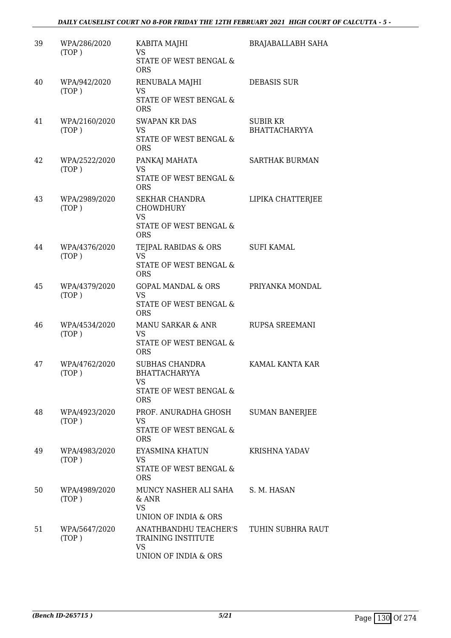| 39 | WPA/286/2020<br>(TOP)  | KABITA MAJHI<br><b>VS</b><br>STATE OF WEST BENGAL &<br><b>ORS</b>                              | <b>BRAJABALLABH SAHA</b>         |
|----|------------------------|------------------------------------------------------------------------------------------------|----------------------------------|
| 40 | WPA/942/2020<br>(TOP)  | RENUBALA MAJHI<br><b>VS</b><br>STATE OF WEST BENGAL &<br><b>ORS</b>                            | <b>DEBASIS SUR</b>               |
| 41 | WPA/2160/2020<br>(TOP) | <b>SWAPAN KR DAS</b><br><b>VS</b><br><b>STATE OF WEST BENGAL &amp;</b><br><b>ORS</b>           | SUBIR KR<br><b>BHATTACHARYYA</b> |
| 42 | WPA/2522/2020<br>(TOP) | PANKAJ MAHATA<br><b>VS</b><br>STATE OF WEST BENGAL &<br><b>ORS</b>                             | <b>SARTHAK BURMAN</b>            |
| 43 | WPA/2989/2020<br>(TOP) | <b>SEKHAR CHANDRA</b><br><b>CHOWDHURY</b><br><b>VS</b><br>STATE OF WEST BENGAL &<br><b>ORS</b> | LIPIKA CHATTERJEE                |
| 44 | WPA/4376/2020<br>(TOP) | TEJPAL RABIDAS & ORS<br><b>VS</b><br>STATE OF WEST BENGAL &<br><b>ORS</b>                      | <b>SUFI KAMAL</b>                |
| 45 | WPA/4379/2020<br>(TOP) | <b>GOPAL MANDAL &amp; ORS</b><br><b>VS</b><br>STATE OF WEST BENGAL &<br><b>ORS</b>             | PRIYANKA MONDAL                  |
| 46 | WPA/4534/2020<br>(TOP) | MANU SARKAR & ANR<br><b>VS</b><br>STATE OF WEST BENGAL &<br><b>ORS</b>                         | RUPSA SREEMANI                   |
| 47 | WPA/4762/2020<br>(TOP) | <b>SUBHAS CHANDRA</b><br>BHATTACHARYYA<br>VS<br>STATE OF WEST BENGAL &<br><b>ORS</b>           | KAMAL KANTA KAR                  |
| 48 | WPA/4923/2020<br>(TOP) | PROF. ANURADHA GHOSH<br>VS<br>STATE OF WEST BENGAL &<br><b>ORS</b>                             | <b>SUMAN BANERJEE</b>            |
| 49 | WPA/4983/2020<br>(TOP) | EYASMINA KHATUN<br>VS<br>STATE OF WEST BENGAL &<br><b>ORS</b>                                  | <b>KRISHNA YADAV</b>             |
| 50 | WPA/4989/2020<br>(TOP) | MUNCY NASHER ALI SAHA<br>& ANR<br><b>VS</b><br>UNION OF INDIA & ORS                            | S. M. HASAN                      |
| 51 | WPA/5647/2020<br>(TOP) | ANATHBANDHU TEACHER'S<br>TRAINING INSTITUTE<br><b>VS</b><br>UNION OF INDIA & ORS               | TUHIN SUBHRA RAUT                |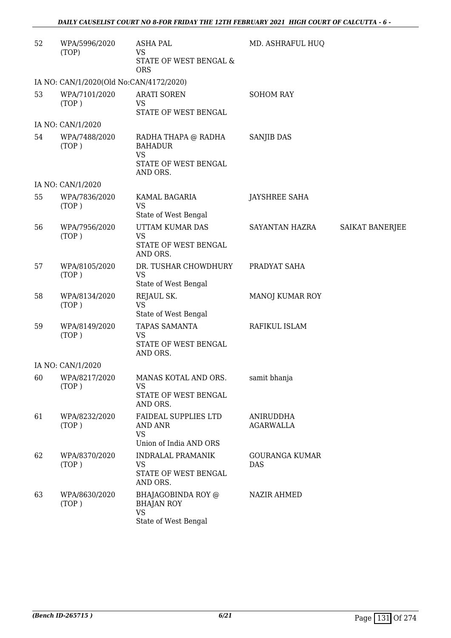| 52 | WPA/5996/2020<br>(TOP)                  | <b>ASHA PAL</b><br>VS<br>STATE OF WEST BENGAL &<br><b>ORS</b>         | MD. ASHRAFUL HUQ              |                        |
|----|-----------------------------------------|-----------------------------------------------------------------------|-------------------------------|------------------------|
|    | IA NO: CAN/1/2020(Old No:CAN/4172/2020) |                                                                       |                               |                        |
| 53 | WPA/7101/2020<br>(TOP)                  | <b>ARATI SOREN</b><br><b>VS</b><br>STATE OF WEST BENGAL               | <b>SOHOM RAY</b>              |                        |
|    | IA NO: CAN/1/2020                       |                                                                       |                               |                        |
| 54 | WPA/7488/2020<br>(TOP)                  | RADHA THAPA @ RADHA<br><b>BAHADUR</b><br><b>VS</b>                    | <b>SANJIB DAS</b>             |                        |
|    |                                         | STATE OF WEST BENGAL<br>AND ORS.                                      |                               |                        |
|    | IA NO: CAN/1/2020                       |                                                                       |                               |                        |
| 55 | WPA/7836/2020<br>(TOP)                  | KAMAL BAGARIA<br><b>VS</b>                                            | <b>JAYSHREE SAHA</b>          |                        |
|    |                                         | State of West Bengal                                                  |                               |                        |
| 56 | WPA/7956/2020<br>(TOP)                  | UTTAM KUMAR DAS<br><b>VS</b>                                          | SAYANTAN HAZRA                | <b>SAIKAT BANERJEE</b> |
|    |                                         | STATE OF WEST BENGAL<br>AND ORS.                                      |                               |                        |
| 57 | WPA/8105/2020<br>(TOP)                  | DR. TUSHAR CHOWDHURY<br><b>VS</b><br>State of West Bengal             | PRADYAT SAHA                  |                        |
| 58 | WPA/8134/2020<br>(TOP)                  | REJAUL SK.<br><b>VS</b>                                               | MANOJ KUMAR ROY               |                        |
| 59 | WPA/8149/2020                           | State of West Bengal<br>TAPAS SAMANTA                                 | RAFIKUL ISLAM                 |                        |
|    | (TOP)                                   | VS<br>STATE OF WEST BENGAL<br>AND ORS.                                |                               |                        |
|    | IA NO: CAN/1/2020                       |                                                                       |                               |                        |
| 60 | WPA/8217/2020<br>(TOP)                  | MANAS KOTAL AND ORS.<br>VS<br>STATE OF WEST BENGAL<br>AND ORS.        | samit bhanja                  |                        |
| 61 | WPA/8232/2020<br>(TOP)                  | <b>FAIDEAL SUPPLIES LTD</b><br><b>AND ANR</b><br><b>VS</b>            | ANIRUDDHA<br><b>AGARWALLA</b> |                        |
|    |                                         | Union of India AND ORS                                                |                               |                        |
| 62 | WPA/8370/2020<br>(TOP)                  | <b>INDRALAL PRAMANIK</b><br>VS<br>STATE OF WEST BENGAL<br>AND ORS.    | <b>GOURANGA KUMAR</b><br>DAS  |                        |
| 63 | WPA/8630/2020<br>(TOP)                  | BHAJAGOBINDA ROY @<br><b>BHAJAN ROY</b><br>VS<br>State of West Bengal | <b>NAZIR AHMED</b>            |                        |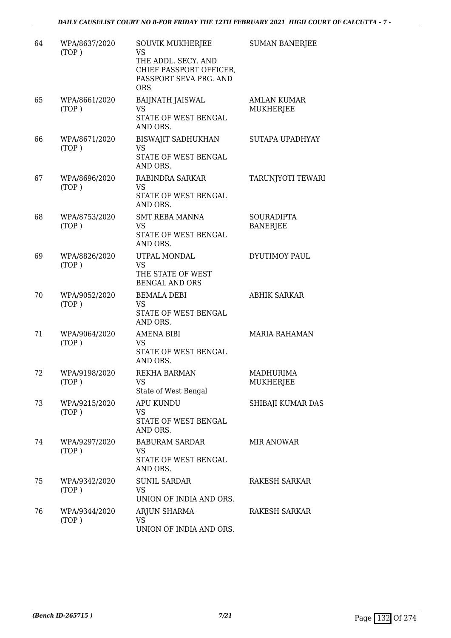| 64 | WPA/8637/2020<br>(TOP) | SOUVIK MUKHERJEE<br><b>VS</b><br>THE ADDL. SECY. AND<br>CHIEF PASSPORT OFFICER,<br>PASSPORT SEVA PRG. AND<br><b>ORS</b> | <b>SUMAN BANERJEE</b>                  |
|----|------------------------|-------------------------------------------------------------------------------------------------------------------------|----------------------------------------|
| 65 | WPA/8661/2020<br>(TOP) | <b>BAIJNATH JAISWAL</b><br>VS<br>STATE OF WEST BENGAL<br>AND ORS.                                                       | <b>AMLAN KUMAR</b><br><b>MUKHERJEE</b> |
| 66 | WPA/8671/2020<br>(TOP) | <b>BISWAJIT SADHUKHAN</b><br><b>VS</b><br>STATE OF WEST BENGAL<br>AND ORS.                                              | SUTAPA UPADHYAY                        |
| 67 | WPA/8696/2020<br>(TOP) | RABINDRA SARKAR<br>VS<br>STATE OF WEST BENGAL<br>AND ORS.                                                               | <b>TARUNJYOTI TEWARI</b>               |
| 68 | WPA/8753/2020<br>(TOP) | SMT REBA MANNA<br>VS<br>STATE OF WEST BENGAL<br>AND ORS.                                                                | <b>SOURADIPTA</b><br><b>BANERJEE</b>   |
| 69 | WPA/8826/2020<br>(TOP) | UTPAL MONDAL<br><b>VS</b><br>THE STATE OF WEST<br><b>BENGAL AND ORS</b>                                                 | <b>DYUTIMOY PAUL</b>                   |
| 70 | WPA/9052/2020<br>(TOP) | <b>BEMALA DEBI</b><br>VS<br>STATE OF WEST BENGAL<br>AND ORS.                                                            | <b>ABHIK SARKAR</b>                    |
| 71 | WPA/9064/2020<br>(TOP) | <b>AMENA BIBI</b><br>VS<br>STATE OF WEST BENGAL<br>AND ORS.                                                             | <b>MARIA RAHAMAN</b>                   |
| 72 | WPA/9198/2020<br>(TOP) | REKHA BARMAN<br><b>VS</b><br>State of West Bengal                                                                       | MADHURIMA<br>MUKHERJEE                 |
| 73 | WPA/9215/2020<br>(TOP) | <b>APU KUNDU</b><br>VS<br>STATE OF WEST BENGAL<br>AND ORS.                                                              | SHIBAJI KUMAR DAS                      |
| 74 | WPA/9297/2020<br>(TOP) | <b>BABURAM SARDAR</b><br>VS<br>STATE OF WEST BENGAL<br>AND ORS.                                                         | <b>MIR ANOWAR</b>                      |
| 75 | WPA/9342/2020<br>(TOP) | <b>SUNIL SARDAR</b><br><b>VS</b><br>UNION OF INDIA AND ORS.                                                             | RAKESH SARKAR                          |
| 76 | WPA/9344/2020<br>(TOP) | ARJUN SHARMA<br><b>VS</b><br>UNION OF INDIA AND ORS.                                                                    | RAKESH SARKAR                          |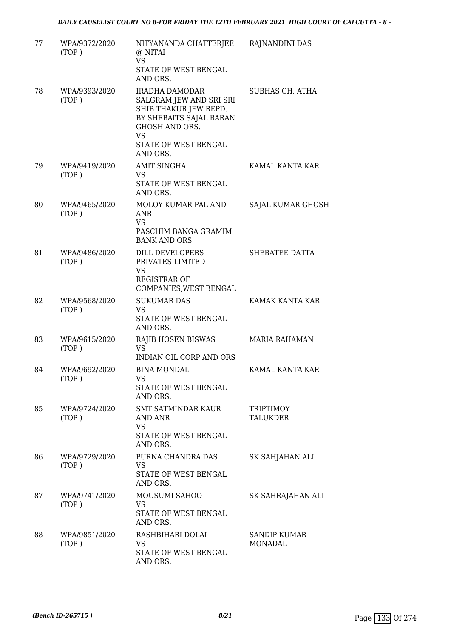| 77 | WPA/9372/2020<br>(TOP) | NITYANANDA CHATTERJEE<br>@ NITAI<br><b>VS</b><br>STATE OF WEST BENGAL<br>AND ORS.                                        | RAJNANDINI DAS                      |
|----|------------------------|--------------------------------------------------------------------------------------------------------------------------|-------------------------------------|
| 78 | WPA/9393/2020<br>(TOP) | IRADHA DAMODAR<br>SALGRAM JEW AND SRI SRI<br>SHIB THAKUR JEW REPD.<br>BY SHEBAITS SAJAL BARAN<br>GHOSH AND ORS.<br>VS    | SUBHAS CH. ATHA                     |
|    |                        | STATE OF WEST BENGAL<br>AND ORS.                                                                                         |                                     |
| 79 | WPA/9419/2020<br>(TOP) | <b>AMIT SINGHA</b><br><b>VS</b><br>STATE OF WEST BENGAL<br>AND ORS.                                                      | KAMAL KANTA KAR                     |
| 80 | WPA/9465/2020<br>(TOP) | MOLOY KUMAR PAL AND<br>ANR<br><b>VS</b><br>PASCHIM BANGA GRAMIM                                                          | SAJAL KUMAR GHOSH                   |
| 81 | WPA/9486/2020<br>(TOP) | <b>BANK AND ORS</b><br>DILL DEVELOPERS<br>PRIVATES LIMITED<br><b>VS</b><br><b>REGISTRAR OF</b><br>COMPANIES, WEST BENGAL | SHEBATEE DATTA                      |
| 82 | WPA/9568/2020<br>(TOP) | <b>SUKUMAR DAS</b><br>VS<br>STATE OF WEST BENGAL<br>AND ORS.                                                             | KAMAK KANTA KAR                     |
| 83 | WPA/9615/2020<br>(TOP) | RAJIB HOSEN BISWAS<br><b>VS</b><br>INDIAN OIL CORP AND ORS                                                               | <b>MARIA RAHAMAN</b>                |
| 84 | WPA/9692/2020<br>(TOP) | <b>BINA MONDAL</b><br>VS<br>STATE OF WEST BENGAL<br>AND ORS.                                                             | KAMAL KANTA KAR                     |
| 85 | WPA/9724/2020<br>(TOP) | <b>SMT SATMINDAR KAUR</b><br><b>AND ANR</b><br>VS<br>STATE OF WEST BENGAL<br>AND ORS.                                    | <b>TRIPTIMOY</b><br><b>TALUKDER</b> |
| 86 | WPA/9729/2020<br>(TOP) | PURNA CHANDRA DAS<br><b>VS</b><br>STATE OF WEST BENGAL<br>AND ORS.                                                       | SK SAHJAHAN ALI                     |
| 87 | WPA/9741/2020<br>(TOP) | MOUSUMI SAHOO<br>VS<br>STATE OF WEST BENGAL<br>AND ORS.                                                                  | SK SAHRAJAHAN ALI                   |
| 88 | WPA/9851/2020<br>(TOP) | RASHBIHARI DOLAI<br>VS<br>STATE OF WEST BENGAL<br>AND ORS.                                                               | <b>SANDIP KUMAR</b><br>MONADAL      |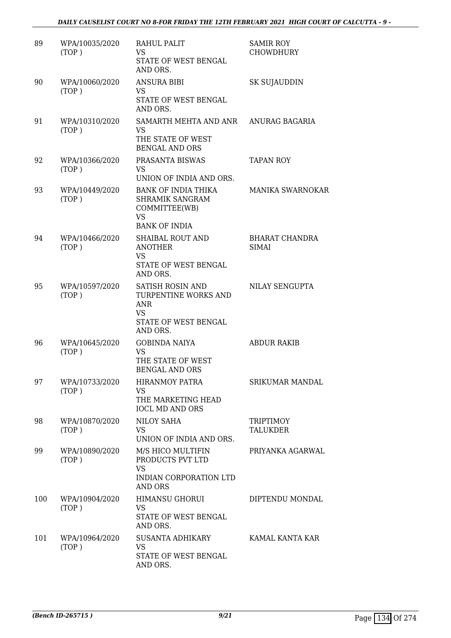### *DAILY CAUSELIST COURT NO 8-FOR FRIDAY THE 12TH FEBRUARY 2021 HIGH COURT OF CALCUTTA - 9 -*

| 89  | WPA/10035/2020<br>(TOP) | RAHUL PALIT<br>VS.<br>STATE OF WEST BENGAL<br>AND ORS.                                                     | <b>SAMIR ROY</b><br><b>CHOWDHURY</b>  |
|-----|-------------------------|------------------------------------------------------------------------------------------------------------|---------------------------------------|
| 90  | WPA/10060/2020<br>(TOP) | <b>ANSURA BIBI</b><br>VS<br>STATE OF WEST BENGAL<br>AND ORS.                                               | SK SUJAUDDIN                          |
| 91  | WPA/10310/2020<br>(TOP) | SAMARTH MEHTA AND ANR<br><b>VS</b><br>THE STATE OF WEST<br><b>BENGAL AND ORS</b>                           | ANURAG BAGARIA                        |
| 92  | WPA/10366/2020<br>(TOP) | PRASANTA BISWAS<br>VS.<br>UNION OF INDIA AND ORS.                                                          | <b>TAPAN ROY</b>                      |
| 93  | WPA/10449/2020<br>(TOP) | <b>BANK OF INDIA THIKA</b><br><b>SHRAMIK SANGRAM</b><br>COMMITTEE(WB)<br><b>VS</b><br><b>BANK OF INDIA</b> | <b>MANIKA SWARNOKAR</b>               |
| 94  | WPA/10466/2020<br>(TOP) | <b>SHAIBAL ROUT AND</b><br><b>ANOTHER</b><br><b>VS</b><br>STATE OF WEST BENGAL<br>AND ORS.                 | <b>BHARAT CHANDRA</b><br><b>SIMAI</b> |
| 95  | WPA/10597/2020<br>(TOP) | SATISH ROSIN AND<br>TURPENTINE WORKS AND<br>ANR<br><b>VS</b><br>STATE OF WEST BENGAL<br>AND ORS.           | NILAY SENGUPTA                        |
| 96  | WPA/10645/2020<br>(TOP) | <b>GOBINDA NAIYA</b><br><b>VS</b><br>THE STATE OF WEST<br><b>BENGAL AND ORS</b>                            | <b>ABDUR RAKIB</b>                    |
| 97  | WPA/10733/2020<br>(TOP) | <b>HIRANMOY PATRA</b><br><b>VS</b><br>THE MARKETING HEAD<br><b>IOCL MD AND ORS</b>                         | SRIKUMAR MANDAL                       |
| 98  | WPA/10870/2020<br>(TOP) | NILOY SAHA<br>VS<br>UNION OF INDIA AND ORS.                                                                | <b>TRIPTIMOY</b><br>TALUKDER          |
| 99  | WPA/10890/2020<br>(TOP) | M/S HICO MULTIFIN<br>PRODUCTS PVT LTD<br><b>VS</b><br>INDIAN CORPORATION LTD<br><b>AND ORS</b>             | PRIYANKA AGARWAL                      |
| 100 | WPA/10904/2020<br>(TOP) | <b>HIMANSU GHORUI</b><br><b>VS</b><br>STATE OF WEST BENGAL<br>AND ORS.                                     | DIPTENDU MONDAL                       |
| 101 | WPA/10964/2020<br>(TOP) | <b>SUSANTA ADHIKARY</b><br><b>VS</b><br>STATE OF WEST BENGAL<br>AND ORS.                                   | KAMAL KANTA KAR                       |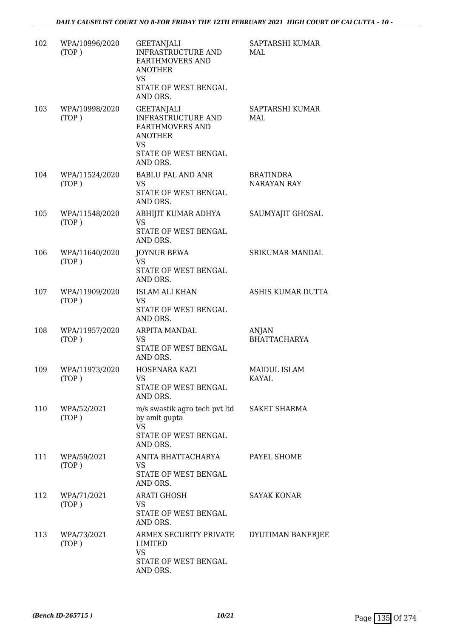| 102 | WPA/10996/2020<br>(TOP) | <b>GEETANJALI</b><br>INFRASTRUCTURE AND<br>EARTHMOVERS AND<br><b>ANOTHER</b><br>VS<br>STATE OF WEST BENGAL<br>AND ORS.        | SAPTARSHI KUMAR<br>MAL                 |
|-----|-------------------------|-------------------------------------------------------------------------------------------------------------------------------|----------------------------------------|
| 103 | WPA/10998/2020<br>(TOP) | <b>GEETANJALI</b><br><b>INFRASTRUCTURE AND</b><br>EARTHMOVERS AND<br><b>ANOTHER</b><br>VS<br>STATE OF WEST BENGAL<br>AND ORS. | SAPTARSHI KUMAR<br>MAI.                |
| 104 | WPA/11524/2020<br>(TOP) | <b>BABLU PAL AND ANR</b><br>VS<br>STATE OF WEST BENGAL<br>AND ORS.                                                            | <b>BRATINDRA</b><br><b>NARAYAN RAY</b> |
| 105 | WPA/11548/2020<br>(TOP) | ABHIJIT KUMAR ADHYA<br>VS<br>STATE OF WEST BENGAL<br>AND ORS.                                                                 | SAUMYAJIT GHOSAL                       |
| 106 | WPA/11640/2020<br>(TOP) | <b>JOYNUR BEWA</b><br><b>VS</b><br>STATE OF WEST BENGAL<br>AND ORS.                                                           | SRIKUMAR MANDAL                        |
| 107 | WPA/11909/2020<br>(TOP) | <b>ISLAM ALI KHAN</b><br>VS<br>STATE OF WEST BENGAL<br>AND ORS.                                                               | ASHIS KUMAR DUTTA                      |
| 108 | WPA/11957/2020<br>(TOP) | ARPITA MANDAL<br><b>VS</b><br>STATE OF WEST BENGAL<br>AND ORS.                                                                | ANJAN<br><b>BHATTACHARYA</b>           |
| 109 | WPA/11973/2020<br>(TOP) | HOSENARA KAZI<br>VS<br>STATE OF WEST BENGAL<br>AND ORS.                                                                       | <b>MAIDUL ISLAM</b><br>KAYAL           |
| 110 | WPA/52/2021<br>(TOP)    | m/s swastik agro tech pvt ltd<br>by amit gupta<br>VS.<br>STATE OF WEST BENGAL<br>AND ORS.                                     | <b>SAKET SHARMA</b>                    |
| 111 | WPA/59/2021<br>(TOP)    | ANITA BHATTACHARYA<br>VS.<br>STATE OF WEST BENGAL<br>AND ORS.                                                                 | PAYEL SHOME                            |
| 112 | WPA/71/2021<br>(TOP)    | <b>ARATI GHOSH</b><br>VS<br>STATE OF WEST BENGAL<br>AND ORS.                                                                  | <b>SAYAK KONAR</b>                     |
| 113 | WPA/73/2021<br>(TOP)    | ARMEX SECURITY PRIVATE<br>LIMITED<br><b>VS</b><br>STATE OF WEST BENGAL<br>AND ORS.                                            | DYUTIMAN BANERJEE                      |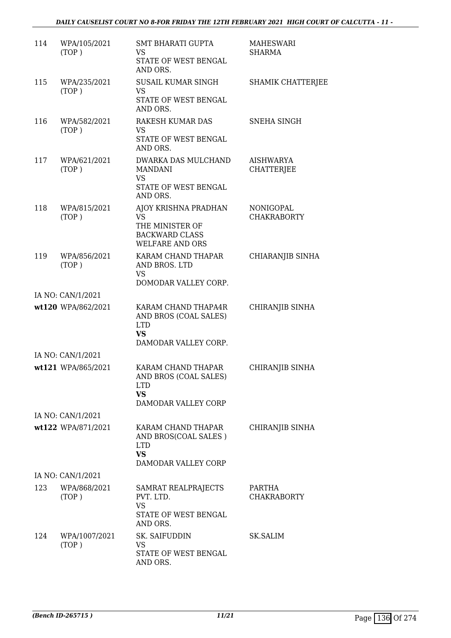| 114 | WPA/105/2021<br>(TOP)  | SMT BHARATI GUPTA<br>VS<br>STATE OF WEST BENGAL<br>AND ORS.                                             | <b>MAHESWARI</b><br><b>SHARMA</b> |
|-----|------------------------|---------------------------------------------------------------------------------------------------------|-----------------------------------|
| 115 | WPA/235/2021<br>(TOP)  | <b>SUSAIL KUMAR SINGH</b><br>VS<br>STATE OF WEST BENGAL<br>AND ORS.                                     | <b>SHAMIK CHATTERJEE</b>          |
| 116 | WPA/582/2021<br>(TOP)  | RAKESH KUMAR DAS<br><b>VS</b><br>STATE OF WEST BENGAL<br>AND ORS.                                       | SNEHA SINGH                       |
| 117 | WPA/621/2021<br>(TOP)  | DWARKA DAS MULCHAND<br><b>MANDANI</b><br><b>VS</b><br>STATE OF WEST BENGAL<br>AND ORS.                  | AISHWARYA<br><b>CHATTERJEE</b>    |
| 118 | WPA/815/2021<br>(TOP)  | AJOY KRISHNA PRADHAN<br><b>VS</b><br>THE MINISTER OF<br><b>BACKWARD CLASS</b><br><b>WELFARE AND ORS</b> | NONIGOPAL<br><b>CHAKRABORTY</b>   |
| 119 | WPA/856/2021<br>(TOP)  | KARAM CHAND THAPAR<br>AND BROS. LTD<br><b>VS</b><br>DOMODAR VALLEY CORP.                                | CHIARANJIB SINHA                  |
|     | IA NO: CAN/1/2021      |                                                                                                         |                                   |
|     | wt120 WPA/862/2021     | KARAM CHAND THAPA4R<br>AND BROS (COAL SALES)<br><b>LTD</b><br><b>VS</b><br>DAMODAR VALLEY CORP.         | CHIRANJIB SINHA                   |
|     | IA NO: CAN/1/2021      |                                                                                                         |                                   |
|     | wt121 WPA/865/2021     | KARAM CHAND THAPAR<br>AND BROS (COAL SALES)<br>LTD.<br><b>VS</b><br>DAMODAR VALLEY CORP                 | CHIRANJIB SINHA                   |
|     | IA NO: CAN/1/2021      |                                                                                                         |                                   |
|     | wt122 WPA/871/2021     | KARAM CHAND THAPAR<br>AND BROS(COAL SALES)<br><b>LTD</b><br><b>VS</b><br>DAMODAR VALLEY CORP            | CHIRANJIB SINHA                   |
|     | IA NO: CAN/1/2021      |                                                                                                         |                                   |
| 123 | WPA/868/2021<br>(TOP)  | SAMRAT REALPRAJECTS<br>PVT. LTD.<br><b>VS</b><br>STATE OF WEST BENGAL<br>AND ORS.                       | PARTHA<br><b>CHAKRABORTY</b>      |
| 124 | WPA/1007/2021<br>(TOP) | SK. SAIFUDDIN<br>VS<br>STATE OF WEST BENGAL<br>AND ORS.                                                 | SK.SALIM                          |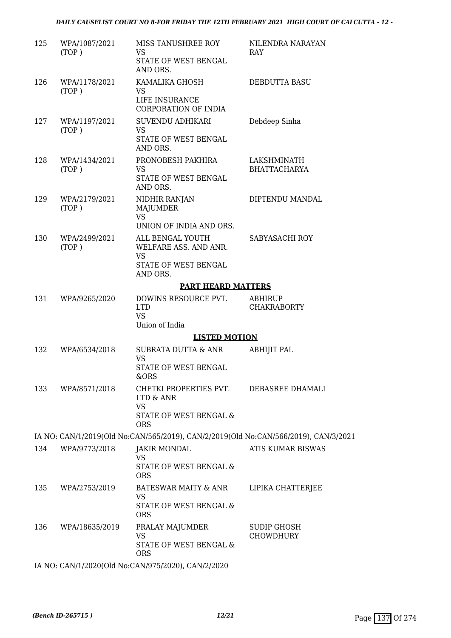| 125 | WPA/1087/2021<br>(TOP) | MISS TANUSHREE ROY<br><b>VS</b><br>STATE OF WEST BENGAL<br>AND ORS.                                 | NILENDRA NARAYAN<br>RAY            |
|-----|------------------------|-----------------------------------------------------------------------------------------------------|------------------------------------|
| 126 | WPA/1178/2021<br>(TOP) | KAMALIKA GHOSH<br>VS<br>LIFE INSURANCE<br><b>CORPORATION OF INDIA</b>                               | DEBDUTTA BASU                      |
| 127 | WPA/1197/2021<br>(TOP) | SUVENDU ADHIKARI<br><b>VS</b><br>STATE OF WEST BENGAL<br>AND ORS.                                   | Debdeep Sinha                      |
| 128 | WPA/1434/2021<br>(TOP) | PRONOBESH PAKHIRA<br>VS.<br>STATE OF WEST BENGAL<br>AND ORS.                                        | LAKSHMINATH<br><b>BHATTACHARYA</b> |
| 129 | WPA/2179/2021<br>(TOP) | NIDHIR RANJAN<br>MAJUMDER<br><b>VS</b><br>UNION OF INDIA AND ORS.                                   | DIPTENDU MANDAL                    |
| 130 | WPA/2499/2021<br>(TOP) | ALL BENGAL YOUTH<br>WELFARE ASS. AND ANR.<br><b>VS</b><br>STATE OF WEST BENGAL                      | SABYASACHI ROY                     |
|     |                        | AND ORS.<br><b>PART HEARD MATTERS</b>                                                               |                                    |
| 131 | WPA/9265/2020          | DOWINS RESOURCE PVT.                                                                                | ABHIRUP                            |
|     |                        | <b>LTD</b><br><b>VS</b><br>Union of India                                                           | <b>CHAKRABORTY</b>                 |
|     |                        | <b>LISTED MOTION</b>                                                                                |                                    |
| 132 | WPA/6534/2018          | SUBRATA DUTTA & ANR<br>VS<br>STATE OF WEST BENGAL<br>&ORS                                           | <b>ABHIJIT PAL</b>                 |
| 133 | WPA/8571/2018          | CHETKI PROPERTIES PVT.<br>LTD & ANR<br><b>VS</b><br><b>STATE OF WEST BENGAL &amp;</b><br><b>ORS</b> | DEBASREE DHAMALI                   |
|     |                        | IA NO: CAN/1/2019(Old No:CAN/565/2019), CAN/2/2019(Old No:CAN/566/2019), CAN/3/2021                 |                                    |
| 134 | WPA/9773/2018          | <b>JAKIR MONDAL</b><br>VS<br>STATE OF WEST BENGAL &<br><b>ORS</b>                                   | ATIS KUMAR BISWAS                  |
| 135 | WPA/2753/2019          | <b>BATESWAR MAITY &amp; ANR</b><br><b>VS</b><br>STATE OF WEST BENGAL &<br><b>ORS</b>                | LIPIKA CHATTERJEE                  |
| 136 | WPA/18635/2019         | PRALAY MAJUMDER<br><b>VS</b><br>STATE OF WEST BENGAL &<br><b>ORS</b>                                | SUDIP GHOSH<br><b>CHOWDHURY</b>    |
|     |                        | IA NO: CAN/1/2020(Old No:CAN/975/2020), CAN/2/2020                                                  |                                    |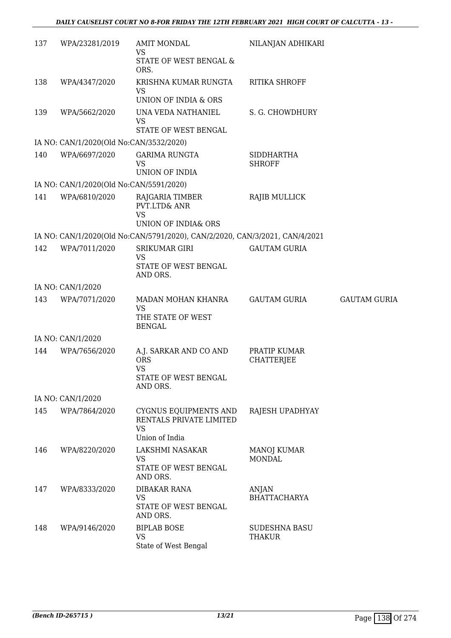| 137 | WPA/23281/2019                          | <b>AMIT MONDAL</b><br><b>VS</b>                                                 | NILANJAN ADHIKARI                 |                     |
|-----|-----------------------------------------|---------------------------------------------------------------------------------|-----------------------------------|---------------------|
|     |                                         | STATE OF WEST BENGAL &<br>ORS.                                                  |                                   |                     |
| 138 | WPA/4347/2020                           | KRISHNA KUMAR RUNGTA<br>VS                                                      | <b>RITIKA SHROFF</b>              |                     |
|     |                                         | UNION OF INDIA & ORS                                                            |                                   |                     |
| 139 | WPA/5662/2020                           | UNA VEDA NATHANIEL<br><b>VS</b><br>STATE OF WEST BENGAL                         | S. G. CHOWDHURY                   |                     |
|     | IA NO: CAN/1/2020(Old No:CAN/3532/2020) |                                                                                 |                                   |                     |
| 140 | WPA/6697/2020                           | <b>GARIMA RUNGTA</b>                                                            | <b>SIDDHARTHA</b>                 |                     |
|     |                                         | <b>VS</b><br>UNION OF INDIA                                                     | <b>SHROFF</b>                     |                     |
|     | IA NO: CAN/1/2020(Old No:CAN/5591/2020) |                                                                                 |                                   |                     |
| 141 | WPA/6810/2020                           | RAJGARIA TIMBER<br>PVT.LTD& ANR<br><b>VS</b>                                    | <b>RAJIB MULLICK</b>              |                     |
|     |                                         | UNION OF INDIA& ORS                                                             |                                   |                     |
|     |                                         | IA NO: CAN/1/2020(Old No:CAN/5791/2020), CAN/2/2020, CAN/3/2021, CAN/4/2021     |                                   |                     |
| 142 | WPA/7011/2020                           | <b>SRIKUMAR GIRI</b><br><b>VS</b>                                               | <b>GAUTAM GURIA</b>               |                     |
|     |                                         | STATE OF WEST BENGAL<br>AND ORS.                                                |                                   |                     |
|     | IA NO: CAN/1/2020                       |                                                                                 |                                   |                     |
| 143 | WPA/7071/2020                           | MADAN MOHAN KHANRA<br><b>VS</b><br>THE STATE OF WEST                            | <b>GAUTAM GURIA</b>               | <b>GAUTAM GURIA</b> |
|     |                                         | <b>BENGAL</b>                                                                   |                                   |                     |
|     | IA NO: CAN/1/2020                       |                                                                                 |                                   |                     |
| 144 | WPA/7656/2020                           | A.J. SARKAR AND CO AND<br><b>ORS</b><br><b>VS</b><br>STATE OF WEST BENGAL       | PRATIP KUMAR<br><b>CHATTERJEE</b> |                     |
|     |                                         | AND ORS.                                                                        |                                   |                     |
|     | IA NO: CAN/1/2020                       |                                                                                 |                                   |                     |
| 145 | WPA/7864/2020                           | CYGNUS EQUIPMENTS AND<br>RENTALS PRIVATE LIMITED<br><b>VS</b><br>Union of India | RAJESH UPADHYAY                   |                     |
| 146 | WPA/8220/2020                           | LAKSHMI NASAKAR                                                                 | <b>MANOJ KUMAR</b>                |                     |
|     |                                         | <b>VS</b><br>STATE OF WEST BENGAL<br>AND ORS.                                   | <b>MONDAL</b>                     |                     |
| 147 | WPA/8333/2020                           | <b>DIBAKAR RANA</b><br><b>VS</b><br>STATE OF WEST BENGAL<br>AND ORS.            | ANJAN<br><b>BHATTACHARYA</b>      |                     |
| 148 | WPA/9146/2020                           | <b>BIPLAB BOSE</b><br><b>VS</b><br>State of West Bengal                         | <b>SUDESHNA BASU</b><br>THAKUR    |                     |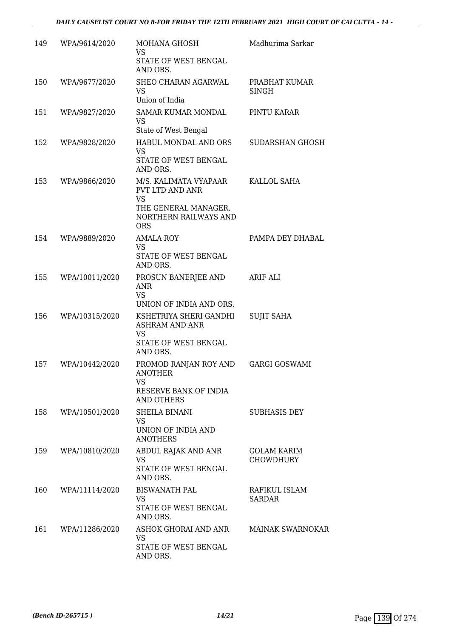| 149 | WPA/9614/2020  | <b>MOHANA GHOSH</b><br>VS.<br>STATE OF WEST BENGAL<br>AND ORS.                                                              | Madhurima Sarkar                       |
|-----|----------------|-----------------------------------------------------------------------------------------------------------------------------|----------------------------------------|
| 150 | WPA/9677/2020  | SHEO CHARAN AGARWAL<br>VS<br>Union of India                                                                                 | PRABHAT KUMAR<br><b>SINGH</b>          |
| 151 | WPA/9827/2020  | <b>SAMAR KUMAR MONDAL</b><br><b>VS</b><br>State of West Bengal                                                              | PINTU KARAR                            |
| 152 | WPA/9828/2020  | HABUL MONDAL AND ORS<br><b>VS</b><br>STATE OF WEST BENGAL<br>AND ORS.                                                       | SUDARSHAN GHOSH                        |
| 153 | WPA/9866/2020  | M/S. KALIMATA VYAPAAR<br><b>PVT LTD AND ANR</b><br><b>VS</b><br>THE GENERAL MANAGER,<br>NORTHERN RAILWAYS AND<br><b>ORS</b> | KALLOL SAHA                            |
| 154 | WPA/9889/2020  | <b>AMALA ROY</b><br><b>VS</b><br>STATE OF WEST BENGAL<br>AND ORS.                                                           | PAMPA DEY DHABAL                       |
| 155 | WPA/10011/2020 | PROSUN BANERJEE AND<br>ANR<br><b>VS</b><br>UNION OF INDIA AND ORS.                                                          | <b>ARIF ALI</b>                        |
| 156 | WPA/10315/2020 | KSHETRIYA SHERI GANDHI<br><b>ASHRAM AND ANR</b><br><b>VS</b><br>STATE OF WEST BENGAL<br>AND ORS.                            | <b>SUJIT SAHA</b>                      |
| 157 | WPA/10442/2020 | PROMOD RANJAN ROY AND<br><b>ANOTHER</b><br>VS<br>RESERVE BANK OF INDIA<br><b>AND OTHERS</b>                                 | <b>GARGI GOSWAMI</b>                   |
| 158 | WPA/10501/2020 | SHEILA BINANI<br>VS<br>UNION OF INDIA AND<br><b>ANOTHERS</b>                                                                | <b>SUBHASIS DEY</b>                    |
| 159 | WPA/10810/2020 | ABDUL RAJAK AND ANR<br><b>VS</b><br>STATE OF WEST BENGAL<br>AND ORS.                                                        | <b>GOLAM KARIM</b><br><b>CHOWDHURY</b> |
| 160 | WPA/11114/2020 | <b>BISWANATH PAL</b><br>VS<br>STATE OF WEST BENGAL<br>AND ORS.                                                              | RAFIKUL ISLAM<br><b>SARDAR</b>         |
| 161 | WPA/11286/2020 | ASHOK GHORAI AND ANR<br><b>VS</b><br>STATE OF WEST BENGAL<br>AND ORS.                                                       | <b>MAINAK SWARNOKAR</b>                |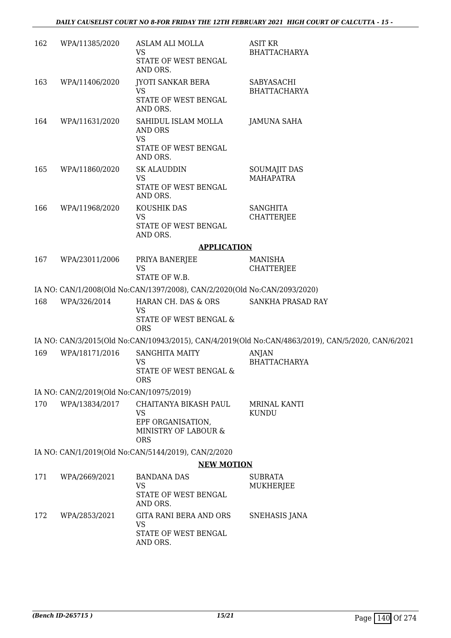| 162 | WPA/11385/2020                           | ASLAM ALI MOLLA<br>VS                                                                         | <b>ASIT KR</b><br><b>BHATTACHARYA</b>                                                              |
|-----|------------------------------------------|-----------------------------------------------------------------------------------------------|----------------------------------------------------------------------------------------------------|
|     |                                          | STATE OF WEST BENGAL<br>AND ORS.                                                              |                                                                                                    |
| 163 | WPA/11406/2020                           | <b>JYOTI SANKAR BERA</b><br><b>VS</b>                                                         | SABYASACHI<br><b>BHATTACHARYA</b>                                                                  |
|     |                                          | STATE OF WEST BENGAL<br>AND ORS.                                                              |                                                                                                    |
| 164 | WPA/11631/2020                           | SAHIDUL ISLAM MOLLA<br><b>AND ORS</b><br><b>VS</b>                                            | <b>JAMUNA SAHA</b>                                                                                 |
|     |                                          | STATE OF WEST BENGAL<br>AND ORS.                                                              |                                                                                                    |
| 165 | WPA/11860/2020                           | <b>SK ALAUDDIN</b><br>VS<br>STATE OF WEST BENGAL<br>AND ORS.                                  | <b>SOUMAJIT DAS</b><br><b>MAHAPATRA</b>                                                            |
| 166 | WPA/11968/2020                           | KOUSHIK DAS<br><b>VS</b><br>STATE OF WEST BENGAL<br>AND ORS.                                  | <b>SANGHITA</b><br><b>CHATTERJEE</b>                                                               |
|     |                                          | <b>APPLICATION</b>                                                                            |                                                                                                    |
| 167 | WPA/23011/2006                           | PRIYA BANERJEE<br><b>VS</b><br>STATE OF W.B.                                                  | <b>MANISHA</b><br><b>CHATTERJEE</b>                                                                |
|     |                                          | IA NO: CAN/1/2008(Old No:CAN/1397/2008), CAN/2/2020(Old No:CAN/2093/2020)                     |                                                                                                    |
| 168 | WPA/326/2014                             | HARAN CH. DAS & ORS<br><b>VS</b><br>STATE OF WEST BENGAL &<br><b>ORS</b>                      | SANKHA PRASAD RAY                                                                                  |
|     |                                          |                                                                                               | IA NO: CAN/3/2015(Old No:CAN/10943/2015), CAN/4/2019(Old No:CAN/4863/2019), CAN/5/2020, CAN/6/2021 |
| 169 | WPA/18171/2016                           | <b>SANGHITA MAITY</b><br>VS<br>STATE OF WEST BENGAL &<br><b>ORS</b>                           | <b>ANJAN</b><br><b>BHATTACHARYA</b>                                                                |
|     | IA NO: CAN/2/2019(Old No:CAN/10975/2019) |                                                                                               |                                                                                                    |
| 170 | WPA/13834/2017                           | CHAITANYA BIKASH PAUL<br><b>VS</b><br>EPF ORGANISATION,<br>MINISTRY OF LABOUR &<br><b>ORS</b> | <b>MRINAL KANTI</b><br><b>KUNDU</b>                                                                |
|     |                                          | IA NO: CAN/1/2019(Old No:CAN/5144/2019), CAN/2/2020                                           |                                                                                                    |
|     |                                          | <b>NEW MOTION</b>                                                                             |                                                                                                    |
| 171 | WPA/2669/2021                            | <b>BANDANA DAS</b><br><b>VS</b><br>STATE OF WEST BENGAL<br>AND ORS.                           | <b>SUBRATA</b><br>MUKHERJEE                                                                        |
| 172 | WPA/2853/2021                            | <b>GITA RANI BERA AND ORS</b><br>VS                                                           | SNEHASIS JANA                                                                                      |
|     |                                          | STATE OF WEST BENGAL<br>AND ORS.                                                              |                                                                                                    |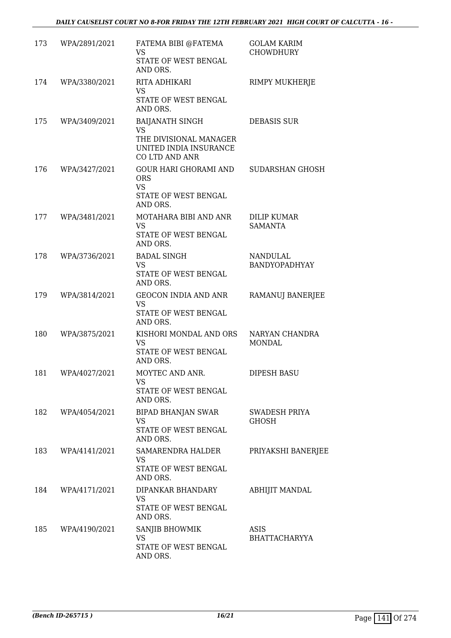| 173 | WPA/2891/2021     | FATEMA BIBI @FATEMA<br><b>VS</b><br>STATE OF WEST BENGAL<br>AND ORS.                                             | <b>GOLAM KARIM</b><br>CHOWDHURY         |
|-----|-------------------|------------------------------------------------------------------------------------------------------------------|-----------------------------------------|
| 174 | WPA/3380/2021     | RITA ADHIKARI<br>VS<br>STATE OF WEST BENGAL<br>AND ORS.                                                          | RIMPY MUKHERJE                          |
| 175 | WPA/3409/2021     | <b>BAIJANATH SINGH</b><br><b>VS</b><br>THE DIVISIONAL MANAGER<br>UNITED INDIA INSURANCE<br><b>CO LTD AND ANR</b> | <b>DEBASIS SUR</b>                      |
| 176 | WPA/3427/2021     | GOUR HARI GHORAMI AND<br><b>ORS</b><br><b>VS</b><br>STATE OF WEST BENGAL<br>AND ORS.                             | SUDARSHAN GHOSH                         |
| 177 | WPA/3481/2021     | MOTAHARA BIBI AND ANR<br><b>VS</b><br>STATE OF WEST BENGAL<br>AND ORS.                                           | <b>DILIP KUMAR</b><br><b>SAMANTA</b>    |
| 178 | WPA/3736/2021     | <b>BADAL SINGH</b><br><b>VS</b><br>STATE OF WEST BENGAL<br>AND ORS.                                              | <b>NANDULAL</b><br><b>BANDYOPADHYAY</b> |
| 179 | WPA/3814/2021     | GEOCON INDIA AND ANR<br><b>VS</b><br>STATE OF WEST BENGAL<br>AND ORS.                                            | RAMANUJ BANERJEE                        |
| 180 | WPA/3875/2021     | KISHORI MONDAL AND ORS<br><b>VS</b><br>STATE OF WEST BENGAL<br>AND ORS.                                          | NARYAN CHANDRA<br><b>MONDAL</b>         |
| 181 | WPA/4027/2021     | MOYTEC AND ANR.<br>VS.<br>STATE OF WEST BENGAL<br>AND ORS.                                                       | DIPESH BASU                             |
|     | 182 WPA/4054/2021 | BIPAD BHANJAN SWAR<br>VS<br>STATE OF WEST BENGAL<br>AND ORS.                                                     | SWADESH PRIYA<br><b>GHOSH</b>           |
|     | 183 WPA/4141/2021 | SAMARENDRA HALDER<br><b>VS</b><br>STATE OF WEST BENGAL<br>AND ORS.                                               | PRIYAKSHI BANERJEE                      |
| 184 | WPA/4171/2021     | DIPANKAR BHANDARY<br><b>VS</b><br>STATE OF WEST BENGAL<br>AND ORS.                                               | ABHIJIT MANDAL                          |
|     | 185 WPA/4190/2021 | SANJIB BHOWMIK<br><b>VS</b><br>STATE OF WEST BENGAL<br>AND ORS.                                                  | ASIS<br><b>BHATTACHARYYA</b>            |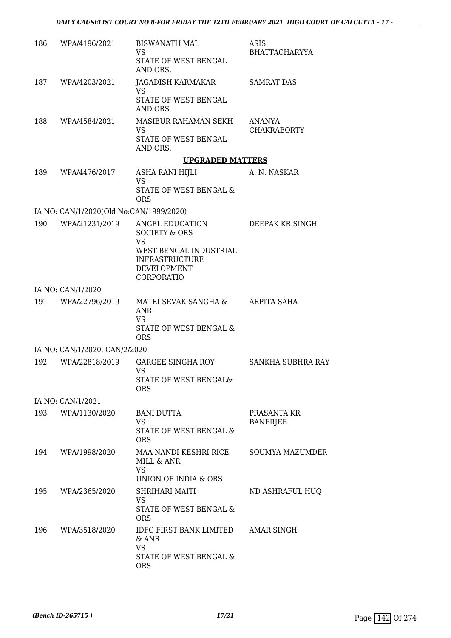| 186 | WPA/4196/2021                           | <b>BISWANATH MAL</b><br>VS.<br>STATE OF WEST BENGAL<br>AND ORS.                                                                          | ASIS<br><b>BHATTACHARYYA</b>   |
|-----|-----------------------------------------|------------------------------------------------------------------------------------------------------------------------------------------|--------------------------------|
| 187 | WPA/4203/2021                           | JAGADISH KARMAKAR<br>VS.<br>STATE OF WEST BENGAL<br>AND ORS.                                                                             | SAMRAT DAS                     |
| 188 | WPA/4584/2021                           | MASIBUR RAHAMAN SEKH<br>VS<br>STATE OF WEST BENGAL<br>AND ORS.                                                                           | ANANYA<br><b>CHAKRABORTY</b>   |
|     |                                         | <b>UPGRADED MATTERS</b>                                                                                                                  |                                |
| 189 | WPA/4476/2017                           | ASHA RANI HIJLI<br><b>VS</b><br>STATE OF WEST BENGAL &<br><b>ORS</b>                                                                     | A. N. NASKAR                   |
|     | IA NO: CAN/1/2020(Old No:CAN/1999/2020) |                                                                                                                                          |                                |
| 190 | WPA/21231/2019                          | ANGEL EDUCATION<br><b>SOCIETY &amp; ORS</b><br><b>VS</b><br>WEST BENGAL INDUSTRIAL<br><b>INFRASTRUCTURE</b><br>DEVELOPMENT<br>CORPORATIO | DEEPAK KR SINGH                |
|     | IA NO: CAN/1/2020                       |                                                                                                                                          |                                |
|     | 191 WPA/22796/2019                      | MATRI SEVAK SANGHA &<br><b>ANR</b><br><b>VS</b><br>STATE OF WEST BENGAL &<br><b>ORS</b>                                                  | ARPITA SAHA                    |
|     | IA NO: CAN/1/2020, CAN/2/2020           |                                                                                                                                          |                                |
| 192 | WPA/22818/2019                          | <b>GARGEE SINGHA ROY</b><br>VS<br>STATE OF WEST BENGAL&<br><b>ORS</b>                                                                    | SANKHA SUBHRA RAY              |
|     | IA NO: CAN/1/2021                       |                                                                                                                                          |                                |
| 193 | WPA/1130/2020                           | <b>BANI DUTTA</b><br>VS.<br>STATE OF WEST BENGAL &<br><b>ORS</b>                                                                         | PRASANTA KR<br><b>BANERJEE</b> |
| 194 | WPA/1998/2020                           | MAA NANDI KESHRI RICE<br>MILL & ANR<br><b>VS</b><br>UNION OF INDIA & ORS                                                                 | <b>SOUMYA MAZUMDER</b>         |
| 195 | WPA/2365/2020                           | SHRIHARI MAITI<br>VS.<br>STATE OF WEST BENGAL &<br><b>ORS</b>                                                                            | ND ASHRAFUL HUQ                |
| 196 | WPA/3518/2020                           | <b>IDFC FIRST BANK LIMITED</b><br>& ANR<br><b>VS</b><br>STATE OF WEST BENGAL &<br><b>ORS</b>                                             | AMAR SINGH                     |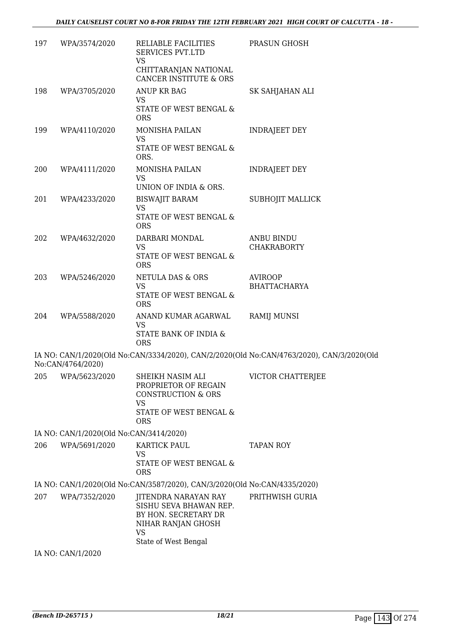| 197 | WPA/3574/2020                           | RELIABLE FACILITIES<br><b>SERVICES PVT.LTD</b><br>VS                                                                           | PRASUN GHOSH                                                                              |
|-----|-----------------------------------------|--------------------------------------------------------------------------------------------------------------------------------|-------------------------------------------------------------------------------------------|
|     |                                         | CHITTARANJAN NATIONAL<br><b>CANCER INSTITUTE &amp; ORS</b>                                                                     |                                                                                           |
| 198 | WPA/3705/2020                           | <b>ANUP KR BAG</b><br><b>VS</b>                                                                                                | SK SAHJAHAN ALI                                                                           |
|     |                                         | STATE OF WEST BENGAL &<br><b>ORS</b>                                                                                           |                                                                                           |
| 199 | WPA/4110/2020                           | MONISHA PAILAN<br><b>VS</b>                                                                                                    | <b>INDRAJEET DEY</b>                                                                      |
|     |                                         | STATE OF WEST BENGAL &<br>ORS.                                                                                                 |                                                                                           |
| 200 | WPA/4111/2020                           | MONISHA PAILAN<br>VS                                                                                                           | <b>INDRAJEET DEY</b>                                                                      |
|     |                                         | UNION OF INDIA & ORS.                                                                                                          |                                                                                           |
| 201 | WPA/4233/2020                           | <b>BISWAJIT BARAM</b><br><b>VS</b>                                                                                             | SUBHOJIT MALLICK                                                                          |
|     |                                         | STATE OF WEST BENGAL &<br><b>ORS</b>                                                                                           |                                                                                           |
| 202 | WPA/4632/2020                           | DARBARI MONDAL                                                                                                                 | <b>ANBU BINDU</b>                                                                         |
|     |                                         | VS<br>STATE OF WEST BENGAL &<br><b>ORS</b>                                                                                     | <b>CHAKRABORTY</b>                                                                        |
| 203 | WPA/5246/2020                           | NETULA DAS & ORS                                                                                                               | <b>AVIROOP</b>                                                                            |
|     |                                         | <b>VS</b><br>STATE OF WEST BENGAL &<br><b>ORS</b>                                                                              | <b>BHATTACHARYA</b>                                                                       |
| 204 | WPA/5588/2020                           | ANAND KUMAR AGARWAL<br><b>VS</b><br>STATE BANK OF INDIA &                                                                      | <b>RAMIJ MUNSI</b>                                                                        |
|     |                                         | <b>ORS</b>                                                                                                                     |                                                                                           |
|     | No:CAN/4764/2020)                       |                                                                                                                                | IA NO: CAN/1/2020(Old No:CAN/3334/2020), CAN/2/2020(Old No:CAN/4763/2020), CAN/3/2020(Old |
|     | 205 WPA/5623/2020                       | SHEIKH NASIM ALI<br>PROPRIETOR OF REGAIN<br><b>CONSTRUCTION &amp; ORS</b><br><b>VS</b><br>STATE OF WEST BENGAL &<br><b>ORS</b> | VICTOR CHATTERJEE                                                                         |
|     | IA NO: CAN/1/2020(Old No:CAN/3414/2020) |                                                                                                                                |                                                                                           |
| 206 | WPA/5691/2020                           | KARTICK PAUL                                                                                                                   | <b>TAPAN ROY</b>                                                                          |
|     |                                         | <b>VS</b><br>STATE OF WEST BENGAL &<br><b>ORS</b>                                                                              |                                                                                           |
|     |                                         | IA NO: CAN/1/2020(Old No:CAN/3587/2020), CAN/3/2020(Old No:CAN/4335/2020)                                                      |                                                                                           |
| 207 | WPA/7352/2020                           | JITENDRA NARAYAN RAY<br>SISHU SEVA BHAWAN REP.<br>BY HON. SECRETARY DR<br>NIHAR RANJAN GHOSH<br>VS                             | PRITHWISH GURIA                                                                           |
|     | IA NO: CAN/1/2020                       | State of West Bengal                                                                                                           |                                                                                           |
|     |                                         |                                                                                                                                |                                                                                           |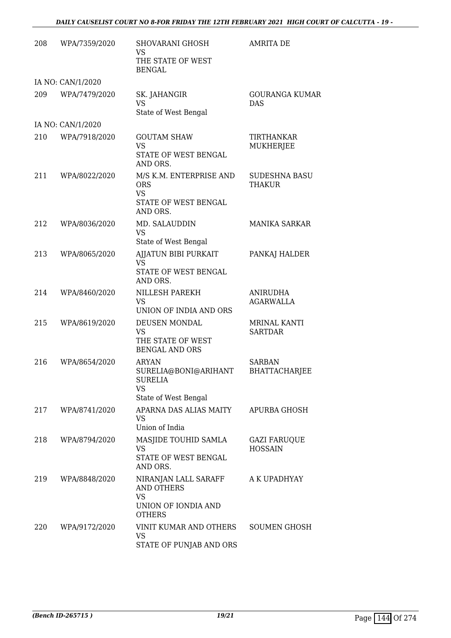| 208 | WPA/7359/2020     | SHOVARANI GHOSH<br>VS<br>THE STATE OF WEST<br><b>BENGAL</b>                                    | <b>AMRITA DE</b>                      |
|-----|-------------------|------------------------------------------------------------------------------------------------|---------------------------------------|
|     | IA NO: CAN/1/2020 |                                                                                                |                                       |
| 209 | WPA/7479/2020     | SK. JAHANGIR<br><b>VS</b><br>State of West Bengal                                              | <b>GOURANGA KUMAR</b><br>DAS          |
|     | IA NO: CAN/1/2020 |                                                                                                |                                       |
| 210 | WPA/7918/2020     | <b>GOUTAM SHAW</b><br>VS<br>STATE OF WEST BENGAL<br>AND ORS.                                   | TIRTHANKAR<br><b>MUKHERJEE</b>        |
| 211 | WPA/8022/2020     | M/S K.M. ENTERPRISE AND<br><b>ORS</b><br><b>VS</b><br>STATE OF WEST BENGAL<br>AND ORS.         | <b>SUDESHNA BASU</b><br>THAKUR        |
| 212 | WPA/8036/2020     | MD. SALAUDDIN<br><b>VS</b><br>State of West Bengal                                             | <b>MANIKA SARKAR</b>                  |
| 213 | WPA/8065/2020     | AJJATUN BIBI PURKAIT<br><b>VS</b><br>STATE OF WEST BENGAL<br>AND ORS.                          | PANKAJ HALDER                         |
| 214 | WPA/8460/2020     | NILLESH PAREKH<br><b>VS</b><br>UNION OF INDIA AND ORS                                          | <b>ANIRUDHA</b><br><b>AGARWALLA</b>   |
| 215 | WPA/8619/2020     | DEUSEN MONDAL<br><b>VS</b><br>THE STATE OF WEST<br><b>BENGAL AND ORS</b>                       | <b>MRINAL KANTI</b><br><b>SARTDAR</b> |
| 216 | WPA/8654/2020     | <b>ARYAN</b><br>SURELIA@BONI@ARIHANT<br><b>SURELIA</b><br>VS<br>State of West Bengal           | <b>SARBAN</b><br><b>BHATTACHARJEE</b> |
| 217 | WPA/8741/2020     | APARNA DAS ALIAS MAITY<br>VS<br>Union of India                                                 | APURBA GHOSH                          |
| 218 | WPA/8794/2020     | MASJIDE TOUHID SAMLA<br>VS<br>STATE OF WEST BENGAL<br>AND ORS.                                 | <b>GAZI FARUQUE</b><br><b>HOSSAIN</b> |
| 219 | WPA/8848/2020     | NIRANJAN LALL SARAFF<br><b>AND OTHERS</b><br><b>VS</b><br>UNION OF IONDIA AND<br><b>OTHERS</b> | A K UPADHYAY                          |
| 220 | WPA/9172/2020     | VINIT KUMAR AND OTHERS<br>VS<br>STATE OF PUNJAB AND ORS                                        | SOUMEN GHOSH                          |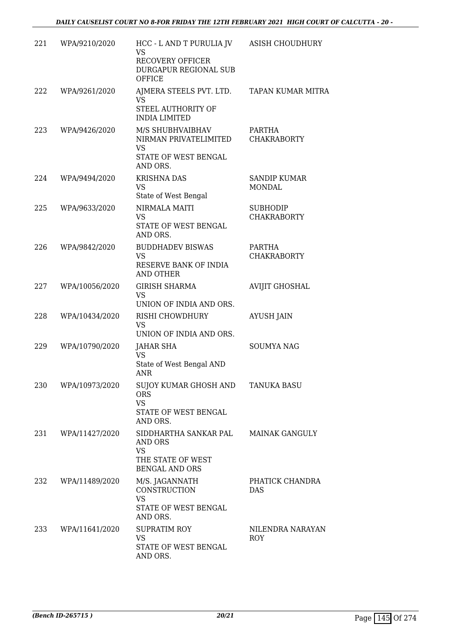| 221 | WPA/9210/2020  | HCC - L AND T PURULIA JV<br><b>VS</b><br><b>RECOVERY OFFICER</b><br>DURGAPUR REGIONAL SUB<br>OFFICE | ASISH CHOUDHURY                       |
|-----|----------------|-----------------------------------------------------------------------------------------------------|---------------------------------------|
| 222 | WPA/9261/2020  | AJMERA STEELS PVT. LTD.<br><b>VS</b><br>STEEL AUTHORITY OF<br><b>INDIA LIMITED</b>                  | TAPAN KUMAR MITRA                     |
| 223 | WPA/9426/2020  | M/S SHUBHVAIBHAV<br>NIRMAN PRIVATELIMITED<br><b>VS</b><br>STATE OF WEST BENGAL<br>AND ORS.          | PARTHA<br><b>CHAKRABORTY</b>          |
| 224 | WPA/9494/2020  | <b>KRISHNA DAS</b><br>VS<br>State of West Bengal                                                    | <b>SANDIP KUMAR</b><br><b>MONDAL</b>  |
| 225 | WPA/9633/2020  | NIRMALA MAITI<br><b>VS</b><br>STATE OF WEST BENGAL<br>AND ORS.                                      | <b>SUBHODIP</b><br><b>CHAKRABORTY</b> |
| 226 | WPA/9842/2020  | <b>BUDDHADEV BISWAS</b><br><b>VS</b><br>RESERVE BANK OF INDIA<br><b>AND OTHER</b>                   | PARTHA<br><b>CHAKRABORTY</b>          |
| 227 | WPA/10056/2020 | <b>GIRISH SHARMA</b><br>VS<br>UNION OF INDIA AND ORS.                                               | <b>AVIJIT GHOSHAL</b>                 |
| 228 | WPA/10434/2020 | RISHI CHOWDHURY<br><b>VS</b><br>UNION OF INDIA AND ORS.                                             | <b>AYUSH JAIN</b>                     |
| 229 | WPA/10790/2020 | JAHAR SHA<br><b>VS</b><br>State of West Bengal AND<br>ANR                                           | <b>SOUMYA NAG</b>                     |
| 230 | WPA/10973/2020 | SUJOY KUMAR GHOSH AND<br><b>ORS</b><br><b>VS</b><br>STATE OF WEST BENGAL<br>AND ORS.                | <b>TANUKA BASU</b>                    |
| 231 | WPA/11427/2020 | SIDDHARTHA SANKAR PAL<br>AND ORS<br><b>VS</b><br>THE STATE OF WEST<br><b>BENGAL AND ORS</b>         | <b>MAINAK GANGULY</b>                 |
| 232 | WPA/11489/2020 | M/S. JAGANNATH<br>CONSTRUCTION<br><b>VS</b><br>STATE OF WEST BENGAL<br>AND ORS.                     | PHATICK CHANDRA<br>DAS                |
| 233 | WPA/11641/2020 | <b>SUPRATIM ROY</b><br><b>VS</b><br>STATE OF WEST BENGAL<br>AND ORS.                                | NILENDRA NARAYAN<br><b>ROY</b>        |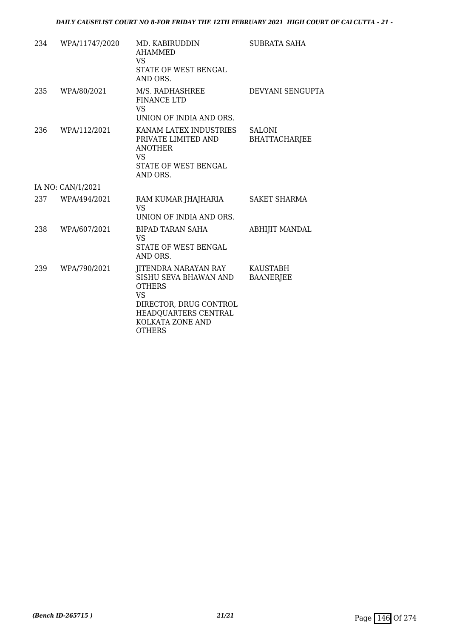| 234 | WPA/11747/2020    | MD. KABIRUDDIN<br><b>AHAMMED</b><br>VS<br>STATE OF WEST BENGAL<br>AND ORS.                                                                                                | SUBRATA SAHA                          |
|-----|-------------------|---------------------------------------------------------------------------------------------------------------------------------------------------------------------------|---------------------------------------|
| 235 | WPA/80/2021       | M/S. RADHASHREE<br><b>FINANCE LTD</b><br>VS.<br>UNION OF INDIA AND ORS.                                                                                                   | DEVYANI SENGUPTA                      |
| 236 | WPA/112/2021      | KANAM LATEX INDUSTRIES<br>PRIVATE LIMITED AND<br><b>ANOTHER</b><br>VS.<br>STATE OF WEST BENGAL<br>AND ORS.                                                                | <b>SALONI</b><br><b>BHATTACHARJEE</b> |
|     | IA NO: CAN/1/2021 |                                                                                                                                                                           |                                       |
| 237 | WPA/494/2021      | RAM KUMAR JHAJHARIA<br><b>VS</b><br>UNION OF INDIA AND ORS.                                                                                                               | <b>SAKET SHARMA</b>                   |
| 238 | WPA/607/2021      | <b>BIPAD TARAN SAHA</b><br><b>VS</b><br>STATE OF WEST BENGAL<br>AND ORS.                                                                                                  | <b>ABHIJIT MANDAL</b>                 |
| 239 | WPA/790/2021      | <b>JITENDRA NARAYAN RAY</b><br>SISHU SEVA BHAWAN AND<br><b>OTHERS</b><br><b>VS</b><br>DIRECTOR, DRUG CONTROL<br>HEADQUARTERS CENTRAL<br>KOLKATA ZONE AND<br><b>OTHERS</b> | <b>KAUSTABH</b><br><b>BAANERJEE</b>   |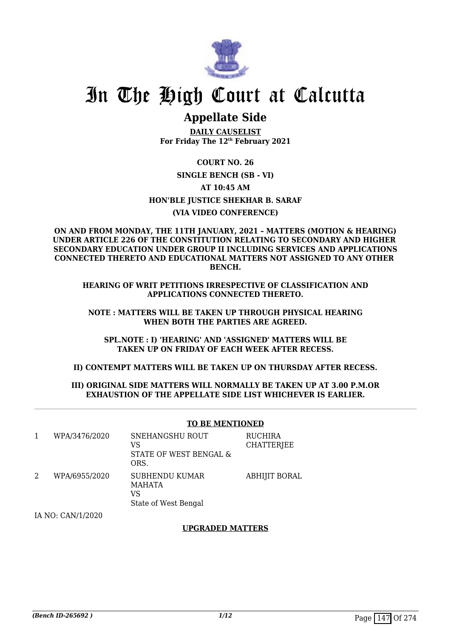

# In The High Court at Calcutta

## **Appellate Side**

**DAILY CAUSELIST For Friday The 12th February 2021**

**COURT NO. 26 SINGLE BENCH (SB - VI) AT 10:45 AM HON'BLE JUSTICE SHEKHAR B. SARAF (VIA VIDEO CONFERENCE)**

**ON AND FROM MONDAY, THE 11TH JANUARY, 2021 – MATTERS (MOTION & HEARING) UNDER ARTICLE 226 OF THE CONSTITUTION RELATING TO SECONDARY AND HIGHER SECONDARY EDUCATION UNDER GROUP II INCLUDING SERVICES AND APPLICATIONS CONNECTED THERETO AND EDUCATIONAL MATTERS NOT ASSIGNED TO ANY OTHER BENCH.**

**HEARING OF WRIT PETITIONS IRRESPECTIVE OF CLASSIFICATION AND APPLICATIONS CONNECTED THERETO.**

**NOTE : MATTERS WILL BE TAKEN UP THROUGH PHYSICAL HEARING WHEN BOTH THE PARTIES ARE AGREED.**

**SPL.NOTE : I) 'HEARING' AND 'ASSIGNED' MATTERS WILL BE TAKEN UP ON FRIDAY OF EACH WEEK AFTER RECESS.**

**II) CONTEMPT MATTERS WILL BE TAKEN UP ON THURSDAY AFTER RECESS.**

#### **III) ORIGINAL SIDE MATTERS WILL NORMALLY BE TAKEN UP AT 3.00 P.M.OR EXHAUSTION OF THE APPELLATE SIDE LIST WHICHEVER IS EARLIER.**

|   |               | <b>TO BE MENTIONED</b>                                               |                                     |
|---|---------------|----------------------------------------------------------------------|-------------------------------------|
| 1 | WPA/3476/2020 | SNEHANGSHU ROUT<br>VS<br>STATE OF WEST BENGAL &<br>ORS.              | <b>RUCHIRA</b><br><b>CHATTERJEE</b> |
| 2 | WPA/6955/2020 | <b>SUBHENDU KUMAR</b><br><b>MAHATA</b><br>VS<br>State of West Bengal | <b>ABHIJIT BORAL</b>                |

IA NO: CAN/1/2020

#### **UPGRADED MATTERS**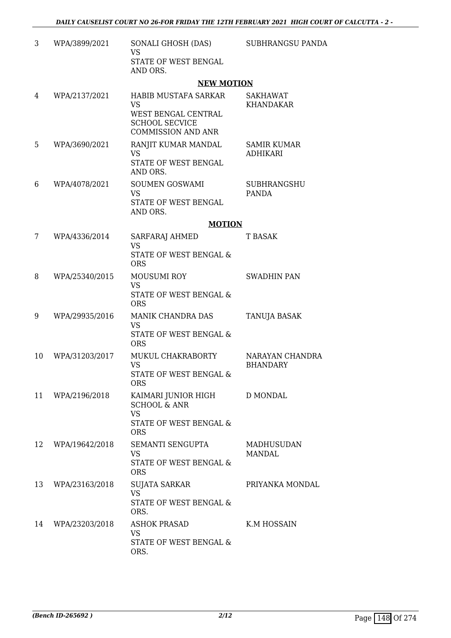| 3  | WPA/3899/2021  | SONALI GHOSH (DAS)<br><b>VS</b><br>STATE OF WEST BENGAL<br>AND ORS.                                            | SUBHRANGSU PANDA                      |
|----|----------------|----------------------------------------------------------------------------------------------------------------|---------------------------------------|
|    |                | <b>NEW MOTION</b>                                                                                              |                                       |
| 4  | WPA/2137/2021  | HABIB MUSTAFA SARKAR<br><b>VS</b><br>WEST BENGAL CENTRAL<br><b>SCHOOL SECVICE</b><br><b>COMMISSION AND ANR</b> | SAKHAWAT<br><b>KHANDAKAR</b>          |
| 5  | WPA/3690/2021  | RANJIT KUMAR MANDAL<br><b>VS</b><br>STATE OF WEST BENGAL<br>AND ORS.                                           | <b>SAMIR KUMAR</b><br><b>ADHIKARI</b> |
| 6  | WPA/4078/2021  | SOUMEN GOSWAMI<br><b>VS</b><br>STATE OF WEST BENGAL<br>AND ORS.                                                | <b>SUBHRANGSHU</b><br><b>PANDA</b>    |
|    |                | <b>MOTION</b>                                                                                                  |                                       |
| 7  | WPA/4336/2014  | SARFARAJ AHMED<br><b>VS</b><br>STATE OF WEST BENGAL &<br><b>ORS</b>                                            | <b>T BASAK</b>                        |
| 8  | WPA/25340/2015 | <b>MOUSUMI ROY</b><br><b>VS</b><br>STATE OF WEST BENGAL &<br><b>ORS</b>                                        | <b>SWADHIN PAN</b>                    |
| 9  | WPA/29935/2016 | MANIK CHANDRA DAS<br><b>VS</b><br>STATE OF WEST BENGAL &<br><b>ORS</b>                                         | TANUJA BASAK                          |
| 10 | WPA/31203/2017 | MUKUL CHAKRABORTY<br><b>VS</b><br>STATE OF WEST BENGAL &<br><b>ORS</b>                                         | NARAYAN CHANDRA<br><b>BHANDARY</b>    |
| 11 | WPA/2196/2018  | KAIMARI JUNIOR HIGH D MONDAL<br><b>SCHOOL &amp; ANR</b><br><b>VS</b><br>STATE OF WEST BENGAL &<br><b>ORS</b>   |                                       |
| 12 | WPA/19642/2018 | SEMANTI SENGUPTA<br><b>VS</b><br><b>STATE OF WEST BENGAL &amp;</b><br><b>ORS</b>                               | <b>MADHUSUDAN</b><br><b>MANDAL</b>    |
| 13 | WPA/23163/2018 | SUJATA SARKAR<br><b>VS</b><br>STATE OF WEST BENGAL &<br>ORS.                                                   | PRIYANKA MONDAL                       |
| 14 | WPA/23203/2018 | ASHOK PRASAD<br>VS<br>STATE OF WEST BENGAL &<br>ORS.                                                           | K.M HOSSAIN                           |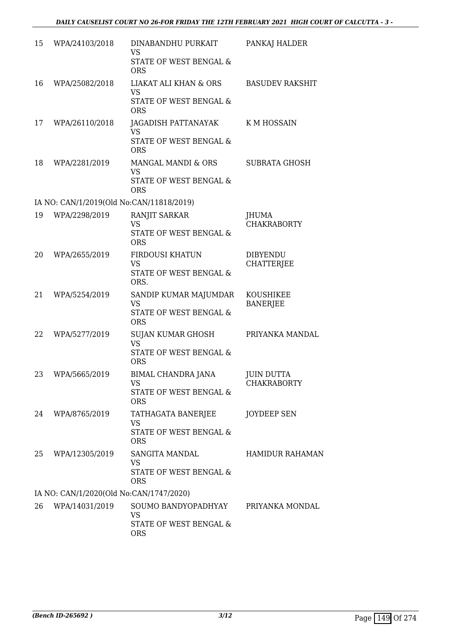| 15 | WPA/24103/2018                           | DINABANDHU PURKAIT<br>VS<br>STATE OF WEST BENGAL &<br><b>ORS</b>                      | PANKAJ HALDER                        |
|----|------------------------------------------|---------------------------------------------------------------------------------------|--------------------------------------|
| 16 | WPA/25082/2018                           | <b>LIAKAT ALI KHAN &amp; ORS</b><br><b>VS</b><br>STATE OF WEST BENGAL &<br><b>ORS</b> | <b>BASUDEV RAKSHIT</b>               |
| 17 | WPA/26110/2018                           | JAGADISH PATTANAYAK<br><b>VS</b><br><b>STATE OF WEST BENGAL &amp;</b><br><b>ORS</b>   | <b>KMHOSSAIN</b>                     |
| 18 | WPA/2281/2019                            | MANGAL MANDI & ORS<br><b>VS</b><br>STATE OF WEST BENGAL &<br><b>ORS</b>               | <b>SUBRATA GHOSH</b>                 |
|    | IA NO: CAN/1/2019(Old No:CAN/11818/2019) |                                                                                       |                                      |
| 19 | WPA/2298/2019                            | RANJIT SARKAR<br>VS.<br>STATE OF WEST BENGAL &<br><b>ORS</b>                          | <b>JHUMA</b><br><b>CHAKRABORTY</b>   |
| 20 | WPA/2655/2019                            | FIRDOUSI KHATUN<br><b>VS</b><br>STATE OF WEST BENGAL &<br>ORS.                        | <b>DIBYENDU</b><br><b>CHATTERJEE</b> |
| 21 | WPA/5254/2019                            | SANDIP KUMAR MAJUMDAR<br><b>VS</b><br>STATE OF WEST BENGAL &<br><b>ORS</b>            | KOUSHIKEE<br><b>BANERJEE</b>         |
| 22 | WPA/5277/2019                            | SUJAN KUMAR GHOSH<br><b>VS</b><br>STATE OF WEST BENGAL &<br><b>ORS</b>                | PRIYANKA MANDAL                      |
| 23 | WPA/5665/2019                            | BIMAL CHANDRA JANA<br><b>VS</b><br>STATE OF WEST BENGAL &<br><b>ORS</b>               | JUIN DUTTA<br><b>CHAKRABORTY</b>     |
| 24 | WPA/8765/2019                            | TATHAGATA BANERJEE<br><b>VS</b><br><b>STATE OF WEST BENGAL &amp;</b><br><b>ORS</b>    | <b>JOYDEEP SEN</b>                   |
| 25 | WPA/12305/2019                           | SANGITA MANDAL<br><b>VS</b><br>STATE OF WEST BENGAL &<br><b>ORS</b>                   | <b>HAMIDUR RAHAMAN</b>               |
|    | IA NO: CAN/1/2020(Old No:CAN/1747/2020)  |                                                                                       |                                      |
| 26 | WPA/14031/2019                           | SOUMO BANDYOPADHYAY<br><b>VS</b><br>STATE OF WEST BENGAL &<br><b>ORS</b>              | PRIYANKA MONDAL                      |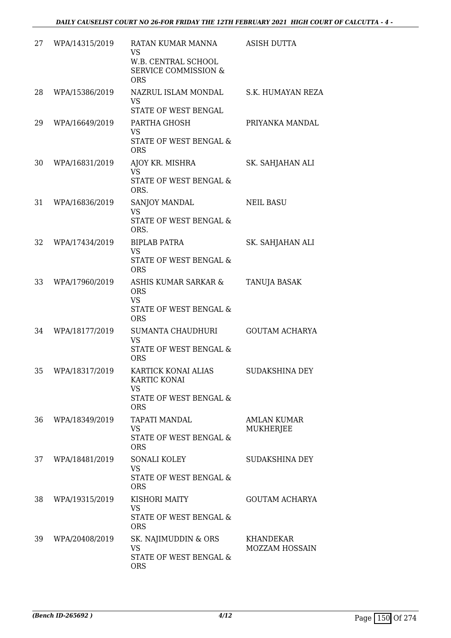| 27 | WPA/14315/2019 | RATAN KUMAR MANNA<br><b>VS</b><br>W.B. CENTRAL SCHOOL<br><b>SERVICE COMMISSION &amp;</b><br><b>ORS</b> | <b>ASISH DUTTA</b>                     |
|----|----------------|--------------------------------------------------------------------------------------------------------|----------------------------------------|
| 28 | WPA/15386/2019 | NAZRUL ISLAM MONDAL<br><b>VS</b><br>STATE OF WEST BENGAL                                               | S.K. HUMAYAN REZA                      |
| 29 | WPA/16649/2019 | PARTHA GHOSH<br><b>VS</b><br>STATE OF WEST BENGAL &<br><b>ORS</b>                                      | PRIYANKA MANDAL                        |
| 30 | WPA/16831/2019 | AJOY KR. MISHRA<br><b>VS</b><br>STATE OF WEST BENGAL &<br>ORS.                                         | SK. SAHJAHAN ALI                       |
| 31 | WPA/16836/2019 | SANJOY MANDAL<br><b>VS</b><br><b>STATE OF WEST BENGAL &amp;</b><br>ORS.                                | <b>NEIL BASU</b>                       |
| 32 | WPA/17434/2019 | <b>BIPLAB PATRA</b><br><b>VS</b><br>STATE OF WEST BENGAL &<br><b>ORS</b>                               | SK. SAHJAHAN ALI                       |
| 33 | WPA/17960/2019 | ASHIS KUMAR SARKAR &<br><b>ORS</b><br><b>VS</b><br>STATE OF WEST BENGAL &<br><b>ORS</b>                | <b>TANUJA BASAK</b>                    |
| 34 | WPA/18177/2019 | <b>SUMANTA CHAUDHURI</b><br><b>VS</b><br>STATE OF WEST BENGAL &<br><b>ORS</b>                          | <b>GOUTAM ACHARYA</b>                  |
| 35 | WPA/18317/2019 | KARTICK KONAI ALIAS<br>KARTIC KONAI<br><b>VS</b><br>STATE OF WEST BENGAL &<br><b>ORS</b>               | SUDAKSHINA DEY                         |
| 36 | WPA/18349/2019 | <b>TAPATI MANDAL</b><br><b>VS</b><br>STATE OF WEST BENGAL &<br><b>ORS</b>                              | <b>AMLAN KUMAR</b><br><b>MUKHERJEE</b> |
| 37 | WPA/18481/2019 | <b>SONALI KOLEY</b><br><b>VS</b><br>STATE OF WEST BENGAL &<br><b>ORS</b>                               | <b>SUDAKSHINA DEY</b>                  |
| 38 | WPA/19315/2019 | KISHORI MAITY<br><b>VS</b><br>STATE OF WEST BENGAL &<br><b>ORS</b>                                     | <b>GOUTAM ACHARYA</b>                  |
| 39 | WPA/20408/2019 | SK. NAJIMUDDIN & ORS<br><b>VS</b><br>STATE OF WEST BENGAL &<br><b>ORS</b>                              | KHANDEKAR<br><b>MOZZAM HOSSAIN</b>     |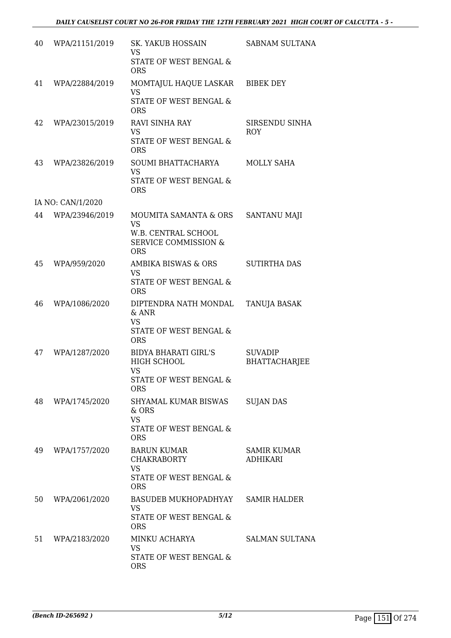| 40 | WPA/21151/2019    | SK. YAKUB HOSSAIN<br><b>VS</b><br>STATE OF WEST BENGAL &<br><b>ORS</b>                               | SABNAM SULTANA                         |
|----|-------------------|------------------------------------------------------------------------------------------------------|----------------------------------------|
| 41 | WPA/22884/2019    | MOMTAJUL HAQUE LASKAR<br><b>VS</b><br>STATE OF WEST BENGAL &<br><b>ORS</b>                           | <b>BIBEK DEY</b>                       |
| 42 | WPA/23015/2019    | <b>RAVI SINHA RAY</b><br><b>VS</b><br>STATE OF WEST BENGAL &<br><b>ORS</b>                           | SIRSENDU SINHA<br><b>ROY</b>           |
| 43 | WPA/23826/2019    | SOUMI BHATTACHARYA<br><b>VS</b><br>STATE OF WEST BENGAL &<br><b>ORS</b>                              | MOLLY SAHA                             |
|    | IA NO: CAN/1/2020 |                                                                                                      |                                        |
| 44 | WPA/23946/2019    | MOUMITA SAMANTA & ORS<br>VS.<br>W.B. CENTRAL SCHOOL<br><b>SERVICE COMMISSION &amp;</b><br><b>ORS</b> | <b>SANTANU MAJI</b>                    |
| 45 | WPA/959/2020      | AMBIKA BISWAS & ORS<br><b>VS</b><br>STATE OF WEST BENGAL &<br><b>ORS</b>                             | <b>SUTIRTHA DAS</b>                    |
| 46 | WPA/1086/2020     | DIPTENDRA NATH MONDAL<br>$&$ ANR<br><b>VS</b><br>STATE OF WEST BENGAL &<br><b>ORS</b>                | <b>TANUJA BASAK</b>                    |
| 47 | WPA/1287/2020     | <b>BIDYA BHARATI GIRL'S</b><br>HIGH SCHOOL<br><b>VS</b><br>STATE OF WEST BENGAL &<br><b>ORS</b>      | <b>SUVADIP</b><br><b>BHATTACHARJEE</b> |
| 48 | WPA/1745/2020     | SHYAMAL KUMAR BISWAS<br>& ORS<br><b>VS</b><br>STATE OF WEST BENGAL &<br><b>ORS</b>                   | <b>SUJAN DAS</b>                       |
| 49 | WPA/1757/2020     | <b>BARUN KUMAR</b><br>CHAKRABORTY<br><b>VS</b><br>STATE OF WEST BENGAL &<br><b>ORS</b>               | <b>SAMIR KUMAR</b><br><b>ADHIKARI</b>  |
| 50 | WPA/2061/2020     | BASUDEB MUKHOPADHYAY<br><b>VS</b><br>STATE OF WEST BENGAL &<br><b>ORS</b>                            | <b>SAMIR HALDER</b>                    |
| 51 | WPA/2183/2020     | MINKU ACHARYA<br><b>VS</b><br>STATE OF WEST BENGAL &<br><b>ORS</b>                                   | <b>SALMAN SULTANA</b>                  |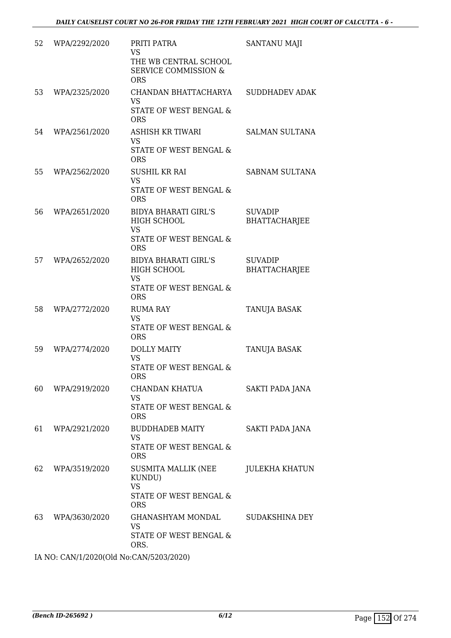| 52 | WPA/2292/2020 | PRITI PATRA<br><b>VS</b><br>THE WB CENTRAL SCHOOL<br><b>SERVICE COMMISSION &amp;</b><br><b>ORS</b> | SANTANU MAJI                           |
|----|---------------|----------------------------------------------------------------------------------------------------|----------------------------------------|
| 53 | WPA/2325/2020 | CHANDAN BHATTACHARYA<br><b>VS</b><br>STATE OF WEST BENGAL &<br><b>ORS</b>                          | <b>SUDDHADEV ADAK</b>                  |
| 54 | WPA/2561/2020 | ASHISH KR TIWARI<br>VS<br>STATE OF WEST BENGAL &<br><b>ORS</b>                                     | <b>SALMAN SULTANA</b>                  |
| 55 | WPA/2562/2020 | SUSHIL KR RAI<br><b>VS</b><br>STATE OF WEST BENGAL &<br><b>ORS</b>                                 | <b>SABNAM SULTANA</b>                  |
| 56 | WPA/2651/2020 | <b>BIDYA BHARATI GIRL'S</b><br>HIGH SCHOOL<br>VS<br>STATE OF WEST BENGAL &<br><b>ORS</b>           | <b>SUVADIP</b><br><b>BHATTACHARJEE</b> |
| 57 | WPA/2652/2020 | <b>BIDYA BHARATI GIRL'S</b><br>HIGH SCHOOL<br><b>VS</b><br>STATE OF WEST BENGAL &<br><b>ORS</b>    | <b>SUVADIP</b><br><b>BHATTACHARJEE</b> |
| 58 | WPA/2772/2020 | <b>RUMA RAY</b><br><b>VS</b><br>STATE OF WEST BENGAL &<br><b>ORS</b>                               | TANUJA BASAK                           |
| 59 | WPA/2774/2020 | <b>DOLLY MAITY</b><br>VS<br>STATE OF WEST BENGAL &<br><b>ORS</b>                                   | TANUJA BASAK                           |
| 60 | WPA/2919/2020 | CHANDAN KHATUA<br><b>VS</b><br>STATE OF WEST BENGAL &<br><b>ORS</b>                                | SAKTI PADA JANA                        |
| 61 | WPA/2921/2020 | <b>BUDDHADEB MAITY</b><br>VS<br>STATE OF WEST BENGAL &<br><b>ORS</b>                               | SAKTI PADA JANA                        |
| 62 | WPA/3519/2020 | SUSMITA MALLIK (NEE<br>KUNDU)<br><b>VS</b><br>STATE OF WEST BENGAL &<br><b>ORS</b>                 | <b>JULEKHA KHATUN</b>                  |
| 63 | WPA/3630/2020 | <b>GHANASHYAM MONDAL</b><br><b>VS</b><br>STATE OF WEST BENGAL &<br>ORS.                            | <b>SUDAKSHINA DEY</b>                  |

IA NO: CAN/1/2020(Old No:CAN/5203/2020)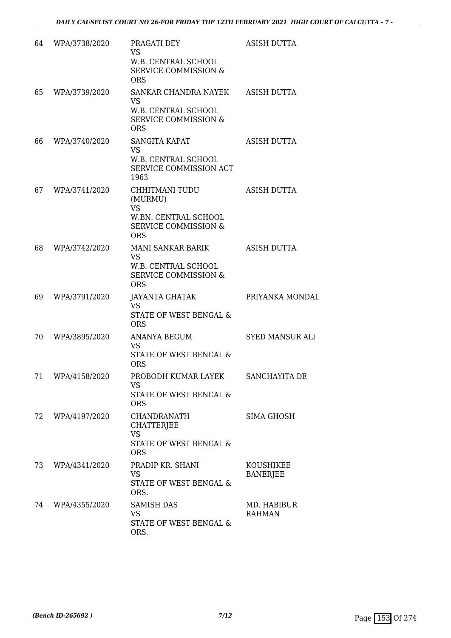| 64 | WPA/3738/2020    | PRAGATI DEY<br><b>VS</b><br>W.B. CENTRAL SCHOOL<br><b>SERVICE COMMISSION &amp;</b><br><b>ORS</b>                       | <b>ASISH DUTTA</b>           |
|----|------------------|------------------------------------------------------------------------------------------------------------------------|------------------------------|
| 65 | WPA/3739/2020    | SANKAR CHANDRA NAYEK<br><b>VS</b><br>W.B. CENTRAL SCHOOL<br><b>SERVICE COMMISSION &amp;</b><br><b>ORS</b>              | <b>ASISH DUTTA</b>           |
| 66 | WPA/3740/2020    | SANGITA KAPAT<br><b>VS</b><br>W.B. CENTRAL SCHOOL<br>SERVICE COMMISSION ACT<br>1963                                    | <b>ASISH DUTTA</b>           |
| 67 | WPA/3741/2020    | CHHITMANI TUDU<br>(MURMU)<br><b>VS</b><br><b>W.BN. CENTRAL SCHOOL</b><br><b>SERVICE COMMISSION &amp;</b><br><b>ORS</b> | <b>ASISH DUTTA</b>           |
| 68 | WPA/3742/2020    | <b>MANI SANKAR BARIK</b><br><b>VS</b><br>W.B. CENTRAL SCHOOL<br><b>SERVICE COMMISSION &amp;</b><br><b>ORS</b>          | <b>ASISH DUTTA</b>           |
| 69 | WPA/3791/2020    | JAYANTA GHATAK<br><b>VS</b><br>STATE OF WEST BENGAL &<br><b>ORS</b>                                                    | PRIYANKA MONDAL              |
| 70 | WPA/3895/2020    | <b>ANANYA BEGUM</b><br><b>VS</b><br>STATE OF WEST BENGAL &<br><b>ORS</b>                                               | <b>SYED MANSUR ALI</b>       |
|    | 71 WPA/4158/2020 | PROBODH KUMAR LAYEK SANCHAYITA DE<br>VS.<br><b>STATE OF WEST BENGAL &amp;</b><br><b>ORS</b>                            |                              |
| 72 | WPA/4197/2020    | CHANDRANATH<br>CHATTERJEE<br><b>VS</b><br>STATE OF WEST BENGAL &<br><b>ORS</b>                                         | SIMA GHOSH                   |
| 73 | WPA/4341/2020    | PRADIP KR. SHANI<br><b>VS</b><br>STATE OF WEST BENGAL &<br>ORS.                                                        | KOUSHIKEE<br><b>BANERJEE</b> |
| 74 | WPA/4355/2020    | <b>SAMISH DAS</b><br><b>VS</b><br>STATE OF WEST BENGAL &<br>ORS.                                                       | MD. HABIBUR<br><b>RAHMAN</b> |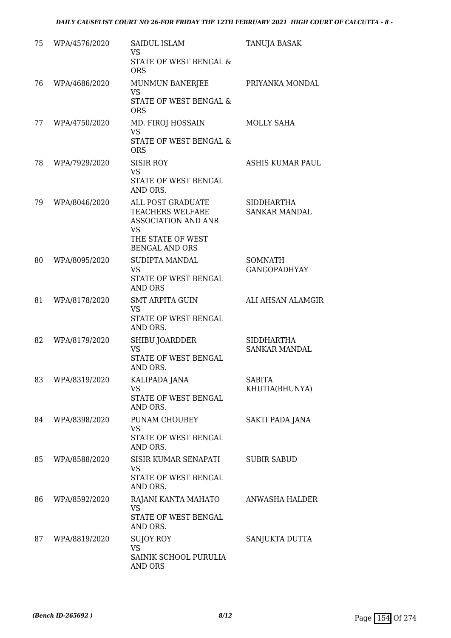| 75 | WPA/4576/2020 | <b>SAIDUL ISLAM</b><br><b>VS</b><br>STATE OF WEST BENGAL &<br><b>ORS</b>                                                              | TANUJA BASAK                              |
|----|---------------|---------------------------------------------------------------------------------------------------------------------------------------|-------------------------------------------|
| 76 | WPA/4686/2020 | MUNMUN BANERJEE<br><b>VS</b><br>STATE OF WEST BENGAL &<br><b>ORS</b>                                                                  | PRIYANKA MONDAL                           |
| 77 | WPA/4750/2020 | MD. FIROJ HOSSAIN<br>VS<br>STATE OF WEST BENGAL &<br><b>ORS</b>                                                                       | MOLLY SAHA                                |
| 78 | WPA/7929/2020 | <b>SISIR ROY</b><br><b>VS</b><br>STATE OF WEST BENGAL<br>AND ORS.                                                                     | <b>ASHIS KUMAR PAUL</b>                   |
| 79 | WPA/8046/2020 | ALL POST GRADUATE<br><b>TEACHERS WELFARE</b><br><b>ASSOCIATION AND ANR</b><br><b>VS</b><br>THE STATE OF WEST<br><b>BENGAL AND ORS</b> | <b>SIDDHARTHA</b><br><b>SANKAR MANDAL</b> |
| 80 | WPA/8095/2020 | SUDIPTA MANDAL<br><b>VS</b><br>STATE OF WEST BENGAL<br><b>AND ORS</b>                                                                 | SOMNATH<br><b>GANGOPADHYAY</b>            |
| 81 | WPA/8178/2020 | <b>SMT ARPITA GUIN</b><br><b>VS</b><br>STATE OF WEST BENGAL<br>AND ORS.                                                               | ALI AHSAN ALAMGIR                         |
| 82 | WPA/8179/2020 | SHIBU JOARDDER<br><b>VS</b><br>STATE OF WEST BENGAL<br>AND ORS.                                                                       | <b>SIDDHARTHA</b><br><b>SANKAR MANDAL</b> |
| 83 | WPA/8319/2020 | KALIPADA JANA<br><b>VS</b><br>STATE OF WEST BENGAL<br>AND ORS.                                                                        | <b>SABITA</b><br>KHUTIA(BHUNYA)           |
| 84 | WPA/8398/2020 | PUNAM CHOUBEY<br><b>VS</b><br>STATE OF WEST BENGAL<br>AND ORS.                                                                        | SAKTI PADA JANA                           |
| 85 | WPA/8588/2020 | SISIR KUMAR SENAPATI<br><b>VS</b><br>STATE OF WEST BENGAL<br>AND ORS.                                                                 | <b>SUBIR SABUD</b>                        |
| 86 | WPA/8592/2020 | RAJANI KANTA MAHATO<br><b>VS</b><br>STATE OF WEST BENGAL<br>AND ORS.                                                                  | ANWASHA HALDER                            |
| 87 | WPA/8819/2020 | SUJOY ROY<br><b>VS</b><br>SAINIK SCHOOL PURULIA<br><b>AND ORS</b>                                                                     | SANJUKTA DUTTA                            |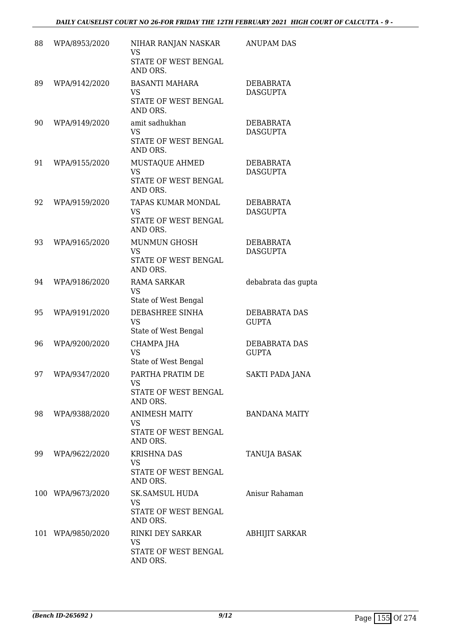| 88 | WPA/8953/2020     | NIHAR RANJAN NASKAR<br>VS<br>STATE OF WEST BENGAL<br>AND ORS.          | <b>ANUPAM DAS</b>                   |
|----|-------------------|------------------------------------------------------------------------|-------------------------------------|
| 89 | WPA/9142/2020     | <b>BASANTI MAHARA</b><br><b>VS</b><br>STATE OF WEST BENGAL<br>AND ORS. | <b>DEBABRATA</b><br><b>DASGUPTA</b> |
| 90 | WPA/9149/2020     | amit sadhukhan<br><b>VS</b><br>STATE OF WEST BENGAL<br>AND ORS.        | DEBABRATA<br><b>DASGUPTA</b>        |
| 91 | WPA/9155/2020     | MUSTAQUE AHMED<br><b>VS</b><br>STATE OF WEST BENGAL<br>AND ORS.        | DEBABRATA<br><b>DASGUPTA</b>        |
| 92 | WPA/9159/2020     | TAPAS KUMAR MONDAL<br><b>VS</b><br>STATE OF WEST BENGAL<br>AND ORS.    | DEBABRATA<br><b>DASGUPTA</b>        |
| 93 | WPA/9165/2020     | <b>MUNMUN GHOSH</b><br><b>VS</b><br>STATE OF WEST BENGAL<br>AND ORS.   | DEBABRATA<br><b>DASGUPTA</b>        |
| 94 | WPA/9186/2020     | <b>RAMA SARKAR</b><br><b>VS</b><br>State of West Bengal                | debabrata das gupta                 |
| 95 | WPA/9191/2020     | DEBASHREE SINHA<br><b>VS</b><br>State of West Bengal                   | DEBABRATA DAS<br><b>GUPTA</b>       |
| 96 | WPA/9200/2020     | CHAMPA JHA<br><b>VS</b><br>State of West Bengal                        | DEBABRATA DAS<br><b>GUPTA</b>       |
| 97 | WPA/9347/2020     | PARTHA PRATIM DE<br>VS.<br>STATE OF WEST BENGAL<br>AND ORS.            | <b>SAKTI PADA JANA</b>              |
| 98 | WPA/9388/2020     | <b>ANIMESH MAITY</b><br>VS.<br>STATE OF WEST BENGAL<br>AND ORS.        | <b>BANDANA MAITY</b>                |
| 99 | WPA/9622/2020     | <b>KRISHNA DAS</b><br>VS<br>STATE OF WEST BENGAL<br>AND ORS.           | TANUJA BASAK                        |
|    | 100 WPA/9673/2020 | SK.SAMSUL HUDA<br>VS<br>STATE OF WEST BENGAL<br>AND ORS.               | Anisur Rahaman                      |
|    | 101 WPA/9850/2020 | RINKI DEY SARKAR<br>VS.<br>STATE OF WEST BENGAL<br>AND ORS.            | <b>ABHIJIT SARKAR</b>               |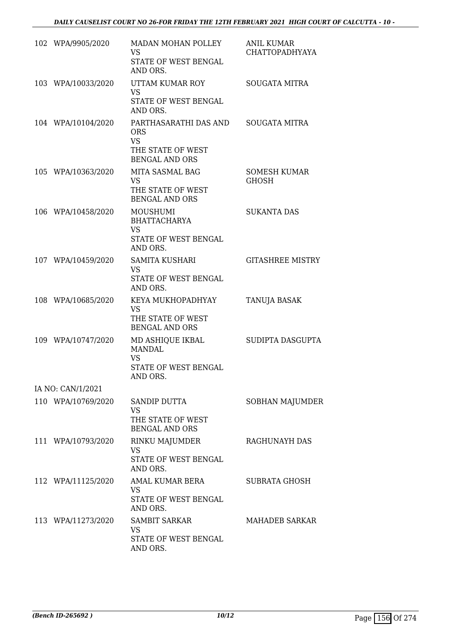| 102 WPA/9905/2020  | MADAN MOHAN POLLEY<br><b>VS</b><br>STATE OF WEST BENGAL<br>AND ORS.                            | <b>ANIL KUMAR</b><br><b>CHATTOPADHYAYA</b> |
|--------------------|------------------------------------------------------------------------------------------------|--------------------------------------------|
| 103 WPA/10033/2020 | UTTAM KUMAR ROY<br><b>VS</b><br>STATE OF WEST BENGAL<br>AND ORS.                               | <b>SOUGATA MITRA</b>                       |
| 104 WPA/10104/2020 | PARTHASARATHI DAS AND<br><b>ORS</b><br><b>VS</b><br>THE STATE OF WEST<br><b>BENGAL AND ORS</b> | <b>SOUGATA MITRA</b>                       |
| 105 WPA/10363/2020 | MITA SASMAL BAG<br><b>VS</b><br>THE STATE OF WEST<br><b>BENGAL AND ORS</b>                     | <b>SOMESH KUMAR</b><br>GHOSH               |
| 106 WPA/10458/2020 | MOUSHUMI<br><b>BHATTACHARYA</b><br><b>VS</b><br>STATE OF WEST BENGAL<br>AND ORS.               | <b>SUKANTA DAS</b>                         |
| 107 WPA/10459/2020 | SAMITA KUSHARI<br><b>VS</b><br>STATE OF WEST BENGAL<br>AND ORS.                                | <b>GITASHREE MISTRY</b>                    |
| 108 WPA/10685/2020 | KEYA MUKHOPADHYAY<br><b>VS</b><br>THE STATE OF WEST<br><b>BENGAL AND ORS</b>                   | TANUJA BASAK                               |
| 109 WPA/10747/2020 | MD ASHIQUE IKBAL<br><b>MANDAL</b><br><b>VS</b><br><b>STATE OF WEST BENGAL</b><br>AND ORS.      | SUDIPTA DASGUPTA                           |
| IA NO: CAN/1/2021  |                                                                                                |                                            |
| 110 WPA/10769/2020 | <b>SANDIP DUTTA</b><br><b>VS</b><br>THE STATE OF WEST<br><b>BENGAL AND ORS</b>                 | SOBHAN MAJUMDER                            |
| 111 WPA/10793/2020 | RINKU MAJUMDER<br><b>VS</b><br>STATE OF WEST BENGAL<br>AND ORS.                                | <b>RAGHUNAYH DAS</b>                       |
| 112 WPA/11125/2020 | AMAL KUMAR BERA<br>VS.<br>STATE OF WEST BENGAL<br>AND ORS.                                     | SUBRATA GHOSH                              |
| 113 WPA/11273/2020 | <b>SAMBIT SARKAR</b><br>VS<br>STATE OF WEST BENGAL<br>AND ORS.                                 | <b>MAHADEB SARKAR</b>                      |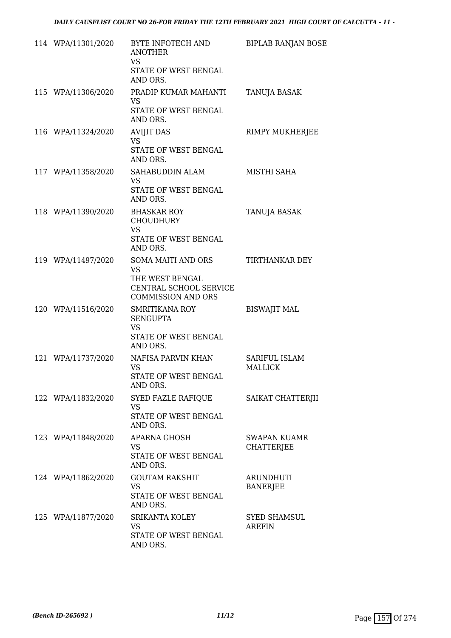| 114 WPA/11301/2020 | BYTE INFOTECH AND<br><b>ANOTHER</b><br><b>VS</b><br>STATE OF WEST BENGAL<br>AND ORS.                      | <b>BIPLAB RANJAN BOSE</b>                |
|--------------------|-----------------------------------------------------------------------------------------------------------|------------------------------------------|
| 115 WPA/11306/2020 | PRADIP KUMAR MAHANTI<br><b>VS</b><br>STATE OF WEST BENGAL<br>AND ORS.                                     | TANUJA BASAK                             |
| 116 WPA/11324/2020 | <b>AVIJIT DAS</b><br><b>VS</b><br>STATE OF WEST BENGAL<br>AND ORS.                                        | RIMPY MUKHERJEE                          |
| 117 WPA/11358/2020 | SAHABUDDIN ALAM<br><b>VS</b><br>STATE OF WEST BENGAL<br>AND ORS.                                          | MISTHI SAHA                              |
| 118 WPA/11390/2020 | <b>BHASKAR ROY</b><br><b>CHOUDHURY</b><br><b>VS</b><br><b>STATE OF WEST BENGAL</b><br>AND ORS.            | <b>TANUJA BASAK</b>                      |
| 119 WPA/11497/2020 | SOMA MAITI AND ORS<br><b>VS</b><br>THE WEST BENGAL<br>CENTRAL SCHOOL SERVICE<br><b>COMMISSION AND ORS</b> | TIRTHANKAR DEY                           |
| 120 WPA/11516/2020 | <b>SMRITIKANA ROY</b><br><b>SENGUPTA</b><br><b>VS</b><br>STATE OF WEST BENGAL<br>AND ORS.                 | <b>BISWAJIT MAL</b>                      |
| 121 WPA/11737/2020 | NAFISA PARVIN KHAN<br>VS<br>STATE OF WEST BENGAL<br>AND ORS.                                              | <b>SARIFUL ISLAM</b><br><b>MALLICK</b>   |
| 122 WPA/11832/2020 | SYED FAZLE RAFIQUE<br><b>VS</b><br>STATE OF WEST BENGAL<br>AND ORS.                                       | SAIKAT CHATTERJII                        |
| 123 WPA/11848/2020 | <b>APARNA GHOSH</b><br><b>VS</b><br>STATE OF WEST BENGAL<br>AND ORS.                                      | <b>SWAPAN KUAMR</b><br><b>CHATTERJEE</b> |
| 124 WPA/11862/2020 | <b>GOUTAM RAKSHIT</b><br><b>VS</b><br>STATE OF WEST BENGAL<br>AND ORS.                                    | ARUNDHUTI<br><b>BANERJEE</b>             |
| 125 WPA/11877/2020 | SRIKANTA KOLEY<br><b>VS</b><br>STATE OF WEST BENGAL<br>AND ORS.                                           | <b>SYED SHAMSUL</b><br><b>AREFIN</b>     |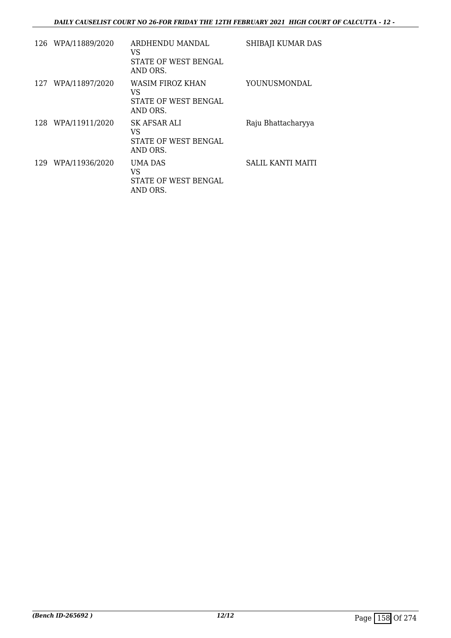|     | 126 WPA/11889/2020 | ARDHENDU MANDAL<br>VS<br>STATE OF WEST BENGAL<br>AND ORS.     | SHIBAJI KUMAR DAS  |
|-----|--------------------|---------------------------------------------------------------|--------------------|
| 127 | WPA/11897/2020     | WASIM FIROZ KHAN<br>VS<br>STATE OF WEST BENGAL<br>AND ORS.    | YOUNUSMONDAL       |
| 128 | WPA/11911/2020     | SK AFSAR ALI<br>VS<br><b>STATE OF WEST BENGAL</b><br>AND ORS. | Raju Bhattacharyya |
| 129 | WPA/11936/2020     | UMA DAS<br>VS<br>STATE OF WEST BENGAL<br>AND ORS.             | SALIL KANTI MAITI  |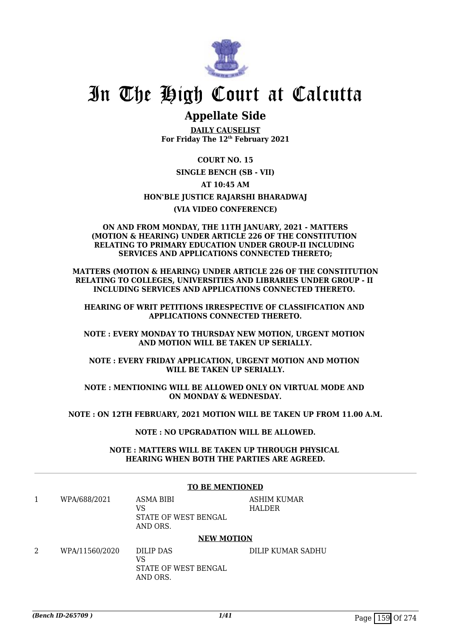

## In The High Court at Calcutta

### **Appellate Side**

**DAILY CAUSELIST For Friday The 12th February 2021**

#### **COURT NO. 15**

**SINGLE BENCH (SB - VII)**

#### **AT 10:45 AM**

#### **HON'BLE JUSTICE RAJARSHI BHARADWAJ**

#### **(VIA VIDEO CONFERENCE)**

#### **ON AND FROM MONDAY, THE 11TH JANUARY, 2021 - MATTERS (MOTION & HEARING) UNDER ARTICLE 226 OF THE CONSTITUTION RELATING TO PRIMARY EDUCATION UNDER GROUP-II INCLUDING SERVICES AND APPLICATIONS CONNECTED THERETO;**

**MATTERS (MOTION & HEARING) UNDER ARTICLE 226 OF THE CONSTITUTION RELATING TO COLLEGES, UNIVERSITIES AND LIBRARIES UNDER GROUP - II INCLUDING SERVICES AND APPLICATIONS CONNECTED THERETO.** 

**HEARING OF WRIT PETITIONS IRRESPECTIVE OF CLASSIFICATION AND APPLICATIONS CONNECTED THERETO.**

**NOTE : EVERY MONDAY TO THURSDAY NEW MOTION, URGENT MOTION AND MOTION WILL BE TAKEN UP SERIALLY.**

**NOTE : EVERY FRIDAY APPLICATION, URGENT MOTION AND MOTION WILL BE TAKEN UP SERIALLY.**

**NOTE : MENTIONING WILL BE ALLOWED ONLY ON VIRTUAL MODE AND ON MONDAY & WEDNESDAY.**

**NOTE : ON 12TH FEBRUARY, 2021 MOTION WILL BE TAKEN UP FROM 11.00 A.M.**

**NOTE : NO UPGRADATION WILL BE ALLOWED.**

**NOTE : MATTERS WILL BE TAKEN UP THROUGH PHYSICAL HEARING WHEN BOTH THE PARTIES ARE AGREED.**

**TO BE MENTIONED**

|                | TO DE MENTIONED                                     |                              |  |
|----------------|-----------------------------------------------------|------------------------------|--|
| WPA/688/2021   | ASMA BIBI<br>VS<br>STATE OF WEST BENGAL<br>AND ORS. | ASHIM KUMAR<br><b>HALDER</b> |  |
|                | <b>NEW MOTION</b>                                   |                              |  |
| WPA/11560/2020 | DILIP DAS<br>VS<br>STATE OF WEST BENGAL<br>AND ORS. | DILIP KUMAR SADHU            |  |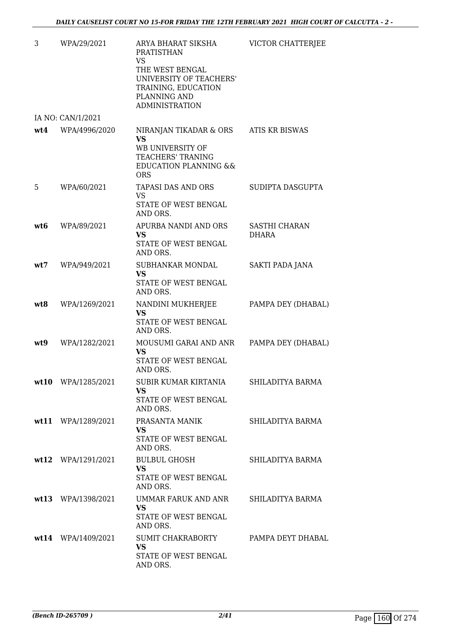| 3   | WPA/29/2021          | ARYA BHARAT SIKSHA<br><b>PRATISTHAN</b><br><b>VS</b>                                                                 | VICTOR CHATTERJEE      |
|-----|----------------------|----------------------------------------------------------------------------------------------------------------------|------------------------|
|     |                      | THE WEST BENGAL<br>UNIVERSITY OF TEACHERS'<br>TRAINING, EDUCATION<br>PLANNING AND<br><b>ADMINISTRATION</b>           |                        |
|     | IA NO: CAN/1/2021    |                                                                                                                      |                        |
|     | wt4 WPA/4996/2020    | NIRANJAN TIKADAR & ORS<br><b>VS</b><br>WB UNIVERSITY OF<br>TEACHERS' TRANING<br><b>EDUCATION PLANNING &amp;&amp;</b> | <b>ATIS KR BISWAS</b>  |
| 5   | WPA/60/2021          | <b>ORS</b><br>TAPASI DAS AND ORS<br><b>VS</b><br>STATE OF WEST BENGAL<br>AND ORS.                                    | SUDIPTA DASGUPTA       |
| wt6 | WPA/89/2021          | APURBA NANDI AND ORS<br><b>VS</b><br>STATE OF WEST BENGAL<br>AND ORS.                                                | SASTHI CHARAN<br>DHARA |
| wt7 | WPA/949/2021         | SUBHANKAR MONDAL<br><b>VS</b><br>STATE OF WEST BENGAL<br>AND ORS.                                                    | SAKTI PADA JANA        |
| wt8 | WPA/1269/2021        | NANDINI MUKHERJEE<br><b>VS</b><br>STATE OF WEST BENGAL<br>AND ORS.                                                   | PAMPA DEY (DHABAL)     |
| wt9 | WPA/1282/2021        | MOUSUMI GARAI AND ANR<br><b>VS</b><br>STATE OF WEST BENGAL<br>AND ORS.                                               | PAMPA DEY (DHABAL)     |
|     | wt10 WPA/1285/2021   | SUBIR KUMAR KIRTANIA<br>VS<br>STATE OF WEST BENGAL<br>AND ORS.                                                       | SHILADITYA BARMA       |
|     | wt11 WPA/1289/2021   | PRASANTA MANIK<br>VS.<br>STATE OF WEST BENGAL<br>AND ORS.                                                            | SHILADITYA BARMA       |
|     | $wt12$ WPA/1291/2021 | <b>BULBUL GHOSH</b><br><b>VS</b><br>STATE OF WEST BENGAL<br>AND ORS.                                                 | SHILADITYA BARMA       |
|     | wt13 WPA/1398/2021   | UMMAR FARUK AND ANR<br>VS<br>STATE OF WEST BENGAL<br>AND ORS.                                                        | SHILADITYA BARMA       |
|     | wt14 WPA/1409/2021   | SUMIT CHAKRABORTY<br><b>VS</b><br>STATE OF WEST BENGAL<br>AND ORS.                                                   | PAMPA DEYT DHABAL      |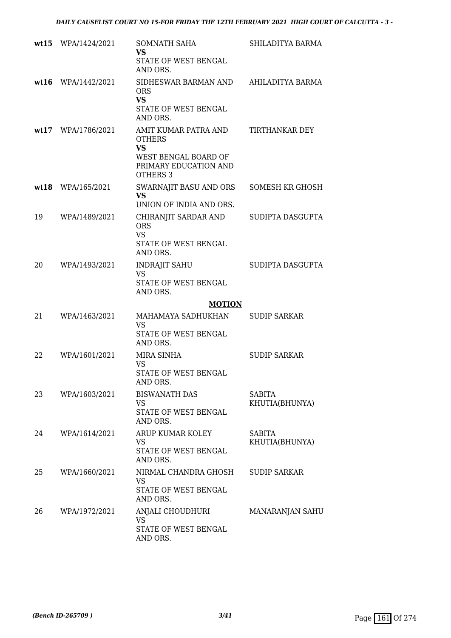|    | wt15 WPA/1424/2021 | SOMNATH SAHA<br>VS.<br>STATE OF WEST BENGAL<br>AND ORS.                                                         | SHILADITYA BARMA                |
|----|--------------------|-----------------------------------------------------------------------------------------------------------------|---------------------------------|
|    | wt16 WPA/1442/2021 | SIDHESWAR BARMAN AND<br><b>ORS</b><br><b>VS</b><br>STATE OF WEST BENGAL<br>AND ORS.                             | AHILADITYA BARMA                |
|    | wt17 WPA/1786/2021 | AMIT KUMAR PATRA AND<br><b>OTHERS</b><br><b>VS</b><br>WEST BENGAL BOARD OF<br>PRIMARY EDUCATION AND<br>OTHERS 3 | TIRTHANKAR DEY                  |
|    | wt18 WPA/165/2021  | SWARNAJIT BASU AND ORS<br>VS.<br>UNION OF INDIA AND ORS.                                                        | SOMESH KR GHOSH                 |
| 19 | WPA/1489/2021      | CHIRANJIT SARDAR AND<br><b>ORS</b><br><b>VS</b><br>STATE OF WEST BENGAL<br>AND ORS.                             | SUDIPTA DASGUPTA                |
| 20 | WPA/1493/2021      | <b>INDRAJIT SAHU</b><br><b>VS</b><br>STATE OF WEST BENGAL<br>AND ORS.                                           | SUDIPTA DASGUPTA                |
| 21 | WPA/1463/2021      | <b>MOTION</b><br>MAHAMAYA SADHUKHAN<br>VS<br>STATE OF WEST BENGAL                                               | <b>SUDIP SARKAR</b>             |
|    |                    | AND ORS.                                                                                                        |                                 |
| 22 | WPA/1601/2021      | MIRA SINHA<br><b>VS</b><br>STATE OF WEST BENGAL<br>AND ORS.                                                     | <b>SUDIP SARKAR</b>             |
| 23 | WPA/1603/2021      | <b>BISWANATH DAS</b><br>VS<br>STATE OF WEST BENGAL<br>AND ORS.                                                  | SABITA<br>KHUTIA(BHUNYA)        |
| 24 | WPA/1614/2021      | ARUP KUMAR KOLEY<br>VS<br>STATE OF WEST BENGAL<br>AND ORS.                                                      | <b>SABITA</b><br>KHUTIA(BHUNYA) |
| 25 | WPA/1660/2021      | NIRMAL CHANDRA GHOSH<br>VS<br>STATE OF WEST BENGAL<br>AND ORS.                                                  | <b>SUDIP SARKAR</b>             |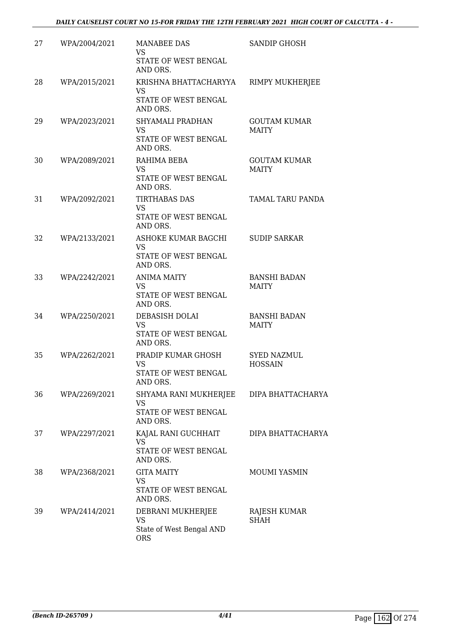| 27 | WPA/2004/2021 | <b>MANABEE DAS</b><br>VS<br>STATE OF WEST BENGAL<br>AND ORS.           | <b>SANDIP GHOSH</b>                  |
|----|---------------|------------------------------------------------------------------------|--------------------------------------|
| 28 | WPA/2015/2021 | KRISHNA BHATTACHARYYA<br><b>VS</b><br>STATE OF WEST BENGAL<br>AND ORS. | <b>RIMPY MUKHERJEE</b>               |
| 29 | WPA/2023/2021 | SHYAMALI PRADHAN<br><b>VS</b><br>STATE OF WEST BENGAL<br>AND ORS.      | <b>GOUTAM KUMAR</b><br><b>MAITY</b>  |
| 30 | WPA/2089/2021 | RAHIMA BEBA<br><b>VS</b><br>STATE OF WEST BENGAL<br>AND ORS.           | <b>GOUTAM KUMAR</b><br><b>MAITY</b>  |
| 31 | WPA/2092/2021 | <b>TIRTHABAS DAS</b><br><b>VS</b><br>STATE OF WEST BENGAL<br>AND ORS.  | <b>TAMAL TARU PANDA</b>              |
| 32 | WPA/2133/2021 | ASHOKE KUMAR BAGCHI<br><b>VS</b><br>STATE OF WEST BENGAL<br>AND ORS.   | <b>SUDIP SARKAR</b>                  |
| 33 | WPA/2242/2021 | <b>ANIMA MAITY</b><br>VS<br>STATE OF WEST BENGAL<br>AND ORS.           | <b>BANSHI BADAN</b><br><b>MAITY</b>  |
| 34 | WPA/2250/2021 | DEBASISH DOLAI<br><b>VS</b><br>STATE OF WEST BENGAL<br>AND ORS.        | <b>BANSHI BADAN</b><br><b>MAITY</b>  |
| 35 | WPA/2262/2021 | PRADIP KUMAR GHOSH<br><b>VS</b><br>STATE OF WEST BENGAL<br>AND ORS.    | <b>SYED NAZMUL</b><br><b>HOSSAIN</b> |
| 36 | WPA/2269/2021 | SHYAMA RANI MUKHERJEE<br>VS<br>STATE OF WEST BENGAL<br>AND ORS.        | DIPA BHATTACHARYA                    |
| 37 | WPA/2297/2021 | KAJAL RANI GUCHHAIT<br><b>VS</b><br>STATE OF WEST BENGAL<br>AND ORS.   | DIPA BHATTACHARYA                    |
| 38 | WPA/2368/2021 | <b>GITA MAITY</b><br>VS<br>STATE OF WEST BENGAL<br>AND ORS.            | MOUMI YASMIN                         |
| 39 | WPA/2414/2021 | DEBRANI MUKHERJEE<br>VS<br>State of West Bengal AND<br><b>ORS</b>      | RAJESH KUMAR<br>SHAH                 |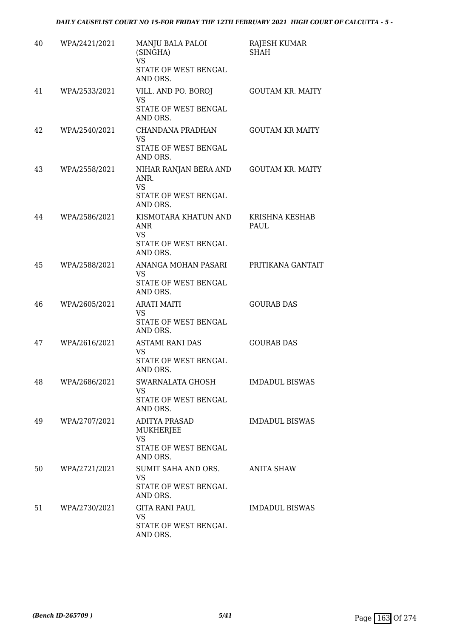| 40 | WPA/2421/2021 | MANJU BALA PALOI<br>(SINGHA)<br><b>VS</b><br>STATE OF WEST BENGAL<br>AND ORS.  | RAJESH KUMAR<br><b>SHAH</b> |
|----|---------------|--------------------------------------------------------------------------------|-----------------------------|
| 41 | WPA/2533/2021 | VILL. AND PO. BOROJ<br>VS<br>STATE OF WEST BENGAL<br>AND ORS.                  | <b>GOUTAM KR. MAITY</b>     |
| 42 | WPA/2540/2021 | CHANDANA PRADHAN<br><b>VS</b><br>STATE OF WEST BENGAL<br>AND ORS.              | <b>GOUTAM KR MAITY</b>      |
| 43 | WPA/2558/2021 | NIHAR RANJAN BERA AND<br>ANR.<br><b>VS</b><br>STATE OF WEST BENGAL<br>AND ORS. | <b>GOUTAM KR. MAITY</b>     |
| 44 | WPA/2586/2021 | KISMOTARA KHATUN AND<br>ANR<br><b>VS</b><br>STATE OF WEST BENGAL<br>AND ORS.   | KRISHNA KESHAB<br>PAUL      |
| 45 | WPA/2588/2021 | ANANGA MOHAN PASARI<br>VS<br>STATE OF WEST BENGAL<br>AND ORS.                  | PRITIKANA GANTAIT           |
| 46 | WPA/2605/2021 | <b>ARATI MAITI</b><br>VS<br>STATE OF WEST BENGAL<br>AND ORS.                   | <b>GOURAB DAS</b>           |
| 47 | WPA/2616/2021 | <b>ASTAMI RANI DAS</b><br>VS<br>STATE OF WEST BENGAL<br>AND ORS.               | <b>GOURAB DAS</b>           |
| 48 | WPA/2686/2021 | SWARNALATA GHOSH<br>VS<br>STATE OF WEST BENGAL<br>AND ORS.                     | <b>IMDADUL BISWAS</b>       |
| 49 | WPA/2707/2021 | ADITYA PRASAD<br>MUKHERJEE<br><b>VS</b><br>STATE OF WEST BENGAL<br>AND ORS.    | <b>IMDADUL BISWAS</b>       |
| 50 | WPA/2721/2021 | SUMIT SAHA AND ORS.<br><b>VS</b><br>STATE OF WEST BENGAL<br>AND ORS.           | <b>ANITA SHAW</b>           |
| 51 | WPA/2730/2021 | <b>GITA RANI PAUL</b><br><b>VS</b><br>STATE OF WEST BENGAL<br>AND ORS.         | <b>IMDADUL BISWAS</b>       |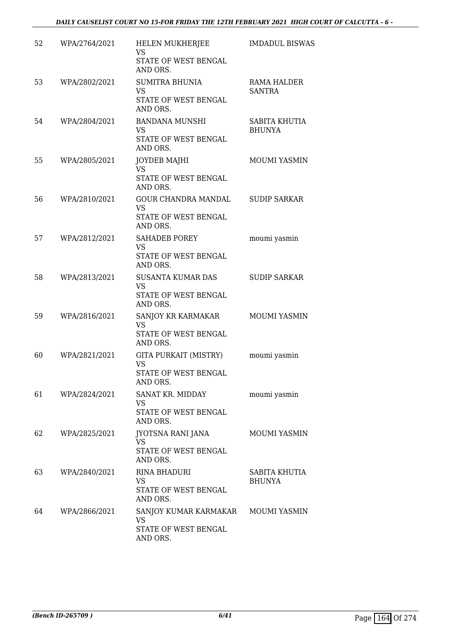| 52 | WPA/2764/2021 | HELEN MUKHERJEE<br>VS<br>STATE OF WEST BENGAL<br>AND ORS.                    | <b>IMDADUL BISWAS</b>          |
|----|---------------|------------------------------------------------------------------------------|--------------------------------|
| 53 | WPA/2802/2021 | <b>SUMITRA BHUNIA</b><br><b>VS</b><br>STATE OF WEST BENGAL<br>AND ORS.       | RAMA HALDER<br><b>SANTRA</b>   |
| 54 | WPA/2804/2021 | <b>BANDANA MUNSHI</b><br><b>VS</b><br>STATE OF WEST BENGAL<br>AND ORS.       | SABITA KHUTIA<br><b>BHUNYA</b> |
| 55 | WPA/2805/2021 | <b>JOYDEB MAJHI</b><br><b>VS</b><br>STATE OF WEST BENGAL<br>AND ORS.         | <b>MOUMI YASMIN</b>            |
| 56 | WPA/2810/2021 | <b>GOUR CHANDRA MANDAL</b><br><b>VS</b><br>STATE OF WEST BENGAL<br>AND ORS.  | <b>SUDIP SARKAR</b>            |
| 57 | WPA/2812/2021 | <b>SAHADEB POREY</b><br><b>VS</b><br>STATE OF WEST BENGAL<br>AND ORS.        | moumi yasmin                   |
| 58 | WPA/2813/2021 | <b>SUSANTA KUMAR DAS</b><br><b>VS</b><br>STATE OF WEST BENGAL<br>AND ORS.    | <b>SUDIP SARKAR</b>            |
| 59 | WPA/2816/2021 | SANJOY KR KARMAKAR<br>VS<br>STATE OF WEST BENGAL<br>AND ORS.                 | <b>MOUMI YASMIN</b>            |
| 60 | WPA/2821/2021 | GITA PURKAIT (MISTRY)<br><b>VS</b><br>STATE OF WEST BENGAL<br>AND ORS.       | moumi yasmin                   |
| 61 | WPA/2824/2021 | SANAT KR. MIDDAY<br>VS<br>STATE OF WEST BENGAL<br>AND ORS.                   | moumi yasmin                   |
| 62 | WPA/2825/2021 | JYOTSNA RANI JANA<br>VS<br>STATE OF WEST BENGAL<br>AND ORS.                  | MOUMI YASMIN                   |
| 63 | WPA/2840/2021 | RINA BHADURI<br>VS<br>STATE OF WEST BENGAL<br>AND ORS.                       | SABITA KHUTIA<br><b>BHUNYA</b> |
| 64 | WPA/2866/2021 | SANJOY KUMAR KARMAKAR MOUMI YASMIN<br>VS<br>STATE OF WEST BENGAL<br>AND ORS. |                                |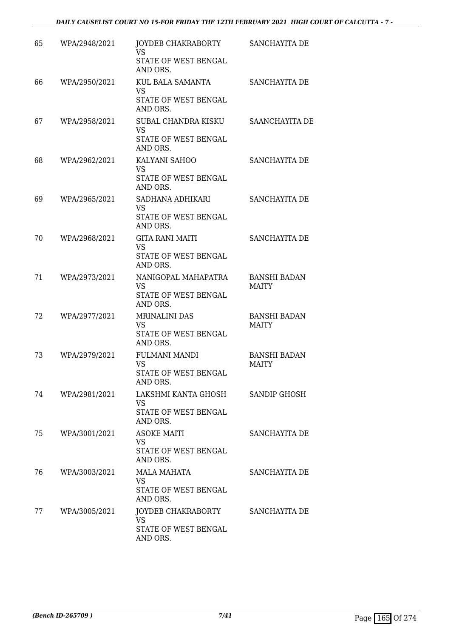| 65 | WPA/2948/2021 | JOYDEB CHAKRABORTY<br><b>VS</b><br>STATE OF WEST BENGAL                       | SANCHAYITA DE                       |
|----|---------------|-------------------------------------------------------------------------------|-------------------------------------|
| 66 | WPA/2950/2021 | AND ORS.<br>KUL BALA SAMANTA<br><b>VS</b><br>STATE OF WEST BENGAL<br>AND ORS. | SANCHAYITA DE                       |
| 67 | WPA/2958/2021 | SUBAL CHANDRA KISKU<br><b>VS</b><br>STATE OF WEST BENGAL<br>AND ORS.          | SAANCHAYITA DE                      |
| 68 | WPA/2962/2021 | KALYANI SAHOO<br><b>VS</b><br>STATE OF WEST BENGAL<br>AND ORS.                | SANCHAYITA DE                       |
| 69 | WPA/2965/2021 | SADHANA ADHIKARI<br>VS<br>STATE OF WEST BENGAL<br>AND ORS.                    | SANCHAYITA DE                       |
| 70 | WPA/2968/2021 | <b>GITA RANI MAITI</b><br><b>VS</b><br>STATE OF WEST BENGAL<br>AND ORS.       | SANCHAYITA DE                       |
| 71 | WPA/2973/2021 | NANIGOPAL MAHAPATRA<br><b>VS</b><br>STATE OF WEST BENGAL<br>AND ORS.          | <b>BANSHI BADAN</b><br><b>MAITY</b> |
| 72 | WPA/2977/2021 | <b>MRINALINI DAS</b><br>VS<br>STATE OF WEST BENGAL<br>AND ORS.                | <b>BANSHI BADAN</b><br><b>MAITY</b> |
| 73 | WPA/2979/2021 | <b>FULMANI MANDI</b><br><b>VS</b><br>STATE OF WEST BENGAL<br>AND ORS.         | <b>BANSHI BADAN</b><br><b>MAITY</b> |
| 74 | WPA/2981/2021 | LAKSHMI KANTA GHOSH<br>VS<br>STATE OF WEST BENGAL<br>AND ORS.                 | <b>SANDIP GHOSH</b>                 |
| 75 | WPA/3001/2021 | <b>ASOKE MAITI</b><br>VS<br>STATE OF WEST BENGAL<br>AND ORS.                  | SANCHAYITA DE                       |
| 76 | WPA/3003/2021 | MALA MAHATA<br>VS<br>STATE OF WEST BENGAL<br>AND ORS.                         | SANCHAYITA DE                       |
| 77 | WPA/3005/2021 | JOYDEB CHAKRABORTY<br><b>VS</b><br>STATE OF WEST BENGAL<br>AND ORS.           | SANCHAYITA DE                       |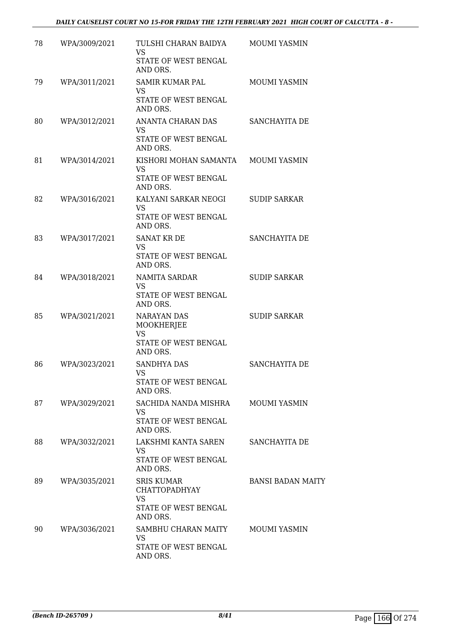| 78 | WPA/3009/2021 | TULSHI CHARAN BAIDYA<br>VS<br>STATE OF WEST BENGAL<br>AND ORS.                             | MOUMI YASMIN             |
|----|---------------|--------------------------------------------------------------------------------------------|--------------------------|
| 79 | WPA/3011/2021 | <b>SAMIR KUMAR PAL</b><br>VS<br>STATE OF WEST BENGAL<br>AND ORS.                           | <b>MOUMI YASMIN</b>      |
| 80 | WPA/3012/2021 | ANANTA CHARAN DAS<br><b>VS</b><br>STATE OF WEST BENGAL<br>AND ORS.                         | SANCHAYITA DE            |
| 81 | WPA/3014/2021 | KISHORI MOHAN SAMANTA<br>VS.<br>STATE OF WEST BENGAL<br>AND ORS.                           | <b>MOUMI YASMIN</b>      |
| 82 | WPA/3016/2021 | KALYANI SARKAR NEOGI<br><b>VS</b><br>STATE OF WEST BENGAL<br>AND ORS.                      | <b>SUDIP SARKAR</b>      |
| 83 | WPA/3017/2021 | <b>SANAT KR DE</b><br><b>VS</b><br>STATE OF WEST BENGAL<br>AND ORS.                        | SANCHAYITA DE            |
| 84 | WPA/3018/2021 | NAMITA SARDAR<br><b>VS</b><br>STATE OF WEST BENGAL<br>AND ORS.                             | <b>SUDIP SARKAR</b>      |
| 85 | WPA/3021/2021 | NARAYAN DAS<br>MOOKHERJEE<br><b>VS</b><br>STATE OF WEST BENGAL<br>AND ORS.                 | <b>SUDIP SARKAR</b>      |
| 86 | WPA/3023/2021 | <b>SANDHYA DAS</b><br>VS.<br>STATE OF WEST BENGAL<br>AND ORS.                              | SANCHAYITA DE            |
| 87 | WPA/3029/2021 | SACHIDA NANDA MISHRA<br>VS<br>STATE OF WEST BENGAL<br>AND ORS.                             | <b>MOUMI YASMIN</b>      |
| 88 | WPA/3032/2021 | LAKSHMI KANTA SAREN<br><b>VS</b><br>STATE OF WEST BENGAL<br>AND ORS.                       | SANCHAYITA DE            |
| 89 | WPA/3035/2021 | <b>SRIS KUMAR</b><br><b>CHATTOPADHYAY</b><br><b>VS</b><br>STATE OF WEST BENGAL<br>AND ORS. | <b>BANSI BADAN MAITY</b> |
| 90 | WPA/3036/2021 | SAMBHU CHARAN MAITY<br>VS<br>STATE OF WEST BENGAL<br>AND ORS.                              | MOUMI YASMIN             |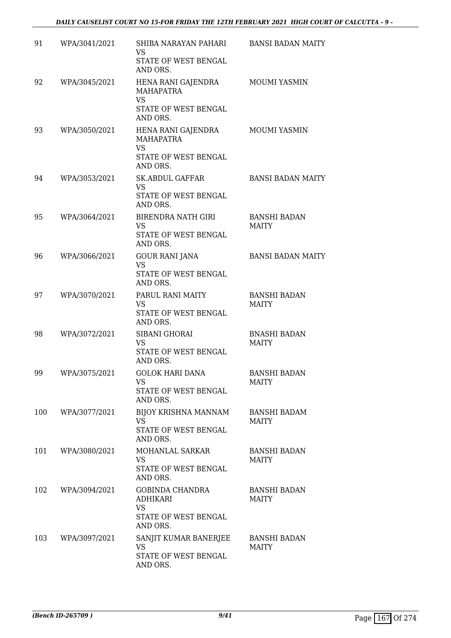| 91  | WPA/3041/2021 | SHIBA NARAYAN PAHARI<br>VS<br>STATE OF WEST BENGAL                                                  | <b>BANSI BADAN MAITY</b>            |
|-----|---------------|-----------------------------------------------------------------------------------------------------|-------------------------------------|
| 92  | WPA/3045/2021 | AND ORS.<br>HENA RANI GAJENDRA<br>MAHAPATRA<br><b>VS</b><br>STATE OF WEST BENGAL                    | MOUMI YASMIN                        |
| 93  | WPA/3050/2021 | AND ORS.<br>HENA RANI GAJENDRA<br><b>MAHAPATRA</b><br><b>VS</b><br>STATE OF WEST BENGAL<br>AND ORS. | <b>MOUMI YASMIN</b>                 |
| 94  | WPA/3053/2021 | <b>SK.ABDUL GAFFAR</b><br>VS<br>STATE OF WEST BENGAL<br>AND ORS.                                    | <b>BANSI BADAN MAITY</b>            |
| 95  | WPA/3064/2021 | BIRENDRA NATH GIRI<br>VS<br>STATE OF WEST BENGAL<br>AND ORS.                                        | <b>BANSHI BADAN</b><br><b>MAITY</b> |
| 96  | WPA/3066/2021 | <b>GOUR RANI JANA</b><br><b>VS</b><br>STATE OF WEST BENGAL<br>AND ORS.                              | <b>BANSI BADAN MAITY</b>            |
| 97  | WPA/3070/2021 | PARUL RANI MAITY<br><b>VS</b><br>STATE OF WEST BENGAL<br>AND ORS.                                   | <b>BANSHI BADAN</b><br><b>MAITY</b> |
| 98  | WPA/3072/2021 | SIBANI GHORAI<br><b>VS</b><br>STATE OF WEST BENGAL<br>AND ORS.                                      | <b>BNASHI BADAN</b><br><b>MAITY</b> |
| 99  | WPA/3075/2021 | <b>GOLOK HARI DANA</b><br><b>VS</b><br>STATE OF WEST BENGAL<br>AND ORS.                             | <b>BANSHI BADAN</b><br><b>MAITY</b> |
| 100 | WPA/3077/2021 | BIJOY KRISHNA MANNAM<br>VS.<br>STATE OF WEST BENGAL<br>AND ORS.                                     | <b>BANSHI BADAM</b><br><b>MAITY</b> |
| 101 | WPA/3080/2021 | MOHANLAL SARKAR<br>VS<br>STATE OF WEST BENGAL<br>AND ORS.                                           | <b>BANSHI BADAN</b><br><b>MAITY</b> |
| 102 | WPA/3094/2021 | GOBINDA CHANDRA<br>ADHIKARI<br><b>VS</b><br>STATE OF WEST BENGAL<br>AND ORS.                        | <b>BANSHI BADAN</b><br><b>MAITY</b> |
| 103 | WPA/3097/2021 | SANJIT KUMAR BANERJEE<br>VS.<br>STATE OF WEST BENGAL<br>AND ORS.                                    | <b>BANSHI BADAN</b><br><b>MAITY</b> |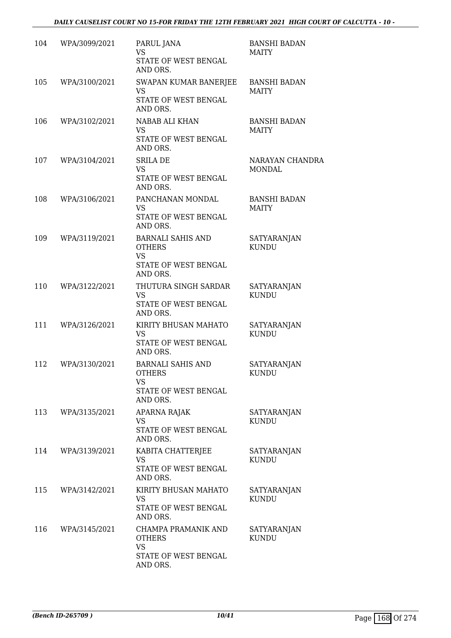| 104 | WPA/3099/2021 | PARUL JANA<br><b>VS</b><br>STATE OF WEST BENGAL<br>AND ORS.                                | <b>BANSHI BADAN</b><br>MAITY        |
|-----|---------------|--------------------------------------------------------------------------------------------|-------------------------------------|
| 105 | WPA/3100/2021 | SWAPAN KUMAR BANERJEE<br>VS<br>STATE OF WEST BENGAL<br>AND ORS.                            | <b>BANSHI BADAN</b><br><b>MAITY</b> |
| 106 | WPA/3102/2021 | NABAB ALI KHAN<br><b>VS</b><br>STATE OF WEST BENGAL<br>AND ORS.                            | <b>BANSHI BADAN</b><br><b>MAITY</b> |
| 107 | WPA/3104/2021 | <b>SRILA DE</b><br><b>VS</b><br>STATE OF WEST BENGAL<br>AND ORS.                           | NARAYAN CHANDRA<br><b>MONDAL</b>    |
| 108 | WPA/3106/2021 | PANCHANAN MONDAL<br>VS<br>STATE OF WEST BENGAL<br>AND ORS.                                 | <b>BANSHI BADAN</b><br><b>MAITY</b> |
| 109 | WPA/3119/2021 | <b>BARNALI SAHIS AND</b><br><b>OTHERS</b><br><b>VS</b><br>STATE OF WEST BENGAL<br>AND ORS. | <b>SATYARANJAN</b><br><b>KUNDU</b>  |
| 110 | WPA/3122/2021 | THUTURA SINGH SARDAR<br><b>VS</b><br>STATE OF WEST BENGAL<br>AND ORS.                      | <b>SATYARANJAN</b><br><b>KUNDU</b>  |
| 111 | WPA/3126/2021 | KIRITY BHUSAN MAHATO<br>VS<br>STATE OF WEST BENGAL<br>AND ORS.                             | <b>SATYARANJAN</b><br><b>KUNDU</b>  |
| 112 | WPA/3130/2021 | <b>BARNALI SAHIS AND</b><br><b>OTHERS</b><br>VS<br>STATE OF WEST BENGAL<br>AND ORS.        | <b>SATYARANJAN</b><br>KUNDU         |
| 113 | WPA/3135/2021 | APARNA RAJAK<br>VS<br>STATE OF WEST BENGAL<br>AND ORS.                                     | SATYARANJAN<br>KUNDU                |
| 114 | WPA/3139/2021 | KABITA CHATTERJEE<br><b>VS</b><br>STATE OF WEST BENGAL<br>AND ORS.                         | SATYARANJAN<br><b>KUNDU</b>         |
| 115 | WPA/3142/2021 | KIRITY BHUSAN MAHATO<br>VS<br>STATE OF WEST BENGAL<br>AND ORS.                             | SATYARANJAN<br><b>KUNDU</b>         |
| 116 | WPA/3145/2021 | CHAMPA PRAMANIK AND<br><b>OTHERS</b><br><b>VS</b><br>STATE OF WEST BENGAL<br>AND ORS.      | SATYARANJAN<br><b>KUNDU</b>         |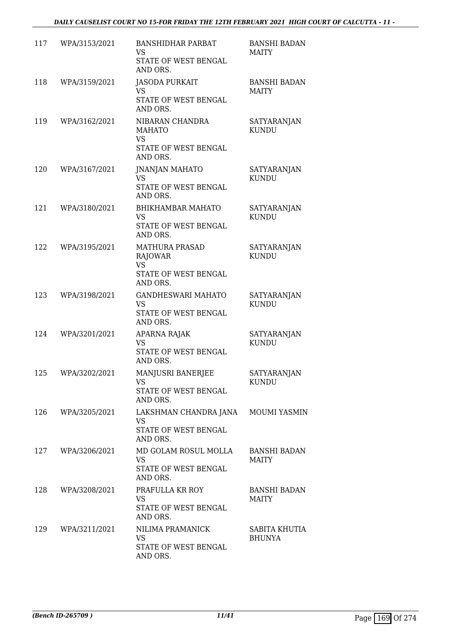| 117 | WPA/3153/2021 | <b>BANSHIDHAR PARBAT</b><br>VS<br>STATE OF WEST BENGAL<br>AND ORS.                | <b>BANSHI BADAN</b><br><b>MAITY</b> |
|-----|---------------|-----------------------------------------------------------------------------------|-------------------------------------|
| 118 | WPA/3159/2021 | <b>JASODA PURKAIT</b><br>VS.<br>STATE OF WEST BENGAL<br>AND ORS.                  | <b>BANSHI BADAN</b><br><b>MAITY</b> |
| 119 | WPA/3162/2021 | NIBARAN CHANDRA<br><b>MAHATO</b><br><b>VS</b><br>STATE OF WEST BENGAL<br>AND ORS. | SATYARANJAN<br><b>KUNDU</b>         |
| 120 | WPA/3167/2021 | <b>JNANJAN MAHATO</b><br>VS<br>STATE OF WEST BENGAL<br>AND ORS.                   | <b>SATYARANJAN</b><br><b>KUNDU</b>  |
| 121 | WPA/3180/2021 | BHIKHAMBAR MAHATO<br><b>VS</b><br>STATE OF WEST BENGAL<br>AND ORS.                | SATYARANJAN<br><b>KUNDU</b>         |
| 122 | WPA/3195/2021 | <b>MATHURA PRASAD</b><br>RAJOWAR<br><b>VS</b><br>STATE OF WEST BENGAL<br>AND ORS. | SATYARANJAN<br><b>KUNDU</b>         |
| 123 | WPA/3198/2021 | <b>GANDHESWARI MAHATO</b><br>VS<br>STATE OF WEST BENGAL<br>AND ORS.               | <b>SATYARANJAN</b><br><b>KUNDU</b>  |
| 124 | WPA/3201/2021 | APARNA RAJAK<br><b>VS</b><br>STATE OF WEST BENGAL<br>AND ORS.                     | <b>SATYARANJAN</b><br><b>KUNDU</b>  |
| 125 | WPA/3202/2021 | MANJUSRI BANERJEE<br>VS<br>STATE OF WEST BENGAL<br>AND ORS.                       | <b>SATYARANJAN</b><br><b>KUNDU</b>  |
| 126 | WPA/3205/2021 | LAKSHMAN CHANDRA JANA<br>VS<br>STATE OF WEST BENGAL<br>AND ORS.                   | <b>MOUMI YASMIN</b>                 |
| 127 | WPA/3206/2021 | MD GOLAM ROSUL MOLLA<br><b>VS</b><br>STATE OF WEST BENGAL<br>AND ORS.             | <b>BANSHI BADAN</b><br><b>MAITY</b> |
| 128 | WPA/3208/2021 | PRAFULLA KR ROY<br>VS<br>STATE OF WEST BENGAL<br>AND ORS.                         | <b>BANSHI BADAN</b><br><b>MAITY</b> |
| 129 | WPA/3211/2021 | NILIMA PRAMANICK<br>VS<br>STATE OF WEST BENGAL<br>AND ORS.                        | SABITA KHUTIA<br><b>BHUNYA</b>      |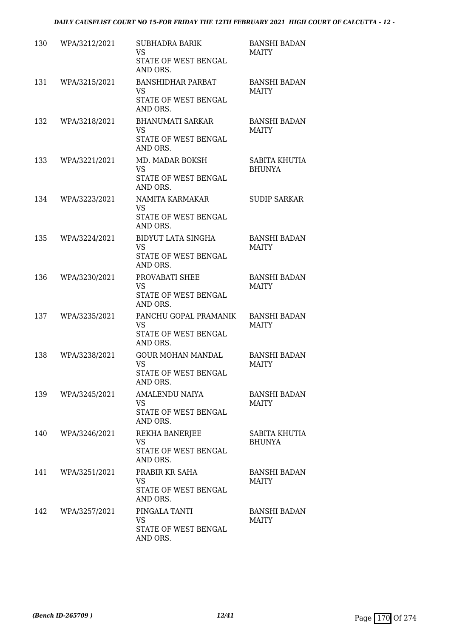| 130 | WPA/3212/2021 | <b>SUBHADRA BARIK</b><br><b>VS</b><br>STATE OF WEST BENGAL<br>AND ORS.     | <b>BANSHI BADAN</b><br><b>MAITY</b> |
|-----|---------------|----------------------------------------------------------------------------|-------------------------------------|
| 131 | WPA/3215/2021 | <b>BANSHIDHAR PARBAT</b><br>VS<br>STATE OF WEST BENGAL<br>AND ORS.         | <b>BANSHI BADAN</b><br><b>MAITY</b> |
| 132 | WPA/3218/2021 | <b>BHANUMATI SARKAR</b><br><b>VS</b><br>STATE OF WEST BENGAL<br>AND ORS.   | <b>BANSHI BADAN</b><br><b>MAITY</b> |
| 133 | WPA/3221/2021 | MD. MADAR BOKSH<br>VS<br>STATE OF WEST BENGAL<br>AND ORS.                  | SABITA KHUTIA<br><b>BHUNYA</b>      |
| 134 | WPA/3223/2021 | NAMITA KARMAKAR<br>VS<br>STATE OF WEST BENGAL<br>AND ORS.                  | <b>SUDIP SARKAR</b>                 |
| 135 | WPA/3224/2021 | <b>BIDYUT LATA SINGHA</b><br><b>VS</b><br>STATE OF WEST BENGAL<br>AND ORS. | <b>BANSHI BADAN</b><br><b>MAITY</b> |
| 136 | WPA/3230/2021 | PROVABATI SHEE<br><b>VS</b><br>STATE OF WEST BENGAL<br>AND ORS.            | <b>BANSHI BADAN</b><br><b>MAITY</b> |
| 137 | WPA/3235/2021 | PANCHU GOPAL PRAMANIK<br>VS<br>STATE OF WEST BENGAL<br>AND ORS.            | <b>BANSHI BADAN</b><br><b>MAITY</b> |
| 138 | WPA/3238/2021 | <b>GOUR MOHAN MANDAL</b><br><b>VS</b><br>STATE OF WEST BENGAL<br>AND ORS.  | <b>BANSHI BADAN</b><br><b>MAITY</b> |
| 139 | WPA/3245/2021 | AMALENDU NAIYA<br>VS<br>STATE OF WEST BENGAL<br>AND ORS.                   | <b>BANSHI BADAN</b><br><b>MAITY</b> |
| 140 | WPA/3246/2021 | REKHA BANERJEE<br>VS<br>STATE OF WEST BENGAL<br>AND ORS.                   | SABITA KHUTIA<br><b>BHUNYA</b>      |
| 141 | WPA/3251/2021 | PRABIR KR SAHA<br>VS.<br>STATE OF WEST BENGAL<br>AND ORS.                  | <b>BANSHI BADAN</b><br><b>MAITY</b> |
| 142 | WPA/3257/2021 | PINGALA TANTI<br>VS<br>STATE OF WEST BENGAL<br>AND ORS.                    | BANSHI BADAN<br><b>MAITY</b>        |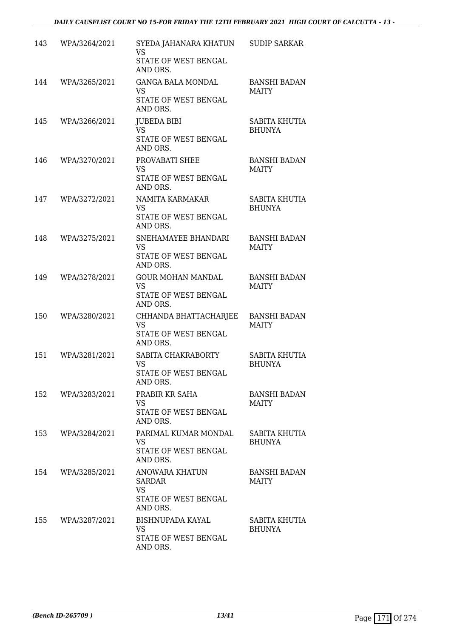| 143 | WPA/3264/2021 | SYEDA JAHANARA KHATUN<br><b>VS</b><br>STATE OF WEST BENGAL                     | <b>SUDIP SARKAR</b>                 |
|-----|---------------|--------------------------------------------------------------------------------|-------------------------------------|
| 144 | WPA/3265/2021 | AND ORS.<br><b>GANGA BALA MONDAL</b><br>VS<br>STATE OF WEST BENGAL<br>AND ORS. | <b>BANSHI BADAN</b><br><b>MAITY</b> |
| 145 | WPA/3266/2021 | <b>JUBEDA BIBI</b><br><b>VS</b><br>STATE OF WEST BENGAL<br>AND ORS.            | SABITA KHUTIA<br><b>BHUNYA</b>      |
| 146 | WPA/3270/2021 | PROVABATI SHEE<br>VS<br>STATE OF WEST BENGAL<br>AND ORS.                       | <b>BANSHI BADAN</b><br><b>MAITY</b> |
| 147 | WPA/3272/2021 | NAMITA KARMAKAR<br>VS<br>STATE OF WEST BENGAL<br>AND ORS.                      | SABITA KHUTIA<br><b>BHUNYA</b>      |
| 148 | WPA/3275/2021 | SNEHAMAYEE BHANDARI<br><b>VS</b><br>STATE OF WEST BENGAL<br>AND ORS.           | <b>BANSHI BADAN</b><br><b>MAITY</b> |
| 149 | WPA/3278/2021 | <b>GOUR MOHAN MANDAL</b><br>VS<br>STATE OF WEST BENGAL<br>AND ORS.             | <b>BANSHI BADAN</b><br><b>MAITY</b> |
| 150 | WPA/3280/2021 | CHHANDA BHATTACHARJEE<br><b>VS</b><br>STATE OF WEST BENGAL<br>AND ORS.         | <b>BANSHI BADAN</b><br><b>MAITY</b> |
| 151 | WPA/3281/2021 | SABITA CHAKRABORTY<br><b>VS</b><br>STATE OF WEST BENGAL<br>AND ORS.            | SABITA KHUTIA<br><b>BHUNYA</b>      |
| 152 | WPA/3283/2021 | PRABIR KR SAHA<br>VS<br>STATE OF WEST BENGAL<br>AND ORS.                       | <b>BANSHI BADAN</b><br><b>MAITY</b> |
| 153 | WPA/3284/2021 | PARIMAL KUMAR MONDAL<br>VS<br>STATE OF WEST BENGAL<br>AND ORS.                 | SABITA KHUTIA<br><b>BHUNYA</b>      |
| 154 | WPA/3285/2021 | ANOWARA KHATUN<br><b>SARDAR</b><br><b>VS</b><br>STATE OF WEST BENGAL           | BANSHI BADAN<br><b>MAITY</b>        |
| 155 | WPA/3287/2021 | AND ORS.<br>BISHNUPADA KAYAL<br><b>VS</b><br>STATE OF WEST BENGAL<br>AND ORS.  | SABITA KHUTIA<br><b>BHUNYA</b>      |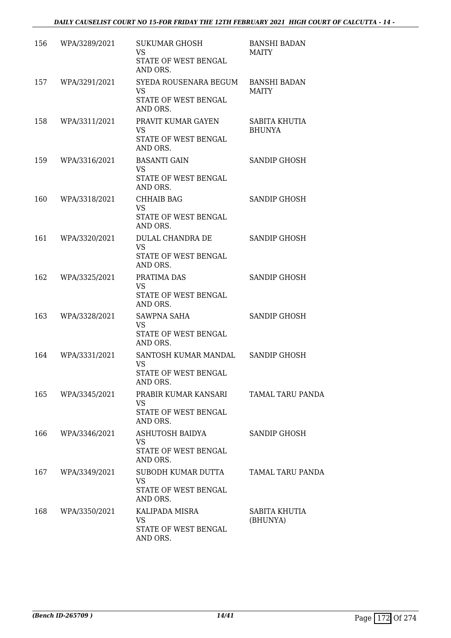| 156 | WPA/3289/2021 | <b>SUKUMAR GHOSH</b><br><b>VS</b><br>STATE OF WEST BENGAL | <b>BANSHI BADAN</b><br><b>MAITY</b> |
|-----|---------------|-----------------------------------------------------------|-------------------------------------|
|     |               | AND ORS.                                                  |                                     |
| 157 | WPA/3291/2021 | SYEDA ROUSENARA BEGUM<br><b>VS</b>                        | <b>BANSHI BADAN</b><br><b>MAITY</b> |
|     |               | STATE OF WEST BENGAL<br>AND ORS.                          |                                     |
| 158 | WPA/3311/2021 | PRAVIT KUMAR GAYEN<br>VS                                  | SABITA KHUTIA<br><b>BHUNYA</b>      |
|     |               | STATE OF WEST BENGAL<br>AND ORS.                          |                                     |
| 159 | WPA/3316/2021 | <b>BASANTI GAIN</b><br>VS                                 | SANDIP GHOSH                        |
|     |               | STATE OF WEST BENGAL<br>AND ORS.                          |                                     |
| 160 | WPA/3318/2021 | <b>CHHAIB BAG</b><br><b>VS</b>                            | SANDIP GHOSH                        |
|     |               | STATE OF WEST BENGAL<br>AND ORS.                          |                                     |
| 161 | WPA/3320/2021 | DULAL CHANDRA DE                                          | SANDIP GHOSH                        |
|     |               | <b>VS</b><br>STATE OF WEST BENGAL<br>AND ORS.             |                                     |
| 162 | WPA/3325/2021 | PRATIMA DAS                                               | SANDIP GHOSH                        |
|     |               | <b>VS</b><br>STATE OF WEST BENGAL<br>AND ORS.             |                                     |
| 163 | WPA/3328/2021 | SAWPNA SAHA                                               | SANDIP GHOSH                        |
|     |               | <b>VS</b><br>STATE OF WEST BENGAL<br>AND ORS.             |                                     |
| 164 | WPA/3331/2021 | SANTOSH KUMAR MANDAL SANDIP GHOSH                         |                                     |
|     |               | VS<br>STATE OF WEST BENGAL<br>AND ORS.                    |                                     |
| 165 | WPA/3345/2021 | PRABIR KUMAR KANSARI                                      | <b>TAMAL TARU PANDA</b>             |
|     |               | <b>VS</b><br>STATE OF WEST BENGAL<br>AND ORS.             |                                     |
| 166 | WPA/3346/2021 | ASHUTOSH BAIDYA<br><b>VS</b>                              | SANDIP GHOSH                        |
|     |               | STATE OF WEST BENGAL<br>AND ORS.                          |                                     |
| 167 | WPA/3349/2021 | SUBODH KUMAR DUTTA                                        | TAMAL TARU PANDA                    |
|     |               | <b>VS</b><br>STATE OF WEST BENGAL<br>AND ORS.             |                                     |
| 168 | WPA/3350/2021 | KALIPADA MISRA                                            | SABITA KHUTIA                       |
|     |               | VS<br>STATE OF WEST BENGAL<br>AND ORS.                    | (BHUNYA)                            |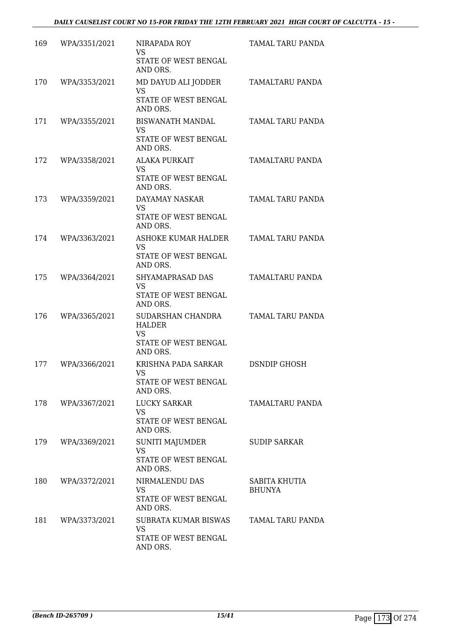| 169 | WPA/3351/2021 | NIRAPADA ROY<br>VS<br>STATE OF WEST BENGAL<br>AND ORS.                       | TAMAL TARU PANDA               |
|-----|---------------|------------------------------------------------------------------------------|--------------------------------|
| 170 | WPA/3353/2021 | MD DAYUD ALI JODDER<br><b>VS</b><br>STATE OF WEST BENGAL<br>AND ORS.         | <b>TAMALTARU PANDA</b>         |
| 171 | WPA/3355/2021 | <b>BISWANATH MANDAL</b><br><b>VS</b><br>STATE OF WEST BENGAL<br>AND ORS.     | TAMAL TARU PANDA               |
| 172 | WPA/3358/2021 | <b>ALAKA PURKAIT</b><br>VS<br>STATE OF WEST BENGAL<br>AND ORS.               | TAMALTARU PANDA                |
| 173 | WPA/3359/2021 | DAYAMAY NASKAR<br><b>VS</b><br>STATE OF WEST BENGAL<br>AND ORS.              | <b>TAMAL TARU PANDA</b>        |
| 174 | WPA/3363/2021 | ASHOKE KUMAR HALDER<br><b>VS</b><br>STATE OF WEST BENGAL<br>AND ORS.         | TAMAL TARU PANDA               |
| 175 | WPA/3364/2021 | SHYAMAPRASAD DAS<br>VS<br>STATE OF WEST BENGAL<br>AND ORS.                   | TAMALTARU PANDA                |
| 176 | WPA/3365/2021 | SUDARSHAN CHANDRA<br>HALDER<br><b>VS</b><br>STATE OF WEST BENGAL<br>AND ORS. | TAMAL TARU PANDA               |
| 177 | WPA/3366/2021 | KRISHNA PADA SARKAR<br>VS.<br>STATE OF WEST BENGAL<br>AND ORS.               | <b>DSNDIP GHOSH</b>            |
| 178 | WPA/3367/2021 | LUCKY SARKAR<br>VS<br>STATE OF WEST BENGAL<br>AND ORS.                       | TAMALTARU PANDA                |
| 179 | WPA/3369/2021 | SUNITI MAJUMDER<br><b>VS</b><br>STATE OF WEST BENGAL<br>AND ORS.             | <b>SUDIP SARKAR</b>            |
| 180 | WPA/3372/2021 | NIRMALENDU DAS<br><b>VS</b><br>STATE OF WEST BENGAL<br>AND ORS.              | SABITA KHUTIA<br><b>BHUNYA</b> |
| 181 | WPA/3373/2021 | SUBRATA KUMAR BISWAS<br>VS<br>STATE OF WEST BENGAL<br>AND ORS.               | TAMAL TARU PANDA               |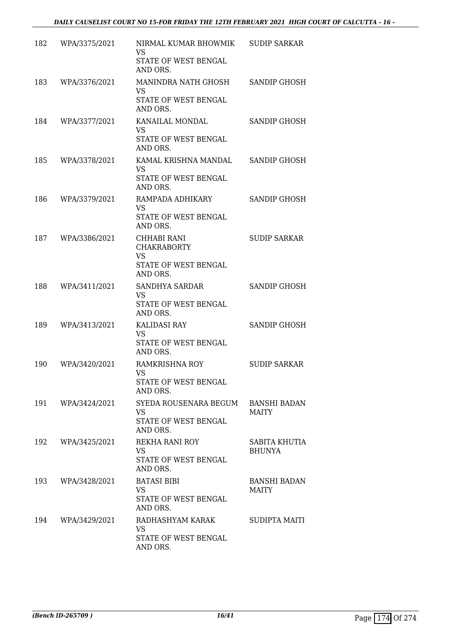| 182 | WPA/3375/2021 | NIRMAL KUMAR BHOWMIK<br>VS<br>STATE OF WEST BENGAL                                 | <b>SUDIP SARKAR</b>                 |
|-----|---------------|------------------------------------------------------------------------------------|-------------------------------------|
| 183 | WPA/3376/2021 | AND ORS.<br>MANINDRA NATH GHOSH<br><b>VS</b><br>STATE OF WEST BENGAL               | SANDIP GHOSH                        |
| 184 | WPA/3377/2021 | AND ORS.<br>KANAILAL MONDAL<br><b>VS</b><br>STATE OF WEST BENGAL                   | <b>SANDIP GHOSH</b>                 |
| 185 | WPA/3378/2021 | AND ORS.<br>KAMAL KRISHNA MANDAL<br><b>VS</b><br>STATE OF WEST BENGAL<br>AND ORS.  | <b>SANDIP GHOSH</b>                 |
| 186 | WPA/3379/2021 | RAMPADA ADHIKARY<br>VS<br>STATE OF WEST BENGAL<br>AND ORS.                         | SANDIP GHOSH                        |
| 187 | WPA/3386/2021 | CHHABI RANI<br><b>CHAKRABORTY</b><br><b>VS</b><br>STATE OF WEST BENGAL<br>AND ORS. | <b>SUDIP SARKAR</b>                 |
| 188 | WPA/3411/2021 | SANDHYA SARDAR<br><b>VS</b><br>STATE OF WEST BENGAL<br>AND ORS.                    | SANDIP GHOSH                        |
| 189 | WPA/3413/2021 | KALIDASI RAY<br><b>VS</b><br>STATE OF WEST BENGAL<br>AND ORS.                      | SANDIP GHOSH                        |
| 190 | WPA/3420/2021 | <b>RAMKRISHNA ROY</b><br>VS.<br>STATE OF WEST BENGAL<br>AND ORS.                   | <b>SUDIP SARKAR</b>                 |
| 191 | WPA/3424/2021 | SYEDA ROUSENARA BEGUM<br>VS<br>STATE OF WEST BENGAL<br>AND ORS.                    | <b>BANSHI BADAN</b><br><b>MAITY</b> |
| 192 | WPA/3425/2021 | REKHA RANI ROY<br><b>VS</b><br>STATE OF WEST BENGAL<br>AND ORS.                    | SABITA KHUTIA<br><b>BHUNYA</b>      |
| 193 | WPA/3428/2021 | <b>BATASI BIBI</b><br><b>VS</b><br>STATE OF WEST BENGAL<br>AND ORS.                | <b>BANSHI BADAN</b><br><b>MAITY</b> |
| 194 | WPA/3429/2021 | RADHASHYAM KARAK<br>VS<br>STATE OF WEST BENGAL<br>AND ORS.                         | <b>SUDIPTA MAITI</b>                |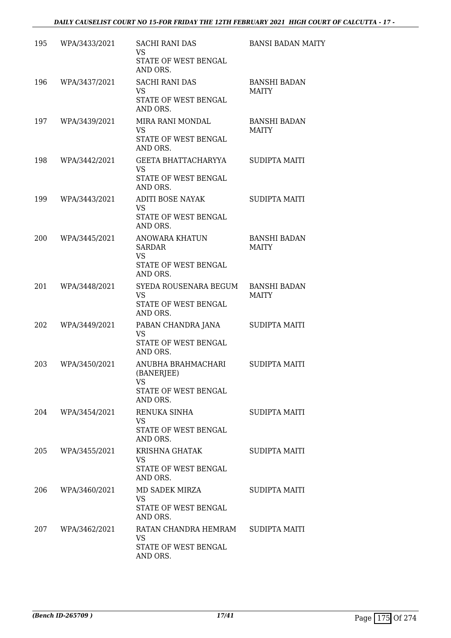| 195 | WPA/3433/2021     | <b>SACHI RANI DAS</b><br><b>VS</b><br>STATE OF WEST BENGAL<br>AND ORS.                  | <b>BANSI BADAN MAITY</b>            |
|-----|-------------------|-----------------------------------------------------------------------------------------|-------------------------------------|
| 196 | WPA/3437/2021     | <b>SACHI RANI DAS</b><br>VS<br>STATE OF WEST BENGAL<br>AND ORS.                         | <b>BANSHI BADAN</b><br><b>MAITY</b> |
| 197 | WPA/3439/2021     | MIRA RANI MONDAL<br><b>VS</b><br>STATE OF WEST BENGAL<br>AND ORS.                       | <b>BANSHI BADAN</b><br><b>MAITY</b> |
| 198 | WPA/3442/2021     | GEETA BHATTACHARYYA<br><b>VS</b><br>STATE OF WEST BENGAL<br>AND ORS.                    | <b>SUDIPTA MAITI</b>                |
| 199 | WPA/3443/2021     | ADITI BOSE NAYAK<br><b>VS</b><br>STATE OF WEST BENGAL<br>AND ORS.                       | <b>SUDIPTA MAITI</b>                |
| 200 | WPA/3445/2021     | <b>ANOWARA KHATUN</b><br><b>SARDAR</b><br><b>VS</b><br>STATE OF WEST BENGAL<br>AND ORS. | <b>BANSHI BADAN</b><br><b>MAITY</b> |
| 201 | WPA/3448/2021     | SYEDA ROUSENARA BEGUM<br><b>VS</b><br>STATE OF WEST BENGAL<br>AND ORS.                  | <b>BANSHI BADAN</b><br><b>MAITY</b> |
| 202 | WPA/3449/2021     | PABAN CHANDRA JANA<br><b>VS</b><br>STATE OF WEST BENGAL<br>AND ORS.                     | <b>SUDIPTA MAITI</b>                |
| 203 | WPA/3450/2021     | ANUBHA BRAHMACHARI<br>(BANERJEE)<br>VS<br>STATE OF WEST BENGAL<br>AND ORS.              | <b>SUDIPTA MAITI</b>                |
|     | 204 WPA/3454/2021 | RENUKA SINHA<br>VS.<br>STATE OF WEST BENGAL<br>AND ORS.                                 | SUDIPTA MAITI                       |
| 205 | WPA/3455/2021     | KRISHNA GHATAK<br><b>VS</b><br>STATE OF WEST BENGAL<br>AND ORS.                         | <b>SUDIPTA MAITI</b>                |
| 206 | WPA/3460/2021     | MD SADEK MIRZA<br>VS.<br>STATE OF WEST BENGAL<br>AND ORS.                               | SUDIPTA MAITI                       |
|     | 207 WPA/3462/2021 | RATAN CHANDRA HEMRAM SUDIPTA MAITI<br><b>VS</b><br>STATE OF WEST BENGAL<br>AND ORS.     |                                     |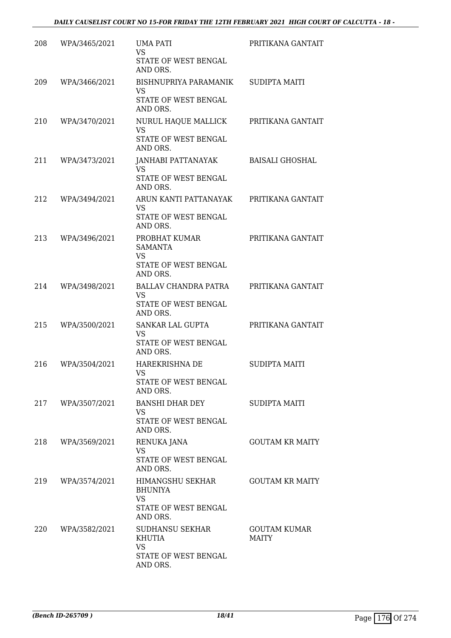| 208 | WPA/3465/2021 | UMA PATI<br><b>VS</b><br>STATE OF WEST BENGAL<br>AND ORS.                           | PRITIKANA GANTAIT                   |
|-----|---------------|-------------------------------------------------------------------------------------|-------------------------------------|
| 209 | WPA/3466/2021 | BISHNUPRIYA PARAMANIK<br>VS<br>STATE OF WEST BENGAL<br>AND ORS.                     | <b>SUDIPTA MAITI</b>                |
| 210 | WPA/3470/2021 | NURUL HAQUE MALLICK<br><b>VS</b><br>STATE OF WEST BENGAL<br>AND ORS.                | PRITIKANA GANTAIT                   |
| 211 | WPA/3473/2021 | JANHABI PATTANAYAK<br><b>VS</b><br>STATE OF WEST BENGAL<br>AND ORS.                 | <b>BAISALI GHOSHAL</b>              |
| 212 | WPA/3494/2021 | ARUN KANTI PATTANAYAK<br><b>VS</b><br>STATE OF WEST BENGAL<br>AND ORS.              | PRITIKANA GANTAIT                   |
| 213 | WPA/3496/2021 | PROBHAT KUMAR<br><b>SAMANTA</b><br>VS<br>STATE OF WEST BENGAL<br>AND ORS.           | PRITIKANA GANTAIT                   |
| 214 | WPA/3498/2021 | <b>BALLAV CHANDRA PATRA</b><br><b>VS</b><br>STATE OF WEST BENGAL<br>AND ORS.        | PRITIKANA GANTAIT                   |
| 215 | WPA/3500/2021 | SANKAR LAL GUPTA<br><b>VS</b><br>STATE OF WEST BENGAL<br>AND ORS.                   | PRITIKANA GANTAIT                   |
| 216 | WPA/3504/2021 | HAREKRISHNA DE<br>VS<br>STATE OF WEST BENGAL<br>AND ORS.                            | <b>SUDIPTA MAITI</b>                |
| 217 | WPA/3507/2021 | BANSHI DHAR DEY<br>VS<br>STATE OF WEST BENGAL<br>AND ORS.                           | <b>SUDIPTA MAITI</b>                |
| 218 | WPA/3569/2021 | RENUKA JANA<br><b>VS</b><br>STATE OF WEST BENGAL<br>AND ORS.                        | <b>GOUTAM KR MAITY</b>              |
| 219 | WPA/3574/2021 | HIMANGSHU SEKHAR<br><b>BHUNIYA</b><br><b>VS</b><br>STATE OF WEST BENGAL<br>AND ORS. | <b>GOUTAM KR MAITY</b>              |
| 220 | WPA/3582/2021 | <b>SUDHANSU SEKHAR</b><br>KHUTIA<br>VS<br>STATE OF WEST BENGAL<br>AND ORS.          | <b>GOUTAM KUMAR</b><br><b>MAITY</b> |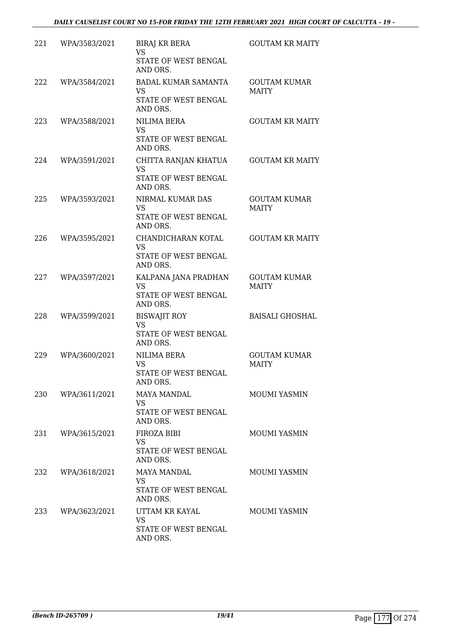| 221 | WPA/3583/2021 | <b>BIRAJ KR BERA</b><br><b>VS</b><br>STATE OF WEST BENGAL<br>AND ORS.       | <b>GOUTAM KR MAITY</b>              |
|-----|---------------|-----------------------------------------------------------------------------|-------------------------------------|
| 222 | WPA/3584/2021 | <b>BADAL KUMAR SAMANTA</b><br><b>VS</b><br>STATE OF WEST BENGAL<br>AND ORS. | <b>GOUTAM KUMAR</b><br><b>MAITY</b> |
| 223 | WPA/3588/2021 | NILIMA BERA<br>VS<br>STATE OF WEST BENGAL<br>AND ORS.                       | <b>GOUTAM KR MAITY</b>              |
| 224 | WPA/3591/2021 | CHITTA RANJAN KHATUA<br><b>VS</b><br>STATE OF WEST BENGAL<br>AND ORS.       | <b>GOUTAM KR MAITY</b>              |
| 225 | WPA/3593/2021 | NIRMAL KUMAR DAS<br><b>VS</b><br>STATE OF WEST BENGAL<br>AND ORS.           | <b>GOUTAM KUMAR</b><br><b>MAITY</b> |
| 226 | WPA/3595/2021 | CHANDICHARAN KOTAL<br><b>VS</b><br>STATE OF WEST BENGAL<br>AND ORS.         | <b>GOUTAM KR MAITY</b>              |
| 227 | WPA/3597/2021 | KALPANA JANA PRADHAN<br><b>VS</b><br>STATE OF WEST BENGAL<br>AND ORS.       | <b>GOUTAM KUMAR</b><br><b>MAITY</b> |
| 228 | WPA/3599/2021 | <b>BISWAJIT ROY</b><br><b>VS</b><br>STATE OF WEST BENGAL<br>AND ORS.        | <b>BAISALI GHOSHAL</b>              |
| 229 | WPA/3600/2021 | <b>NILIMA BERA</b><br><b>VS</b><br>STATE OF WEST BENGAL<br>AND ORS.         | <b>GOUTAM KUMAR</b><br><b>MAITY</b> |
| 230 | WPA/3611/2021 | <b>MAYA MANDAL</b><br><b>VS</b><br>STATE OF WEST BENGAL<br>AND ORS.         | <b>MOUMI YASMIN</b>                 |
| 231 | WPA/3615/2021 | FIROZA BIBI<br><b>VS</b><br>STATE OF WEST BENGAL<br>AND ORS.                | <b>MOUMI YASMIN</b>                 |
| 232 | WPA/3618/2021 | <b>MAYA MANDAL</b><br>VS<br>STATE OF WEST BENGAL<br>AND ORS.                | MOUMI YASMIN                        |
| 233 | WPA/3623/2021 | UTTAM KR KAYAL<br><b>VS</b><br>STATE OF WEST BENGAL<br>AND ORS.             | MOUMI YASMIN                        |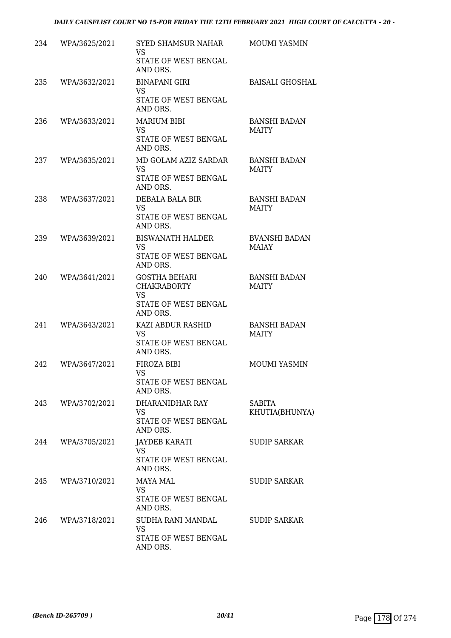#### *DAILY CAUSELIST COURT NO 15-FOR FRIDAY THE 12TH FEBRUARY 2021 HIGH COURT OF CALCUTTA - 20 -*

| 234 | WPA/3625/2021 | SYED SHAMSUR NAHAR<br><b>VS</b><br>STATE OF WEST BENGAL<br>AND ORS.                         | MOUMI YASMIN                        |
|-----|---------------|---------------------------------------------------------------------------------------------|-------------------------------------|
| 235 | WPA/3632/2021 | <b>BINAPANI GIRI</b><br>VS<br>STATE OF WEST BENGAL<br>AND ORS.                              | <b>BAISALI GHOSHAL</b>              |
| 236 | WPA/3633/2021 | <b>MARIUM BIBI</b><br><b>VS</b><br>STATE OF WEST BENGAL<br>AND ORS.                         | <b>BANSHI BADAN</b><br><b>MAITY</b> |
| 237 | WPA/3635/2021 | MD GOLAM AZIZ SARDAR<br><b>VS</b><br>STATE OF WEST BENGAL<br>AND ORS.                       | <b>BANSHI BADAN</b><br><b>MAITY</b> |
| 238 | WPA/3637/2021 | DEBALA BALA BIR<br>VS<br>STATE OF WEST BENGAL<br>AND ORS.                                   | <b>BANSHI BADAN</b><br><b>MAITY</b> |
| 239 | WPA/3639/2021 | <b>BISWANATH HALDER</b><br><b>VS</b><br>STATE OF WEST BENGAL<br>AND ORS.                    | <b>BVANSHI BADAN</b><br>MAIAY       |
| 240 | WPA/3641/2021 | <b>GOSTHA BEHARI</b><br><b>CHAKRABORTY</b><br><b>VS</b><br>STATE OF WEST BENGAL<br>AND ORS. | <b>BANSHI BADAN</b><br><b>MAITY</b> |
| 241 | WPA/3643/2021 | KAZI ABDUR RASHID<br><b>VS</b><br>STATE OF WEST BENGAL<br>AND ORS.                          | <b>BANSHI BADAN</b><br><b>MAITY</b> |
| 242 | WPA/3647/2021 | FIROZA BIBI<br>VS<br>STATE OF WEST BENGAL<br>AND ORS.                                       | <b>MOUMI YASMIN</b>                 |
| 243 | WPA/3702/2021 | DHARANIDHAR RAY<br>VS<br>STATE OF WEST BENGAL<br>AND ORS.                                   | SABITA<br>KHUTIA(BHUNYA)            |
| 244 | WPA/3705/2021 | JAYDEB KARATI<br><b>VS</b><br>STATE OF WEST BENGAL<br>AND ORS.                              | <b>SUDIP SARKAR</b>                 |
| 245 | WPA/3710/2021 | MAYA MAL<br>VS<br>STATE OF WEST BENGAL<br>AND ORS.                                          | <b>SUDIP SARKAR</b>                 |
| 246 | WPA/3718/2021 | SUDHA RANI MANDAL<br><b>VS</b><br>STATE OF WEST BENGAL<br>AND ORS.                          | <b>SUDIP SARKAR</b>                 |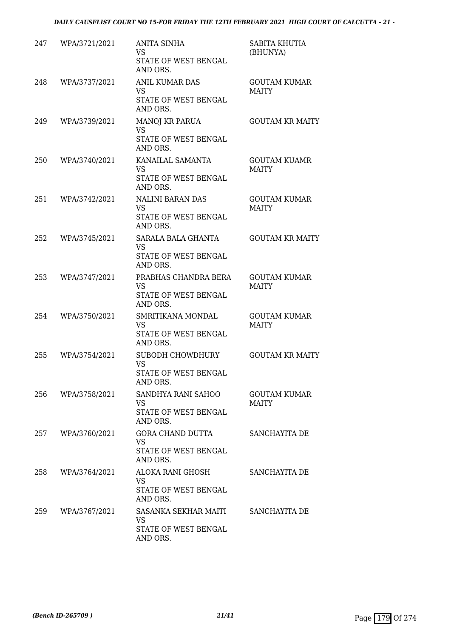| 247 | WPA/3721/2021 | <b>ANITA SINHA</b><br>VS<br>STATE OF WEST BENGAL<br>AND ORS.           | SABITA KHUTIA<br>(BHUNYA)           |
|-----|---------------|------------------------------------------------------------------------|-------------------------------------|
| 248 | WPA/3737/2021 | <b>ANIL KUMAR DAS</b><br>VS<br>STATE OF WEST BENGAL<br>AND ORS.        | <b>GOUTAM KUMAR</b><br><b>MAITY</b> |
| 249 | WPA/3739/2021 | <b>MANOJ KR PARUA</b><br><b>VS</b><br>STATE OF WEST BENGAL<br>AND ORS. | <b>GOUTAM KR MAITY</b>              |
| 250 | WPA/3740/2021 | KANAILAL SAMANTA<br><b>VS</b><br>STATE OF WEST BENGAL<br>AND ORS.      | <b>GOUTAM KUAMR</b><br><b>MAITY</b> |
| 251 | WPA/3742/2021 | <b>NALINI BARAN DAS</b><br>VS.<br>STATE OF WEST BENGAL<br>AND ORS.     | <b>GOUTAM KUMAR</b><br><b>MAITY</b> |
| 252 | WPA/3745/2021 | SARALA BALA GHANTA<br><b>VS</b><br>STATE OF WEST BENGAL<br>AND ORS.    | <b>GOUTAM KR MAITY</b>              |
| 253 | WPA/3747/2021 | PRABHAS CHANDRA BERA<br>VS<br>STATE OF WEST BENGAL<br>AND ORS.         | <b>GOUTAM KUMAR</b><br><b>MAITY</b> |
| 254 | WPA/3750/2021 | SMRITIKANA MONDAL<br>VS<br>STATE OF WEST BENGAL<br>AND ORS.            | <b>GOUTAM KUMAR</b><br><b>MAITY</b> |
| 255 | WPA/3754/2021 | SUBODH CHOWDHURY<br><b>VS</b><br>STATE OF WEST BENGAL<br>AND ORS.      | <b>GOUTAM KR MAITY</b>              |
| 256 | WPA/3758/2021 | SANDHYA RANI SAHOO<br>VS<br>STATE OF WEST BENGAL<br>AND ORS.           | <b>GOUTAM KUMAR</b><br><b>MAITY</b> |
| 257 | WPA/3760/2021 | GORA CHAND DUTTA<br>VS<br>STATE OF WEST BENGAL<br>AND ORS.             | SANCHAYITA DE                       |
| 258 | WPA/3764/2021 | ALOKA RANI GHOSH<br>VS.<br>STATE OF WEST BENGAL<br>AND ORS.            | SANCHAYITA DE                       |
| 259 | WPA/3767/2021 | SASANKA SEKHAR MAITI<br>VS<br>STATE OF WEST BENGAL<br>AND ORS.         | SANCHAYITA DE                       |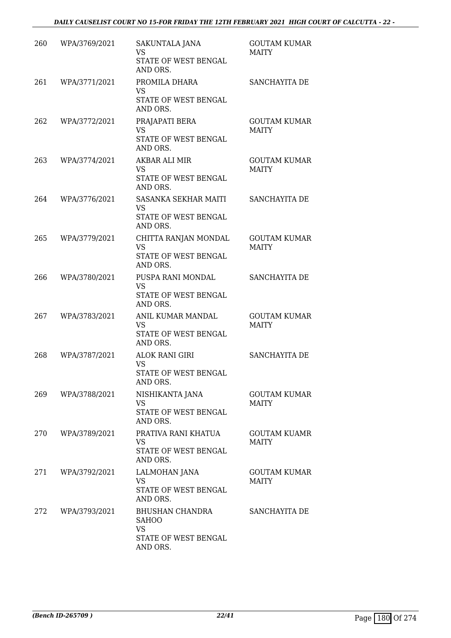| 260 | WPA/3769/2021 | SAKUNTALA JANA<br><b>VS</b><br>STATE OF WEST BENGAL<br>AND ORS.                  | <b>GOUTAM KUMAR</b><br><b>MAITY</b> |
|-----|---------------|----------------------------------------------------------------------------------|-------------------------------------|
| 261 | WPA/3771/2021 | PROMILA DHARA<br><b>VS</b><br>STATE OF WEST BENGAL<br>AND ORS.                   | SANCHAYITA DE                       |
| 262 | WPA/3772/2021 | PRAJAPATI BERA<br><b>VS</b><br>STATE OF WEST BENGAL<br>AND ORS.                  | <b>GOUTAM KUMAR</b><br><b>MAITY</b> |
| 263 | WPA/3774/2021 | AKBAR ALI MIR<br><b>VS</b><br>STATE OF WEST BENGAL<br>AND ORS.                   | <b>GOUTAM KUMAR</b><br><b>MAITY</b> |
| 264 | WPA/3776/2021 | SASANKA SEKHAR MAITI<br>VS<br>STATE OF WEST BENGAL<br>AND ORS.                   | SANCHAYITA DE                       |
| 265 | WPA/3779/2021 | CHITTA RANJAN MONDAL<br><b>VS</b><br>STATE OF WEST BENGAL<br>AND ORS.            | <b>GOUTAM KUMAR</b><br><b>MAITY</b> |
| 266 | WPA/3780/2021 | PUSPA RANI MONDAL<br><b>VS</b><br>STATE OF WEST BENGAL<br>AND ORS.               | SANCHAYITA DE                       |
| 267 | WPA/3783/2021 | ANIL KUMAR MANDAL<br>VS<br>STATE OF WEST BENGAL<br>AND ORS.                      | <b>GOUTAM KUMAR</b><br><b>MAITY</b> |
| 268 | WPA/3787/2021 | <b>ALOK RANI GIRI</b><br><b>VS</b><br>STATE OF WEST BENGAL<br>AND ORS.           | SANCHAYITA DE                       |
| 269 | WPA/3788/2021 | NISHIKANTA JANA<br>VS<br>STATE OF WEST BENGAL<br>AND ORS.                        | <b>GOUTAM KUMAR</b><br><b>MAITY</b> |
| 270 | WPA/3789/2021 | PRATIVA RANI KHATUA<br><b>VS</b><br>STATE OF WEST BENGAL<br>AND ORS.             | <b>GOUTAM KUAMR</b><br><b>MAITY</b> |
| 271 | WPA/3792/2021 | LALMOHAN JANA<br><b>VS</b><br>STATE OF WEST BENGAL<br>AND ORS.                   | <b>GOUTAM KUMAR</b><br><b>MAITY</b> |
| 272 | WPA/3793/2021 | BHUSHAN CHANDRA<br><b>SAHOO</b><br><b>VS</b><br>STATE OF WEST BENGAL<br>AND ORS. | SANCHAYITA DE                       |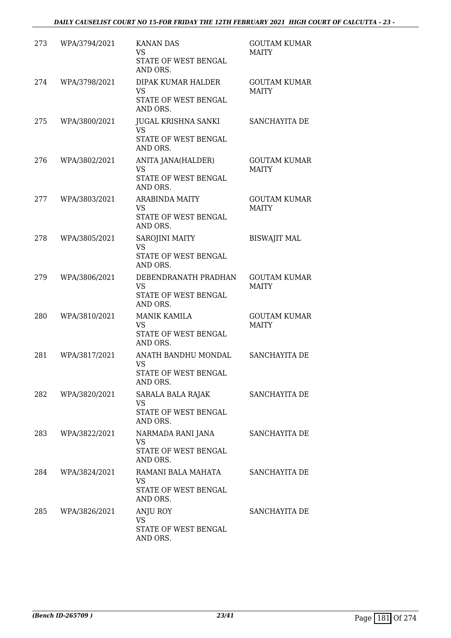| 273 | WPA/3794/2021 | <b>KANAN DAS</b><br><b>VS</b><br>STATE OF WEST BENGAL<br>AND ORS.      | <b>GOUTAM KUMAR</b><br><b>MAITY</b> |
|-----|---------------|------------------------------------------------------------------------|-------------------------------------|
| 274 | WPA/3798/2021 | DIPAK KUMAR HALDER<br><b>VS</b><br>STATE OF WEST BENGAL<br>AND ORS.    | <b>GOUTAM KUMAR</b><br><b>MAITY</b> |
| 275 | WPA/3800/2021 | JUGAL KRISHNA SANKI<br><b>VS</b><br>STATE OF WEST BENGAL<br>AND ORS.   | SANCHAYITA DE                       |
| 276 | WPA/3802/2021 | ANITA JANA(HALDER)<br><b>VS</b><br>STATE OF WEST BENGAL<br>AND ORS.    | <b>GOUTAM KUMAR</b><br><b>MAITY</b> |
| 277 | WPA/3803/2021 | <b>ARABINDA MAITY</b><br><b>VS</b><br>STATE OF WEST BENGAL<br>AND ORS. | <b>GOUTAM KUMAR</b><br><b>MAITY</b> |
| 278 | WPA/3805/2021 | SAROJINI MAITY<br>VS<br>STATE OF WEST BENGAL<br>AND ORS.               | <b>BISWAJIT MAL</b>                 |
| 279 | WPA/3806/2021 | DEBENDRANATH PRADHAN<br><b>VS</b><br>STATE OF WEST BENGAL<br>AND ORS.  | <b>GOUTAM KUMAR</b><br><b>MAITY</b> |
| 280 | WPA/3810/2021 | <b>MANIK KAMILA</b><br><b>VS</b><br>STATE OF WEST BENGAL<br>AND ORS.   | <b>GOUTAM KUMAR</b><br><b>MAITY</b> |
| 281 | WPA/3817/2021 | ANATH BANDHU MONDAL<br><b>VS</b><br>STATE OF WEST BENGAL<br>AND ORS.   | SANCHAYITA DE                       |
| 282 | WPA/3820/2021 | SARALA BALA RAJAK<br>VS<br>STATE OF WEST BENGAL<br>AND ORS.            | SANCHAYITA DE                       |
| 283 | WPA/3822/2021 | NARMADA RANI JANA<br><b>VS</b><br>STATE OF WEST BENGAL<br>AND ORS.     | SANCHAYITA DE                       |
| 284 | WPA/3824/2021 | RAMANI BALA MAHATA<br>VS<br>STATE OF WEST BENGAL<br>AND ORS.           | SANCHAYITA DE                       |
| 285 | WPA/3826/2021 | ANJU ROY<br>VS<br>STATE OF WEST BENGAL<br>AND ORS.                     | SANCHAYITA DE                       |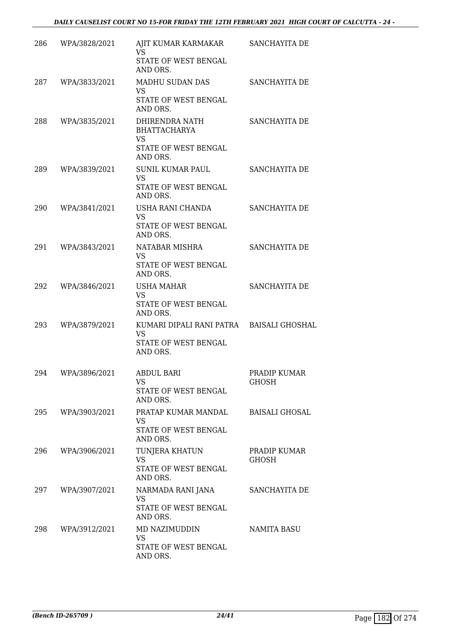| 286 | WPA/3828/2021     | AJIT KUMAR KARMAKAR<br>VS<br>STATE OF WEST BENGAL     | SANCHAYITA DE                |
|-----|-------------------|-------------------------------------------------------|------------------------------|
|     |                   | AND ORS.                                              |                              |
| 287 | WPA/3833/2021     | MADHU SUDAN DAS<br><b>VS</b><br>STATE OF WEST BENGAL  | SANCHAYITA DE                |
|     |                   | AND ORS.                                              |                              |
| 288 | WPA/3835/2021     | DHIRENDRA NATH<br><b>BHATTACHARYA</b><br><b>VS</b>    | SANCHAYITA DE                |
|     |                   | STATE OF WEST BENGAL<br>AND ORS.                      |                              |
| 289 | WPA/3839/2021     | <b>SUNIL KUMAR PAUL</b><br><b>VS</b>                  | SANCHAYITA DE                |
|     |                   | STATE OF WEST BENGAL<br>AND ORS.                      |                              |
| 290 | WPA/3841/2021     | USHA RANI CHANDA<br><b>VS</b>                         | SANCHAYITA DE                |
|     |                   | STATE OF WEST BENGAL<br>AND ORS.                      |                              |
| 291 | WPA/3843/2021     | NATABAR MISHRA<br><b>VS</b>                           | SANCHAYITA DE                |
|     |                   | STATE OF WEST BENGAL<br>AND ORS.                      |                              |
| 292 | WPA/3846/2021     | <b>USHA MAHAR</b><br><b>VS</b>                        | SANCHAYITA DE                |
|     |                   | STATE OF WEST BENGAL<br>AND ORS.                      |                              |
| 293 | WPA/3879/2021     | KUMARI DIPALI RANI PATRA BAISALI GHOSHAL<br><b>VS</b> |                              |
|     |                   | STATE OF WEST BENGAL<br>AND ORS.                      |                              |
| 294 | WPA/3896/2021     | <b>ABDUL BARI</b><br>VS                               | PRADIP KUMAR<br><b>GHOSH</b> |
|     |                   | STATE OF WEST BENGAL<br>AND ORS.                      |                              |
| 295 | WPA/3903/2021     | PRATAP KUMAR MANDAL<br>VS                             | BAISALI GHOSAL               |
|     |                   | STATE OF WEST BENGAL<br>AND ORS.                      |                              |
| 296 | WPA/3906/2021     | TUNJERA KHATUN<br><b>VS</b>                           | PRADIP KUMAR<br><b>GHOSH</b> |
|     |                   | STATE OF WEST BENGAL<br>AND ORS.                      |                              |
|     | 297 WPA/3907/2021 | NARMADA RANI JANA<br><b>VS</b>                        | SANCHAYITA DE                |
|     |                   | STATE OF WEST BENGAL<br>AND ORS.                      |                              |
| 298 | WPA/3912/2021     | MD NAZIMUDDIN<br>VS                                   | <b>NAMITA BASU</b>           |
|     |                   | STATE OF WEST BENGAL<br>AND ORS.                      |                              |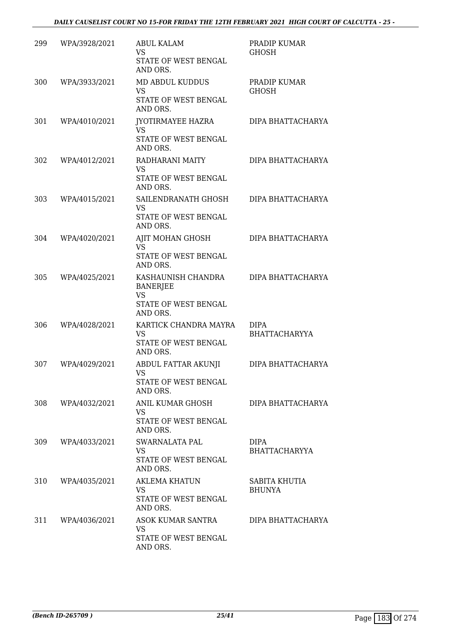| 299 | WPA/3928/2021 | <b>ABUL KALAM</b><br><b>VS</b><br>STATE OF WEST BENGAL<br>AND ORS.                     | PRADIP KUMAR<br>GHOSH               |
|-----|---------------|----------------------------------------------------------------------------------------|-------------------------------------|
| 300 | WPA/3933/2021 | MD ABDUL KUDDUS<br><b>VS</b><br>STATE OF WEST BENGAL<br>AND ORS.                       | PRADIP KUMAR<br><b>GHOSH</b>        |
| 301 | WPA/4010/2021 | JYOTIRMAYEE HAZRA<br><b>VS</b><br>STATE OF WEST BENGAL<br>AND ORS.                     | DIPA BHATTACHARYA                   |
| 302 | WPA/4012/2021 | RADHARANI MAITY<br>VS<br>STATE OF WEST BENGAL<br>AND ORS.                              | DIPA BHATTACHARYA                   |
| 303 | WPA/4015/2021 | SAILENDRANATH GHOSH<br><b>VS</b><br>STATE OF WEST BENGAL<br>AND ORS.                   | DIPA BHATTACHARYA                   |
| 304 | WPA/4020/2021 | AJIT MOHAN GHOSH<br><b>VS</b><br>STATE OF WEST BENGAL<br>AND ORS.                      | DIPA BHATTACHARYA                   |
| 305 | WPA/4025/2021 | KASHAUNISH CHANDRA<br><b>BANERJEE</b><br><b>VS</b><br>STATE OF WEST BENGAL<br>AND ORS. | DIPA BHATTACHARYA                   |
| 306 | WPA/4028/2021 | KARTICK CHANDRA MAYRA<br><b>VS</b><br>STATE OF WEST BENGAL<br>AND ORS.                 | <b>DIPA</b><br><b>BHATTACHARYYA</b> |
| 307 | WPA/4029/2021 | <b>ABDUL FATTAR AKUNJI</b><br><b>VS</b><br>STATE OF WEST BENGAL<br>AND ORS.            | DIPA BHATTACHARYA                   |
| 308 | WPA/4032/2021 | ANIL KUMAR GHOSH<br>VS<br>STATE OF WEST BENGAL<br>AND ORS.                             | DIPA BHATTACHARYA                   |
| 309 | WPA/4033/2021 | SWARNALATA PAL<br>VS.<br>STATE OF WEST BENGAL<br>AND ORS.                              | <b>DIPA</b><br><b>BHATTACHARYYA</b> |
| 310 | WPA/4035/2021 | AKLEMA KHATUN<br><b>VS</b><br>STATE OF WEST BENGAL<br>AND ORS.                         | SABITA KHUTIA<br><b>BHUNYA</b>      |
| 311 | WPA/4036/2021 | ASOK KUMAR SANTRA<br>VS<br>STATE OF WEST BENGAL<br>AND ORS.                            | DIPA BHATTACHARYA                   |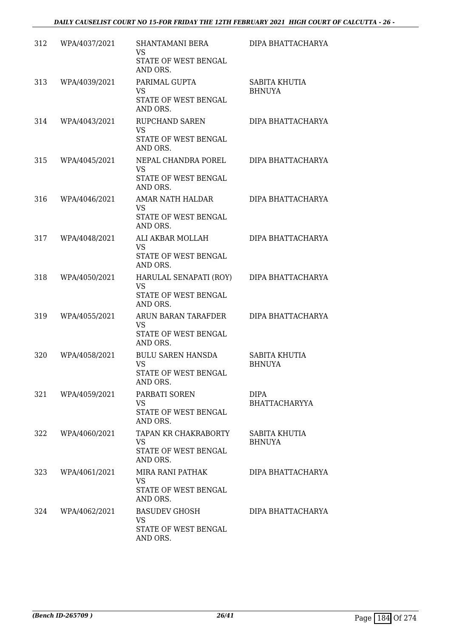| 312 | WPA/4037/2021 | <b>SHANTAMANI BERA</b><br><b>VS</b><br>STATE OF WEST BENGAL<br>AND ORS.   | DIPA BHATTACHARYA              |
|-----|---------------|---------------------------------------------------------------------------|--------------------------------|
| 313 | WPA/4039/2021 | PARIMAL GUPTA<br>VS<br>STATE OF WEST BENGAL<br>AND ORS.                   | SABITA KHUTIA<br><b>BHNUYA</b> |
| 314 | WPA/4043/2021 | <b>RUPCHAND SAREN</b><br><b>VS</b><br>STATE OF WEST BENGAL<br>AND ORS.    | DIPA BHATTACHARYA              |
| 315 | WPA/4045/2021 | NEPAL CHANDRA POREL<br><b>VS</b><br>STATE OF WEST BENGAL<br>AND ORS.      | DIPA BHATTACHARYA              |
| 316 | WPA/4046/2021 | AMAR NATH HALDAR<br>VS<br>STATE OF WEST BENGAL<br>AND ORS.                | DIPA BHATTACHARYA              |
| 317 | WPA/4048/2021 | ALI AKBAR MOLLAH<br><b>VS</b><br>STATE OF WEST BENGAL<br>AND ORS.         | DIPA BHATTACHARYA              |
| 318 | WPA/4050/2021 | HARULAL SENAPATI (ROY)<br><b>VS</b><br>STATE OF WEST BENGAL<br>AND ORS.   | DIPA BHATTACHARYA              |
| 319 | WPA/4055/2021 | ARUN BARAN TARAFDER<br>VS<br>STATE OF WEST BENGAL<br>AND ORS.             | DIPA BHATTACHARYA              |
| 320 | WPA/4058/2021 | <b>BULU SAREN HANSDA</b><br><b>VS</b><br>STATE OF WEST BENGAL<br>AND ORS. | SABITA KHUTIA<br><b>BHNUYA</b> |
| 321 | WPA/4059/2021 | PARBATI SOREN<br>VS<br>STATE OF WEST BENGAL<br>AND ORS.                   | DIPA<br><b>BHATTACHARYYA</b>   |
| 322 | WPA/4060/2021 | TAPAN KR CHAKRABORTY<br><b>VS</b><br>STATE OF WEST BENGAL<br>AND ORS.     | SABITA KHUTIA<br><b>BHNUYA</b> |
| 323 | WPA/4061/2021 | MIRA RANI PATHAK<br>VS<br>STATE OF WEST BENGAL<br>AND ORS.                | DIPA BHATTACHARYA              |
| 324 | WPA/4062/2021 | <b>BASUDEV GHOSH</b><br><b>VS</b><br>STATE OF WEST BENGAL<br>AND ORS.     | DIPA BHATTACHARYA              |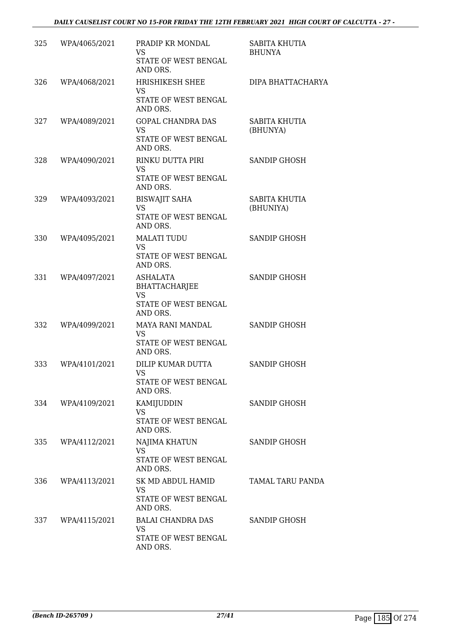| 325 | WPA/4065/2021     | PRADIP KR MONDAL<br>VS<br>STATE OF WEST BENGAL<br>AND ORS.                        | SABITA KHUTIA<br><b>BHUNYA</b> |
|-----|-------------------|-----------------------------------------------------------------------------------|--------------------------------|
| 326 | WPA/4068/2021     | HRISHIKESH SHEE<br>VS<br>STATE OF WEST BENGAL<br>AND ORS.                         | DIPA BHATTACHARYA              |
| 327 | WPA/4089/2021     | GOPAL CHANDRA DAS<br><b>VS</b><br>STATE OF WEST BENGAL<br>AND ORS.                | SABITA KHUTIA<br>(BHUNYA)      |
| 328 | WPA/4090/2021     | RINKU DUTTA PIRI<br><b>VS</b><br>STATE OF WEST BENGAL<br>AND ORS.                 | SANDIP GHOSH                   |
| 329 | WPA/4093/2021     | <b>BISWAJIT SAHA</b><br>VS<br>STATE OF WEST BENGAL<br>AND ORS.                    | SABITA KHUTIA<br>(BHUNIYA)     |
| 330 | WPA/4095/2021     | <b>MALATI TUDU</b><br><b>VS</b><br>STATE OF WEST BENGAL<br>AND ORS.               | SANDIP GHOSH                   |
| 331 | WPA/4097/2021     | <b>ASHALATA</b><br>BHATTACHARJEE<br><b>VS</b><br>STATE OF WEST BENGAL<br>AND ORS. | SANDIP GHOSH                   |
| 332 | WPA/4099/2021     | MAYA RANI MANDAL<br><b>VS</b><br>STATE OF WEST BENGAL<br>AND ORS.                 | SANDIP GHOSH                   |
| 333 | WPA/4101/2021     | DILIP KUMAR DUTTA<br>VS<br>STATE OF WEST BENGAL<br>AND ORS.                       | <b>SANDIP GHOSH</b>            |
| 334 | WPA/4109/2021     | KAMIJUDDIN<br><b>VS</b><br>STATE OF WEST BENGAL<br>AND ORS.                       | SANDIP GHOSH                   |
| 335 | WPA/4112/2021     | NAJIMA KHATUN<br><b>VS</b><br>STATE OF WEST BENGAL<br>AND ORS.                    | SANDIP GHOSH                   |
| 336 | WPA/4113/2021     | SK MD ABDUL HAMID<br><b>VS</b><br>STATE OF WEST BENGAL<br>AND ORS.                | TAMAL TARU PANDA               |
|     | 337 WPA/4115/2021 | BALAI CHANDRA DAS<br>VS<br>STATE OF WEST BENGAL<br>AND ORS.                       | SANDIP GHOSH                   |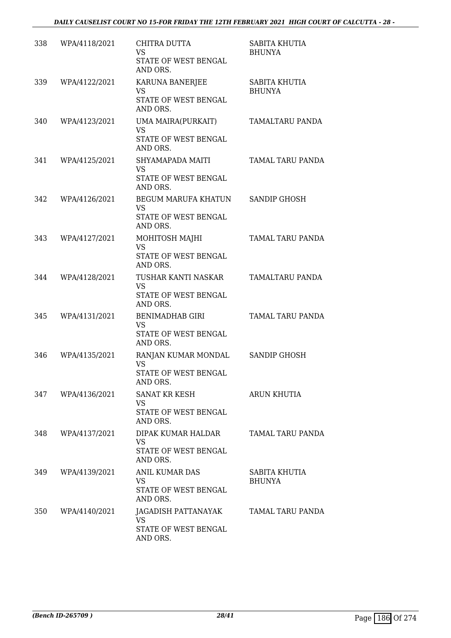| 338 | WPA/4118/2021 | CHITRA DUTTA<br>VS<br>STATE OF WEST BENGAL<br>AND ORS.                         | SABITA KHUTIA<br><b>BHUNYA</b> |
|-----|---------------|--------------------------------------------------------------------------------|--------------------------------|
| 339 | WPA/4122/2021 | KARUNA BANERJEE<br>VS<br>STATE OF WEST BENGAL<br>AND ORS.                      | SABITA KHUTIA<br><b>BHUNYA</b> |
| 340 | WPA/4123/2021 | UMA MAIRA(PURKAIT)<br><b>VS</b><br>STATE OF WEST BENGAL<br>AND ORS.            | TAMALTARU PANDA                |
| 341 | WPA/4125/2021 | SHYAMAPADA MAITI<br>VS<br>STATE OF WEST BENGAL<br>AND ORS.                     | TAMAL TARU PANDA               |
| 342 | WPA/4126/2021 | <b>BEGUM MARUFA KHATUN</b><br><b>VS</b><br>STATE OF WEST BENGAL<br>AND ORS.    | <b>SANDIP GHOSH</b>            |
| 343 | WPA/4127/2021 | MOHITOSH MAJHI<br><b>VS</b><br>STATE OF WEST BENGAL<br>AND ORS.                | TAMAL TARU PANDA               |
| 344 | WPA/4128/2021 | TUSHAR KANTI NASKAR<br>VS<br>STATE OF WEST BENGAL<br>AND ORS.                  | TAMALTARU PANDA                |
| 345 | WPA/4131/2021 | <b>BENIMADHAB GIRI</b><br><b>VS</b><br>STATE OF WEST BENGAL<br>AND ORS.        | TAMAL TARU PANDA               |
| 346 | WPA/4135/2021 | RANJAN KUMAR MONDAL<br><b>VS</b><br>STATE OF WEST BENGAL<br>AND ORS.           | <b>SANDIP GHOSH</b>            |
| 347 | WPA/4136/2021 | <b>SANAT KR KESH</b><br>VS<br>STATE OF WEST BENGAL<br>AND ORS.                 | <b>ARUN KHUTIA</b>             |
| 348 | WPA/4137/2021 | DIPAK KUMAR HALDAR<br>VS.<br>STATE OF WEST BENGAL<br>AND ORS.                  | TAMAL TARU PANDA               |
| 349 | WPA/4139/2021 | <b>ANIL KUMAR DAS</b><br><b>VS</b><br>STATE OF WEST BENGAL<br>AND ORS.         | SABITA KHUTIA<br><b>BHUNYA</b> |
| 350 | WPA/4140/2021 | JAGADISH PATTANAYAK TAMAL TARU PANDA<br>VS<br>STATE OF WEST BENGAL<br>AND ORS. |                                |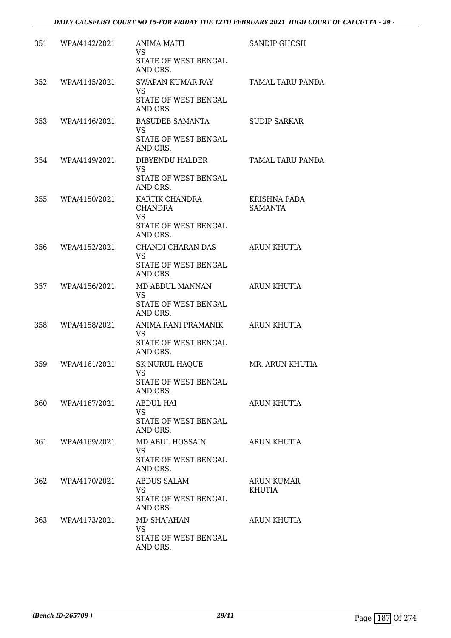| 351 | WPA/4142/2021 | ANIMA MAITI<br>VS<br>STATE OF WEST BENGAL<br>AND ORS.                             | <b>SANDIP GHOSH</b>                   |
|-----|---------------|-----------------------------------------------------------------------------------|---------------------------------------|
| 352 | WPA/4145/2021 | SWAPAN KUMAR RAY<br>VS<br>STATE OF WEST BENGAL<br>AND ORS.                        | <b>TAMAL TARU PANDA</b>               |
| 353 | WPA/4146/2021 | BASUDEB SAMANTA<br><b>VS</b><br>STATE OF WEST BENGAL<br>AND ORS.                  | <b>SUDIP SARKAR</b>                   |
| 354 | WPA/4149/2021 | DIBYENDU HALDER<br>VS.<br>STATE OF WEST BENGAL<br>AND ORS.                        | TAMAL TARU PANDA                      |
| 355 | WPA/4150/2021 | KARTIK CHANDRA<br><b>CHANDRA</b><br><b>VS</b><br>STATE OF WEST BENGAL<br>AND ORS. | <b>KRISHNA PADA</b><br><b>SAMANTA</b> |
| 356 | WPA/4152/2021 | CHANDI CHARAN DAS<br><b>VS</b><br>STATE OF WEST BENGAL<br>AND ORS.                | <b>ARUN KHUTIA</b>                    |
| 357 | WPA/4156/2021 | MD ABDUL MANNAN<br><b>VS</b><br>STATE OF WEST BENGAL<br>AND ORS.                  | <b>ARUN KHUTIA</b>                    |
| 358 | WPA/4158/2021 | ANIMA RANI PRAMANIK<br>VS<br>STATE OF WEST BENGAL<br>AND ORS.                     | ARUN KHUTIA                           |
| 359 | WPA/4161/2021 | <b>SK NURUL HAQUE</b><br>VS<br>STATE OF WEST BENGAL<br>AND ORS.                   | MR. ARUN KHUTIA                       |
| 360 | WPA/4167/2021 | <b>ABDUL HAI</b><br>VS<br>STATE OF WEST BENGAL<br>AND ORS.                        | <b>ARUN KHUTIA</b>                    |
| 361 | WPA/4169/2021 | MD ABUL HOSSAIN<br>VS.<br>STATE OF WEST BENGAL<br>AND ORS.                        | <b>ARUN KHUTIA</b>                    |
| 362 | WPA/4170/2021 | <b>ABDUS SALAM</b><br>VS.<br>STATE OF WEST BENGAL<br>AND ORS.                     | ARUN KUMAR<br><b>KHUTIA</b>           |
| 363 | WPA/4173/2021 | MD SHAJAHAN<br>VS<br>STATE OF WEST BENGAL<br>AND ORS.                             | ARUN KHUTIA                           |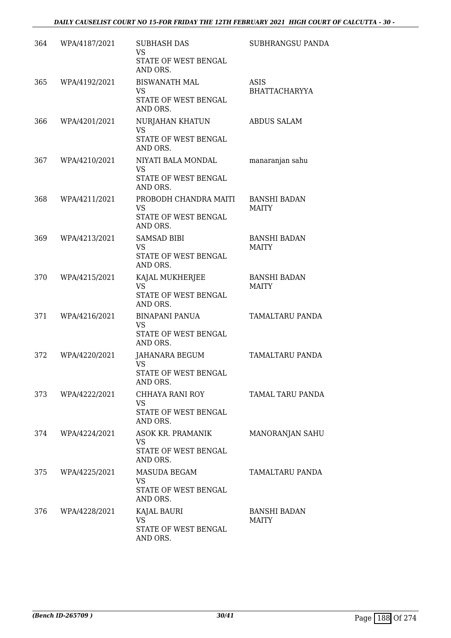| 364 | WPA/4187/2021     | <b>SUBHASH DAS</b><br>VS<br>STATE OF WEST BENGAL<br>AND ORS.        | <b>SUBHRANGSU PANDA</b>             |
|-----|-------------------|---------------------------------------------------------------------|-------------------------------------|
| 365 | WPA/4192/2021     | <b>BISWANATH MAL</b><br>VS<br>STATE OF WEST BENGAL<br>AND ORS.      | <b>ASIS</b><br><b>BHATTACHARYYA</b> |
| 366 | WPA/4201/2021     | NURJAHAN KHATUN<br><b>VS</b><br>STATE OF WEST BENGAL<br>AND ORS.    | <b>ABDUS SALAM</b>                  |
| 367 | WPA/4210/2021     | NIYATI BALA MONDAL<br><b>VS</b><br>STATE OF WEST BENGAL<br>AND ORS. | manaranjan sahu                     |
| 368 | WPA/4211/2021     | PROBODH CHANDRA MAITI<br>VS<br>STATE OF WEST BENGAL<br>AND ORS.     | <b>BANSHI BADAN</b><br><b>MAITY</b> |
| 369 | WPA/4213/2021     | <b>SAMSAD BIBI</b><br><b>VS</b><br>STATE OF WEST BENGAL<br>AND ORS. | <b>BANSHI BADAN</b><br><b>MAITY</b> |
| 370 | WPA/4215/2021     | KAJAL MUKHERJEE<br><b>VS</b><br>STATE OF WEST BENGAL<br>AND ORS.    | <b>BANSHI BADAN</b><br><b>MAITY</b> |
| 371 | WPA/4216/2021     | <b>BINAPANI PANUA</b><br>VS<br>STATE OF WEST BENGAL<br>AND ORS.     | TAMALTARU PANDA                     |
| 372 | WPA/4220/2021     | JAHANARA BEGUM<br><b>VS</b><br>STATE OF WEST BENGAL<br>AND ORS.     | TAMALTARU PANDA                     |
|     | 373 WPA/4222/2021 | CHHAYA RANI ROY<br>VS<br>STATE OF WEST BENGAL<br>AND ORS.           | TAMAL TARU PANDA                    |
|     | 374 WPA/4224/2021 | ASOK KR. PRAMANIK<br>VS<br>STATE OF WEST BENGAL<br>AND ORS.         | MANORANJAN SAHU                     |
| 375 | WPA/4225/2021     | MASUDA BEGAM<br>VS<br>STATE OF WEST BENGAL<br>AND ORS.              | TAMALTARU PANDA                     |
|     | 376 WPA/4228/2021 | KAJAL BAURI<br><b>VS</b><br>STATE OF WEST BENGAL<br>AND ORS.        | <b>BANSHI BADAN</b><br>MAITY        |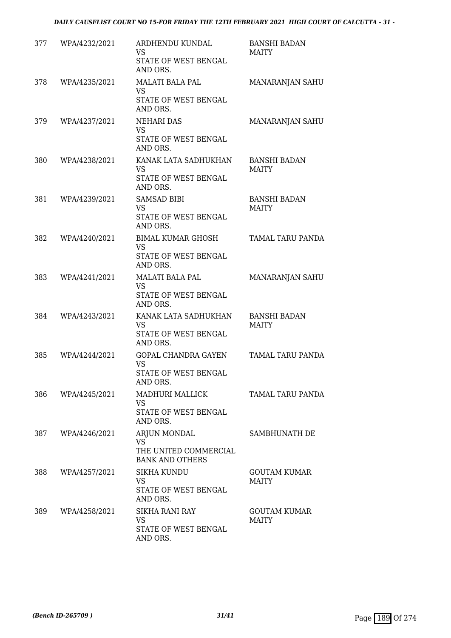| 377 | WPA/4232/2021     | ARDHENDU KUNDAL<br>VS<br>STATE OF WEST BENGAL<br>AND ORS.                    | <b>BANSHI BADAN</b><br><b>MAITY</b> |
|-----|-------------------|------------------------------------------------------------------------------|-------------------------------------|
| 378 | WPA/4235/2021     | <b>MALATI BALA PAL</b><br>VS<br>STATE OF WEST BENGAL<br>AND ORS.             | MANARANJAN SAHU                     |
| 379 | WPA/4237/2021     | NEHARI DAS<br><b>VS</b><br>STATE OF WEST BENGAL<br>AND ORS.                  | MANARANJAN SAHU                     |
| 380 | WPA/4238/2021     | KANAK LATA SADHUKHAN<br><b>VS</b><br>STATE OF WEST BENGAL<br>AND ORS.        | <b>BANSHI BADAN</b><br><b>MAITY</b> |
| 381 | WPA/4239/2021     | <b>SAMSAD BIBI</b><br>VS<br>STATE OF WEST BENGAL<br>AND ORS.                 | <b>BANSHI BADAN</b><br><b>MAITY</b> |
| 382 | WPA/4240/2021     | <b>BIMAL KUMAR GHOSH</b><br><b>VS</b><br>STATE OF WEST BENGAL<br>AND ORS.    | TAMAL TARU PANDA                    |
| 383 | WPA/4241/2021     | <b>MALATI BALA PAL</b><br><b>VS</b><br>STATE OF WEST BENGAL<br>AND ORS.      | MANARANJAN SAHU                     |
| 384 | WPA/4243/2021     | KANAK LATA SADHUKHAN<br>VS<br>STATE OF WEST BENGAL<br>AND ORS.               | <b>BANSHI BADAN</b><br><b>MAITY</b> |
| 385 | WPA/4244/2021     | <b>GOPAL CHANDRA GAYEN</b><br><b>VS</b><br>STATE OF WEST BENGAL<br>AND ORS.  | TAMAL TARU PANDA                    |
|     | 386 WPA/4245/2021 | MADHURI MALLICK<br>VS<br>STATE OF WEST BENGAL<br>AND ORS.                    | TAMAL TARU PANDA                    |
| 387 | WPA/4246/2021     | ARJUN MONDAL<br><b>VS</b><br>THE UNITED COMMERCIAL<br><b>BANK AND OTHERS</b> | SAMBHUNATH DE                       |
| 388 | WPA/4257/2021     | SIKHA KUNDU<br>VS<br>STATE OF WEST BENGAL<br>AND ORS.                        | <b>GOUTAM KUMAR</b><br><b>MAITY</b> |
| 389 | WPA/4258/2021     | <b>SIKHA RANI RAY</b><br>VS<br>STATE OF WEST BENGAL<br>AND ORS.              | <b>GOUTAM KUMAR</b><br>MAITY        |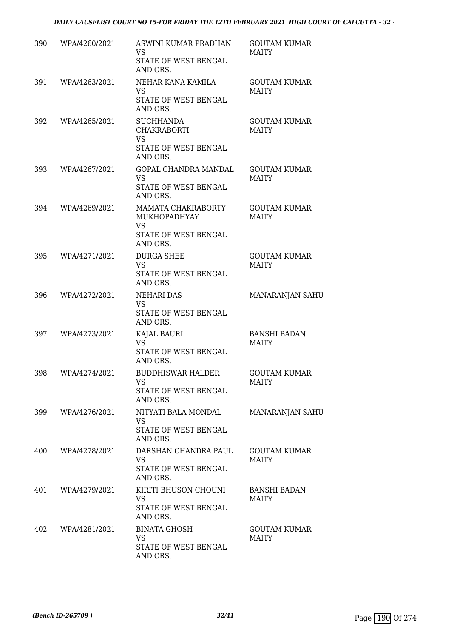| 390 | WPA/4260/2021 | ASWINI KUMAR PRADHAN<br><b>VS</b><br>STATE OF WEST BENGAL<br>AND ORS.                      | <b>GOUTAM KUMAR</b><br><b>MAITY</b> |
|-----|---------------|--------------------------------------------------------------------------------------------|-------------------------------------|
| 391 | WPA/4263/2021 | NEHAR KANA KAMILA<br><b>VS</b><br>STATE OF WEST BENGAL<br>AND ORS.                         | <b>GOUTAM KUMAR</b><br><b>MAITY</b> |
| 392 | WPA/4265/2021 | <b>SUCHHANDA</b><br><b>CHAKRABORTI</b><br><b>VS</b><br>STATE OF WEST BENGAL<br>AND ORS.    | <b>GOUTAM KUMAR</b><br><b>MAITY</b> |
| 393 | WPA/4267/2021 | GOPAL CHANDRA MANDAL<br>VS<br>STATE OF WEST BENGAL<br>AND ORS.                             | <b>GOUTAM KUMAR</b><br><b>MAITY</b> |
| 394 | WPA/4269/2021 | <b>MAMATA CHAKRABORTY</b><br>MUKHOPADHYAY<br><b>VS</b><br>STATE OF WEST BENGAL<br>AND ORS. | <b>GOUTAM KUMAR</b><br><b>MAITY</b> |
| 395 | WPA/4271/2021 | <b>DURGA SHEE</b><br><b>VS</b><br>STATE OF WEST BENGAL<br>AND ORS.                         | <b>GOUTAM KUMAR</b><br><b>MAITY</b> |
| 396 | WPA/4272/2021 | <b>NEHARI DAS</b><br>VS<br>STATE OF WEST BENGAL<br>AND ORS.                                | MANARANJAN SAHU                     |
| 397 | WPA/4273/2021 | KAJAL BAURI<br><b>VS</b><br>STATE OF WEST BENGAL<br>AND ORS.                               | <b>BANSHI BADAN</b><br><b>MAITY</b> |
| 398 | WPA/4274/2021 | <b>BUDDHISWAR HALDER</b><br>VS<br>STATE OF WEST BENGAL<br>AND ORS.                         | <b>GOUTAM KUMAR</b><br><b>MAITY</b> |
| 399 | WPA/4276/2021 | NITYATI BALA MONDAL<br>VS<br>STATE OF WEST BENGAL<br>AND ORS.                              | <b>MANARANJAN SAHU</b>              |
| 400 | WPA/4278/2021 | DARSHAN CHANDRA PAUL<br><b>VS</b><br>STATE OF WEST BENGAL<br>AND ORS.                      | <b>GOUTAM KUMAR</b><br><b>MAITY</b> |
| 401 | WPA/4279/2021 | KIRITI BHUSON CHOUNI<br><b>VS</b><br>STATE OF WEST BENGAL<br>AND ORS.                      | <b>BANSHI BADAN</b><br><b>MAITY</b> |
| 402 | WPA/4281/2021 | <b>BINATA GHOSH</b><br>VS.<br>STATE OF WEST BENGAL<br>AND ORS.                             | <b>GOUTAM KUMAR</b><br><b>MAITY</b> |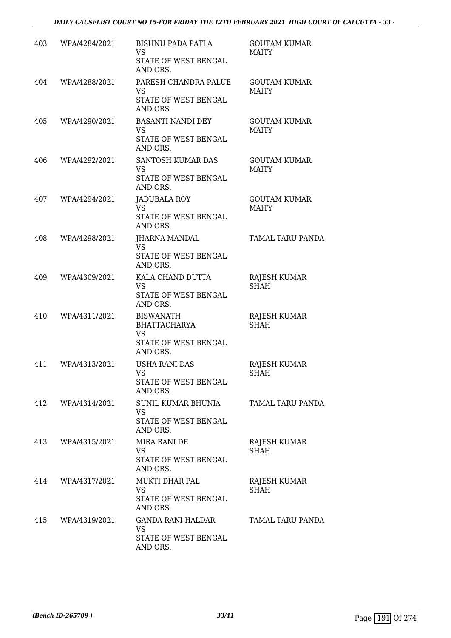| 403 | WPA/4284/2021     | <b>BISHNU PADA PATLA</b><br>VS<br>STATE OF WEST BENGAL<br>AND ORS.                       | <b>GOUTAM KUMAR</b><br><b>MAITY</b> |
|-----|-------------------|------------------------------------------------------------------------------------------|-------------------------------------|
| 404 | WPA/4288/2021     | PARESH CHANDRA PALUE<br>VS<br>STATE OF WEST BENGAL<br>AND ORS.                           | <b>GOUTAM KUMAR</b><br><b>MAITY</b> |
| 405 | WPA/4290/2021     | BASANTI NANDI DEY<br><b>VS</b><br>STATE OF WEST BENGAL<br>AND ORS.                       | <b>GOUTAM KUMAR</b><br><b>MAITY</b> |
| 406 | WPA/4292/2021     | SANTOSH KUMAR DAS<br><b>VS</b><br>STATE OF WEST BENGAL<br>AND ORS.                       | <b>GOUTAM KUMAR</b><br><b>MAITY</b> |
| 407 | WPA/4294/2021     | JADUBALA ROY<br><b>VS</b><br>STATE OF WEST BENGAL<br>AND ORS.                            | <b>GOUTAM KUMAR</b><br><b>MAITY</b> |
| 408 | WPA/4298/2021     | <b>JHARNA MANDAL</b><br><b>VS</b><br>STATE OF WEST BENGAL<br>AND ORS.                    | <b>TAMAL TARU PANDA</b>             |
| 409 | WPA/4309/2021     | KALA CHAND DUTTA<br><b>VS</b><br>STATE OF WEST BENGAL<br>AND ORS.                        | RAJESH KUMAR<br><b>SHAH</b>         |
| 410 | WPA/4311/2021     | <b>BISWANATH</b><br><b>BHATTACHARYA</b><br><b>VS</b><br>STATE OF WEST BENGAL<br>AND ORS. | RAJESH KUMAR<br><b>SHAH</b>         |
| 411 | WPA/4313/2021     | USHA RANI DAS<br>VS<br>STATE OF WEST BENGAL<br>AND ORS.                                  | <b>RAJESH KUMAR</b><br><b>SHAH</b>  |
|     | 412 WPA/4314/2021 | SUNIL KUMAR BHUNIA<br>VS<br>STATE OF WEST BENGAL<br>AND ORS.                             | TAMAL TARU PANDA                    |
|     | 413 WPA/4315/2021 | MIRA RANI DE<br><b>VS</b><br>STATE OF WEST BENGAL<br>AND ORS.                            | RAJESH KUMAR<br><b>SHAH</b>         |
| 414 | WPA/4317/2021     | MUKTI DHAR PAL<br>VS<br>STATE OF WEST BENGAL<br>AND ORS.                                 | RAJESH KUMAR<br><b>SHAH</b>         |
|     | 415 WPA/4319/2021 | GANDA RANI HALDAR<br>VS<br>STATE OF WEST BENGAL<br>AND ORS.                              | TAMAL TARU PANDA                    |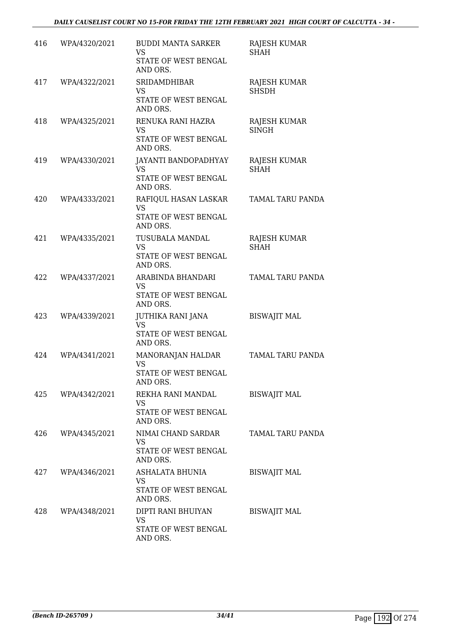| 416 | WPA/4320/2021     | <b>BUDDI MANTA SARKER</b><br><b>VS</b><br>STATE OF WEST BENGAL<br>AND ORS. | <b>RAJESH KUMAR</b><br><b>SHAH</b> |
|-----|-------------------|----------------------------------------------------------------------------|------------------------------------|
| 417 | WPA/4322/2021     | SRIDAMDHIBAR<br>VS<br>STATE OF WEST BENGAL<br>AND ORS.                     | RAJESH KUMAR<br><b>SHSDH</b>       |
| 418 | WPA/4325/2021     | RENUKA RANI HAZRA<br><b>VS</b><br>STATE OF WEST BENGAL<br>AND ORS.         | RAJESH KUMAR<br><b>SINGH</b>       |
| 419 | WPA/4330/2021     | JAYANTI BANDOPADHYAY<br>VS.<br>STATE OF WEST BENGAL<br>AND ORS.            | RAJESH KUMAR<br><b>SHAH</b>        |
| 420 | WPA/4333/2021     | RAFIQUL HASAN LASKAR<br><b>VS</b><br>STATE OF WEST BENGAL<br>AND ORS.      | TAMAL TARU PANDA                   |
| 421 | WPA/4335/2021     | TUSUBALA MANDAL<br><b>VS</b><br>STATE OF WEST BENGAL<br>AND ORS.           | <b>RAJESH KUMAR</b><br><b>SHAH</b> |
| 422 | WPA/4337/2021     | ARABINDA BHANDARI<br><b>VS</b><br>STATE OF WEST BENGAL<br>AND ORS.         | TAMAL TARU PANDA                   |
| 423 | WPA/4339/2021     | JUTHIKA RANI JANA<br><b>VS</b><br>STATE OF WEST BENGAL<br>AND ORS.         | <b>BISWAJIT MAL</b>                |
| 424 | WPA/4341/2021     | MANORANJAN HALDAR<br><b>VS</b><br>STATE OF WEST BENGAL<br>AND ORS.         | TAMAL TARU PANDA                   |
|     | 425 WPA/4342/2021 | REKHA RANI MANDAL<br><b>VS</b><br>STATE OF WEST BENGAL<br>AND ORS.         | <b>BISWAJIT MAL</b>                |
| 426 | WPA/4345/2021     | NIMAI CHAND SARDAR<br>VS.<br>STATE OF WEST BENGAL<br>AND ORS.              | TAMAL TARU PANDA                   |
|     | 427 WPA/4346/2021 | ASHALATA BHUNIA<br>VS.<br>STATE OF WEST BENGAL<br>AND ORS.                 | <b>BISWAJIT MAL</b>                |
| 428 | WPA/4348/2021     | DIPTI RANI BHUIYAN<br>VS<br>STATE OF WEST BENGAL<br>AND ORS.               | <b>BISWAJIT MAL</b>                |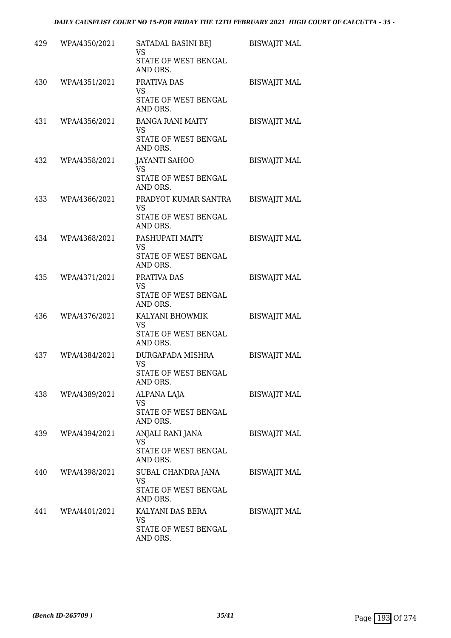| 429 | WPA/4350/2021 | SATADAL BASINI BEJ<br><b>VS</b><br>STATE OF WEST BENGAL<br>AND ORS.      | <b>BISWAJIT MAL</b> |
|-----|---------------|--------------------------------------------------------------------------|---------------------|
| 430 | WPA/4351/2021 | PRATIVA DAS<br><b>VS</b><br>STATE OF WEST BENGAL<br>AND ORS.             | <b>BISWAJIT MAL</b> |
| 431 | WPA/4356/2021 | <b>BANGA RANI MAITY</b><br><b>VS</b><br>STATE OF WEST BENGAL<br>AND ORS. | <b>BISWAJIT MAL</b> |
| 432 | WPA/4358/2021 | <b>JAYANTI SAHOO</b><br><b>VS</b><br>STATE OF WEST BENGAL<br>AND ORS.    | <b>BISWAJIT MAL</b> |
| 433 | WPA/4366/2021 | PRADYOT KUMAR SANTRA<br><b>VS</b><br>STATE OF WEST BENGAL<br>AND ORS.    | <b>BISWAJIT MAL</b> |
| 434 | WPA/4368/2021 | PASHUPATI MAITY<br><b>VS</b><br>STATE OF WEST BENGAL<br>AND ORS.         | <b>BISWAJIT MAL</b> |
| 435 | WPA/4371/2021 | PRATIVA DAS<br><b>VS</b><br>STATE OF WEST BENGAL<br>AND ORS.             | <b>BISWAJIT MAL</b> |
| 436 | WPA/4376/2021 | KALYANI BHOWMIK<br><b>VS</b><br>STATE OF WEST BENGAL<br>AND ORS.         | <b>BISWAJIT MAL</b> |
| 437 | WPA/4384/2021 | DURGAPADA MISHRA<br><b>VS</b><br>STATE OF WEST BENGAL<br>AND ORS.        | <b>BISWAJIT MAL</b> |
| 438 | WPA/4389/2021 | ALPANA LAJA<br>VS<br>STATE OF WEST BENGAL<br>AND ORS.                    | <b>BISWAJIT MAL</b> |
| 439 | WPA/4394/2021 | ANJALI RANI JANA<br><b>VS</b><br>STATE OF WEST BENGAL<br>AND ORS.        | <b>BISWAJIT MAL</b> |
| 440 | WPA/4398/2021 | SUBAL CHANDRA JANA<br>VS<br>STATE OF WEST BENGAL<br>AND ORS.             | <b>BISWAJIT MAL</b> |
| 441 | WPA/4401/2021 | KALYANI DAS BERA<br>VS<br>STATE OF WEST BENGAL<br>AND ORS.               | <b>BISWAJIT MAL</b> |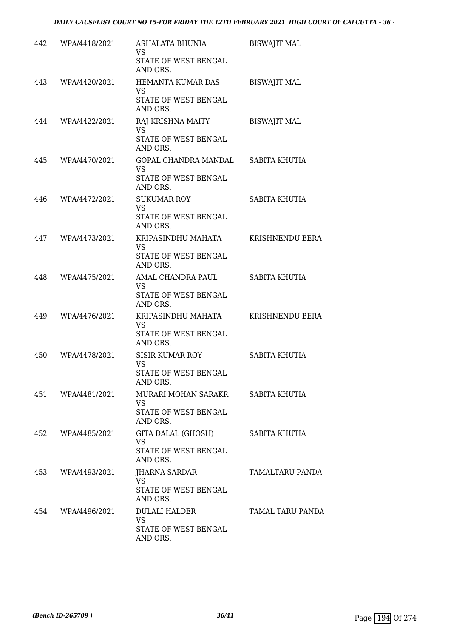| 442 | WPA/4418/2021     | ASHALATA BHUNIA<br>VS<br>STATE OF WEST BENGAL<br>AND ORS.                   | <b>BISWAJIT MAL</b> |
|-----|-------------------|-----------------------------------------------------------------------------|---------------------|
| 443 | WPA/4420/2021     | HEMANTA KUMAR DAS<br><b>VS</b><br>STATE OF WEST BENGAL<br>AND ORS.          | <b>BISWAJIT MAL</b> |
| 444 | WPA/4422/2021     | RAJ KRISHNA MAITY<br><b>VS</b><br>STATE OF WEST BENGAL<br>AND ORS.          | <b>BISWAJIT MAL</b> |
| 445 | WPA/4470/2021     | GOPAL CHANDRA MANDAL<br><b>VS</b><br>STATE OF WEST BENGAL<br>AND ORS.       | SABITA KHUTIA       |
| 446 | WPA/4472/2021     | <b>SUKUMAR ROY</b><br><b>VS</b><br>STATE OF WEST BENGAL<br>AND ORS.         | SABITA KHUTIA       |
| 447 | WPA/4473/2021     | KRIPASINDHU MAHATA<br><b>VS</b><br>STATE OF WEST BENGAL<br>AND ORS.         | KRISHNENDU BERA     |
| 448 | WPA/4475/2021     | AMAL CHANDRA PAUL<br>VS<br>STATE OF WEST BENGAL<br>AND ORS.                 | SABITA KHUTIA       |
| 449 | WPA/4476/2021     | KRIPASINDHU MAHATA<br>VS<br>STATE OF WEST BENGAL<br>AND ORS.                | KRISHNENDU BERA     |
| 450 | WPA/4478/2021     | <b>SISIR KUMAR ROY</b><br><b>VS</b><br>STATE OF WEST BENGAL<br>AND ORS.     | SABITA KHUTIA       |
|     | 451 WPA/4481/2021 | MURARI MOHAN SARAKR SABITA KHUTIA<br>VS<br>STATE OF WEST BENGAL<br>AND ORS. |                     |
|     | 452 WPA/4485/2021 | GITA DALAL (GHOSH)<br><b>VS</b><br>STATE OF WEST BENGAL<br>AND ORS.         | SABITA KHUTIA       |
| 453 | WPA/4493/2021     | <b>JHARNA SARDAR</b><br><b>VS</b><br>STATE OF WEST BENGAL<br>AND ORS.       | TAMALTARU PANDA     |
|     | 454 WPA/4496/2021 | DULALI HALDER<br><b>VS</b><br>STATE OF WEST BENGAL<br>AND ORS.              | TAMAL TARU PANDA    |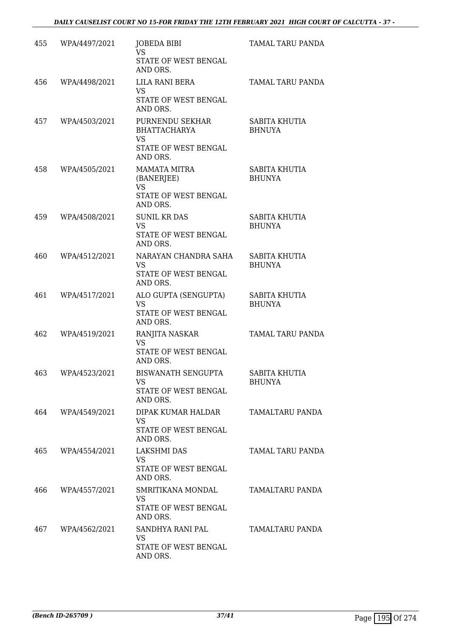| 455 | WPA/4497/2021 | JOBEDA BIBI<br><b>VS</b><br>STATE OF WEST BENGAL<br>AND ORS.                            | TAMAL TARU PANDA               |
|-----|---------------|-----------------------------------------------------------------------------------------|--------------------------------|
| 456 | WPA/4498/2021 | LILA RANI BERA<br><b>VS</b><br>STATE OF WEST BENGAL<br>AND ORS.                         | TAMAL TARU PANDA               |
| 457 | WPA/4503/2021 | PURNENDU SEKHAR<br><b>BHATTACHARYA</b><br><b>VS</b><br>STATE OF WEST BENGAL<br>AND ORS. | SABITA KHUTIA<br><b>BHNUYA</b> |
| 458 | WPA/4505/2021 | <b>MAMATA MITRA</b><br>(BANERJEE)<br><b>VS</b><br>STATE OF WEST BENGAL<br>AND ORS.      | SABITA KHUTIA<br><b>BHUNYA</b> |
| 459 | WPA/4508/2021 | <b>SUNIL KR DAS</b><br><b>VS</b><br>STATE OF WEST BENGAL<br>AND ORS.                    | SABITA KHUTIA<br><b>BHUNYA</b> |
| 460 | WPA/4512/2021 | NARAYAN CHANDRA SAHA<br><b>VS</b><br>STATE OF WEST BENGAL<br>AND ORS.                   | SABITA KHUTIA<br><b>BHUNYA</b> |
| 461 | WPA/4517/2021 | ALO GUPTA (SENGUPTA)<br><b>VS</b><br>STATE OF WEST BENGAL<br>AND ORS.                   | SABITA KHUTIA<br><b>BHUNYA</b> |
| 462 | WPA/4519/2021 | RANJITA NASKAR<br>VS<br>STATE OF WEST BENGAL<br>AND ORS.                                | TAMAL TARU PANDA               |
| 463 | WPA/4523/2021 | BISWANATH SENGUPTA<br>VS<br>STATE OF WEST BENGAL<br>AND ORS.                            | SABITA KHUTIA<br>BHUNYA        |
| 464 | WPA/4549/2021 | DIPAK KUMAR HALDAR<br>VS<br>STATE OF WEST BENGAL<br>AND ORS.                            | TAMALTARU PANDA                |
| 465 | WPA/4554/2021 | <b>LAKSHMI DAS</b><br>VS<br>STATE OF WEST BENGAL<br>AND ORS.                            | TAMAL TARU PANDA               |
| 466 | WPA/4557/2021 | SMRITIKANA MONDAL<br><b>VS</b><br>STATE OF WEST BENGAL<br>AND ORS.                      | TAMALTARU PANDA                |
| 467 | WPA/4562/2021 | SANDHYA RANI PAL<br>VS<br>STATE OF WEST BENGAL<br>AND ORS.                              | TAMALTARU PANDA                |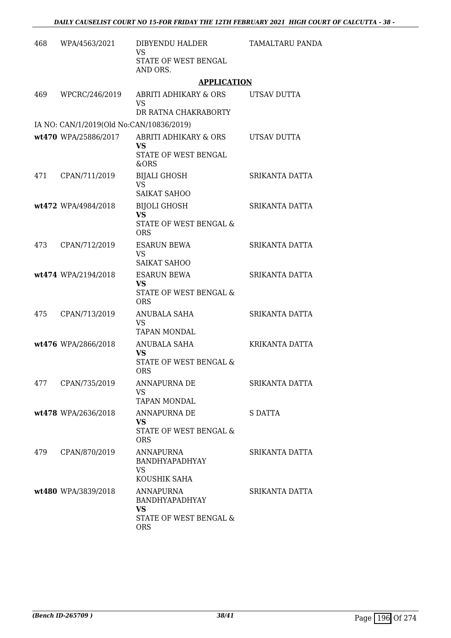| 468 | WPA/4563/2021                            | DIBYENDU HALDER<br><b>VS</b>                                                     | <b>TAMALTARU PANDA</b> |
|-----|------------------------------------------|----------------------------------------------------------------------------------|------------------------|
|     |                                          | STATE OF WEST BENGAL<br>AND ORS.                                                 |                        |
|     |                                          | <b>APPLICATION</b>                                                               |                        |
| 469 | WPCRC/246/2019                           | ABRITI ADHIKARY & ORS<br><b>VS</b>                                               | UTSAV DUTTA            |
|     |                                          | DR RATNA CHAKRABORTY                                                             |                        |
|     | IA NO: CAN/1/2019(Old No:CAN/10836/2019) |                                                                                  |                        |
|     | wt470 WPA/25886/2017                     | <b>ABRITI ADHIKARY &amp; ORS</b><br>VS<br>STATE OF WEST BENGAL<br>&ORS           | UTSAV DUTTA            |
| 471 | CPAN/711/2019                            | <b>BIJALI GHOSH</b><br><b>VS</b><br>SAIKAT SAHOO                                 | SRIKANTA DATTA         |
|     | wt472 WPA/4984/2018                      | <b>BIJOLI GHOSH</b><br><b>VS</b><br>STATE OF WEST BENGAL &<br><b>ORS</b>         | SRIKANTA DATTA         |
| 473 | CPAN/712/2019                            | <b>ESARUN BEWA</b><br><b>VS</b><br><b>SAIKAT SAHOO</b>                           | SRIKANTA DATTA         |
|     | wt474 WPA/2194/2018                      | <b>ESARUN BEWA</b><br><b>VS</b><br>STATE OF WEST BENGAL &<br><b>ORS</b>          | SRIKANTA DATTA         |
| 475 | CPAN/713/2019                            | <b>ANUBALA SAHA</b><br><b>VS</b><br><b>TAPAN MONDAL</b>                          | SRIKANTA DATTA         |
|     | wt476 WPA/2866/2018                      | ANUBALA SAHA<br><b>VS</b><br>STATE OF WEST BENGAL &<br><b>ORS</b>                | KRIKANTA DATTA         |
| 477 | CPAN/735/2019                            | ANNAPURNA DE<br>VS<br><b>TAPAN MONDAL</b>                                        | SRIKANTA DATTA         |
|     | wt478 WPA/2636/2018                      | ANNAPURNA DE<br>VS.<br>STATE OF WEST BENGAL &<br><b>ORS</b>                      | S DATTA                |
| 479 | CPAN/870/2019                            | ANNAPURNA<br>BANDHYAPADHYAY<br>VS<br>KOUSHIK SAHA                                | SRIKANTA DATTA         |
|     | wt480 WPA/3839/2018                      | ANNAPURNA<br>BANDHYAPADHYAY<br><b>VS</b><br>STATE OF WEST BENGAL &<br><b>ORS</b> | SRIKANTA DATTA         |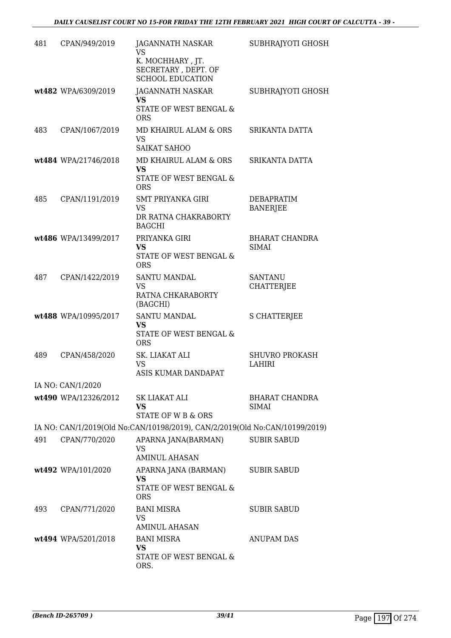| 481 | CPAN/949/2019        | JAGANNATH NASKAR<br>VS                                                         | SUBHRAJYOTI GHOSH                     |
|-----|----------------------|--------------------------------------------------------------------------------|---------------------------------------|
|     |                      | K. MOCHHARY , JT.<br>SECRETARY, DEPT. OF<br><b>SCHOOL EDUCATION</b>            |                                       |
|     | wt482 WPA/6309/2019  | JAGANNATH NASKAR<br><b>VS</b>                                                  | SUBHRAJYOTI GHOSH                     |
|     |                      | STATE OF WEST BENGAL &<br><b>ORS</b>                                           |                                       |
| 483 | CPAN/1067/2019       | MD KHAIRUL ALAM & ORS<br><b>VS</b><br><b>SAIKAT SAHOO</b>                      | SRIKANTA DATTA                        |
|     | wt484 WPA/21746/2018 | MD KHAIRUL ALAM & ORS<br>VS.<br>STATE OF WEST BENGAL &<br><b>ORS</b>           | SRIKANTA DATTA                        |
| 485 | CPAN/1191/2019       | <b>SMT PRIYANKA GIRI</b><br><b>VS</b><br>DR RATNA CHAKRABORTY<br><b>BAGCHI</b> | DEBAPRATIM<br><b>BANERJEE</b>         |
|     | wt486 WPA/13499/2017 | PRIYANKA GIRI<br><b>VS</b><br>STATE OF WEST BENGAL &<br><b>ORS</b>             | <b>BHARAT CHANDRA</b><br><b>SIMAI</b> |
| 487 | CPAN/1422/2019       | <b>SANTU MANDAL</b><br>VS<br>RATNA CHKARABORTY<br>(BAGCHI)                     | <b>SANTANU</b><br><b>CHATTERJEE</b>   |
|     | wt488 WPA/10995/2017 | SANTU MANDAL<br><b>VS</b><br>STATE OF WEST BENGAL &<br><b>ORS</b>              | <b>S CHATTERJEE</b>                   |
| 489 | CPAN/458/2020        | SK. LIAKAT ALI<br><b>VS</b><br>ASIS KUMAR DANDAPAT                             | <b>SHUVRO PROKASH</b><br>LAHIRI       |
|     | IA NO: CAN/1/2020    |                                                                                |                                       |
|     | wt490 WPA/12326/2012 | SK LIAKAT ALI<br>VS.<br>STATE OF W B & ORS                                     | <b>BHARAT CHANDRA</b><br>SIMAI        |
|     |                      | IA NO: CAN/1/2019(Old No:CAN/10198/2019), CAN/2/2019(Old No:CAN/10199/2019)    |                                       |
| 491 | CPAN/770/2020        | APARNA JANA(BARMAN)<br><b>VS</b><br><b>AMINUL AHASAN</b>                       | <b>SUBIR SABUD</b>                    |
|     | wt492 WPA/101/2020   | APARNA JANA (BARMAN)<br><b>VS</b><br>STATE OF WEST BENGAL &<br><b>ORS</b>      | <b>SUBIR SABUD</b>                    |
| 493 | CPAN/771/2020        | <b>BANI MISRA</b><br>VS<br><b>AMINUL AHASAN</b>                                | <b>SUBIR SABUD</b>                    |
|     | wt494 WPA/5201/2018  | <b>BANI MISRA</b><br>VS<br>STATE OF WEST BENGAL &<br>ORS.                      | <b>ANUPAM DAS</b>                     |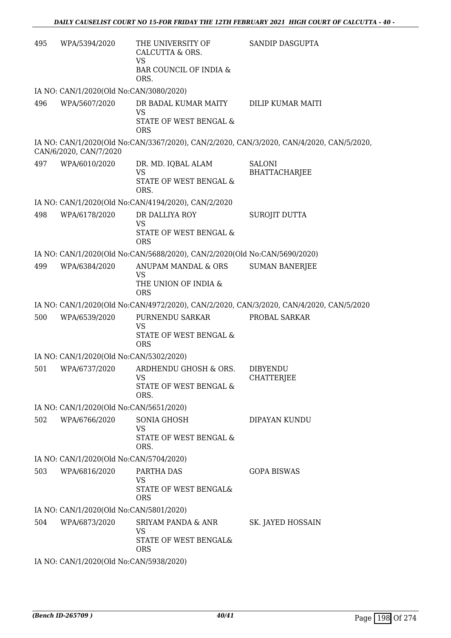| 495 | WPA/5394/2020                           | THE UNIVERSITY OF<br>CALCUTTA & ORS.<br><b>VS</b><br>BAR COUNCIL OF INDIA &<br>ORS. | <b>SANDIP DASGUPTA</b>                                                                   |
|-----|-----------------------------------------|-------------------------------------------------------------------------------------|------------------------------------------------------------------------------------------|
|     | IA NO: CAN/1/2020(Old No:CAN/3080/2020) |                                                                                     |                                                                                          |
| 496 | WPA/5607/2020                           | DR BADAL KUMAR MAITY<br><b>VS</b><br>STATE OF WEST BENGAL &                         | DILIP KUMAR MAITI                                                                        |
|     |                                         | <b>ORS</b>                                                                          |                                                                                          |
|     | CAN/6/2020, CAN/7/2020                  |                                                                                     | IA NO: CAN/1/2020(Old No:CAN/3367/2020), CAN/2/2020, CAN/3/2020, CAN/4/2020, CAN/5/2020, |
| 497 | WPA/6010/2020                           | DR. MD. IQBAL ALAM                                                                  | <b>SALONI</b>                                                                            |
|     |                                         | <b>VS</b><br>STATE OF WEST BENGAL &<br>ORS.                                         | <b>BHATTACHARJEE</b>                                                                     |
|     |                                         | IA NO: CAN/1/2020(Old No:CAN/4194/2020), CAN/2/2020                                 |                                                                                          |
| 498 | WPA/6178/2020                           | DR DALLIYA ROY                                                                      | SUROJIT DUTTA                                                                            |
|     |                                         | <b>VS</b><br>STATE OF WEST BENGAL &<br><b>ORS</b>                                   |                                                                                          |
|     |                                         | IA NO: CAN/1/2020(Old No:CAN/5688/2020), CAN/2/2020(Old No:CAN/5690/2020)           |                                                                                          |
| 499 | WPA/6384/2020                           | ANUPAM MANDAL & ORS                                                                 | <b>SUMAN BANERJEE</b>                                                                    |
|     |                                         | <b>VS</b><br>THE UNION OF INDIA &<br><b>ORS</b>                                     |                                                                                          |
|     |                                         |                                                                                     | IA NO: CAN/1/2020(Old No:CAN/4972/2020), CAN/2/2020, CAN/3/2020, CAN/4/2020, CAN/5/2020  |
| 500 | WPA/6539/2020                           | PURNENDU SARKAR<br><b>VS</b><br>STATE OF WEST BENGAL &<br><b>ORS</b>                | PROBAL SARKAR                                                                            |
|     | IA NO: CAN/1/2020(Old No:CAN/5302/2020) |                                                                                     |                                                                                          |
| 501 | WPA/6737/2020                           | ARDHENDU GHOSH & ORS.<br>VS                                                         | <b>DIBYENDU</b><br><b>CHATTERJEE</b>                                                     |
|     |                                         | STATE OF WEST BENGAL &<br>ORS.                                                      |                                                                                          |
|     | IA NO: CAN/1/2020(Old No:CAN/5651/2020) |                                                                                     |                                                                                          |
| 502 | WPA/6766/2020                           | <b>SONIA GHOSH</b><br>VS                                                            | DIPAYAN KUNDU                                                                            |
|     |                                         | STATE OF WEST BENGAL &<br>ORS.                                                      |                                                                                          |
|     | IA NO: CAN/1/2020(Old No:CAN/5704/2020) |                                                                                     |                                                                                          |
| 503 | WPA/6816/2020                           | PARTHA DAS<br><b>VS</b>                                                             | <b>GOPA BISWAS</b>                                                                       |
|     |                                         | STATE OF WEST BENGAL&<br><b>ORS</b>                                                 |                                                                                          |
|     | IA NO: CAN/1/2020(Old No:CAN/5801/2020) |                                                                                     |                                                                                          |
| 504 | WPA/6873/2020                           | SRIYAM PANDA & ANR<br>VS                                                            | SK. JAYED HOSSAIN                                                                        |
|     |                                         | STATE OF WEST BENGAL&<br><b>ORS</b>                                                 |                                                                                          |
|     | IA NO: CAN/1/2020(Old No:CAN/5938/2020) |                                                                                     |                                                                                          |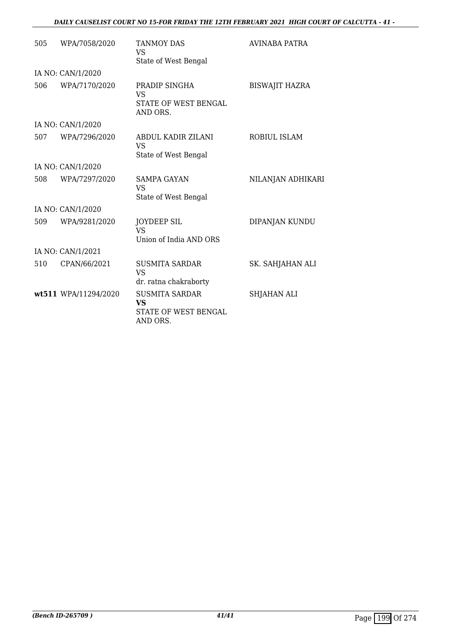### *DAILY CAUSELIST COURT NO 15-FOR FRIDAY THE 12TH FEBRUARY 2021 HIGH COURT OF CALCUTTA - 41 -*

| 505 | WPA/7058/2020        | <b>TANMOY DAS</b><br>VS<br>State of West Bengal                        | AVINABA PATRA         |
|-----|----------------------|------------------------------------------------------------------------|-----------------------|
|     | IA NO: CAN/1/2020    |                                                                        |                       |
| 506 | WPA/7170/2020        | PRADIP SINGHA<br><b>VS</b><br>STATE OF WEST BENGAL<br>AND ORS.         | <b>BISWAJIT HAZRA</b> |
|     | IA NO: CAN/1/2020    |                                                                        |                       |
| 507 | WPA/7296/2020        | ABDUL KADIR ZILANI<br><b>VS</b><br>State of West Bengal                | ROBIUL ISLAM          |
|     | IA NO: CAN/1/2020    |                                                                        |                       |
| 508 | WPA/7297/2020        | <b>SAMPA GAYAN</b><br>VS.<br>State of West Bengal                      | NILANJAN ADHIKARI     |
|     | IA NO: CAN/1/2020    |                                                                        |                       |
| 509 | WPA/9281/2020        | <b>JOYDEEP SIL</b><br><b>VS</b><br>Union of India AND ORS              | DIPANJAN KUNDU        |
|     | IA NO: CAN/1/2021    |                                                                        |                       |
| 510 | CPAN/66/2021         | <b>SUSMITA SARDAR</b><br><b>VS</b><br>dr. ratna chakraborty            | SK. SAHJAHAN ALI      |
|     | wt511 WPA/11294/2020 | <b>SUSMITA SARDAR</b><br><b>VS</b><br>STATE OF WEST BENGAL<br>AND ORS. | SHJAHAN ALI           |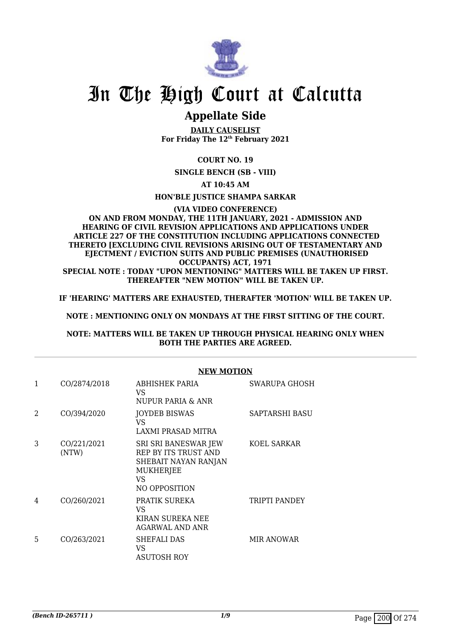

# In The High Court at Calcutta

## **Appellate Side**

**DAILY CAUSELIST For Friday The 12th February 2021**

### **COURT NO. 19**

**SINGLE BENCH (SB - VIII)**

**AT 10:45 AM**

### **HON'BLE JUSTICE SHAMPA SARKAR**

### **(VIA VIDEO CONFERENCE) ON AND FROM MONDAY, THE 11TH JANUARY, 2021 - ADMISSION AND HEARING OF CIVIL REVISION APPLICATIONS AND APPLICATIONS UNDER ARTICLE 227 OF THE CONSTITUTION INCLUDING APPLICATIONS CONNECTED THERETO [EXCLUDING CIVIL REVISIONS ARISING OUT OF TESTAMENTARY AND EJECTMENT / EVICTION SUITS AND PUBLIC PREMISES (UNAUTHORISED OCCUPANTS) ACT, 1971**

**SPECIAL NOTE : TODAY "UPON MENTIONING" MATTERS WILL BE TAKEN UP FIRST. THEREAFTER "NEW MOTION" WILL BE TAKEN UP.**

**IF 'HEARING' MATTERS ARE EXHAUSTED, THERAFTER 'MOTION' WILL BE TAKEN UP.**

**NOTE : MENTIONING ONLY ON MONDAYS AT THE FIRST SITTING OF THE COURT.**

### **NOTE: MATTERS WILL BE TAKEN UP THROUGH PHYSICAL HEARING ONLY WHEN BOTH THE PARTIES ARE AGREED.**

|                |                      | <b>NEW MOTION</b>                                                                                        |                   |  |
|----------------|----------------------|----------------------------------------------------------------------------------------------------------|-------------------|--|
| 1              | CO/2874/2018         | <b>ABHISHEK PARIA</b><br>VS.<br>NUPUR PARIA & ANR                                                        | SWARUPA GHOSH     |  |
| $\overline{2}$ | CO/394/2020          | <b>JOYDEB BISWAS</b><br>VS<br>LAXMI PRASAD MITRA                                                         | SAPTARSHI BASU    |  |
| 3              | CO/221/2021<br>(NTW) | SRI SRI BANESWAR JEW<br>REP BY ITS TRUST AND<br>SHEBAIT NAYAN RANJAN<br>MUKHERJEE<br>VS<br>NO OPPOSITION | KOEL SARKAR       |  |
| 4              | CO/260/2021          | PRATIK SUREKA<br>VS<br>KIRAN SUREKA NEE<br><b>AGARWAL AND ANR</b>                                        | TRIPTI PANDEY     |  |
| 5              | CO/263/2021          | SHEFALI DAS<br>VS<br><b>ASUTOSH ROY</b>                                                                  | <b>MIR ANOWAR</b> |  |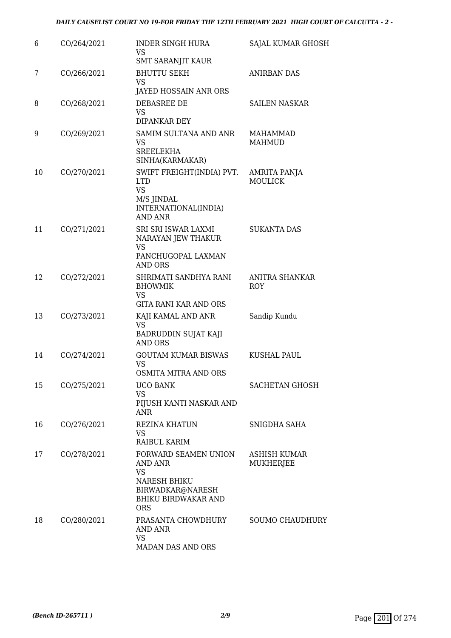| 6  | CO/264/2021 | <b>INDER SINGH HURA</b><br>VS<br><b>SMT SARANJIT KAUR</b>                                                                    | SAJAL KUMAR GHOSH              |
|----|-------------|------------------------------------------------------------------------------------------------------------------------------|--------------------------------|
| 7  | CO/266/2021 | <b>BHUTTU SEKH</b><br>VS<br>JAYED HOSSAIN ANR ORS                                                                            | <b>ANIRBAN DAS</b>             |
| 8  | CO/268/2021 | DEBASREE DE<br>VS<br>DIPANKAR DEY                                                                                            | <b>SAILEN NASKAR</b>           |
| 9  | CO/269/2021 | SAMIM SULTANA AND ANR<br>VS<br><b>SREELEKHA</b><br>SINHA(KARMAKAR)                                                           | MAHAMMAD<br><b>MAHMUD</b>      |
| 10 | CO/270/2021 | SWIFT FREIGHT(INDIA) PVT.<br><b>LTD</b><br><b>VS</b><br>M/S JINDAL<br>INTERNATIONAL(INDIA)<br><b>AND ANR</b>                 | AMRITA PANJA<br><b>MOULICK</b> |
| 11 | CO/271/2021 | SRI SRI ISWAR LAXMI<br>NARAYAN JEW THAKUR<br>VS<br>PANCHUGOPAL LAXMAN<br><b>AND ORS</b>                                      | <b>SUKANTA DAS</b>             |
| 12 | CO/272/2021 | SHRIMATI SANDHYA RANI<br><b>BHOWMIK</b><br>VS<br><b>GITA RANI KAR AND ORS</b>                                                | ANITRA SHANKAR<br><b>ROY</b>   |
| 13 | CO/273/2021 | KAJI KAMAL AND ANR<br><b>VS</b><br>BADRUDDIN SUJAT KAJI<br><b>AND ORS</b>                                                    | Sandip Kundu                   |
| 14 | CO/274/2021 | <b>GOUTAM KUMAR BISWAS</b><br><b>VS</b><br>OSMITA MITRA AND ORS                                                              | <b>KUSHAL PAUL</b>             |
| 15 | CO/275/2021 | UCO BANK<br><b>VS</b><br>PIJUSH KANTI NASKAR AND<br><b>ANR</b>                                                               | SACHETAN GHOSH                 |
| 16 | CO/276/2021 | <b>REZINA KHATUN</b><br>VS<br>RAIBUL KARIM                                                                                   | SNIGDHA SAHA                   |
| 17 | CO/278/2021 | FORWARD SEAMEN UNION<br>AND ANR<br>VS<br><b>NARESH BHIKU</b><br>BIRWADKAR@NARESH<br><b>BHIKU BIRDWAKAR AND</b><br><b>ORS</b> | ASHISH KUMAR<br>MUKHERJEE      |
| 18 | CO/280/2021 | PRASANTA CHOWDHURY<br>AND ANR<br><b>VS</b><br>MADAN DAS AND ORS                                                              | <b>SOUMO CHAUDHURY</b>         |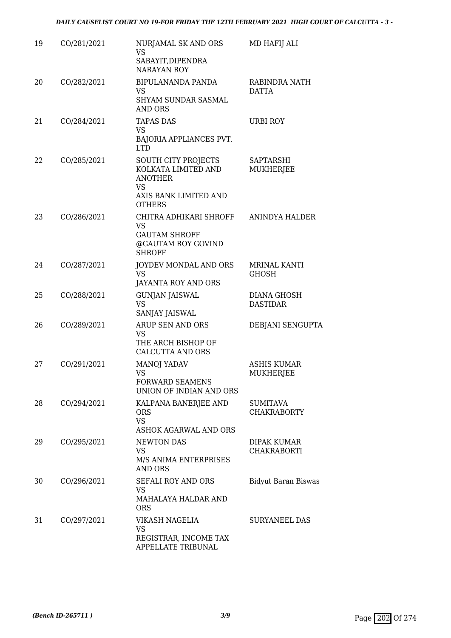| 19 | CO/281/2021 | NURJAMAL SK AND ORS<br>VS.<br>SABAYIT, DIPENDRA                | MD HAFIJ ALI                        |
|----|-------------|----------------------------------------------------------------|-------------------------------------|
|    |             | <b>NARAYAN ROY</b>                                             |                                     |
| 20 | CO/282/2021 | BIPULANANDA PANDA<br>VS<br>SHYAM SUNDAR SASMAL                 | RABINDRA NATH<br><b>DATTA</b>       |
| 21 | CO/284/2021 | AND ORS<br><b>TAPAS DAS</b>                                    | <b>URBI ROY</b>                     |
|    |             | VS.                                                            |                                     |
|    |             | BAJORIA APPLIANCES PVT.<br><b>LTD</b>                          |                                     |
| 22 | CO/285/2021 | SOUTH CITY PROJECTS<br>KOLKATA LIMITED AND<br><b>ANOTHER</b>   | SAPTARSHI<br>MUKHERJEE              |
|    |             | VS.<br>AXIS BANK LIMITED AND<br><b>OTHERS</b>                  |                                     |
| 23 | CO/286/2021 | CHITRA ADHIKARI SHROFF<br>VS                                   | ANINDYA HALDER                      |
|    |             | <b>GAUTAM SHROFF</b><br>@GAUTAM ROY GOVIND<br><b>SHROFF</b>    |                                     |
| 24 | CO/287/2021 | JOYDEV MONDAL AND ORS<br><b>VS</b><br>JAYANTA ROY AND ORS      | <b>MRINAL KANTI</b><br><b>GHOSH</b> |
| 25 | CO/288/2021 | <b>GUNJAN JAISWAL</b><br><b>VS</b>                             | DIANA GHOSH<br><b>DASTIDAR</b>      |
| 26 | CO/289/2021 | SANJAY JAISWAL<br>ARUP SEN AND ORS                             | DEBJANI SENGUPTA                    |
|    |             | <b>VS</b><br>THE ARCH BISHOP OF<br><b>CALCUTTA AND ORS</b>     |                                     |
| 27 | CO/291/2021 | <b>MANOJ YADAV</b><br>VS<br><b>FORWARD SEAMENS</b>             | <b>ASHIS KUMAR</b><br>MUKHERJEE     |
|    |             | UNION OF INDIAN AND ORS                                        |                                     |
| 28 | CO/294/2021 | KALPANA BANERJEE AND<br><b>ORS</b><br><b>VS</b>                | SUMITAVA<br><b>CHAKRABORTY</b>      |
| 29 | CO/295/2021 | ASHOK AGARWAL AND ORS<br><b>NEWTON DAS</b>                     | DIPAK KUMAR                         |
|    |             | <b>VS</b><br>M/S ANIMA ENTERPRISES<br><b>AND ORS</b>           | <b>CHAKRABORTI</b>                  |
| 30 | CO/296/2021 | SEFALI ROY AND ORS<br>VS.<br>MAHALAYA HALDAR AND<br><b>ORS</b> | <b>Bidyut Baran Biswas</b>          |
| 31 | CO/297/2021 | VIKASH NAGELIA<br>VS                                           | <b>SURYANEEL DAS</b>                |
|    |             | REGISTRAR, INCOME TAX<br>APPELLATE TRIBUNAL                    |                                     |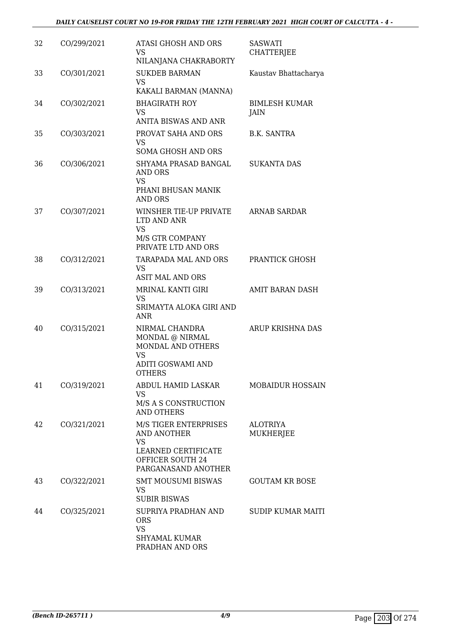| 32 | CO/299/2021 | <b>ATASI GHOSH AND ORS</b><br>VS<br>NILANJANA CHAKRABORTY                                                           | <b>SASWATI</b><br><b>CHATTERJEE</b> |
|----|-------------|---------------------------------------------------------------------------------------------------------------------|-------------------------------------|
| 33 | CO/301/2021 | <b>SUKDEB BARMAN</b><br><b>VS</b><br>KAKALI BARMAN (MANNA)                                                          | Kaustav Bhattacharya                |
| 34 | CO/302/2021 | <b>BHAGIRATH ROY</b><br>VS<br>ANITA BISWAS AND ANR                                                                  | <b>BIMLESH KUMAR</b><br>JAIN        |
| 35 | CO/303/2021 | PROVAT SAHA AND ORS<br>VS.<br>SOMA GHOSH AND ORS                                                                    | B.K. SANTRA                         |
| 36 | CO/306/2021 | SHYAMA PRASAD BANGAL<br>AND ORS<br>VS<br>PHANI BHUSAN MANIK<br><b>AND ORS</b>                                       | <b>SUKANTA DAS</b>                  |
| 37 | CO/307/2021 | WINSHER TIE-UP PRIVATE<br>LTD AND ANR<br><b>VS</b><br>M/S GTR COMPANY<br>PRIVATE LTD AND ORS                        | <b>ARNAB SARDAR</b>                 |
| 38 | CO/312/2021 | TARAPADA MAL AND ORS<br><b>VS</b><br><b>ASIT MAL AND ORS</b>                                                        | PRANTICK GHOSH                      |
| 39 | CO/313/2021 | MRINAL KANTI GIRI<br>VS<br>SRIMAYTA ALOKA GIRI AND<br><b>ANR</b>                                                    | AMIT BARAN DASH                     |
| 40 | CO/315/2021 | NIRMAL CHANDRA<br>MONDAL @ NIRMAL<br>MONDAL AND OTHERS<br><b>VS</b><br>ADITI GOSWAMI AND<br><b>OTHERS</b>           | ARUP KRISHNA DAS                    |
| 41 | CO/319/2021 | ABDUL HAMID LASKAR<br>VS<br>M/S A S CONSTRUCTION<br>AND OTHERS                                                      | <b>MOBAIDUR HOSSAIN</b>             |
| 42 | CO/321/2021 | M/S TIGER ENTERPRISES<br>AND ANOTHER<br><b>VS</b><br>LEARNED CERTIFICATE<br>OFFICER SOUTH 24<br>PARGANASAND ANOTHER | <b>ALOTRIYA</b><br>MUKHERJEE        |
| 43 | CO/322/2021 | <b>SMT MOUSUMI BISWAS</b><br>VS<br><b>SUBIR BISWAS</b>                                                              | <b>GOUTAM KR BOSE</b>               |
| 44 | CO/325/2021 | SUPRIYA PRADHAN AND<br><b>ORS</b><br><b>VS</b><br><b>SHYAMAL KUMAR</b><br>PRADHAN AND ORS                           | <b>SUDIP KUMAR MAITI</b>            |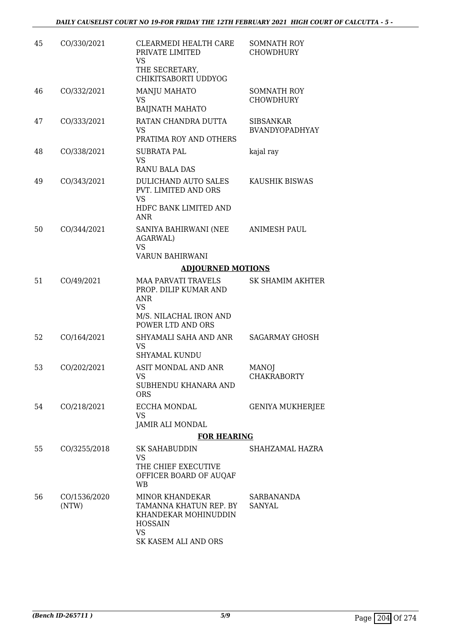| 45 | CO/330/2021           | CLEARMEDI HEALTH CARE<br>PRIVATE LIMITED<br>VS                                                                                  | <b>SOMNATH ROY</b><br><b>CHOWDHURY</b>    |
|----|-----------------------|---------------------------------------------------------------------------------------------------------------------------------|-------------------------------------------|
|    |                       | THE SECRETARY,<br>CHIKITSABORTI UDDYOG                                                                                          |                                           |
| 46 | CO/332/2021           | <b>MANJU MAHATO</b><br>VS<br><b>BAIJNATH MAHATO</b>                                                                             | <b>SOMNATH ROY</b><br><b>CHOWDHURY</b>    |
| 47 | CO/333/2021           | RATAN CHANDRA DUTTA<br><b>VS</b>                                                                                                | <b>SIBSANKAR</b><br><b>BVANDYOPADHYAY</b> |
| 48 | CO/338/2021           | PRATIMA ROY AND OTHERS<br><b>SUBRATA PAL</b><br>VS                                                                              | kajal ray                                 |
| 49 | CO/343/2021           | <b>RANU BALA DAS</b><br>DULICHAND AUTO SALES<br>PVT. LIMITED AND ORS<br><b>VS</b><br>HDFC BANK LIMITED AND<br>ANR               | KAUSHIK BISWAS                            |
| 50 | CO/344/2021           | SANIYA BAHIRWANI (NEE<br><b>AGARWAL)</b><br><b>VS</b>                                                                           | <b>ANIMESH PAUL</b>                       |
|    |                       | VARUN BAHIRWANI                                                                                                                 |                                           |
|    |                       | <b>ADJOURNED MOTIONS</b>                                                                                                        |                                           |
| 51 | CO/49/2021            | <b>MAA PARVATI TRAVELS</b><br>PROP. DILIP KUMAR AND<br>ANR<br><b>VS</b><br>M/S. NILACHAL IRON AND<br>POWER LTD AND ORS          | <b>SK SHAMIM AKHTER</b>                   |
| 52 | CO/164/2021           | SHYAMALI SAHA AND ANR<br><b>VS</b><br><b>SHYAMAL KUNDU</b>                                                                      | <b>SAGARMAY GHOSH</b>                     |
| 53 | CO/202/2021           | ASIT MONDAL AND ANR<br>VS 7<br>SUBHENDU KHANARA AND<br><b>ORS</b>                                                               | <b>MANO</b><br><b>CHAKRABORTY</b>         |
| 54 | CO/218/2021           | <b>ECCHA MONDAL</b><br><b>VS</b><br>JAMIR ALI MONDAL                                                                            | <b>GENIYA MUKHERJEE</b>                   |
|    |                       | <b>FOR HEARING</b>                                                                                                              |                                           |
| 55 | CO/3255/2018          | SK SAHABUDDIN                                                                                                                   | SHAHZAMAL HAZRA                           |
|    |                       | VS<br>THE CHIEF EXECUTIVE<br>OFFICER BOARD OF AUQAF<br>WB                                                                       |                                           |
| 56 | CO/1536/2020<br>(NTW) | <b>MINOR KHANDEKAR</b><br>TAMANNA KHATUN REP. BY<br>KHANDEKAR MOHINUDDIN<br><b>HOSSAIN</b><br><b>VS</b><br>SK KASEM ALI AND ORS | SARBANANDA<br><b>SANYAL</b>               |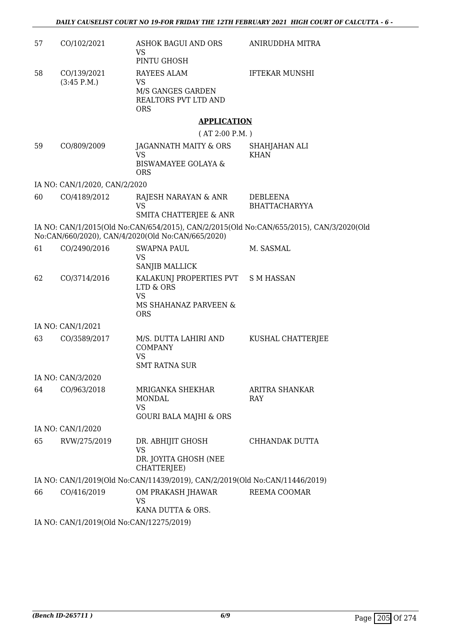| 57 | CO/102/2021                              | ASHOK BAGUI AND ORS<br>VS                                                                           | ANIRUDDHA MITRA                                                                         |
|----|------------------------------------------|-----------------------------------------------------------------------------------------------------|-----------------------------------------------------------------------------------------|
|    |                                          | PINTU GHOSH                                                                                         |                                                                                         |
| 58 | CO/139/2021<br>(3:45 P.M.)               | RAYEES ALAM<br>VS                                                                                   | <b>IFTEKAR MUNSHI</b>                                                                   |
|    |                                          | M/S GANGES GARDEN<br>REALTORS PVT LTD AND<br><b>ORS</b>                                             |                                                                                         |
|    |                                          | <b>APPLICATION</b>                                                                                  |                                                                                         |
|    |                                          | (AT 2:00 P.M.)                                                                                      |                                                                                         |
| 59 | CO/809/2009                              | JAGANNATH MAITY & ORS<br>VS<br><b>BISWAMAYEE GOLAYA &amp;</b><br><b>ORS</b>                         | SHAHJAHAN ALI<br><b>KHAN</b>                                                            |
|    | IA NO: CAN/1/2020, CAN/2/2020            |                                                                                                     |                                                                                         |
| 60 | CO/4189/2012                             | RAJESH NARAYAN & ANR<br><b>VS</b>                                                                   | <b>DEBLEENA</b><br><b>BHATTACHARYYA</b>                                                 |
|    |                                          | SMITA CHATTERJEE & ANR                                                                              |                                                                                         |
|    |                                          | No:CAN/660/2020), CAN/4/2020(Old No:CAN/665/2020)                                                   | IA NO: CAN/1/2015(Old No:CAN/654/2015), CAN/2/2015(Old No:CAN/655/2015), CAN/3/2020(Old |
| 61 | CO/2490/2016                             | <b>SWAPNA PAUL</b>                                                                                  | M. SASMAL                                                                               |
|    |                                          | <b>VS</b><br>SANJIB MALLICK                                                                         |                                                                                         |
| 62 | CO/3714/2016                             | KALAKUNJ PROPERTIES PVT S M HASSAN<br>LTD & ORS<br><b>VS</b><br>MS SHAHANAZ PARVEEN &<br><b>ORS</b> |                                                                                         |
|    | IA NO: CAN/1/2021                        |                                                                                                     |                                                                                         |
| 63 | CO/3589/2017                             | M/S. DUTTA LAHIRI AND<br><b>COMPANY</b><br><b>VS</b><br><b>SMT RATNA SUR</b>                        | KUSHAL CHATTERJEE                                                                       |
|    | IA NO: CAN/3/2020                        |                                                                                                     |                                                                                         |
| 64 | CO/963/2018                              | MRIGANKA SHEKHAR<br><b>MONDAL</b><br><b>VS</b><br><b>GOURI BALA MAJHI &amp; ORS</b>                 | ARITRA SHANKAR<br><b>RAY</b>                                                            |
|    | IA NO: CAN/1/2020                        |                                                                                                     |                                                                                         |
| 65 | RVW/275/2019                             | DR. ABHIJIT GHOSH<br><b>VS</b><br>DR. JOYITA GHOSH (NEE<br>CHATTERJEE)                              | CHHANDAK DUTTA                                                                          |
|    |                                          | IA NO: CAN/1/2019(Old No:CAN/11439/2019), CAN/2/2019(Old No:CAN/11446/2019)                         |                                                                                         |
| 66 | CO/416/2019                              | OM PRAKASH JHAWAR<br>VS<br>KANA DUTTA & ORS.                                                        | REEMA COOMAR                                                                            |
|    | IA NO: CAN/1/2019(Old No:CAN/12275/2019) |                                                                                                     |                                                                                         |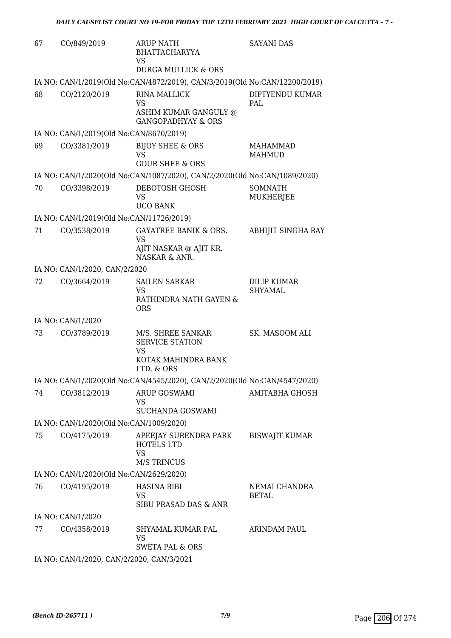| 67 | CO/849/2019                               | <b>ARUP NATH</b><br><b>BHATTACHARYYA</b><br>VS<br>DURGA MULLICK & ORS                  | <b>SAYANI DAS</b>                    |
|----|-------------------------------------------|----------------------------------------------------------------------------------------|--------------------------------------|
|    |                                           | IA NO: CAN/1/2019(Old No:CAN/4872/2019), CAN/3/2019(Old No:CAN/12200/2019)             |                                      |
| 68 | CO/2120/2019                              | <b>RINA MALLICK</b><br>VS<br>ASHIM KUMAR GANGULY @<br><b>GANGOPADHYAY &amp; ORS</b>    | DIPTYENDU KUMAR<br><b>PAL</b>        |
|    | IA NO: CAN/1/2019(Old No:CAN/8670/2019)   |                                                                                        |                                      |
| 69 | CO/3381/2019                              | <b>BIJOY SHEE &amp; ORS</b><br><b>VS</b>                                               | <b>MAHAMMAD</b><br><b>MAHMUD</b>     |
|    |                                           | <b>GOUR SHEE &amp; ORS</b>                                                             |                                      |
|    |                                           | IA NO: CAN/1/2020(Old No:CAN/1087/2020), CAN/2/2020(Old No:CAN/1089/2020)              |                                      |
| 70 | CO/3398/2019                              | DEBOTOSH GHOSH<br><b>VS</b><br><b>UCO BANK</b>                                         | <b>SOMNATH</b><br>MUKHERJEE          |
|    | IA NO: CAN/1/2019(Old No:CAN/11726/2019)  |                                                                                        |                                      |
| 71 | CO/3538/2019                              | <b>GAYATREE BANIK &amp; ORS.</b><br><b>VS</b>                                          | ABHIJIT SINGHA RAY                   |
|    |                                           | AJIT NASKAR @ AJIT KR.<br>NASKAR & ANR.                                                |                                      |
|    | IA NO: CAN/1/2020, CAN/2/2020             |                                                                                        |                                      |
| 72 | CO/3664/2019                              | <b>SAILEN SARKAR</b><br>VS<br>RATHINDRA NATH GAYEN &<br><b>ORS</b>                     | <b>DILIP KUMAR</b><br><b>SHYAMAL</b> |
|    | IA NO: CAN/1/2020                         |                                                                                        |                                      |
| 73 | CO/3789/2019                              | M/S. SHREE SANKAR<br><b>SERVICE STATION</b><br>VS<br>KOTAK MAHINDRA BANK<br>LTD. & ORS | SK. MASOOM ALI                       |
|    |                                           | IA NO: CAN/1/2020(Old No:CAN/4545/2020), CAN/2/2020(Old No:CAN/4547/2020)              |                                      |
| 74 | CO/3812/2019                              | ARUP GOSWAMI<br>VS<br>SUCHANDA GOSWAMI                                                 | <b>AMITABHA GHOSH</b>                |
|    | IA NO: CAN/1/2020(Old No:CAN/1009/2020)   |                                                                                        |                                      |
| 75 | CO/4175/2019                              | APEEJAY SURENDRA PARK<br><b>HOTELS LTD</b><br><b>VS</b><br><b>M/S TRINCUS</b>          | <b>BISWAJIT KUMAR</b>                |
|    | IA NO: CAN/1/2020(Old No:CAN/2629/2020)   |                                                                                        |                                      |
| 76 | CO/4195/2019                              | <b>HASINA BIBI</b>                                                                     | NEMAI CHANDRA                        |
|    |                                           | VS<br>SIBU PRASAD DAS & ANR                                                            | BETAL                                |
|    | IA NO: CAN/1/2020                         |                                                                                        |                                      |
| 77 | CO/4358/2019                              | SHYAMAL KUMAR PAL<br><b>VS</b><br><b>SWETA PAL &amp; ORS</b>                           | ARINDAM PAUL                         |
|    | IA NO: CAN/1/2020, CAN/2/2020, CAN/3/2021 |                                                                                        |                                      |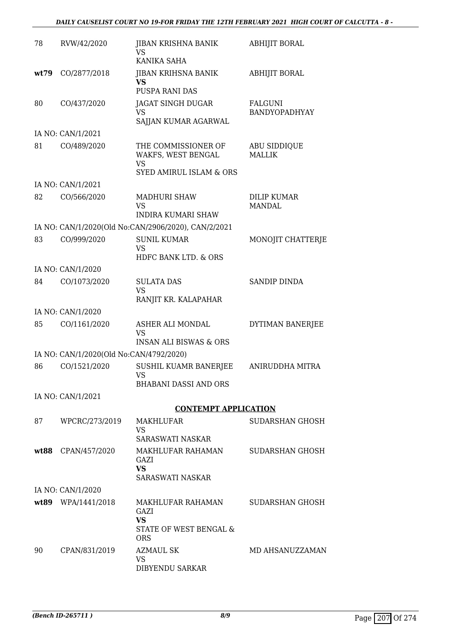### *DAILY CAUSELIST COURT NO 19-FOR FRIDAY THE 12TH FEBRUARY 2021 HIGH COURT OF CALCUTTA - 8 -*

| 78   | RVW/42/2020                             | JIBAN KRISHNA BANIK<br>VS<br>KANIKA SAHA                                                     | <b>ABHIJIT BORAL</b>            |
|------|-----------------------------------------|----------------------------------------------------------------------------------------------|---------------------------------|
| wt79 | CO/2877/2018                            | <b>JIBAN KRIHSNA BANIK</b><br><b>VS</b><br><b>PUSPA RANI DAS</b>                             | ABHIJIT BORAL                   |
| 80   | CO/437/2020                             | JAGAT SINGH DUGAR<br><b>VS</b><br>SAJJAN KUMAR AGARWAL                                       | <b>FALGUNI</b><br>BANDYOPADHYAY |
|      | IA NO: CAN/1/2021                       |                                                                                              |                                 |
| 81   | CO/489/2020                             | THE COMMISSIONER OF<br>WAKFS, WEST BENGAL<br><b>VS</b><br><b>SYED AMIRUL ISLAM &amp; ORS</b> | ABU SIDDIQUE<br><b>MALLIK</b>   |
|      | IA NO: CAN/1/2021                       |                                                                                              |                                 |
| 82   | CO/566/2020                             | <b>MADHURI SHAW</b><br>VS<br>INDIRA KUMARI SHAW                                              | DILIP KUMAR<br>MANDAL           |
|      |                                         | IA NO: CAN/1/2020(Old No:CAN/2906/2020), CAN/2/2021                                          |                                 |
| 83   | CO/999/2020                             | <b>SUNIL KUMAR</b><br><b>VS</b><br>HDFC BANK LTD. & ORS                                      | MONOJIT CHATTERJE               |
|      | IA NO: CAN/1/2020                       |                                                                                              |                                 |
| 84   | CO/1073/2020                            | <b>SULATA DAS</b><br><b>VS</b>                                                               | <b>SANDIP DINDA</b>             |
|      | IA NO: CAN/1/2020                       | RANJIT KR. KALAPAHAR                                                                         |                                 |
| 85   | CO/1161/2020                            | ASHER ALI MONDAL                                                                             | DYTIMAN BANERJEE                |
|      |                                         | VS<br><b>INSAN ALI BISWAS &amp; ORS</b>                                                      |                                 |
|      | IA NO: CAN/1/2020(Old No:CAN/4792/2020) |                                                                                              |                                 |
| 86   | CO/1521/2020                            | <b>SUSHIL KUAMR BANERJEE</b><br>VS<br><b>BHABANI DASSI AND ORS</b>                           | ANIRUDDHA MITRA                 |
|      | IA NO: CAN/1/2021                       |                                                                                              |                                 |
|      |                                         | <b>CONTEMPT APPLICATION</b>                                                                  |                                 |
| 87   | WPCRC/273/2019                          | MAKHLUFAR<br>VS<br>SARASWATI NASKAR                                                          | SUDARSHAN GHOSH                 |
| wt88 | CPAN/457/2020                           | <b>MAKHLUFAR RAHAMAN</b><br>GAZI<br><b>VS</b><br>SARASWATI NASKAR                            | SUDARSHAN GHOSH                 |
|      | IA NO: CAN/1/2020                       |                                                                                              |                                 |
|      | wt89 WPA/1441/2018                      | MAKHLUFAR RAHAMAN<br>GAZI<br><b>VS</b><br>STATE OF WEST BENGAL &<br><b>ORS</b>               | SUDARSHAN GHOSH                 |
| 90   | CPAN/831/2019                           | <b>AZMAUL SK</b><br><b>VS</b><br>DIBYENDU SARKAR                                             | MD AHSANUZZAMAN                 |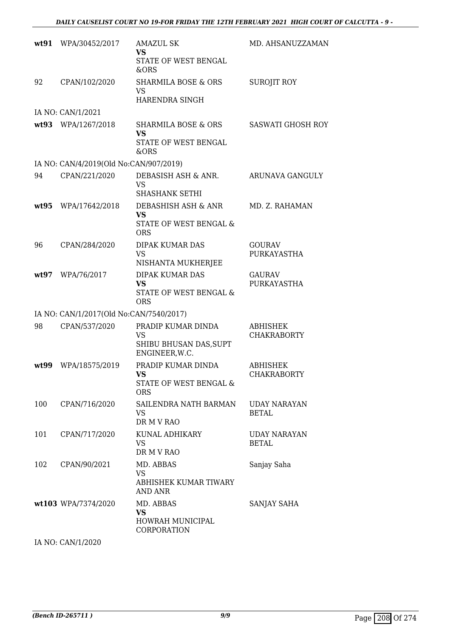|      | wt91 WPA/30452/2017                     | <b>AMAZUL SK</b><br>VS<br>STATE OF WEST BENGAL<br>&ORS                      | MD. AHSANUZZAMAN                      |
|------|-----------------------------------------|-----------------------------------------------------------------------------|---------------------------------------|
| 92   | CPAN/102/2020                           | <b>SHARMILA BOSE &amp; ORS</b><br>VS<br>HARENDRA SINGH                      | <b>SUROJIT ROY</b>                    |
|      | IA NO: CAN/1/2021                       |                                                                             |                                       |
|      | wt93 WPA/1267/2018                      | <b>SHARMILA BOSE &amp; ORS</b><br><b>VS</b><br>STATE OF WEST BENGAL<br>&ORS | <b>SASWATI GHOSH ROY</b>              |
|      | IA NO: CAN/4/2019(Old No:CAN/907/2019)  |                                                                             |                                       |
| 94   | CPAN/221/2020                           | DEBASISH ASH & ANR.<br><b>VS</b><br><b>SHASHANK SETHI</b>                   | ARUNAVA GANGULY                       |
| wt95 | WPA/17642/2018                          | DEBASHISH ASH & ANR<br><b>VS</b><br>STATE OF WEST BENGAL &<br><b>ORS</b>    | MD. Z. RAHAMAN                        |
| 96   | CPAN/284/2020                           | DIPAK KUMAR DAS<br>VS<br>NISHANTA MUKHERJEE                                 | <b>GOURAV</b><br><b>PURKAYASTHA</b>   |
| wt97 | WPA/76/2017                             | <b>DIPAK KUMAR DAS</b><br><b>VS</b><br>STATE OF WEST BENGAL &<br><b>ORS</b> | <b>GAURAV</b><br>PURKAYASTHA          |
|      | IA NO: CAN/1/2017(Old No:CAN/7540/2017) |                                                                             |                                       |
| 98   | CPAN/537/2020                           | PRADIP KUMAR DINDA<br><b>VS</b><br>SHIBU BHUSAN DAS, SUPT<br>ENGINEER, W.C. | <b>ABHISHEK</b><br><b>CHAKRABORTY</b> |
| wt99 | WPA/18575/2019                          | PRADIP KUMAR DINDA<br>VS.<br>STATE OF WEST BENGAL &<br><b>ORS</b>           | ABHISHEK<br><b>CHAKRABORTY</b>        |
| 100  | CPAN/716/2020                           | SAILENDRA NATH BARMAN<br>VS<br>DR M V RAO                                   | <b>UDAY NARAYAN</b><br><b>BETAL</b>   |
| 101  | CPAN/717/2020                           | KUNAL ADHIKARY<br>VS.<br>DR M V RAO                                         | <b>UDAY NARAYAN</b><br><b>BETAL</b>   |
| 102  | CPAN/90/2021                            | MD. ABBAS<br>VS.<br>ABHISHEK KUMAR TIWARY<br>AND ANR                        | Sanjay Saha                           |
|      | wt103 WPA/7374/2020                     | MD. ABBAS<br><b>VS</b><br>HOWRAH MUNICIPAL<br>CORPORATION                   | SANJAY SAHA                           |

IA NO: CAN/1/2020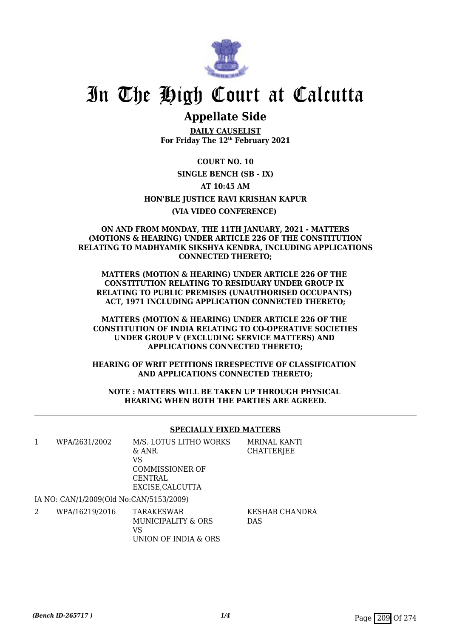

# In The High Court at Calcutta

### **Appellate Side**

**DAILY CAUSELIST For Friday The 12th February 2021**

**COURT NO. 10 SINGLE BENCH (SB - IX) AT 10:45 AM HON'BLE JUSTICE RAVI KRISHAN KAPUR (VIA VIDEO CONFERENCE)** 

### **ON AND FROM MONDAY, THE 11TH JANUARY, 2021 - MATTERS (MOTIONS & HEARING) UNDER ARTICLE 226 OF THE CONSTITUTION RELATING TO MADHYAMIK SIKSHYA KENDRA, INCLUDING APPLICATIONS CONNECTED THERETO;**

**MATTERS (MOTION & HEARING) UNDER ARTICLE 226 OF THE CONSTITUTION RELATING TO RESIDUARY UNDER GROUP IX RELATING TO PUBLIC PREMISES (UNAUTHORISED OCCUPANTS) ACT, 1971 INCLUDING APPLICATION CONNECTED THERETO;**

**MATTERS (MOTION & HEARING) UNDER ARTICLE 226 OF THE CONSTITUTION OF INDIA RELATING TO CO-OPERATIVE SOCIETIES UNDER GROUP V (EXCLUDING SERVICE MATTERS) AND APPLICATIONS CONNECTED THERETO;**

**HEARING OF WRIT PETITIONS IRRESPECTIVE OF CLASSIFICATION AND APPLICATIONS CONNECTED THERETO;**

**NOTE : MATTERS WILL BE TAKEN UP THROUGH PHYSICAL HEARING WHEN BOTH THE PARTIES ARE AGREED.**

### **SPECIALLY FIXED MATTERS**

| WPA/2631/2002                           | M/S. LOTUS LITHO WORKS | <b>MRINAL KANTI</b> |
|-----------------------------------------|------------------------|---------------------|
|                                         | & ANR.                 | CHATTERJEE          |
|                                         | VS                     |                     |
|                                         | COMMISSIONER OF        |                     |
|                                         | CENTRAL                |                     |
|                                         | EXCISE, CALCUTTA       |                     |
| IA NO: CAN/1/2009(Old No:CAN/5153/2009) |                        |                     |
|                                         |                        |                     |

2 WPA/16219/2016 TARAKESWAR MUNICIPALITY & ORS VS UNION OF INDIA & ORS KESHAB CHANDRA DAS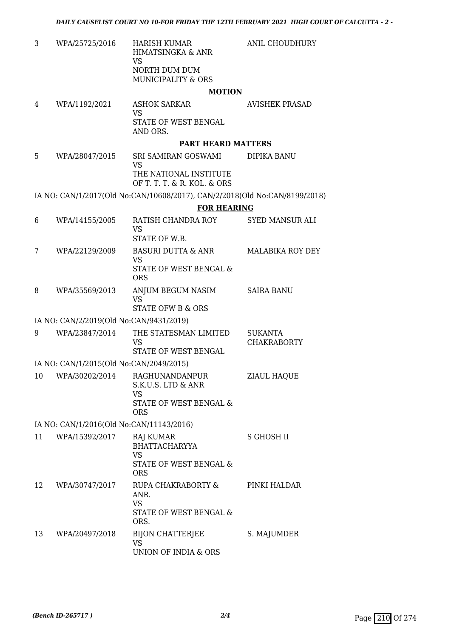| 3  | WPA/25725/2016                           | <b>HARISH KUMAR</b><br>HIMATSINGKA & ANR<br><b>VS</b>                      | <b>ANIL CHOUDHURY</b>                |
|----|------------------------------------------|----------------------------------------------------------------------------|--------------------------------------|
|    |                                          | NORTH DUM DUM<br><b>MUNICIPALITY &amp; ORS</b>                             |                                      |
|    |                                          | <b>MOTION</b>                                                              |                                      |
| 4  | WPA/1192/2021                            | <b>ASHOK SARKAR</b><br><b>VS</b>                                           | <b>AVISHEK PRASAD</b>                |
|    |                                          | STATE OF WEST BENGAL<br>AND ORS.                                           |                                      |
|    |                                          | <b>PART HEARD MATTERS</b>                                                  |                                      |
| 5  | WPA/28047/2015                           | SRI SAMIRAN GOSWAMI<br><b>VS</b>                                           | DIPIKA BANU                          |
|    |                                          | THE NATIONAL INSTITUTE<br>OF T. T. T. & R. KOL. & ORS                      |                                      |
|    |                                          | IA NO: CAN/1/2017(Old No:CAN/10608/2017), CAN/2/2018(Old No:CAN/8199/2018) |                                      |
|    |                                          | <b>FOR HEARING</b>                                                         |                                      |
| 6  | WPA/14155/2005                           | RATISH CHANDRA ROY<br><b>VS</b><br>STATE OF W.B.                           | <b>SYED MANSUR ALI</b>               |
|    |                                          |                                                                            |                                      |
| 7  | WPA/22129/2009                           | <b>BASURI DUTTA &amp; ANR</b><br><b>VS</b><br>STATE OF WEST BENGAL &       | <b>MALABIKA ROY DEY</b>              |
|    |                                          | <b>ORS</b>                                                                 |                                      |
| 8  | WPA/35569/2013                           | ANJUM BEGUM NASIM<br><b>VS</b><br><b>STATE OFW B &amp; ORS</b>             | <b>SAIRA BANU</b>                    |
|    |                                          |                                                                            |                                      |
|    | IA NO: CAN/2/2019(Old No:CAN/9431/2019)  |                                                                            |                                      |
| 9  | WPA/23847/2014                           | THE STATESMAN LIMITED<br><b>VS</b><br>STATE OF WEST BENGAL                 | <b>SUKANTA</b><br><b>CHAKRABORTY</b> |
|    | IA NO: CAN/1/2015(Old No:CAN/2049/2015)  |                                                                            |                                      |
| 10 | WPA/30202/2014                           | RAGHUNANDANPUR<br>S.K.U.S. LTD & ANR                                       | <b>ZIAUL HAQUE</b>                   |
|    |                                          | <b>VS</b><br>STATE OF WEST BENGAL &<br><b>ORS</b>                          |                                      |
|    | IA NO: CAN/1/2016(Old No:CAN/11143/2016) |                                                                            |                                      |
| 11 | WPA/15392/2017                           | <b>RAJ KUMAR</b>                                                           | <b>S GHOSH II</b>                    |
|    |                                          | <b>BHATTACHARYYA</b><br><b>VS</b>                                          |                                      |
|    |                                          | STATE OF WEST BENGAL &<br><b>ORS</b>                                       |                                      |
| 12 | WPA/30747/2017                           | RUPA CHAKRABORTY &<br>ANR.                                                 | PINKI HALDAR                         |
|    |                                          | <b>VS</b><br>STATE OF WEST BENGAL &<br>ORS.                                |                                      |
| 13 | WPA/20497/2018                           | <b>BIJON CHATTERJEE</b><br><b>VS</b>                                       | S. MAJUMDER                          |

UNION OF INDIA & ORS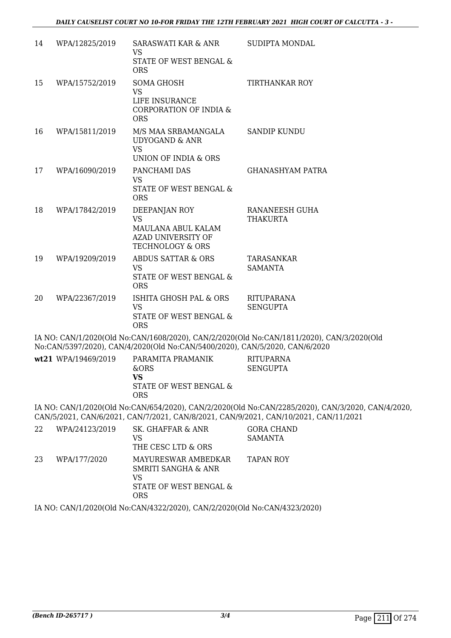| 14 | WPA/12825/2019      | SARASWATI KAR & ANR<br>VS                                                                             | SUDIPTA MONDAL                                                                                                                                                                            |
|----|---------------------|-------------------------------------------------------------------------------------------------------|-------------------------------------------------------------------------------------------------------------------------------------------------------------------------------------------|
|    |                     | STATE OF WEST BENGAL &<br><b>ORS</b>                                                                  |                                                                                                                                                                                           |
| 15 | WPA/15752/2019      | <b>SOMA GHOSH</b><br><b>VS</b><br>LIFE INSURANCE<br>CORPORATION OF INDIA &<br><b>ORS</b>              | TIRTHANKAR ROY                                                                                                                                                                            |
| 16 | WPA/15811/2019      | M/S MAA SRBAMANGALA<br><b>UDYOGAND &amp; ANR</b><br>VS<br>UNION OF INDIA & ORS                        | <b>SANDIP KUNDU</b>                                                                                                                                                                       |
| 17 | WPA/16090/2019      | PANCHAMI DAS<br><b>VS</b><br>STATE OF WEST BENGAL &<br><b>ORS</b>                                     | GHANASHYAM PATRA                                                                                                                                                                          |
| 18 | WPA/17842/2019      | DEEPANJAN ROY<br><b>VS</b><br>MAULANA ABUL KALAM<br>AZAD UNIVERSITY OF<br><b>TECHNOLOGY &amp; ORS</b> | RANANEESH GUHA<br><b>THAKURTA</b>                                                                                                                                                         |
| 19 | WPA/19209/2019      | <b>ABDUS SATTAR &amp; ORS</b><br><b>VS</b><br>STATE OF WEST BENGAL &<br><b>ORS</b>                    | TARASANKAR<br><b>SAMANTA</b>                                                                                                                                                              |
| 20 | WPA/22367/2019      | ISHITA GHOSH PAL & ORS<br>VS<br>STATE OF WEST BENGAL &<br><b>ORS</b>                                  | <b>RITUPARANA</b><br><b>SENGUPTA</b>                                                                                                                                                      |
|    |                     | No:CAN/5397/2020), CAN/4/2020(Old No:CAN/5400/2020), CAN/5/2020, CAN/6/2020                           | IA NO: CAN/1/2020(Old No:CAN/1608/2020), CAN/2/2020(Old No:CAN/1811/2020), CAN/3/2020(Old                                                                                                 |
|    | wt21 WPA/19469/2019 | PARAMITA PRAMANIK<br>&ORS<br><b>VS</b><br>STATE OF WEST BENGAL &<br><b>ORS</b>                        | <b>RITUPARNA</b><br><b>SENGUPTA</b>                                                                                                                                                       |
|    |                     |                                                                                                       | IA NO: CAN/1/2020(Old No:CAN/654/2020), CAN/2/2020(Old No:CAN/2285/2020), CAN/3/2020, CAN/4/2020,<br>CAN/5/2021, CAN/6/2021, CAN/7/2021, CAN/8/2021, CAN/9/2021, CAN/10/2021, CAN/11/2021 |

| 22 | WPA/24123/2019 | SK. GHAFFAR & ANR<br>VS<br>THE CESC LTD & ORS                                     | <b>GORA CHAND</b><br><b>SAMANTA</b> |
|----|----------------|-----------------------------------------------------------------------------------|-------------------------------------|
| 23 | WPA/177/2020   | MAYURESWAR AMBEDKAR<br>SMRITI SANGHA & ANR<br>VS<br>STATE OF WEST BENGAL &<br>ORS | <b>TAPAN ROY</b>                    |

IA NO: CAN/1/2020(Old No:CAN/4322/2020), CAN/2/2020(Old No:CAN/4323/2020)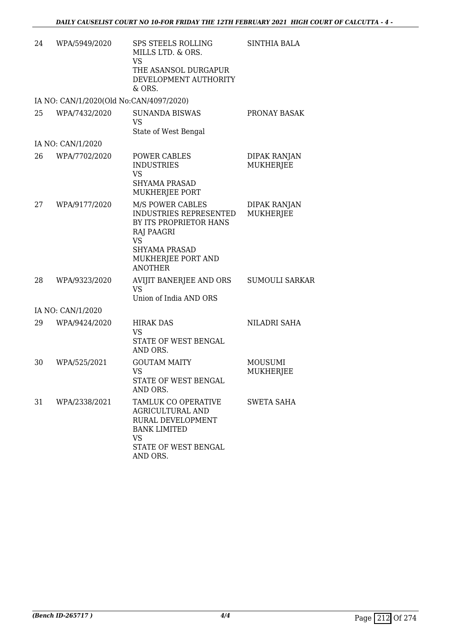| 24 | WPA/5949/2020                           | <b>SPS STEELS ROLLING</b><br>MILLS LTD. & ORS.<br>VS.<br>THE ASANSOL DURGAPUR<br>DEVELOPMENT AUTHORITY<br>$&$ ORS.                                                     | <b>SINTHIA BALA</b>                     |
|----|-----------------------------------------|------------------------------------------------------------------------------------------------------------------------------------------------------------------------|-----------------------------------------|
|    | IA NO: CAN/1/2020(Old No:CAN/4097/2020) |                                                                                                                                                                        |                                         |
| 25 | WPA/7432/2020                           | <b>SUNANDA BISWAS</b><br><b>VS</b><br>State of West Bengal                                                                                                             | PRONAY BASAK                            |
|    | IA NO: CAN/1/2020                       |                                                                                                                                                                        |                                         |
| 26 | WPA/7702/2020                           | POWER CABLES<br><b>INDUSTRIES</b><br><b>VS</b><br><b>SHYAMA PRASAD</b><br>MUKHERJEE PORT                                                                               | <b>DIPAK RANJAN</b><br><b>MUKHERJEE</b> |
| 27 | WPA/9177/2020                           | M/S POWER CABLES<br><b>INDUSTRIES REPRESENTED</b><br>BY ITS PROPRIETOR HANS<br>RAJ PAAGRI<br><b>VS</b><br><b>SHYAMA PRASAD</b><br>MUKHERJEE PORT AND<br><b>ANOTHER</b> | <b>DIPAK RANJAN</b><br><b>MUKHERJEE</b> |
| 28 | WPA/9323/2020                           | AVIJIT BANERJEE AND ORS<br><b>VS</b><br>Union of India AND ORS                                                                                                         | <b>SUMOULI SARKAR</b>                   |
|    | IA NO: CAN/1/2020                       |                                                                                                                                                                        |                                         |
| 29 | WPA/9424/2020                           | <b>HIRAK DAS</b><br><b>VS</b><br>STATE OF WEST BENGAL<br>AND ORS.                                                                                                      | NILADRI SAHA                            |
| 30 | WPA/525/2021                            | <b>GOUTAM MAITY</b><br><b>VS</b><br>STATE OF WEST BENGAL<br>AND ORS.                                                                                                   | MOUSUMI<br><b>MUKHERJEE</b>             |
| 31 | WPA/2338/2021                           | TAMLUK CO OPERATIVE<br><b>AGRICULTURAL AND</b><br>RURAL DEVELOPMENT<br><b>BANK LIMITED</b><br><b>VS</b><br>STATE OF WEST BENGAL<br>AND ORS.                            | SWETA SAHA                              |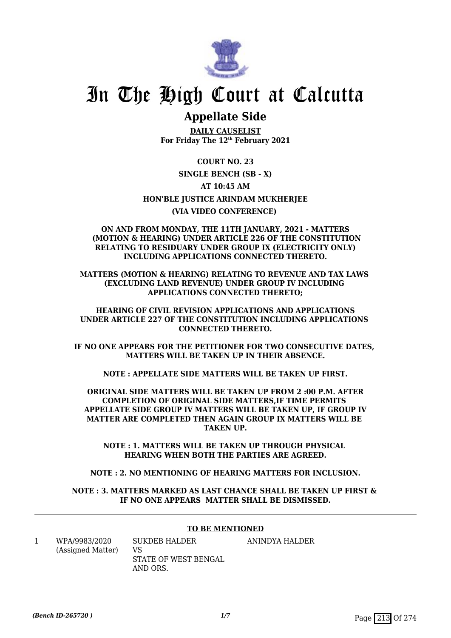

# In The High Court at Calcutta

### **Appellate Side**

**DAILY CAUSELIST For Friday The 12th February 2021**

**COURT NO. 23 SINGLE BENCH (SB - X) AT 10:45 AM HON'BLE JUSTICE ARINDAM MUKHERJEE (VIA VIDEO CONFERENCE)** 

#### **ON AND FROM MONDAY, THE 11TH JANUARY, 2021 - MATTERS (MOTION & HEARING) UNDER ARTICLE 226 OF THE CONSTITUTION RELATING TO RESIDUARY UNDER GROUP IX (ELECTRICITY ONLY) INCLUDING APPLICATIONS CONNECTED THERETO.**

**MATTERS (MOTION & HEARING) RELATING TO REVENUE AND TAX LAWS (EXCLUDING LAND REVENUE) UNDER GROUP IV INCLUDING APPLICATIONS CONNECTED THERETO;**

**HEARING OF CIVIL REVISION APPLICATIONS AND APPLICATIONS UNDER ARTICLE 227 OF THE CONSTITUTION INCLUDING APPLICATIONS CONNECTED THERETO.**

**IF NO ONE APPEARS FOR THE PETITIONER FOR TWO CONSECUTIVE DATES, MATTERS WILL BE TAKEN UP IN THEIR ABSENCE.**

**NOTE : APPELLATE SIDE MATTERS WILL BE TAKEN UP FIRST.**

**ORIGINAL SIDE MATTERS WILL BE TAKEN UP FROM 2 :00 P.M. AFTER COMPLETION OF ORIGINAL SIDE MATTERS,IF TIME PERMITS APPELLATE SIDE GROUP IV MATTERS WILL BE TAKEN UP, IF GROUP IV MATTER ARE COMPLETED THEN AGAIN GROUP IX MATTERS WILL BE TAKEN UP.**

**NOTE : 1. MATTERS WILL BE TAKEN UP THROUGH PHYSICAL HEARING WHEN BOTH THE PARTIES ARE AGREED.**

**NOTE : 2. NO MENTIONING OF HEARING MATTERS FOR INCLUSION.**

**NOTE : 3. MATTERS MARKED AS LAST CHANCE SHALL BE TAKEN UP FIRST & IF NO ONE APPEARS MATTER SHALL BE DISMISSED.**

### **TO BE MENTIONED**

1 WPA/9983/2020 (Assigned Matter) SUKDEB HALDER VS STATE OF WEST BENGAL AND ORS. ANINDYA HALDER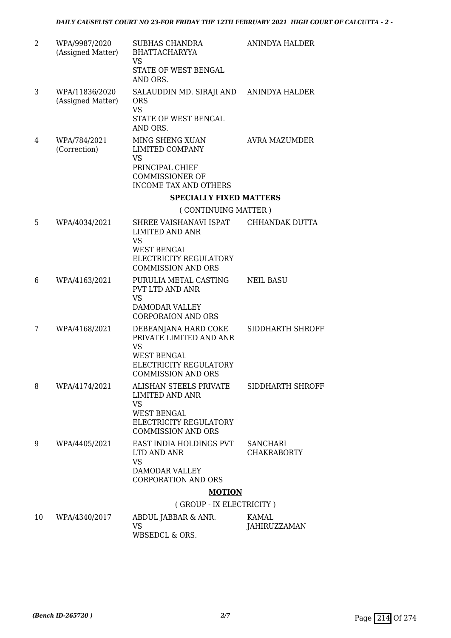| 2  | WPA/9987/2020<br>(Assigned Matter)  | <b>SUBHAS CHANDRA</b><br><b>BHATTACHARYYA</b><br><b>VS</b><br>STATE OF WEST BENGAL<br>AND ORS.                                            | ANINDYA HALDER                        |
|----|-------------------------------------|-------------------------------------------------------------------------------------------------------------------------------------------|---------------------------------------|
| 3  | WPA/11836/2020<br>(Assigned Matter) | SALAUDDIN MD. SIRAJI AND ANINDYA HALDER<br><b>ORS</b><br><b>VS</b><br>STATE OF WEST BENGAL<br>AND ORS.                                    |                                       |
| 4  | WPA/784/2021<br>(Correction)        | MING SHENG XUAN<br>LIMITED COMPANY<br><b>VS</b><br>PRINCIPAL CHIEF<br><b>COMMISSIONER OF</b><br><b>INCOME TAX AND OTHERS</b>              | AVRA MAZUMDER                         |
|    |                                     | <b>SPECIALLY FIXED MATTERS</b>                                                                                                            |                                       |
|    |                                     | (CONTINUING MATTER)                                                                                                                       |                                       |
| 5  | WPA/4034/2021                       | SHREE VAISHANAVI ISPAT<br>LIMITED AND ANR<br><b>VS</b>                                                                                    | CHHANDAK DUTTA                        |
|    |                                     | <b>WEST BENGAL</b><br>ELECTRICITY REGULATORY<br><b>COMMISSION AND ORS</b>                                                                 |                                       |
| 6  | WPA/4163/2021                       | PURULIA METAL CASTING<br>PVT LTD AND ANR<br><b>VS</b><br><b>DAMODAR VALLEY</b><br><b>CORPORAION AND ORS</b>                               | <b>NEIL BASU</b>                      |
| 7  | WPA/4168/2021                       | DEBEANJANA HARD COKE<br>PRIVATE LIMITED AND ANR<br><b>VS</b><br><b>WEST BENGAL</b><br>ELECTRICITY REGULATORY<br><b>COMMISSION AND ORS</b> | SIDDHARTH SHROFF                      |
| 8  | WPA/4174/2021                       | ALISHAN STEELS PRIVATE<br>LIMITED AND ANR<br>VS<br><b>WEST BENGAL</b><br>ELECTRICITY REGULATORY                                           | SIDDHARTH SHROFF                      |
| 9  | WPA/4405/2021                       | <b>COMMISSION AND ORS</b><br>EAST INDIA HOLDINGS PVT<br>LTD AND ANR<br><b>VS</b>                                                          | <b>SANCHARI</b><br><b>CHAKRABORTY</b> |
|    |                                     | DAMODAR VALLEY<br><b>CORPORATION AND ORS</b>                                                                                              |                                       |
|    |                                     | <b>MOTION</b>                                                                                                                             |                                       |
|    |                                     | (GROUP - IX ELECTRICITY)                                                                                                                  |                                       |
| 10 | WPA/4340/2017                       | ABDUL JABBAR & ANR.                                                                                                                       | KAMAL                                 |
|    |                                     | <b>VS</b>                                                                                                                                 | JAHIRUZZAMAN                          |

WBSEDCL & ORS.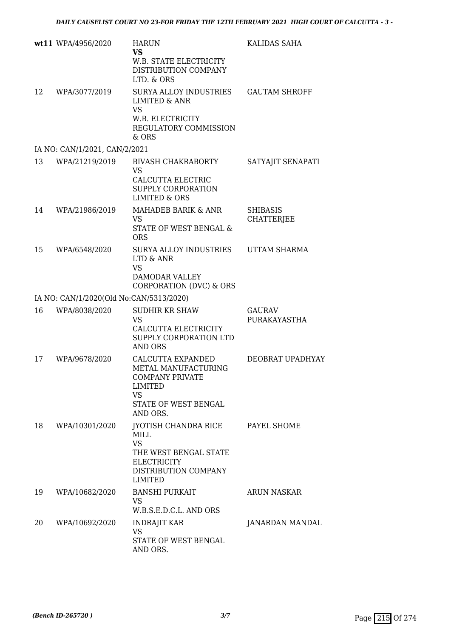|    | wt11 WPA/4956/2020                      | <b>HARUN</b><br><b>VS</b><br>W.B. STATE ELECTRICITY<br>DISTRIBUTION COMPANY<br>LTD. & ORS                                          | KALIDAS SAHA                         |
|----|-----------------------------------------|------------------------------------------------------------------------------------------------------------------------------------|--------------------------------------|
| 12 | WPA/3077/2019                           | SURYA ALLOY INDUSTRIES<br><b>LIMITED &amp; ANR</b><br><b>VS</b><br>W.B. ELECTRICITY<br>REGULATORY COMMISSION<br>& ORS              | <b>GAUTAM SHROFF</b>                 |
|    | IA NO: CAN/1/2021, CAN/2/2021           |                                                                                                                                    |                                      |
| 13 | WPA/21219/2019                          | <b>BIVASH CHAKRABORTY</b><br><b>VS</b><br>CALCUTTA ELECTRIC<br>SUPPLY CORPORATION<br><b>LIMITED &amp; ORS</b>                      | SATYAJIT SENAPATI                    |
| 14 | WPA/21986/2019                          | MAHADEB BARIK & ANR<br><b>VS</b><br>STATE OF WEST BENGAL &<br><b>ORS</b>                                                           | <b>SHIBASIS</b><br><b>CHATTERJEE</b> |
| 15 | WPA/6548/2020                           | SURYA ALLOY INDUSTRIES<br>LTD & ANR<br><b>VS</b><br>DAMODAR VALLEY<br>CORPORATION (DVC) & ORS                                      | <b>UTTAM SHARMA</b>                  |
|    | IA NO: CAN/1/2020(Old No:CAN/5313/2020) |                                                                                                                                    |                                      |
| 16 | WPA/8038/2020                           | <b>SUDHIR KR SHAW</b><br><b>VS</b><br>CALCUTTA ELECTRICITY<br>SUPPLY CORPORATION LTD<br><b>AND ORS</b>                             | <b>GAURAV</b><br>PURAKAYASTHA        |
| 17 | WPA/9678/2020                           | CALCUTTA EXPANDED<br>METAL MANUFACTURING<br><b>COMPANY PRIVATE</b><br>LIMITED<br><b>VS</b><br>STATE OF WEST BENGAL<br>AND ORS.     | DEOBRAT UPADHYAY                     |
| 18 | WPA/10301/2020                          | JYOTISH CHANDRA RICE<br>MILL<br><b>VS</b><br>THE WEST BENGAL STATE<br><b>ELECTRICITY</b><br>DISTRIBUTION COMPANY<br><b>LIMITED</b> | PAYEL SHOME                          |
| 19 | WPA/10682/2020                          | <b>BANSHI PURKAIT</b><br><b>VS</b><br>W.B.S.E.D.C.L. AND ORS                                                                       | <b>ARUN NASKAR</b>                   |
| 20 | WPA/10692/2020                          | <b>INDRAJIT KAR</b><br><b>VS</b><br>STATE OF WEST BENGAL<br>AND ORS.                                                               | JANARDAN MANDAL                      |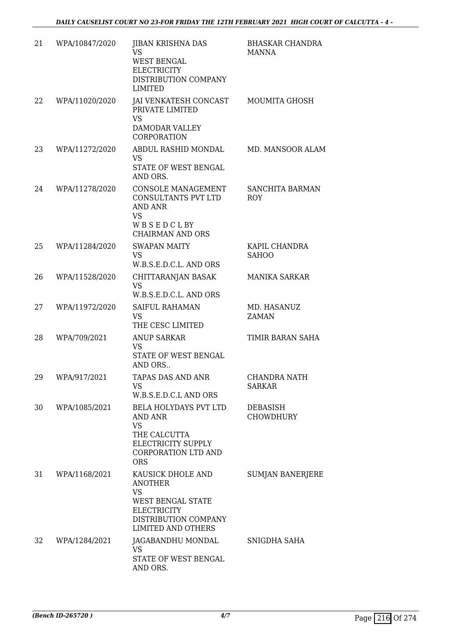| 21 | WPA/10847/2020 | <b>JIBAN KRISHNA DAS</b><br><b>VS</b><br>WEST BENGAL<br><b>ELECTRICITY</b><br>DISTRIBUTION COMPANY<br><b>LIMITED</b>                             | <b>BHASKAR CHANDRA</b><br><b>MANNA</b> |
|----|----------------|--------------------------------------------------------------------------------------------------------------------------------------------------|----------------------------------------|
| 22 | WPA/11020/2020 | JAI VENKATESH CONCAST<br>PRIVATE LIMITED<br><b>VS</b><br><b>DAMODAR VALLEY</b><br><b>CORPORATION</b>                                             | <b>MOUMITA GHOSH</b>                   |
| 23 | WPA/11272/2020 | ABDUL RASHID MONDAL<br><b>VS</b><br>STATE OF WEST BENGAL<br>AND ORS.                                                                             | MD. MANSOOR ALAM                       |
| 24 | WPA/11278/2020 | CONSOLE MANAGEMENT<br>CONSULTANTS PVT LTD<br><b>AND ANR</b><br><b>VS</b><br>WBSEDCLBY<br><b>CHAIRMAN AND ORS</b>                                 | SANCHITA BARMAN<br><b>ROY</b>          |
| 25 | WPA/11284/2020 | <b>SWAPAN MAITY</b><br><b>VS</b><br>W.B.S.E.D.C.L. AND ORS                                                                                       | KAPIL CHANDRA<br><b>SAHOO</b>          |
| 26 | WPA/11528/2020 | CHITTARANJAN BASAK<br><b>VS</b><br>W.B.S.E.D.C.L. AND ORS                                                                                        | <b>MANIKA SARKAR</b>                   |
| 27 | WPA/11972/2020 | SAIFUL RAHAMAN<br><b>VS</b><br>THE CESC LIMITED                                                                                                  | MD. HASANUZ<br><b>ZAMAN</b>            |
| 28 | WPA/709/2021   | <b>ANUP SARKAR</b><br><b>VS</b><br><b>STATE OF WEST BENGAL</b><br>AND ORS                                                                        | TIMIR BARAN SAHA                       |
| 29 | WPA/917/2021   | TAPAS DAS AND ANR<br><b>VS</b><br>W.B.S.E.D.C.L AND ORS                                                                                          | CHANDRA NATH<br><b>SARKAR</b>          |
| 30 | WPA/1085/2021  | <b>BELA HOLYDAYS PVT LTD</b><br>AND ANR<br><b>VS</b><br>THE CALCUTTA<br>ELECTRICITY SUPPLY<br><b>CORPORATION LTD AND</b><br><b>ORS</b>           | DEBASISH<br><b>CHOWDHURY</b>           |
| 31 | WPA/1168/2021  | KAUSICK DHOLE AND<br><b>ANOTHER</b><br><b>VS</b><br>WEST BENGAL STATE<br><b>ELECTRICITY</b><br>DISTRIBUTION COMPANY<br><b>LIMITED AND OTHERS</b> | <b>SUMJAN BANERJERE</b>                |
| 32 | WPA/1284/2021  | JAGABANDHU MONDAL<br><b>VS</b><br>STATE OF WEST BENGAL<br>AND ORS.                                                                               | SNIGDHA SAHA                           |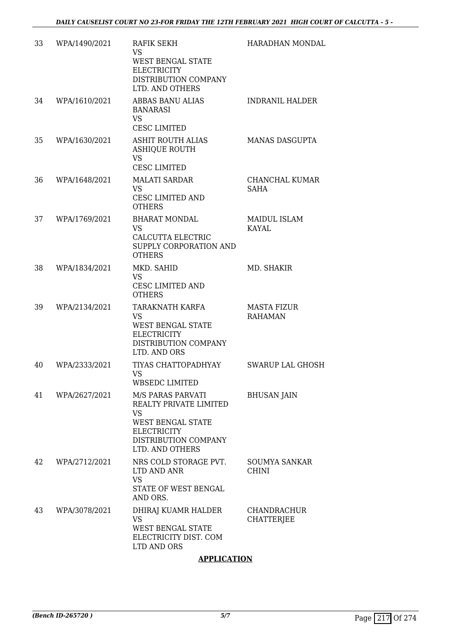| 33 | WPA/1490/2021 | RAFIK SEKH<br><b>VS</b><br><b>WEST BENGAL STATE</b><br><b>ELECTRICITY</b><br>DISTRIBUTION COMPANY<br>LTD. AND OTHERS                                  | HARADHAN MONDAL                      |
|----|---------------|-------------------------------------------------------------------------------------------------------------------------------------------------------|--------------------------------------|
| 34 | WPA/1610/2021 | <b>ABBAS BANU ALIAS</b><br><b>BANARASI</b><br><b>VS</b><br><b>CESC LIMITED</b>                                                                        | <b>INDRANIL HALDER</b>               |
| 35 | WPA/1630/2021 | <b>ASHIT ROUTH ALIAS</b><br><b>ASHIQUE ROUTH</b><br><b>VS</b><br><b>CESC LIMITED</b>                                                                  | <b>MANAS DASGUPTA</b>                |
| 36 | WPA/1648/2021 | <b>MALATI SARDAR</b><br><b>VS</b><br>CESC LIMITED AND<br><b>OTHERS</b>                                                                                | CHANCHAL KUMAR<br><b>SAHA</b>        |
| 37 | WPA/1769/2021 | <b>BHARAT MONDAL</b><br><b>VS</b><br><b>CALCUTTA ELECTRIC</b><br>SUPPLY CORPORATION AND<br><b>OTHERS</b>                                              | <b>MAIDUL ISLAM</b><br><b>KAYAL</b>  |
| 38 | WPA/1834/2021 | MKD. SAHID<br><b>VS</b><br><b>CESC LIMITED AND</b><br><b>OTHERS</b>                                                                                   | MD. SHAKIR                           |
| 39 | WPA/2134/2021 | TARAKNATH KARFA<br><b>VS</b><br>WEST BENGAL STATE<br><b>ELECTRICITY</b><br>DISTRIBUTION COMPANY<br>LTD. AND ORS                                       | <b>MASTA FIZUR</b><br><b>RAHAMAN</b> |
| 40 | WPA/2333/2021 | TIYAS CHATTOPADHYAY<br>VS.<br><b>WBSEDC LIMITED</b>                                                                                                   | <b>SWARUP LAL GHOSH</b>              |
| 41 | WPA/2627/2021 | M/S PARAS PARVATI<br>REALTY PRIVATE LIMITED<br><b>VS</b><br><b>WEST BENGAL STATE</b><br><b>ELECTRICITY</b><br>DISTRIBUTION COMPANY<br>LTD. AND OTHERS | <b>BHUSAN JAIN</b>                   |
| 42 | WPA/2712/2021 | NRS COLD STORAGE PVT.<br>LTD AND ANR<br><b>VS</b><br>STATE OF WEST BENGAL<br>AND ORS.                                                                 | <b>SOUMYA SANKAR</b><br><b>CHINI</b> |
| 43 | WPA/3078/2021 | DHIRAJ KUAMR HALDER<br><b>VS</b><br><b>WEST BENGAL STATE</b><br>ELECTRICITY DIST. COM<br>LTD AND ORS                                                  | CHANDRACHUR<br><b>CHATTERJEE</b>     |

# **APPLICATION**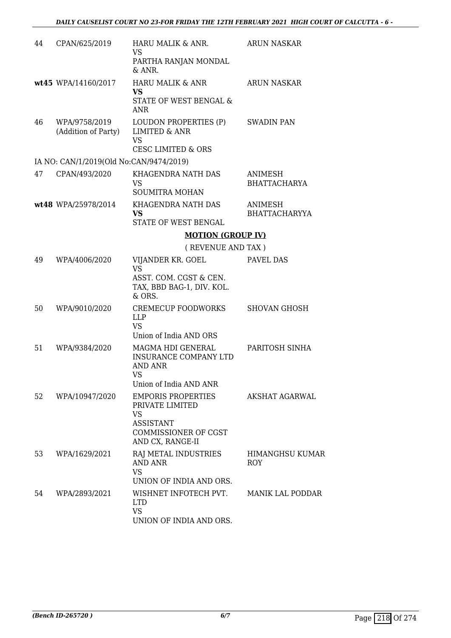| 44 | CPAN/625/2019                           | HARU MALIK & ANR.<br><b>VS</b><br>PARTHA RANJAN MONDAL<br>& ANR.                                                          | <b>ARUN NASKAR</b>                     |
|----|-----------------------------------------|---------------------------------------------------------------------------------------------------------------------------|----------------------------------------|
|    | wt45 WPA/14160/2017                     | <b>HARU MALIK &amp; ANR</b><br><b>VS</b><br>STATE OF WEST BENGAL &<br><b>ANR</b>                                          | <b>ARUN NASKAR</b>                     |
| 46 | WPA/9758/2019<br>(Addition of Party)    | LOUDON PROPERTIES (P)<br><b>LIMITED &amp; ANR</b><br><b>VS</b><br><b>CESC LIMITED &amp; ORS</b>                           | <b>SWADIN PAN</b>                      |
|    | IA NO: CAN/1/2019(Old No:CAN/9474/2019) |                                                                                                                           |                                        |
| 47 | CPAN/493/2020                           | KHAGENDRA NATH DAS<br><b>VS</b><br><b>SOUMITRA MOHAN</b>                                                                  | ANIMESH<br><b>BHATTACHARYA</b>         |
|    | wt48 WPA/25978/2014                     | KHAGENDRA NATH DAS<br><b>VS</b><br>STATE OF WEST BENGAL                                                                   | <b>ANIMESH</b><br><b>BHATTACHARYYA</b> |
|    |                                         | <b>MOTION (GROUP IV)</b>                                                                                                  |                                        |
|    |                                         | (REVENUE AND TAX)                                                                                                         |                                        |
| 49 | WPA/4006/2020                           | VIJANDER KR. GOEL<br><b>VS</b>                                                                                            | PAVEL DAS                              |
|    |                                         | ASST. COM. CGST & CEN.<br>TAX, BBD BAG-1, DIV. KOL.<br>& ORS.                                                             |                                        |
| 50 | WPA/9010/2020                           | <b>CREMECUP FOODWORKS</b><br><b>LLP</b><br><b>VS</b><br>Union of India AND ORS                                            | <b>SHOVAN GHOSH</b>                    |
| 51 | WPA/9384/2020                           | MAGMA HDI GENERAL<br>INSURANCE COMPANY LTD<br><b>AND ANR</b><br>VS<br>Union of India AND ANR                              | PARITOSH SINHA                         |
| 52 | WPA/10947/2020                          | <b>EMPORIS PROPERTIES</b><br>PRIVATE LIMITED<br>VS<br><b>ASSISTANT</b><br><b>COMMISSIONER OF CGST</b><br>AND CX, RANGE-II | AKSHAT AGARWAL                         |
| 53 | WPA/1629/2021                           | RAJ METAL INDUSTRIES<br><b>AND ANR</b><br><b>VS</b><br>UNION OF INDIA AND ORS.                                            | <b>HIMANGHSU KUMAR</b><br><b>ROY</b>   |
| 54 | WPA/2893/2021                           | WISHNET INFOTECH PVT.<br><b>LTD</b><br><b>VS</b><br>UNION OF INDIA AND ORS.                                               | MANIK LAL PODDAR                       |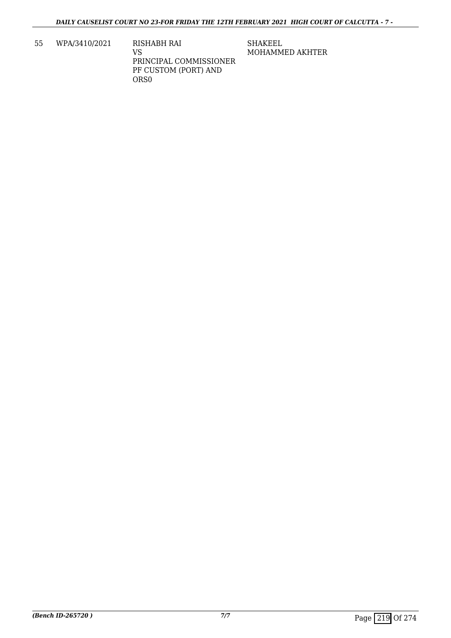55 WPA/3410/2021 RISHABH RAI VS PRINCIPAL COMMISSIONER PF CUSTOM (PORT) AND ORS0

SHAKEEL MOHAMMED AKHTER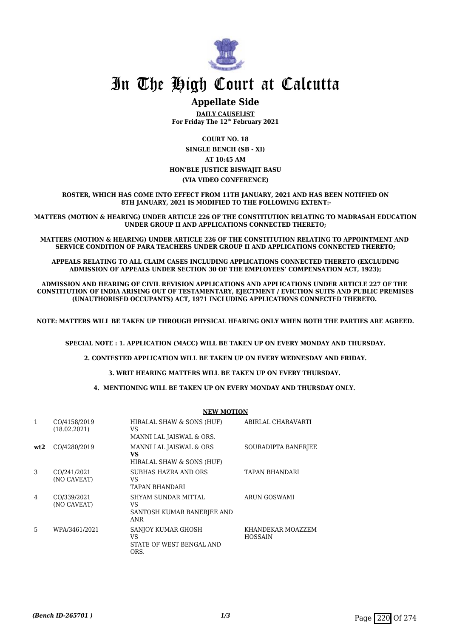

# **Appellate Side**

**DAILY CAUSELIST For Friday The 12th February 2021**

**COURT NO. 18 SINGLE BENCH (SB - XI) AT 10:45 AM HON'BLE JUSTICE BISWAJIT BASU (VIA VIDEO CONFERENCE)**

**ROSTER, WHICH HAS COME INTO EFFECT FROM 11TH JANUARY, 2021 AND HAS BEEN NOTIFIED ON 8TH JANUARY, 2021 IS MODIFIED TO THE FOLLOWING EXTENT:-**

**MATTERS (MOTION & HEARING) UNDER ARTICLE 226 OF THE CONSTITUTION RELATING TO MADRASAH EDUCATION UNDER GROUP II AND APPLICATIONS CONNECTED THERETO;**

**MATTERS (MOTION & HEARING) UNDER ARTICLE 226 OF THE CONSTITUTION RELATING TO APPOINTMENT AND SERVICE CONDITION OF PARA TEACHERS UNDER GROUP II AND APPLICATIONS CONNECTED THERETO;**

**APPEALS RELATING TO ALL CLAIM CASES INCLUDING APPLICATIONS CONNECTED THERETO (EXCLUDING ADMISSION OF APPEALS UNDER SECTION 30 OF THE EMPLOYEES' COMPENSATION ACT, 1923);**

**ADMISSION AND HEARING OF CIVIL REVISION APPLICATIONS AND APPLICATIONS UNDER ARTICLE 227 OF THE CONSTITUTION OF INDIA ARISING OUT OF TESTAMENTARY, EJECTMENT / EVICTION SUITS AND PUBLIC PREMISES (UNAUTHORISED OCCUPANTS) ACT, 1971 INCLUDING APPLICATIONS CONNECTED THERETO.** 

**NOTE: MATTERS WILL BE TAKEN UP THROUGH PHYSICAL HEARING ONLY WHEN BOTH THE PARTIES ARE AGREED.**

**SPECIAL NOTE : 1. APPLICATION (MACC) WILL BE TAKEN UP ON EVERY MONDAY AND THURSDAY.**

**2. CONTESTED APPLICATION WILL BE TAKEN UP ON EVERY WEDNESDAY AND FRIDAY.**

**3. WRIT HEARING MATTERS WILL BE TAKEN UP ON EVERY THURSDAY.** 

**4. MENTIONING WILL BE TAKEN UP ON EVERY MONDAY AND THURSDAY ONLY.** 

|              |                              | <b>NEW MOTION</b>                                                      |                                     |  |
|--------------|------------------------------|------------------------------------------------------------------------|-------------------------------------|--|
| $\mathbf{1}$ | CO/4158/2019<br>(18.02.2021) | HIRALAL SHAW & SONS (HUF)<br>VS<br>MANNI LAL JAISWAL & ORS.            | ABIRLAL CHARAVARTI                  |  |
| wt2          | CO/4280/2019                 | MANNI LAL JAISWAL & ORS<br>VS<br>HIRALAL SHAW & SONS (HUF)             | SOURADIPTA BANERJEE                 |  |
| 3            | CO/241/2021<br>(NO CAVEAT)   | SUBHAS HAZRA AND ORS<br>VS.<br><b>TAPAN BHANDARI</b>                   | <b>TAPAN BHANDARI</b>               |  |
| 4            | CO/339/2021<br>(NO CAVEAT)   | SHYAM SUNDAR MITTAL<br>VS.<br>SANTOSH KUMAR BANERJEE AND<br><b>ANR</b> | ARUN GOSWAMI                        |  |
| 5            | WPA/3461/2021                | SANJOY KUMAR GHOSH<br>VS.<br>STATE OF WEST BENGAL AND<br>ORS.          | KHANDEKAR MOAZZEM<br><b>HOSSAIN</b> |  |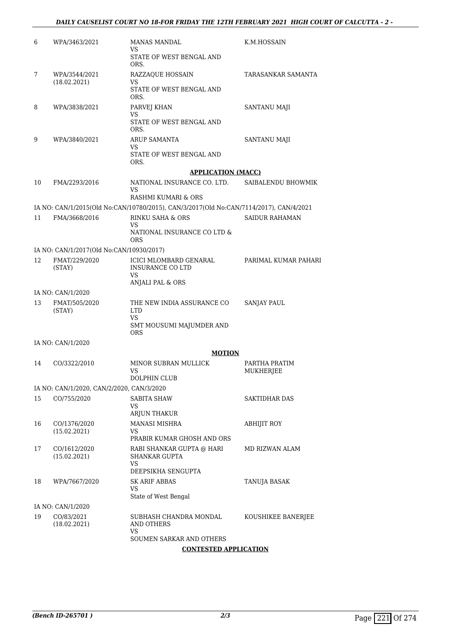# *DAILY CAUSELIST COURT NO 18-FOR FRIDAY THE 12TH FEBRUARY 2021 HIGH COURT OF CALCUTTA - 2 -*

| 6  | WPA/3463/2021                             | <b>MANAS MANDAL</b><br>VS<br>STATE OF WEST BENGAL AND                                                                 | K.M.HOSSAIN           |
|----|-------------------------------------------|-----------------------------------------------------------------------------------------------------------------------|-----------------------|
|    |                                           | ORS.                                                                                                                  |                       |
| 7  | WPA/3544/2021<br>(18.02.2021)             | <b>RAZZAQUE HOSSAIN</b><br>VS                                                                                         | TARASANKAR SAMANTA    |
|    |                                           | STATE OF WEST BENGAL AND<br>ORS.                                                                                      |                       |
| 8  | WPA/3838/2021                             | PARVEJ KHAN<br>VS                                                                                                     | <b>SANTANU MAJI</b>   |
|    |                                           | STATE OF WEST BENGAL AND<br>ORS.                                                                                      |                       |
| 9  | WPA/3840/2021                             | <b>ARUP SAMANTA</b><br>VS                                                                                             | SANTANU MAJI          |
|    |                                           | STATE OF WEST BENGAL AND<br>ORS.                                                                                      |                       |
|    |                                           | <b>APPLICATION (MACC)</b>                                                                                             |                       |
| 10 | FMA/2293/2016                             | NATIONAL INSURANCE CO. LTD.<br>VS                                                                                     | SAIBALENDU BHOWMIK    |
|    |                                           | RASHMI KUMARI & ORS                                                                                                   |                       |
| 11 | FMA/3668/2016                             | IA NO: CAN/1/2015(Old No:CAN/10780/2015), CAN/3/2017(Old No:CAN/7114/2017), CAN/4/2021<br><b>RINKU SAHA &amp; ORS</b> | <b>SAIDUR RAHAMAN</b> |
|    |                                           | VS                                                                                                                    |                       |
|    |                                           | NATIONAL INSURANCE CO LTD &<br>ORS                                                                                    |                       |
|    | IA NO: CAN/1/2017(Old No:CAN/10930/2017)  |                                                                                                                       |                       |
| 12 | FMAT/229/2020<br>(STAY)                   | ICICI MLOMBARD GENARAL<br><b>INSURANCE CO LTD</b><br>VS                                                               | PARIMAL KUMAR PAHARI  |
|    | IA NO: CAN/1/2020                         | ANJALI PAL & ORS                                                                                                      |                       |
| 13 | FMAT/505/2020                             | THE NEW INDIA ASSURANCE CO                                                                                            | <b>SANJAY PAUL</b>    |
|    | (STAY)                                    | <b>LTD</b><br>VS<br>SMT MOUSUMI MAJUMDER AND                                                                          |                       |
|    | IA NO: CAN/1/2020                         | <b>ORS</b>                                                                                                            |                       |
|    |                                           | <b>MOTION</b>                                                                                                         |                       |
| 14 | CO/3322/2010                              | MINOR SUBRAN MULLICK                                                                                                  | PARTHA PRATIM         |
|    |                                           | VS<br>DOLPHIN CLUB                                                                                                    | <b>MUKHERJEE</b>      |
|    | IA NO: CAN/1/2020, CAN/2/2020, CAN/3/2020 |                                                                                                                       |                       |
| 15 | CO/755/2020                               | SABITA SHAW                                                                                                           | SAKTIDHAR DAS         |
|    |                                           | VS<br>ARJUN THAKUR                                                                                                    |                       |
| 16 | CO/1376/2020                              | <b>MANASI MISHRA</b>                                                                                                  | <b>ABHIJIT ROY</b>    |
|    | (15.02.2021)                              | VS<br>PRABIR KUMAR GHOSH AND ORS                                                                                      |                       |
| 17 | CO/1612/2020                              | RABI SHANKAR GUPTA @ HARI                                                                                             | MD RIZWAN ALAM        |
|    | (15.02.2021)                              | SHANKAR GUPTA<br>VS                                                                                                   |                       |
|    |                                           | DEEPSIKHA SENGUPTA                                                                                                    |                       |
| 18 | WPA/7667/2020                             | SK ARIF ABBAS<br>VS                                                                                                   | TANUJA BASAK          |
|    |                                           | State of West Bengal                                                                                                  |                       |
|    | IA NO: CAN/1/2020                         |                                                                                                                       |                       |
| 19 | CO/83/2021<br>(18.02.2021)                | SUBHASH CHANDRA MONDAL<br>AND OTHERS<br>VS                                                                            | KOUSHIKEE BANERJEE    |
|    |                                           | SOUMEN SARKAR AND OTHERS                                                                                              |                       |
|    |                                           | <b>CONTESTED APPLICATION</b>                                                                                          |                       |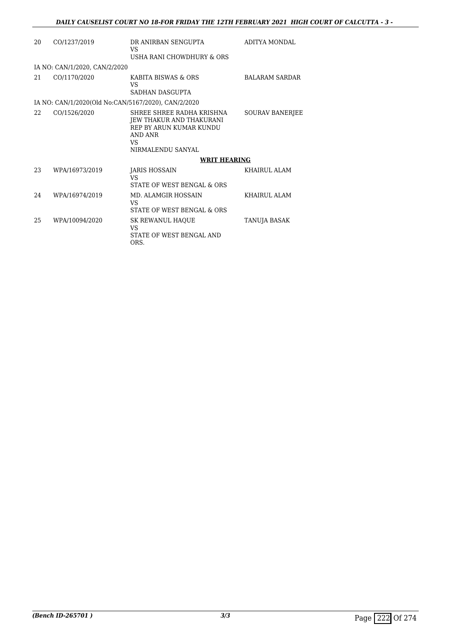| 20  | CO/1237/2019                                        | DR ANIRBAN SENGUPTA<br>VS                                                                                                     | ADITYA MONDAL          |
|-----|-----------------------------------------------------|-------------------------------------------------------------------------------------------------------------------------------|------------------------|
|     |                                                     | USHA RANI CHOWDHURY & ORS                                                                                                     |                        |
|     | IA NO: CAN/1/2020, CAN/2/2020                       |                                                                                                                               |                        |
| 21  | CO/1170/2020                                        | KABITA BISWAS & ORS<br>VS                                                                                                     | <b>BALARAM SARDAR</b>  |
|     |                                                     | SADHAN DASGUPTA                                                                                                               |                        |
|     | IA NO: CAN/1/2020(Old No:CAN/5167/2020), CAN/2/2020 |                                                                                                                               |                        |
| 22. | CO/1526/2020                                        | SHREE SHREE RADHA KRISHNA<br>JEW THAKUR AND THAKURANI<br>REP BY ARUN KUMAR KUNDU<br><b>AND ANR</b><br>VS<br>NIRMALENDU SANYAL | <b>SOURAV BANERJEE</b> |
|     |                                                     | <b>WRIT HEARING</b>                                                                                                           |                        |
| 23  | WPA/16973/2019                                      | JARIS HOSSAIN<br>VS<br>STATE OF WEST BENGAL & ORS                                                                             | <b>KHAIRUL ALAM</b>    |
| 24  | WPA/16974/2019                                      | MD. ALAMGIR HOSSAIN<br>VS<br>STATE OF WEST BENGAL & ORS                                                                       | <b>KHAIRUL ALAM</b>    |
| 25  | WPA/10094/2020                                      | SK REWANUL HAQUE<br>VS<br>STATE OF WEST BENGAL AND<br>ORS.                                                                    | TANUJA BASAK           |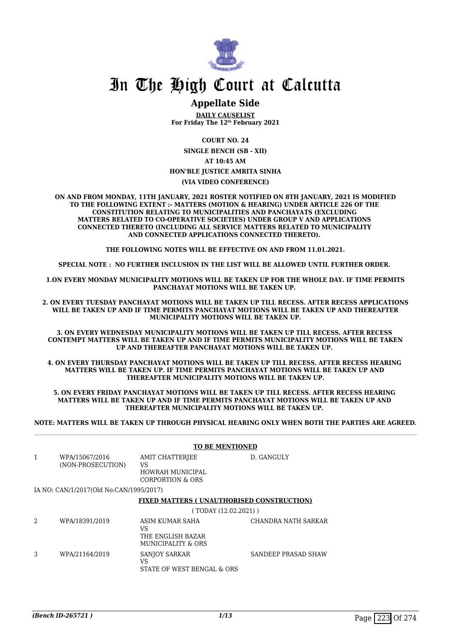

# **Appellate Side**

**DAILY CAUSELIST For Friday The 12th February 2021**

**COURT NO. 24**

**SINGLE BENCH (SB - XII) AT 10:45 AM**

#### **HON'BLE JUSTICE AMRITA SINHA**

#### **(VIA VIDEO CONFERENCE)**

**ON AND FROM MONDAY, 11TH JANUARY, 2021 ROSTER NOTIFIED ON 8TH JANUARY, 2021 IS MODIFIED TO THE FOLLOWING EXTENT :- MATTERS (MOTION & HEARING) UNDER ARTICLE 226 OF THE CONSTITUTION RELATING TO MUNICIPALITIES AND PANCHAYATS (EXCLUDING MATTERS RELATED TO CO-OPERATIVE SOCIETIES) UNDER GROUP V AND APPLICATIONS CONNECTED THERETO (INCLUDING ALL SERVICE MATTERS RELATED TO MUNICIPALITY AND CONNECTED APPLICATIONS CONNECTED THERETO).** 

**THE FOLLOWING NOTES WILL BE EFFECTIVE ON AND FROM 11.01.2021.**

**SPECIAL NOTE : NO FURTHER INCLUSION IN THE LIST WILL BE ALLOWED UNTIL FURTHER ORDER.** 

**1.ON EVERY MONDAY MUNICIPALITY MOTIONS WILL BE TAKEN UP FOR THE WHOLE DAY. IF TIME PERMITS PANCHAYAT MOTIONS WILL BE TAKEN UP.** 

**2. ON EVERY TUESDAY PANCHAYAT MOTIONS WILL BE TAKEN UP TILL RECESS. AFTER RECESS APPLICATIONS WILL BE TAKEN UP AND IF TIME PERMITS PANCHAYAT MOTIONS WILL BE TAKEN UP AND THEREAFTER MUNICIPALITY MOTIONS WILL BE TAKEN UP.**

**3. ON EVERY WEDNESDAY MUNICIPALITY MOTIONS WILL BE TAKEN UP TILL RECESS. AFTER RECESS CONTEMPT MATTERS WILL BE TAKEN UP AND IF TIME PERMITS MUNICIPALITY MOTIONS WILL BE TAKEN UP AND THEREAFTER PANCHAYAT MOTIONS WILL BE TAKEN UP.** 

**4. ON EVERY THURSDAY PANCHAYAT MOTIONS WILL BE TAKEN UP TILL RECESS. AFTER RECESS HEARING MATTERS WILL BE TAKEN UP. IF TIME PERMITS PANCHAYAT MOTIONS WILL BE TAKEN UP AND THEREAFTER MUNICIPALITY MOTIONS WILL BE TAKEN UP.**

**5. ON EVERY FRIDAY PANCHAYAT MOTIONS WILL BE TAKEN UP TILL RECESS. AFTER RECESS HEARING MATTERS WILL BE TAKEN UP AND IF TIME PERMITS PANCHAYAT MOTIONS WILL BE TAKEN UP AND THEREAFTER MUNICIPALITY MOTIONS WILL BE TAKEN UP.** 

**NOTE: MATTERS WILL BE TAKEN UP THROUGH PHYSICAL HEARING ONLY WHEN BOTH THE PARTIES ARE AGREED.**

|   |                                         | <b>TO BE MENTIONED</b>                                           |                     |  |
|---|-----------------------------------------|------------------------------------------------------------------|---------------------|--|
| 1 | WPA/15067/2016<br>(NON-PROSECUTION)     | AMIT CHATTERJEE<br>VS<br>HOWRAH MUNICIPAL<br>CORPORTION & ORS    | D. GANGULY          |  |
|   | IA NO: CAN/1/2017(Old No:CAN/1995/2017) |                                                                  |                     |  |
|   |                                         | <b>FIXED MATTERS (UNAUTHORISED CONSTRUCTION)</b>                 |                     |  |
|   |                                         | (TODAY (12.02.2021))                                             |                     |  |
| 2 | WPA/18391/2019                          | ASIM KUMAR SAHA<br>VS<br>THE ENGLISH BAZAR<br>MUNICIPALITY & ORS | CHANDRA NATH SARKAR |  |
| 3 | WPA/21164/2019                          | <b>SANJOY SARKAR</b><br>VS<br>STATE OF WEST BENGAL & ORS         | SANDEEP PRASAD SHAW |  |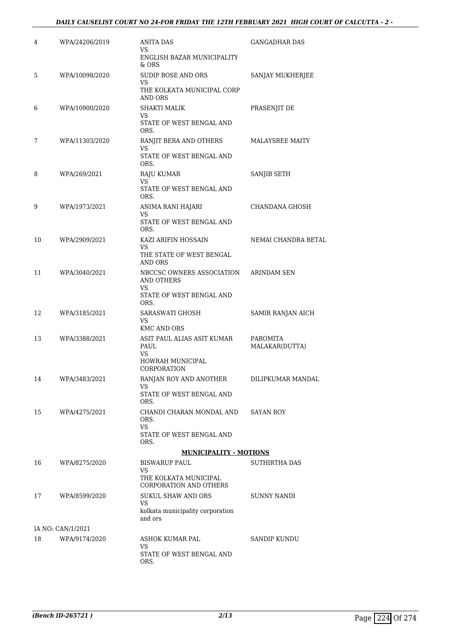# *DAILY CAUSELIST COURT NO 24-FOR FRIDAY THE 12TH FEBRUARY 2021 HIGH COURT OF CALCUTTA - 2 -*

| 4  | WPA/24206/2019    | ANITA DAS<br>VS                                               | GANGADHAR DAS              |
|----|-------------------|---------------------------------------------------------------|----------------------------|
|    |                   | ENGLISH BAZAR MUNICIPALITY<br>& ORS                           |                            |
| 5  | WPA/10098/2020    | <b>SUDIP BOSE AND ORS</b><br>VS<br>THE KOLKATA MUNICIPAL CORP | SANJAY MUKHERJEE           |
| 6  | WPA/10900/2020    | AND ORS<br><b>SHAKTI MALIK</b>                                | PRASENJIT DE               |
|    |                   | VS<br>STATE OF WEST BENGAL AND<br>ORS.                        |                            |
| 7  | WPA/11303/2020    | RANJIT BERA AND OTHERS<br>VS<br>STATE OF WEST BENGAL AND      | <b>MALAYSREE MAITY</b>     |
| 8  | WPA/269/2021      | ORS.                                                          | SANJIB SETH                |
|    |                   | RAJU KUMAR<br>VS<br>STATE OF WEST BENGAL AND<br>ORS.          |                            |
| 9  | WPA/1973/2021     | ANIMA RANI HAJARI                                             | CHANDANA GHOSH             |
|    |                   | VS<br>STATE OF WEST BENGAL AND<br>ORS.                        |                            |
| 10 | WPA/2909/2021     | KAZI ARIFIN HOSSAIN                                           | NEMAI CHANDRA BETAL        |
|    |                   | VS<br>THE STATE OF WEST BENGAL<br>AND ORS                     |                            |
| 11 | WPA/3040/2021     | NBCCSC OWNERS ASSOCIATION<br><b>AND OTHERS</b><br>VS          | <b>ARINDAM SEN</b>         |
|    |                   | STATE OF WEST BENGAL AND<br>ORS.                              |                            |
| 12 | WPA/3185/2021     | SARASWATI GHOSH<br>VS                                         | SAMIR RANJAN AICH          |
|    |                   | <b>KMC AND ORS</b>                                            |                            |
| 13 | WPA/3388/2021     | ASIT PAUL ALIAS ASIT KUMAR<br>PAUL<br>VS                      | PAROMITA<br>MALAKAR(DUTTA) |
|    |                   | HOWRAH MUNICIPAL<br>CORPORATION                               |                            |
| 14 | WPA/3483/2021     | RANJAN ROY AND ANOTHER<br>VS                                  | DILIPKUMAR MANDAL          |
|    |                   | STATE OF WEST BENGAL AND<br>ORS.                              |                            |
| 15 | WPA/4275/2021     | CHANDI CHARAN MONDAL AND<br>ORS.<br>VS.                       | SAYAN ROY                  |
|    |                   | STATE OF WEST BENGAL AND<br>ORS.                              |                            |
|    |                   | <b>MUNICIPALITY - MOTIONS</b>                                 |                            |
| 16 | WPA/8275/2020     | <b>BISWARUP PAUL</b><br>VS.                                   | SUTHIRTHA DAS              |
|    |                   | THE KOLKATA MUNICIPAL<br>CORPORATION AND OTHERS               |                            |
| 17 | WPA/8599/2020     | <b>SUKUL SHAW AND ORS</b><br>VS                               | SUNNY NANDI                |
|    |                   | kolkata municipality corporation<br>and ors                   |                            |
|    | IA NO: CAN/1/2021 |                                                               |                            |
| 18 | WPA/9174/2020     | ASHOK KUMAR PAL<br>VS                                         | SANDIP KUNDU               |
|    |                   | STATE OF WEST BENGAL AND<br>ORS.                              |                            |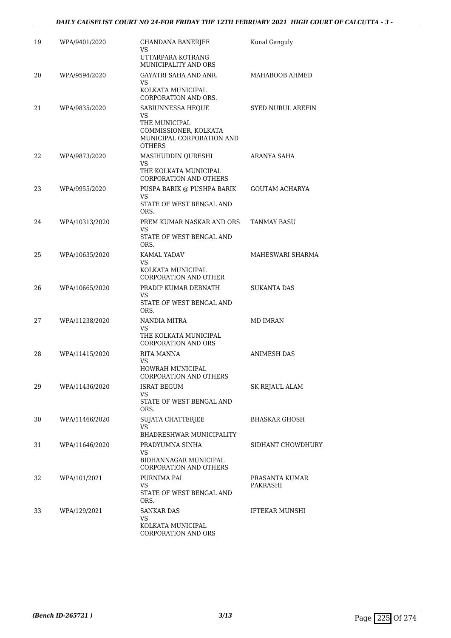| 19 | WPA/9401/2020  | CHANDANA BANERJEE<br>VS                                                              | Kunal Ganguly              |
|----|----------------|--------------------------------------------------------------------------------------|----------------------------|
|    |                | UTTARPARA KOTRANG<br>MUNICIPALITY AND ORS                                            |                            |
| 20 | WPA/9594/2020  | <b>GAYATRI SAHA AND ANR.</b><br>VS                                                   | MAHABOOB AHMED             |
|    |                | KOLKATA MUNICIPAL<br>CORPORATION AND ORS.                                            |                            |
| 21 | WPA/9835/2020  | SABIUNNESSA HEQUE<br>VS                                                              | <b>SYED NURUL AREFIN</b>   |
|    |                | THE MUNICIPAL<br>COMMISSIONER, KOLKATA<br>MUNICIPAL CORPORATION AND<br><b>OTHERS</b> |                            |
| 22 | WPA/9873/2020  | MASIHUDDIN QURESHI<br>VS.<br>THE KOLKATA MUNICIPAL<br>CORPORATION AND OTHERS         | ARANYA SAHA                |
| 23 | WPA/9955/2020  | PUSPA BARIK @ PUSHPA BARIK<br>VS<br>STATE OF WEST BENGAL AND<br>ORS.                 | GOUTAM ACHARYA             |
| 24 | WPA/10313/2020 | PREM KUMAR NASKAR AND ORS<br>VS.<br>STATE OF WEST BENGAL AND                         | TANMAY BASU                |
| 25 | WPA/10635/2020 | ORS.<br>KAMAL YADAV                                                                  | MAHESWARI SHARMA           |
|    |                | VS<br>KOLKATA MUNICIPAL<br>CORPORATION AND OTHER                                     |                            |
| 26 | WPA/10665/2020 | PRADIP KUMAR DEBNATH                                                                 | <b>SUKANTA DAS</b>         |
|    |                | VS.<br>STATE OF WEST BENGAL AND<br>ORS.                                              |                            |
| 27 | WPA/11238/2020 | NANDIA MITRA<br>VS                                                                   | <b>MD IMRAN</b>            |
|    |                | THE KOLKATA MUNICIPAL<br><b>CORPORATION AND ORS</b>                                  |                            |
| 28 | WPA/11415/2020 | RITA MANNA<br>VS<br>HOWRAH MUNICIPAL                                                 | <b>ANIMESH DAS</b>         |
| 29 | WPA/11436/2020 | CORPORATION AND OTHERS<br><b>ISRAT BEGUM</b>                                         | SK REJAUL ALAM             |
|    |                | VS<br>STATE OF WEST BENGAL AND<br>ORS.                                               |                            |
| 30 | WPA/11466/2020 | SUJATA CHATTERJEE<br>VS.<br>BHADRESHWAR MUNICIPALITY                                 | <b>BHASKAR GHOSH</b>       |
| 31 | WPA/11646/2020 | PRADYUMNA SINHA                                                                      | SIDHANT CHOWDHURY          |
|    |                | VS.<br>BIDHANNAGAR MUNICIPAL<br><b>CORPORATION AND OTHERS</b>                        |                            |
| 32 | WPA/101/2021   | PURNIMA PAL<br>VS                                                                    | PRASANTA KUMAR<br>PAKRASHI |
|    |                | STATE OF WEST BENGAL AND<br>ORS.                                                     |                            |
| 33 | WPA/129/2021   | SANKAR DAS<br>VS.                                                                    | IFTEKAR MUNSHI             |
|    |                | KOLKATA MUNICIPAL<br>CORPORATION AND ORS                                             |                            |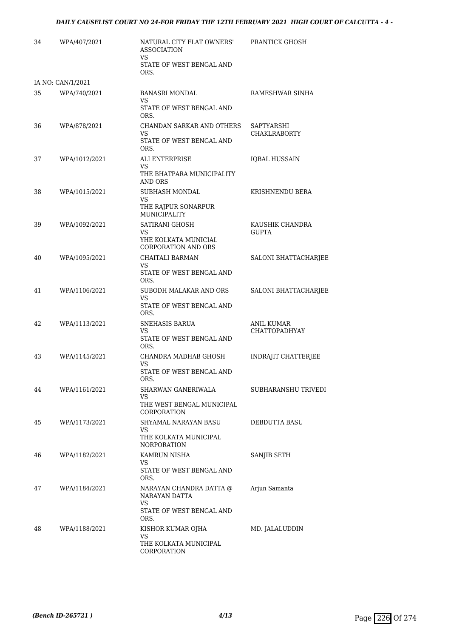| 34 | WPA/407/2021      | NATURAL CITY FLAT OWNERS'<br><b>ASSOCIATION</b><br>VS | PRANTICK GHOSH                            |
|----|-------------------|-------------------------------------------------------|-------------------------------------------|
|    |                   | STATE OF WEST BENGAL AND<br>ORS.                      |                                           |
|    | IA NO: CAN/1/2021 |                                                       |                                           |
| 35 | WPA/740/2021      | <b>BANASRI MONDAL</b><br>VS                           | RAMESHWAR SINHA                           |
|    |                   | STATE OF WEST BENGAL AND<br>ORS.                      |                                           |
| 36 | WPA/878/2021      | CHANDAN SARKAR AND OTHERS<br>VS                       | SAPTYARSHI<br><b>CHAKLRABORTY</b>         |
|    |                   | STATE OF WEST BENGAL AND<br>ORS.                      |                                           |
| 37 | WPA/1012/2021     | ALI ENTERPRISE<br>VS                                  | <b>IQBAL HUSSAIN</b>                      |
|    |                   | THE BHATPARA MUNICIPALITY<br>AND ORS                  |                                           |
| 38 | WPA/1015/2021     | SUBHASH MONDAL<br>VS                                  | KRISHNENDU BERA                           |
|    |                   | THE RAJPUR SONARPUR<br><b>MUNICIPALITY</b>            |                                           |
| 39 | WPA/1092/2021     | SATIRANI GHOSH<br>VS                                  | KAUSHIK CHANDRA<br><b>GUPTA</b>           |
|    |                   | YHE KOLKATA MUNICIAL<br><b>CORPORATION AND ORS</b>    |                                           |
| 40 | WPA/1095/2021     | CHAITALI BARMAN<br><b>VS</b>                          | SALONI BHATTACHARJEE                      |
|    |                   | STATE OF WEST BENGAL AND<br>ORS.                      |                                           |
| 41 | WPA/1106/2021     | SUBODH MALAKAR AND ORS<br>VS                          | SALONI BHATTACHARJEE                      |
|    |                   | STATE OF WEST BENGAL AND<br>ORS.                      |                                           |
| 42 | WPA/1113/2021     | SNEHASIS BARUA<br>VS                                  | <b>ANIL KUMAR</b><br><b>CHATTOPADHYAY</b> |
|    |                   | STATE OF WEST BENGAL AND<br>ORS.                      |                                           |
| 43 | WPA/1145/2021     | CHANDRA MADHAB GHOSH<br>VS                            | <b>INDRAJIT CHATTERJEE</b>                |
|    |                   | STATE OF WEST BENGAL AND<br>ORS.                      |                                           |
| 44 | WPA/1161/2021     | SHARWAN GANERIWALA<br>VS                              | SUBHARANSHU TRIVEDI                       |
|    |                   | THE WEST BENGAL MUNICIPAL<br>CORPORATION              |                                           |
| 45 | WPA/1173/2021     | SHYAMAL NARAYAN BASU<br>VS                            | DEBDUTTA BASU                             |
|    |                   | THE KOLKATA MUNICIPAL<br><b>NORPORATION</b>           |                                           |
| 46 | WPA/1182/2021     | KAMRUN NISHA<br>VS                                    | SANJIB SETH                               |
|    |                   | STATE OF WEST BENGAL AND<br>ORS.                      |                                           |
| 47 | WPA/1184/2021     | NARAYAN CHANDRA DATTA @<br>NARAYAN DATTA              | Arjun Samanta                             |
|    |                   | VS<br>STATE OF WEST BENGAL AND<br>ORS.                |                                           |
| 48 | WPA/1188/2021     | KISHOR KUMAR OJHA                                     | MD. JALALUDDIN                            |
|    |                   | VS<br>THE KOLKATA MUNICIPAL<br>CORPORATION            |                                           |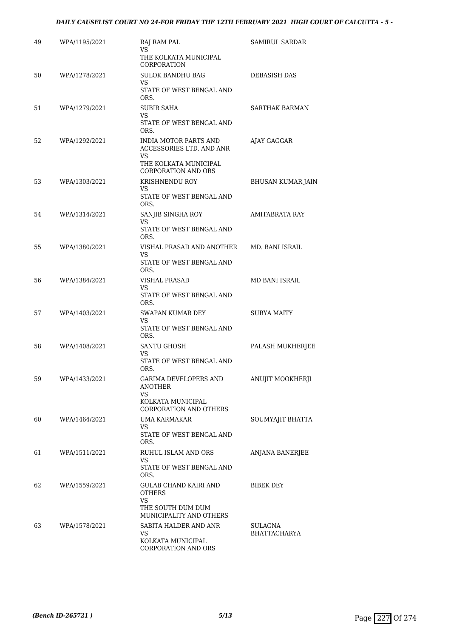| 49 | WPA/1195/2021 | RAJ RAM PAL<br>VS.<br>THE KOLKATA MUNICIPAL<br>CORPORATION                                                             | SAMIRUL SARDAR           |
|----|---------------|------------------------------------------------------------------------------------------------------------------------|--------------------------|
| 50 | WPA/1278/2021 | <b>SULOK BANDHU BAG</b><br>VS<br>STATE OF WEST BENGAL AND<br>ORS.                                                      | DEBASISH DAS             |
| 51 | WPA/1279/2021 | SUBIR SAHA<br>VS.<br>STATE OF WEST BENGAL AND<br>ORS.                                                                  | SARTHAK BARMAN           |
| 52 | WPA/1292/2021 | <b>INDIA MOTOR PARTS AND</b><br>ACCESSORIES LTD. AND ANR<br>VS.<br>THE KOLKATA MUNICIPAL<br><b>CORPORATION AND ORS</b> | AJAY GAGGAR              |
| 53 | WPA/1303/2021 | KRISHNENDU ROY<br>VS.<br>STATE OF WEST BENGAL AND<br>ORS.                                                              | <b>BHUSAN KUMAR JAIN</b> |
| 54 | WPA/1314/2021 | SANJIB SINGHA ROY<br>VS<br>STATE OF WEST BENGAL AND<br>ORS.                                                            | AMITABRATA RAY           |
| 55 | WPA/1380/2021 | VISHAL PRASAD AND ANOTHER<br>VS<br>STATE OF WEST BENGAL AND<br>ORS.                                                    | MD. BANI ISRAIL          |
| 56 | WPA/1384/2021 | VISHAL PRASAD<br>VS.<br>STATE OF WEST BENGAL AND<br>ORS.                                                               | MD BANI ISRAIL           |
| 57 | WPA/1403/2021 | SWAPAN KUMAR DEY<br>VS.<br>STATE OF WEST BENGAL AND<br>ORS.                                                            | SURYA MAITY              |
| 58 | WPA/1408/2021 | <b>SANTU GHOSH</b><br>VS<br>STATE OF WEST BENGAL AND<br>ORS.                                                           | PALASH MUKHERJEE         |
| 59 | WPA/1433/2021 | <b>GARIMA DEVELOPERS AND</b><br>ANOTHER<br>VS<br>KOLKATA MUNICIPAL<br><b>CORPORATION AND OTHERS</b>                    | ANUJIT MOOKHERJI         |
| 60 | WPA/1464/2021 | UMA KARMAKAR<br>VS<br>STATE OF WEST BENGAL AND<br>ORS.                                                                 | SOUMYAJIT BHATTA         |
| 61 | WPA/1511/2021 | RUHUL ISLAM AND ORS<br>VS<br>STATE OF WEST BENGAL AND<br>ORS.                                                          | ANJANA BANERJEE          |
| 62 | WPA/1559/2021 | GULAB CHAND KAIRI AND<br>OTHERS<br>VS<br>THE SOUTH DUM DUM                                                             | BIBEK DEY                |
| 63 | WPA/1578/2021 | MUNICIPALITY AND OTHERS<br>SABITA HALDER AND ANR<br>VS<br>KOLKATA MUNICIPAL<br>CORPORATION AND ORS                     | SULAGNA<br>BHATTACHARYA  |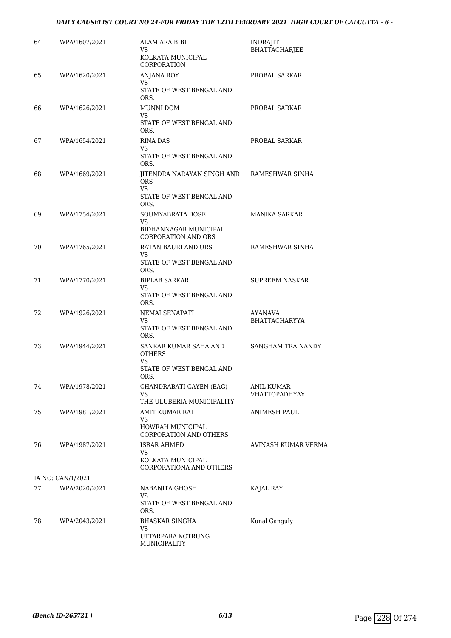| 64 | WPA/1607/2021     | ALAM ARA BIBI<br>VS<br>KOLKATA MUNICIPAL<br>CORPORATION                                   | INDRAJIT<br><b>BHATTACHARJEE</b>   |
|----|-------------------|-------------------------------------------------------------------------------------------|------------------------------------|
| 65 | WPA/1620/2021     | ANJANA ROY<br>VS<br>STATE OF WEST BENGAL AND<br>ORS.                                      | PROBAL SARKAR                      |
| 66 | WPA/1626/2021     | MUNNI DOM<br>VS<br>STATE OF WEST BENGAL AND<br>ORS.                                       | PROBAL SARKAR                      |
| 67 | WPA/1654/2021     | RINA DAS<br>VS<br>STATE OF WEST BENGAL AND<br>ORS.                                        | PROBAL SARKAR                      |
| 68 | WPA/1669/2021     | JITENDRA NARAYAN SINGH AND<br><b>ORS</b><br><b>VS</b><br>STATE OF WEST BENGAL AND<br>ORS. | RAMESHWAR SINHA                    |
| 69 | WPA/1754/2021     | <b>SOUMYABRATA BOSE</b><br>VS<br>BIDHANNAGAR MUNICIPAL<br><b>CORPORATION AND ORS</b>      | MANIKA SARKAR                      |
| 70 | WPA/1765/2021     | RATAN BAURI AND ORS<br><b>VS</b><br>STATE OF WEST BENGAL AND<br>ORS.                      | RAMESHWAR SINHA                    |
| 71 | WPA/1770/2021     | <b>BIPLAB SARKAR</b><br>VS<br>STATE OF WEST BENGAL AND<br>ORS.                            | <b>SUPREEM NASKAR</b>              |
| 72 | WPA/1926/2021     | NEMAI SENAPATI<br>VS<br>STATE OF WEST BENGAL AND<br>ORS.                                  | AYANAVA<br><b>BHATTACHARYYA</b>    |
| 73 | WPA/1944/2021     | SANKAR KUMAR SAHA AND<br>OTHERS<br>VS<br>STATE OF WEST BENGAL AND<br>ORS.                 | SANGHAMITRA NANDY                  |
| 74 | WPA/1978/2021     | CHANDRABATI GAYEN (BAG)<br>VS<br>THE ULUBERIA MUNICIPALITY                                | ANIL KUMAR<br><b>VHATTOPADHYAY</b> |
| 75 | WPA/1981/2021     | AMIT KUMAR RAI<br>VS<br>HOWRAH MUNICIPAL<br>CORPORATION AND OTHERS                        | ANIMESH PAUL                       |
| 76 | WPA/1987/2021     | <b>ISRAR AHMED</b><br>VS<br>KOLKATA MUNICIPAL<br>CORPORATIONA AND OTHERS                  | AVINASH KUMAR VERMA                |
|    | IA NO: CAN/1/2021 |                                                                                           |                                    |
| 77 | WPA/2020/2021     | NABANITA GHOSH<br>VS.<br>STATE OF WEST BENGAL AND<br>ORS.                                 | KAJAL RAY                          |
| 78 | WPA/2043/2021     | BHASKAR SINGHA<br>VS<br>UTTARPARA KOTRUNG<br>MUNICIPALITY                                 | Kunal Ganguly                      |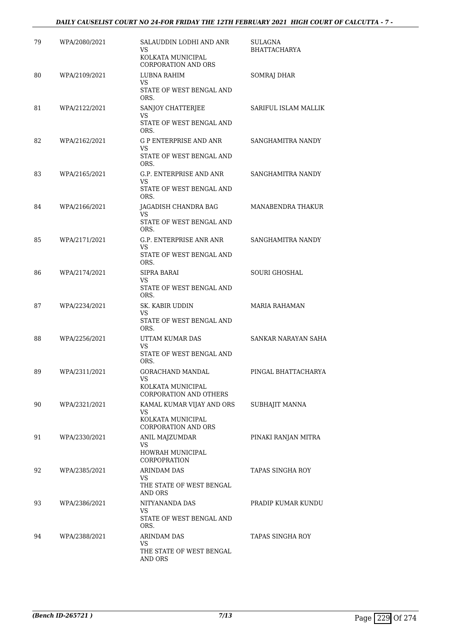| 79 | WPA/2080/2021 | SALAUDDIN LODHI AND ANR<br><b>VS</b><br>KOLKATA MUNICIPAL<br><b>CORPORATION AND ORS</b>   | SULAGNA<br><b>BHATTACHARYA</b> |
|----|---------------|-------------------------------------------------------------------------------------------|--------------------------------|
| 80 | WPA/2109/2021 | LUBNA RAHIM<br>VS<br>STATE OF WEST BENGAL AND<br>ORS.                                     | SOMRAJ DHAR                    |
| 81 | WPA/2122/2021 | SANJOY CHATTERJEE<br><b>VS</b><br>STATE OF WEST BENGAL AND<br>ORS.                        | SARIFUL ISLAM MALLIK           |
| 82 | WPA/2162/2021 | <b>G P ENTERPRISE AND ANR</b><br>VS<br>STATE OF WEST BENGAL AND<br>ORS.                   | SANGHAMITRA NANDY              |
| 83 | WPA/2165/2021 | G.P. ENTERPRISE AND ANR<br><b>VS</b><br>STATE OF WEST BENGAL AND<br>ORS.                  | SANGHAMITRA NANDY              |
| 84 | WPA/2166/2021 | JAGADISH CHANDRA BAG<br>VS<br>STATE OF WEST BENGAL AND<br>ORS.                            | MANABENDRA THAKUR              |
| 85 | WPA/2171/2021 | <b>G.P. ENTERPRISE ANR ANR</b><br>VS<br>STATE OF WEST BENGAL AND<br>ORS.                  | SANGHAMITRA NANDY              |
| 86 | WPA/2174/2021 | SIPRA BARAI<br>VS<br>STATE OF WEST BENGAL AND<br>ORS.                                     | <b>SOURI GHOSHAL</b>           |
| 87 | WPA/2234/2021 | SK. KABIR UDDIN<br>VS.<br>STATE OF WEST BENGAL AND<br>ORS.                                | MARIA RAHAMAN                  |
| 88 | WPA/2256/2021 | UTTAM KUMAR DAS<br>VS<br>STATE OF WEST BENGAL AND<br>ORS.                                 | SANKAR NARAYAN SAHA            |
| 89 | WPA/2311/2021 | GORACHAND MANDAL<br><b>VS</b><br>KOLKATA MUNICIPAL<br><b>CORPORATION AND OTHERS</b>       | PINGAL BHATTACHARYA            |
| 90 | WPA/2321/2021 | KAMAL KUMAR VIJAY AND ORS<br><b>VS</b><br>KOLKATA MUNICIPAL<br><b>CORPORATION AND ORS</b> | SUBHAJIT MANNA                 |
| 91 | WPA/2330/2021 | ANIL MAJZUMDAR<br>VS<br><b>HOWRAH MUNICIPAL</b><br><b>CORPOPRATION</b>                    | PINAKI RANJAN MITRA            |
| 92 | WPA/2385/2021 | <b>ARINDAM DAS</b><br>VS<br>THE STATE OF WEST BENGAL<br>AND ORS                           | TAPAS SINGHA ROY               |
| 93 | WPA/2386/2021 | NITYANANDA DAS<br>VS.<br>STATE OF WEST BENGAL AND<br>ORS.                                 | PRADIP KUMAR KUNDU             |
| 94 | WPA/2388/2021 | ARINDAM DAS<br><b>VS</b><br>THE STATE OF WEST BENGAL<br>AND ORS                           | TAPAS SINGHA ROY               |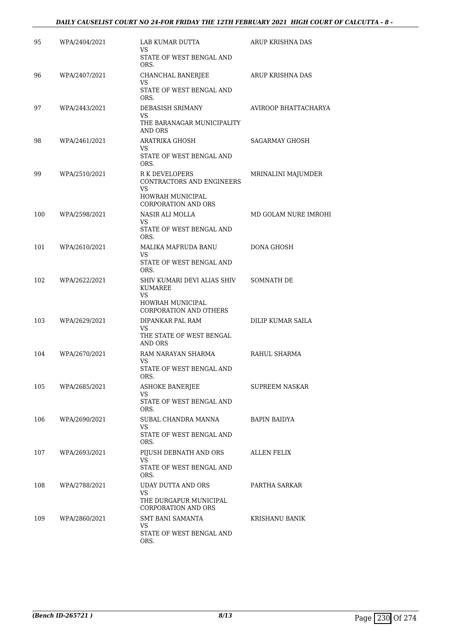| 95  | WPA/2404/2021 | LAB KUMAR DUTTA<br>VS                                    | ARUP KRISHNA DAS      |
|-----|---------------|----------------------------------------------------------|-----------------------|
|     |               | STATE OF WEST BENGAL AND<br>ORS.                         |                       |
| 96  | WPA/2407/2021 | CHANCHAL BANERJEE<br>VS                                  | ARUP KRISHNA DAS      |
|     |               | STATE OF WEST BENGAL AND<br>ORS.                         |                       |
| 97  | WPA/2443/2021 | DEBASISH SRIMANY<br>VS                                   | AVIROOP BHATTACHARYA  |
|     |               | THE BARANAGAR MUNICIPALITY<br>AND ORS                    |                       |
| 98  | WPA/2461/2021 | <b>ARATRIKA GHOSH</b><br>VS                              | <b>SAGARMAY GHOSH</b> |
|     |               | STATE OF WEST BENGAL AND<br>ORS.                         |                       |
| 99  | WPA/2510/2021 | R K DEVELOPERS<br>CONTRACTORS AND ENGINEERS<br><b>VS</b> | MRINALINI MAJUMDER    |
|     |               | HOWRAH MUNICIPAL<br><b>CORPORATION AND ORS</b>           |                       |
| 100 | WPA/2598/2021 | NASIR ALI MOLLA<br>VS                                    | MD GOLAM NURE IMROHI  |
|     |               | STATE OF WEST BENGAL AND<br>ORS.                         |                       |
| 101 | WPA/2610/2021 | MALIKA MAFRUDA BANU<br>VS.                               | DONA GHOSH            |
|     |               | STATE OF WEST BENGAL AND<br>ORS.                         |                       |
| 102 | WPA/2622/2021 | SHIV KUMARI DEVI ALIAS SHIV<br>KUMAREE<br>VS             | SOMNATH DE            |
|     |               | HOWRAH MUNICIPAL<br><b>CORPORATION AND OTHERS</b>        |                       |
| 103 | WPA/2629/2021 | DIPANKAR PAL RAM<br><b>VS</b>                            | DILIP KUMAR SAILA     |
|     |               | THE STATE OF WEST BENGAL<br>AND ORS                      |                       |
| 104 | WPA/2670/2021 | RAM NARAYAN SHARMA<br>VS                                 | RAHUL SHARMA          |
|     |               | STATE OF WEST BENGAL AND<br>ORS.                         |                       |
| 105 | WPA/2685/2021 | <b>ASHOKE BANERIEE</b><br>VS                             | SUPREEM NASKAR        |
|     |               | STATE OF WEST BENGAL AND<br>ORS.                         |                       |
| 106 | WPA/2690/2021 | SUBAL CHANDRA MANNA<br>VS.                               | BAPIN BAIDYA          |
|     |               | STATE OF WEST BENGAL AND<br>ORS.                         |                       |
| 107 | WPA/2693/2021 | PIJUSH DEBNATH AND ORS<br>VS                             | ALLEN FELIX           |
|     |               | STATE OF WEST BENGAL AND<br>ORS.                         |                       |
| 108 | WPA/2788/2021 | UDAY DUTTA AND ORS<br>VS                                 | PARTHA SARKAR         |
|     |               | THE DURGAPUR MUNICIPAL<br><b>CORPORATION AND ORS</b>     |                       |
| 109 | WPA/2860/2021 | SMT BANI SAMANTA<br>VS                                   | KRISHANU BANIK        |
|     |               | STATE OF WEST BENGAL AND<br>ORS.                         |                       |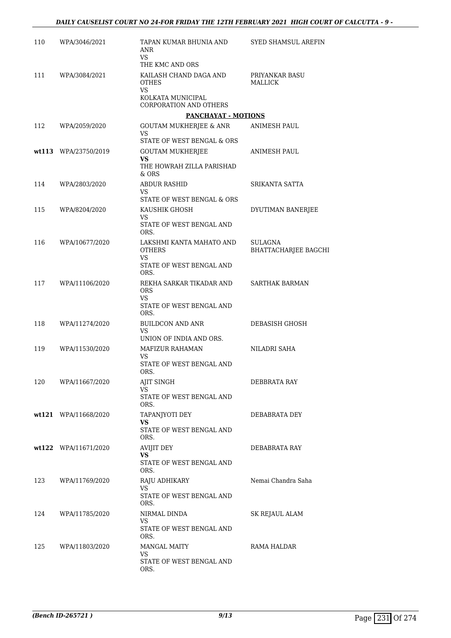| 110 | WPA/3046/2021        | TAPAN KUMAR BHUNIA AND<br>ANR<br><b>VS</b>                                      | SYED SHAMSUL AREFIN                    |
|-----|----------------------|---------------------------------------------------------------------------------|----------------------------------------|
| 111 | WPA/3084/2021        | THE KMC AND ORS<br>KAILASH CHAND DAGA AND<br><b>OTHES</b>                       | PRIYANKAR BASU<br>MALLICK              |
|     |                      | <b>VS</b><br>KOLKATA MUNICIPAL<br>CORPORATION AND OTHERS                        |                                        |
|     |                      | PANCHAYAT - MOTIONS                                                             |                                        |
| 112 | WPA/2059/2020        | GOUTAM MUKHERJEE & ANR<br>VS                                                    | ANIMESH PAUL                           |
|     |                      | STATE OF WEST BENGAL & ORS                                                      |                                        |
|     | wt113 WPA/23750/2019 | <b>GOUTAM MUKHERJEE</b><br><b>VS</b><br>THE HOWRAH ZILLA PARISHAD<br>$&$ ORS    | ANIMESH PAUL                           |
| 114 | WPA/2803/2020        | <b>ABDUR RASHID</b><br>VS                                                       | SRIKANTA SATTA                         |
|     |                      | STATE OF WEST BENGAL & ORS                                                      |                                        |
| 115 | WPA/8204/2020        | KAUSHIK GHOSH<br><b>VS</b><br>STATE OF WEST BENGAL AND                          | DYUTIMAN BANERJEE                      |
| 116 | WPA/10677/2020       | ORS.<br>LAKSHMI KANTA MAHATO AND<br><b>OTHERS</b>                               | SULAGNA<br><b>BHATTACHARJEE BAGCHI</b> |
|     |                      | <b>VS</b><br>STATE OF WEST BENGAL AND<br>ORS.                                   |                                        |
| 117 | WPA/11106/2020       | REKHA SARKAR TIKADAR AND<br><b>ORS</b><br><b>VS</b><br>STATE OF WEST BENGAL AND | <b>SARTHAK BARMAN</b>                  |
| 118 | WPA/11274/2020       | ORS.<br>BUILDCON AND ANR<br><b>VS</b>                                           | DEBASISH GHOSH                         |
|     |                      | UNION OF INDIA AND ORS.                                                         |                                        |
| 119 | WPA/11530/2020       | MAFIZUR RAHAMAN<br><b>VS</b><br>STATE OF WEST BENGAL AND                        | NILADRI SAHA                           |
| 120 | WPA/11667/2020       | ORS.<br>AJIT SINGH                                                              | DEBBRATA RAY                           |
|     |                      | VS<br>STATE OF WEST BENGAL AND<br>ORS.                                          |                                        |
|     | wt121 WPA/11668/2020 | TAPANJYOTI DEY<br>VS                                                            | DEBABRATA DEY                          |
|     |                      | STATE OF WEST BENGAL AND<br>ORS.                                                |                                        |
|     | wt122 WPA/11671/2020 | AVIJIT DEY<br>VS                                                                | DEBABRATA RAY                          |
|     |                      | STATE OF WEST BENGAL AND<br>ORS.                                                |                                        |
| 123 | WPA/11769/2020       | RAJU ADHIKARY<br>VS.<br>STATE OF WEST BENGAL AND<br>ORS.                        | Nemai Chandra Saha                     |
| 124 | WPA/11785/2020       | NIRMAL DINDA                                                                    | SK REJAUL ALAM                         |
|     |                      | VS<br>STATE OF WEST BENGAL AND<br>ORS.                                          |                                        |
| 125 | WPA/11803/2020       | <b>MANGAL MAITY</b><br>VS<br>STATE OF WEST BENGAL AND                           | RAMA HALDAR                            |
|     |                      | ORS.                                                                            |                                        |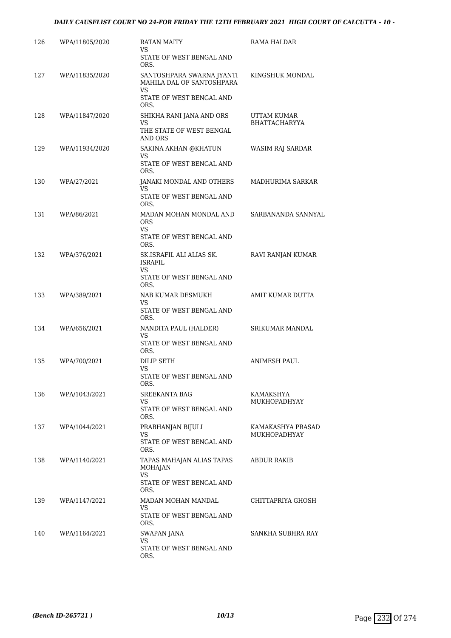# *DAILY CAUSELIST COURT NO 24-FOR FRIDAY THE 12TH FEBRUARY 2021 HIGH COURT OF CALCUTTA - 10 -*

| 126 | WPA/11805/2020 | RATAN MAITY<br>VS                                            | RAMA HALDAR                         |
|-----|----------------|--------------------------------------------------------------|-------------------------------------|
|     |                | STATE OF WEST BENGAL AND<br>ORS.                             |                                     |
| 127 | WPA/11835/2020 | SANTOSHPARA SWARNA JYANTI<br>MAHILA DAL OF SANTOSHPARA<br>VS | KINGSHUK MONDAL                     |
|     |                | STATE OF WEST BENGAL AND<br>ORS.                             |                                     |
| 128 | WPA/11847/2020 | SHIKHA RANI JANA AND ORS<br>VS                               | UTTAM KUMAR<br><b>BHATTACHARYYA</b> |
|     |                | THE STATE OF WEST BENGAL<br>AND ORS                          |                                     |
| 129 | WPA/11934/2020 | SAKINA AKHAN @KHATUN<br>VS                                   | WASIM RAJ SARDAR                    |
|     |                | STATE OF WEST BENGAL AND<br>ORS.                             |                                     |
| 130 | WPA/27/2021    | JANAKI MONDAL AND OTHERS<br>VS                               | MADHURIMA SARKAR                    |
|     |                | STATE OF WEST BENGAL AND<br>ORS.                             |                                     |
| 131 | WPA/86/2021    | MADAN MOHAN MONDAL AND<br>ORS<br>VS.                         | SARBANANDA SANNYAL                  |
|     |                | STATE OF WEST BENGAL AND<br>ORS.                             |                                     |
| 132 | WPA/376/2021   | SK.ISRAFIL ALI ALIAS SK.<br><b>ISRAFIL</b><br>VS             | RAVI RANJAN KUMAR                   |
|     |                | STATE OF WEST BENGAL AND<br>ORS.                             |                                     |
| 133 | WPA/389/2021   | NAB KUMAR DESMUKH<br>VS                                      | AMIT KUMAR DUTTA                    |
|     |                | STATE OF WEST BENGAL AND<br>ORS.                             |                                     |
| 134 | WPA/656/2021   | NANDITA PAUL (HALDER)<br>VS                                  | SRIKUMAR MANDAL                     |
|     |                | STATE OF WEST BENGAL AND<br>ORS.                             |                                     |
| 135 | WPA/700/2021   | <b>DILIP SETH</b><br>VS                                      | ANIMESH PAUL                        |
|     |                | STATE OF WEST BENGAL AND<br>ORS.                             |                                     |
| 136 | WPA/1043/2021  | SREEKANTA BAG<br>VS                                          | KAMAKSHYA<br>MUKHOPADHYAY           |
|     |                | STATE OF WEST BENGAL AND<br>ORS.                             |                                     |
| 137 | WPA/1044/2021  | PRABHANJAN BIJULI<br>VS                                      | KAMAKASHYA PRASAD<br>MUKHOPADHYAY   |
|     |                | STATE OF WEST BENGAL AND<br>ORS.                             |                                     |
| 138 | WPA/1140/2021  | TAPAS MAHAJAN ALIAS TAPAS<br><b>MOHAJAN</b>                  | ABDUR RAKIB                         |
|     |                | <b>VS</b><br>STATE OF WEST BENGAL AND<br>ORS.                |                                     |
| 139 | WPA/1147/2021  | MADAN MOHAN MANDAL<br>VS                                     | CHITTAPRIYA GHOSH                   |
|     |                | STATE OF WEST BENGAL AND<br>ORS.                             |                                     |
| 140 | WPA/1164/2021  | SWAPAN JANA<br>VS                                            | SANKHA SUBHRA RAY                   |
|     |                | STATE OF WEST BENGAL AND<br>ORS.                             |                                     |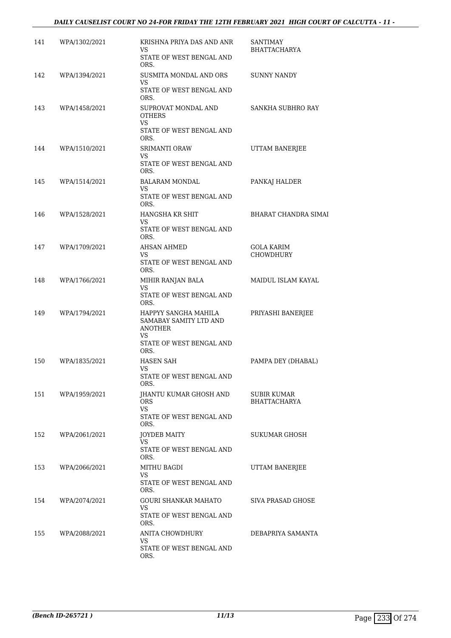# *DAILY CAUSELIST COURT NO 24-FOR FRIDAY THE 12TH FEBRUARY 2021 HIGH COURT OF CALCUTTA - 11 -*

| 141 | WPA/1302/2021 | KRISHNA PRIYA DAS AND ANR<br>VS                                        | <b>SANTIMAY</b><br><b>BHATTACHARYA</b> |
|-----|---------------|------------------------------------------------------------------------|----------------------------------------|
|     |               | STATE OF WEST BENGAL AND<br>ORS.                                       |                                        |
| 142 | WPA/1394/2021 | SUSMITA MONDAL AND ORS<br>VS<br>STATE OF WEST BENGAL AND               | <b>SUNNY NANDY</b>                     |
|     |               | ORS.                                                                   |                                        |
| 143 | WPA/1458/2021 | SUPROVAT MONDAL AND<br>OTHERS<br><b>VS</b>                             | SANKHA SUBHRO RAY                      |
|     |               | STATE OF WEST BENGAL AND<br>ORS.                                       |                                        |
| 144 | WPA/1510/2021 | SRIMANTI ORAW<br><b>VS</b>                                             | UTTAM BANERJEE                         |
|     |               | STATE OF WEST BENGAL AND<br>ORS.                                       |                                        |
| 145 | WPA/1514/2021 | <b>BALARAM MONDAL</b><br>VS                                            | PANKAJ HALDER                          |
|     |               | STATE OF WEST BENGAL AND<br>ORS.                                       |                                        |
| 146 | WPA/1528/2021 | HANGSHA KR SHIT<br>VS                                                  | <b>BHARAT CHANDRA SIMAI</b>            |
|     |               | STATE OF WEST BENGAL AND<br>ORS.                                       |                                        |
| 147 | WPA/1709/2021 | AHSAN AHMED<br><b>VS</b>                                               | <b>GOLA KARIM</b><br>CHOWDHURY         |
|     |               | STATE OF WEST BENGAL AND<br>ORS.                                       |                                        |
| 148 | WPA/1766/2021 | MIHIR RANJAN BALA<br><b>VS</b>                                         | MAIDUL ISLAM KAYAL                     |
|     |               | STATE OF WEST BENGAL AND<br>ORS.                                       |                                        |
| 149 | WPA/1794/2021 | HAPPYY SANGHA MAHILA<br>SAMABAY SAMITY LTD AND<br><b>ANOTHER</b><br>VS | PRIYASHI BANERJEE                      |
|     |               | STATE OF WEST BENGAL AND<br>ORS.                                       |                                        |
| 150 | WPA/1835/2021 | HASEN SAH<br>VS                                                        | PAMPA DEY (DHABAL)                     |
|     |               | STATE OF WEST BENGAL AND<br>ORS.                                       |                                        |
| 151 | WPA/1959/2021 | JHANTU KUMAR GHOSH AND<br>ORS.                                         | SUBIR KUMAR<br>BHATTACHARYA            |
|     |               | <b>VS</b><br>STATE OF WEST BENGAL AND<br>ORS.                          |                                        |
| 152 | WPA/2061/2021 | JOYDEB MAITY<br>VS.                                                    | SUKUMAR GHOSH                          |
|     |               | STATE OF WEST BENGAL AND<br>ORS.                                       |                                        |
| 153 | WPA/2066/2021 | MITHU BAGDI<br>VS.                                                     | UTTAM BANERJEE                         |
|     |               | STATE OF WEST BENGAL AND<br>ORS.                                       |                                        |
| 154 | WPA/2074/2021 | GOURI SHANKAR MAHATO<br>VS.                                            | SIVA PRASAD GHOSE                      |
|     |               | STATE OF WEST BENGAL AND<br>ORS.                                       |                                        |
| 155 | WPA/2088/2021 | ANITA CHOWDHURY<br>VS.                                                 | DEBAPRIYA SAMANTA                      |
|     |               | STATE OF WEST BENGAL AND<br>ORS.                                       |                                        |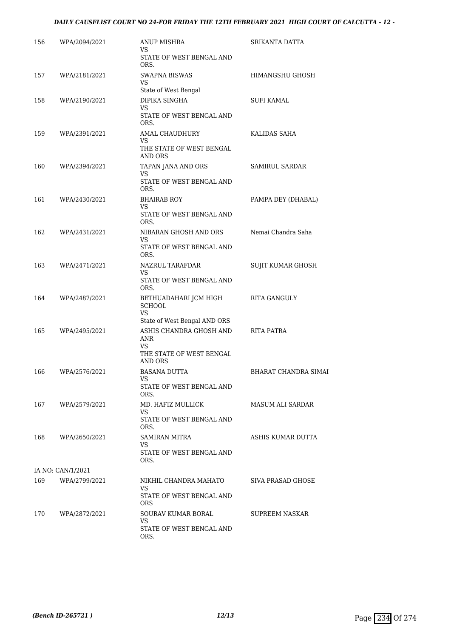| 156 | WPA/2094/2021     | ANUP MISHRA<br>VS<br>STATE OF WEST BENGAL AND                                       | SRIKANTA DATTA        |
|-----|-------------------|-------------------------------------------------------------------------------------|-----------------------|
| 157 | WPA/2181/2021     | ORS.<br><b>SWAPNA BISWAS</b><br><b>VS</b>                                           | HIMANGSHU GHOSH       |
|     |                   | State of West Bengal                                                                |                       |
| 158 | WPA/2190/2021     | DIPIKA SINGHA<br>VS<br>STATE OF WEST BENGAL AND<br>ORS.                             | SUFI KAMAL            |
| 159 | WPA/2391/2021     | AMAL CHAUDHURY<br>VS.<br>THE STATE OF WEST BENGAL                                   | KALIDAS SAHA          |
| 160 | WPA/2394/2021     | AND ORS<br>TAPAN JANA AND ORS<br><b>VS</b><br>STATE OF WEST BENGAL AND<br>ORS.      | <b>SAMIRUL SARDAR</b> |
| 161 | WPA/2430/2021     | <b>BHAIRAB ROY</b><br>VS<br>STATE OF WEST BENGAL AND<br>ORS.                        | PAMPA DEY (DHABAL)    |
| 162 | WPA/2431/2021     | NIBARAN GHOSH AND ORS<br>VS<br>STATE OF WEST BENGAL AND<br>ORS.                     | Nemai Chandra Saha    |
| 163 | WPA/2471/2021     | NAZRUL TARAFDAR<br><b>VS</b><br>STATE OF WEST BENGAL AND<br>ORS.                    | SUJIT KUMAR GHOSH     |
| 164 | WPA/2487/2021     | BETHUADAHARI JCM HIGH<br><b>SCHOOL</b><br><b>VS</b><br>State of West Bengal AND ORS | <b>RITA GANGULY</b>   |
| 165 | WPA/2495/2021     | ASHIS CHANDRA GHOSH AND<br>ANR<br><b>VS</b><br>THE STATE OF WEST BENGAL<br>AND ORS  | RITA PATRA            |
| 166 | WPA/2576/2021     | <b>BASANA DUTTA</b><br>VS<br>STATE OF WEST BENGAL AND<br>ORS.                       | BHARAT CHANDRA SIMAI  |
| 167 | WPA/2579/2021     | MD. HAFIZ MULLICK<br>VS.<br>STATE OF WEST BENGAL AND<br>ORS.                        | MASUM ALI SARDAR      |
| 168 | WPA/2650/2021     | <b>SAMIRAN MITRA</b><br>VS.<br>STATE OF WEST BENGAL AND<br>ORS.                     | ASHIS KUMAR DUTTA     |
|     | IA NO: CAN/1/2021 |                                                                                     |                       |
| 169 | WPA/2799/2021     | NIKHIL CHANDRA MAHATO<br>VS.<br>STATE OF WEST BENGAL AND                            | SIVA PRASAD GHOSE     |
| 170 | WPA/2872/2021     | <b>ORS</b><br>SOURAV KUMAR BORAL<br>VS<br>STATE OF WEST BENGAL AND<br>ORS.          | SUPREEM NASKAR        |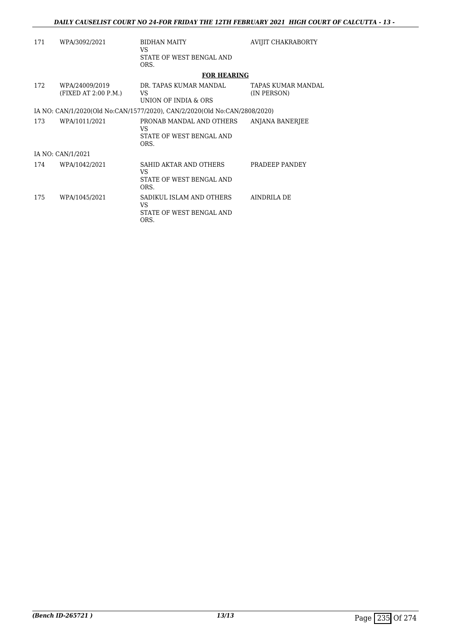| 171 | WPA/3092/2021                          | <b>BIDHAN MAITY</b><br>VS<br>STATE OF WEST BENGAL AND<br>ORS.             | AVIJIT CHAKRABORTY                |
|-----|----------------------------------------|---------------------------------------------------------------------------|-----------------------------------|
|     |                                        | <b>FOR HEARING</b>                                                        |                                   |
| 172 | WPA/24009/2019<br>(FIXED AT 2:00 P.M.) | DR. TAPAS KUMAR MANDAL<br>VS<br>UNION OF INDIA & ORS                      | TAPAS KUMAR MANDAL<br>(IN PERSON) |
|     |                                        | IA NO: CAN/1/2020(Old No:CAN/1577/2020), CAN/2/2020(Old No:CAN/2808/2020) |                                   |
| 173 | WPA/1011/2021                          | PRONAB MANDAL AND OTHERS<br>VS.<br>STATE OF WEST BENGAL AND<br>ORS.       | ANJANA BANERJEE                   |
|     | IA NO: CAN/1/2021                      |                                                                           |                                   |
| 174 | WPA/1042/2021                          | SAHID AKTAR AND OTHERS<br>VS<br>STATE OF WEST BENGAL AND<br>ORS.          | PRADEEP PANDEY                    |
| 175 | WPA/1045/2021                          | SADIKUL ISLAM AND OTHERS<br>VS<br>STATE OF WEST BENGAL AND<br>ORS.        | AINDRILA DE                       |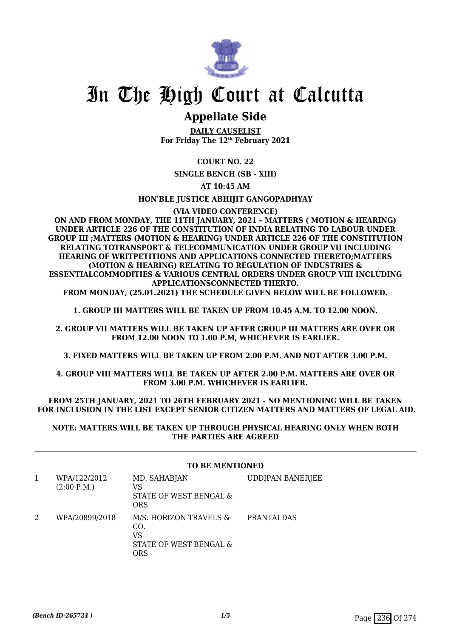

# **Appellate Side**

**DAILY CAUSELIST For Friday The 12th February 2021**

# **COURT NO. 22**

**SINGLE BENCH (SB - XIII)**

# **AT 10:45 AM**

## **HON'BLE JUSTICE ABHIJIT GANGOPADHYAY**

# **(VIA VIDEO CONFERENCE)**

**ON AND FROM MONDAY, THE 11TH JANUARY, 2021 – MATTERS ( MOTION & HEARING) UNDER ARTICLE 226 OF THE CONSTITUTION OF INDIA RELATING TO LABOUR UNDER GROUP III ;MATTERS (MOTION & HEARING) UNDER ARTICLE 226 OF THE CONSTITUTION RELATING TOTRANSPORT & TELECOMMUNICATION UNDER GROUP VII INCLUDING HEARING OF WRITPETITIONS AND APPLICATIONS CONNECTED THERETO;MATTERS (MOTION & HEARING) RELATING TO REGULATION OF INDUSTRIES & ESSENTIALCOMMODITIES & VARIOUS CENTRAL ORDERS UNDER GROUP VIII INCLUDING APPLICATIONSCONNECTED THERTO. FROM MONDAY, (25.01.2021) THE SCHEDULE GIVEN BELOW WILL BE FOLLOWED.**

**1. GROUP III MATTERS WILL BE TAKEN UP FROM 10.45 A.M. TO 12.00 NOON.**

**2. GROUP VII MATTERS WILL BE TAKEN UP AFTER GROUP III MATTERS ARE OVER OR FROM 12.00 NOON TO 1.00 P.M, WHICHEVER IS EARLIER.**

**3. FIXED MATTERS WILL BE TAKEN UP FROM 2.00 P.M. AND NOT AFTER 3.00 P.M.**

**4. GROUP VIII MATTERS WILL BE TAKEN UP AFTER 2.00 P.M. MATTERS ARE OVER OR FROM 3.00 P.M. WHICHEVER IS EARLIER.**

**FROM 25TH JANUARY, 2021 TO 26TH FEBRUARY 2021 - NO MENTIONING WILL BE TAKEN FOR INCLUSION IN THE LIST EXCEPT SENIOR CITIZEN MATTERS AND MATTERS OF LEGAL AID.**

## **NOTE: MATTERS WILL BE TAKEN UP THROUGH PHYSICAL HEARING ONLY WHEN BOTH THE PARTIES ARE AGREED**

## **TO BE MENTIONED**

| WPA/122/2012<br>(2:00 P.M.) | MD. SAHABJAN<br>VS<br>STATE OF WEST BENGAL &<br><b>ORS</b>           | <b>UDDIPAN BANERJEE</b> |
|-----------------------------|----------------------------------------------------------------------|-------------------------|
| WPA/20899/2018              | M/S. HORIZON TRAVELS &<br>CO.<br>VS<br>STATE OF WEST BENGAL &<br>ORS | PRANTAI DAS             |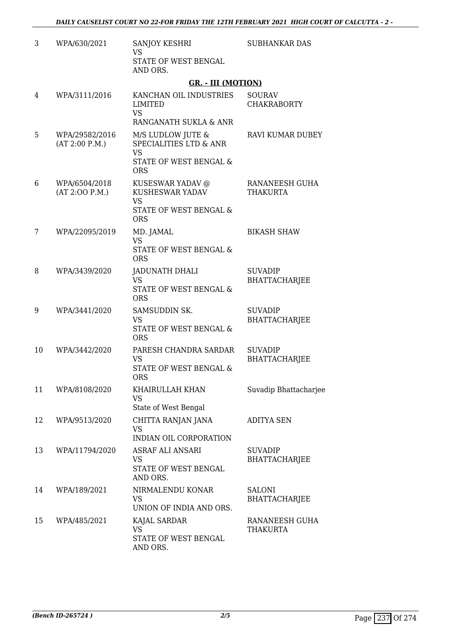| 3  | WPA/630/2021                     | SANJOY KESHRI<br><b>VS</b><br>STATE OF WEST BENGAL<br>AND ORS.                                         | <b>SUBHANKAR DAS</b>                   |
|----|----------------------------------|--------------------------------------------------------------------------------------------------------|----------------------------------------|
|    |                                  | <b>GR. - III (MOTION)</b>                                                                              |                                        |
| 4  | WPA/3111/2016                    | KANCHAN OIL INDUSTRIES<br><b>LIMITED</b><br><b>VS</b><br>RANGANATH SUKLA & ANR                         | <b>SOURAV</b><br><b>CHAKRABORTY</b>    |
| 5  | WPA/29582/2016<br>(AT 2:00 P.M.) | M/S LUDLOW JUTE &<br><b>SPECIALITIES LTD &amp; ANR</b><br><b>VS</b><br>STATE OF WEST BENGAL &          | <b>RAVI KUMAR DUBEY</b>                |
| 6  | WPA/6504/2018<br>(AT 2:00 P.M.)  | <b>ORS</b><br>KUSESWAR YADAV @<br>KUSHESWAR YADAV<br><b>VS</b><br>STATE OF WEST BENGAL &<br><b>ORS</b> | RANANEESH GUHA<br><b>THAKURTA</b>      |
| 7  | WPA/22095/2019                   | MD. JAMAL<br><b>VS</b><br><b>STATE OF WEST BENGAL &amp;</b><br><b>ORS</b>                              | <b>BIKASH SHAW</b>                     |
| 8  | WPA/3439/2020                    | JADUNATH DHALI<br><b>VS</b><br>STATE OF WEST BENGAL &<br><b>ORS</b>                                    | <b>SUVADIP</b><br><b>BHATTACHARJEE</b> |
| 9  | WPA/3441/2020                    | SAMSUDDIN SK.<br><b>VS</b><br>STATE OF WEST BENGAL &<br><b>ORS</b>                                     | <b>SUVADIP</b><br><b>BHATTACHARJEE</b> |
| 10 | WPA/3442/2020                    | PARESH CHANDRA SARDAR<br><b>VS</b><br>STATE OF WEST BENGAL &<br>ORS                                    | <b>SUVADIP</b><br><b>BHATTACHARJEE</b> |
| 11 | WPA/8108/2020                    | KHAIRULLAH KHAN<br><b>VS</b><br>State of West Bengal                                                   | Suvadip Bhattacharjee                  |
| 12 | WPA/9513/2020                    | CHITTA RANJAN JANA<br><b>VS</b><br>INDIAN OIL CORPORATION                                              | <b>ADITYA SEN</b>                      |
| 13 | WPA/11794/2020                   | ASRAF ALI ANSARI<br><b>VS</b><br>STATE OF WEST BENGAL<br>AND ORS.                                      | <b>SUVADIP</b><br><b>BHATTACHARJEE</b> |
| 14 | WPA/189/2021                     | NIRMALENDU KONAR<br><b>VS</b><br>UNION OF INDIA AND ORS.                                               | <b>SALONI</b><br><b>BHATTACHARJEE</b>  |
| 15 | WPA/485/2021                     | KAJAL SARDAR<br><b>VS</b><br>STATE OF WEST BENGAL<br>AND ORS.                                          | RANANEESH GUHA<br><b>THAKURTA</b>      |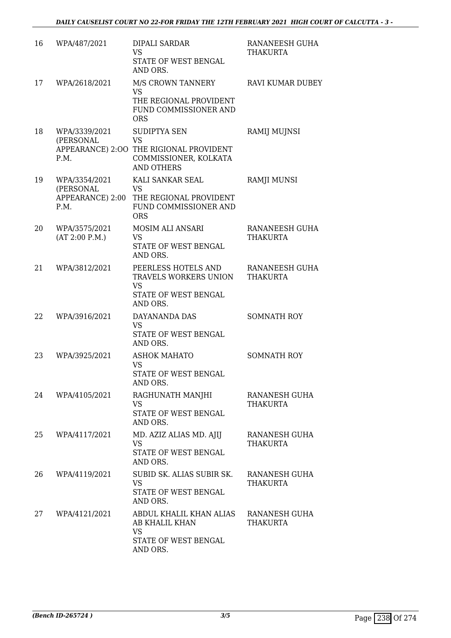| 16 | WPA/487/2021                       | <b>DIPALI SARDAR</b><br><b>VS</b><br>STATE OF WEST BENGAL<br>AND ORS.                                              | RANANEESH GUHA<br><b>THAKURTA</b> |
|----|------------------------------------|--------------------------------------------------------------------------------------------------------------------|-----------------------------------|
| 17 | WPA/2618/2021                      | M/S CROWN TANNERY<br><b>VS</b><br>THE REGIONAL PROVIDENT<br>FUND COMMISSIONER AND<br><b>ORS</b>                    | <b>RAVI KUMAR DUBEY</b>           |
| 18 | WPA/3339/2021<br>(PERSONAL<br>P.M. | SUDIPTYA SEN<br><b>VS</b><br>APPEARANCE) 2:00 THE RIGIONAL PROVIDENT<br>COMMISSIONER, KOLKATA<br><b>AND OTHERS</b> | RAMIJ MUJNSI                      |
| 19 | WPA/3354/2021<br>(PERSONAL<br>P.M. | KALI SANKAR SEAL<br>VS<br>APPEARANCE) 2:00 THE REGIONAL PROVIDENT<br>FUND COMMISSIONER AND<br><b>ORS</b>           | <b>RAMJI MUNSI</b>                |
| 20 | WPA/3575/2021<br>(AT 2:00 P.M.)    | MOSIM ALI ANSARI<br><b>VS</b><br>STATE OF WEST BENGAL<br>AND ORS.                                                  | RANANEESH GUHA<br><b>THAKURTA</b> |
| 21 | WPA/3812/2021                      | PEERLESS HOTELS AND<br>TRAVELS WORKERS UNION<br><b>VS</b><br>STATE OF WEST BENGAL<br>AND ORS.                      | RANANEESH GUHA<br><b>THAKURTA</b> |
| 22 | WPA/3916/2021                      | DAYANANDA DAS<br><b>VS</b><br>STATE OF WEST BENGAL<br>AND ORS.                                                     | <b>SOMNATH ROY</b>                |
| 23 | WPA/3925/2021                      | <b>ASHOK MAHATO</b><br><b>VS</b><br>STATE OF WEST BENGAL<br>AND ORS.                                               | <b>SOMNATH ROY</b>                |
| 24 | WPA/4105/2021                      | RAGHUNATH MANJHI<br>VS<br>STATE OF WEST BENGAL<br>AND ORS.                                                         | RANANESH GUHA<br><b>THAKURTA</b>  |
| 25 | WPA/4117/2021                      | MD. AZIZ ALIAS MD. AJIJ<br><b>VS</b><br>STATE OF WEST BENGAL<br>AND ORS.                                           | RANANESH GUHA<br>THAKURTA         |
| 26 | WPA/4119/2021                      | SUBID SK. ALIAS SUBIR SK.<br><b>VS</b><br>STATE OF WEST BENGAL<br>AND ORS.                                         | RANANESH GUHA<br><b>THAKURTA</b>  |
| 27 | WPA/4121/2021                      | ABDUL KHALIL KHAN ALIAS<br>AB KHALIL KHAN<br>VS<br>STATE OF WEST BENGAL<br>AND ORS.                                | RANANESH GUHA<br><b>THAKURTA</b>  |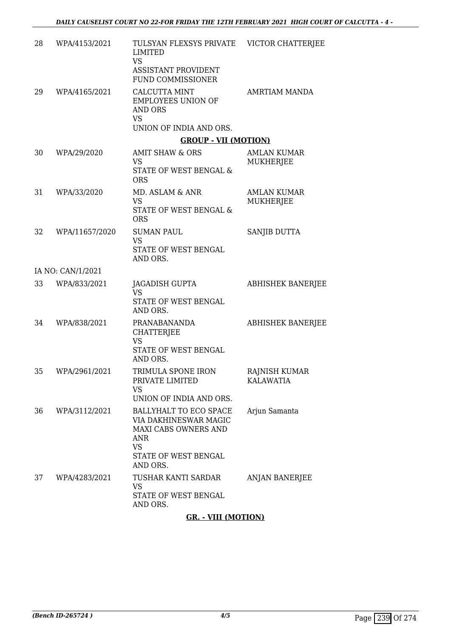| 28 | WPA/4153/2021     | TULSYAN FLEXSYS PRIVATE VICTOR CHATTERJEE<br>LIMITED<br><b>VS</b><br>ASSISTANT PROVIDENT<br><b>FUND COMMISSIONER</b>            |                                          |
|----|-------------------|---------------------------------------------------------------------------------------------------------------------------------|------------------------------------------|
| 29 | WPA/4165/2021     | <b>CALCUTTA MINT</b><br><b>EMPLOYEES UNION OF</b><br>AND ORS<br><b>VS</b><br>UNION OF INDIA AND ORS.                            | <b>AMRTIAM MANDA</b>                     |
|    |                   | <b>GROUP - VII (MOTION)</b>                                                                                                     |                                          |
| 30 | WPA/29/2020       | AMIT SHAW & ORS<br><b>VS</b><br>STATE OF WEST BENGAL &<br><b>ORS</b>                                                            | <b>AMLAN KUMAR</b><br><b>MUKHERJEE</b>   |
| 31 | WPA/33/2020       | MD. ASLAM & ANR<br><b>VS</b><br><b>STATE OF WEST BENGAL &amp;</b><br><b>ORS</b>                                                 | <b>AMLAN KUMAR</b><br>MUKHERJEE          |
| 32 | WPA/11657/2020    | <b>SUMAN PAUL</b><br>VS<br>STATE OF WEST BENGAL<br>AND ORS.                                                                     | SANJIB DUTTA                             |
|    | IA NO: CAN/1/2021 |                                                                                                                                 |                                          |
| 33 | WPA/833/2021      | JAGADISH GUPTA<br><b>VS</b><br>STATE OF WEST BENGAL<br>AND ORS.                                                                 | <b>ABHISHEK BANERJEE</b>                 |
| 34 | WPA/838/2021      | PRANABANANDA<br><b>CHATTERJEE</b><br><b>VS</b><br>STATE OF WEST BENGAL<br>AND ORS.                                              | <b>ABHISHEK BANERJEE</b>                 |
| 35 | WPA/2961/2021     | TRIMULA SPONE IRON<br>PRIVATE LIMITED<br><b>VS</b><br>UNION OF INDIA AND ORS.                                                   | <b>RAJNISH KUMAR</b><br><b>KALAWATIA</b> |
| 36 | WPA/3112/2021     | BALLYHALT TO ECO SPACE<br>VIA DAKHINESWAR MAGIC<br>MAXI CABS OWNERS AND<br>ANR<br><b>VS</b><br>STATE OF WEST BENGAL<br>AND ORS. | Arjun Samanta                            |
| 37 | WPA/4283/2021     | TUSHAR KANTI SARDAR<br><b>VS</b><br>STATE OF WEST BENGAL<br>AND ORS.                                                            | ANJAN BANERJEE                           |

**GR. - VIII (MOTION)**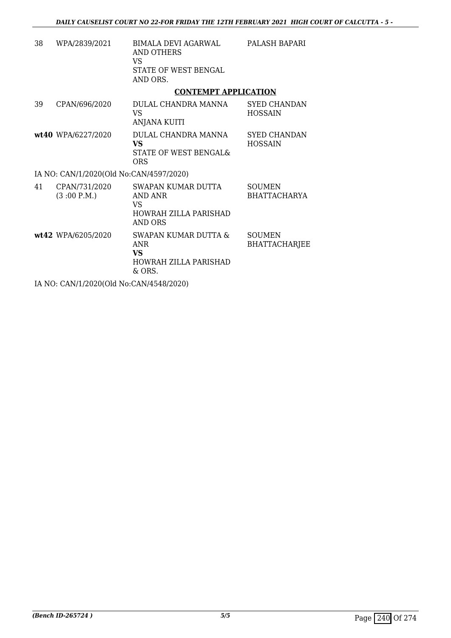| 38 | WPA/2839/2021                                             | <b>BIMALA DEVI AGARWAL</b><br>AND OTHERS<br>VS.<br>STATE OF WEST BENGAL<br>AND ORS.       | PALASH BAPARI                         |
|----|-----------------------------------------------------------|-------------------------------------------------------------------------------------------|---------------------------------------|
|    |                                                           | <b>CONTEMPT APPLICATION</b>                                                               |                                       |
| 39 | CPAN/696/2020                                             | DULAL CHANDRA MANNA<br>VS.<br>ANJANA KUITI                                                | <b>SYED CHANDAN</b><br><b>HOSSAIN</b> |
|    | wt40 WPA/6227/2020                                        | DULAL CHANDRA MANNA<br><b>VS</b><br>STATE OF WEST BENGAL&<br><b>ORS</b>                   | <b>SYED CHANDAN</b><br><b>HOSSAIN</b> |
|    | IA NO: CAN/1/2020(Old No:CAN/4597/2020)                   |                                                                                           |                                       |
| 41 | CPAN/731/2020<br>(3:00 P.M.)                              | SWAPAN KUMAR DUTTA<br>AND ANR<br>VS.<br><b>HOWRAH ZILLA PARISHAD</b><br><b>AND ORS</b>    | <b>SOUMEN</b><br><b>BHATTACHARYA</b>  |
|    | wt42 WPA/6205/2020                                        | SWAPAN KUMAR DUTTA &<br><b>ANR</b><br><b>VS</b><br><b>HOWRAH ZILLA PARISHAD</b><br>& ORS. | <b>SOUMEN</b><br><b>BHATTACHARJEE</b> |
|    | $I_A$ MO $A$ MUS (2020(01-1 M <sub>i</sub> $A$ MUS (2020) |                                                                                           |                                       |

IA NO: CAN/1/2020(Old No:CAN/4548/2020)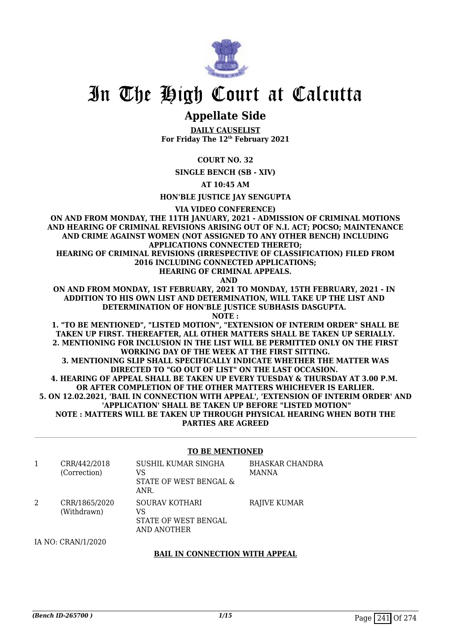

# **Appellate Side**

**DAILY CAUSELIST For Friday The 12th February 2021**

**COURT NO. 32**

**SINGLE BENCH (SB - XIV)**

**AT 10:45 AM**

**HON'BLE JUSTICE JAY SENGUPTA**

**VIA VIDEO CONFERENCE)**

**ON AND FROM MONDAY, THE 11TH JANUARY, 2021 - ADMISSION OF CRIMINAL MOTIONS AND HEARING OF CRIMINAL REVISIONS ARISING OUT OF N.I. ACT; POCSO; MAINTENANCE AND CRIME AGAINST WOMEN (NOT ASSIGNED TO ANY OTHER BENCH) INCLUDING APPLICATIONS CONNECTED THERETO;**

**HEARING OF CRIMINAL REVISIONS (IRRESPECTIVE OF CLASSIFICATION) FILED FROM 2016 INCLUDING CONNECTED APPLICATIONS;**

**HEARING OF CRIMINAL APPEALS.**

 **AND**

**ON AND FROM MONDAY, 1ST FEBRUARY, 2021 TO MONDAY, 15TH FEBRUARY, 2021 - IN ADDITION TO HIS OWN LIST AND DETERMINATION, WILL TAKE UP THE LIST AND DETERMINATION OF HON'BLE JUSTICE SUBHASIS DASGUPTA.** 

**NOTE :**

**1. "TO BE MENTIONED", "LISTED MOTION", "EXTENSION OF INTERIM ORDER" SHALL BE TAKEN UP FIRST. THEREAFTER, ALL OTHER MATTERS SHALL BE TAKEN UP SERIALLY. 2. MENTIONING FOR INCLUSION IN THE LIST WILL BE PERMITTED ONLY ON THE FIRST WORKING DAY OF THE WEEK AT THE FIRST SITTING. 3. MENTIONING SLIP SHALL SPECIFICALLY INDICATE WHETHER THE MATTER WAS DIRECTED TO "GO OUT OF LIST" ON THE LAST OCCASION. 4. HEARING OF APPEAL SHALL BE TAKEN UP EVERY TUESDAY & THURSDAY AT 3.00 P.M. OR AFTER COMPLETION OF THE OTHER MATTERS WHICHEVER IS EARLIER. 5. ON 12.02.2021, 'BAIL IN CONNECTION WITH APPEAL', 'EXTENSION OF INTERIM ORDER' AND 'APPLICATION' SHALL BE TAKEN UP BEFORE "LISTED MOTION" NOTE : MATTERS WILL BE TAKEN UP THROUGH PHYSICAL HEARING WHEN BOTH THE PARTIES ARE AGREED**

## **TO BE MENTIONED**

| CRR/442/2018<br>(Correction) | SUSHIL KUMAR SINGHA<br>VS<br>STATE OF WEST BENGAL &<br>ANR. | <b>BHASKAR CHANDRA</b><br><b>MANNA</b> |
|------------------------------|-------------------------------------------------------------|----------------------------------------|
| CRR/1865/2020<br>(Withdrawn) | SOURAV KOTHARI<br>VS<br>STATE OF WEST BENGAL<br>AND ANOTHER | RAJIVE KUMAR                           |

IA NO: CRAN/1/2020

## **BAIL IN CONNECTION WITH APPEAL**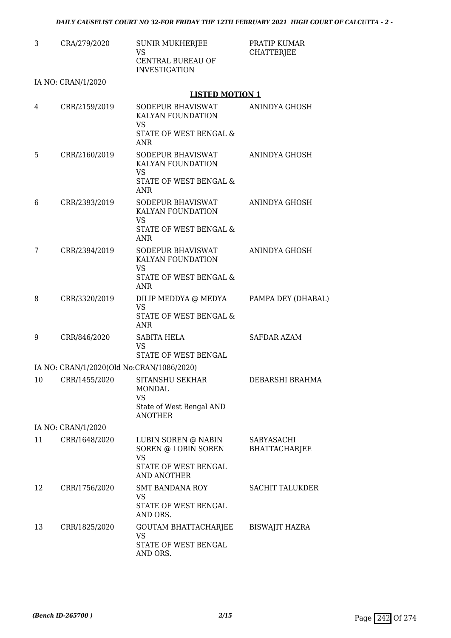| CRA/279/2020       | <b>SUNIR MUKHERJEE</b><br><b>VS</b><br><b>CENTRAL BUREAU OF</b><br><b>INVESTIGATION</b> | PRATIP KUMAR<br><b>CHATTERJEE</b>                                                                                                                                                                                                            |
|--------------------|-----------------------------------------------------------------------------------------|----------------------------------------------------------------------------------------------------------------------------------------------------------------------------------------------------------------------------------------------|
| IA NO: CRAN/1/2020 |                                                                                         |                                                                                                                                                                                                                                              |
|                    |                                                                                         |                                                                                                                                                                                                                                              |
| CRR/2159/2019      | SODEPUR BHAVISWAT<br>KALYAN FOUNDATION<br><b>VS</b>                                     | <b>ANINDYA GHOSH</b>                                                                                                                                                                                                                         |
|                    | <b>ANR</b>                                                                              |                                                                                                                                                                                                                                              |
| CRR/2160/2019      | SODEPUR BHAVISWAT<br>KALYAN FOUNDATION<br><b>VS</b><br>STATE OF WEST BENGAL &<br>ANR    | ANINDYA GHOSH                                                                                                                                                                                                                                |
| CRR/2393/2019      | SODEPUR BHAVISWAT<br>KALYAN FOUNDATION<br><b>VS</b>                                     | ANINDYA GHOSH                                                                                                                                                                                                                                |
|                    | <b>ANR</b>                                                                              |                                                                                                                                                                                                                                              |
| CRR/2394/2019      | SODEPUR BHAVISWAT<br>KALYAN FOUNDATION                                                  | ANINDYA GHOSH                                                                                                                                                                                                                                |
|                    | STATE OF WEST BENGAL &<br><b>ANR</b>                                                    |                                                                                                                                                                                                                                              |
| CRR/3320/2019      | DILIP MEDDYA @ MEDYA<br><b>VS</b>                                                       | PAMPA DEY (DHABAL)                                                                                                                                                                                                                           |
|                    | ANR                                                                                     |                                                                                                                                                                                                                                              |
| CRR/846/2020       | SABITA HELA<br><b>VS</b><br>STATE OF WEST BENGAL                                        | <b>SAFDAR AZAM</b>                                                                                                                                                                                                                           |
|                    |                                                                                         |                                                                                                                                                                                                                                              |
| CRR/1455/2020      | SITANSHU SEKHAR<br>MONDAL<br><b>VS</b><br>State of West Bengal AND                      | DEBARSHI BRAHMA                                                                                                                                                                                                                              |
|                    |                                                                                         |                                                                                                                                                                                                                                              |
| CRR/1648/2020      | LUBIN SOREN @ NABIN<br>SOREN @ LOBIN SOREN<br><b>VS</b>                                 | SABYASACHI<br><b>BHATTACHARJEE</b>                                                                                                                                                                                                           |
|                    | AND ANOTHER                                                                             |                                                                                                                                                                                                                                              |
| CRR/1756/2020      | <b>SMT BANDANA ROY</b><br>VS<br>STATE OF WEST BENGAL                                    | <b>SACHIT TALUKDER</b>                                                                                                                                                                                                                       |
|                    | AND ORS.                                                                                |                                                                                                                                                                                                                                              |
|                    | <b>VS</b><br>STATE OF WEST BENGAL                                                       | <b>BISWAJIT HAZRA</b>                                                                                                                                                                                                                        |
|                    | IA NO: CRAN/1/2020<br>CRR/1825/2020                                                     | <b>LISTED MOTION 1</b><br>STATE OF WEST BENGAL &<br>STATE OF WEST BENGAL &<br><b>VS</b><br>STATE OF WEST BENGAL &<br>IA NO: CRAN/1/2020(Old No:CRAN/1086/2020)<br><b>ANOTHER</b><br>STATE OF WEST BENGAL<br>GOUTAM BHATTACHARJEE<br>AND ORS. |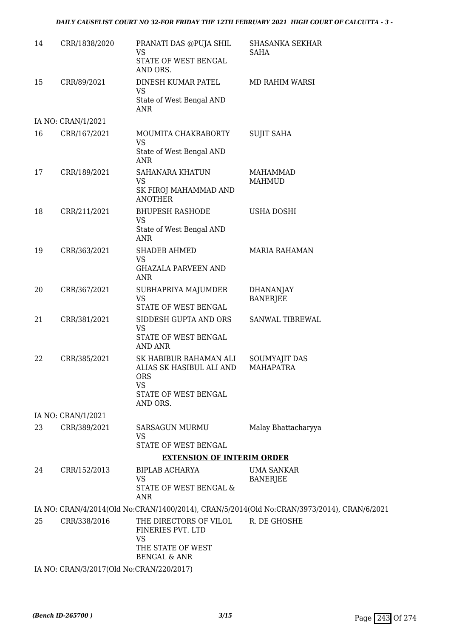## *DAILY CAUSELIST COURT NO 32-FOR FRIDAY THE 12TH FEBRUARY 2021 HIGH COURT OF CALCUTTA - 3 -*

| 14 | CRR/1838/2020                            | PRANATI DAS @PUJA SHIL<br><b>VS</b>                              | <b>SHASANKA SEKHAR</b><br><b>SAHA</b>                                                      |
|----|------------------------------------------|------------------------------------------------------------------|--------------------------------------------------------------------------------------------|
|    |                                          | STATE OF WEST BENGAL<br>AND ORS.                                 |                                                                                            |
| 15 | CRR/89/2021                              | DINESH KUMAR PATEL<br><b>VS</b>                                  | <b>MD RAHIM WARSI</b>                                                                      |
|    |                                          | State of West Bengal AND<br>ANR                                  |                                                                                            |
|    | IA NO: CRAN/1/2021                       |                                                                  |                                                                                            |
| 16 | CRR/167/2021                             | MOUMITA CHAKRABORTY<br><b>VS</b>                                 | <b>SUJIT SAHA</b>                                                                          |
|    |                                          | State of West Bengal AND<br><b>ANR</b>                           |                                                                                            |
| 17 | CRR/189/2021                             | <b>SAHANARA KHATUN</b><br><b>VS</b>                              | <b>MAHAMMAD</b><br><b>MAHMUD</b>                                                           |
|    |                                          | SK FIROJ MAHAMMAD AND<br><b>ANOTHER</b>                          |                                                                                            |
| 18 | CRR/211/2021                             | <b>BHUPESH RASHODE</b><br><b>VS</b>                              | <b>USHA DOSHI</b>                                                                          |
|    |                                          | State of West Bengal AND<br><b>ANR</b>                           |                                                                                            |
| 19 | CRR/363/2021                             | <b>SHADEB AHMED</b><br><b>VS</b>                                 | <b>MARIA RAHAMAN</b>                                                                       |
|    |                                          | <b>GHAZALA PARVEEN AND</b><br>ANR                                |                                                                                            |
| 20 | CRR/367/2021                             | SUBHAPRIYA MAJUMDER<br><b>VS</b><br>STATE OF WEST BENGAL         | <b>DHANANJAY</b><br><b>BANERJEE</b>                                                        |
| 21 | CRR/381/2021                             | SIDDESH GUPTA AND ORS                                            | SANWAL TIBREWAL                                                                            |
|    |                                          | <b>VS</b><br>STATE OF WEST BENGAL<br><b>AND ANR</b>              |                                                                                            |
| 22 | CRR/385/2021                             | SK HABIBUR RAHAMAN ALI<br>ALIAS SK HASIBUL ALI AND<br><b>ORS</b> | SOUMYAJIT DAS<br><b>MAHAPATRA</b>                                                          |
|    |                                          | <b>VS</b><br>STATE OF WEST BENGAL<br>AND ORS.                    |                                                                                            |
|    | IA NO: CRAN/1/2021                       |                                                                  |                                                                                            |
| 23 | CRR/389/2021                             | SARSAGUN MURMU<br><b>VS</b>                                      | Malay Bhattacharyya                                                                        |
|    |                                          | STATE OF WEST BENGAL                                             |                                                                                            |
|    |                                          | <b>EXTENSION OF INTERIM ORDER</b>                                |                                                                                            |
| 24 | CRR/152/2013                             | BIPLAB ACHARYA<br><b>VS</b><br>STATE OF WEST BENGAL &<br>ANR     | <b>UMA SANKAR</b><br><b>BANERJEE</b>                                                       |
|    |                                          |                                                                  | IA NO: CRAN/4/2014(Old No:CRAN/1400/2014), CRAN/5/2014(Old No:CRAN/3973/2014), CRAN/6/2021 |
| 25 | CRR/338/2016                             | THE DIRECTORS OF VILOL<br>FINERIES PVT. LTD<br><b>VS</b>         | R. DE GHOSHE                                                                               |
|    |                                          | THE STATE OF WEST<br><b>BENGAL &amp; ANR</b>                     |                                                                                            |
|    | IA NO: CRAN/3/2017(Old No:CRAN/220/2017) |                                                                  |                                                                                            |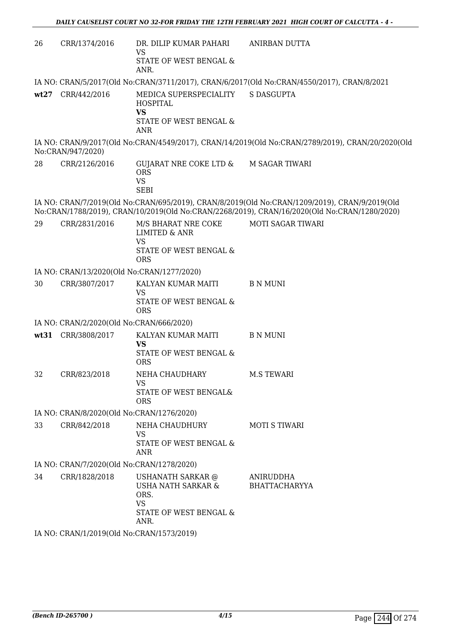| 26   | CRR/1374/2016                              | DR. DILIP KUMAR PAHARI<br><b>VS</b><br><b>STATE OF WEST BENGAL &amp;</b><br>ANR.                     | ANIRBAN DUTTA                                                                                                                                                                                 |  |  |
|------|--------------------------------------------|------------------------------------------------------------------------------------------------------|-----------------------------------------------------------------------------------------------------------------------------------------------------------------------------------------------|--|--|
|      |                                            |                                                                                                      | IA NO: CRAN/5/2017(Old No:CRAN/3711/2017), CRAN/6/2017(Old No:CRAN/4550/2017), CRAN/8/2021                                                                                                    |  |  |
|      | wt27 CRR/442/2016                          | MEDICA SUPERSPECIALITY<br><b>HOSPITAL</b><br><b>VS</b><br>STATE OF WEST BENGAL &<br><b>ANR</b>       | <b>S DASGUPTA</b>                                                                                                                                                                             |  |  |
|      | No:CRAN/947/2020)                          |                                                                                                      | IA NO: CRAN/9/2017(Old No:CRAN/4549/2017), CRAN/14/2019(Old No:CRAN/2789/2019), CRAN/20/2020(Old                                                                                              |  |  |
| 28   | CRR/2126/2016                              | GUJARAT NRE COKE LTD &<br><b>ORS</b><br><b>VS</b><br><b>SEBI</b>                                     | M SAGAR TIWARI                                                                                                                                                                                |  |  |
|      |                                            |                                                                                                      | IA NO: CRAN/7/2019(Old No:CRAN/695/2019), CRAN/8/2019(Old No:CRAN/1209/2019), CRAN/9/2019(Old<br>No:CRAN/1788/2019), CRAN/10/2019(Old No:CRAN/2268/2019), CRAN/16/2020(Old No:CRAN/1280/2020) |  |  |
| 29   | CRR/2831/2016                              | M/S BHARAT NRE COKE<br><b>LIMITED &amp; ANR</b><br><b>VS</b><br>STATE OF WEST BENGAL &<br><b>ORS</b> | <b>MOTI SAGAR TIWARI</b>                                                                                                                                                                      |  |  |
|      | IA NO: CRAN/13/2020(Old No:CRAN/1277/2020) |                                                                                                      |                                                                                                                                                                                               |  |  |
| 30   | CRR/3807/2017                              | KALYAN KUMAR MAITI<br><b>VS</b><br>STATE OF WEST BENGAL &<br><b>ORS</b>                              | <b>B N MUNI</b>                                                                                                                                                                               |  |  |
|      | IA NO: CRAN/2/2020(Old No:CRAN/666/2020)   |                                                                                                      |                                                                                                                                                                                               |  |  |
| wt31 | CRR/3808/2017                              | KALYAN KUMAR MAITI<br><b>VS</b><br>STATE OF WEST BENGAL &<br><b>ORS</b>                              | <b>B N MUNI</b>                                                                                                                                                                               |  |  |
| 32   | CRR/823/2018                               | NEHA CHAUDHARY<br><b>VS</b><br>STATE OF WEST BENGAL&<br>ORS                                          | <b>M.S TEWARI</b>                                                                                                                                                                             |  |  |
|      | IA NO: CRAN/8/2020(Old No:CRAN/1276/2020)  |                                                                                                      |                                                                                                                                                                                               |  |  |
| 33   | CRR/842/2018                               | NEHA CHAUDHURY<br><b>VS</b><br>STATE OF WEST BENGAL &<br>ANR                                         | <b>MOTI S TIWARI</b>                                                                                                                                                                          |  |  |
|      | IA NO: CRAN/7/2020(Old No:CRAN/1278/2020)  |                                                                                                      |                                                                                                                                                                                               |  |  |
| 34   | CRR/1828/2018                              | USHANATH SARKAR @<br>USHA NATH SARKAR &<br>ORS.<br><b>VS</b><br>STATE OF WEST BENGAL &<br>ANR.       | ANIRUDDHA<br><b>BHATTACHARYYA</b>                                                                                                                                                             |  |  |
|      | IA NO: CRAN/1/2019(Old No:CRAN/1573/2019)  |                                                                                                      |                                                                                                                                                                                               |  |  |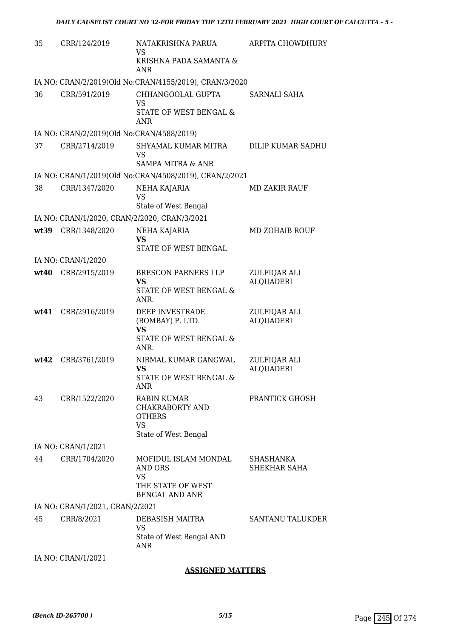| 35   | CRR/124/2019                                 | NATAKRISHNA PARUA<br>VS                                | ARPITA CHOWDHURY          |
|------|----------------------------------------------|--------------------------------------------------------|---------------------------|
|      |                                              | KRISHNA PADA SAMANTA &<br><b>ANR</b>                   |                           |
|      |                                              | IA NO: CRAN/2/2019(Old No:CRAN/4155/2019), CRAN/3/2020 |                           |
| 36   | CRR/591/2019                                 | CHHANGOOLAL GUPTA<br><b>VS</b>                         | SARNALI SAHA              |
|      |                                              | STATE OF WEST BENGAL &<br>ANR                          |                           |
|      | IA NO: CRAN/2/2019(Old No:CRAN/4588/2019)    |                                                        |                           |
| 37   | CRR/2714/2019                                | SHYAMAL KUMAR MITRA<br><b>VS</b>                       | <b>DILIP KUMAR SADHU</b>  |
|      |                                              | SAMPA MITRA & ANR                                      |                           |
|      |                                              | IA NO: CRAN/1/2019(Old No:CRAN/4508/2019), CRAN/2/2021 |                           |
| 38   | CRR/1347/2020                                | NEHA KAJARIA<br><b>VS</b>                              | MD ZAKIR RAUF             |
|      |                                              | State of West Bengal                                   |                           |
|      | IA NO: CRAN/1/2020, CRAN/2/2020, CRAN/3/2021 |                                                        |                           |
| wt39 | CRR/1348/2020                                | NEHA KAJARIA<br><b>VS</b>                              | MD ZOHAIB ROUF            |
|      |                                              | STATE OF WEST BENGAL                                   |                           |
|      | IA NO: CRAN/1/2020                           |                                                        |                           |
| wt40 | CRR/2915/2019                                | <b>BRESCON PARNERS LLP</b>                             | ZULFIQAR ALI              |
|      |                                              | <b>VS</b><br>STATE OF WEST BENGAL &<br>ANR.            | <b>ALQUADERI</b>          |
| wt41 | CRR/2916/2019                                | DEEP INVESTRADE                                        | ZULFIQAR ALI              |
|      |                                              | (BOMBAY) P. LTD.<br><b>VS</b>                          | <b>ALQUADERI</b>          |
|      |                                              | STATE OF WEST BENGAL &                                 |                           |
|      |                                              | ANR.                                                   |                           |
| wt42 | CRR/3761/2019                                | NIRMAL KUMAR GANGWAL                                   | ZULFIQAR ALI              |
|      |                                              | VS<br>STATE OF WEST BENGAL &                           | <b>ALQUADERI</b>          |
|      |                                              | <b>ANR</b>                                             |                           |
| 43   | CRR/1522/2020                                | <b>RABIN KUMAR</b>                                     | PRANTICK GHOSH            |
|      |                                              | CHAKRABORTY AND<br><b>OTHERS</b>                       |                           |
|      |                                              | <b>VS</b>                                              |                           |
|      |                                              | State of West Bengal                                   |                           |
|      | IA NO: CRAN/1/2021                           |                                                        |                           |
| 44   | CRR/1704/2020                                | MOFIDUL ISLAM MONDAL<br>AND ORS<br><b>VS</b>           | SHASHANKA<br>SHEKHAR SAHA |
|      |                                              | THE STATE OF WEST<br><b>BENGAL AND ANR</b>             |                           |
|      | IA NO: CRAN/1/2021, CRAN/2/2021              |                                                        |                           |
| 45   | CRR/8/2021                                   | DEBASISH MAITRA<br><b>VS</b>                           | <b>SANTANU TALUKDER</b>   |
|      |                                              | State of West Bengal AND<br><b>ANR</b>                 |                           |
|      | IA NO: CRAN/1/2021                           |                                                        |                           |

# **ASSIGNED MATTERS**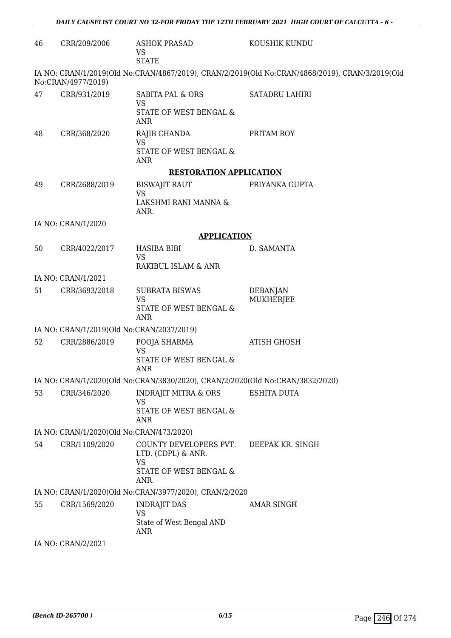| 46 | CRR/209/2006                              | <b>ASHOK PRASAD</b><br><b>VS</b><br><b>STATE</b>                              | KOUSHIK KUNDU                                                                                  |
|----|-------------------------------------------|-------------------------------------------------------------------------------|------------------------------------------------------------------------------------------------|
|    | No:CRAN/4977/2019)                        |                                                                               | IA NO: CRAN/1/2019(Old No:CRAN/4867/2019), CRAN/2/2019(Old No:CRAN/4868/2019), CRAN/3/2019(Old |
| 47 | CRR/931/2019                              | SABITA PAL & ORS<br>VS<br>STATE OF WEST BENGAL &<br><b>ANR</b>                | <b>SATADRU LAHIRI</b>                                                                          |
| 48 | CRR/368/2020                              | RAJIB CHANDA<br><b>VS</b><br>STATE OF WEST BENGAL &<br><b>ANR</b>             | PRITAM ROY                                                                                     |
|    |                                           | <b>RESTORATION APPLICATION</b>                                                |                                                                                                |
| 49 | CRR/2688/2019                             | <b>BISWAJIT RAUT</b><br><b>VS</b>                                             | PRIYANKA GUPTA                                                                                 |
|    |                                           | LAKSHMI RANI MANNA &<br>ANR.                                                  |                                                                                                |
|    | IA NO: CRAN/1/2020                        |                                                                               |                                                                                                |
|    |                                           | <b>APPLICATION</b>                                                            |                                                                                                |
| 50 | CRR/4022/2017                             | <b>HASIBA BIBI</b><br><b>VS</b>                                               | D. SAMANTA                                                                                     |
|    |                                           | RAKIBUL ISLAM & ANR                                                           |                                                                                                |
|    | IA NO: CRAN/1/2021                        |                                                                               |                                                                                                |
| 51 | CRR/3693/2018                             | <b>SUBRATA BISWAS</b><br><b>VS</b><br>STATE OF WEST BENGAL &<br><b>ANR</b>    | <b>DEBANJAN</b><br>MUKHERJEE                                                                   |
|    | IA NO: CRAN/1/2019(Old No:CRAN/2037/2019) |                                                                               |                                                                                                |
| 52 | CRR/2886/2019                             | POOJA SHARMA<br><b>VS</b><br>STATE OF WEST BENGAL &<br><b>ANR</b>             | <b>ATISH GHOSH</b>                                                                             |
|    |                                           | IA NO: CRAN/1/2020(Old No:CRAN/3830/2020), CRAN/2/2020(Old No:CRAN/3832/2020) |                                                                                                |
| 53 | CRR/346/2020                              | <b>INDRAJIT MITRA &amp; ORS</b><br>VS<br>STATE OF WEST BENGAL &<br>ANR        | <b>ESHITA DUTA</b>                                                                             |
|    | IA NO: CRAN/1/2020(Old No:CRAN/473/2020)  |                                                                               |                                                                                                |
| 54 | CRR/1109/2020                             | COUNTY DEVELOPERS PVT.<br>LTD. (CDPL) & ANR.<br><b>VS</b>                     | DEEPAK KR. SINGH                                                                               |
|    |                                           | STATE OF WEST BENGAL &<br>ANR.                                                |                                                                                                |
|    |                                           | IA NO: CRAN/1/2020(Old No:CRAN/3977/2020), CRAN/2/2020                        |                                                                                                |
| 55 | CRR/1569/2020                             | <b>INDRAJIT DAS</b><br><b>VS</b><br>State of West Bengal AND<br>ANR           | <b>AMAR SINGH</b>                                                                              |
|    | IA NO: CRAN/2/2021                        |                                                                               |                                                                                                |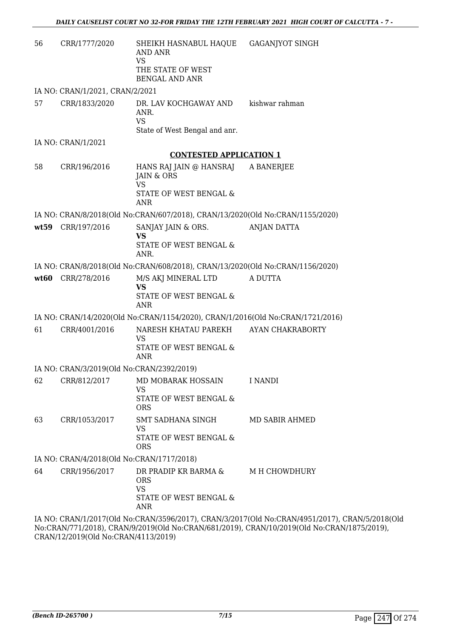| 56   | CRR/1777/2020                             | SHEIKH HASNABUL HAQUE<br>AND ANR<br><b>VS</b><br>THE STATE OF WEST<br><b>BENGAL AND ANR</b> | <b>GAGANJYOT SINGH</b>                                                              |
|------|-------------------------------------------|---------------------------------------------------------------------------------------------|-------------------------------------------------------------------------------------|
|      | IA NO: CRAN/1/2021, CRAN/2/2021           |                                                                                             |                                                                                     |
| 57   | CRR/1833/2020                             | DR. LAV KOCHGAWAY AND<br>ANR.<br><b>VS</b><br>State of West Bengal and anr.                 | kishwar rahman                                                                      |
|      | IA NO: CRAN/1/2021                        |                                                                                             |                                                                                     |
|      |                                           | <b>CONTESTED APPLICATION 1</b>                                                              |                                                                                     |
| 58   | CRR/196/2016                              | HANS RAJ JAIN @ HANSRAJ<br>JAIN & ORS<br><b>VS</b><br>STATE OF WEST BENGAL &<br><b>ANR</b>  | A BANERJEE                                                                          |
|      |                                           | IA NO: CRAN/8/2018(Old No:CRAN/607/2018), CRAN/13/2020(Old No:CRAN/1155/2020)               |                                                                                     |
| wt59 | CRR/197/2016                              | SANJAY JAIN & ORS.<br>VS<br>STATE OF WEST BENGAL &<br>ANR.                                  | <b>ANJAN DATTA</b>                                                                  |
|      |                                           | IA NO: CRAN/8/2018(Old No:CRAN/608/2018), CRAN/13/2020(Old No:CRAN/1156/2020)               |                                                                                     |
| wt60 | CRR/278/2016                              | M/S AKJ MINERAL LTD<br><b>VS</b><br>STATE OF WEST BENGAL &<br><b>ANR</b>                    | A DUTTA                                                                             |
|      |                                           | IA NO: CRAN/14/2020(Old No:CRAN/1154/2020), CRAN/1/2016(Old No:CRAN/1721/2016)              |                                                                                     |
| 61   | CRR/4001/2016                             | NARESH KHATAU PAREKH<br><b>VS</b><br>STATE OF WEST BENGAL &<br>ANR                          | AYAN CHAKRABORTY                                                                    |
|      | IA NO: CRAN/3/2019(Old No:CRAN/2392/2019) |                                                                                             |                                                                                     |
| 62   | CRR/812/2017                              | MD MOBARAK HOSSAIN<br><b>VS</b><br>STATE OF WEST BENGAL &<br><b>ORS</b>                     | <b>I NANDI</b>                                                                      |
| 63   | CRR/1053/2017                             | SMT SADHANA SINGH<br>VS<br>STATE OF WEST BENGAL &<br><b>ORS</b>                             | MD SABIR AHMED                                                                      |
|      | IA NO: CRAN/4/2018(Old No:CRAN/1717/2018) |                                                                                             |                                                                                     |
| 64   | CRR/1956/2017                             | DR PRADIP KR BARMA &<br><b>ORS</b><br><b>VS</b><br>STATE OF WEST BENGAL &<br>ANR            | M H CHOWDHURY                                                                       |
|      |                                           |                                                                                             | IA NO: CRAN/1/2017(Old No:CRAN/3596/2017), CRAN/3/2017(Old No:CRAN/4951/2017), CRAN |

 $N/5/2018$ (Old No:CRAN/771/2018), CRAN/9/2019(Old No:CRAN/681/2019), CRAN/10/2019(Old No:CRAN/1875/2019), CRAN/12/2019(Old No:CRAN/4113/2019)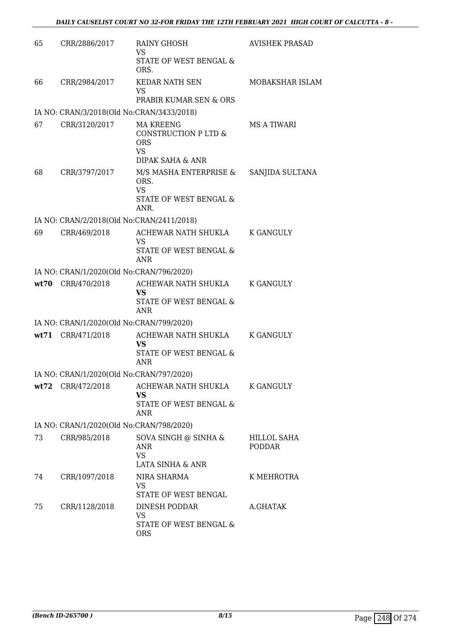| 65 | CRR/2886/2017                             | <b>RAINY GHOSH</b>                                                                      | <b>AVISHEK PRASAD</b>        |
|----|-------------------------------------------|-----------------------------------------------------------------------------------------|------------------------------|
|    |                                           | <b>VS</b><br>STATE OF WEST BENGAL &<br>ORS.                                             |                              |
| 66 | CRR/2984/2017                             | <b>KEDAR NATH SEN</b><br><b>VS</b>                                                      | MOBAKSHAR ISLAM              |
|    |                                           | PRABIR KUMAR SEN & ORS                                                                  |                              |
|    | IA NO: CRAN/3/2018(Old No:CRAN/3433/2018) |                                                                                         |                              |
| 67 | CRR/3120/2017                             | <b>MA KREENG</b><br>CONSTRUCTION P LTD &<br><b>ORS</b><br><b>VS</b><br>DIPAK SAHA & ANR | MS A TIWARI                  |
| 68 | CRR/3797/2017                             | M/S MASHA ENTERPRISE &<br>ORS.<br><b>VS</b><br>STATE OF WEST BENGAL &<br>ANR.           | SANJIDA SULTANA              |
|    | IA NO: CRAN/2/2018(Old No:CRAN/2411/2018) |                                                                                         |                              |
| 69 | CRR/469/2018                              | ACHEWAR NATH SHUKLA<br><b>VS</b>                                                        | K GANGULY                    |
|    |                                           | STATE OF WEST BENGAL &<br>ANR                                                           |                              |
|    | IA NO: CRAN/1/2020(Old No:CRAN/796/2020)  |                                                                                         |                              |
|    | wt70 CRR/470/2018                         | ACHEWAR NATH SHUKLA<br><b>VS</b><br>STATE OF WEST BENGAL &                              | K GANGULY                    |
|    |                                           | ANR                                                                                     |                              |
|    | IA NO: CRAN/1/2020(Old No:CRAN/799/2020)  |                                                                                         |                              |
|    | wt71 CRR/471/2018                         | ACHEWAR NATH SHUKLA<br><b>VS</b><br>STATE OF WEST BENGAL &<br><b>ANR</b>                | K GANGULY                    |
|    | IA NO: CRAN/1/2020(Old No:CRAN/797/2020)  |                                                                                         |                              |
|    | wt72 CRR/472/2018                         | ACHEWAR NATH SHUKLA<br>VS<br>STATE OF WEST BENGAL &                                     | K GANGULY                    |
|    |                                           | ANR                                                                                     |                              |
|    | IA NO: CRAN/1/2020(Old No:CRAN/798/2020)  |                                                                                         |                              |
| 73 | CRR/985/2018                              | SOVA SINGH @ SINHA &<br>ANR<br><b>VS</b><br>LATA SINHA & ANR                            | HILLOL SAHA<br><b>PODDAR</b> |
| 74 | CRR/1097/2018                             | NIRA SHARMA<br>VS                                                                       | K MEHROTRA                   |
|    |                                           | STATE OF WEST BENGAL                                                                    |                              |
| 75 | CRR/1128/2018                             | DINESH PODDAR<br><b>VS</b><br>STATE OF WEST BENGAL &                                    | A.GHATAK                     |
|    |                                           | <b>ORS</b>                                                                              |                              |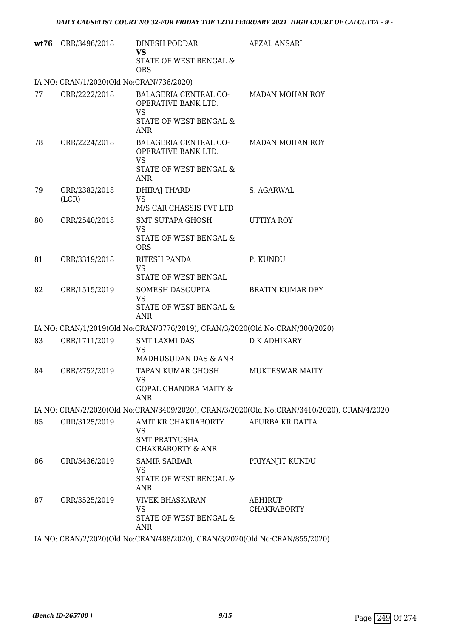| wt76 | CRR/3496/2018                            | <b>DINESH PODDAR</b><br>VS<br>STATE OF WEST BENGAL &<br><b>ORS</b>                          | <b>APZAL ANSARI</b>                                                                        |
|------|------------------------------------------|---------------------------------------------------------------------------------------------|--------------------------------------------------------------------------------------------|
|      | IA NO: CRAN/1/2020(Old No:CRAN/736/2020) |                                                                                             |                                                                                            |
| 77   | CRR/2222/2018                            | BALAGERIA CENTRAL CO-<br>OPERATIVE BANK LTD.<br><b>VS</b><br>STATE OF WEST BENGAL &<br>ANR  | <b>MADAN MOHAN ROY</b>                                                                     |
| 78   | CRR/2224/2018                            | BALAGERIA CENTRAL CO-<br>OPERATIVE BANK LTD.<br><b>VS</b><br>STATE OF WEST BENGAL &<br>ANR. | <b>MADAN MOHAN ROY</b>                                                                     |
| 79   | CRR/2382/2018<br>(LCR)                   | DHIRAJ THARD<br><b>VS</b><br>M/S CAR CHASSIS PVT.LTD                                        | S. AGARWAL                                                                                 |
| 80   | CRR/2540/2018                            | SMT SUTAPA GHOSH<br><b>VS</b><br>STATE OF WEST BENGAL &<br><b>ORS</b>                       | UTTIYA ROY                                                                                 |
| 81   | CRR/3319/2018                            | RITESH PANDA<br><b>VS</b><br>STATE OF WEST BENGAL                                           | P. KUNDU                                                                                   |
| 82   | CRR/1515/2019                            | SOMESH DASGUPTA<br><b>VS</b><br>STATE OF WEST BENGAL &<br>ANR                               | <b>BRATIN KUMAR DEY</b>                                                                    |
|      |                                          | IA NO: CRAN/1/2019(Old No:CRAN/3776/2019), CRAN/3/2020(Old No:CRAN/300/2020)                |                                                                                            |
| 83   | CRR/1711/2019                            | <b>SMT LAXMI DAS</b><br><b>VS</b><br>MADHUSUDAN DAS & ANR                                   | D K ADHIKARY                                                                               |
| 84   | CRR/2752/2019                            | TAPAN KUMAR GHOSH<br><b>VS</b><br><b>GOPAL CHANDRA MAITY &amp;</b><br>ANR                   | MUKTESWAR MAITY                                                                            |
|      |                                          |                                                                                             | IA NO: CRAN/2/2020(Old No:CRAN/3409/2020), CRAN/3/2020(Old No:CRAN/3410/2020), CRAN/4/2020 |
| 85   | CRR/3125/2019                            | AMIT KR CHAKRABORTY<br>VS<br><b>SMT PRATYUSHA</b><br><b>CHAKRABORTY &amp; ANR</b>           | APURBA KR DATTA                                                                            |
| 86   | CRR/3436/2019                            | <b>SAMIR SARDAR</b><br><b>VS</b><br>STATE OF WEST BENGAL &<br>ANR                           | PRIYANJIT KUNDU                                                                            |
| 87   | CRR/3525/2019                            | <b>VIVEK BHASKARAN</b><br><b>VS</b><br>STATE OF WEST BENGAL &<br><b>ANR</b>                 | ABHIRUP<br><b>CHAKRABORTY</b>                                                              |
|      |                                          |                                                                                             |                                                                                            |

IA NO: CRAN/2/2020(Old No:CRAN/488/2020), CRAN/3/2020(Old No:CRAN/855/2020)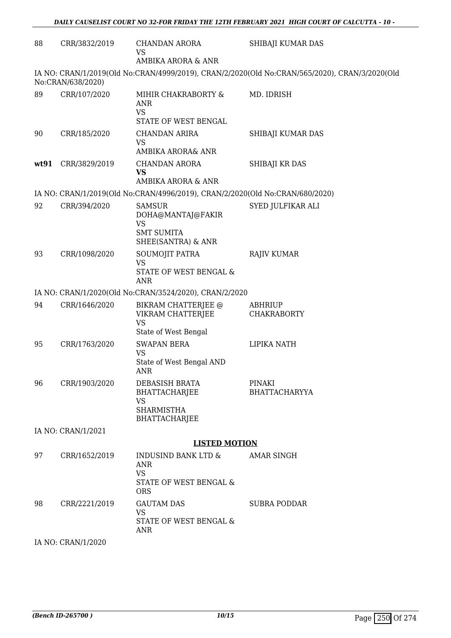| 88   | CRR/3832/2019      | CHANDAN ARORA<br>VS<br>AMBIKA ARORA & ANR                                                  | SHIBAJI KUMAR DAS                                                                             |
|------|--------------------|--------------------------------------------------------------------------------------------|-----------------------------------------------------------------------------------------------|
|      | No:CRAN/638/2020)  |                                                                                            | IA NO: CRAN/1/2019(Old No:CRAN/4999/2019), CRAN/2/2020(Old No:CRAN/565/2020), CRAN/3/2020(Old |
| 89   | CRR/107/2020       | MIHIR CHAKRABORTY &<br>ANR<br><b>VS</b><br>STATE OF WEST BENGAL                            | MD. IDRISH                                                                                    |
| 90   | CRR/185/2020       | <b>CHANDAN ARIRA</b><br><b>VS</b><br>AMBIKA ARORA& ANR                                     | SHIBAJI KUMAR DAS                                                                             |
| wt91 | CRR/3829/2019      | <b>CHANDAN ARORA</b><br><b>VS</b><br>AMBIKA ARORA & ANR                                    | SHIBAJI KR DAS                                                                                |
|      |                    | IA NO: CRAN/1/2019(Old No:CRAN/4996/2019), CRAN/2/2020(Old No:CRAN/680/2020)               |                                                                                               |
| 92   | CRR/394/2020       | <b>SAMSUR</b><br>DOHA@MANTAJ@FAKIR<br><b>VS</b><br><b>SMT SUMITA</b><br>SHEE(SANTRA) & ANR | SYED JULFIKAR ALI                                                                             |
| 93   | CRR/1098/2020      | SOUMOJIT PATRA<br><b>VS</b><br>STATE OF WEST BENGAL &<br><b>ANR</b>                        | <b>RAJIV KUMAR</b>                                                                            |
|      |                    | IA NO: CRAN/1/2020(Old No:CRAN/3524/2020), CRAN/2/2020                                     |                                                                                               |
| 94   | CRR/1646/2020      | BIKRAM CHATTERJEE @<br>VIKRAM CHATTERJEE<br><b>VS</b><br>State of West Bengal              | <b>ABHRIUP</b><br><b>CHAKRABORTY</b>                                                          |
| 95   | CRR/1763/2020      | <b>SWAPAN BERA</b><br><b>VS</b><br>State of West Bengal AND<br>ANR                         | LIPIKA NATH                                                                                   |
| 96   | CRR/1903/2020      | DEBASISH BRATA<br>BHATTACHARJEE<br><b>VS</b><br><b>SHARMISTHA</b><br><b>BHATTACHARJEE</b>  | <b>PINAKI</b><br><b>BHATTACHARYYA</b>                                                         |
|      | IA NO: CRAN/1/2021 |                                                                                            |                                                                                               |
|      |                    | <b>LISTED MOTION</b>                                                                       |                                                                                               |
| 97   | CRR/1652/2019      | INDUSIND BANK LTD &<br>ANR<br><b>VS</b><br>STATE OF WEST BENGAL &<br><b>ORS</b>            | <b>AMAR SINGH</b>                                                                             |
| 98   | CRR/2221/2019      | <b>GAUTAM DAS</b><br><b>VS</b><br>STATE OF WEST BENGAL &<br>ANR                            | <b>SUBRA PODDAR</b>                                                                           |
|      | IA NO: CRAN/1/2020 |                                                                                            |                                                                                               |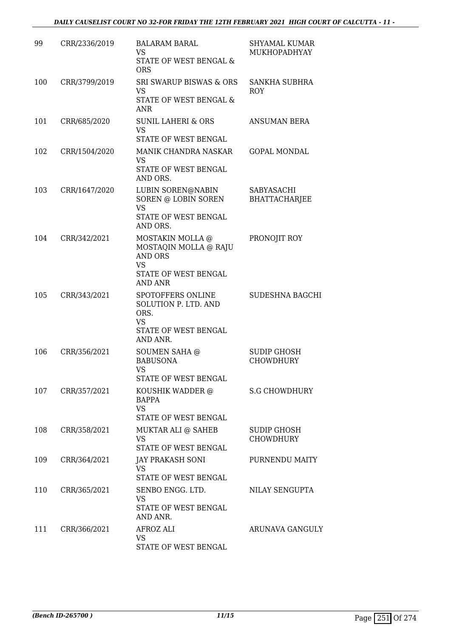| 99  | CRR/2336/2019 | <b>BALARAM BARAL</b><br><b>VS</b><br>STATE OF WEST BENGAL &<br><b>ORS</b>                                          | <b>SHYAMAL KUMAR</b><br>MUKHOPADHYAY      |
|-----|---------------|--------------------------------------------------------------------------------------------------------------------|-------------------------------------------|
| 100 | CRR/3799/2019 | <b>SRI SWARUP BISWAS &amp; ORS</b><br><b>VS</b><br>STATE OF WEST BENGAL &<br><b>ANR</b>                            | SANKHA SUBHRA<br><b>ROY</b>               |
| 101 | CRR/685/2020  | <b>SUNIL LAHERI &amp; ORS</b><br><b>VS</b><br>STATE OF WEST BENGAL                                                 | <b>ANSUMAN BERA</b>                       |
| 102 | CRR/1504/2020 | MANIK CHANDRA NASKAR<br>VS<br>STATE OF WEST BENGAL<br>AND ORS.                                                     | <b>GOPAL MONDAL</b>                       |
| 103 | CRR/1647/2020 | LUBIN SOREN@NABIN<br>SOREN @ LOBIN SOREN<br><b>VS</b><br>STATE OF WEST BENGAL<br>AND ORS.                          | <b>SABYASACHI</b><br><b>BHATTACHARJEE</b> |
| 104 | CRR/342/2021  | MOSTAKIN MOLLA @<br>MOSTAQIN MOLLA @ RAJU<br><b>AND ORS</b><br><b>VS</b><br>STATE OF WEST BENGAL<br><b>AND ANR</b> | PRONOJIT ROY                              |
| 105 | CRR/343/2021  | SPOTOFFERS ONLINE<br>SOLUTION P. LTD. AND<br>ORS.<br><b>VS</b><br>STATE OF WEST BENGAL<br>AND ANR.                 | SUDESHNA BAGCHI                           |
| 106 | CRR/356/2021  | <b>SOUMEN SAHA @</b><br><b>BABUSONA</b><br><b>VS</b><br>STATE OF WEST BENGAL                                       | SUDIP GHOSH<br><b>CHOWDHURY</b>           |
| 107 | CRR/357/2021  | KOUSHIK WADDER @<br>BAPPA<br>VS.<br>STATE OF WEST BENGAL                                                           | <b>S.G CHOWDHURY</b>                      |
| 108 | CRR/358/2021  | MUKTAR ALI @ SAHEB<br>VS<br>STATE OF WEST BENGAL                                                                   | SUDIP GHOSH<br><b>CHOWDHURY</b>           |
| 109 | CRR/364/2021  | JAY PRAKASH SONI<br><b>VS</b><br>STATE OF WEST BENGAL                                                              | PURNENDU MAITY                            |
| 110 | CRR/365/2021  | SENBO ENGG. LTD.<br>VS<br>STATE OF WEST BENGAL<br>AND ANR.                                                         | NILAY SENGUPTA                            |
| 111 | CRR/366/2021  | AFROZ ALI<br>VS<br>STATE OF WEST BENGAL                                                                            | ARUNAVA GANGULY                           |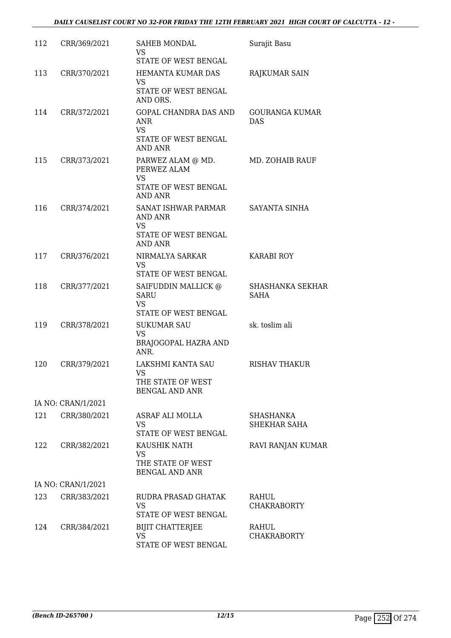| 112 | CRR/369/2021       | <b>SAHEB MONDAL</b><br>VS<br>STATE OF WEST BENGAL                                       | Surajit Basu                           |
|-----|--------------------|-----------------------------------------------------------------------------------------|----------------------------------------|
| 113 | CRR/370/2021       | HEMANTA KUMAR DAS<br><b>VS</b><br>STATE OF WEST BENGAL<br>AND ORS.                      | RAJKUMAR SAIN                          |
| 114 | CRR/372/2021       | GOPAL CHANDRA DAS AND<br>ANR<br><b>VS</b><br>STATE OF WEST BENGAL<br><b>AND ANR</b>     | <b>GOURANGA KUMAR</b><br><b>DAS</b>    |
| 115 | CRR/373/2021       | PARWEZ ALAM @ MD.<br>PERWEZ ALAM<br><b>VS</b><br>STATE OF WEST BENGAL<br><b>AND ANR</b> | MD. ZOHAIB RAUF                        |
| 116 | CRR/374/2021       | SANAT ISHWAR PARMAR<br>AND ANR<br>VS<br>STATE OF WEST BENGAL                            | SAYANTA SINHA                          |
|     |                    | <b>AND ANR</b>                                                                          |                                        |
| 117 | CRR/376/2021       | NIRMALYA SARKAR<br><b>VS</b><br>STATE OF WEST BENGAL                                    | <b>KARABI ROY</b>                      |
| 118 | CRR/377/2021       | SAIFUDDIN MALLICK @<br><b>SARU</b><br><b>VS</b><br>STATE OF WEST BENGAL                 | <b>SHASHANKA SEKHAR</b><br><b>SAHA</b> |
| 119 | CRR/378/2021       | <b>SUKUMAR SAU</b><br><b>VS</b><br>BRAJOGOPAL HAZRA AND<br>ANR.                         | sk. toslim ali                         |
| 120 | CRR/379/2021       | LAKSHMI KANTA SAU<br>VS.<br>THE STATE OF WEST<br><b>BENGAL AND ANR</b>                  | <b>RISHAV THAKUR</b>                   |
|     | IA NO: CRAN/1/2021 |                                                                                         |                                        |
| 121 | CRR/380/2021       | ASRAF ALI MOLLA<br><b>VS</b><br>STATE OF WEST BENGAL                                    | SHASHANKA<br>SHEKHAR SAHA              |
| 122 | CRR/382/2021       | KAUSHIK NATH<br>VS<br>THE STATE OF WEST<br>BENGAL AND ANR                               | RAVI RANJAN KUMAR                      |
|     | IA NO: CRAN/1/2021 |                                                                                         |                                        |
| 123 | CRR/383/2021       | RUDRA PRASAD GHATAK<br><b>VS</b><br>STATE OF WEST BENGAL                                | RAHUL<br><b>CHAKRABORTY</b>            |
| 124 | CRR/384/2021       | <b>BIJIT CHATTERJEE</b><br>VS<br>STATE OF WEST BENGAL                                   | RAHUL<br><b>CHAKRABORTY</b>            |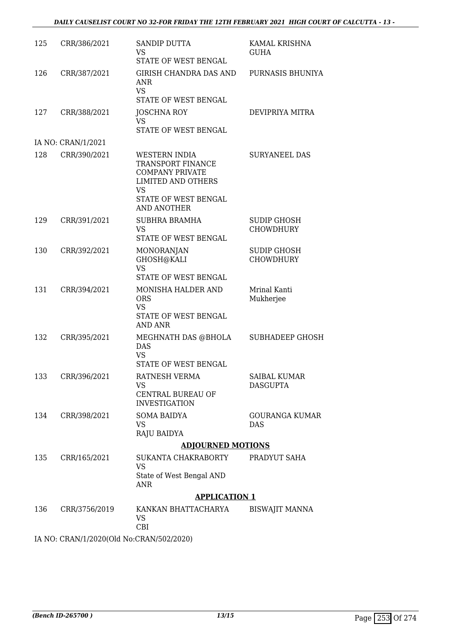| 125 | CRR/386/2021       | <b>SANDIP DUTTA</b><br><b>VS</b><br>STATE OF WEST BENGAL                                                                                             | KAMAL KRISHNA<br><b>GUHA</b>           |
|-----|--------------------|------------------------------------------------------------------------------------------------------------------------------------------------------|----------------------------------------|
| 126 | CRR/387/2021       | GIRISH CHANDRA DAS AND<br><b>ANR</b><br><b>VS</b><br>STATE OF WEST BENGAL                                                                            | PURNASIS BHUNIYA                       |
| 127 | CRR/388/2021       | <b>JOSCHNA ROY</b><br><b>VS</b><br>STATE OF WEST BENGAL                                                                                              | DEVIPRIYA MITRA                        |
|     | IA NO: CRAN/1/2021 |                                                                                                                                                      |                                        |
| 128 | CRR/390/2021       | WESTERN INDIA<br>TRANSPORT FINANCE<br><b>COMPANY PRIVATE</b><br><b>LIMITED AND OTHERS</b><br><b>VS</b><br>STATE OF WEST BENGAL<br><b>AND ANOTHER</b> | <b>SURYANEEL DAS</b>                   |
| 129 | CRR/391/2021       | <b>SUBHRA BRAMHA</b><br><b>VS</b><br>STATE OF WEST BENGAL                                                                                            | <b>SUDIP GHOSH</b><br><b>CHOWDHURY</b> |
| 130 | CRR/392/2021       | MONORANJAN<br>GHOSH@KALI<br><b>VS</b><br>STATE OF WEST BENGAL                                                                                        | <b>SUDIP GHOSH</b><br><b>CHOWDHURY</b> |
| 131 | CRR/394/2021       | <b>MONISHA HALDER AND</b><br><b>ORS</b><br><b>VS</b><br>STATE OF WEST BENGAL<br><b>AND ANR</b>                                                       | Mrinal Kanti<br>Mukherjee              |
| 132 | CRR/395/2021       | MEGHNATH DAS @BHOLA<br>DAS<br>VS<br>STATE OF WEST BENGAL                                                                                             | <b>SUBHADEEP GHOSH</b>                 |
| 133 | CRR/396/2021       | RATNESH VERMA<br>VS<br>CENTRAL BUREAU OF<br><b>INVESTIGATION</b>                                                                                     | SAIBAL KUMAR<br><b>DASGUPTA</b>        |
| 134 | CRR/398/2021       | <b>SOMA BAIDYA</b><br><b>VS</b><br>RAJU BAIDYA                                                                                                       | <b>GOURANGA KUMAR</b><br>DAS           |
|     |                    | <b>ADJOURNED MOTIONS</b>                                                                                                                             |                                        |
| 135 | CRR/165/2021       | SUKANTA CHAKRABORTY<br>VS<br>State of West Bengal AND<br>ANR                                                                                         | PRADYUT SAHA                           |
|     |                    | <b>APPLICATION 1</b>                                                                                                                                 |                                        |
| 136 | CRR/3756/2019      | KANKAN BHATTACHARYA<br>VS.<br>CBI                                                                                                                    | <b>BISWAJIT MANNA</b>                  |
|     |                    |                                                                                                                                                      |                                        |

IA NO: CRAN/1/2020(Old No:CRAN/502/2020)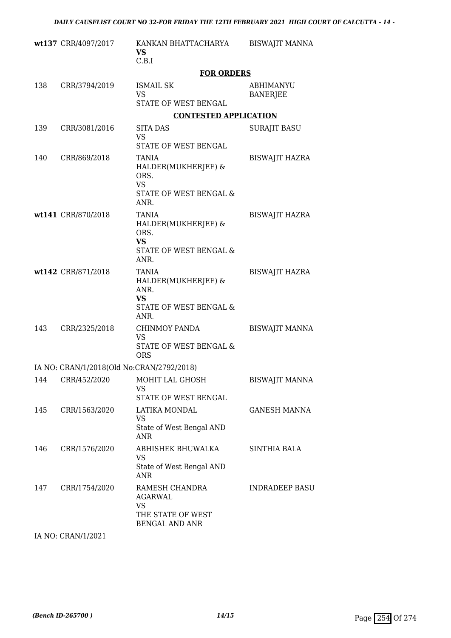|     | wt137 CRR/4097/2017                       | KANKAN BHATTACHARYA<br><b>VS</b><br>C.B.I                                                   | <b>BISWAJIT MANNA</b>        |
|-----|-------------------------------------------|---------------------------------------------------------------------------------------------|------------------------------|
|     |                                           | <b>FOR ORDERS</b>                                                                           |                              |
| 138 | CRR/3794/2019                             | <b>ISMAIL SK</b><br><b>VS</b><br>STATE OF WEST BENGAL                                       | ABHIMANYU<br><b>BANERJEE</b> |
|     |                                           | <b>CONTESTED APPLICATION</b>                                                                |                              |
| 139 | CRR/3081/2016                             | <b>SITA DAS</b><br>VS<br><b>STATE OF WEST BENGAL</b>                                        | <b>SURAJIT BASU</b>          |
| 140 | CRR/869/2018                              | <b>TANIA</b><br>HALDER(MUKHERJEE) &<br>ORS.<br><b>VS</b><br>STATE OF WEST BENGAL &<br>ANR.  | <b>BISWAJIT HAZRA</b>        |
|     | wt141 CRR/870/2018                        | <b>TANIA</b><br>HALDER(MUKHERJEE) &<br>ORS.<br><b>VS</b><br>STATE OF WEST BENGAL &<br>ANR.  | <b>BISWAJIT HAZRA</b>        |
|     | wt142 CRR/871/2018                        | TANIA<br>HALDER(MUKHERJEE) &<br>ANR.<br><b>VS</b><br>STATE OF WEST BENGAL &<br>ANR.         | <b>BISWAJIT HAZRA</b>        |
| 143 | CRR/2325/2018                             | <b>CHINMOY PANDA</b><br><b>VS</b><br><b>STATE OF WEST BENGAL &amp;</b><br><b>ORS</b>        | <b>BISWAJIT MANNA</b>        |
|     | IA NO: CRAN/1/2018(Old No:CRAN/2792/2018) |                                                                                             |                              |
| 144 | CRR/452/2020                              | MOHIT LAL GHOSH<br><b>VS</b><br>STATE OF WEST BENGAL                                        | <b>BISWAJIT MANNA</b>        |
| 145 | CRR/1563/2020                             | LATIKA MONDAL<br>VS<br>State of West Bengal AND<br><b>ANR</b>                               | <b>GANESH MANNA</b>          |
| 146 | CRR/1576/2020                             | ABHISHEK BHUWALKA<br>VS<br>State of West Bengal AND<br>ANR                                  | SINTHIA BALA                 |
| 147 | CRR/1754/2020                             | RAMESH CHANDRA<br><b>AGARWAL</b><br><b>VS</b><br>THE STATE OF WEST<br><b>BENGAL AND ANR</b> | <b>INDRADEEP BASU</b>        |

IA NO: CRAN/1/2021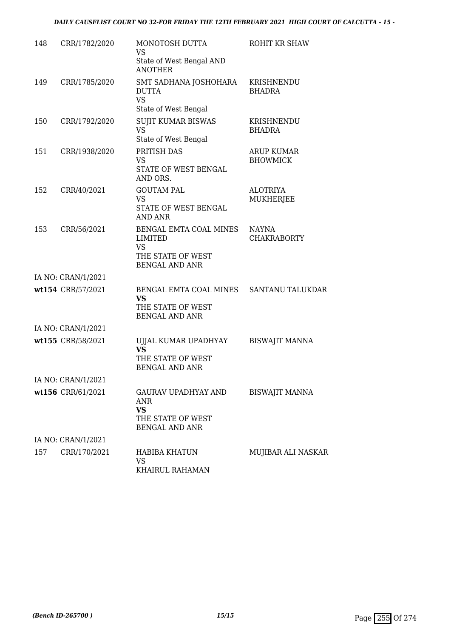| 148 | CRR/1782/2020      | MONOTOSH DUTTA<br><b>VS</b>                                                                  | ROHIT KR SHAW                        |
|-----|--------------------|----------------------------------------------------------------------------------------------|--------------------------------------|
|     |                    | State of West Bengal AND<br><b>ANOTHER</b>                                                   |                                      |
| 149 | CRR/1785/2020      | SMT SADHANA JOSHOHARA<br><b>DUTTA</b><br><b>VS</b><br>State of West Bengal                   | KRISHNENDU<br><b>BHADRA</b>          |
| 150 | CRR/1792/2020      | <b>SUJIT KUMAR BISWAS</b><br><b>VS</b><br>State of West Bengal                               | KRISHNENDU<br><b>BHADRA</b>          |
| 151 | CRR/1938/2020      | PRITISH DAS<br><b>VS</b><br>STATE OF WEST BENGAL<br>AND ORS.                                 | <b>ARUP KUMAR</b><br><b>BHOWMICK</b> |
| 152 | CRR/40/2021        | <b>GOUTAM PAL</b><br>VS<br>STATE OF WEST BENGAL<br>AND ANR                                   | <b>ALOTRIYA</b><br>MUKHERJEE         |
| 153 | CRR/56/2021        | BENGAL EMTA COAL MINES<br>LIMITED<br>VS<br>THE STATE OF WEST<br><b>BENGAL AND ANR</b>        | <b>NAYNA</b><br><b>CHAKRABORTY</b>   |
|     | IA NO: CRAN/1/2021 |                                                                                              |                                      |
|     | wt154 CRR/57/2021  | BENGAL EMTA COAL MINES<br>VS<br>THE STATE OF WEST<br><b>BENGAL AND ANR</b>                   | SANTANU TALUKDAR                     |
|     | IA NO: CRAN/1/2021 |                                                                                              |                                      |
|     | wt155 CRR/58/2021  | UJJAL KUMAR UPADHYAY<br><b>VS</b><br>THE STATE OF WEST<br><b>BENGAL AND ANR</b>              | <b>BISWAJIT MANNA</b>                |
|     | IA NO: CRAN/1/2021 |                                                                                              |                                      |
|     | wt156 CRR/61/2021  | <b>GAURAV UPADHYAY AND</b><br>ANR<br><b>VS</b><br>THE STATE OF WEST<br><b>BENGAL AND ANR</b> | <b>BISWAJIT MANNA</b>                |
|     | IA NO: CRAN/1/2021 |                                                                                              |                                      |
| 157 | CRR/170/2021       | <b>HABIBA KHATUN</b><br>VS<br>KHAIRUL RAHAMAN                                                | MUJIBAR ALI NASKAR                   |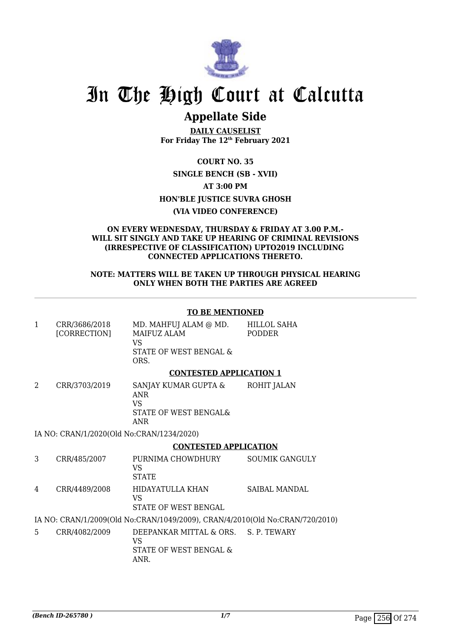

# In The High Court at Calcutta

# **Appellate Side**

**DAILY CAUSELIST For Friday The 12th February 2021**

**COURT NO. 35 SINGLE BENCH (SB - XVII) AT 3:00 PM HON'BLE JUSTICE SUVRA GHOSH (VIA VIDEO CONFERENCE)**

#### **ON EVERY WEDNESDAY, THURSDAY & FRIDAY AT 3.00 P.M.- WILL SIT SINGLY AND TAKE UP HEARING OF CRIMINAL REVISIONS (IRRESPECTIVE OF CLASSIFICATION) UPTO2019 INCLUDING CONNECTED APPLICATIONS THERETO.**

### **NOTE: MATTERS WILL BE TAKEN UP THROUGH PHYSICAL HEARING ONLY WHEN BOTH THE PARTIES ARE AGREED**

# **TO BE MENTIONED**

|        | CRR/3686/2018<br>[CORRECTION]                           | MD. MAHFUJ ALAM @ MD.<br>MAIFUZ ALAM<br>VS<br>STATE OF WEST BENGAL &<br>ORS. | HILLOL SAHA<br><b>PODDER</b> |
|--------|---------------------------------------------------------|------------------------------------------------------------------------------|------------------------------|
|        |                                                         | <b>CONTESTED APPLICATION 1</b>                                               |                              |
| $\sim$ | $\sim$ $\sim$ $\sim$ $\sim$ $\sim$ $\sim$ $\sim$ $\sim$ |                                                                              | -----------                  |

2 CRR/3703/2019 SANJAY KUMAR GUPTA & ANR VS STATE OF WEST BENGAL& ANR ROHIT JALAN

IA NO: CRAN/1/2020(Old No:CRAN/1234/2020)

# **CONTESTED APPLICATION**

3 CRR/485/2007 PURNIMA CHOWDHURY VS **STATE** SOUMIK GANGULY 4 CRR/4489/2008 HIDAYATULLA KHAN VS STATE OF WEST BENGAL SAIBAL MANDAL

IA NO: CRAN/1/2009(Old No:CRAN/1049/2009), CRAN/4/2010(Old No:CRAN/720/2010)

5 CRR/4082/2009 DEEPANKAR MITTAL & ORS. VS STATE OF WEST BENGAL & ANR. S. P. TEWARY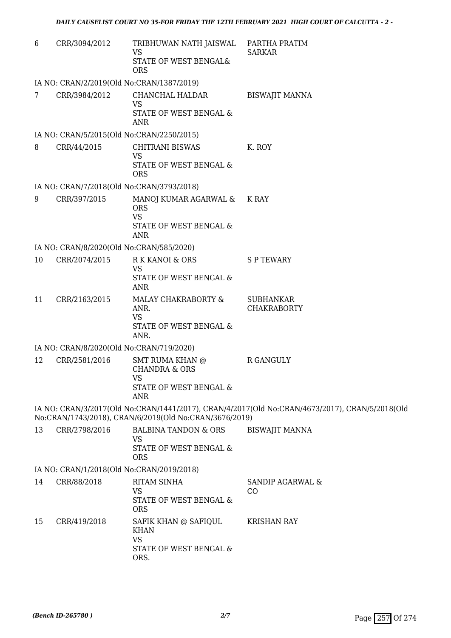| 6               | CRR/3094/2012                             | TRIBHUWAN NATH JAISWAL<br><b>VS</b><br>STATE OF WEST BENGAL&<br><b>ORS</b>                       | PARTHA PRATIM<br><b>SARKAR</b>                                                                 |  |  |  |
|-----------------|-------------------------------------------|--------------------------------------------------------------------------------------------------|------------------------------------------------------------------------------------------------|--|--|--|
|                 | IA NO: CRAN/2/2019(Old No:CRAN/1387/2019) |                                                                                                  |                                                                                                |  |  |  |
| $7\overline{ }$ | CRR/3984/2012                             | CHANCHAL HALDAR<br><b>VS</b><br>STATE OF WEST BENGAL &<br>ANR                                    | <b>BISWAJIT MANNA</b>                                                                          |  |  |  |
|                 | IA NO: CRAN/5/2015(Old No:CRAN/2250/2015) |                                                                                                  |                                                                                                |  |  |  |
| 8               | CRR/44/2015                               | <b>CHITRANI BISWAS</b><br><b>VS</b><br>STATE OF WEST BENGAL &                                    | K. ROY                                                                                         |  |  |  |
|                 |                                           | <b>ORS</b>                                                                                       |                                                                                                |  |  |  |
|                 | IA NO: CRAN/7/2018(Old No:CRAN/3793/2018) |                                                                                                  |                                                                                                |  |  |  |
| 9               | CRR/397/2015                              | MANOJ KUMAR AGARWAL &<br><b>ORS</b><br><b>VS</b><br>STATE OF WEST BENGAL &<br><b>ANR</b>         | K RAY                                                                                          |  |  |  |
|                 | IA NO: CRAN/8/2020(Old No:CRAN/585/2020)  |                                                                                                  |                                                                                                |  |  |  |
| 10              | CRR/2074/2015                             | R K KANOI & ORS<br><b>VS</b><br>STATE OF WEST BENGAL &<br><b>ANR</b>                             | <b>SPTEWARY</b>                                                                                |  |  |  |
| 11              | CRR/2163/2015                             | MALAY CHAKRABORTY &<br>ANR.<br><b>VS</b><br>STATE OF WEST BENGAL &<br>ANR.                       | <b>SUBHANKAR</b><br><b>CHAKRABORTY</b>                                                         |  |  |  |
|                 | IA NO: CRAN/8/2020(Old No:CRAN/719/2020)  |                                                                                                  |                                                                                                |  |  |  |
| 12              | CRR/2581/2016                             | <b>SMT RUMA KHAN @</b><br><b>CHANDRA &amp; ORS</b><br>VS<br>STATE OF WEST BENGAL &<br><b>ANR</b> | R GANGULY                                                                                      |  |  |  |
|                 |                                           | No:CRAN/1743/2018), CRAN/6/2019(Old No:CRAN/3676/2019)                                           | IA NO: CRAN/3/2017(Old No:CRAN/1441/2017), CRAN/4/2017(Old No:CRAN/4673/2017), CRAN/5/2018(Old |  |  |  |
| 13              | CRR/2798/2016                             | <b>BALBINA TANDON &amp; ORS</b><br><b>VS</b><br>STATE OF WEST BENGAL &<br><b>ORS</b>             | <b>BISWAJIT MANNA</b>                                                                          |  |  |  |
|                 | IA NO: CRAN/1/2018(Old No:CRAN/2019/2018) |                                                                                                  |                                                                                                |  |  |  |
| 14              | CRR/88/2018                               | RITAM SINHA<br><b>VS</b><br>STATE OF WEST BENGAL &<br><b>ORS</b>                                 | SANDIP AGARWAL &<br>CO                                                                         |  |  |  |
| 15              | CRR/419/2018                              | SAFIK KHAN @ SAFIQUL<br><b>KHAN</b><br><b>VS</b><br>STATE OF WEST BENGAL &<br>ORS.               | <b>KRISHAN RAY</b>                                                                             |  |  |  |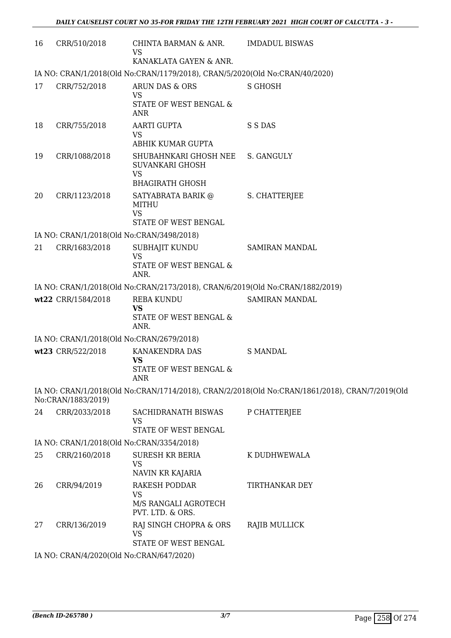| 16 | CRR/510/2018       | CHINTA BARMAN & ANR.<br><b>VS</b><br>KANAKLATA GAYEN & ANR.                                       | <b>IMDADUL BISWAS</b>                                                                          |
|----|--------------------|---------------------------------------------------------------------------------------------------|------------------------------------------------------------------------------------------------|
|    |                    | IA NO: CRAN/1/2018(Old No:CRAN/1179/2018), CRAN/5/2020(Old No:CRAN/40/2020)                       |                                                                                                |
| 17 | CRR/752/2018       | ARUN DAS & ORS<br><b>VS</b>                                                                       | <b>S GHOSH</b>                                                                                 |
|    |                    | STATE OF WEST BENGAL &<br><b>ANR</b>                                                              |                                                                                                |
| 18 | CRR/755/2018       | <b>AARTI GUPTA</b><br><b>VS</b><br>ABHIK KUMAR GUPTA                                              | S S DAS                                                                                        |
| 19 | CRR/1088/2018      | SHUBAHNKARI GHOSH NEE S. GANGULY<br><b>SUVANKARI GHOSH</b><br><b>VS</b><br><b>BHAGIRATH GHOSH</b> |                                                                                                |
| 20 | CRR/1123/2018      | SATYABRATA BARIK @<br><b>MITHU</b><br><b>VS</b><br>STATE OF WEST BENGAL                           | S. CHATTERJEE                                                                                  |
|    |                    | IA NO: CRAN/1/2018(Old No:CRAN/3498/2018)                                                         |                                                                                                |
| 21 | CRR/1683/2018      | SUBHAJIT KUNDU<br><b>VS</b><br>STATE OF WEST BENGAL &<br>ANR.                                     | <b>SAMIRAN MANDAL</b>                                                                          |
|    |                    | IA NO: CRAN/1/2018(Old No:CRAN/2173/2018), CRAN/6/2019(Old No:CRAN/1882/2019)                     |                                                                                                |
|    | wt22 CRR/1584/2018 | <b>REBA KUNDU</b><br><b>VS</b><br>STATE OF WEST BENGAL &                                          | <b>SAMIRAN MANDAL</b>                                                                          |
|    |                    | ANR.<br>IA NO: CRAN/1/2018(Old No:CRAN/2679/2018)                                                 |                                                                                                |
|    | wt23 CRR/522/2018  | KANAKENDRA DAS<br>VS<br>STATE OF WEST BENGAL &<br><b>ANR</b>                                      | <b>S MANDAL</b>                                                                                |
|    | No:CRAN/1883/2019) |                                                                                                   | IA NO: CRAN/1/2018(Old No:CRAN/1714/2018), CRAN/2/2018(Old No:CRAN/1861/2018), CRAN/7/2019(Old |
| 24 | CRR/2033/2018      | SACHIDRANATH BISWAS<br>VS<br>STATE OF WEST BENGAL                                                 | P CHATTERJEE                                                                                   |
|    |                    | IA NO: CRAN/1/2018(Old No:CRAN/3354/2018)                                                         |                                                                                                |
| 25 | CRR/2160/2018      | <b>SURESH KR BERIA</b><br><b>VS</b>                                                               | K DUDHWEWALA                                                                                   |
| 26 | CRR/94/2019        | NAVIN KR KAJARIA<br><b>RAKESH PODDAR</b><br><b>VS</b>                                             | TIRTHANKAR DEY                                                                                 |
|    |                    | M/S RANGALI AGROTECH<br>PVT. LTD. & ORS.                                                          |                                                                                                |
| 27 | CRR/136/2019       | RAJ SINGH CHOPRA & ORS<br><b>VS</b><br>STATE OF WEST BENGAL                                       | RAJIB MULLICK                                                                                  |
|    |                    | IA NO: CRAN/4/2020(Old No:CRAN/647/2020)                                                          |                                                                                                |
|    |                    |                                                                                                   |                                                                                                |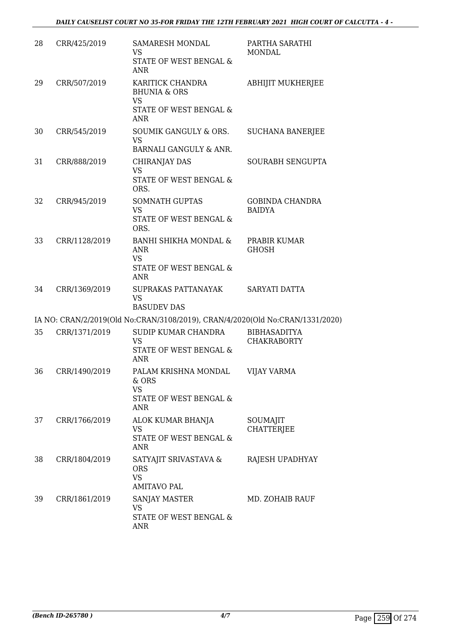| 28 | CRR/425/2019  | SAMARESH MONDAL<br><b>VS</b><br>STATE OF WEST BENGAL &<br><b>ANR</b>                             | PARTHA SARATHI<br>MONDAL                  |
|----|---------------|--------------------------------------------------------------------------------------------------|-------------------------------------------|
| 29 | CRR/507/2019  | KARITICK CHANDRA<br><b>BHUNIA &amp; ORS</b><br><b>VS</b><br>STATE OF WEST BENGAL &<br><b>ANR</b> | <b>ABHIJIT MUKHERJEE</b>                  |
| 30 | CRR/545/2019  | <b>SOUMIK GANGULY &amp; ORS.</b><br><b>VS</b><br>BARNALI GANGULY & ANR.                          | <b>SUCHANA BANERJEE</b>                   |
| 31 | CRR/888/2019  | CHIRANJAY DAS<br><b>VS</b><br>STATE OF WEST BENGAL &<br>ORS.                                     | SOURABH SENGUPTA                          |
| 32 | CRR/945/2019  | <b>SOMNATH GUPTAS</b><br><b>VS</b><br>STATE OF WEST BENGAL &<br>ORS.                             | <b>GOBINDA CHANDRA</b><br><b>BAIDYA</b>   |
| 33 | CRR/1128/2019 | BANHI SHIKHA MONDAL &<br><b>ANR</b><br><b>VS</b><br>STATE OF WEST BENGAL &<br>ANR                | PRABIR KUMAR<br><b>GHOSH</b>              |
| 34 | CRR/1369/2019 | SUPRAKAS PATTANAYAK<br><b>VS</b><br><b>BASUDEV DAS</b>                                           | SARYATI DATTA                             |
|    |               | IA NO: CRAN/2/2019(Old No:CRAN/3108/2019), CRAN/4/2020(Old No:CRAN/1331/2020)                    |                                           |
| 35 | CRR/1371/2019 | SUDIP KUMAR CHANDRA<br><b>VS</b><br>STATE OF WEST BENGAL &<br><b>ANR</b>                         | <b>BIBHASADITYA</b><br><b>CHAKRABORTY</b> |
| 36 | CRR/1490/2019 | PALAM KRISHNA MONDAL<br>& ORS<br><b>VS</b><br>STATE OF WEST BENGAL &<br><b>ANR</b>               | <b>VIJAY VARMA</b>                        |
| 37 | CRR/1766/2019 | ALOK KUMAR BHANJA<br>VS<br>STATE OF WEST BENGAL &<br><b>ANR</b>                                  | SOUMAJIT<br><b>CHATTERJEE</b>             |
| 38 | CRR/1804/2019 | SATYAJIT SRIVASTAVA &<br><b>ORS</b><br><b>VS</b><br><b>AMITAVO PAL</b>                           | RAJESH UPADHYAY                           |
| 39 | CRR/1861/2019 | <b>SANJAY MASTER</b><br><b>VS</b><br>STATE OF WEST BENGAL &<br><b>ANR</b>                        | MD. ZOHAIB RAUF                           |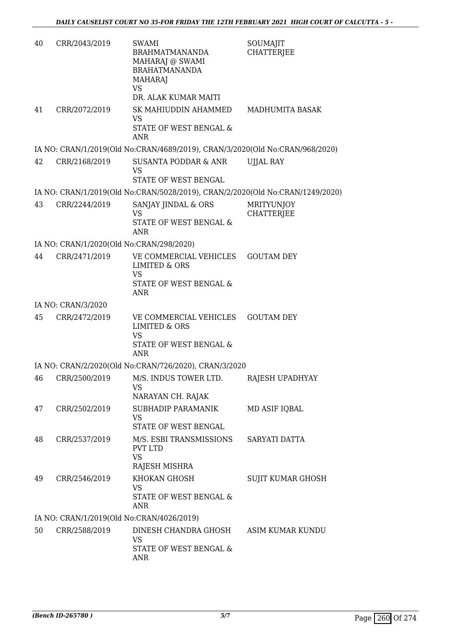| 40 | CRR/2043/2019      | SWAMI<br><b>BRAHMATMANANDA</b><br>MAHARAJ @ SWAMI<br><b>BRAHATMANANDA</b><br><b>MAHARAJ</b><br><b>VS</b><br>DR. ALAK KUMAR MAITI | SOUMAJIT<br><b>CHATTERIEE</b>          |
|----|--------------------|----------------------------------------------------------------------------------------------------------------------------------|----------------------------------------|
| 41 | CRR/2072/2019      | SK MAHIUDDIN AHAMMED<br>VS<br><b>STATE OF WEST BENGAL &amp;</b><br><b>ANR</b>                                                    | MADHUMITA BASAK                        |
|    |                    | IA NO: CRAN/1/2019(Old No:CRAN/4689/2019), CRAN/3/2020(Old No:CRAN/968/2020)                                                     |                                        |
| 42 | CRR/2168/2019      | SUSANTA PODDAR & ANR<br><b>VS</b><br>STATE OF WEST BENGAL                                                                        | <b>UJJAL RAY</b>                       |
|    |                    | IA NO: CRAN/1/2019(Old No:CRAN/5028/2019), CRAN/2/2020(Old No:CRAN/1249/2020)                                                    |                                        |
| 43 | CRR/2244/2019      | SANJAY JINDAL & ORS<br><b>VS</b><br><b>STATE OF WEST BENGAL &amp;</b><br><b>ANR</b>                                              | <b>MRITYUNJOY</b><br><b>CHATTERJEE</b> |
|    |                    | IA NO: CRAN/1/2020(Old No:CRAN/298/2020)                                                                                         |                                        |
| 44 | CRR/2471/2019      | VE COMMERCIAL VEHICLES<br><b>LIMITED &amp; ORS</b><br><b>VS</b><br>STATE OF WEST BENGAL &<br><b>ANR</b>                          | <b>GOUTAM DEY</b>                      |
|    | IA NO: CRAN/3/2020 |                                                                                                                                  |                                        |
| 45 | CRR/2472/2019      | VE COMMERCIAL VEHICLES<br><b>LIMITED &amp; ORS</b><br><b>VS</b><br>STATE OF WEST BENGAL &<br><b>ANR</b>                          | <b>GOUTAM DEY</b>                      |
|    |                    | IA NO: CRAN/2/2020(Old No:CRAN/726/2020), CRAN/3/2020                                                                            |                                        |
|    |                    | 46 CRR/2500/2019 M/S. INDUS TOWER LTD.<br>VS<br>NARAYAN CH. RAJAK                                                                | RAJESH UPADHYAY                        |
| 47 | CRR/2502/2019      | SUBHADIP PARAMANIK<br><b>VS</b><br>STATE OF WEST BENGAL                                                                          | MD ASIF IQBAL                          |
| 48 | CRR/2537/2019      | M/S. ESBI TRANSMISSIONS<br><b>PVT LTD</b><br><b>VS</b><br>RAJESH MISHRA                                                          | SARYATI DATTA                          |
| 49 | CRR/2546/2019      | KHOKAN GHOSH<br><b>VS</b><br>STATE OF WEST BENGAL &<br><b>ANR</b>                                                                | SUJIT KUMAR GHOSH                      |
|    |                    | IA NO: CRAN/1/2019(Old No:CRAN/4026/2019)                                                                                        |                                        |
| 50 | CRR/2588/2019      | DINESH CHANDRA GHOSH<br>VS<br>STATE OF WEST BENGAL &<br><b>ANR</b>                                                               | ASIM KUMAR KUNDU                       |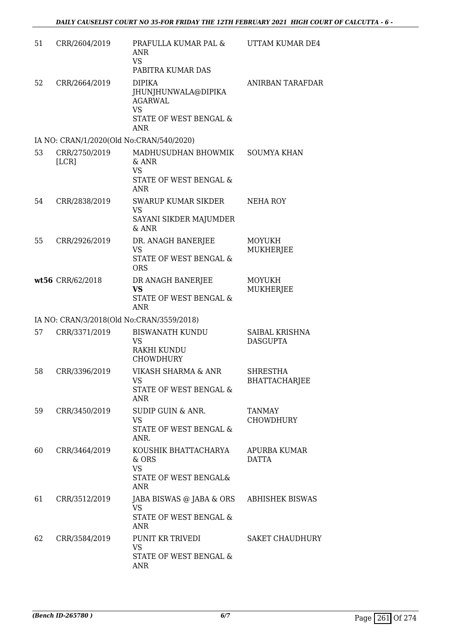| 51 | CRR/2604/2019                             | PRAFULLA KUMAR PAL &<br><b>ANR</b><br><b>VS</b><br>PABITRA KUMAR DAS                                                   | UTTAM KUMAR DE4                         |
|----|-------------------------------------------|------------------------------------------------------------------------------------------------------------------------|-----------------------------------------|
| 52 | CRR/2664/2019                             | <b>DIPIKA</b><br>JHUNJHUNWALA@DIPIKA<br><b>AGARWAL</b><br><b>VS</b><br><b>STATE OF WEST BENGAL &amp;</b><br><b>ANR</b> | ANIRBAN TARAFDAR                        |
|    | IA NO: CRAN/1/2020(Old No:CRAN/540/2020)  |                                                                                                                        |                                         |
| 53 | CRR/2750/2019<br>[LCR]                    | MADHUSUDHAN BHOWMIK<br>& ANR<br><b>VS</b><br>STATE OF WEST BENGAL &<br><b>ANR</b>                                      | <b>SOUMYA KHAN</b>                      |
| 54 | CRR/2838/2019                             | <b>SWARUP KUMAR SIKDER</b><br><b>VS</b><br>SAYANI SIKDER MAJUMDER<br>$&$ ANR                                           | <b>NEHA ROY</b>                         |
| 55 | CRR/2926/2019                             | DR. ANAGH BANERJEE<br><b>VS</b><br>STATE OF WEST BENGAL &<br><b>ORS</b>                                                | <b>MOYUKH</b><br>MUKHERJEE              |
|    | wt56 CRR/62/2018                          | DR ANAGH BANERJEE<br><b>VS</b><br>STATE OF WEST BENGAL &<br><b>ANR</b>                                                 | <b>MOYUKH</b><br><b>MUKHERJEE</b>       |
|    | IA NO: CRAN/3/2018(Old No:CRAN/3559/2018) |                                                                                                                        |                                         |
| 57 | CRR/3371/2019                             | <b>BISWANATH KUNDU</b><br><b>VS</b><br>RAKHI KUNDU<br><b>CHOWDHURY</b>                                                 | SAIBAL KRISHNA<br><b>DASGUPTA</b>       |
| 58 | CRR/3396/2019                             | VIKASH SHARMA & ANR<br><b>VS</b><br>STATE OF WEST BENGAL &<br><b>ANR</b>                                               | <b>SHRESTHA</b><br><b>BHATTACHARJEE</b> |
| 59 | CRR/3450/2019                             | SUDIP GUIN & ANR.<br><b>VS</b><br>STATE OF WEST BENGAL &<br>ANR.                                                       | <b>TANMAY</b><br><b>CHOWDHURY</b>       |
| 60 | CRR/3464/2019                             | KOUSHIK BHATTACHARYA<br>$&$ ORS<br><b>VS</b><br>STATE OF WEST BENGAL&<br><b>ANR</b>                                    | <b>APURBA KUMAR</b><br><b>DATTA</b>     |
| 61 | CRR/3512/2019                             | JABA BISWAS @ JABA & ORS<br><b>VS</b><br>STATE OF WEST BENGAL &<br><b>ANR</b>                                          | ABHISHEK BISWAS                         |
| 62 | CRR/3584/2019                             | PUNIT KR TRIVEDI<br><b>VS</b><br>STATE OF WEST BENGAL &<br><b>ANR</b>                                                  | <b>SAKET CHAUDHURY</b>                  |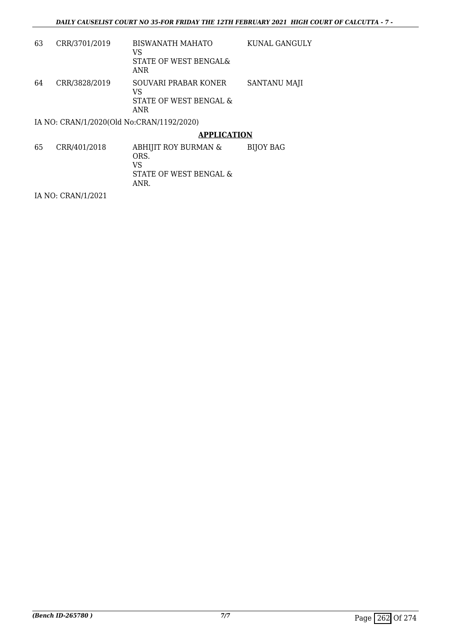| 63 | CRR/3701/2019                             | <b>BISWANATH MAHATO</b><br>VS<br>STATE OF WEST BENGAL&<br>ANR      | KUNAL GANGULY |
|----|-------------------------------------------|--------------------------------------------------------------------|---------------|
| 64 | CRR/3828/2019                             | SOUVARI PRABAR KONER<br>VS<br>STATE OF WEST BENGAL &<br><b>ANR</b> | SANTANU MAJI  |
|    | IA NO: CRAN/1/2020(Old No:CRAN/1192/2020) |                                                                    |               |

### **APPLICATION**

65 CRR/401/2018 ABHIJIT ROY BURMAN & ORS. VS STATE OF WEST BENGAL & ANR. BIJOY BAG

IA NO: CRAN/1/2021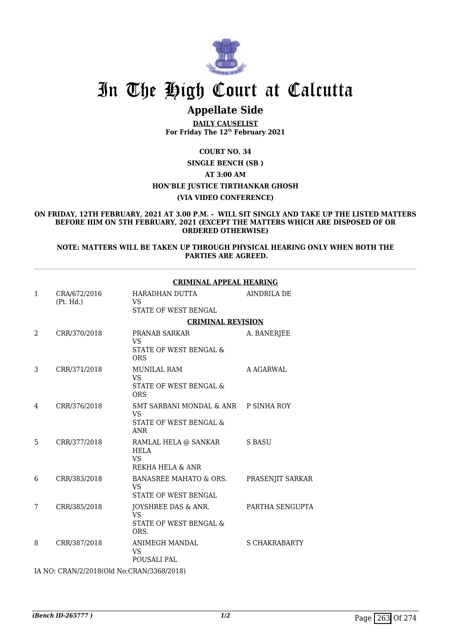

# In The High Court at Calcutta

# **Appellate Side**

**DAILY CAUSELIST For Friday The 12th February 2021**

**COURT NO. 34 SINGLE BENCH (SB ) AT 3:00 AM HON'BLE JUSTICE TIRTHANKAR GHOSH (VIA VIDEO CONFERENCE)**

#### **ON FRIDAY, 12TH FEBRUARY, 2021 AT 3.00 P.M. - WILL SIT SINGLY AND TAKE UP THE LISTED MATTERS BEFORE HIM ON 5TH FEBRUARY, 2021 (EXCEPT THE MATTERS WHICH ARE DISPOSED OF OR ORDERED OTHERWISE)**

#### **NOTE: MATTERS WILL BE TAKEN UP THROUGH PHYSICAL HEARING ONLY WHEN BOTH THE PARTIES ARE AGREED.**

|   |                                               | <b>CRIMINAL APPEAL HEARING</b>                                                            |                      |  |
|---|-----------------------------------------------|-------------------------------------------------------------------------------------------|----------------------|--|
| 1 | CRA/672/2016<br>(Pt. Hd.)                     | HARADHAN DUTTA<br><b>VS</b><br><b>STATE OF WEST BENGAL</b>                                | <b>AINDRILA DE</b>   |  |
|   |                                               | <b>CRIMINAL REVISION</b>                                                                  |                      |  |
| 2 | CRR/370/2018                                  | <b>PRANAB SARKAR</b><br>VS<br>STATE OF WEST BENGAL &<br><b>ORS</b>                        | A. BANERJEE          |  |
| 3 | CRR/371/2018                                  | <b>MUNILAL RAM</b><br><b>VS</b><br>STATE OF WEST BENGAL &<br><b>ORS</b>                   | A AGARWAL            |  |
| 4 | CRR/376/2018                                  | SMT SARBANI MONDAL & ANR P SINHA ROY<br><b>VS</b><br>STATE OF WEST BENGAL &<br><b>ANR</b> |                      |  |
| 5 | CRR/377/2018                                  | RAMLAL HELA @ SANKAR<br><b>HELA</b><br><b>VS</b><br>REKHA HELA & ANR                      | S BASU               |  |
| 6 | CRR/383/2018                                  | BANASREE MAHATO & ORS.<br>VS.<br><b>STATE OF WEST BENGAL</b>                              | PRASENJIT SARKAR     |  |
| 7 | CRR/385/2018                                  | JOYSHREE DAS & ANR.<br><b>VS</b><br><b>STATE OF WEST BENGAL &amp;</b><br>ORS.             | PARTHA SENGUPTA      |  |
| 8 | CRR/387/2018                                  | ANIMEGH MANDAL<br><b>VS</b><br>POUSALI PAL                                                | <b>S CHAKRABARTY</b> |  |
|   | $I$ AIO, CDANIO (0010(011 NL, CDANIO3CO/3010) |                                                                                           |                      |  |

IA NO: CRAN/2/2018(Old No:CRAN/3368/2018)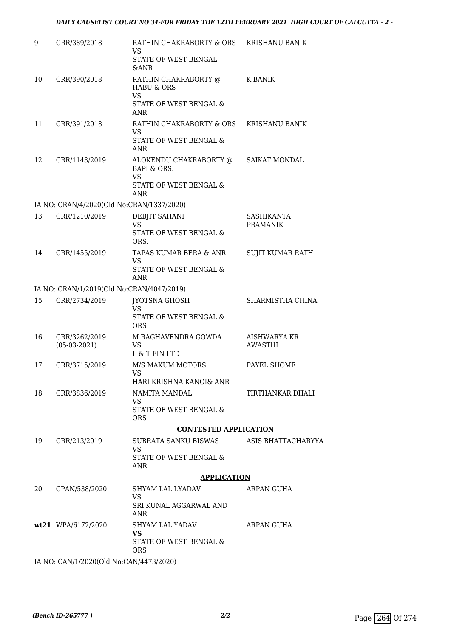| 9  | CRR/389/2018                              | RATHIN CHAKRABORTY & ORS<br><b>VS</b><br>STATE OF WEST BENGAL<br><b>&amp;ANR</b>                      | <b>KRISHANU BANIK</b>          |
|----|-------------------------------------------|-------------------------------------------------------------------------------------------------------|--------------------------------|
| 10 | CRR/390/2018                              | RATHIN CHAKRABORTY @<br><b>HABU &amp; ORS</b><br><b>VS</b><br>STATE OF WEST BENGAL &<br><b>ANR</b>    | K BANIK                        |
| 11 | CRR/391/2018                              | RATHIN CHAKRABORTY & ORS<br><b>VS</b><br>STATE OF WEST BENGAL &<br><b>ANR</b>                         | KRISHANU BANIK                 |
| 12 | CRR/1143/2019                             | ALOKENDU CHAKRABORTY @<br><b>BAPI &amp; ORS.</b><br><b>VS</b><br>STATE OF WEST BENGAL &<br><b>ANR</b> | SAIKAT MONDAL                  |
|    | IA NO: CRAN/4/2020(Old No:CRAN/1337/2020) |                                                                                                       |                                |
| 13 | CRR/1210/2019                             | DEBJIT SAHANI<br><b>VS</b><br>STATE OF WEST BENGAL &<br>ORS.                                          | SASHIKANTA<br><b>PRAMANIK</b>  |
| 14 | CRR/1455/2019                             | TAPAS KUMAR BERA & ANR<br>VS<br>STATE OF WEST BENGAL &<br><b>ANR</b>                                  | SUJIT KUMAR RATH               |
|    | IA NO: CRAN/1/2019(Old No:CRAN/4047/2019) |                                                                                                       |                                |
| 15 | CRR/2734/2019                             | <b>JYOTSNA GHOSH</b>                                                                                  | SHARMISTHA CHINA               |
|    |                                           | <b>VS</b><br>STATE OF WEST BENGAL &<br><b>ORS</b>                                                     |                                |
| 16 | CRR/3262/2019<br>$(05-03-2021)$           | M RAGHAVENDRA GOWDA<br><b>VS</b><br>L & T FIN LTD                                                     | AISHWARYA KR<br><b>AWASTHI</b> |
| 17 | CRR/3715/2019                             | M/S MAKUM MOTORS<br><b>VS</b><br>HARI KRISHNA KANOI& ANR                                              | PAYEL SHOME                    |
| 18 | CRR/3836/2019                             | NAMITA MANDAL                                                                                         | TIRTHANKAR DHALI               |
|    |                                           | VS.<br>STATE OF WEST BENGAL &<br><b>ORS</b>                                                           |                                |
|    |                                           | <b>CONTESTED APPLICATION</b>                                                                          |                                |
| 19 | CRR/213/2019                              | SUBRATA SANKU BISWAS<br>VS.                                                                           | ASIS BHATTACHARYYA             |
|    |                                           | STATE OF WEST BENGAL &<br><b>ANR</b>                                                                  |                                |
|    |                                           | <b>APPLICATION</b>                                                                                    |                                |
| 20 | CPAN/538/2020                             | SHYAM LAL LYADAV                                                                                      | ARPAN GUHA                     |
|    |                                           | VS.<br>SRI KUNAL AGGARWAL AND<br>ANR                                                                  |                                |
|    | wt21 WPA/6172/2020                        | SHYAM LAL YADAV<br><b>VS</b>                                                                          | ARPAN GUHA                     |
|    |                                           | STATE OF WEST BENGAL &<br>ORS                                                                         |                                |
|    | IA NO: CAN/1/2020(Old No:CAN/4473/2020)   |                                                                                                       |                                |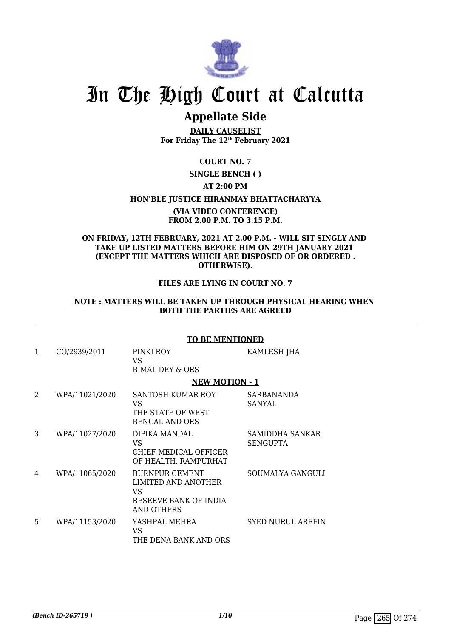

# In The High Court at Calcutta

# **Appellate Side**

**DAILY CAUSELIST For Friday The 12th February 2021**

# **COURT NO. 7**

**SINGLE BENCH ( )**

# **AT 2:00 PM**

### **HON'BLE JUSTICE HIRANMAY BHATTACHARYYA**

### **(VIA VIDEO CONFERENCE) FROM 2.00 P.M. TO 3.15 P.M.**

### **ON FRIDAY, 12TH FEBRUARY, 2021 AT 2.00 P.M. - WILL SIT SINGLY AND TAKE UP LISTED MATTERS BEFORE HIM ON 29TH JANUARY 2021 (EXCEPT THE MATTERS WHICH ARE DISPOSED OF OR ORDERED . OTHERWISE).**

# **FILES ARE LYING IN COURT NO. 7**

### **NOTE : MATTERS WILL BE TAKEN UP THROUGH PHYSICAL HEARING WHEN BOTH THE PARTIES ARE AGREED**

# **TO BE MENTIONED**

| 1 | CO/2939/2011   | PINKI ROY<br>VS.<br><b>BIMAL DEY &amp; ORS</b>                                                    | KAMLESH JHA                        |
|---|----------------|---------------------------------------------------------------------------------------------------|------------------------------------|
|   |                | <b>NEW MOTION - 1</b>                                                                             |                                    |
| 2 | WPA/11021/2020 | SANTOSH KUMAR ROY<br>VS.<br>THE STATE OF WEST<br><b>BENGAL AND ORS</b>                            | SARBANANDA<br>SANYAL               |
| 3 | WPA/11027/2020 | DIPIKA MANDAL<br>VS.<br>CHIEF MEDICAL OFFICER<br>OF HEALTH, RAMPURHAT                             | SAMIDDHA SANKAR<br><b>SENGUPTA</b> |
| 4 | WPA/11065/2020 | <b>BURNPUR CEMENT</b><br>LIMITED AND ANOTHER<br>VS.<br>RESERVE BANK OF INDIA<br><b>AND OTHERS</b> | SOUMALYA GANGULI                   |
| 5 | WPA/11153/2020 | YASHPAL MEHRA<br>VS<br>THE DENA BANK AND ORS                                                      | <b>SYED NURUL AREFIN</b>           |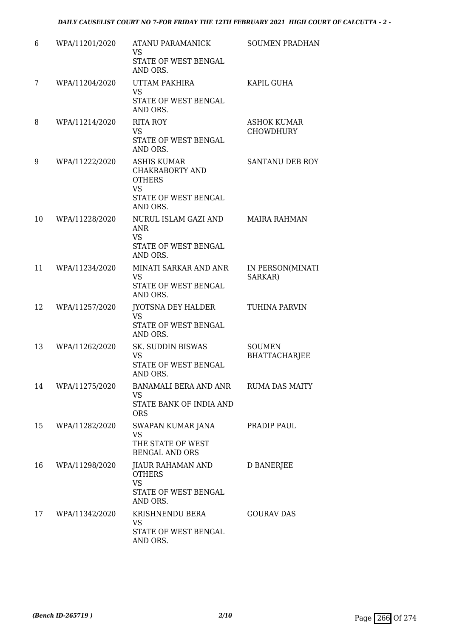| 6  | WPA/11201/2020 | ATANU PARAMANICK<br><b>VS</b><br>STATE OF WEST BENGAL<br>AND ORS.                                              | <b>SOUMEN PRADHAN</b>                  |
|----|----------------|----------------------------------------------------------------------------------------------------------------|----------------------------------------|
| 7  | WPA/11204/2020 | UTTAM PAKHIRA<br><b>VS</b><br>STATE OF WEST BENGAL<br>AND ORS.                                                 | KAPIL GUHA                             |
| 8  | WPA/11214/2020 | RITA ROY<br>VS<br>STATE OF WEST BENGAL<br>AND ORS.                                                             | <b>ASHOK KUMAR</b><br><b>CHOWDHURY</b> |
| 9  | WPA/11222/2020 | <b>ASHIS KUMAR</b><br><b>CHAKRABORTY AND</b><br><b>OTHERS</b><br><b>VS</b><br>STATE OF WEST BENGAL<br>AND ORS. | SANTANU DEB ROY                        |
| 10 | WPA/11228/2020 | NURUL ISLAM GAZI AND<br><b>ANR</b><br><b>VS</b><br>STATE OF WEST BENGAL<br>AND ORS.                            | <b>MAIRA RAHMAN</b>                    |
| 11 | WPA/11234/2020 | MINATI SARKAR AND ANR<br>VS<br>STATE OF WEST BENGAL<br>AND ORS.                                                | IN PERSON(MINATI<br>SARKAR)            |
| 12 | WPA/11257/2020 | JYOTSNA DEY HALDER<br><b>VS</b><br>STATE OF WEST BENGAL<br>AND ORS.                                            | TUHINA PARVIN                          |
| 13 | WPA/11262/2020 | SK. SUDDIN BISWAS<br><b>VS</b><br>STATE OF WEST BENGAL<br><b>AND ORS</b>                                       | <b>SOUMEN</b><br><b>BHATTACHARJEE</b>  |
| 14 | WPA/11275/2020 | BANAMALI BERA AND ANR<br>VS<br>STATE BANK OF INDIA AND<br><b>ORS</b>                                           | <b>RUMA DAS MAITY</b>                  |
| 15 | WPA/11282/2020 | SWAPAN KUMAR JANA<br><b>VS</b><br>THE STATE OF WEST<br><b>BENGAL AND ORS</b>                                   | PRADIP PAUL                            |
| 16 | WPA/11298/2020 | JIAUR RAHAMAN AND<br><b>OTHERS</b><br><b>VS</b><br>STATE OF WEST BENGAL                                        | D BANERJEE                             |
| 17 | WPA/11342/2020 | AND ORS.<br>KRISHNENDU BERA<br>VS<br>STATE OF WEST BENGAL<br>AND ORS.                                          | <b>GOURAV DAS</b>                      |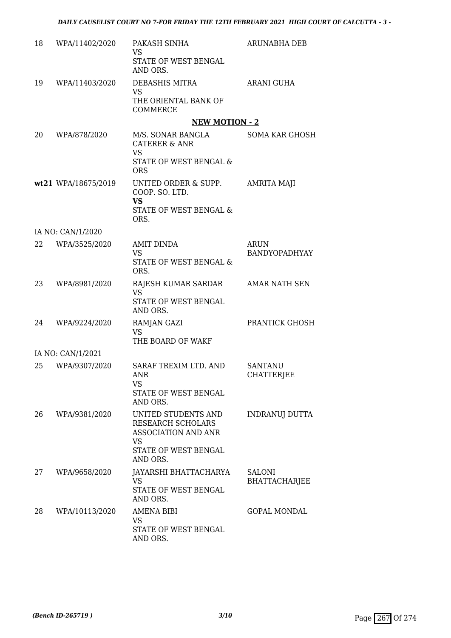| 18 | WPA/11402/2020      | PAKASH SINHA<br><b>VS</b><br>STATE OF WEST BENGAL<br>AND ORS.                                                                  | ARUNABHA DEB                          |
|----|---------------------|--------------------------------------------------------------------------------------------------------------------------------|---------------------------------------|
| 19 | WPA/11403/2020      | DEBASHIS MITRA<br><b>VS</b><br>THE ORIENTAL BANK OF<br><b>COMMERCE</b>                                                         | <b>ARANI GUHA</b>                     |
|    |                     | <b>NEW MOTION - 2</b>                                                                                                          |                                       |
| 20 | WPA/878/2020        | M/S. SONAR BANGLA<br><b>CATERER &amp; ANR</b><br><b>VS</b><br>STATE OF WEST BENGAL &<br><b>ORS</b>                             | SOMA KAR GHOSH                        |
|    | wt21 WPA/18675/2019 | UNITED ORDER & SUPP.<br>COOP. SO. LTD.<br><b>VS</b><br>STATE OF WEST BENGAL &<br>ORS.                                          | <b>AMRITA MAJI</b>                    |
|    | IA NO: CAN/1/2020   |                                                                                                                                |                                       |
| 22 | WPA/3525/2020       | AMIT DINDA<br><b>VS</b><br>STATE OF WEST BENGAL &<br>ORS.                                                                      | <b>ARUN</b><br>BANDYOPADHYAY          |
| 23 | WPA/8981/2020       | RAJESH KUMAR SARDAR<br><b>VS</b><br>STATE OF WEST BENGAL<br>AND ORS.                                                           | <b>AMAR NATH SEN</b>                  |
| 24 | WPA/9224/2020       | RAMJAN GAZI<br><b>VS</b><br>THE BOARD OF WAKF                                                                                  | PRANTICK GHOSH                        |
|    | IA NO: CAN/1/2021   |                                                                                                                                |                                       |
| 25 | WPA/9307/2020       | SARAF TREXIM LTD. AND<br>ANR<br>VS<br>STATE OF WEST BENGAL<br>AND ORS.                                                         | <b>SANTANU</b><br><b>CHATTERJEE</b>   |
| 26 | WPA/9381/2020       | UNITED STUDENTS AND<br><b>RESEARCH SCHOLARS</b><br><b>ASSOCIATION AND ANR</b><br><b>VS</b><br>STATE OF WEST BENGAL<br>AND ORS. | <b>INDRANUJ DUTTA</b>                 |
| 27 | WPA/9658/2020       | JAYARSHI BHATTACHARYA<br><b>VS</b><br>STATE OF WEST BENGAL<br>AND ORS.                                                         | <b>SALONI</b><br><b>BHATTACHARJEE</b> |
| 28 | WPA/10113/2020      | <b>AMENA BIBI</b><br>VS<br>STATE OF WEST BENGAL<br>AND ORS.                                                                    | <b>GOPAL MONDAL</b>                   |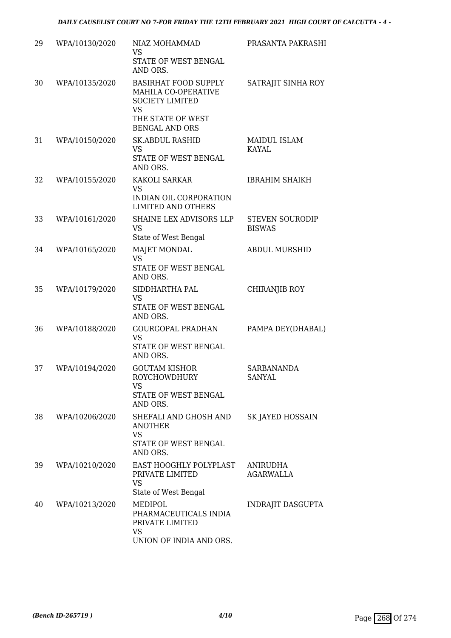| 29 | WPA/10130/2020 | NIAZ MOHAMMAD<br><b>VS</b><br>STATE OF WEST BENGAL<br>AND ORS.                                                                          | PRASANTA PAKRASHI                       |
|----|----------------|-----------------------------------------------------------------------------------------------------------------------------------------|-----------------------------------------|
| 30 | WPA/10135/2020 | <b>BASIRHAT FOOD SUPPLY</b><br>MAHILA CO-OPERATIVE<br><b>SOCIETY LIMITED</b><br><b>VS</b><br>THE STATE OF WEST<br><b>BENGAL AND ORS</b> | SATRAJIT SINHA ROY                      |
| 31 | WPA/10150/2020 | <b>SK.ABDUL RASHID</b><br><b>VS</b><br>STATE OF WEST BENGAL<br>AND ORS.                                                                 | <b>MAIDUL ISLAM</b><br><b>KAYAL</b>     |
| 32 | WPA/10155/2020 | KAKOLI SARKAR<br><b>VS</b><br>INDIAN OIL CORPORATION<br><b>LIMITED AND OTHERS</b>                                                       | <b>IBRAHIM SHAIKH</b>                   |
| 33 | WPA/10161/2020 | SHAINE LEX ADVISORS LLP<br><b>VS</b><br>State of West Bengal                                                                            | <b>STEVEN SOURODIP</b><br><b>BISWAS</b> |
| 34 | WPA/10165/2020 | MAJET MONDAL<br><b>VS</b><br>STATE OF WEST BENGAL<br>AND ORS.                                                                           | <b>ABDUL MURSHID</b>                    |
| 35 | WPA/10179/2020 | SIDDHARTHA PAL<br><b>VS</b><br>STATE OF WEST BENGAL<br>AND ORS.                                                                         | CHIRANJIB ROY                           |
| 36 | WPA/10188/2020 | <b>GOURGOPAL PRADHAN</b><br><b>VS</b><br>STATE OF WEST BENGAL<br>AND ORS.                                                               | PAMPA DEY(DHABAL)                       |
| 37 | WPA/10194/2020 | <b>GOUTAM KISHOR</b><br>ROYCHOWDHURY<br><b>VS</b><br>STATE OF WEST BENGAL<br>AND ORS.                                                   | <b>SARBANANDA</b><br>SANYAL             |
| 38 | WPA/10206/2020 | SHEFALI AND GHOSH AND<br>ANOTHER<br><b>VS</b><br>STATE OF WEST BENGAL<br>AND ORS.                                                       | SK JAYED HOSSAIN                        |
| 39 | WPA/10210/2020 | EAST HOOGHLY POLYPLAST<br>PRIVATE LIMITED<br><b>VS</b><br>State of West Bengal                                                          | <b>ANIRUDHA</b><br><b>AGARWALLA</b>     |
| 40 | WPA/10213/2020 | MEDIPOL<br>PHARMACEUTICALS INDIA<br>PRIVATE LIMITED<br>VS<br>UNION OF INDIA AND ORS.                                                    | INDRAJIT DASGUPTA                       |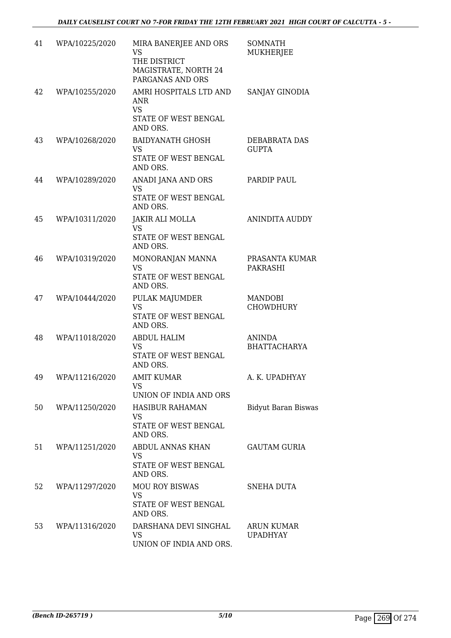| 41 | WPA/10225/2020 | MIRA BANERJEE AND ORS<br><b>VS</b><br>THE DISTRICT<br>MAGISTRATE, NORTH 24<br>PARGANAS AND ORS | <b>SOMNATH</b><br>MUKHERJEE          |
|----|----------------|------------------------------------------------------------------------------------------------|--------------------------------------|
| 42 | WPA/10255/2020 | AMRI HOSPITALS LTD AND<br>ANR<br><b>VS</b><br>STATE OF WEST BENGAL<br>AND ORS.                 | SANJAY GINODIA                       |
| 43 | WPA/10268/2020 | <b>BAIDYANATH GHOSH</b><br><b>VS</b><br>STATE OF WEST BENGAL<br>AND ORS.                       | DEBABRATA DAS<br><b>GUPTA</b>        |
| 44 | WPA/10289/2020 | ANADI JANA AND ORS<br>VS<br>STATE OF WEST BENGAL<br>AND ORS.                                   | PARDIP PAUL                          |
| 45 | WPA/10311/2020 | <b>JAKIR ALI MOLLA</b><br><b>VS</b><br>STATE OF WEST BENGAL<br>AND ORS.                        | ANINDITA AUDDY                       |
| 46 | WPA/10319/2020 | MONORANJAN MANNA<br><b>VS</b><br>STATE OF WEST BENGAL<br>AND ORS.                              | PRASANTA KUMAR<br>PAKRASHI           |
| 47 | WPA/10444/2020 | PULAK MAJUMDER<br><b>VS</b><br>STATE OF WEST BENGAL<br>AND ORS.                                | MANDOBI<br><b>CHOWDHURY</b>          |
| 48 | WPA/11018/2020 | <b>ABDUL HALIM</b><br><b>VS</b><br>STATE OF WEST BENGAL<br>AND ORS.                            | <b>ANINDA</b><br><b>BHATTACHARYA</b> |
| 49 | WPA/11216/2020 | AMIT KUMAR<br>VS<br>UNION OF INDIA AND ORS                                                     | A. K. UPADHYAY                       |
| 50 | WPA/11250/2020 | <b>HASIBUR RAHAMAN</b><br><b>VS</b><br>STATE OF WEST BENGAL<br>AND ORS.                        | <b>Bidyut Baran Biswas</b>           |
| 51 | WPA/11251/2020 | ABDUL ANNAS KHAN<br>VS<br>STATE OF WEST BENGAL<br>AND ORS.                                     | <b>GAUTAM GURIA</b>                  |
| 52 | WPA/11297/2020 | <b>MOU ROY BISWAS</b><br><b>VS</b><br>STATE OF WEST BENGAL<br>AND ORS.                         | SNEHA DUTA                           |
| 53 | WPA/11316/2020 | DARSHANA DEVI SINGHAL<br>VS<br>UNION OF INDIA AND ORS.                                         | <b>ARUN KUMAR</b><br><b>UPADHYAY</b> |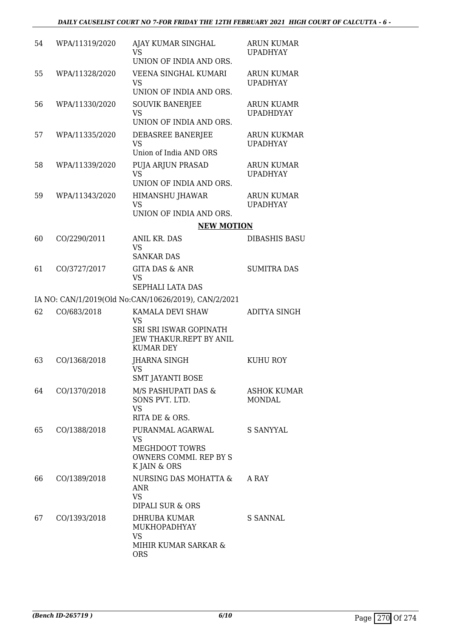| 54 | WPA/11319/2020 | AJAY KUMAR SINGHAL<br><b>VS</b>                                                                         | <b>ARUN KUMAR</b><br><b>UPADHYAY</b>  |
|----|----------------|---------------------------------------------------------------------------------------------------------|---------------------------------------|
| 55 | WPA/11328/2020 | UNION OF INDIA AND ORS.<br>VEENA SINGHAL KUMARI<br><b>VS</b><br>UNION OF INDIA AND ORS.                 | <b>ARUN KUMAR</b><br><b>UPADHYAY</b>  |
| 56 | WPA/11330/2020 | <b>SOUVIK BANERJEE</b><br><b>VS</b><br>UNION OF INDIA AND ORS.                                          | <b>ARUN KUAMR</b><br><b>UPADHDYAY</b> |
| 57 | WPA/11335/2020 | DEBASREE BANERJEE<br><b>VS</b><br>Union of India AND ORS                                                | <b>ARUN KUKMAR</b><br><b>UPADHYAY</b> |
| 58 | WPA/11339/2020 | PUJA ARJUN PRASAD<br><b>VS</b><br>UNION OF INDIA AND ORS.                                               | <b>ARUN KUMAR</b><br><b>UPADHYAY</b>  |
| 59 | WPA/11343/2020 | <b>HIMANSHU JHAWAR</b><br><b>VS</b><br>UNION OF INDIA AND ORS.                                          | <b>ARUN KUMAR</b><br><b>UPADHYAY</b>  |
|    |                | <b>NEW MOTION</b>                                                                                       |                                       |
| 60 | CO/2290/2011   | ANIL KR. DAS                                                                                            | <b>DIBASHIS BASU</b>                  |
|    |                | <b>VS</b><br><b>SANKAR DAS</b>                                                                          |                                       |
| 61 | CO/3727/2017   | <b>GITA DAS &amp; ANR</b><br><b>VS</b><br>SEPHALI LATA DAS                                              | <b>SUMITRA DAS</b>                    |
|    |                | IA NO: CAN/1/2019(Old No:CAN/10626/2019), CAN/2/2021                                                    |                                       |
| 62 | CO/683/2018    | KAMALA DEVI SHAW<br><b>VS</b><br>SRI SRI ISWAR GOPINATH<br>JEW THAKUR.REPT BY ANIL<br><b>KUMAR DEY</b>  | <b>ADITYA SINGH</b>                   |
| 63 | CO/1368/2018   | <b>JHARNA SINGH</b><br><b>VS</b><br><b>SMT JAYANTI BOSE</b>                                             | <b>KUHU ROY</b>                       |
| 64 | CO/1370/2018   | M/S PASHUPATI DAS &<br>SONS PVT. LTD.<br><b>VS</b><br>RITA DE & ORS.                                    | <b>ASHOK KUMAR</b><br>MONDAL          |
| 65 | CO/1388/2018   | PURANMAL AGARWAL<br><b>VS</b><br><b>MEGHDOOT TOWRS</b><br><b>OWNERS COMMI. REP BY S</b><br>K JAIN & ORS | S SANYYAL                             |
| 66 | CO/1389/2018   | NURSING DAS MOHATTA &<br><b>ANR</b><br><b>VS</b><br>DIPALI SUR & ORS                                    | A RAY                                 |
| 67 | CO/1393/2018   | DHRUBA KUMAR<br>MUKHOPADHYAY<br>VS<br>MIHIR KUMAR SARKAR &                                              | S SANNAL                              |
|    |                | <b>ORS</b>                                                                                              |                                       |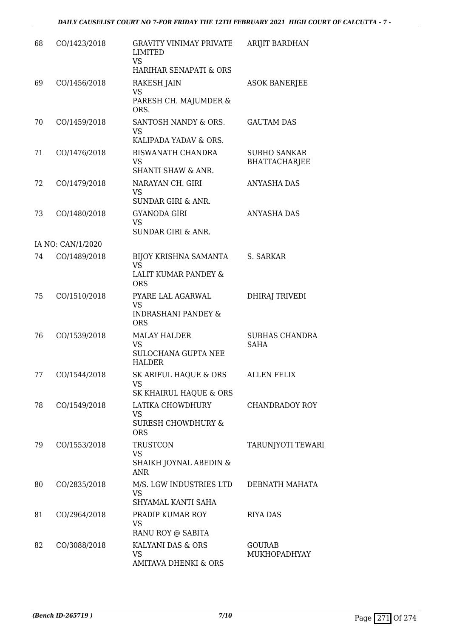| 68 | CO/1423/2018      | <b>GRAVITY VINIMAY PRIVATE</b><br><b>LIMITED</b><br><b>VS</b><br>HARIHAR SENAPATI & ORS | ARIJIT BARDHAN                              |
|----|-------------------|-----------------------------------------------------------------------------------------|---------------------------------------------|
| 69 | CO/1456/2018      | <b>RAKESH JAIN</b><br><b>VS</b><br>PARESH CH. MAJUMDER &<br>ORS.                        | <b>ASOK BANERJEE</b>                        |
| 70 | CO/1459/2018      | SANTOSH NANDY & ORS.<br><b>VS</b><br>KALIPADA YADAV & ORS.                              | <b>GAUTAM DAS</b>                           |
| 71 | CO/1476/2018      | <b>BISWANATH CHANDRA</b><br><b>VS</b><br>SHANTI SHAW & ANR.                             | <b>SUBHO SANKAR</b><br><b>BHATTACHARJEE</b> |
| 72 | CO/1479/2018      | NARAYAN CH. GIRI<br><b>VS</b><br><b>SUNDAR GIRI &amp; ANR.</b>                          | <b>ANYASHA DAS</b>                          |
| 73 | CO/1480/2018      | <b>GYANODA GIRI</b><br><b>VS</b><br><b>SUNDAR GIRI &amp; ANR.</b>                       | <b>ANYASHA DAS</b>                          |
|    | IA NO: CAN/1/2020 |                                                                                         |                                             |
| 74 | CO/1489/2018      | BIJOY KRISHNA SAMANTA<br><b>VS</b>                                                      | S. SARKAR                                   |
|    |                   | LALIT KUMAR PANDEY &<br><b>ORS</b>                                                      |                                             |
| 75 | CO/1510/2018      | PYARE LAL AGARWAL<br><b>VS</b><br><b>INDRASHANI PANDEY &amp;</b><br><b>ORS</b>          | <b>DHIRAJ TRIVEDI</b>                       |
| 76 | CO/1539/2018      | <b>MALAY HALDER</b><br><b>VS</b><br>SULOCHANA GUPTA NEE<br><b>HALDER</b>                | <b>SUBHAS CHANDRA</b><br><b>SAHA</b>        |
| 77 | CO/1544/2018      | SK ARIFUL HAQUE & ORS<br><b>VS</b><br>SK KHAIRUL HAQUE & ORS                            | <b>ALLEN FELIX</b>                          |
| 78 | CO/1549/2018      | LATIKA CHOWDHURY<br><b>VS</b><br><b>SURESH CHOWDHURY &amp;</b><br><b>ORS</b>            | <b>CHANDRADOY ROY</b>                       |
| 79 | CO/1553/2018      | <b>TRUSTCON</b><br><b>VS</b><br>SHAIKH JOYNAL ABEDIN &<br><b>ANR</b>                    | <b>TARUNJYOTI TEWARI</b>                    |
| 80 | CO/2835/2018      | M/S. LGW INDUSTRIES LTD<br><b>VS</b><br>SHYAMAL KANTI SAHA                              | DEBNATH MAHATA                              |
| 81 | CO/2964/2018      | PRADIP KUMAR ROY<br><b>VS</b><br>RANU ROY @ SABITA                                      | <b>RIYA DAS</b>                             |
| 82 | CO/3088/2018      | KALYANI DAS & ORS<br><b>VS</b><br><b>AMITAVA DHENKI &amp; ORS</b>                       | <b>GOURAB</b><br>MUKHOPADHYAY               |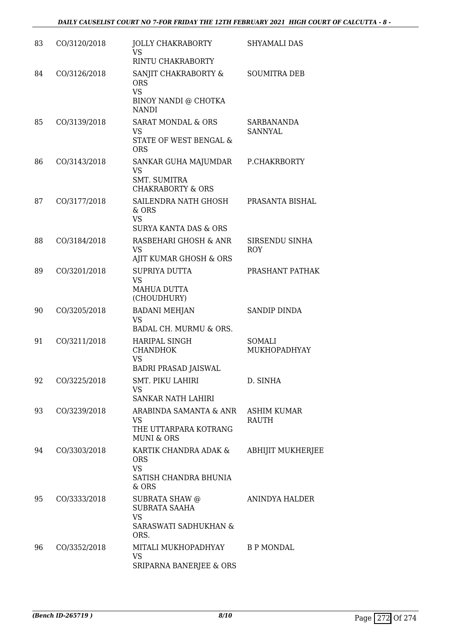| 83 | CO/3120/2018 | <b>JOLLY CHAKRABORTY</b><br><b>VS</b><br>RINTU CHAKRABORTY                               | SHYAMALI DAS                        |
|----|--------------|------------------------------------------------------------------------------------------|-------------------------------------|
| 84 | CO/3126/2018 | SANJIT CHAKRABORTY &<br><b>ORS</b><br><b>VS</b><br>BINOY NANDI @ CHOTKA<br><b>NANDI</b>  | <b>SOUMITRA DEB</b>                 |
| 85 | CO/3139/2018 | <b>SARAT MONDAL &amp; ORS</b><br><b>VS</b><br>STATE OF WEST BENGAL &<br><b>ORS</b>       | <b>SARBANANDA</b><br><b>SANNYAL</b> |
| 86 | CO/3143/2018 | SANKAR GUHA MAJUMDAR<br><b>VS</b><br><b>SMT. SUMITRA</b><br><b>CHAKRABORTY &amp; ORS</b> | P.CHAKRBORTY                        |
| 87 | CO/3177/2018 | SAILENDRA NATH GHOSH<br>& ORS<br><b>VS</b><br><b>SURYA KANTA DAS &amp; ORS</b>           | PRASANTA BISHAL                     |
| 88 | CO/3184/2018 | RASBEHARI GHOSH & ANR<br><b>VS</b><br>AJIT KUMAR GHOSH & ORS                             | SIRSENDU SINHA<br><b>ROY</b>        |
| 89 | CO/3201/2018 | SUPRIYA DUTTA<br><b>VS</b><br>MAHUA DUTTA<br>(CHOUDHURY)                                 | PRASHANT PATHAK                     |
| 90 | CO/3205/2018 | <b>BADANI MEHJAN</b><br><b>VS</b><br>BADAL CH. MURMU & ORS.                              | <b>SANDIP DINDA</b>                 |
| 91 | CO/3211/2018 | <b>HARIPAL SINGH</b><br><b>CHANDHOK</b><br><b>VS</b><br><b>BADRI PRASAD JAISWAL</b>      | SOMALI<br>MUKHOPADHYAY              |
| 92 | CO/3225/2018 | SMT. PIKU LAHIRI<br><b>VS</b><br><b>SANKAR NATH LAHIRI</b>                               | D. SINHA                            |
| 93 | CO/3239/2018 | ARABINDA SAMANTA & ANR<br><b>VS</b><br>THE UTTARPARA KOTRANG<br><b>MUNI &amp; ORS</b>    | <b>ASHIM KUMAR</b><br>RAUTH         |
| 94 | CO/3303/2018 | KARTIK CHANDRA ADAK &<br><b>ORS</b><br><b>VS</b><br>SATISH CHANDRA BHUNIA<br>& ORS       | <b>ABHIJIT MUKHERJEE</b>            |
| 95 | CO/3333/2018 | SUBRATA SHAW @<br>SUBRATA SAAHA<br><b>VS</b><br>SARASWATI SADHUKHAN &<br>ORS.            | ANINDYA HALDER                      |
| 96 | CO/3352/2018 | MITALI MUKHOPADHYAY<br><b>VS</b><br>SRIPARNA BANERJEE & ORS                              | <b>B P MONDAL</b>                   |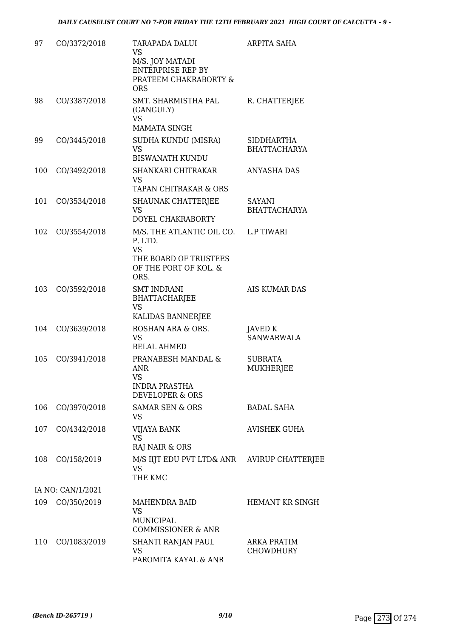| 97  | CO/3372/2018      | <b>TARAPADA DALUI</b><br><b>VS</b><br>M/S. JOY MATADI<br><b>ENTERPRISE REP BY</b><br>PRATEEM CHAKRABORTY &<br><b>ORS</b> | <b>ARPITA SAHA</b>                       |
|-----|-------------------|--------------------------------------------------------------------------------------------------------------------------|------------------------------------------|
| 98  | CO/3387/2018      | SMT. SHARMISTHA PAL<br>(GANGULY)<br><b>VS</b><br><b>MAMATA SINGH</b>                                                     | R. CHATTERJEE                            |
| 99  | CO/3445/2018      | SUDHA KUNDU (MISRA)<br><b>VS</b><br><b>BISWANATH KUNDU</b>                                                               | <b>SIDDHARTHA</b><br><b>BHATTACHARYA</b> |
| 100 | CO/3492/2018      | SHANKARI CHITRAKAR<br><b>VS</b><br>TAPAN CHITRAKAR & ORS                                                                 | ANYASHA DAS                              |
| 101 | CO/3534/2018      | SHAUNAK CHATTERJEE<br><b>VS</b><br>DOYEL CHAKRABORTY                                                                     | SAYANI<br><b>BHATTACHARYA</b>            |
| 102 | CO/3554/2018      | M/S. THE ATLANTIC OIL CO. L.P TIWARI<br>P. LTD.<br><b>VS</b><br>THE BOARD OF TRUSTEES<br>OF THE PORT OF KOL. &<br>ORS.   |                                          |
| 103 | CO/3592/2018      | <b>SMT INDRANI</b><br><b>BHATTACHARJEE</b><br><b>VS</b><br>KALIDAS BANNERJEE                                             | AIS KUMAR DAS                            |
| 104 | CO/3639/2018      | ROSHAN ARA & ORS.<br><b>VS</b><br><b>BELAL AHMED</b>                                                                     | JAVED K<br><b>SANWARWALA</b>             |
| 105 | CO/3941/2018      | PRANABESH MANDAL &<br>ANR<br><b>VS</b><br><b>INDRA PRASTHA</b><br><b>DEVELOPER &amp; ORS</b>                             | <b>SUBRATA</b><br>MUKHERJEE              |
| 106 | CO/3970/2018      | <b>SAMAR SEN &amp; ORS</b><br><b>VS</b>                                                                                  | <b>BADAL SAHA</b>                        |
| 107 | CO/4342/2018      | VIJAYA BANK<br><b>VS</b><br>RAJ NAIR & ORS                                                                               | <b>AVISHEK GUHA</b>                      |
| 108 | CO/158/2019       | M/S IIJT EDU PVT LTD& ANR AVIRUP CHATTERJEE<br><b>VS</b><br>THE KMC                                                      |                                          |
|     | IA NO: CAN/1/2021 |                                                                                                                          |                                          |
| 109 | CO/350/2019       | MAHENDRA BAID<br>VS<br>MUNICIPAL<br><b>COMMISSIONER &amp; ANR</b>                                                        | HEMANT KR SINGH                          |
| 110 | CO/1083/2019      | SHANTI RANJAN PAUL<br>VS<br>PAROMITA KAYAL & ANR                                                                         | <b>ARKA PRATIM</b><br><b>CHOWDHURY</b>   |